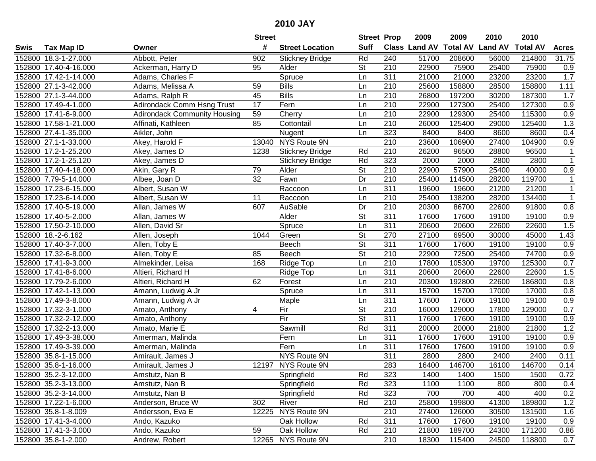|      |                       |                                     | <b>Street</b>   |                        | <b>Street Prop</b>       |                  | 2009                 | 2009            | 2010           | 2010            |                  |
|------|-----------------------|-------------------------------------|-----------------|------------------------|--------------------------|------------------|----------------------|-----------------|----------------|-----------------|------------------|
| Swis | <b>Tax Map ID</b>     | Owner                               | #               | <b>Street Location</b> | <b>Suff</b>              |                  | <b>Class Land AV</b> | <b>Total AV</b> | <b>Land AV</b> | <b>Total AV</b> | <b>Acres</b>     |
|      | 152800 18.3-1-27.000  | Abbott, Peter                       | 902             | <b>Stickney Bridge</b> | Rd                       | $\overline{240}$ | 51700                | 208600          | 56000          | 214800          | 31.75            |
|      | 152800 17.40-4-16.000 | Ackerman, Harry D                   | 95              | Alder                  | $\overline{\mathsf{St}}$ | 210              | 22900                | 75900           | 25400          | 75900           | 0.9              |
|      | 152800 17.42-1-14.000 | Adams, Charles F                    |                 | Spruce                 | Ln                       | 311              | 21000                | 21000           | 23200          | 23200           | 1.7              |
|      | 152800 27.1-3-42.000  | Adams, Melissa A                    | 59              | <b>Bills</b>           | Ln                       | 210              | 25600                | 158800          | 28500          | 158800          | 1.11             |
|      | 152800 27.1-3-44.000  | Adams, Ralph R                      | 45              | <b>Bills</b>           | Ln                       | 210              | 26800                | 197200          | 30200          | 187300          | 1.7              |
|      | 152800 17.49-4-1.000  | Adirondack Comm Hsng Trust          | 17              | Fern                   | Ln                       | 210              | 22900                | 127300          | 25400          | 127300          | 0.9              |
|      | 152800 17.41-6-9.000  | <b>Adirondack Community Housing</b> | 59              | Cherry                 | Ln                       | 210              | 22900                | 129300          | 25400          | 115300          | 0.9              |
|      | 152800 17.58-1-21.000 | Affinati, Kathleen                  | 85              | Cottontail             | Ln                       | 210              | 26000                | 125400          | 29000          | 125400          | 1.3              |
|      | 152800 27.4-1-35.000  | Aikler, John                        |                 | Nugent                 | Ln                       | 323              | 8400                 | 8400            | 8600           | 8600            | 0.4              |
|      | 152800 27.1-1-33.000  | Akey, Harold F                      | 13040           | NYS Route 9N           |                          | 210              | 23600                | 106900          | 27400          | 104900          | 0.9              |
|      | 152800 17.2-1-25.200  | Akey, James D                       | 1238            | <b>Stickney Bridge</b> | Rd                       | 210              | 26200                | 96500           | 28800          | 96500           | 1                |
|      | 152800 17.2-1-25.120  | Akey, James D                       |                 | <b>Stickney Bridge</b> | Rd                       | 323              | 2000                 | 2000            | 2800           | 2800            | $\overline{1}$   |
|      | 152800 17.40-4-18.000 | Akin, Gary R                        | 79              | Alder                  | $\overline{\mathsf{St}}$ | 210              | 22900                | 57900           | 25400          | 40000           | 0.9              |
|      | 152800 7.79-5-14.000  | Albee, Joan D                       | $\overline{32}$ | Fawn                   | Dr                       | $\overline{210}$ | 25400                | 114500          | 28200          | 119700          | $\mathbf 1$      |
|      | 152800 17.23-6-15.000 | Albert, Susan W                     |                 | Raccoon                | Ln                       | 311              | 19600                | 19600           | 21200          | 21200           | $\mathbf{1}$     |
|      | 152800 17.23-6-14.000 | Albert, Susan W                     | 11              | Raccoon                | Ln                       | 210              | 25400                | 138200          | 28200          | 134400          | $\overline{1}$   |
|      | 152800 17.40-5-19.000 | Allan, James W                      | 607             | AuSable                | Dr                       | 210              | 20300                | 86700           | 22600          | 91800           | $\overline{0.8}$ |
|      | 152800 17.40-5-2.000  | Allan, James W                      |                 | Alder                  | $\overline{\mathsf{St}}$ | $\overline{311}$ | 17600                | 17600           | 19100          | 19100           | 0.9              |
|      | 152800 17.50-2-10.000 | Allen, David Sr                     |                 | Spruce                 | Ln                       | $\overline{311}$ | 20600                | 20600           | 22600          | 22600           | 1.5              |
|      | 152800 18.-2-6.162    | Allen, Joseph                       | 1044            | Green                  | St                       | 270              | 27100                | 69500           | 30000          | 45000           | 1.43             |
|      | 152800 17.40-3-7.000  | Allen, Toby E                       |                 | Beech                  | <b>St</b>                | 311              | 17600                | 17600           | 19100          | 19100           | 0.9              |
|      | 152800 17.32-6-8.000  | Allen, Toby E                       | 85              | Beech                  | $\overline{\mathsf{St}}$ | 210              | 22900                | 72500           | 25400          | 74700           | 0.9              |
|      | 152800 17.41-9-3.000  | Almekinder, Leisa                   | 168             | Ridge Top              | Ln                       | 210              | 17800                | 105300          | 19700          | 125300          | 0.7              |
|      | 152800 17.41-8-6.000  | Altieri, Richard H                  |                 | Ridge Top              | Ln                       | 311              | 20600                | 20600           | 22600          | 22600           | 1.5              |
|      | 152800 17.79-2-6.000  | Altieri, Richard H                  | 62              | Forest                 | Ln                       | 210              | 20300                | 192800          | 22600          | 186800          | 0.8              |
|      | 152800 17.42-1-13.000 | Amann, Ludwig A Jr                  |                 | Spruce                 | Ln                       | $\overline{311}$ | 15700                | 15700           | 17000          | 17000           | 0.8              |
|      | 152800 17.49-3-8.000  | Amann, Ludwig A Jr                  |                 | Maple                  | Ln                       | 311              | 17600                | 17600           | 19100          | 19100           | 0.9              |
|      | 152800 17.32-3-1.000  | Amato, Anthony                      | 4               | Fir                    | $\overline{\mathsf{St}}$ | 210              | 16000                | 129000          | 17800          | 129000          | 0.7              |
|      | 152800 17.32-2-12.000 | Amato, Anthony                      |                 | Fir                    | <b>St</b>                | 311              | 17600                | 17600           | 19100          | 19100           | 0.9              |
|      | 152800 17.32-2-13.000 | Amato, Marie E                      |                 | Sawmill                | Rd                       | 311              | 20000                | 20000           | 21800          | 21800           | 1.2              |
|      | 152800 17.49-3-38.000 | Amerman, Malinda                    |                 | Fern                   | Ln                       | 311              | 17600                | 17600           | 19100          | 19100           | 0.9              |
|      | 152800 17.49-3-39.000 | Amerman, Malinda                    |                 | Fern                   | Ln                       | 311              | 17600                | 17600           | 19100          | 19100           | 0.9              |
|      | 152800 35.8-1-15.000  | Amirault, James J                   |                 | NYS Route 9N           |                          | 311              | 2800                 | 2800            | 2400           | 2400            | 0.11             |
|      | 152800 35.8-1-16.000  | Amirault, James J                   |                 | 12197 NYS Route 9N     |                          | 283              | 16400                | 146700          | 16100          | 146700          | 0.14             |
|      | 152800 35.2-3-12.000  | Amstutz, Nan B                      |                 | Springfield            | Rd                       | 323              | 1400                 | 1400            | 1500           | 1500            | 0.72             |
|      | 152800 35.2-3-13.000  | Amstutz, Nan B                      |                 | Springfield            | Rd                       | 323              | 1100                 | 1100            | 800            | 800             | 0.4              |
|      | 152800 35.2-3-14.000  | Amstutz, Nan B                      |                 | Springfield            | Rd                       | 323              | 700                  | 700             | 400            | 400             | 0.2              |
|      | 152800 17.22-1-6.000  | Anderson, Bruce W                   | 302             | River                  | Rd                       | 210              | 25800                | 199800          | 41300          | 189800          | 1.2              |
|      | 152800 35.8-1-8.009   | Andersson, Eva E                    |                 | 12225 NYS Route 9N     |                          | 210              | 27400                | 126000          | 30500          | 131500          | 1.6              |
|      | 152800 17.41-3-4.000  | Ando, Kazuko                        |                 | Oak Hollow             | Rd                       | 311              | 17600                | 17600           | 19100          | 19100           | 0.9              |
|      | 152800 17.41-3-3.000  | Ando, Kazuko                        | 59              | Oak Hollow             | Rd                       | 210              | 21800                | 189700          | 24300          | 171200          | 0.86             |
|      | 152800 35.8-1-2.000   | Andrew, Robert                      |                 | 12265 NYS Route 9N     |                          | $\overline{210}$ | 18300                | 115400          | 24500          | 118800          | 0.7              |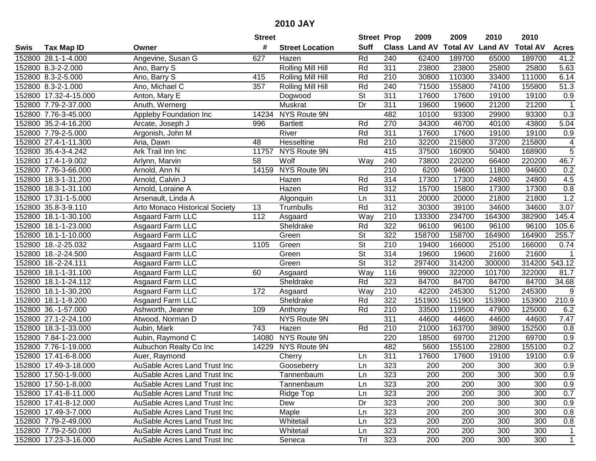|        |                             |                                       | <b>Street</b> |                        | <b>Street Prop</b>       |                  | 2009                 | 2009            | 2010           | 2010            |                   |
|--------|-----------------------------|---------------------------------------|---------------|------------------------|--------------------------|------------------|----------------------|-----------------|----------------|-----------------|-------------------|
| Swis   | <b>Tax Map ID</b>           | Owner                                 | #             | <b>Street Location</b> | <b>Suff</b>              |                  | <b>Class Land AV</b> | <b>Total AV</b> | <b>Land AV</b> | <b>Total AV</b> | <b>Acres</b>      |
|        | 152800 28.1-1-4.000         | Angevine, Susan G                     | 627           | Hazen                  | Rd                       | 240              | 62400                | 189700          | 65000          | 189700          | 41.2              |
|        | 152800 8.3-2-2.000          | Ano, Barry S                          |               | Rolling Mill Hill      | Rd                       | 311              | 23800                | 23800           | 25800          | 25800           | 5.63              |
|        | 152800 8.3-2-5.000          | Ano, Barry S                          | 415           | Rolling Mill Hill      | Rd                       | 210              | 30800                | 110300          | 33400          | 111000          | $\overline{6.14}$ |
|        | 152800 8.3-2-1.000          | Ano, Michael C                        | 357           | Rolling Mill Hill      | Rd                       | 240              | 71500                | 155800          | 74100          | 155800          | $\overline{51.3}$ |
|        | 152800 17.32-4-15.000       | Anton, Mary E                         |               | Dogwood                | <b>St</b>                | 311              | 17600                | 17600           | 19100          | 19100           | 0.9               |
|        | 152800 7.79-2-37.000        | Anuth, Wernerg                        |               | Muskrat                | Dr                       | 311              | 19600                | 19600           | 21200          | 21200           | $\mathbf{1}$      |
|        | 152800 7.76-3-45.000        | <b>Appleby Foundation Inc</b>         | 14234         | <b>NYS Route 9N</b>    |                          | 482              | 10100                | 93300           | 29900          | 93300           | 0.3               |
|        | 152800 35.2-4-16.200        | Arcate, Joseph J                      | 996           | <b>Bartlett</b>        | Rd                       | 270              | 34300                | 46700           | 40100          | 43800           | 5.04              |
|        | 152800 7.79-2-5.000         | Argonish, John M                      |               | River                  | Rd                       | 311              | 17600                | 17600           | 19100          | 19100           | 0.9               |
|        | 152800 27.4-1-11.300        | Aria, Dawn                            | 48            | Hesseltine             | Rd                       | 210              | 32200                | 215800          | 37200          | 215800          | 4                 |
|        | 152800 35.4-3-4.242         | Ark Trail Inn Inc                     | 11757         | NYS Route 9N           |                          | 415              | 37500                | 160900          | 50400          | 168900          | $\overline{5}$    |
|        | 152800 17.4-1-9.002         | Arlynn, Marvin                        | 58            | Wolf                   | Way                      | 240              | 73800                | 220200          | 66400          | 220200          | 46.7              |
|        | 152800 7.76-3-66.000        | Arnold, Ann N                         | 14159         | NYS Route 9N           |                          | 210              | 6200                 | 94600           | 11800          | 94600           | 0.2               |
|        | 152800 18.3-1-31.200        | Arnold, Calvin J                      |               | Hazen                  | Rd                       | 314              | 17300                | 17300           | 24800          | 24800           | 4.5               |
|        | 152800 18.3-1-31.100        | Arnold, Loraine A                     |               | Hazen                  | Rd                       | 312              | 15700                | 15800           | 17300          | 17300           | 0.8               |
|        | 152800 17.31-1-5.000        | Arsenault, Linda A                    |               | Algonquin              | Ln                       | 311              | 20000                | 20000           | 21800          | 21800           | 1.2               |
|        | 152800 35.8-3-9.110         | <b>Arto Monaco Historical Society</b> | 13            | Trumbulls              | Rd                       | 312              | 30300                | 39100           | 34600          | 34600           | 3.07              |
| 152800 | 18.1-1-30.100               | Asgaard Farm LLC                      | 112           | Asgaard                | Way                      | 210              | 133300               | 234700          | 164300         | 382900          | 145.4             |
|        | 152800 18.1-1-23.000        | Asgaard Farm LLC                      |               | Sheldrake              | Rd                       | 322              | 96100                | 96100           | 96100          | 96100           | 105.6             |
|        | 152800 18.1-1-10.000        | Asgaard Farm LLC                      |               | Green                  | <b>St</b>                | 322              | 158700               | 158700          | 164900         | 164900          | 255.7             |
|        | 152800 18.-2-25.032         | Asgaard Farm LLC                      | 1105          | Green                  | $\overline{\mathsf{St}}$ | 210              | 19400                | 166000          | 25100          | 166000          | 0.74              |
|        | 152800 18.-2-24.500         | Asgaard Farm LLC                      |               | Green                  | St                       | 314              | 19600                | 19600           | 21600          | 21600           | $\mathbf{1}$      |
| 152800 | 18.-2-24.111                | Asgaard Farm LLC                      |               | Green                  | $\overline{\mathsf{St}}$ | 312              | 297400               | 314200          | 300000         | 314200          | 543.12            |
| 152800 | $\overline{18.1}$ -1-31.100 | Asgaard Farm LLC                      | 60            | Asgaard                | Way                      | 116              | 99000                | 322000          | 101700         | 322000          | 81.7              |
| 152800 | 18.1-1-24.112               | Asgaard Farm LLC                      |               | Sheldrake              | Rd                       | 323              | 84700                | 84700           | 84700          | 84700           | 34.68             |
| 152800 | 18.1-1-30.200               | Asgaard Farm LLC                      | 172           | Asgaard                | Way                      | 210              | 42200                | 245300          | 51200          | 245300          | 9                 |
|        | 152800 18.1-1-9.200         | Asgaard Farm LLC                      |               | Sheldrake              | Rd                       | 322              | 151900               | 151900          | 153900         | 153900          | 210.9             |
|        | 152800 36.-1-57.000         | Ashworth, Jeanne                      | 109           | Anthony                | Rd                       | 210              | 33500                | 119500          | 47900          | 125000          | 6.2               |
|        | 152800 27.1-2-24.100        | Atwood, Norman D                      |               | NYS Route 9N           |                          | 311              | 44600                | 44600           | 44600          | 44600           | 7.47              |
|        | 152800 18.3-1-33.000        | Aubin, Mark                           | 743           | Hazen                  | Rd                       | $\overline{210}$ | 21000                | 163700          | 38900          | 152500          | 0.8               |
|        | 152800 7.84-1-23.000        | Aubin, Raymond C                      | 14080         | NYS Route 9N           |                          | 220              | 18500                | 69700           | 21200          | 69700           | 0.9               |
|        | 152800 7.76-1-19.000        | Aubuchon Realty Co Inc                |               | 14229 NYS Route 9N     |                          | 482              | 5600                 | 155100          | 22800          | 155100          | 0.2               |
|        | 152800 17.41-6-8.000        | Auer, Raymond                         |               | Cherry                 | Ln                       | 311              | 17600                | 17600           | 19100          | 19100           | 0.9               |
|        | 152800 17.49-3-18.000       | AuSable Acres Land Trust Inc          |               | Gooseberry             | Ln                       | 323              | 200                  | 200             | 300            | 300             | 0.9               |
|        | 152800 17.50-1-9.000        | AuSable Acres Land Trust Inc          |               | Tannenbaum             | Ln                       | 323              | 200                  | 200             | 300            | 300             | 0.9               |
|        | 152800 17.50-1-8.000        | AuSable Acres Land Trust Inc          |               | Tannenbaum             | Ln                       | 323              | 200                  | 200             | 300            | 300             | 0.9               |
|        | 152800 17.41-8-11.000       | AuSable Acres Land Trust Inc          |               | Ridge Top              | Ln                       | 323              | 200                  | 200             | 300            | 300             | 0.7               |
|        | 152800 17.41-8-12.000       | AuSable Acres Land Trust Inc          |               | Dew                    | Dr                       | 323              | 200                  | 200             | 300            | 300             | 0.9               |
|        | 152800 17.49-3-7.000        | AuSable Acres Land Trust Inc          |               | Maple                  | Ln                       | 323              | 200                  | 200             | 300            | 300             | 0.8               |
|        | 152800 7.79-2-49.000        | AuSable Acres Land Trust Inc          |               | Whitetail              | Ln                       | 323              | 200                  | 200             | 300            | 300             | 0.8               |
|        | 152800 7.79-2-50.000        | AuSable Acres Land Trust Inc          |               | Whitetail              | Ln                       | 323              | 200                  | 200             | 300            | 300             | 1                 |
|        | 152800 17.23-3-16.000       | AuSable Acres Land Trust Inc          |               | Seneca                 | Trl                      | 323              | 200                  | 200             | 300            | 300             | $\overline{1}$    |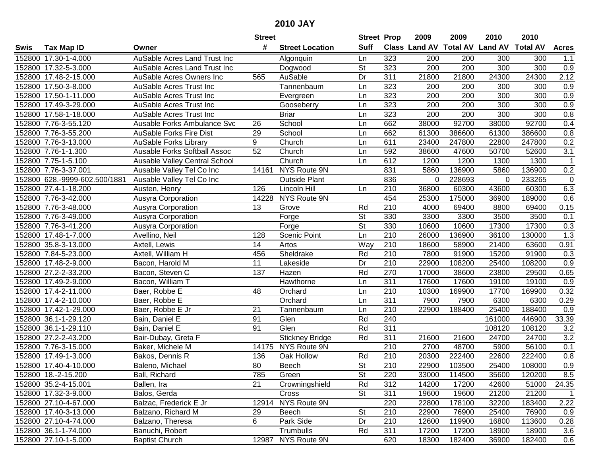|        |                               |                                     | <b>Street</b>   |                        | <b>Street Prop</b>       |                  | 2009             | 2009             | 2010                           | 2010            |                  |
|--------|-------------------------------|-------------------------------------|-----------------|------------------------|--------------------------|------------------|------------------|------------------|--------------------------------|-----------------|------------------|
| Swis   | <b>Tax Map ID</b>             | Owner                               | #               | <b>Street Location</b> | <b>Suff</b>              |                  |                  |                  | Class Land AV Total AV Land AV | <b>Total AV</b> | <b>Acres</b>     |
| 152800 | 17.30-1-4.000                 | AuSable Acres Land Trust Inc        |                 | Algonquin              | Ln                       | 323              | 200              | 200              | 300                            | 300             | 1.1              |
| 152800 | 17.32-5-3.000                 | AuSable Acres Land Trust Inc        |                 | Dogwood                | $\overline{\mathsf{St}}$ | 323              | 200              | 200              | 300                            | 300             | 0.9              |
|        | 152800 17.48-2-15.000         | AuSable Acres Owners Inc            | 565             | AuSable                | Dr                       | 311              | 21800            | 21800            | 24300                          | 24300           | 2.12             |
|        | 152800 17.50-3-8.000          | AuSable Acres Trust Inc             |                 | Tannenbaum             | Ln                       | 323              | 200              | 200              | 300                            | 300             | 0.9              |
|        | 152800 17.50-1-11.000         | AuSable Acres Trust Inc             |                 | Evergreen              | Ln                       | 323              | $\overline{200}$ | 200              | 300                            | 300             | 0.9              |
|        | 152800 17.49-3-29.000         | AuSable Acres Trust Inc             |                 | Gooseberry             | Ln                       | 323              | 200              | 200              | 300                            | 300             | $\overline{0.9}$ |
|        | 152800 17.58-1-18.000         | AuSable Acres Trust Inc             |                 | <b>Briar</b>           | Ln                       | 323              | $\overline{200}$ | $\overline{200}$ | 300                            | 300             | 0.8              |
|        | 152800 7.76-3-55.120          | Ausable Forks Ambulance Svc         | 26              | School                 | Ln                       | 662              | 38000            | 92700            | 38000                          | 92700           | 0.4              |
|        | 152800 7.76-3-55.200          | <b>AuSable Forks Fire Dist</b>      | 29              | School                 | Ln                       | 662              | 61300            | 386600           | 61300                          | 386600          | 0.8              |
|        | 152800 7.76-3-13.000          | <b>AuSable Forks Library</b>        | 9               | Church                 | Ln                       | 611              | 23400            | 247800           | 22800                          | 247800          | 0.2              |
|        | 152800 7.76-1-1.300           | <b>Ausable Forks Softball Assoc</b> | $\overline{52}$ | Church                 | Ln                       | 592              | 38600            | 47600            | 50700                          | 52600           | $\overline{3.1}$ |
|        | 152800 7.75-1-5.100           | Ausable Valley Central School       |                 | Church                 | Ln                       | 612              | 1200             | 1200             | 1300                           | 1300            | $\mathbf 1$      |
|        | 152800 7.76-3-37.001          | Ausable Valley Tel Co Inc           | 14161           | NYS Route 9N           |                          | 831              | 5860             | 136900           | 5860                           | 136900          | 0.2              |
|        | 152800 628.-9999-602.500/1881 | Ausable Valley Tel Co Inc           |                 | <b>Outside Plant</b>   |                          | 836              | $\mathbf 0$      | 228693           | 0                              | 233265          | $\mathbf 0$      |
|        | 152800 27.4-1-18.200          | Austen, Henry                       | 126             | Lincoln Hill           | Ln                       | 210              | 36800            | 60300            | 43600                          | 60300           | 6.3              |
|        | 152800 7.76-3-42.000          | Ausyra Corporation                  | 14228           | NYS Route 9N           |                          | 454              | 25300            | 175000           | 36900                          | 189000          | 0.6              |
|        | 152800 7.76-3-48.000          | Ausyra Corporation                  | 13              | Grove                  | Rd                       | 210              | 4000             | 69400            | 8800                           | 69400           | 0.15             |
|        | 152800 7.76-3-49.000          | Ausyra Corporation                  |                 | Forge                  | $\overline{\mathsf{St}}$ | 330              | 3300             | 3300             | 3500                           | 3500            | 0.1              |
|        | 152800 7.76-3-41.200          | Ausyra Corporation                  |                 | Forge                  | $\overline{\mathsf{St}}$ | 330              | 10600            | 10600            | 17300                          | 17300           | 0.3              |
|        | 152800 17.48-1-7.000          | Avellino, Neil                      | 128             | Scenic Point           | Ln                       | 210              | 26000            | 136900           | 36100                          | 130000          | 1.3              |
|        | 152800 35.8-3-13.000          | Axtell, Lewis                       | 14              | Artos                  | Way                      | 210              | 18600            | 58900            | 21400                          | 63600           | 0.91             |
|        | 152800 7.84-5-23.000          | Axtell, William H                   | 456             | Sheldrake              | Rd                       | 210              | 7800             | 91900            | 15200                          | 91900           | 0.3              |
|        | 152800 17.48-2-9.000          | Bacon, Harold M                     | 11              | Lakeside               | Dr                       | 210              | 22900            | 108200           | 25400                          | 108200          | 0.9              |
|        | 152800 27.2-2-33.200          | Bacon, Steven C                     | 137             | Hazen                  | Rd                       | 270              | 17000            | 38600            | 23800                          | 29500           | 0.65             |
|        | 152800 17.49-2-9.000          | Bacon, William T                    |                 | Hawthorne              | Ln                       | 311              | 17600            | 17600            | 19100                          | 19100           | 0.9              |
|        | 152800 17.4-2-11.000          | Baer, Robbe E                       | 48              | Orchard                | Ln                       | 210              | 10300            | 169900           | 17700                          | 169900          | 0.32             |
|        | 152800 17.4-2-10.000          | Baer, Robbe E                       |                 | Orchard                | Ln                       | 311              | 7900             | 7900             | 6300                           | 6300            | 0.29             |
|        | 152800 17.42-1-29.000         | Baer, Robbe E Jr                    | 21              | Tannenbaum             | Ln                       | 210              | 22900            | 188400           | 25400                          | 188400          | 0.9              |
|        | 152800 36.1-1-29.120          | Bain, Daniel E                      | 91              | Glen                   | Rd                       | 240              |                  |                  | 161000                         | 446900          | 33.39            |
|        | 152800 36.1-1-29.110          | Bain, Daniel E                      | 91              | Glen                   | Rd                       | 311              |                  |                  | 108120                         | 108120          | $\overline{3.2}$ |
|        | 152800 27.2-2-43.200          | Bair-Dubay, Greta F                 |                 | <b>Stickney Bridge</b> | Rd                       | 311              | 21600            | 21600            | 24700                          | 24700           | 3.2              |
|        | 152800 7.76-3-15.000          | Baker, Michele M                    | 14175           | NYS Route 9N           |                          | $\overline{210}$ | 2700             | 48700            | 5900                           | 56100           | 0.1              |
|        | 152800 17.49-1-3.000          | Bakos, Dennis R                     | 136             | Oak Hollow             | Rd                       | 210              | 20300            | 222400           | 22600                          | 222400          | 0.8              |
|        | 152800 17.40-4-10.000         | Baleno, Michael                     | 80              | Beech                  | $\overline{\mathsf{St}}$ | 210              | 22900            | 103500           | 25400                          | 108000          | 0.9              |
|        | 152800 18.-2-15.200           | Ball, Richard                       | 785             | Green                  | <b>St</b>                | 220              | 33000            | 114500           | 35600                          | 120200          | 8.5              |
|        | 152800 35.2-4-15.001          | Ballen, Ira                         | 21              | Crowningshield         | Rd                       | 312              | 14200            | 17200            | 42600                          | 51000           | 24.35            |
|        | 152800 17.32-3-9.000          | Balos, Gerda                        |                 | Cross                  | <b>St</b>                | 311              | 19600            | 19600            | 21200                          | 21200           | $\mathbf 1$      |
|        | 152800 27.10-4-67.000         | Balzac, Frederick E Jr              |                 | 12914 NYS Route 9N     |                          | 220              | 22800            | 178100           | 32200                          | 183400          | 2.22             |
|        | 152800 17.40-3-13.000         | Balzano, Richard M                  | 29              | Beech                  | <b>St</b>                | 210              | 22900            | 76900            | 25400                          | 76900           | 0.9              |
|        | 152800 27.10-4-74.000         | Balzano, Theresa                    | 6               | Park Side              | Dr                       | 210              | 12600            | 119900           | 16800                          | 113600          | 0.28             |
|        | 152800 36.1-1-74.000          | Banuchi, Robert                     |                 | Trumbulls              | Rd                       | 311              | 17200            | 17200            | 18900                          | 18900           | 3.6              |
|        | 152800 27.10-1-5.000          | <b>Baptist Church</b>               |                 | 12987 NYS Route 9N     |                          | 620              | 18300            | 182400           | 36900                          | 182400          | 0.6              |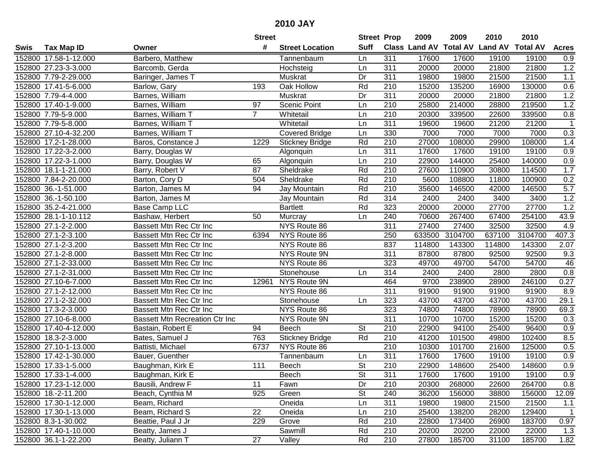|      |                       |                                       | <b>Street</b>   |                        | <b>Street Prop</b>       |                  | 2009          | 2009            | 2010           | 2010            |                  |
|------|-----------------------|---------------------------------------|-----------------|------------------------|--------------------------|------------------|---------------|-----------------|----------------|-----------------|------------------|
| Swis | <b>Tax Map ID</b>     | Owner                                 | #               | <b>Street Location</b> | <b>Suff</b>              |                  | Class Land AV | <b>Total AV</b> | <b>Land AV</b> | <b>Total AV</b> | <b>Acres</b>     |
|      | 152800 17.58-1-12.000 | Barbero, Matthew                      |                 | Tannenbaum             | Ln                       | 311              | 17600         | 17600           | 19100          | 19100           | 0.9              |
|      | 152800 27.23-3-3.000  | Barcomb, Gerda                        |                 | Hochsteig              | Ln                       | 311              | 20000         | 20000           | 21800          | 21800           | 1.2              |
|      | 152800 7.79-2-29.000  | Baringer, James T                     |                 | Muskrat                | Dr                       | 311              | 19800         | 19800           | 21500          | 21500           | 1.1              |
|      | 152800 17.41-5-6.000  | Barlow, Gary                          | 193             | Oak Hollow             | Rd                       | 210              | 15200         | 135200          | 16900          | 130000          | 0.6              |
|      | 152800 7.79-4-4.000   | Barnes, William                       |                 | Muskrat                | Dr                       | 311              | 20000         | 20000           | 21800          | 21800           | 1.2              |
|      | 152800 17.40-1-9.000  | Barnes, William                       | $\overline{97}$ | Scenic Point           | Ln                       | 210              | 25800         | 214000          | 28800          | 219500          | 1.2              |
|      | 152800 7.79-5-9.000   | Barnes, William T                     | $\overline{7}$  | Whitetail              | Ln                       | 210              | 20300         | 339500          | 22600          | 339500          | 0.8              |
|      | 152800 7.79-5-8.000   | Barnes, William T                     |                 | Whitetail              | Ln                       | 311              | 19600         | 19600           | 21200          | 21200           | $\overline{1}$   |
|      | 152800 27.10-4-32.200 | Barnes, William T                     |                 | <b>Covered Bridge</b>  | Ln                       | 330              | 7000          | 7000            | 7000           | 7000            | 0.3              |
|      | 152800 17.2-1-28.000  | Baros, Constance J                    | 1229            | <b>Stickney Bridge</b> | Rd                       | 210              | 27000         | 108000          | 29900          | 108000          | 1.4              |
|      | 152800 17.22-3-2.000  | Barry, Douglas W                      |                 | Algonquin              | Ln                       | 311              | 17600         | 17600           | 19100          | 19100           | 0.9              |
|      | 152800 17.22-3-1.000  | Barry, Douglas W                      | 65              | Algonquin              | Ln                       | 210              | 22900         | 144000          | 25400          | 140000          | 0.9              |
|      | 152800 18.1-1-21.000  | Barry, Robert V                       | 87              | Sheldrake              | Rd                       | 210              | 27600         | 110900          | 30800          | 114500          | 1.7              |
|      | 152800 7.84-2-20.000  | Barton, Cory D                        | 504             | Sheldrake              | Rd                       | 210              | 5600          | 108800          | 11800          | 100900          | 0.2              |
|      | 152800 36.-1-51.000   | Barton, James M                       | 94              | Jay Mountain           | Rd                       | 210              | 35600         | 146500          | 42000          | 146500          | 5.7              |
|      | 152800 36.-1-50.100   | Barton, James M                       |                 | Jay Mountain           | Rd                       | 314              | 2400          | 2400            | 3400           | 3400            | 1.2              |
|      | 152800 35.2-4-21.000  | <b>Base Camp LLC</b>                  |                 | <b>Bartlett</b>        | Rd                       | 323              | 20000         | 20000           | 27700          | 27700           | 1.2              |
|      | 152800 28.1-1-10.112  | Bashaw, Herbert                       | 50              | Murcray                | Ln                       | 240              | 70600         | 267400          | 67400          | 254100          | 43.9             |
|      | 152800 27.1-2-2.000   | Bassett Mtn Rec Ctr Inc               |                 | NYS Route 86           |                          | 311              | 27400         | 27400           | 32500          | 32500           | 4.9              |
|      | 152800 27.1-2-3.100   | Bassett Mtn Rec Ctr Inc               | 6394            | NYS Route 86           |                          | 250              | 633500        | 3104700         | 637100         | 3104700         | 407.3            |
|      | 152800 27.1-2-3.200   | Bassett Mtn Rec Ctr Inc               |                 | NYS Route 86           |                          | 837              | 114800        | 143300          | 114800         | 143300          | 2.07             |
|      | 152800 27.1-2-8.000   | Bassett Mtn Rec Ctr Inc               |                 | NYS Route 9N           |                          | 311              | 87800         | 87800           | 92500          | 92500           | 9.3              |
|      | 152800 27.1-2-33.000  | Bassett Mtn Rec Ctr Inc               |                 | NYS Route 86           |                          | 323              | 49700         | 49700           | 54700          | 54700           | 46               |
|      | 152800 27.1-2-31.000  | Bassett Mtn Rec Ctr Inc               |                 | Stonehouse             | Ln                       | 314              | 2400          | 2400            | 2800           | 2800            | 0.8              |
|      | 152800 27.10-6-7.000  | Bassett Mtn Rec Ctr Inc               | 12961           | NYS Route 9N           |                          | 464              | 9700          | 238900          | 28900          | 246100          | 0.27             |
|      | 152800 27.1-2-12.000  | Bassett Mtn Rec Ctr Inc               |                 | NYS Route 86           |                          | 311              | 91900         | 91900           | 91900          | 91900           | 8.9              |
|      | 152800 27.1-2-32.000  | Bassett Mtn Rec Ctr Inc               |                 | Stonehouse             | Ln                       | 323              | 43700         | 43700           | 43700          | 43700           | 29.1             |
|      | 152800 17.3-2-3.000   | Bassett Mtn Rec Ctr Inc               |                 | NYS Route 86           |                          | 323              | 74800         | 74800           | 78900          | 78900           | 69.3             |
|      | 152800 27.10-6-8.000  | <b>Bassett Mtn Recreation Ctr Inc</b> |                 | NYS Route 9N           |                          | $\overline{311}$ | 10700         | 10700           | 15200          | 15200           | 0.3              |
|      | 152800 17.40-4-12.000 | Bastain, Robert E                     | 94              | Beech                  | $\overline{\mathsf{St}}$ | 210              | 22900         | 94100           | 25400          | 96400           | 0.9              |
|      | 152800 18.3-2-3.000   | Bates, Samuel J                       | 763             | <b>Stickney Bridge</b> | Rd                       | $\overline{210}$ | 41200         | 101500          | 49800          | 102400          | 8.5              |
|      | 152800 27.10-1-13.000 | Battisti, Michael                     | 6737            | NYS Route 86           |                          | 210              | 10300         | 101700          | 21600          | 125000          | 0.5              |
|      | 152800 17.42-1-30.000 | Bauer, Guenther                       |                 | Tannenbaum             | Ln                       | 311              | 17600         | 17600           | 19100          | 19100           | $\overline{0.9}$ |
|      | 152800 17.33-1-5.000  | Baughman, Kirk E                      | 111             | Beech                  | $\overline{\mathsf{St}}$ | 210              | 22900         | 148600          | 25400          | 148600          | 0.9              |
|      | 152800 17.33-1-4.000  | Baughman, Kirk E                      |                 | Beech                  | St                       | 311              | 17600         | 17600           | 19100          | 19100           | 0.9              |
|      | 152800 17.23-1-12.000 | Bausili, Andrew F                     | 11              | Fawn                   | Dr                       | 210              | 20300         | 268000          | 22600          | 264700          | 0.8              |
|      | 152800 18.-2-11.200   | Beach, Cynthia M                      | 925             | Green                  | <b>St</b>                | 240              | 36200         | 156000          | 38800          | 156000          | 12.09            |
|      | 152800 17.30-1-12.000 | Beam, Richard                         |                 | Oneida                 | Ln                       | 311              | 19800         | 19800           | 21500          | 21500           | 1.1              |
|      | 152800 17.30-1-13.000 | Beam, Richard S                       | 22              | Oneida                 | Ln                       | 210              | 25400         | 138200          | 28200          | 129400          | $\mathbf{1}$     |
|      | 152800 8.3-1-30.002   | Beattie, Paul J Jr                    | 229             | Grove                  | Rd                       | 210              | 22800         | 173400          | 26900          | 183700          | 0.97             |
|      | 152800 17.40-1-10.000 | Beatty, James J                       |                 | Sawmill                | Rd                       | 210              | 20200         | 20200           | 22000          | 22000           | 1.3              |
|      | 152800 36.1-1-22.200  | Beatty, Juliann T                     | 27              | Valley                 | Rd                       | 210              | 27800         | 185700          | 31100          | 185700          | 1.82             |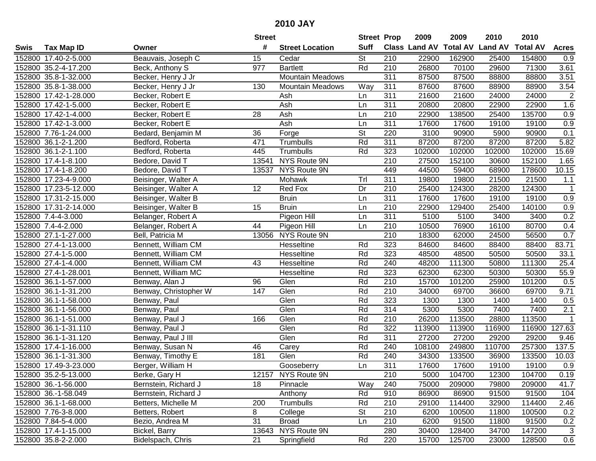|      |                       |                       | <b>Street</b> |                         |                          | <b>Street Prop</b> | 2009                 | 2009            | 2010           | 2010            |                |
|------|-----------------------|-----------------------|---------------|-------------------------|--------------------------|--------------------|----------------------|-----------------|----------------|-----------------|----------------|
| Swis | <b>Tax Map ID</b>     | Owner                 | #             | <b>Street Location</b>  | <b>Suff</b>              |                    | <b>Class Land AV</b> | <b>Total AV</b> | <b>Land AV</b> | <b>Total AV</b> | <b>Acres</b>   |
|      | 152800 17.40-2-5.000  | Beauvais, Joseph C    | 15            | Cedar                   | <b>St</b>                | 210                | 22900                | 162900          | 25400          | 154800          | 0.9            |
|      | 152800 35.2-4-17.200  | Beck, Anthony S       | 977           | <b>Bartlett</b>         | Rd                       | 210                | 26800                | 70100           | 29600          | 71300           | 3.61           |
|      | 152800 35.8-1-32.000  | Becker, Henry J Jr    |               | <b>Mountain Meadows</b> |                          | 311                | 87500                | 87500           | 88800          | 88800           | 3.51           |
|      | 152800 35.8-1-38.000  | Becker, Henry J Jr    | 130           | Mountain Meadows        | Way                      | 311                | 87600                | 87600           | 88900          | 88900           | 3.54           |
|      | 152800 17.42-1-28.000 | Becker, Robert E      |               | Ash                     | Ln                       | 311                | 21600                | 21600           | 24000          | 24000           | $\overline{2}$ |
|      | 152800 17.42-1-5.000  | Becker, Robert E      |               | Ash                     | Ln                       | 311                | 20800                | 20800           | 22900          | 22900           | 1.6            |
|      | 152800 17.42-1-4.000  | Becker, Robert E      | 28            | Ash                     | Ln                       | 210                | 22900                | 138500          | 25400          | 135700          | 0.9            |
|      | 152800 17.42-1-3.000  | Becker, Robert E      |               | Ash                     | Ln                       | 311                | 17600                | 17600           | 19100          | 19100           | 0.9            |
|      | 152800 7.76-1-24.000  | Bedard, Benjamin M    | 36            | Forge                   | $\overline{\mathsf{St}}$ | 220                | 3100                 | 90900           | 5900           | 90900           | 0.1            |
|      | 152800 36.1-2-1.200   | Bedford, Roberta      | 471           | Trumbulls               | Rd                       | 311                | 87200                | 87200           | 87200          | 87200           | 5.82           |
|      | 152800 36.1-2-1.100   | Bedford, Roberta      | 445           | Trumbulls               | Rd                       | 323                | 102000               | 102000          | 102000         | 102000          | 15.69          |
|      | 152800 17.4-1-8.100   | Bedore, David T       | 13541         | NYS Route 9N            |                          | 210                | 27500                | 152100          | 30600          | 152100          | 1.65           |
|      | 152800 17.4-1-8.200   | Bedore, David T       | 13537         | NYS Route 9N            |                          | 449                | 44500                | 59400           | 68900          | 178600          | 10.15          |
|      | 152800 17.23-4-9.000  | Beisinger, Walter A   |               | Mohawk                  | Trl                      | 311                | 19800                | 19800           | 21500          | 21500           | 1.1            |
|      | 152800 17.23-5-12.000 | Beisinger, Walter A   | 12            | Red Fox                 | Dr                       | 210                | 25400                | 124300          | 28200          | 124300          | $\overline{1}$ |
|      | 152800 17.31-2-15.000 | Beisinger, Walter B   |               | <b>Bruin</b>            | Ln                       | 311                | 17600                | 17600           | 19100          | 19100           | 0.9            |
|      | 152800 17.31-2-14.000 | Beisinger, Walter B   | 15            | <b>Bruin</b>            | Ln                       | $\overline{210}$   | 22900                | 129400          | 25400          | 140100          | 0.9            |
|      | 152800 7.4-4-3.000    | Belanger, Robert A    |               | Pigeon Hill             | Ln                       | 311                | 5100                 | 5100            | 3400           | 3400            | 0.2            |
|      | 152800 7.4-4-2.000    | Belanger, Robert A    | 44            | Pigeon Hill             | Ln                       | 210                | 10500                | 76900           | 16100          | 80700           | 0.4            |
|      | 152800 27.1-1-27.000  | Bell, Patricia M      |               | 13056 NYS Route 9N      |                          | 210                | 18300                | 62000           | 24500          | 56500           | 0.7            |
|      | 152800 27.4-1-13.000  | Bennett, William CM   |               | Hesseltine              | Rd                       | 323                | 84600                | 84600           | 88400          | 88400           | 83.71          |
|      | 152800 27.4-1-5.000   | Bennett, William CM   |               | Hesseltine              | Rd                       | 323                | 48500                | 48500           | 50500          | 50500           | 33.1           |
|      | 152800 27.4-1-4.000   | Bennett, William CM   | 43            | Hesseltine              | Rd                       | 240                | 48200                | 111300          | 50800          | 111300          | 25.4           |
|      | 152800 27.4-1-28.001  | Bennett, William MC   |               | Hesseltine              | Rd                       | 323                | 62300                | 62300           | 50300          | 50300           | 55.9           |
|      | 152800 36.1-1-57.000  | Benway, Alan J        | 96            | Glen                    | Rd                       | $\overline{210}$   | 15700                | 101200          | 25900          | 101200          | 0.5            |
|      | 152800 36.1-1-31.200  | Benway, Christopher W | 147           | Glen                    | Rd                       | 210                | 34000                | 69700           | 36600          | 69700           | 9.71           |
|      | 152800 36.1-1-58.000  | Benway, Paul          |               | Glen                    | Rd                       | 323                | 1300                 | 1300            | 1400           | 1400            | 0.5            |
|      | 152800 36.1-1-56.000  | Benway, Paul          |               | Glen                    | Rd                       | 314                | 5300                 | 5300            | 7400           | 7400            | 2.1            |
|      | 152800 36.1-1-51.000  | Benway, Paul J        | 166           | Glen                    | Rd                       | 210                | 26200                | 113500          | 28800          | 113500          |                |
|      | 152800 36.1-1-31.110  | Benway, Paul J        |               | Glen                    | Rd                       | 322                | 113900               | 113900          | 116900         | 116900          | 127.63         |
|      | 152800 36.1-1-31.120  | Benway, Paul J III    |               | Glen                    | Rd                       | $\overline{311}$   | 27200                | 27200           | 29200          | 29200           | 9.46           |
|      | 152800 17.4-1-16.000  | Benway, Susan N       | 46            | Carey                   | Rd                       | 240                | 108100               | 249800          | 110700         | 257300          | 137.5          |
|      | 152800 36.1-1-31.300  | Benway, Timothy E     | 181           | Glen                    | Rd                       | 240                | 34300                | 133500          | 36900          | 133500          | 10.03          |
|      | 152800 17.49-3-23.000 | Berger, William H     |               | Gooseberry              | Ln                       | 311                | 17600                | 17600           | 19100          | 19100           | 0.9            |
|      | 152800 35.2-5-13.000  | Berke, Gary H         |               | 12157 NYS Route 9N      |                          | 210                | 5000                 | 104700          | 12300          | 104700          | 0.19           |
|      | 152800 36.-1-56.000   | Bernstein, Richard J  | 18            | Pinnacle                | Way                      | 240                | 75000                | 209000          | 79800          | 209000          | 41.7           |
|      | 152800 36.-1-58.049   | Bernstein, Richard J  |               | Anthony                 | Rd                       | 910                | 86900                | 86900           | 91500          | 91500           | 104            |
|      | 152800 36.1-1-68.000  | Betters, Michelle M   | 200           | Trumbulls               | Rd                       | 210                | 29100                | 114400          | 32900          | 114400          | 2.46           |
|      | 152800 7.76-3-8.000   | Betters, Robert       | 8             | College                 | <b>St</b>                | 210                | 6200                 | 100500          | 11800          | 100500          | 0.2            |
|      | 152800 7.84-5-4.000   | Bezio, Andrea M       | 31            | <b>Broad</b>            | Ln                       | 210                | 6200                 | 91500           | 11800          | 91500           | 0.2            |
|      | 152800 17.4-1-15.000  | Bickel, Barry         |               | 13643 NYS Route 9N      |                          | 280                | 30400                | 128400          | 34700          | 147200          | 3              |
|      | 152800 35.8-2-2.000   | Bidelspach, Chris     | 21            | Springfield             | Rd                       | 220                | 15700                | 125700          | 23000          | 128500          | 0.6            |
|      |                       |                       |               |                         |                          |                    |                      |                 |                |                 |                |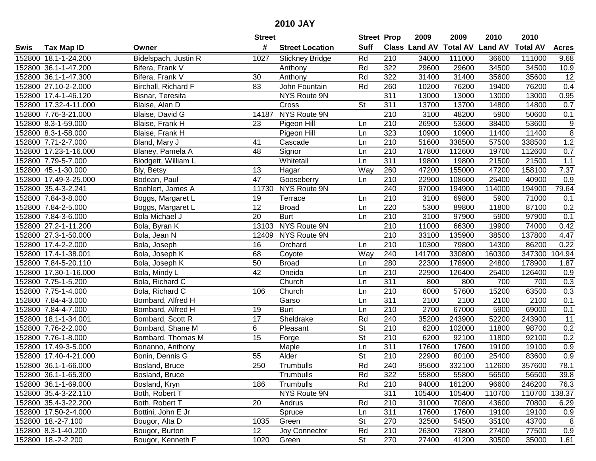|      |                       |                       | <b>Street</b>    |                        | <b>Street Prop</b>       |                  | 2009                 | 2009   | 2010                    | 2010            |                  |
|------|-----------------------|-----------------------|------------------|------------------------|--------------------------|------------------|----------------------|--------|-------------------------|-----------------|------------------|
| Swis | <b>Tax Map ID</b>     | Owner                 | #                | <b>Street Location</b> | <b>Suff</b>              |                  | <b>Class Land AV</b> |        | <b>Total AV Land AV</b> | <b>Total AV</b> | <b>Acres</b>     |
|      | 152800 18.1-1-24.200  | Bidelspach, Justin R  | 1027             | <b>Stickney Bridge</b> | Rd                       | 210              | 34000                | 111000 | 36600                   | 111000          | 9.68             |
|      | 152800 36.1-1-47.200  | Bifera, Frank V       |                  | Anthony                | Rd                       | 322              | 29600                | 29600  | 34500                   | 34500           | 10.9             |
|      | 152800 36.1-1-47.300  | Bifera, Frank V       | 30               | Anthony                | Rd                       | 322              | 31400                | 31400  | 35600                   | 35600           | 12               |
|      | 152800 27.10-2-2.000  | Birchall, Richard F   | 83               | John Fountain          | Rd                       | 260              | 10200                | 76200  | 19400                   | 76200           | 0.4              |
|      | 152800 17.4-1-46.120  | Bisnar, Teresita      |                  | NYS Route 9N           |                          | 311              | 13000                | 13000  | 13000                   | 13000           | 0.95             |
|      | 152800 17.32-4-11.000 | Blaise, Alan D        |                  | Cross                  | $\overline{\mathsf{St}}$ | 311              | 13700                | 13700  | 14800                   | 14800           | 0.7              |
|      | 152800 7.76-3-21.000  | Blaise, David G       | 14187            | NYS Route 9N           |                          | 210              | 3100                 | 48200  | 5900                    | 50600           | 0.1              |
|      | 152800 8.3-1-59.000   | Blaise, Frank H       | $\overline{23}$  | Pigeon Hill            | Ln                       | 210              | 26900                | 53600  | 38400                   | 53600           | $\overline{9}$   |
|      | 152800 8.3-1-58.000   | Blaise, Frank H       |                  | Pigeon Hill            | Ln                       | 323              | 10900                | 10900  | 11400                   | 11400           | $\overline{8}$   |
|      | 152800 7.71-2-7.000   | Bland, Mary J         | 41               | Cascade                | Ln                       | 210              | 51600                | 338500 | 57500                   | 338500          | 1.2              |
|      | 152800 17.23-1-16.000 | Blaney, Pamela A      | 48               | Signor                 | Ln                       | 210              | 17800                | 112600 | 19700                   | 112600          | 0.7              |
|      | 152800 7.79-5-7.000   | Blodgett, William L   |                  | Whitetail              | Ln                       | 311              | 19800                | 19800  | 21500                   | 21500           | 1.1              |
|      | 152800 45.-1-30.000   | Bly, Betsy            | 13               | Hagar                  | Way                      | 260              | 47200                | 155000 | 47200                   | 158100          | 7.37             |
|      | 152800 17.49-3-25.000 | Bodean, Paul          | 47               | Gooseberry             | Ln                       | 210              | 22900                | 108600 | 25400                   | 40900           | 0.9              |
|      | 152800 35.4-3-2.241   | Boehlert, James A     | 11730            | NYS Route 9N           |                          | 240              | 97000                | 194900 | 114000                  | 194900          | 79.64            |
|      | 152800 7.84-3-8.000   | Boggs, Margaret L     | 19               | Terrace                | Ln                       | 210              | 3100                 | 69800  | 5900                    | 71000           | 0.1              |
|      | 152800 7.84-2-5.000   | Boggs, Margaret L     | $\overline{12}$  | <b>Broad</b>           | Ln                       | 220              | 5300                 | 89800  | 11800                   | 87100           | 0.2              |
|      | 152800 7.84-3-6.000   | <b>Bola Michael J</b> | 20               | <b>Burt</b>            | Ln                       | 210              | 3100                 | 97900  | 5900                    | 97900           | 0.1              |
|      | 152800 27.2-1-11.200  | Bola, Byran K         | 13103            | NYS Route 9N           |                          | 210              | 11000                | 66300  | 19900                   | 74000           | 0.42             |
|      | 152800 27.3-1-50.000  | Bola, Jean N          | 12409            | NYS Route 9N           |                          | 210              | 33100                | 135900 | 38500                   | 137800          | 4.47             |
|      | 152800 17.4-2-2.000   | Bola, Joseph          | 16               | Orchard                | Ln                       | 210              | 10300                | 79800  | 14300                   | 86200           | 0.22             |
|      | 152800 17.4-1-38.001  | Bola, Joseph K        | 68               | Coyote                 | Way                      | 240              | 141700               | 330800 | 160300                  | 347300          | 104.94           |
|      | 152800 7.84-5-20.110  | Bola, Joseph K        | 50               | <b>Broad</b>           | Ln                       | 280              | 22300                | 178900 | 24800                   | 178900          | 1.87             |
|      | 152800 17.30-1-16.000 | Bola, Mindy L         | 42               | Oneida                 | Ln                       | 210              | 22900                | 126400 | 25400                   | 126400          | 0.9              |
|      | 152800 7.75-1-5.200   | Bola, Richard C       |                  | Church                 | Ln                       | 311              | 800                  | 800    | 700                     | 700             | 0.3              |
|      | 152800 7.75-1-4.000   | Bola, Richard C       | 106              | Church                 | Ln                       | 210              | 6000                 | 57600  | 15200                   | 63500           | 0.3              |
|      | 152800 7.84-4-3.000   | Bombard, Alfred H     |                  | Garso                  | Ln                       | $\overline{311}$ | 2100                 | 2100   | 2100                    | 2100            | 0.1              |
|      | 152800 7.84-4-7.000   | Bombard, Alfred H     | 19               | <b>Burt</b>            | Ln                       | 210              | 2700                 | 67000  | 5900                    | 69000           | 0.1              |
|      | 152800 18.1-1-34.001  | Bombard, Scott R      | $\overline{17}$  | Sheldrake              | Rd                       | 240              | 35200                | 243900 | 52200                   | 243900          | $\overline{11}$  |
|      | 152800 7.76-2-2.000   | Bombard, Shane M      | 6                | Pleasant               | $\overline{\mathsf{St}}$ | $\overline{210}$ | 6200                 | 102000 | 11800                   | 98700           | 0.2              |
|      | 152800 7.76-1-8.000   | Bombard, Thomas M     | $\overline{15}$  | Forge                  | $\overline{St}$          | 210              | 6200                 | 92100  | 11800                   | 92100           | 0.2              |
|      | 152800 17.49-3-5.000  | Bonanno, Anthony      |                  | Maple                  | Ln                       | $\overline{311}$ | 17600                | 17600  | 19100                   | 19100           | 0.9              |
|      | 152800 17.40-4-21.000 | Bonin, Dennis G       | 55               | Alder                  | $\overline{\mathsf{St}}$ | 210              | 22900                | 80100  | 25400                   | 83600           | $\overline{0.9}$ |
|      | 152800 36.1-1-66.000  | Bosland, Bruce        | $\overline{250}$ | <b>Trumbulls</b>       | Rd                       | 240              | 95600                | 332100 | 112600                  | 357600          | 78.1             |
|      | 152800 36.1-1-65.300  | Bosland, Bruce        |                  | Trumbulls              | Rd                       | 322              | 55800                | 55800  | 56500                   | 56500           | 39.8             |
|      | 152800 36.1-1-69.000  | Bosland, Kryn         | 186              | Trumbulls              | Rd                       | 210              | 94000                | 161200 | 96600                   | 246200          | 76.3             |
|      | 152800 35.4-3-22.110  | Both, Robert T        |                  | NYS Route 9N           |                          | 311              | 105400               | 105400 | 110700                  | 110700 138.37   |                  |
|      | 152800 35.4-3-22.200  | Both, Robert T        | 20               | Andrus                 | Rd                       | 210              | 31000                | 70800  | 43600                   | 70800           | 6.29             |
|      | 152800 17.50-2-4.000  | Bottini, John E Jr    |                  | Spruce                 | Ln                       | 311              | 17600                | 17600  | 19100                   | 19100           | 0.9              |
|      | 152800 18.-2-7.100    | Bougor, Alta D        | 1035             | Green                  | <b>St</b>                | 270              | 32500                | 54500  | 35100                   | 43700           | 8                |
|      | 152800 8.3-1-40.200   | Bougor, Burton        | 12               | Joy Connector          | Rd                       | 210              | 26300                | 73800  | 27400                   | 77500           | 0.9              |
|      | 152800 18.-2-2.200    | Bougor, Kenneth F     | 1020             | Green                  | <b>St</b>                | 270              | 27400                | 41200  | 30500                   | 35000           | 1.61             |
|      |                       |                       |                  |                        |                          |                  |                      |        |                         |                 |                  |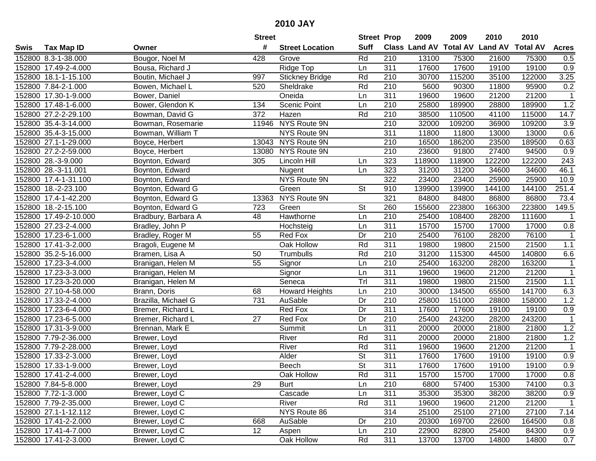|        |                       |                     | <b>Street</b> |                        | <b>Street Prop</b>       |                  | 2009                 | 2009            | 2010           | 2010            |                  |
|--------|-----------------------|---------------------|---------------|------------------------|--------------------------|------------------|----------------------|-----------------|----------------|-----------------|------------------|
| Swis   | <b>Tax Map ID</b>     | Owner               | #             | <b>Street Location</b> | <b>Suff</b>              |                  | <b>Class Land AV</b> | <b>Total AV</b> | <b>Land AV</b> | <b>Total AV</b> | <b>Acres</b>     |
|        | 152800 8.3-1-38.000   | Bougor, Noel M      | 428           | Grove                  | Rd                       | 210              | 13100                | 75300           | 21600          | 75300           | 0.5              |
|        | 152800 17.49-2-4.000  | Bousa, Richard J    |               | Ridge Top              | Ln                       | 311              | 17600                | 17600           | 19100          | 19100           | 0.9              |
|        | 152800 18.1-1-15.100  | Boutin, Michael J   | 997           | <b>Stickney Bridge</b> | Rd                       | 210              | 30700                | 115200          | 35100          | 122000          | 3.25             |
|        | 152800 7.84-2-1.000   | Bowen, Michael L    | 520           | Sheldrake              | Rd                       | 210              | 5600                 | 90300           | 11800          | 95900           | 0.2              |
|        | 152800 17.30-1-9.000  | Bower, Daniel       |               | Oneida                 | Ln                       | 311              | 19600                | 19600           | 21200          | 21200           | $\mathbf{1}$     |
|        | 152800 17.48-1-6.000  | Bower, Glendon K    | 134           | <b>Scenic Point</b>    | Ln                       | 210              | 25800                | 189900          | 28800          | 189900          | 1.2              |
|        | 152800 27.2-2-29.100  | Bowman, David G     | 372           | Hazen                  | Rd                       | 210              | 38500                | 110500          | 41100          | 115000          | 14.7             |
|        | 152800 35.4-3-14.000  | Bowman, Rosemarie   | 11946         | NYS Route 9N           |                          | $\overline{210}$ | 32000                | 109200          | 36900          | 109200          | 3.9              |
|        | 152800 35.4-3-15.000  | Bowman, William T   |               | NYS Route 9N           |                          | 311              | 11800                | 11800           | 13000          | 13000           | 0.6              |
|        | 152800 27.1-1-29.000  | Boyce, Herbert      |               | 13043 NYS Route 9N     |                          | 210              | 16500                | 186200          | 23500          | 189500          | 0.63             |
|        | 152800 27.2-2-59.000  | Boyce, Herbert      | 13080         | NYS Route 9N           |                          | 210              | 23600                | 91800           | 27400          | 94500           | 0.9              |
|        | 152800 28.-3-9.000    | Boynton, Edward     | 305           | Lincoln Hill           | Ln                       | 323              | 118900               | 118900          | 122200         | 122200          | 243              |
|        | 152800 28.-3-11.001   | Boynton, Edward     |               | Nugent                 | Ln                       | 323              | 31200                | 31200           | 34600          | 34600           | 46.1             |
|        | 152800 17.4-1-31.100  | Boynton, Edward     |               | NYS Route 9N           |                          | 322              | 23400                | 23400           | 25900          | 25900           | 10.9             |
|        | 152800 18.-2-23.100   | Boynton, Edward G   |               | Green                  | <b>St</b>                | 910              | 139900               | 139900          | 144100         | 144100          | 251.4            |
|        | 152800 17.4-1-42.200  | Boynton, Edward G   | 13363         | <b>NYS Route 9N</b>    |                          | 321              | 84800                | 84800           | 86800          | 86800           | 73.4             |
|        | 152800 18.-2-15.100   | Boynton, Edward G   | 723           | Green                  | St                       | 260              | 155600               | 223800          | 166300         | 223800          | 149.5            |
|        | 152800 17.49-2-10.000 | Bradbury, Barbara A | 48            | Hawthorne              | Ln                       | 210              | 25400                | 108400          | 28200          | 111600          | $\mathbf 1$      |
|        | 152800 27.23-2-4.000  | Bradley, John P     |               | Hochsteig              | Ln                       | 311              | 15700                | 15700           | 17000          | 17000           | 0.8              |
|        | 152800 17.23-6-1.000  | Bradley, Roger M    | 55            | Red Fox                | Dr                       | 210              | 25400                | 76100           | 28200          | 76100           | $\mathbf{1}$     |
|        | 152800 17.41-3-2.000  | Bragoli, Eugene M   |               | Oak Hollow             | Rd                       | 311              | 19800                | 19800           | 21500          | 21500           | $1.1$            |
|        | 152800 35.2-5-16.000  | Bramen, Lisa A      | 50            | Trumbulls              | Rd                       | 210              | 31200                | 115300          | 44500          | 140800          | 6.6              |
| 152800 | 17.23-3-4.000         | Branigan, Helen M   | 55            | Signor                 | Ln                       | 210              | 25400                | 163200          | 28200          | 163200          | $\mathbf{1}$     |
| 152800 | 17.23-3-3.000         | Branigan, Helen M   |               | Signor                 | Ln                       | 311              | 19600                | 19600           | 21200          | 21200           | $\mathbf{1}$     |
|        | 152800 17.23-3-20.000 | Branigan, Helen M   |               | Seneca                 | Trl                      | 311              | 19800                | 19800           | 21500          | 21500           | $1.1$            |
|        | 152800 27.10-4-58.000 | Brann, Doris        | 68            | <b>Howard Heights</b>  | Ln                       | 210              | 30000                | 134500          | 65500          | 141700          | 6.3              |
|        | 152800 17.33-2-4.000  | Brazilla, Michael G | 731           | AuSable                | Dr                       | 210              | 25800                | 151000          | 28800          | 158000          | 1.2              |
|        | 152800 17.23-6-4.000  | Bremer, Richard L   |               | Red Fox                | Dr                       | 311              | 17600                | 17600           | 19100          | 19100           | 0.9              |
|        | 152800 17.23-6-5.000  | Bremer, Richard L   | 27            | Red Fox                | Dr                       | 210              | 25400                | 243200          | 28200          | 243200          | $\overline{1}$   |
|        | 152800 17.31-3-9.000  | Brennan, Mark E     |               | Summit                 | Ln                       | $\overline{311}$ | 20000                | 20000           | 21800          | 21800           | 1.2              |
|        | 152800 7.79-2-36.000  | Brewer, Loyd        |               | River                  | Rd                       | 311              | 20000                | 20000           | 21800          | 21800           | 1.2              |
|        | 152800 7.79-2-28.000  | Brewer, Loyd        |               | River                  | Rd                       | 311              | 19600                | 19600           | 21200          | 21200           | $\overline{1}$   |
|        | 152800 17.33-2-3.000  | Brewer, Loyd        |               | Alder                  | $\overline{\mathsf{St}}$ | 311              | 17600                | 17600           | 19100          | 19100           | $\overline{0.9}$ |
|        | 152800 17.33-1-9.000  | Brewer, Loyd        |               | <b>Beech</b>           | $\overline{\mathsf{St}}$ | 311              | 17600                | 17600           | 19100          | 19100           | 0.9              |
|        | 152800 17.41-2-4.000  | Brewer, Loyd        |               | Oak Hollow             | Rd                       | 311              | 15700                | 15700           | 17000          | 17000           | 0.8              |
|        | 152800 7.84-5-8.000   | Brewer, Loyd        | 29            | <b>Burt</b>            | Ln                       | 210              | 6800                 | 57400           | 15300          | 74100           | 0.3              |
|        | 152800 7.72-1-3.000   | Brewer, Loyd C      |               | Cascade                | Ln                       | 311              | 35300                | 35300           | 38200          | 38200           | 0.9              |
|        | 152800 7.79-2-35.000  | Brewer, Loyd C      |               | River                  | Rd                       | 311              | 19600                | 19600           | 21200          | 21200           | $\mathbf{1}$     |
|        | 152800 27.1-1-12.112  | Brewer, Loyd C      |               | NYS Route 86           |                          | 314              | 25100                | 25100           | 27100          | 27100           | 7.14             |
|        | 152800 17.41-2-2.000  | Brewer, Loyd C      | 668           | AuSable                | Dr                       | 210              | 20300                | 169700          | 22600          | 164500          | 0.8              |
|        | 152800 17.41-4-7.000  | Brewer, Loyd C      | 12            | Aspen                  | Ln                       | 210              | 22900                | 82800           | 25400          | 84300           | 0.9              |
|        | 152800 17.41-2-3.000  | Brewer, Loyd C      |               | Oak Hollow             | Rd                       | 311              | 13700                | 13700           | 14800          | 14800           | 0.7              |
|        |                       |                     |               |                        |                          |                  |                      |                 |                |                 |                  |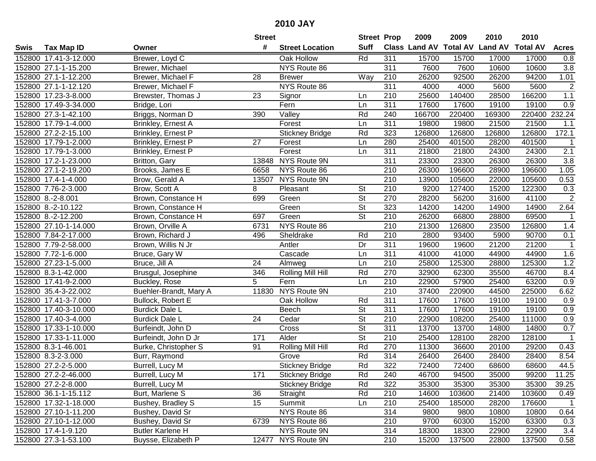|      |                       |                         | <b>Street</b> |                        | <b>Street Prop</b>       |                  | 2009   | 2009   | 2010                           | 2010            |                  |
|------|-----------------------|-------------------------|---------------|------------------------|--------------------------|------------------|--------|--------|--------------------------------|-----------------|------------------|
| Swis | <b>Tax Map ID</b>     | Owner                   | #             | <b>Street Location</b> | <b>Suff</b>              |                  |        |        | Class Land AV Total AV Land AV | <b>Total AV</b> | <b>Acres</b>     |
|      | 152800 17.41-3-12.000 | Brewer, Loyd C          |               | Oak Hollow             | Rd                       | 311              | 15700  | 15700  | 17000                          | 17000           | 0.8              |
|      | 152800 27.1-1-15.200  | Brewer, Michael         |               | NYS Route 86           |                          | 311              | 7600   | 7600   | 10600                          | 10600           | 3.8              |
|      | 152800 27.1-1-12.200  | Brewer, Michael F       | 28            | <b>Brewer</b>          | Way                      | 210              | 26200  | 92500  | 26200                          | 94200           | 1.01             |
|      | 152800 27.1-1-12.120  | Brewer, Michael F       |               | NYS Route 86           |                          | $\overline{311}$ | 4000   | 4000   | 5600                           | 5600            | $\overline{2}$   |
|      | 152800 17.23-3-8.000  | Brewster, Thomas J      | 23            | Signor                 | Ln                       | 210              | 25600  | 140400 | 28500                          | 166200          | 1.1              |
|      | 152800 17.49-3-34.000 | Bridge, Lori            |               | Fern                   | Ln                       | 311              | 17600  | 17600  | 19100                          | 19100           | $\overline{0.9}$ |
|      | 152800 27.3-1-42.100  | Briggs, Norman D        | 390           | Valley                 | Rd                       | 240              | 166700 | 220400 | 169300                         | 220400          | 232.24           |
|      | 152800 17.79-1-4.000  | Brinkley, Ernest A      |               | Forest                 | Ln                       | 311              | 19800  | 19800  | 21500                          | 21500           | 1.1              |
|      | 152800 27.2-2-15.100  | Brinkley, Ernest P      |               | <b>Stickney Bridge</b> | Rd                       | 323              | 126800 | 126800 | 126800                         | 126800          | 172.1            |
|      | 152800 17.79-1-2.000  | Brinkley, Ernest P      | 27            | Forest                 | Ln                       | 280              | 25400  | 401500 | 28200                          | 401500          | -1               |
|      | 152800 17.79-1-3.000  | Brinkley, Ernest P      |               | Forest                 | Ln                       | 311              | 21800  | 21800  | 24300                          | 24300           | 2.1              |
|      | 152800 17.2-1-23.000  | Britton, Gary           | 13848         | NYS Route 9N           |                          | 311              | 23300  | 23300  | 26300                          | 26300           | 3.8              |
|      | 152800 27.1-2-19.200  | Brooks, James E         | 6658          | NYS Route 86           |                          | 210              | 26300  | 196600 | 28900                          | 196600          | 1.05             |
|      | 152800 17.4-1-4.000   | Brow, Gerald A          | 13507         | NYS Route 9N           |                          | 210              | 13900  | 105600 | 22000                          | 105600          | 0.53             |
|      | 152800 7.76-2-3.000   | Brow, Scott A           | 8             | Pleasant               | <b>St</b>                | 210              | 9200   | 127400 | 15200                          | 122300          | 0.3              |
|      | 152800 8.-2-8.001     | Brown, Constance H      | 699           | Green                  | $\overline{\mathsf{St}}$ | 270              | 28200  | 56200  | 31600                          | 41100           | $\overline{2}$   |
|      | 152800 8.-2-10.122    | Brown, Constance H      |               | Green                  | $\overline{\mathsf{St}}$ | 323              | 14200  | 14200  | 14900                          | 14900           | 2.64             |
|      | 152800 8.-2-12.200    | Brown, Constance H      | 697           | Green                  | $\overline{\mathsf{St}}$ | 210              | 26200  | 66800  | 28800                          | 69500           | $\mathbf 1$      |
|      | 152800 27.10-1-14.000 | Brown, Orville A        | 6731          | NYS Route 86           |                          | 210              | 21300  | 126800 | 23500                          | 126800          | 1.4              |
|      | 152800 7.84-2-17.000  | Brown, Richard J        | 496           | Sheldrake              | Rd                       | 210              | 2800   | 93400  | 5900                           | 90700           | 0.1              |
|      | 152800 7.79-2-58.000  | Brown, Willis N Jr      |               | Antler                 | Dr                       | 311              | 19600  | 19600  | 21200                          | 21200           | $\mathbf{1}$     |
|      | 152800 7.72-1-6.000   | Bruce, Gary W           |               | Cascade                | Ln                       | 311              | 41000  | 41000  | 44900                          | 44900           | 1.6              |
|      | 152800 27.23-1-5.000  | Bruce, Jill A           | 24            | Almweg                 | Ln                       | 210              | 25800  | 125300 | 28800                          | 125300          | 1.2              |
|      | 152800 8.3-1-42.000   | Brusgul, Josephine      | 346           | Rolling Mill Hill      | Rd                       | 270              | 32900  | 62300  | 35500                          | 46700           | 8.4              |
|      | 152800 17.41-9-2.000  | Buckley, Rose           | 5             | Fern                   | Ln                       | 210              | 22900  | 57900  | 25400                          | 63200           | 0.9              |
|      | 152800 35.4-3-22.002  | Buehler-Brandt, Mary A  | 11830         | NYS Route 9N           |                          | 210              | 37400  | 220900 | 44500                          | 225000          | 6.62             |
|      | 152800 17.41-3-7.000  | Bullock, Robert E       |               | Oak Hollow             | Rd                       | 311              | 17600  | 17600  | 19100                          | 19100           | 0.9              |
|      | 152800 17.40-3-10.000 | <b>Burdick Dale L</b>   |               | <b>Beech</b>           | <b>St</b>                | 311              | 17600  | 17600  | 19100                          | 19100           | 0.9              |
|      | 152800 17.40-3-4.000  | <b>Burdick Dale L</b>   | 24            | Cedar                  | $\overline{\mathsf{St}}$ | $\overline{210}$ | 22900  | 108200 | 25400                          | 111000          | 0.9              |
|      | 152800 17.33-1-10.000 | Burfeindt, John D       |               | Cross                  | $\overline{\mathsf{St}}$ | $\overline{311}$ | 13700  | 13700  | 14800                          | 14800           | 0.7              |
|      | 152800 17.33-1-11.000 | Burfeindt, John D Jr    | 171           | Alder                  | $\overline{\mathsf{St}}$ | $\overline{210}$ | 25400  | 128100 | 28200                          | 128100          | $\overline{1}$   |
|      | 152800 8.3-1-46.001   | Burke, Christopher S    | 91            | Rolling Mill Hill      | Rd                       | 270              | 11300  | 36600  | 20100                          | 29200           | 0.43             |
|      | 152800 8.3-2-3.000    | Burr, Raymond           |               | Grove                  | Rd                       | $\overline{314}$ | 26400  | 26400  | 28400                          | 28400           | 8.54             |
|      | 152800 27.2-2-5.000   | Burrell, Lucy M         |               | <b>Stickney Bridge</b> | Rd                       | 322              | 72400  | 72400  | 68600                          | 68600           | 44.5             |
|      | 152800 27.2-2-46.000  | Burrell, Lucy M         | 171           | <b>Stickney Bridge</b> | Rd                       | 240              | 46700  | 94500  | 35000                          | 99200           | 11.25            |
|      | 152800 27.2-2-8.000   | Burrell, Lucy M         |               | <b>Stickney Bridge</b> | Rd                       | 322              | 35300  | 35300  | 35300                          | 35300           | 39.25            |
|      | 152800 36.1-1-15.112  | Burt, Marlene S         | 36            | Straight               | Rd                       | 210              | 14600  | 103600 | 21400                          | 103600          | 0.49             |
|      | 152800 17.32-1-18.000 | Bushey, Bradley S       | 15            | Summit                 | Ln                       | 210              | 25400  | 185000 | 28200                          | 176600          | $\overline{1}$   |
|      | 152800 27.10-1-11.200 | Bushey, David Sr        |               | NYS Route 86           |                          | 314              | 9800   | 9800   | 10800                          | 10800           | 0.64             |
|      | 152800 27.10-1-12.000 | Bushey, David Sr        | 6739          | NYS Route 86           |                          | 210              | 9700   | 60300  | 15200                          | 63300           | 0.3              |
|      | 152800 17.4-1-9.120   | <b>Butler Karlene H</b> |               | NYS Route 9N           |                          | 314              | 18300  | 18300  | 22900                          | 22900           | 3.4              |
|      | 152800 27.3-1-53.100  | Buysse, Elizabeth P     |               | 12477 NYS Route 9N     |                          | 210              | 15200  | 137500 | 22800                          | 137500          | 0.58             |
|      |                       |                         |               |                        |                          |                  |        |        |                                |                 |                  |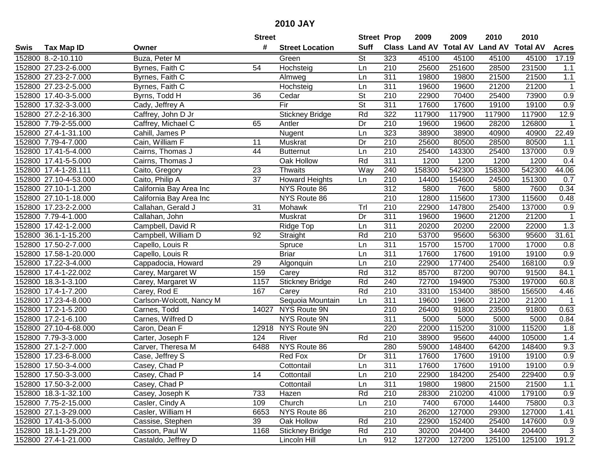|      |                       |                          | <b>Street</b> |                        | <b>Street Prop</b>       |                  | 2009          | 2009            | 2010           | 2010            |                  |
|------|-----------------------|--------------------------|---------------|------------------------|--------------------------|------------------|---------------|-----------------|----------------|-----------------|------------------|
| Swis | <b>Tax Map ID</b>     | Owner                    | #             | <b>Street Location</b> | <b>Suff</b>              |                  | Class Land AV | <b>Total AV</b> | <b>Land AV</b> | <b>Total AV</b> | <b>Acres</b>     |
|      | 152800 8.-2-10.110    | Buza, Peter M            |               | Green                  | <b>St</b>                | 323              | 45100         | 45100           | 45100          | 45100           | 17.19            |
|      | 152800 27.23-2-6.000  | Byrnes, Faith C          | 54            | Hochsteig              | Ln                       | 210              | 25600         | 251600          | 28500          | 231500          | 1.1              |
|      | 152800 27.23-2-7.000  | Byrnes, Faith C          |               | Almweg                 | Ln                       | 311              | 19800         | 19800           | 21500          | 21500           | 1.1              |
|      | 152800 27.23-2-5.000  | Byrnes, Faith C          |               | Hochsteig              | Ln                       | 311              | 19600         | 19600           | 21200          | 21200           | $\overline{1}$   |
|      | 152800 17.40-3-5.000  | Byrns, Todd H            | 36            | Cedar                  | $\overline{\mathsf{St}}$ | 210              | 22900         | 70400           | 25400          | 73900           | 0.9              |
|      | 152800 17.32-3-3.000  | Cady, Jeffrey A          |               | Fir                    | $\overline{\mathsf{St}}$ | 311              | 17600         | 17600           | 19100          | 19100           | $\overline{0.9}$ |
|      | 152800 27.2-2-16.300  | Caffrey, John D Jr       |               | <b>Stickney Bridge</b> | Rd                       | 322              | 117900        | 117900          | 117900         | 117900          | 12.9             |
|      | 152800 7.79-2-55.000  | Caffrey, Michael C       | 65            | Antler                 | Dr                       | 210              | 19600         | 19600           | 28200          | 126800          | $\overline{1}$   |
|      | 152800 27.4-1-31.100  | Cahill, James P          |               | Nugent                 | Ln                       | 323              | 38900         | 38900           | 40900          | 40900           | 22.49            |
|      | 152800 7.79-4-7.000   | Cain, William F          | 11            | Muskrat                | Dr                       | 210              | 25600         | 80500           | 28500          | 80500           | 1.1              |
|      | 152800 17.41-5-4.000  | Cairns, Thomas J         | 44            | <b>Butternut</b>       | Ln                       | 210              | 25400         | 143300          | 25400          | 137000          | 0.9              |
|      | 152800 17.41-5-5.000  | Cairns, Thomas J         |               | Oak Hollow             | Rd                       | 311              | 1200          | 1200            | 1200           | 1200            | 0.4              |
|      | 152800 17.4-1-28.111  | Caito, Gregory           | 23            | Thwaits                | Way                      | 240              | 158300        | 542300          | 158300         | 542300          | 44.06            |
|      | 152800 27.10-4-53.000 | Caito, Philip A          | 37            | <b>Howard Heights</b>  | Ln                       | 210              | 14400         | 154600          | 24500          | 151300          | 0.7              |
|      | 152800 27.10-1-1.200  | California Bay Area Inc  |               | NYS Route 86           |                          | 312              | 5800          | 7600            | 5800           | 7600            | 0.34             |
|      | 152800 27.10-1-18.000 | California Bay Area Inc  |               | NYS Route 86           |                          | 210              | 12800         | 115600          | 17300          | 115600          | 0.48             |
|      | 152800 17.23-2-2.000  | Callahan, Gerald J       | 31            | Mohawk                 | Trl                      | 210              | 22900         | 147800          | 25400          | 137000          | 0.9              |
|      | 152800 7.79-4-1.000   | Callahan, John           |               | Muskrat                | Dr                       | 311              | 19600         | 19600           | 21200          | 21200           | $\mathbf{1}$     |
|      | 152800 17.42-1-2.000  | Campbell, David R        |               | Ridge Top              | Ln                       | 311              | 20200         | 20200           | 22000          | 22000           | 1.3              |
|      | 152800 36.1-1-15.200  | Campbell, William D      | 92            | Straight               | Rd                       | 210              | 53700         | 95600           | 56300          | 95600           | 31.61            |
|      | 152800 17.50-2-7.000  | Capello, Louis R         |               | Spruce                 | Ln                       | 311              | 15700         | 15700           | 17000          | 17000           | 0.8              |
|      | 152800 17.58-1-20.000 | Capello, Louis R         |               | <b>Briar</b>           | Ln                       | 311              | 17600         | 17600           | 19100          | 19100           | 0.9              |
|      | 152800 17.22-3-4.000  | Cappadocia, Howard       | 29            | Algonquin              | Ln                       | 210              | 22900         | 177400          | 25400          | 168100          | 0.9              |
|      | 152800 17.4-1-22.002  | Carey, Margaret W        | 159           | Carey                  | Rd                       | 312              | 85700         | 87200           | 90700          | 91500           | 84.1             |
|      | 152800 18.3-1-3.100   | Carey, Margaret W        | 1157          | Stickney Bridge        | Rd                       | 240              | 72700         | 194900          | 75300          | 197000          | 60.8             |
|      | 152800 17.4-1-7.200   | Carey, Rod E             | 167           | Carey                  | Rd                       | 210              | 33100         | 153400          | 38500          | 156500          | 4.46             |
|      | 152800 17.23-4-8.000  | Carlson-Wolcott, Nancy M |               | Sequoia Mountain       | Ln                       | 311              | 19600         | 19600           | 21200          | 21200           | $\mathbf{1}$     |
|      | 152800 17.2-1-5.200   | Carnes, Todd             | 14027         | NYS Route 9N           |                          | 210              | 26400         | 91800           | 23500          | 91800           | 0.63             |
|      | 152800 17.2-1-6.100   | Carnes, Wilfred D        |               | NYS Route 9N           |                          | $\overline{311}$ | 5000          | 5000            | 5000           | 5000            | 0.84             |
|      | 152800 27.10-4-68.000 | Caron, Dean F            | 12918         | NYS Route 9N           |                          | 220              | 22000         | 115200          | 31000          | 115200          | 1.8              |
|      | 152800 7.79-3-3.000   | Carter, Joseph F         | 124           | River                  | Rd                       | $\overline{210}$ | 38900         | 95600           | 44000          | 105000          | 1.4              |
|      | 152800 27.1-2-7.000   | Carver, Theresa M        | 6488          | NYS Route 86           |                          | 280              | 59000         | 148400          | 64200          | 148400          | 9.3              |
|      | 152800 17.23-6-8.000  | Case, Jeffrey S          |               | <b>Red Fox</b>         | Dr                       | 311              | 17600         | 17600           | 19100          | 19100           | $\overline{0.9}$ |
|      | 152800 17.50-3-4.000  | Casey, Chad P            |               | Cottontail             | Ln                       | 311              | 17600         | 17600           | 19100          | 19100           | $\overline{0.9}$ |
|      | 152800 17.50-3-3.000  | Casey, Chad P            | 14            | Cottontail             | Ln                       | 210              | 22900         | 184200          | 25400          | 229400          | 0.9              |
|      | 152800 17.50-3-2.000  | Casey, Chad P            |               | Cottontail             | Ln                       | 311              | 19800         | 19800           | 21500          | 21500           | 1.1              |
|      | 152800 18.3-1-32.100  | Casey, Joseph K          | 733           | Hazen                  | Rd                       | 210              | 28300         | 210200          | 41000          | 179100          | 0.9              |
|      | 152800 7.75-2-15.000  | Casler, Cindy A          | 109           | Church                 | Ln                       | 210              | 7400          | 67000           | 14400          | 75800           | 0.3              |
|      | 152800 27.1-3-29.000  | Casler, William H        | 6653          | NYS Route 86           |                          | 210              | 26200         | 127000          | 29300          | 127000          | 1.41             |
|      | 152800 17.41-3-5.000  | Cassise, Stephen         | 39            | Oak Hollow             | Rd                       | 210              | 22900         | 152400          | 25400          | 147600          | 0.9              |
|      | 152800 18.1-1-29.200  | Casson, Paul W           | 1168          | <b>Stickney Bridge</b> | Rd                       | 210              | 30200         | 204400          | 34400          | 204400          | 3                |
|      | 152800 27.4-1-21.000  | Castaldo, Jeffrey D      |               | Lincoln Hill           | Ln                       | 912              | 127200        | 127200          | 125100         | 125100          | 191.2            |
|      |                       |                          |               |                        |                          |                  |               |                 |                |                 |                  |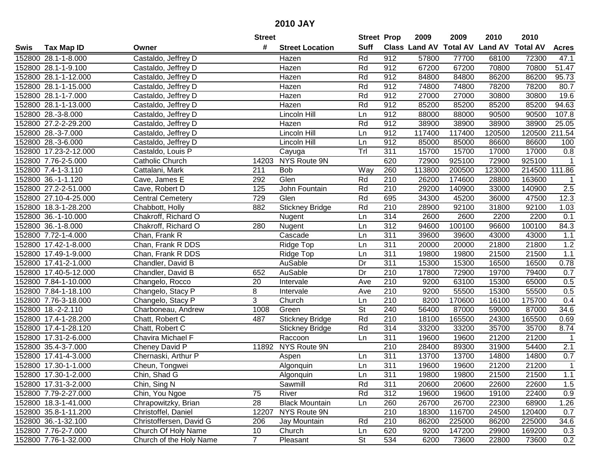|      |                       |                         | <b>Street</b>  |                        | <b>Street Prop</b> |                  | 2009   | 2009   | 2010                                    | 2010          |                  |
|------|-----------------------|-------------------------|----------------|------------------------|--------------------|------------------|--------|--------|-----------------------------------------|---------------|------------------|
| Swis | <b>Tax Map ID</b>     | Owner                   | #              | <b>Street Location</b> | <b>Suff</b>        |                  |        |        | Class Land AV Total AV Land AV Total AV |               | <b>Acres</b>     |
|      | 152800 28.1-1-8.000   | Castaldo, Jeffrey D     |                | Hazen                  | Rd                 | 912              | 57800  | 77700  | 68100                                   | 72300         | 47.1             |
|      | 152800 28.1-1-9.100   | Castaldo, Jeffrey D     |                | Hazen                  | Rd                 | 912              | 67200  | 67200  | 70800                                   | 70800         | 51.47            |
|      | 152800 28.1-1-12.000  | Castaldo, Jeffrey D     |                | Hazen                  | Rd                 | 912              | 84800  | 84800  | 86200                                   | 86200         | 95.73            |
|      | 152800 28.1-1-15.000  | Castaldo, Jeffrey D     |                | Hazen                  | Rd                 | 912              | 74800  | 74800  | 78200                                   | 78200         | 80.7             |
|      | 152800 28.1-1-7.000   | Castaldo, Jeffrey D     |                | <b>Hazen</b>           | Rd                 | 912              | 27000  | 27000  | 30800                                   | 30800         | 19.6             |
|      | 152800 28.1-1-13.000  | Castaldo, Jeffrey D     |                | Hazen                  | Rd                 | 912              | 85200  | 85200  | 85200                                   | 85200         | 94.63            |
|      | 152800 28.-3-8.000    | Castaldo, Jeffrey D     |                | Lincoln Hill           | Ln                 | 912              | 88000  | 88000  | 90500                                   | 90500         | 107.8            |
|      | 152800 27.2-2-29.200  | Castaldo, Jeffrey D     |                | Hazen                  | Rd                 | 912              | 38900  | 38900  | 38900                                   | 38900         | 25.05            |
|      | 152800 28.-3-7.000    | Castaldo, Jeffrey D     |                | Lincoln Hill           | Ln                 | 912              | 117400 | 117400 | 120500                                  | 120500        | 211.54           |
|      | 152800 28.-3-6.000    | Castaldo, Jeffrey D     |                | Lincoln Hill           | Ln                 | 912              | 85000  | 85000  | 86600                                   | 86600         | 100              |
|      | 152800 17.23-2-12.000 | Castaldo, Louis P       |                | Cayuga                 | Tr                 | 311              | 15700  | 15700  | 17000                                   | 17000         | 0.8              |
|      | 152800 7.76-2-5.000   | Catholic Church         | 14203          | NYS Route 9N           |                    | 620              | 72900  | 925100 | 72900                                   | 925100        | 1                |
|      | 152800 7.4-1-3.110    | Cattalani, Mark         | 211            | <b>Bob</b>             | Way                | 260              | 113800 | 200500 | 123000                                  | 214500 111.86 |                  |
|      | 152800 36.-1-1.120    | Cave, James E           | 292            | Glen                   | Rd                 | 210              | 26200  | 174600 | 28800                                   | 163600        | $\mathbf{1}$     |
|      | 152800 27.2-2-51.000  | Cave, Robert D          | 125            | John Fountain          | Rd                 | 210              | 29200  | 140900 | 33000                                   | 140900        | 2.5              |
|      | 152800 27.10-4-25.000 | <b>Central Cemetery</b> | 729            | Glen                   | Rd                 | 695              | 34300  | 45200  | 36000                                   | 47500         | 12.3             |
|      | 152800 18.3-1-28.200  | Chabbott, Holly         | 882            | <b>Stickney Bridge</b> | Rd                 | 210              | 28900  | 92100  | 31800                                   | 92100         | 1.03             |
|      | 152800 36.-1-10.000   | Chakroff, Richard O     |                | Nugent                 | Ln                 | 314              | 2600   | 2600   | 2200                                    | 2200          | 0.1              |
|      | 152800 36.-1-8.000    | Chakroff, Richard O     | 280            | Nugent                 | Ln                 | 312              | 94600  | 100100 | 96600                                   | 100100        | 84.3             |
|      | 152800 7.72-1-4.000   | Chan, Frank R           |                | Cascade                | Ln                 | 311              | 39600  | 39600  | 43000                                   | 43000         | 1.1              |
|      | 152800 17.42-1-8.000  | Chan, Frank R DDS       |                | Ridge Top              | Ln                 | 311              | 20000  | 20000  | 21800                                   | 21800         | 1.2              |
|      | 152800 17.49-1-9.000  | Chan, Frank R DDS       |                | Ridge Top              | Ln                 | $\overline{311}$ | 19800  | 19800  | 21500                                   | 21500         | 1.1              |
|      | 152800 17.41-2-1.000  | Chandler, David B       |                | AuSable                | Dr                 | 311              | 15300  | 15300  | 16500                                   | 16500         | 0.78             |
|      | 152800 17.40-5-12.000 | Chandler, David B       | 652            | AuSable                | Dr                 | 210              | 17800  | 72900  | 19700                                   | 79400         | 0.7              |
|      | 152800 7.84-1-10.000  | Changelo, Rocco         | 20             | Intervale              | Ave                | 210              | 9200   | 63100  | 15300                                   | 65000         | 0.5              |
|      | 152800 7.84-1-18.100  | Changelo, Stacy P       | 8              | Intervale              | Ave                | 210              | 9200   | 55500  | 15300                                   | 55500         | 0.5              |
|      | 152800 7.76-3-18.000  | Changelo, Stacy P       | 3              | Church                 | Ln                 | 210              | 8200   | 170600 | 16100                                   | 175700        | 0.4              |
|      | 152800 18.-2-2.110    | Charboneau, Andrew      | 1008           | Green                  | St                 | 240              | 56400  | 87000  | 59000                                   | 87000         | 34.6             |
|      | 152800 17.4-1-28.200  | Chatt, Robert C         | 487            | <b>Stickney Bridge</b> | Rd                 | 210              | 18100  | 165500 | 24300                                   | 165500        | 0.69             |
|      | 152800 17.4-1-28.120  | Chatt, Robert C         |                | <b>Stickney Bridge</b> | Rd                 | 314              | 33200  | 33200  | 35700                                   | 35700         | 8.74             |
|      | 152800 17.31-2-6.000  | Chavira Michael F       |                | Raccoon                | Ln                 | 311              | 19600  | 19600  | 21200                                   | 21200         | $\mathbf{1}$     |
|      | 152800 35.4-3-7.000   | Cheney David P          |                | 11892 NYS Route 9N     |                    | $\overline{210}$ | 28400  | 89300  | 31900                                   | 54400         | $\overline{2.1}$ |
|      | 152800 17.41-4-3.000  | Chernaski, Arthur P     |                | Aspen                  | Ln                 | 311              | 13700  | 13700  | 14800                                   | 14800         | 0.7              |
|      | 152800 17.30-1-1.000  | Cheun, Tongwei          |                | Algonquin              | Ln                 | 311              | 19600  | 19600  | 21200                                   | 21200         | $\overline{1}$   |
|      | 152800 17.30-1-2.000  | Chin, Shad G            |                | Algonquin              | Ln                 | 311              | 19800  | 19800  | 21500                                   | 21500         | 1.1              |
|      | 152800 17.31-3-2.000  | Chin, Sing N            |                | Sawmill                | Rd                 | 311              | 20600  | 20600  | 22600                                   | 22600         | 1.5              |
|      | 152800 7.79-2-27.000  | Chin, You Ngoe          | 75             | River                  | Rd                 | 312              | 19600  | 19600  | 19100                                   | 22400         | 0.9              |
|      | 152800 18.3-1-41.000  | Chrapowitzky, Brian     | 28             | <b>Black Mountain</b>  | Ln                 | 260              | 26700  | 26700  | 22300                                   | 68900         | 1.26             |
|      | 152800 35.8-1-11.200  | Christoffel, Daniel     | 12207          | NYS Route 9N           |                    | 210              | 18300  | 116700 | 24500                                   | 120400        | 0.7              |
|      | 152800 36.-1-32.100   | Christoffersen, David G | 206            | Jay Mountain           | Rd                 | 210              | 86200  | 225000 | 86200                                   | 225000        | 34.6             |
|      | 152800 7.76-2-7.000   | Church Of Holy Name     | 10             | Church                 | Ln                 | 620              | 9200   | 147200 | 29900                                   | 169200        | 0.3              |
|      | 152800 7.76-1-32.000  | Church of the Holy Name | 7 <sup>1</sup> | Pleasant               | <b>St</b>          | 534              | 6200   | 73600  | 22800                                   | 73600         | 0.2              |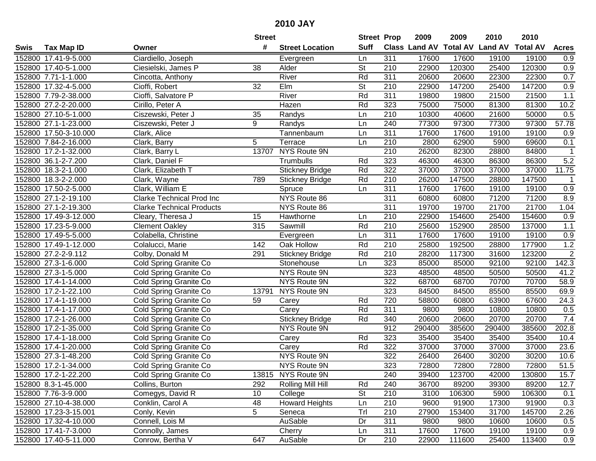|      |                       |                                  | <b>Street</b>  |                        | <b>Street Prop</b> |                  | 2009                 | 2009            | 2010           | 2010            |              |
|------|-----------------------|----------------------------------|----------------|------------------------|--------------------|------------------|----------------------|-----------------|----------------|-----------------|--------------|
| Swis | Tax Map ID            | Owner                            | #              | <b>Street Location</b> | <b>Suff</b>        |                  | <b>Class Land AV</b> | <b>Total AV</b> | <b>Land AV</b> | <b>Total AV</b> | <b>Acres</b> |
|      | 152800 17.41-9-5.000  | Ciardiello, Joseph               |                | Evergreen              | Ln                 | 311              | 17600                | 17600           | 19100          | 19100           | 0.9          |
|      | 152800 17.40-5-1.000  | Ciesielski, James P              | 38             | Alder                  | St                 | 210              | 22900                | 120300          | 25400          | 120300          | 0.9          |
|      | 152800 7.71-1-1.000   | Cincotta, Anthony                |                | River                  | Rd                 | 311              | 20600                | 20600           | 22300          | 22300           | 0.7          |
|      | 152800 17.32-4-5.000  | Cioffi, Robert                   | 32             | Elm                    | <b>St</b>          | 210              | 22900                | 147200          | 25400          | 147200          | 0.9          |
|      | 152800 7.79-2-38.000  | Cioffi, Salvatore P              |                | River                  | Rd                 | 311              | 19800                | 19800           | 21500          | 21500           | 1.1          |
|      | 152800 27.2-2-20.000  | Cirillo, Peter A                 |                | Hazen                  | Rd                 | 323              | 75000                | 75000           | 81300          | 81300           | 10.2         |
|      | 152800 27.10-5-1.000  | Ciszewski, Peter J               | 35             | Randys                 | Ln                 | 210              | 10300                | 40600           | 21600          | 50000           | 0.5          |
|      | 152800 27.1-1-23.000  | Ciszewski, Peter J               | $\overline{9}$ | Randys                 | Ln                 | $\overline{240}$ | 77300                | 97300           | 77300          | 97300           | 57.78        |
|      | 152800 17.50-3-10.000 | Clark, Alice                     |                | Tannenbaum             | Ln                 | 311              | 17600                | 17600           | 19100          | 19100           | 0.9          |
|      | 152800 7.84-2-16.000  | Clark, Barry                     | 5              | Terrace                | Ln                 | 210              | 2800                 | 62900           | 5900           | 69600           | 0.1          |
|      | 152800 17.2-1-32.000  | Clark, Barry L                   | 13707          | NYS Route 9N           |                    | 210              | 26200                | 82300           | 28800          | 84800           |              |
|      | 152800 36.1-2-7.200   | Clark, Daniel F                  |                | Trumbulls              | Rd                 | 323              | 46300                | 46300           | 86300          | 86300           | 5.2          |
|      | 152800 18.3-2-1.000   | Clark, Elizabeth T               |                | <b>Stickney Bridge</b> | Rd                 | 322              | 37000                | 37000           | 37000          | 37000           | 11.75        |
|      | 152800 18.3-2-2.000   | Clark, Wayne                     | 789            | <b>Stickney Bridge</b> | Rd                 | 210              | 26200                | 147500          | 28800          | 147500          | $\mathbf 1$  |
|      | 152800 17.50-2-5.000  | Clark, William E                 |                | Spruce                 | Ln                 | 311              | 17600                | 17600           | 19100          | 19100           | 0.9          |
|      | 152800 27.1-2-19.100  | Clarke Technical Prod Inc        |                | NYS Route 86           |                    | 311              | 60800                | 60800           | 71200          | 71200           | 8.9          |
|      | 152800 27.1-2-19.300  | <b>Clarke Technical Products</b> |                | NYS Route 86           |                    | 311              | 19700                | 19700           | 21700          | 21700           | 1.04         |
|      | 152800 17.49-3-12.000 | Cleary, Theresa J                | 15             | Hawthorne              | Ln                 | 210              | 22900                | 154600          | 25400          | 154600          | 0.9          |
|      | 152800 17.23-5-9.000  | <b>Clement Oakley</b>            | 315            | Sawmill                | Rd                 | 210              | 25600                | 152900          | 28500          | 137000          | 1.1          |
|      | 152800 17.49-5-5.000  | Colabella, Christine             |                | Evergreen              | Ln                 | 311              | 17600                | 17600           | 19100          | 19100           | 0.9          |
|      | 152800 17.49-1-12.000 | Colalucci, Marie                 | 142            | Oak Hollow             | Rd                 | 210              | 25800                | 192500          | 28800          | 177900          | 1.2          |
|      | 152800 27.2-2-9.112   | Colby, Donald M                  | 291            | <b>Stickney Bridge</b> | Rd                 | 210              | 28200                | 117300          | 31600          | 123200          | $\sqrt{2}$   |
|      | 152800 27.3-1-6.000   | Cold Spring Granite Co           |                | Stonehouse             | Ln                 | 323              | 85000                | 85000           | 92100          | 92100           | 142.3        |
|      | 152800 27.3-1-5.000   | Cold Spring Granite Co           |                | NYS Route 9N           |                    | 323              | 48500                | 48500           | 50500          | 50500           | 41.2         |
|      | 152800 17.4-1-14.000  | Cold Spring Granite Co           |                | NYS Route 9N           |                    | $\overline{322}$ | 68700                | 68700           | 70700          | 70700           | 58.9         |
|      | 152800 17.2-1-22.100  | Cold Spring Granite Co           | 13791          | NYS Route 9N           |                    | 323              | 84500                | 84500           | 85500          | 85500           | 69.9         |
|      | 152800 17.4-1-19.000  | Cold Spring Granite Co           | 59             | Carey                  | Rd                 | 720              | 58800                | 60800           | 63900          | 67600           | 24.3         |
|      | 152800 17.4-1-17.000  | Cold Spring Granite Co           |                | Carey                  | Rd                 | 311              | 9800                 | 9800            | 10800          | 10800           | 0.5          |
|      | 152800 17.2-1-26.000  | Cold Spring Granite Co           |                | <b>Stickney Bridge</b> | Rd                 | 340              | 20600                | 20600           | 20700          | 20700           | 7.4          |
|      | 152800 17.2-1-35.000  | Cold Spring Granite Co           |                | <b>NYS Route 9N</b>    |                    | 912              | 290400               | 385600          | 290400         | 385600          | 202.8        |
|      | 152800 17.4-1-18.000  | Cold Spring Granite Co           |                | Carey                  | Rd                 | $\overline{323}$ | 35400                | 35400           | 35400          | 35400           | 10.4         |
|      | 152800 17.4-1-20.000  | Cold Spring Granite Co           |                | Carey                  | Rd                 | 322              | 37000                | 37000           | 37000          | 37000           | 23.6         |
|      | 152800 27.3-1-48.200  | Cold Spring Granite Co           |                | NYS Route 9N           |                    | 322              | 26400                | 26400           | 30200          | 30200           | 10.6         |
|      | 152800 17.2-1-34.000  | Cold Spring Granite Co           |                | NYS Route 9N           |                    | 323              | 72800                | 72800           | 72800          | 72800           | 51.5         |
|      | 152800 17.2-1-22.200  | Cold Spring Granite Co           |                | 13815 NYS Route 9N     |                    | 240              | 39400                | 123700          | 42000          | 130800          | 15.7         |
|      | 152800 8.3-1-45.000   | Collins, Burton                  | 292            | Rolling Mill Hill      | Rd                 | 240              | 36700                | 89200           | 39300          | 89200           | 12.7         |
|      | 152800 7.76-3-9.000   | Comegys, David R                 | 10             | College                | <b>St</b>          | 210              | 3100                 | 106300          | 5900           | 106300          | 0.1          |
|      | 152800 27.10-4-38.000 | Conklin, Carol A                 | 48             | <b>Howard Heights</b>  | Ln                 | 210              | 9600                 | 91900           | 17300          | 91900           | 0.3          |
|      | 152800 17.23-3-15.001 | Conly, Kevin                     | 5              | Seneca                 | Trl                | 210              | 27900                | 153400          | 31700          | 145700          | 2.26         |
|      | 152800 17.32-4-10.000 | Connell, Lois M                  |                | AuSable                | Dr                 | 311              | 9800                 | 9800            | 10600          | 10600           | 0.5          |
|      | 152800 17.41-7-3.000  | Connolly, James                  |                | Cherry                 | Ln                 | 311              | 17600                | 17600           | 19100          | 19100           | 0.9          |
|      | 152800 17.40-5-11.000 | Conrow, Bertha V                 | 647            | AuSable                | Dr                 | 210              | 22900                | 111600          | 25400          | 113400          | 0.9          |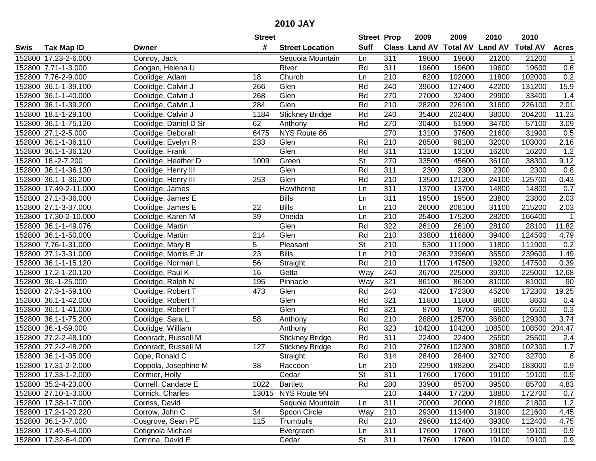|      |                       |                       | <b>Street</b>   |                        | <b>Street Prop</b>       |                  | 2009                          | 2009   | 2010           | 2010            |                |
|------|-----------------------|-----------------------|-----------------|------------------------|--------------------------|------------------|-------------------------------|--------|----------------|-----------------|----------------|
| Swis | <b>Tax Map ID</b>     | Owner                 | #               | <b>Street Location</b> | <b>Suff</b>              |                  | <b>Class Land AV Total AV</b> |        | <b>Land AV</b> | <b>Total AV</b> | <b>Acres</b>   |
|      | 152800 17.23-2-6.000  | Conroy, Jack          |                 | Sequoia Mountain       | Ln                       | 311              | 19600                         | 19600  | 21200          | 21200           |                |
|      | 152800 7.71-1-3.000   | Coogan, Helena U      |                 | River                  | Rd                       | 311              | 19600                         | 19600  | 19600          | 19600           | 0.6            |
|      | 152800 7.76-2-9.000   | Coolidge, Adam        | 18              | Church                 | Ln                       | 210              | 6200                          | 102000 | 11800          | 102000          | 0.2            |
|      | 152800 36.1-1-39.100  | Coolidge, Calvin J    | 266             | Glen                   | Rd                       | 240              | 39600                         | 127400 | 42200          | 131200          | 15.9           |
|      | 152800 36.1-1-40.000  | Coolidge, Calvin J    | 268             | Glen                   | Rd                       | 270              | 27000                         | 32400  | 29900          | 33400           | 1.4            |
|      | 152800 36.1-1-39.200  | Coolidge, Calvin J    | 284             | Glen                   | Rd                       | 210              | 28200                         | 226100 | 31600          | 226100          | 2.01           |
|      | 152800 18.1-1-29.100  | Coolidge, Calvin J    | 1184            | <b>Stickney Bridge</b> | Rd                       | 240              | 35400                         | 202400 | 38000          | 204200          | 11.23          |
|      | 152800 36.1-1-75.120  | Coolidge, Daniel D Sr | 62              | Anthony                | Rd                       | 270              | 30400                         | 51900  | 34700          | 57100           | 3.09           |
|      | 152800 27.1-2-5.000   | Coolidge, Deborah     | 6475            | NYS Route 86           |                          | 270              | 13100                         | 37600  | 21600          | 31900           | 0.5            |
|      | 152800 36.1-1-36.110  | Coolidge, Evelyn R    | 233             | Glen                   | Rd                       | 210              | 28500                         | 98100  | 32000          | 103000          | 2.16           |
|      | 152800 36.1-1-36.120  | Coolidge, Frank       |                 | Glen                   | Rd                       | 311              | 13100                         | 13100  | 16200          | 16200           | 1.2            |
|      | 152800 18.-2-7.200    | Coolidge, Heather D   | 1009            | Green                  | <b>St</b>                | 270              | 33500                         | 45600  | 36100          | 38300           | 9.12           |
|      | 152800 36.1-1-36.130  | Coolidge, Henry III   |                 | Glen                   | Rd                       | 311              | 2300                          | 2300   | 2300           | 2300            | 0.8            |
|      | 152800 36.1-1-36.200  | Coolidge, Henry III   | 253             | Glen                   | Rd                       | 210              | 13500                         | 121200 | 24100          | 125700          | 0.43           |
|      | 152800 17.49-2-11.000 | Coolidge, James       |                 | Hawthorne              | Ln                       | 311              | 13700                         | 13700  | 14800          | 14800           | 0.7            |
|      | 152800 27.1-3-36.000  | Coolidge, James E     |                 | <b>Bills</b>           | Ln                       | 311              | 19500                         | 19500  | 23800          | 23800           | 2.03           |
|      | 152800 27.1-3-37.000  | Coolidge, James E     | 22              | <b>Bills</b>           | Ln                       | 210              | 26000                         | 208100 | 31100          | 215200          | 2.03           |
|      | 152800 17.30-2-10.000 | Coolidge, Karen M     | 39              | Oneida                 | Ln                       | 210              | 25400                         | 175200 | 28200          | 166400          | $\mathbf 1$    |
|      | 152800 36.1-1-49.076  | Coolidge, Martin      |                 | Glen                   | Rd                       | 322              | 26100                         | 26100  | 28100          | 28100           | 11.82          |
|      | 152800 36.1-1-50.000  | Coolidge, Martin      | 214             | Glen                   | Rd                       | 210              | 33800                         | 116800 | 39400          | 124500          | 4.79           |
|      | 152800 7.76-1-31.000  | Coolidge, Mary B      | 5               | Pleasant               | <b>St</b>                | 210              | 5300                          | 111900 | 11800          | 111900          | 0.2            |
|      | 152800 27.1-3-31.000  | Coolidge, Morris E Jr | 23              | <b>Bills</b>           | Ln                       | 210              | 26300                         | 239600 | 35500          | 239600          | 1.49           |
|      | 152800 36.1-1-15.120  | Coolidge, Norman L    | 56              | Straight               | Rd                       | 210              | 11700                         | 147500 | 19200          | 147500          | 0.39           |
|      | 152800 17.2-1-20.120  | Coolidge, Paul K      | 16              | Getta                  | Way                      | 240              | 36700                         | 225000 | 39300          | 225000          | 12.68          |
|      | 152800 36.-1-25.000   | Coolidge, Ralph N     | 195             | Pinnacle               | Way                      | 321              | 86100                         | 86100  | 81000          | 81000           | 90             |
|      | 152800 27.3-1-59.100  | Coolidge, Robert T    | 473             | Glen                   | Rd                       | 240              | 42000                         | 172300 | 45200          | 172300          | 19.25          |
|      | 152800 36.1-1-42.000  | Coolidge, Robert T    |                 | Glen                   | Rd                       | 321              | 11800                         | 11800  | 8600           | 8600            | 0.4            |
|      | 152800 36.1-1-41.000  | Coolidge, Robert T    |                 | Glen                   | Rd                       | 321              | 8700                          | 8700   | 6500           | 6500            | 0.3            |
|      | 152800 36.1-1-75.200  | Coolidge, Sara L      | 58              | Anthony                | Rd                       | $\overline{210}$ | 28800                         | 125700 | 36800          | 129300          | 3.74           |
|      | 152800 36.-1-59.000   | Coolidge, William     |                 | Anthony                | Rd                       | 323              | 104200                        | 104200 | 108500         | 108500          | 204.47         |
|      | 152800 27.2-2-48.100  | Coonradt, Russell M   |                 | <b>Stickney Bridge</b> | Rd                       | 311              | 22400                         | 22400  | 25500          | 25500           | 2.4            |
|      | 152800 27.2-2-48.200  | Coonradt, Russell M   | 127             | <b>Stickney Bridge</b> | Rd                       | 210              | 27600                         | 102300 | 30800          | 102300          | 1.7            |
|      | 152800 36.1-1-35.000  | Cope, Ronald C        |                 | Straight               | Rd                       | $\overline{314}$ | 28400                         | 28400  | 32700          | 32700           | $\overline{8}$ |
|      | 152800 17.31-2-2.000  | Coppola, Josephine M  | $\overline{38}$ | Raccoon                | Ln                       | $\overline{210}$ | 22900                         | 188200 | 25400          | 183000          | 0.9            |
|      | 152800 17.33-1-2.000  | Cormier, Holly        |                 | Cedar                  | St                       | 311              | 17600                         | 17600  | 19100          | 19100           | 0.9            |
|      | 152800 35.2-4-23.000  | Cornell, Candace E    | 1022            | <b>Bartlett</b>        | Rd                       | 280              | 33900                         | 85700  | 39500          | 85700           | 4.83           |
|      | 152800 27.10-1-3.000  | Cornick, Charles      |                 | 13015 NYS Route 9N     |                          | 210              | 14400                         | 177200 | 18800          | 172700          | 0.7            |
|      | 152800 17.38-1-7.000  | Corriss, David        |                 | Sequoia Mountain       | Ln                       | 311              | 20000                         | 20000  | 21800          | 21800           | 1.2            |
|      | 152800 17.2-1-20.220  | Corrow, John C        | 34              | Spoon Circle           | Way                      | 210              | 29300                         | 113400 | 31900          | 121600          | 4.45           |
|      | 152800 36.1-3-7.000   | Cosgrove, Sean PE     | 115             | Trumbulls              | Rd                       | 210              | 29600                         | 112400 | 39300          | 112400          | 4.75           |
|      | 152800 17.49-5-4.000  | Cotignola Michael     |                 | Evergreen              | Ln                       | 311              | 17600                         | 17600  | 19100          | 19100           | 0.9            |
|      | 152800 17.32-6-4.000  | Cotrona, David E      |                 | Cedar                  | $\overline{\mathsf{St}}$ | 311              | 17600                         | 17600  | 19100          | 19100           | 0.9            |
|      |                       |                       |                 |                        |                          |                  |                               |        |                |                 |                |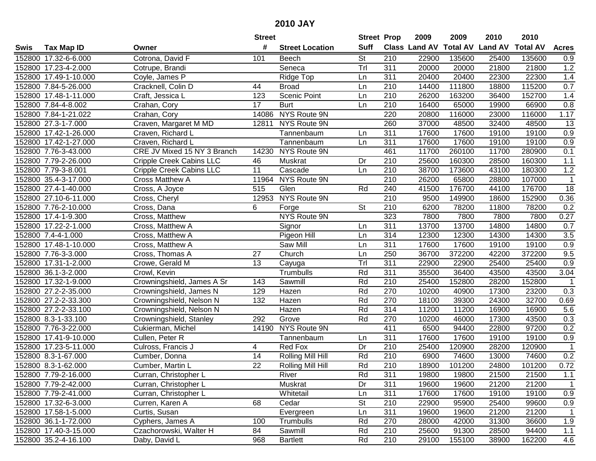|        |                       |                                 | <b>Street</b>   |                        | <b>Street Prop</b> |                  | 2009                 | 2009            | 2010           | 2010            |                  |
|--------|-----------------------|---------------------------------|-----------------|------------------------|--------------------|------------------|----------------------|-----------------|----------------|-----------------|------------------|
| Swis   | <b>Tax Map ID</b>     | Owner                           | #               | <b>Street Location</b> | <b>Suff</b>        |                  | <b>Class Land AV</b> | <b>Total AV</b> | <b>Land AV</b> | <b>Total AV</b> | <b>Acres</b>     |
|        | 152800 17.32-6-6.000  | Cotrona, David F                | 101             | Beech                  | <b>St</b>          | 210              | 22900                | 135600          | 25400          | 135600          | 0.9              |
|        | 152800 17.23-4-2.000  | Cotrupe, Brandi                 |                 | Seneca                 | Tr                 | 311              | 20000                | 20000           | 21800          | 21800           | 1.2              |
|        | 152800 17.49-1-10.000 | Coyle, James P                  |                 | Ridge Top              | Ln                 | 311              | 20400                | 20400           | 22300          | 22300           | 1.4              |
|        | 152800 7.84-5-26.000  | Cracknell, Colin D              | 44              | <b>Broad</b>           | Ln                 | 210              | 14400                | 111800          | 18800          | 115200          | 0.7              |
|        | 152800 17.48-1-11.000 | Craft, Jessica L                | 123             | Scenic Point           | Ln                 | 210              | 26200                | 163200          | 36400          | 152700          | 1.4              |
|        | 152800 7.84-4-8.002   | Crahan, Cory                    | $\overline{17}$ | <b>Burt</b>            | Ln                 | 210              | 16400                | 65000           | 19900          | 66900           | $\overline{0.8}$ |
|        | 152800 7.84-1-21.022  | Crahan, Cory                    |                 | 14086 NYS Route 9N     |                    | 220              | 20800                | 116000          | 23000          | 116000          | 1.17             |
|        | 152800 27.3-1-7.000   | Craven, Margaret M MD           |                 | 12811 NYS Route 9N     |                    | 260              | 37000                | 48500           | 32400          | 48500           | 13               |
|        | 152800 17.42-1-26.000 | Craven, Richard L               |                 | Tannenbaum             | Ln                 | 311              | 17600                | 17600           | 19100          | 19100           | 0.9              |
|        | 152800 17.42-1-27.000 | Craven, Richard L               |                 | Tannenbaum             | Ln                 | 311              | 17600                | 17600           | 19100          | 19100           | 0.9              |
|        | 152800 7.76-3-43.000  | CRE JV Mixed 15 NY 3 Branch     |                 | 14230 NYS Route 9N     |                    | 461              | 11700                | 260100          | 11700          | 280900          | 0.1              |
|        | 152800 7.79-2-26.000  | Cripple Creek Cabins LLC        | 46              | Muskrat                | Dr                 | 210              | 25600                | 160300          | 28500          | 160300          | 1.1              |
|        | 152800 7.79-3-8.001   | <b>Cripple Creek Cabins LLC</b> | $\overline{11}$ | Cascade                | Ln                 | 210              | 38700                | 173600          | 43100          | 180300          | 1.2              |
|        | 152800 35.4-3-17.000  | Cross Matthew A                 | 11964           | NYS Route 9N           |                    | 210              | 26200                | 65800           | 28800          | 107000          | $\mathbf{1}$     |
|        | 152800 27.4-1-40.000  | Cross, A Joyce                  | 515             | Glen                   | Rd                 | 240              | 41500                | 176700          | 44100          | 176700          | $\overline{18}$  |
|        | 152800 27.10-6-11.000 | Cross, Cheryl                   | 12953           | NYS Route 9N           |                    | 210              | 9500                 | 149900          | 18600          | 152900          | 0.36             |
|        | 152800 7.76-2-10.000  | Cross, Dana                     | 6               | Forge                  | <b>St</b>          | 210              | 6200                 | 78200           | 11800          | 78200           | 0.2              |
|        | 152800 17.4-1-9.300   | Cross, Matthew                  |                 | NYS Route 9N           |                    | 323              | 7800                 | 7800            | 7800           | 7800            | 0.27             |
|        | 152800 17.22-2-1.000  | Cross, Matthew A                |                 | Signor                 | Ln                 | 311              | 13700                | 13700           | 14800          | 14800           | 0.7              |
|        | 152800 7.4-4-1.000    | Cross, Matthew A                |                 | Pigeon Hill            | Ln                 | 314              | 12300                | 12300           | 14300          | 14300           | 3.5              |
|        | 152800 17.48-1-10.000 | Cross, Matthew A                |                 | <b>Saw Mill</b>        | Ln                 | $\overline{311}$ | 17600                | 17600           | 19100          | 19100           | 0.9              |
|        | 152800 7.76-3-3.000   | Cross, Thomas A                 | 27              | Church                 | Ln                 | 250              | 36700                | 372200          | 42200          | 372200          | 9.5              |
| 152800 | 17.31-1-2.000         | Crowe, Gerald M                 | 13              | Cayuga                 | Tr                 | 311              | 22900                | 22900           | 25400          | 25400           | 0.9              |
|        | 152800 36.1-3-2.000   | Crowl, Kevin                    |                 | Trumbulls              | Rd                 | 311              | 35500                | 36400           | 43500          | 43500           | 3.04             |
|        | 152800 17.32-1-9.000  | Crowningshield, James A Sr      | 143             | Sawmill                | Rd                 | 210              | 25400                | 152800          | 28200          | 152800          | $\overline{1}$   |
|        | 152800 27.2-2-35.000  | Crowningshield, James N         | 129             | Hazen                  | Rd                 | 270              | 10200                | 40900           | 17300          | 23200           | 0.3              |
|        | 152800 27.2-2-33.300  | Crowningshield, Nelson N        | 132             | Hazen                  | Rd                 | 270              | 18100                | 39300           | 24300          | 32700           | 0.69             |
|        | 152800 27.2-2-33.100  | Crowningshield, Nelson N        |                 | Hazen                  | Rd                 | 314              | 11200                | 11200           | 16900          | 16900           | 5.6              |
|        | 152800 8.3-1-33.100   | Crowningshield, Stanley         | 292             | Grove                  | Rd                 | 270              | 10200                | 46000           | 17300          | 43500           | 0.3              |
|        | 152800 7.76-3-22.000  | Cukierman, Michel               | 14190           | NYS Route 9N           |                    | 411              | 6500                 | 94400           | 22800          | 97200           | 0.2              |
|        | 152800 17.41-9-10.000 | Cullen, Peter R                 |                 | Tannenbaum             | Ln                 | $\overline{311}$ | 17600                | 17600           | 19100          | 19100           | 0.9              |
|        | 152800 17.23-5-11.000 | Culross, Francis J              | 4               | Red Fox                | Dr                 | 210              | 25400                | 120900          | 28200          | 120900          | $\overline{1}$   |
|        | 152800 8.3-1-67.000   | Cumber, Donna                   | $\overline{14}$ | Rolling Mill Hill      | Rd                 | $\overline{210}$ | 6900                 | 74600           | 13000          | 74600           | 0.2              |
|        | 152800 8.3-1-62.000   | Cumber, Martin L                | $\overline{22}$ | Rolling Mill Hill      | Rd                 | $\overline{210}$ | 18900                | 101200          | 24800          | 101200          | 0.72             |
|        | 152800 7.79-2-16.000  | Curran, Christopher L           |                 | River                  | Rd                 | 311              | 19800                | 19800           | 21500          | 21500           | 1.1              |
|        | 152800 7.79-2-42.000  | Curran, Christopher L           |                 | Muskrat                | Dr                 | 311              | 19600                | 19600           | 21200          | 21200           | $\mathbf{1}$     |
|        | 152800 7.79-2-41.000  | Curran, Christopher L           |                 | Whitetail              | Ln                 | 311              | 17600                | 17600           | 19100          | 19100           | 0.9              |
|        | 152800 17.32-6-3.000  | Curren, Karen A                 | 68              | Cedar                  | <b>St</b>          | 210              | 22900                | 95900           | 25400          | 99600           | 0.9              |
|        | 152800 17.58-1-5.000  | Curtis, Susan                   |                 | Evergreen              | Ln                 | 311              | 19600                | 19600           | 21200          | 21200           | $\mathbf{1}$     |
|        | 152800 36.1-1-72.000  | Cyphers, James A                | 100             | Trumbulls              | Rd                 | 270              | 28000                | 42000           | 31300          | 36600           | 1.9              |
|        | 152800 17.40-3-15.000 | Czachorowski, Walter H          | 84              | Sawmill                | Rd                 | 210              | 25600                | 91300           | 28500          | 94400           | 1.1              |
|        | 152800 35.2-4-16.100  | Daby, David L                   | 968             | <b>Bartlett</b>        | Rd                 | 210              | 29100                | 155100          | 38900          | 162200          | 4.6              |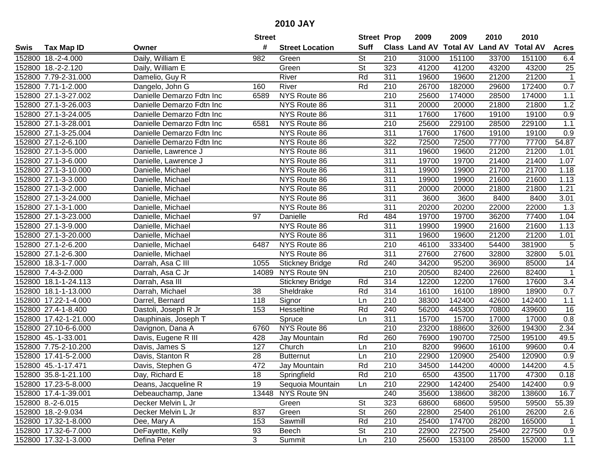|        |                       |                           | <b>Street</b>   |                        | <b>Street Prop</b> |                  | 2009          | 2009            | 2010           | 2010            |                |
|--------|-----------------------|---------------------------|-----------------|------------------------|--------------------|------------------|---------------|-----------------|----------------|-----------------|----------------|
| Swis   | Tax Map ID            | Owner                     | #               | <b>Street Location</b> | <b>Suff</b>        |                  | Class Land AV | <b>Total AV</b> | <b>Land AV</b> | <b>Total AV</b> | <b>Acres</b>   |
|        | 152800 18.-2-4.000    | Daily, William E          | 982             | Green                  | <b>St</b>          | 210              | 31000         | 151100          | 33700          | 151100          | 6.4            |
|        | 152800 18.-2-2.120    | Daily, William E          |                 | Green                  | St                 | 323              | 41200         | 41200           | 43200          | 43200           | 25             |
|        | 152800 7.79-2-31.000  | Damelio, Guy R            |                 | River                  | Rd                 | 311              | 19600         | 19600           | 21200          | 21200           | $\mathbf{1}$   |
|        | 152800 7.71-1-2.000   | Dangelo, John G           | 160             | River                  | Rd                 | 210              | 26700         | 182000          | 29600          | 172400          | 0.7            |
|        | 152800 27.1-3-27.002  | Danielle Demarzo Fdtn Inc | 6589            | NYS Route 86           |                    | 210              | 25600         | 174000          | 28500          | 174000          | 1.1            |
|        | 152800 27.1-3-26.003  | Danielle Demarzo Fdtn Inc |                 | NYS Route 86           |                    | 311              | 20000         | 20000           | 21800          | 21800           | 1.2            |
|        | 152800 27.1-3-24.005  | Danielle Demarzo Fdtn Inc |                 | NYS Route 86           |                    | 311              | 17600         | 17600           | 19100          | 19100           | 0.9            |
|        | 152800 27.1-3-28.001  | Danielle Demarzo Fdtn Inc | 6581            | NYS Route 86           |                    | $\overline{210}$ | 25600         | 229100          | 28500          | 229100          | 1.1            |
|        | 152800 27.1-3-25.004  | Danielle Demarzo Fdtn Inc |                 | NYS Route 86           |                    | 311              | 17600         | 17600           | 19100          | 19100           | 0.9            |
|        | 152800 27.1-2-6.100   | Danielle Demarzo Fdtn Inc |                 | NYS Route 86           |                    | 322              | 72500         | 72500           | 77700          | 77700           | 54.87          |
|        | 152800 27.1-3-5.000   | Danielle, Lawrence J      |                 | NYS Route 86           |                    | 311              | 19600         | 19600           | 21200          | 21200           | 1.01           |
|        | 152800 27.1-3-6.000   | Danielle, Lawrence J      |                 | NYS Route 86           |                    | 311              | 19700         | 19700           | 21400          | 21400           | 1.07           |
|        | 152800 27.1-3-10.000  | Danielle, Michael         |                 | NYS Route 86           |                    | 311              | 19900         | 19900           | 21700          | 21700           | 1.18           |
|        | 152800 27.1-3-3.000   | Danielle, Michael         |                 | NYS Route 86           |                    | 311              | 19900         | 19900           | 21600          | 21600           | 1.13           |
|        | 152800 27.1-3-2.000   | Danielle, Michael         |                 | NYS Route 86           |                    | 311              | 20000         | 20000           | 21800          | 21800           | 1.21           |
|        | 152800 27.1-3-24.000  | Danielle, Michael         |                 | NYS Route 86           |                    | 311              | 3600          | 3600            | 8400           | 8400            | 3.01           |
|        | 152800 27.1-3-1.000   | Danielle, Michael         |                 | NYS Route 86           |                    | 311              | 20200         | 20200           | 22000          | 22000           | 1.3            |
|        | 152800 27.1-3-23.000  | Danielle, Michael         | 97              | Danielle               | Rd                 | 484              | 19700         | 19700           | 36200          | 77400           | 1.04           |
|        | 152800 27.1-3-9.000   | Danielle, Michael         |                 | NYS Route 86           |                    | 311              | 19900         | 19900           | 21600          | 21600           | 1.13           |
|        | 152800 27.1-3-20.000  | Danielle, Michael         |                 | NYS Route 86           |                    | 311              | 19600         | 19600           | 21200          | 21200           | 1.01           |
|        | 152800 27.1-2-6.200   | Danielle, Michael         | 6487            | NYS Route 86           |                    | 210              | 46100         | 333400          | 54400          | 381900          | 5              |
|        | 152800 27.1-2-6.300   | Danielle, Michael         |                 | NYS Route 86           |                    | 311              | 27600         | 27600           | 32800          | 32800           | 5.01           |
| 152800 | 18.3-1-7.000          | Darrah, Asa C III         | 1055            | <b>Stickney Bridge</b> | Rd                 | 240              | 34200         | 95200           | 36900          | 85000           | 14             |
|        | 152800 7.4-3-2.000    | Darrah, Asa C Jr          | 14089           | NYS Route 9N           |                    | 210              | 20500         | 82400           | 22600          | 82400           | $\overline{1}$ |
| 152800 | 18.1-1-24.113         | Darrah, Asa III           |                 | <b>Stickney Bridge</b> | Rd                 | 314              | 12200         | 12200           | 17600          | 17600           | 3.4            |
|        | 152800 18.1-1-13.000  | Darrah, Michael           | 38              | Sheldrake              | Rd                 | 314              | 16100         | 16100           | 18900          | 18900           | 0.7            |
|        | 152800 17.22-1-4.000  | Darrel, Bernard           | 118             | Signor                 | Ln                 | 210              | 38300         | 142400          | 42600          | 142400          | 1.1            |
|        | 152800 27.4-1-8.400   | Dastoli, Joseph R Jr      | 153             | Hesseltine             | Rd                 | 240              | 56200         | 445300          | 70800          | 439600          | 16             |
|        | 152800 17.42-1-21.000 | Dauphinais, Joseph T      |                 | Spruce                 | Ln                 | 311              | 15700         | 15700           | 17000          | 17000           | 0.8            |
|        | 152800 27.10-6-6.000  | Davignon, Dana A          | 6760            | NYS Route 86           |                    | $\overline{210}$ | 23200         | 188600          | 32600          | 194300          | 2.34           |
|        | 152800 45.-1-33.001   | Davis, Eugene R III       | 428             | <b>Jay Mountain</b>    | Rd                 | 260              | 76900         | 190700          | 72500          | 195100          | 49.5           |
|        | 152800 7.75-2-10.200  | Davis, James S            | 127             | Church                 | Ln                 | 210              | 8200          | 99600           | 16100          | 99600           | 0.4            |
|        | 152800 17.41-5-2.000  | Davis, Stanton R          | $\overline{28}$ | <b>Butternut</b>       | Ln                 | $\overline{210}$ | 22900         | 120900          | 25400          | 120900          | 0.9            |
|        | 152800 45.-1-17.471   | Davis, Stephen G          | 472             | Jay Mountain           | Rd                 | 210              | 34500         | 144200          | 40000          | 144200          | 4.5            |
|        | 152800 35.8-1-21.100  | Day, Richard E            | 18              | Springfield            | Rd                 | 210              | 6500          | 43500           | 11700          | 47300           | 0.18           |
|        | 152800 17.23-5-8.000  | Deans, Jacqueline R       | 19              | Sequoia Mountain       | Ln                 | 210              | 22900         | 142400          | 25400          | 142400          | 0.9            |
|        | 152800 17.4-1-39.001  | Debeauchamp, Jane         |                 | 13448 NYS Route 9N     |                    | 240              | 35600         | 138600          | 38200          | 138600          | 16.7           |
|        | 152800 8.-2-6.015     | Decker Melvin L Jr        |                 | Green                  | <b>St</b>          | 323              | 68600         | 68600           | 59500          | 59500           | 55.39          |
|        | 152800 18.-2-9.034    | Decker Melvin L Jr        | 837             | Green                  | <b>St</b>          | 260              | 22800         | 25400           | 26100          | 26200           | 2.6            |
|        | 152800 17.32-1-8.000  | Dee, Mary A               | 153             | Sawmill                | Rd                 | 210              | 25400         | 174700          | 28200          | 165000          | 1              |
|        | 152800 17.32-6-7.000  | DeFayette, Kelly          | 93              | Beech                  | St                 | 210              | 22900         | 227500          | 25400          | 227500          | 0.9            |
|        | 152800 17.32-1-3.000  | Defina Peter              | $\mathbf{3}$    | Summit                 | Ln                 | 210              | 25600         | 153100          | 28500          | 152000          | 1.1            |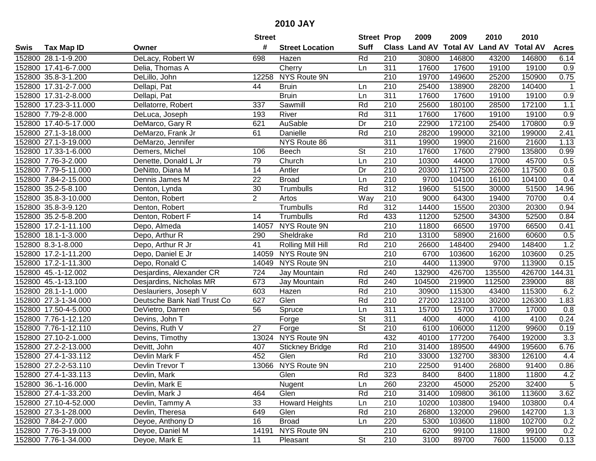|      |                       |                             | <b>Street</b>   |                        | <b>Street Prop</b>       |                  | 2009                 | 2009   | 2010                    | 2010            |                  |
|------|-----------------------|-----------------------------|-----------------|------------------------|--------------------------|------------------|----------------------|--------|-------------------------|-----------------|------------------|
| Swis | <b>Tax Map ID</b>     | Owner                       | #               | <b>Street Location</b> | <b>Suff</b>              |                  | <b>Class Land AV</b> |        | <b>Total AV Land AV</b> | <b>Total AV</b> | <b>Acres</b>     |
|      | 152800 28.1-1-9.200   | DeLacy, Robert W            | 698             | Hazen                  | Rd                       | 210              | 30800                | 146800 | 43200                   | 146800          | 6.14             |
|      | 152800 17.41-6-7.000  | Delia, Thomas A             |                 | Cherry                 | Ln                       | 311              | 17600                | 17600  | 19100                   | 19100           | 0.9              |
|      | 152800 35.8-3-1.200   | DeLillo, John               | 12258           | NYS Route 9N           |                          | 210              | 19700                | 149600 | 25200                   | 150900          | 0.75             |
|      | 152800 17.31-2-7.000  | Dellapi, Pat                | 44              | <b>Bruin</b>           | Ln                       | 210              | 25400                | 138900 | 28200                   | 140400          | $\mathbf{1}$     |
|      | 152800 17.31-2-8.000  | Dellapi, Pat                |                 | <b>Bruin</b>           | Ln                       | $\overline{311}$ | 17600                | 17600  | 19100                   | 19100           | 0.9              |
|      | 152800 17.23-3-11.000 | Dellatorre, Robert          | 337             | Sawmill                | Rd                       | 210              | 25600                | 180100 | 28500                   | 172100          | 1.1              |
|      | 152800 7.79-2-8.000   | DeLuca, Joseph              | 193             | River                  | Rd                       | 311              | 17600                | 17600  | 19100                   | 19100           | 0.9              |
|      | 152800 17.40-5-17.000 | DeMarco, Gary R             | 621             | <b>AuSable</b>         | Dr                       | $\overline{210}$ | 22900                | 172100 | 25400                   | 170800          | 0.9              |
|      | 152800 27.1-3-18.000  | DeMarzo, Frank Jr           | 61              | Danielle               | Rd                       | 210              | 28200                | 199000 | 32100                   | 199000          | 2.41             |
|      | 152800 27.1-3-19.000  | DeMarzo, Jennifer           |                 | NYS Route 86           |                          | 311              | 19900                | 19900  | 21600                   | 21600           | 1.13             |
|      | 152800 17.33-1-6.000  | Demers, Michel              | 106             | Beech                  | <b>St</b>                | 210              | 17600                | 17600  | 27900                   | 135800          | 0.99             |
|      | 152800 7.76-3-2.000   | Denette, Donald L Jr        | 79              | Church                 | Ln                       | 210              | 10300                | 44000  | 17000                   | 45700           | 0.5              |
|      | 152800 7.79-5-11.000  | DeNitto, Diana M            | $\overline{14}$ | Antler                 | Dr                       | 210              | 20300                | 117500 | 22600                   | 117500          | 0.8              |
|      | 152800 7.84-2-15.000  | Dennis James M              | 22              | <b>Broad</b>           | Ln                       | 210              | 9700                 | 104100 | 16100                   | 104100          | 0.4              |
|      | 152800 35.2-5-8.100   | Denton, Lynda               | 30              | Trumbulls              | Rd                       | 312              | 19600                | 51500  | 30000                   | 51500           | 14.96            |
|      | 152800 35.8-3-10.000  | Denton, Robert              | $\overline{c}$  | Artos                  | Way                      | 210              | 9000                 | 64300  | 19400                   | 70700           | 0.4              |
|      | 152800 35.8-3-9.120   | Denton, Robert              |                 | Trumbulls              | Rd                       | 312              | 14400                | 15500  | 20300                   | 20300           | 0.94             |
|      | 152800 35.2-5-8.200   | Denton, Robert F            | 14              | Trumbulls              | Rd                       | 433              | 11200                | 52500  | 34300                   | 52500           | 0.84             |
|      | 152800 17.2-1-11.100  | Depo, Almeda                | 14057           | NYS Route 9N           |                          | 210              | 11800                | 66500  | 19700                   | 66500           | 0.41             |
|      | 152800 18.1-1-3.000   | Depo, Arthur R              | 290             | Sheldrake              | Rd                       | 210              | 13100                | 58900  | 21600                   | 60600           | 0.5              |
|      | 152800 8.3-1-8.000    | Depo, Arthur R Jr           | 41              | Rolling Mill Hill      | Rd                       | 210              | 26600                | 148400 | 29400                   | 148400          | 1.2              |
|      | 152800 17.2-1-11.200  | Depo, Daniel E Jr           | 14059           | NYS Route 9N           |                          | 210              | 6700                 | 103600 | 16200                   | 103600          | 0.25             |
|      | 152800 17.2-1-11.300  | Depo, Ronald C              | 14049           | NYS Route 9N           |                          | 210              | 4400                 | 113900 | 9700                    | 113900          | 0.15             |
|      | 152800 45.-1-12.002   | Desjardins, Alexander CR    | 724             | Jay Mountain           | Rd                       | 240              | 132900               | 426700 | 135500                  | 426700          | 144.31           |
|      | 152800 45.-1-13.100   | Desjardins, Nicholas MR     | 673             | Jay Mountain           | Rd                       | 240              | 104500               | 219900 | 112500                  | 239000          | 88               |
|      | 152800 28.1-1-1.000   | Deslauriers, Joseph V       | 603             | Hazen                  | Rd                       | 210              | 30900                | 115300 | 43400                   | 115300          | 6.2              |
|      | 152800 27.3-1-34.000  | Deutsche Bank Natl Trust Co | 627             | Glen                   | Rd                       | 210              | 27200                | 123100 | 30200                   | 126300          | 1.83             |
|      | 152800 17.50-4-5.000  | DeVietro, Darren            | 56              | Spruce                 | Ln                       | 311              | 15700                | 15700  | 17000                   | 17000           | 0.8              |
|      | 152800 7.76-1-12.120  | Devins, John T              |                 | Forge                  | $\overline{\mathsf{St}}$ | 311              | 4000                 | 4000   | 4100                    | 4100            | 0.24             |
|      | 152800 7.76-1-12.110  | Devins, Ruth V              | $\overline{27}$ | Forge                  | $\overline{\mathsf{St}}$ | $\overline{210}$ | 6100                 | 106000 | 11200                   | 99600           | 0.19             |
|      | 152800 27.10-2-1.000  | Devins, Timothy             | 13024           | NYS Route 9N           |                          | 432              | 40100                | 177200 | 76400                   | 192000          | $\overline{3.3}$ |
|      | 152800 27.2-2-13.000  | Devitt, John                | 407             | <b>Stickney Bridge</b> | Rd                       | 210              | 31400                | 189500 | 44900                   | 195600          | 6.76             |
|      | 152800 27.4-1-33.112  | Devlin Mark F               | 452             | Glen                   | Rd                       | $\overline{210}$ | 33000                | 132700 | 38300                   | 126100          | 4.4              |
|      | 152800 27.2-2-53.110  | Devlin Trevor T             |                 | 13066 NYS Route 9N     |                          | $\overline{210}$ | 22500                | 91400  | 26800                   | 91400           | 0.86             |
|      | 152800 27.4-1-33.113  | Devlin, Mark                |                 | Glen                   | Rd                       | 323              | 8400                 | 8400   | 11800                   | 11800           | 4.2              |
|      | 152800 36.-1-16.000   | Devlin, Mark E              |                 | Nugent                 | Ln                       | 260              | 23200                | 45000  | 25200                   | 32400           | $\sqrt{5}$       |
|      | 152800 27.4-1-33.200  | Devlin, Mark J              | 464             | Glen                   | Rd                       | 210              | 31400                | 109800 | 36100                   | 113600          | 3.62             |
|      | 152800 27.10-4-52.000 | Devlin, Tammy A             | 33              | <b>Howard Heights</b>  | Ln                       | 210              | 10200                | 103800 | 19400                   | 103800          | 0.4              |
|      | 152800 27.3-1-28.000  | Devlin, Theresa             | 649             | Glen                   | Rd                       | 210              | 26800                | 132000 | 29600                   | 142700          | 1.3              |
|      | 152800 7.84-2-7.000   | Deyoe, Anthony D            | 16              | <b>Broad</b>           | Ln                       | 220              | 5300                 | 103600 | 11800                   | 102700          | 0.2              |
|      | 152800 7.76-3-19.000  | Deyoe, Daniel M             | 14191           | NYS Route 9N           |                          | 210              | 6200                 | 99100  | 11800                   | 99100           | 0.2              |
|      | 152800 7.76-1-34.000  | Deyoe, Mark E               | 11              | Pleasant               | $\overline{\mathsf{St}}$ | 210              | 3100                 | 89700  | 7600                    | 115000          | 0.13             |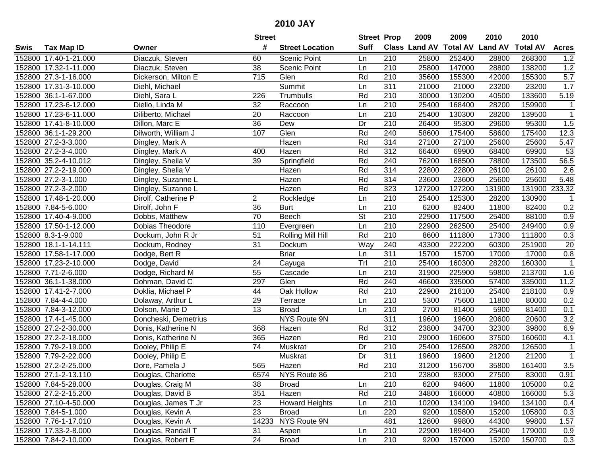|      |                       |                      | <b>Street</b>   |                        | <b>Street Prop</b>       |                  | 2009                 | 2009            | 2010           | 2010            |                  |
|------|-----------------------|----------------------|-----------------|------------------------|--------------------------|------------------|----------------------|-----------------|----------------|-----------------|------------------|
| Swis | <b>Tax Map ID</b>     | Owner                | #               | <b>Street Location</b> | <b>Suff</b>              |                  | <b>Class Land AV</b> | <b>Total AV</b> | <b>Land AV</b> | <b>Total AV</b> | <b>Acres</b>     |
|      | 152800 17.40-1-21.000 | Diaczuk, Steven      | 60              | Scenic Point           | Ln                       | 210              | 25800                | 252400          | 28800          | 268300          | 1.2              |
|      | 152800 17.32-1-11.000 | Diaczuk, Steven      | 38              | Scenic Point           | Ln                       | 210              | 25800                | 147000          | 28800          | 138200          | 1.2              |
|      | 152800 27.3-1-16.000  | Dickerson, Milton E  | 715             | Glen                   | Rd                       | 210              | 35600                | 155300          | 42000          | 155300          | 5.7              |
|      | 152800 17.31-3-10.000 | Diehl, Michael       |                 | Summit                 | Ln                       | 311              | 21000                | 21000           | 23200          | 23200           | 1.7              |
|      | 152800 36.1-1-67.000  | Diehl, Sara L        | 226             | Trumbulls              | Rd                       | 210              | 30000                | 130200          | 40500          | 133600          | 5.19             |
|      | 152800 17.23-6-12.000 | Diello, Linda M      | 32              | Raccoon                | Ln                       | 210              | 25400                | 168400          | 28200          | 159900          | $\mathbf{1}$     |
|      | 152800 17.23-6-11.000 | Diliberto, Michael   | 20              | Raccoon                | Ln                       | 210              | 25400                | 130300          | 28200          | 139500          | $\mathbf{1}$     |
|      | 152800 17.41-8-10.000 | Dillon, Marc E       | $\overline{36}$ | Dew                    | Dr                       | 210              | 26400                | 95300           | 29600          | 95300           | 1.5              |
|      | 152800 36.1-1-29.200  | Dilworth, William J  | 107             | Glen                   | Rd                       | 240              | 58600                | 175400          | 58600          | 175400          | 12.3             |
|      | 152800 27.2-3-3.000   | Dingley, Mark A      |                 | Hazen                  | Rd                       | 314              | 27100                | 27100           | 25600          | 25600           | 5.47             |
|      | 152800 27.2-3-4.000   | Dingley, Mark A      | 400             | Hazen                  | Rd                       | 312              | 66400                | 69900           | 68400          | 69900           | 53               |
|      | 152800 35.2-4-10.012  | Dingley, Sheila V    | 39              | Springfield            | Rd                       | 240              | 76200                | 168500          | 78800          | 173500          | 56.5             |
|      | 152800 27.2-2-19.000  | Dingley, Shelia V    |                 | Hazen                  | Rd                       | 314              | 22800                | 22800           | 26100          | 26100           | 2.6              |
|      | 152800 27.2-3-1.000   | Dingley, Suzanne L   |                 | Hazen                  | Rd                       | 314              | 23600                | 23600           | 25600          | 25600           | 5.48             |
|      | 152800 27.2-3-2.000   | Dingley, Suzanne L   |                 | Hazen                  | Rd                       | 323              | 127200               | 127200          | 131900         | 131900          | 233.32           |
|      | 152800 17.48-1-20.000 | Dirolf, Catherine P  | $\overline{2}$  | Rockledge              | Ln                       | 210              | 25400                | 125300          | 28200          | 130900          |                  |
|      | 152800 7.84-5-6.000   | Dirolf, John F       | $\overline{36}$ | <b>Burt</b>            | Ln                       | 210              | 6200                 | 82400           | 11800          | 82400           | 0.2              |
|      | 152800 17.40-4-9.000  | Dobbs, Matthew       | $\overline{70}$ | Beech                  | $\overline{\mathsf{St}}$ | 210              | 22900                | 117500          | 25400          | 88100           | 0.9              |
|      | 152800 17.50-1-12.000 | Dobias Theodore      | 110             | Evergreen              | Ln                       | 210              | 22900                | 262500          | 25400          | 249400          | 0.9              |
|      | 152800 8.3-1-9.000    | Dockum, John R Jr    | 51              | Rolling Mill Hill      | Rd                       | 210              | 8600                 | 111800          | 17300          | 111800          | 0.3              |
|      | 152800 18.1-1-14.111  | Dockum, Rodney       | 31              | Dockum                 | Way                      | 240              | 43300                | 222200          | 60300          | 251900          | $\overline{20}$  |
|      | 152800 17.58-1-17.000 | Dodge, Bert R        |                 | <b>Briar</b>           | Ln                       | 311              | 15700                | 15700           | 17000          | 17000           | 0.8              |
|      | 152800 17.23-2-10.000 | Dodge, David         | 24              | Cayuga                 | Trl                      | 210              | 25400                | 160300          | 28200          | 160300          | $\mathbf{1}$     |
|      | 152800 7.71-2-6.000   | Dodge, Richard M     | 55              | Cascade                | Ln                       | 210              | 31900                | 225900          | 59800          | 213700          | 1.6              |
|      | 152800 36.1-1-38.000  | Dohman, David C      | 297             | Glen                   | Rd                       | 240              | 46600                | 335000          | 57400          | 335000          | 11.2             |
|      | 152800 17.41-2-7.000  | Doklia, Michael P    | 44              | Oak Hollow             | Rd                       | 210              | 22900                | 218100          | 25400          | 218100          | 0.9              |
|      | 152800 7.84-4-4.000   | Dolaway, Arthur L    | 29              | Terrace                | Ln                       | 210              | 5300                 | 75600           | 11800          | 80000           | 0.2              |
|      | 152800 7.84-3-12.000  | Dolson, Marie D      | 13              | <b>Broad</b>           | Ln                       | 210              | 2700                 | 81400           | 5900           | 81400           | 0.1              |
|      | 152800 17.4-1-45.000  | Doncheski, Demetrius |                 | NYS Route 9N           |                          | 311              | 19600                | 19600           | 20600          | 20600           | 3.2              |
|      | 152800 27.2-2-30.000  | Donis, Katherine N   | 368             | Hazen                  | Rd                       | $\overline{312}$ | 23800                | 34700           | 32300          | 39800           | 6.9              |
|      | 152800 27.2-2-18.000  | Donis, Katherine N   | 365             | Hazen                  | Rd                       | $\overline{210}$ | 29000                | 160600          | 37500          | 160600          | 4.1              |
|      | 152800 7.79-2-19.000  | Dooley, Philip E     | $\overline{74}$ | Muskrat                | Dr                       | 210              | 25400                | 126500          | 28200          | 126500          | $\mathbf 1$      |
|      | 152800 7.79-2-22.000  | Dooley, Philip E     |                 | Muskrat                | Dr                       | 311              | 19600                | 19600           | 21200          | 21200           | $\mathbf{1}$     |
|      | 152800 27.2-2-25.000  | Dore, Pamela J       | 565             | Hazen                  | Rd                       | $\overline{210}$ | 31200                | 156700          | 35800          | 161400          | $\overline{3.5}$ |
|      | 152800 27.1-2-13.110  | Douglas, Charlotte   | 6574            | NYS Route 86           |                          | 210              | 23800                | 83000           | 27500          | 83000           | 0.91             |
|      | 152800 7.84-5-28.000  | Douglas, Craig M     | 38              | <b>Broad</b>           | Ln                       | 210              | 6200                 | 94600           | 11800          | 105000          | 0.2              |
|      | 152800 27.2-2-15.200  | Douglas, David B     | 351             | Hazen                  | Rd                       | 210              | 34800                | 166000          | 40800          | 166000          | 5.3              |
|      | 152800 27.10-4-50.000 | Douglas, James T Jr  | 23              | <b>Howard Heights</b>  | Ln                       | 210              | 10200                | 134100          | 19400          | 134100          | 0.4              |
|      | 152800 7.84-5-1.000   | Douglas, Kevin A     | 23              | <b>Broad</b>           | Ln                       | 220              | 9200                 | 105800          | 15200          | 105800          | 0.3              |
|      | 152800 7.76-1-17.010  | Douglas, Kevin A     |                 | 14233 NYS Route 9N     |                          | 481              | 12600                | 99800           | 44300          | 99800           | 1.57             |
|      | 152800 17.33-2-8.000  | Douglas, Randall T   | 31              | Aspen                  | Ln                       | 210              | 22900                | 189400          | 25400          | 179000          | 0.9              |
|      | 152800 7.84-2-10.000  | Douglas, Robert E    | 24              | <b>Broad</b>           | Ln                       | 210              | 9200                 | 157000          | 15200          | 150700          | 0.3              |
|      |                       |                      |                 |                        |                          |                  |                      |                 |                |                 |                  |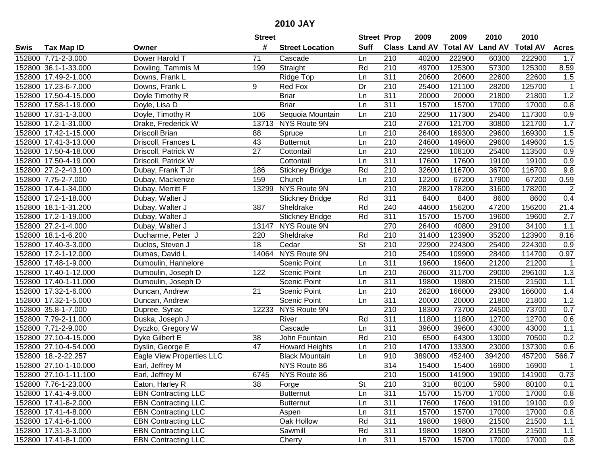| #<br><b>Suff</b><br><b>Total AV</b><br><b>Land AV</b><br><b>Class Land AV</b><br><b>Total AV</b><br><b>Tax Map ID</b><br><b>Street Location</b><br><b>Acres</b><br>Swis<br>Owner<br>152800 7.71-2-3.000<br>Dower Harold T<br>71<br>210<br>40200<br>222900<br>60300<br>222900<br>1.7<br>Cascade<br>Ln<br>49700<br>152800 36.1-1-33.000<br>Straight<br>Rd<br>210<br>125300<br>57300<br>125300<br>8.59<br>Dowling, Tammis M<br>199<br>311<br>20600<br>20600<br>22600<br>22600<br>1.5<br>152800 17.49-2-1.000<br>Downs, Frank L<br>Ridge Top<br>Ln<br>9<br>Dr<br>210<br>25400<br>121100<br>28200<br>125700<br>$\mathbf{1}$<br>152800 17.23-6-7.000<br>Downs, Frank L<br>Red Fox<br>311<br>1.2<br>152800 17.50-4-15.000<br><b>Briar</b><br>20000<br>20000<br>21800<br>21800<br>Doyle Timothy R<br>Ln<br>311<br>15700<br>17000<br>0.8<br>152800 17.58-1-19.000<br><b>Briar</b><br>Ln<br>15700<br>17000<br>Doyle, Lisa D<br>Sequoia Mountain<br>152800 17.31-1-3.000<br>210<br>22900<br>117300<br>25400<br>117300<br>0.9<br>Doyle, Timothy R<br>106<br>Ln<br>13713 NYS Route 9N<br>210<br>1.7<br>152800 17.2-1-31.000<br>27600<br>121700<br>30800<br>121700<br>Drake, Frederick W<br>$\overline{210}$<br>1.5<br>152800 17.42-1-15.000<br><b>Driscoll Brian</b><br>Spruce<br>26400<br>169300<br>29600<br>169300<br>88<br>Ln<br>1.5<br>210<br>24600<br>29600<br>152800 17.41-3-13.000<br>43<br><b>Butternut</b><br>149600<br>149600<br>Driscoll, Frances L<br>Ln<br>27<br>210<br>0.9<br>152800 17.50-4-18.000<br>Driscoll, Patrick W<br>Cottontail<br>22900<br>108100<br>25400<br>113500<br>Ln<br>152800 17.50-4-19.000<br>311<br>17600<br>17600<br>19100<br>19100<br>0.9<br>Driscoll, Patrick W<br>Cottontail<br>Ln<br>$\overline{210}$<br>9.8<br>152800 27.2-2-43.100<br>Rd<br>32600<br>116700<br>36700<br>116700<br>Dubay, Frank T Jr<br>186<br><b>Stickney Bridge</b><br>67200<br>152800 7.75-2-7.000<br>159<br>Church<br>210<br>12200<br>67200<br>17900<br>0.59<br>Dubay, Mackenize<br>Ln<br>$\overline{210}$<br>NYS Route 9N<br>178200<br>$\overline{2}$<br>152800 17.4-1-34.000<br>Dubay, Merritt F<br>13299<br>28200<br>178200<br>31600<br>311<br>8400<br>8400<br>8600<br>8600<br>0.4<br>152800 17.2-1-18.000<br>Dubay, Walter J<br><b>Stickney Bridge</b><br>Rd<br>387<br>Rd<br>240<br>156200<br>156200<br>21.4<br>152800 18.1-1-31.200<br>Sheldrake<br>44600<br>47200<br>Dubay, Walter J<br>Rd<br>311<br>152800 17.2-1-19.000<br><b>Stickney Bridge</b><br>15700<br>15700<br>19600<br>19600<br>2.7<br>Dubay, Walter J<br>152800 27.2-1-4.000<br>NYS Route 9N<br>270<br>26400<br>40800<br>29100<br>34100<br>1.1<br>Dubay, Walter J<br>13147<br>152800 18.1-1-6.200<br>Sheldrake<br>210<br>31400<br>123900<br>35200<br>123900<br>8.16<br>Ducharme, Peter J<br>220<br>Rd<br><b>St</b><br>210<br>22900<br>25400<br>224300<br>0.9<br>152800 17.40-3-3.000<br>Duclos, Steven J<br>18<br>Cedar<br>224300<br>NYS Route 9N<br>25400<br>152800 17.2-1-12.000<br>14064<br>210<br>109900<br>28400<br>114700<br>0.97<br>Dumas, David L<br>311<br>152800 17.48-1-9.000<br><b>Scenic Point</b><br>19600<br>19600<br>21200<br>21200<br>$\mathbf 1$<br>Dumoulin, Hannelore<br>Ln<br>1.3<br>152800 17.40-1-12.000<br>122<br>Scenic Point<br>210<br>26000<br>311700<br>29000<br>296100<br>Ln<br>Dumoulin, Joseph D<br>311<br>1.1<br>19800<br>21500<br>21500<br>152800 17.40-1-11.000<br>Scenic Point<br>19800<br>Dumoulin, Joseph D<br>Ln<br>152800 17.32-1-6.000<br>21<br>210<br>26200<br>29300<br>Scenic Point<br>166000<br>166000<br>1.4<br>Duncan, Andrew<br>Ln<br>1.2<br>152800 17.32-1-5.000<br>311<br>21800<br>21800<br><b>Scenic Point</b><br>20000<br>20000<br>Duncan, Andrew<br>Ln<br>210<br>152800 35.8-1-7.000<br>12233<br>NYS Route 9N<br>18300<br>73700<br>24500<br>73700<br>0.7<br>Dupree, Syriac<br>152800 7.79-2-11.000<br>River<br>Rd<br>311<br>11800<br>11800<br>12700<br>12700<br>0.6<br>Duska, Joseph J<br>$\overline{311}$<br>1.1<br>152800 7.71-2-9.000<br>39600<br>39600<br>43000<br>43000<br>Dyczko, Gregory W<br>Cascade<br>Ln<br>152800 27.10-4-15.000<br>$\overline{38}$<br>Rd<br>$\overline{210}$<br>6500<br>13000<br>70500<br>0.2<br>Dyke Gilbert E<br>John Fountain<br>64300<br>152800 27.10-4-54.000<br>47<br>210<br>14700<br>133300<br>23000<br>137300<br>0.6<br>Dyslin, George E<br><b>Howard Heights</b><br>Ln<br>910<br>452400<br>394200<br>457200<br>566.7<br>152800 18.-2-22.257<br>Eagle View Properties LLC<br>389000<br><b>Black Mountain</b><br>Ln<br>314<br>152800 27.10-1-10.000<br>NYS Route 86<br>15400<br>15400<br>16900<br>16900<br>Earl, Jeffrey M<br>1<br>152800 27.10-1-11.100<br>Earl, Jeffrey M<br>6745<br>NYS Route 86<br>210<br>15000<br>141900<br>19000<br>141900<br>0.73<br>210<br>152800 7.76-1-23.000<br>Eaton, Harley R<br>38<br>Forge<br><b>St</b><br>3100<br>80100<br>5900<br>80100<br>0.1<br><b>EBN</b> Contracting LLC<br>311<br>15700<br>17000<br>152800 17.41-4-9.000<br><b>Butternut</b><br>Ln<br>15700<br>17000<br>0.8<br>311<br>152800 17.41-6-2.000<br><b>EBN Contracting LLC</b><br>17600<br>17600<br>19100<br>19100<br>0.9<br><b>Butternut</b><br>Ln<br><b>EBN Contracting LLC</b><br>311<br>15700<br>17000<br>0.8<br>152800 17.41-4-8.000<br>Ln<br>15700<br>17000<br>Aspen<br><b>EBN Contracting LLC</b><br>Rd<br>311<br>$1.1$<br>152800 17.41-6-1.000<br>Oak Hollow<br>19800<br>19800<br>21500<br>21500<br>152800 17.31-3-3.000<br><b>EBN Contracting LLC</b><br>Sawmill<br>Rd<br>311<br>19800<br>19800<br>21500<br>21500<br>1.1<br>152800 17.41-8-1.000<br>311<br><b>EBN Contracting LLC</b><br>Cherry<br>15700<br>15700<br>17000<br>17000<br>0.8<br>Ln |  | <b>Street</b> | <b>Street Prop</b> | 2009 | 2009 | 2010 | 2010 |  |
|------------------------------------------------------------------------------------------------------------------------------------------------------------------------------------------------------------------------------------------------------------------------------------------------------------------------------------------------------------------------------------------------------------------------------------------------------------------------------------------------------------------------------------------------------------------------------------------------------------------------------------------------------------------------------------------------------------------------------------------------------------------------------------------------------------------------------------------------------------------------------------------------------------------------------------------------------------------------------------------------------------------------------------------------------------------------------------------------------------------------------------------------------------------------------------------------------------------------------------------------------------------------------------------------------------------------------------------------------------------------------------------------------------------------------------------------------------------------------------------------------------------------------------------------------------------------------------------------------------------------------------------------------------------------------------------------------------------------------------------------------------------------------------------------------------------------------------------------------------------------------------------------------------------------------------------------------------------------------------------------------------------------------------------------------------------------------------------------------------------------------------------------------------------------------------------------------------------------------------------------------------------------------------------------------------------------------------------------------------------------------------------------------------------------------------------------------------------------------------------------------------------------------------------------------------------------------------------------------------------------------------------------------------------------------------------------------------------------------------------------------------------------------------------------------------------------------------------------------------------------------------------------------------------------------------------------------------------------------------------------------------------------------------------------------------------------------------------------------------------------------------------------------------------------------------------------------------------------------------------------------------------------------------------------------------------------------------------------------------------------------------------------------------------------------------------------------------------------------------------------------------------------------------------------------------------------------------------------------------------------------------------------------------------------------------------------------------------------------------------------------------------------------------------------------------------------------------------------------------------------------------------------------------------------------------------------------------------------------------------------------------------------------------------------------------------------------------------------------------------------------------------------------------------------------------------------------------------------------------------------------------------------------------------------------------------------------------------------------------------------------------------------------------------------------------------------------------------------------------------------------------------------------------------------------------------------------------------------------------------------------------------------------------------------------------------------------------------------------------------------------------------------------------------------------------------------------------------------------------------------------------------------------------------------------------------------------------------------------------------------------------------------------------------------------------------------------------------------------------------------------------------------------------------------------------------------------------------------------------------------------------------------------------------------------------------------------------------------------------------------------------------------------------------------------------------------------------------------------------------------------------------------------------------------------------------------------------------------------------------|--|---------------|--------------------|------|------|------|------|--|
|                                                                                                                                                                                                                                                                                                                                                                                                                                                                                                                                                                                                                                                                                                                                                                                                                                                                                                                                                                                                                                                                                                                                                                                                                                                                                                                                                                                                                                                                                                                                                                                                                                                                                                                                                                                                                                                                                                                                                                                                                                                                                                                                                                                                                                                                                                                                                                                                                                                                                                                                                                                                                                                                                                                                                                                                                                                                                                                                                                                                                                                                                                                                                                                                                                                                                                                                                                                                                                                                                                                                                                                                                                                                                                                                                                                                                                                                                                                                                                                                                                                                                                                                                                                                                                                                                                                                                                                                                                                                                                                                                                                                                                                                                                                                                                                                                                                                                                                                                                                                                                                                                                                                                                                                                                                                                                                                                                                                                                                                                                                                                                                                                  |  |               |                    |      |      |      |      |  |
|                                                                                                                                                                                                                                                                                                                                                                                                                                                                                                                                                                                                                                                                                                                                                                                                                                                                                                                                                                                                                                                                                                                                                                                                                                                                                                                                                                                                                                                                                                                                                                                                                                                                                                                                                                                                                                                                                                                                                                                                                                                                                                                                                                                                                                                                                                                                                                                                                                                                                                                                                                                                                                                                                                                                                                                                                                                                                                                                                                                                                                                                                                                                                                                                                                                                                                                                                                                                                                                                                                                                                                                                                                                                                                                                                                                                                                                                                                                                                                                                                                                                                                                                                                                                                                                                                                                                                                                                                                                                                                                                                                                                                                                                                                                                                                                                                                                                                                                                                                                                                                                                                                                                                                                                                                                                                                                                                                                                                                                                                                                                                                                                                  |  |               |                    |      |      |      |      |  |
|                                                                                                                                                                                                                                                                                                                                                                                                                                                                                                                                                                                                                                                                                                                                                                                                                                                                                                                                                                                                                                                                                                                                                                                                                                                                                                                                                                                                                                                                                                                                                                                                                                                                                                                                                                                                                                                                                                                                                                                                                                                                                                                                                                                                                                                                                                                                                                                                                                                                                                                                                                                                                                                                                                                                                                                                                                                                                                                                                                                                                                                                                                                                                                                                                                                                                                                                                                                                                                                                                                                                                                                                                                                                                                                                                                                                                                                                                                                                                                                                                                                                                                                                                                                                                                                                                                                                                                                                                                                                                                                                                                                                                                                                                                                                                                                                                                                                                                                                                                                                                                                                                                                                                                                                                                                                                                                                                                                                                                                                                                                                                                                                                  |  |               |                    |      |      |      |      |  |
|                                                                                                                                                                                                                                                                                                                                                                                                                                                                                                                                                                                                                                                                                                                                                                                                                                                                                                                                                                                                                                                                                                                                                                                                                                                                                                                                                                                                                                                                                                                                                                                                                                                                                                                                                                                                                                                                                                                                                                                                                                                                                                                                                                                                                                                                                                                                                                                                                                                                                                                                                                                                                                                                                                                                                                                                                                                                                                                                                                                                                                                                                                                                                                                                                                                                                                                                                                                                                                                                                                                                                                                                                                                                                                                                                                                                                                                                                                                                                                                                                                                                                                                                                                                                                                                                                                                                                                                                                                                                                                                                                                                                                                                                                                                                                                                                                                                                                                                                                                                                                                                                                                                                                                                                                                                                                                                                                                                                                                                                                                                                                                                                                  |  |               |                    |      |      |      |      |  |
|                                                                                                                                                                                                                                                                                                                                                                                                                                                                                                                                                                                                                                                                                                                                                                                                                                                                                                                                                                                                                                                                                                                                                                                                                                                                                                                                                                                                                                                                                                                                                                                                                                                                                                                                                                                                                                                                                                                                                                                                                                                                                                                                                                                                                                                                                                                                                                                                                                                                                                                                                                                                                                                                                                                                                                                                                                                                                                                                                                                                                                                                                                                                                                                                                                                                                                                                                                                                                                                                                                                                                                                                                                                                                                                                                                                                                                                                                                                                                                                                                                                                                                                                                                                                                                                                                                                                                                                                                                                                                                                                                                                                                                                                                                                                                                                                                                                                                                                                                                                                                                                                                                                                                                                                                                                                                                                                                                                                                                                                                                                                                                                                                  |  |               |                    |      |      |      |      |  |
|                                                                                                                                                                                                                                                                                                                                                                                                                                                                                                                                                                                                                                                                                                                                                                                                                                                                                                                                                                                                                                                                                                                                                                                                                                                                                                                                                                                                                                                                                                                                                                                                                                                                                                                                                                                                                                                                                                                                                                                                                                                                                                                                                                                                                                                                                                                                                                                                                                                                                                                                                                                                                                                                                                                                                                                                                                                                                                                                                                                                                                                                                                                                                                                                                                                                                                                                                                                                                                                                                                                                                                                                                                                                                                                                                                                                                                                                                                                                                                                                                                                                                                                                                                                                                                                                                                                                                                                                                                                                                                                                                                                                                                                                                                                                                                                                                                                                                                                                                                                                                                                                                                                                                                                                                                                                                                                                                                                                                                                                                                                                                                                                                  |  |               |                    |      |      |      |      |  |
|                                                                                                                                                                                                                                                                                                                                                                                                                                                                                                                                                                                                                                                                                                                                                                                                                                                                                                                                                                                                                                                                                                                                                                                                                                                                                                                                                                                                                                                                                                                                                                                                                                                                                                                                                                                                                                                                                                                                                                                                                                                                                                                                                                                                                                                                                                                                                                                                                                                                                                                                                                                                                                                                                                                                                                                                                                                                                                                                                                                                                                                                                                                                                                                                                                                                                                                                                                                                                                                                                                                                                                                                                                                                                                                                                                                                                                                                                                                                                                                                                                                                                                                                                                                                                                                                                                                                                                                                                                                                                                                                                                                                                                                                                                                                                                                                                                                                                                                                                                                                                                                                                                                                                                                                                                                                                                                                                                                                                                                                                                                                                                                                                  |  |               |                    |      |      |      |      |  |
|                                                                                                                                                                                                                                                                                                                                                                                                                                                                                                                                                                                                                                                                                                                                                                                                                                                                                                                                                                                                                                                                                                                                                                                                                                                                                                                                                                                                                                                                                                                                                                                                                                                                                                                                                                                                                                                                                                                                                                                                                                                                                                                                                                                                                                                                                                                                                                                                                                                                                                                                                                                                                                                                                                                                                                                                                                                                                                                                                                                                                                                                                                                                                                                                                                                                                                                                                                                                                                                                                                                                                                                                                                                                                                                                                                                                                                                                                                                                                                                                                                                                                                                                                                                                                                                                                                                                                                                                                                                                                                                                                                                                                                                                                                                                                                                                                                                                                                                                                                                                                                                                                                                                                                                                                                                                                                                                                                                                                                                                                                                                                                                                                  |  |               |                    |      |      |      |      |  |
|                                                                                                                                                                                                                                                                                                                                                                                                                                                                                                                                                                                                                                                                                                                                                                                                                                                                                                                                                                                                                                                                                                                                                                                                                                                                                                                                                                                                                                                                                                                                                                                                                                                                                                                                                                                                                                                                                                                                                                                                                                                                                                                                                                                                                                                                                                                                                                                                                                                                                                                                                                                                                                                                                                                                                                                                                                                                                                                                                                                                                                                                                                                                                                                                                                                                                                                                                                                                                                                                                                                                                                                                                                                                                                                                                                                                                                                                                                                                                                                                                                                                                                                                                                                                                                                                                                                                                                                                                                                                                                                                                                                                                                                                                                                                                                                                                                                                                                                                                                                                                                                                                                                                                                                                                                                                                                                                                                                                                                                                                                                                                                                                                  |  |               |                    |      |      |      |      |  |
|                                                                                                                                                                                                                                                                                                                                                                                                                                                                                                                                                                                                                                                                                                                                                                                                                                                                                                                                                                                                                                                                                                                                                                                                                                                                                                                                                                                                                                                                                                                                                                                                                                                                                                                                                                                                                                                                                                                                                                                                                                                                                                                                                                                                                                                                                                                                                                                                                                                                                                                                                                                                                                                                                                                                                                                                                                                                                                                                                                                                                                                                                                                                                                                                                                                                                                                                                                                                                                                                                                                                                                                                                                                                                                                                                                                                                                                                                                                                                                                                                                                                                                                                                                                                                                                                                                                                                                                                                                                                                                                                                                                                                                                                                                                                                                                                                                                                                                                                                                                                                                                                                                                                                                                                                                                                                                                                                                                                                                                                                                                                                                                                                  |  |               |                    |      |      |      |      |  |
|                                                                                                                                                                                                                                                                                                                                                                                                                                                                                                                                                                                                                                                                                                                                                                                                                                                                                                                                                                                                                                                                                                                                                                                                                                                                                                                                                                                                                                                                                                                                                                                                                                                                                                                                                                                                                                                                                                                                                                                                                                                                                                                                                                                                                                                                                                                                                                                                                                                                                                                                                                                                                                                                                                                                                                                                                                                                                                                                                                                                                                                                                                                                                                                                                                                                                                                                                                                                                                                                                                                                                                                                                                                                                                                                                                                                                                                                                                                                                                                                                                                                                                                                                                                                                                                                                                                                                                                                                                                                                                                                                                                                                                                                                                                                                                                                                                                                                                                                                                                                                                                                                                                                                                                                                                                                                                                                                                                                                                                                                                                                                                                                                  |  |               |                    |      |      |      |      |  |
|                                                                                                                                                                                                                                                                                                                                                                                                                                                                                                                                                                                                                                                                                                                                                                                                                                                                                                                                                                                                                                                                                                                                                                                                                                                                                                                                                                                                                                                                                                                                                                                                                                                                                                                                                                                                                                                                                                                                                                                                                                                                                                                                                                                                                                                                                                                                                                                                                                                                                                                                                                                                                                                                                                                                                                                                                                                                                                                                                                                                                                                                                                                                                                                                                                                                                                                                                                                                                                                                                                                                                                                                                                                                                                                                                                                                                                                                                                                                                                                                                                                                                                                                                                                                                                                                                                                                                                                                                                                                                                                                                                                                                                                                                                                                                                                                                                                                                                                                                                                                                                                                                                                                                                                                                                                                                                                                                                                                                                                                                                                                                                                                                  |  |               |                    |      |      |      |      |  |
|                                                                                                                                                                                                                                                                                                                                                                                                                                                                                                                                                                                                                                                                                                                                                                                                                                                                                                                                                                                                                                                                                                                                                                                                                                                                                                                                                                                                                                                                                                                                                                                                                                                                                                                                                                                                                                                                                                                                                                                                                                                                                                                                                                                                                                                                                                                                                                                                                                                                                                                                                                                                                                                                                                                                                                                                                                                                                                                                                                                                                                                                                                                                                                                                                                                                                                                                                                                                                                                                                                                                                                                                                                                                                                                                                                                                                                                                                                                                                                                                                                                                                                                                                                                                                                                                                                                                                                                                                                                                                                                                                                                                                                                                                                                                                                                                                                                                                                                                                                                                                                                                                                                                                                                                                                                                                                                                                                                                                                                                                                                                                                                                                  |  |               |                    |      |      |      |      |  |
|                                                                                                                                                                                                                                                                                                                                                                                                                                                                                                                                                                                                                                                                                                                                                                                                                                                                                                                                                                                                                                                                                                                                                                                                                                                                                                                                                                                                                                                                                                                                                                                                                                                                                                                                                                                                                                                                                                                                                                                                                                                                                                                                                                                                                                                                                                                                                                                                                                                                                                                                                                                                                                                                                                                                                                                                                                                                                                                                                                                                                                                                                                                                                                                                                                                                                                                                                                                                                                                                                                                                                                                                                                                                                                                                                                                                                                                                                                                                                                                                                                                                                                                                                                                                                                                                                                                                                                                                                                                                                                                                                                                                                                                                                                                                                                                                                                                                                                                                                                                                                                                                                                                                                                                                                                                                                                                                                                                                                                                                                                                                                                                                                  |  |               |                    |      |      |      |      |  |
|                                                                                                                                                                                                                                                                                                                                                                                                                                                                                                                                                                                                                                                                                                                                                                                                                                                                                                                                                                                                                                                                                                                                                                                                                                                                                                                                                                                                                                                                                                                                                                                                                                                                                                                                                                                                                                                                                                                                                                                                                                                                                                                                                                                                                                                                                                                                                                                                                                                                                                                                                                                                                                                                                                                                                                                                                                                                                                                                                                                                                                                                                                                                                                                                                                                                                                                                                                                                                                                                                                                                                                                                                                                                                                                                                                                                                                                                                                                                                                                                                                                                                                                                                                                                                                                                                                                                                                                                                                                                                                                                                                                                                                                                                                                                                                                                                                                                                                                                                                                                                                                                                                                                                                                                                                                                                                                                                                                                                                                                                                                                                                                                                  |  |               |                    |      |      |      |      |  |
|                                                                                                                                                                                                                                                                                                                                                                                                                                                                                                                                                                                                                                                                                                                                                                                                                                                                                                                                                                                                                                                                                                                                                                                                                                                                                                                                                                                                                                                                                                                                                                                                                                                                                                                                                                                                                                                                                                                                                                                                                                                                                                                                                                                                                                                                                                                                                                                                                                                                                                                                                                                                                                                                                                                                                                                                                                                                                                                                                                                                                                                                                                                                                                                                                                                                                                                                                                                                                                                                                                                                                                                                                                                                                                                                                                                                                                                                                                                                                                                                                                                                                                                                                                                                                                                                                                                                                                                                                                                                                                                                                                                                                                                                                                                                                                                                                                                                                                                                                                                                                                                                                                                                                                                                                                                                                                                                                                                                                                                                                                                                                                                                                  |  |               |                    |      |      |      |      |  |
|                                                                                                                                                                                                                                                                                                                                                                                                                                                                                                                                                                                                                                                                                                                                                                                                                                                                                                                                                                                                                                                                                                                                                                                                                                                                                                                                                                                                                                                                                                                                                                                                                                                                                                                                                                                                                                                                                                                                                                                                                                                                                                                                                                                                                                                                                                                                                                                                                                                                                                                                                                                                                                                                                                                                                                                                                                                                                                                                                                                                                                                                                                                                                                                                                                                                                                                                                                                                                                                                                                                                                                                                                                                                                                                                                                                                                                                                                                                                                                                                                                                                                                                                                                                                                                                                                                                                                                                                                                                                                                                                                                                                                                                                                                                                                                                                                                                                                                                                                                                                                                                                                                                                                                                                                                                                                                                                                                                                                                                                                                                                                                                                                  |  |               |                    |      |      |      |      |  |
|                                                                                                                                                                                                                                                                                                                                                                                                                                                                                                                                                                                                                                                                                                                                                                                                                                                                                                                                                                                                                                                                                                                                                                                                                                                                                                                                                                                                                                                                                                                                                                                                                                                                                                                                                                                                                                                                                                                                                                                                                                                                                                                                                                                                                                                                                                                                                                                                                                                                                                                                                                                                                                                                                                                                                                                                                                                                                                                                                                                                                                                                                                                                                                                                                                                                                                                                                                                                                                                                                                                                                                                                                                                                                                                                                                                                                                                                                                                                                                                                                                                                                                                                                                                                                                                                                                                                                                                                                                                                                                                                                                                                                                                                                                                                                                                                                                                                                                                                                                                                                                                                                                                                                                                                                                                                                                                                                                                                                                                                                                                                                                                                                  |  |               |                    |      |      |      |      |  |
|                                                                                                                                                                                                                                                                                                                                                                                                                                                                                                                                                                                                                                                                                                                                                                                                                                                                                                                                                                                                                                                                                                                                                                                                                                                                                                                                                                                                                                                                                                                                                                                                                                                                                                                                                                                                                                                                                                                                                                                                                                                                                                                                                                                                                                                                                                                                                                                                                                                                                                                                                                                                                                                                                                                                                                                                                                                                                                                                                                                                                                                                                                                                                                                                                                                                                                                                                                                                                                                                                                                                                                                                                                                                                                                                                                                                                                                                                                                                                                                                                                                                                                                                                                                                                                                                                                                                                                                                                                                                                                                                                                                                                                                                                                                                                                                                                                                                                                                                                                                                                                                                                                                                                                                                                                                                                                                                                                                                                                                                                                                                                                                                                  |  |               |                    |      |      |      |      |  |
|                                                                                                                                                                                                                                                                                                                                                                                                                                                                                                                                                                                                                                                                                                                                                                                                                                                                                                                                                                                                                                                                                                                                                                                                                                                                                                                                                                                                                                                                                                                                                                                                                                                                                                                                                                                                                                                                                                                                                                                                                                                                                                                                                                                                                                                                                                                                                                                                                                                                                                                                                                                                                                                                                                                                                                                                                                                                                                                                                                                                                                                                                                                                                                                                                                                                                                                                                                                                                                                                                                                                                                                                                                                                                                                                                                                                                                                                                                                                                                                                                                                                                                                                                                                                                                                                                                                                                                                                                                                                                                                                                                                                                                                                                                                                                                                                                                                                                                                                                                                                                                                                                                                                                                                                                                                                                                                                                                                                                                                                                                                                                                                                                  |  |               |                    |      |      |      |      |  |
|                                                                                                                                                                                                                                                                                                                                                                                                                                                                                                                                                                                                                                                                                                                                                                                                                                                                                                                                                                                                                                                                                                                                                                                                                                                                                                                                                                                                                                                                                                                                                                                                                                                                                                                                                                                                                                                                                                                                                                                                                                                                                                                                                                                                                                                                                                                                                                                                                                                                                                                                                                                                                                                                                                                                                                                                                                                                                                                                                                                                                                                                                                                                                                                                                                                                                                                                                                                                                                                                                                                                                                                                                                                                                                                                                                                                                                                                                                                                                                                                                                                                                                                                                                                                                                                                                                                                                                                                                                                                                                                                                                                                                                                                                                                                                                                                                                                                                                                                                                                                                                                                                                                                                                                                                                                                                                                                                                                                                                                                                                                                                                                                                  |  |               |                    |      |      |      |      |  |
|                                                                                                                                                                                                                                                                                                                                                                                                                                                                                                                                                                                                                                                                                                                                                                                                                                                                                                                                                                                                                                                                                                                                                                                                                                                                                                                                                                                                                                                                                                                                                                                                                                                                                                                                                                                                                                                                                                                                                                                                                                                                                                                                                                                                                                                                                                                                                                                                                                                                                                                                                                                                                                                                                                                                                                                                                                                                                                                                                                                                                                                                                                                                                                                                                                                                                                                                                                                                                                                                                                                                                                                                                                                                                                                                                                                                                                                                                                                                                                                                                                                                                                                                                                                                                                                                                                                                                                                                                                                                                                                                                                                                                                                                                                                                                                                                                                                                                                                                                                                                                                                                                                                                                                                                                                                                                                                                                                                                                                                                                                                                                                                                                  |  |               |                    |      |      |      |      |  |
|                                                                                                                                                                                                                                                                                                                                                                                                                                                                                                                                                                                                                                                                                                                                                                                                                                                                                                                                                                                                                                                                                                                                                                                                                                                                                                                                                                                                                                                                                                                                                                                                                                                                                                                                                                                                                                                                                                                                                                                                                                                                                                                                                                                                                                                                                                                                                                                                                                                                                                                                                                                                                                                                                                                                                                                                                                                                                                                                                                                                                                                                                                                                                                                                                                                                                                                                                                                                                                                                                                                                                                                                                                                                                                                                                                                                                                                                                                                                                                                                                                                                                                                                                                                                                                                                                                                                                                                                                                                                                                                                                                                                                                                                                                                                                                                                                                                                                                                                                                                                                                                                                                                                                                                                                                                                                                                                                                                                                                                                                                                                                                                                                  |  |               |                    |      |      |      |      |  |
|                                                                                                                                                                                                                                                                                                                                                                                                                                                                                                                                                                                                                                                                                                                                                                                                                                                                                                                                                                                                                                                                                                                                                                                                                                                                                                                                                                                                                                                                                                                                                                                                                                                                                                                                                                                                                                                                                                                                                                                                                                                                                                                                                                                                                                                                                                                                                                                                                                                                                                                                                                                                                                                                                                                                                                                                                                                                                                                                                                                                                                                                                                                                                                                                                                                                                                                                                                                                                                                                                                                                                                                                                                                                                                                                                                                                                                                                                                                                                                                                                                                                                                                                                                                                                                                                                                                                                                                                                                                                                                                                                                                                                                                                                                                                                                                                                                                                                                                                                                                                                                                                                                                                                                                                                                                                                                                                                                                                                                                                                                                                                                                                                  |  |               |                    |      |      |      |      |  |
|                                                                                                                                                                                                                                                                                                                                                                                                                                                                                                                                                                                                                                                                                                                                                                                                                                                                                                                                                                                                                                                                                                                                                                                                                                                                                                                                                                                                                                                                                                                                                                                                                                                                                                                                                                                                                                                                                                                                                                                                                                                                                                                                                                                                                                                                                                                                                                                                                                                                                                                                                                                                                                                                                                                                                                                                                                                                                                                                                                                                                                                                                                                                                                                                                                                                                                                                                                                                                                                                                                                                                                                                                                                                                                                                                                                                                                                                                                                                                                                                                                                                                                                                                                                                                                                                                                                                                                                                                                                                                                                                                                                                                                                                                                                                                                                                                                                                                                                                                                                                                                                                                                                                                                                                                                                                                                                                                                                                                                                                                                                                                                                                                  |  |               |                    |      |      |      |      |  |
|                                                                                                                                                                                                                                                                                                                                                                                                                                                                                                                                                                                                                                                                                                                                                                                                                                                                                                                                                                                                                                                                                                                                                                                                                                                                                                                                                                                                                                                                                                                                                                                                                                                                                                                                                                                                                                                                                                                                                                                                                                                                                                                                                                                                                                                                                                                                                                                                                                                                                                                                                                                                                                                                                                                                                                                                                                                                                                                                                                                                                                                                                                                                                                                                                                                                                                                                                                                                                                                                                                                                                                                                                                                                                                                                                                                                                                                                                                                                                                                                                                                                                                                                                                                                                                                                                                                                                                                                                                                                                                                                                                                                                                                                                                                                                                                                                                                                                                                                                                                                                                                                                                                                                                                                                                                                                                                                                                                                                                                                                                                                                                                                                  |  |               |                    |      |      |      |      |  |
|                                                                                                                                                                                                                                                                                                                                                                                                                                                                                                                                                                                                                                                                                                                                                                                                                                                                                                                                                                                                                                                                                                                                                                                                                                                                                                                                                                                                                                                                                                                                                                                                                                                                                                                                                                                                                                                                                                                                                                                                                                                                                                                                                                                                                                                                                                                                                                                                                                                                                                                                                                                                                                                                                                                                                                                                                                                                                                                                                                                                                                                                                                                                                                                                                                                                                                                                                                                                                                                                                                                                                                                                                                                                                                                                                                                                                                                                                                                                                                                                                                                                                                                                                                                                                                                                                                                                                                                                                                                                                                                                                                                                                                                                                                                                                                                                                                                                                                                                                                                                                                                                                                                                                                                                                                                                                                                                                                                                                                                                                                                                                                                                                  |  |               |                    |      |      |      |      |  |
|                                                                                                                                                                                                                                                                                                                                                                                                                                                                                                                                                                                                                                                                                                                                                                                                                                                                                                                                                                                                                                                                                                                                                                                                                                                                                                                                                                                                                                                                                                                                                                                                                                                                                                                                                                                                                                                                                                                                                                                                                                                                                                                                                                                                                                                                                                                                                                                                                                                                                                                                                                                                                                                                                                                                                                                                                                                                                                                                                                                                                                                                                                                                                                                                                                                                                                                                                                                                                                                                                                                                                                                                                                                                                                                                                                                                                                                                                                                                                                                                                                                                                                                                                                                                                                                                                                                                                                                                                                                                                                                                                                                                                                                                                                                                                                                                                                                                                                                                                                                                                                                                                                                                                                                                                                                                                                                                                                                                                                                                                                                                                                                                                  |  |               |                    |      |      |      |      |  |
|                                                                                                                                                                                                                                                                                                                                                                                                                                                                                                                                                                                                                                                                                                                                                                                                                                                                                                                                                                                                                                                                                                                                                                                                                                                                                                                                                                                                                                                                                                                                                                                                                                                                                                                                                                                                                                                                                                                                                                                                                                                                                                                                                                                                                                                                                                                                                                                                                                                                                                                                                                                                                                                                                                                                                                                                                                                                                                                                                                                                                                                                                                                                                                                                                                                                                                                                                                                                                                                                                                                                                                                                                                                                                                                                                                                                                                                                                                                                                                                                                                                                                                                                                                                                                                                                                                                                                                                                                                                                                                                                                                                                                                                                                                                                                                                                                                                                                                                                                                                                                                                                                                                                                                                                                                                                                                                                                                                                                                                                                                                                                                                                                  |  |               |                    |      |      |      |      |  |
|                                                                                                                                                                                                                                                                                                                                                                                                                                                                                                                                                                                                                                                                                                                                                                                                                                                                                                                                                                                                                                                                                                                                                                                                                                                                                                                                                                                                                                                                                                                                                                                                                                                                                                                                                                                                                                                                                                                                                                                                                                                                                                                                                                                                                                                                                                                                                                                                                                                                                                                                                                                                                                                                                                                                                                                                                                                                                                                                                                                                                                                                                                                                                                                                                                                                                                                                                                                                                                                                                                                                                                                                                                                                                                                                                                                                                                                                                                                                                                                                                                                                                                                                                                                                                                                                                                                                                                                                                                                                                                                                                                                                                                                                                                                                                                                                                                                                                                                                                                                                                                                                                                                                                                                                                                                                                                                                                                                                                                                                                                                                                                                                                  |  |               |                    |      |      |      |      |  |
|                                                                                                                                                                                                                                                                                                                                                                                                                                                                                                                                                                                                                                                                                                                                                                                                                                                                                                                                                                                                                                                                                                                                                                                                                                                                                                                                                                                                                                                                                                                                                                                                                                                                                                                                                                                                                                                                                                                                                                                                                                                                                                                                                                                                                                                                                                                                                                                                                                                                                                                                                                                                                                                                                                                                                                                                                                                                                                                                                                                                                                                                                                                                                                                                                                                                                                                                                                                                                                                                                                                                                                                                                                                                                                                                                                                                                                                                                                                                                                                                                                                                                                                                                                                                                                                                                                                                                                                                                                                                                                                                                                                                                                                                                                                                                                                                                                                                                                                                                                                                                                                                                                                                                                                                                                                                                                                                                                                                                                                                                                                                                                                                                  |  |               |                    |      |      |      |      |  |
|                                                                                                                                                                                                                                                                                                                                                                                                                                                                                                                                                                                                                                                                                                                                                                                                                                                                                                                                                                                                                                                                                                                                                                                                                                                                                                                                                                                                                                                                                                                                                                                                                                                                                                                                                                                                                                                                                                                                                                                                                                                                                                                                                                                                                                                                                                                                                                                                                                                                                                                                                                                                                                                                                                                                                                                                                                                                                                                                                                                                                                                                                                                                                                                                                                                                                                                                                                                                                                                                                                                                                                                                                                                                                                                                                                                                                                                                                                                                                                                                                                                                                                                                                                                                                                                                                                                                                                                                                                                                                                                                                                                                                                                                                                                                                                                                                                                                                                                                                                                                                                                                                                                                                                                                                                                                                                                                                                                                                                                                                                                                                                                                                  |  |               |                    |      |      |      |      |  |
|                                                                                                                                                                                                                                                                                                                                                                                                                                                                                                                                                                                                                                                                                                                                                                                                                                                                                                                                                                                                                                                                                                                                                                                                                                                                                                                                                                                                                                                                                                                                                                                                                                                                                                                                                                                                                                                                                                                                                                                                                                                                                                                                                                                                                                                                                                                                                                                                                                                                                                                                                                                                                                                                                                                                                                                                                                                                                                                                                                                                                                                                                                                                                                                                                                                                                                                                                                                                                                                                                                                                                                                                                                                                                                                                                                                                                                                                                                                                                                                                                                                                                                                                                                                                                                                                                                                                                                                                                                                                                                                                                                                                                                                                                                                                                                                                                                                                                                                                                                                                                                                                                                                                                                                                                                                                                                                                                                                                                                                                                                                                                                                                                  |  |               |                    |      |      |      |      |  |
|                                                                                                                                                                                                                                                                                                                                                                                                                                                                                                                                                                                                                                                                                                                                                                                                                                                                                                                                                                                                                                                                                                                                                                                                                                                                                                                                                                                                                                                                                                                                                                                                                                                                                                                                                                                                                                                                                                                                                                                                                                                                                                                                                                                                                                                                                                                                                                                                                                                                                                                                                                                                                                                                                                                                                                                                                                                                                                                                                                                                                                                                                                                                                                                                                                                                                                                                                                                                                                                                                                                                                                                                                                                                                                                                                                                                                                                                                                                                                                                                                                                                                                                                                                                                                                                                                                                                                                                                                                                                                                                                                                                                                                                                                                                                                                                                                                                                                                                                                                                                                                                                                                                                                                                                                                                                                                                                                                                                                                                                                                                                                                                                                  |  |               |                    |      |      |      |      |  |
|                                                                                                                                                                                                                                                                                                                                                                                                                                                                                                                                                                                                                                                                                                                                                                                                                                                                                                                                                                                                                                                                                                                                                                                                                                                                                                                                                                                                                                                                                                                                                                                                                                                                                                                                                                                                                                                                                                                                                                                                                                                                                                                                                                                                                                                                                                                                                                                                                                                                                                                                                                                                                                                                                                                                                                                                                                                                                                                                                                                                                                                                                                                                                                                                                                                                                                                                                                                                                                                                                                                                                                                                                                                                                                                                                                                                                                                                                                                                                                                                                                                                                                                                                                                                                                                                                                                                                                                                                                                                                                                                                                                                                                                                                                                                                                                                                                                                                                                                                                                                                                                                                                                                                                                                                                                                                                                                                                                                                                                                                                                                                                                                                  |  |               |                    |      |      |      |      |  |
|                                                                                                                                                                                                                                                                                                                                                                                                                                                                                                                                                                                                                                                                                                                                                                                                                                                                                                                                                                                                                                                                                                                                                                                                                                                                                                                                                                                                                                                                                                                                                                                                                                                                                                                                                                                                                                                                                                                                                                                                                                                                                                                                                                                                                                                                                                                                                                                                                                                                                                                                                                                                                                                                                                                                                                                                                                                                                                                                                                                                                                                                                                                                                                                                                                                                                                                                                                                                                                                                                                                                                                                                                                                                                                                                                                                                                                                                                                                                                                                                                                                                                                                                                                                                                                                                                                                                                                                                                                                                                                                                                                                                                                                                                                                                                                                                                                                                                                                                                                                                                                                                                                                                                                                                                                                                                                                                                                                                                                                                                                                                                                                                                  |  |               |                    |      |      |      |      |  |
|                                                                                                                                                                                                                                                                                                                                                                                                                                                                                                                                                                                                                                                                                                                                                                                                                                                                                                                                                                                                                                                                                                                                                                                                                                                                                                                                                                                                                                                                                                                                                                                                                                                                                                                                                                                                                                                                                                                                                                                                                                                                                                                                                                                                                                                                                                                                                                                                                                                                                                                                                                                                                                                                                                                                                                                                                                                                                                                                                                                                                                                                                                                                                                                                                                                                                                                                                                                                                                                                                                                                                                                                                                                                                                                                                                                                                                                                                                                                                                                                                                                                                                                                                                                                                                                                                                                                                                                                                                                                                                                                                                                                                                                                                                                                                                                                                                                                                                                                                                                                                                                                                                                                                                                                                                                                                                                                                                                                                                                                                                                                                                                                                  |  |               |                    |      |      |      |      |  |
|                                                                                                                                                                                                                                                                                                                                                                                                                                                                                                                                                                                                                                                                                                                                                                                                                                                                                                                                                                                                                                                                                                                                                                                                                                                                                                                                                                                                                                                                                                                                                                                                                                                                                                                                                                                                                                                                                                                                                                                                                                                                                                                                                                                                                                                                                                                                                                                                                                                                                                                                                                                                                                                                                                                                                                                                                                                                                                                                                                                                                                                                                                                                                                                                                                                                                                                                                                                                                                                                                                                                                                                                                                                                                                                                                                                                                                                                                                                                                                                                                                                                                                                                                                                                                                                                                                                                                                                                                                                                                                                                                                                                                                                                                                                                                                                                                                                                                                                                                                                                                                                                                                                                                                                                                                                                                                                                                                                                                                                                                                                                                                                                                  |  |               |                    |      |      |      |      |  |
|                                                                                                                                                                                                                                                                                                                                                                                                                                                                                                                                                                                                                                                                                                                                                                                                                                                                                                                                                                                                                                                                                                                                                                                                                                                                                                                                                                                                                                                                                                                                                                                                                                                                                                                                                                                                                                                                                                                                                                                                                                                                                                                                                                                                                                                                                                                                                                                                                                                                                                                                                                                                                                                                                                                                                                                                                                                                                                                                                                                                                                                                                                                                                                                                                                                                                                                                                                                                                                                                                                                                                                                                                                                                                                                                                                                                                                                                                                                                                                                                                                                                                                                                                                                                                                                                                                                                                                                                                                                                                                                                                                                                                                                                                                                                                                                                                                                                                                                                                                                                                                                                                                                                                                                                                                                                                                                                                                                                                                                                                                                                                                                                                  |  |               |                    |      |      |      |      |  |
|                                                                                                                                                                                                                                                                                                                                                                                                                                                                                                                                                                                                                                                                                                                                                                                                                                                                                                                                                                                                                                                                                                                                                                                                                                                                                                                                                                                                                                                                                                                                                                                                                                                                                                                                                                                                                                                                                                                                                                                                                                                                                                                                                                                                                                                                                                                                                                                                                                                                                                                                                                                                                                                                                                                                                                                                                                                                                                                                                                                                                                                                                                                                                                                                                                                                                                                                                                                                                                                                                                                                                                                                                                                                                                                                                                                                                                                                                                                                                                                                                                                                                                                                                                                                                                                                                                                                                                                                                                                                                                                                                                                                                                                                                                                                                                                                                                                                                                                                                                                                                                                                                                                                                                                                                                                                                                                                                                                                                                                                                                                                                                                                                  |  |               |                    |      |      |      |      |  |
|                                                                                                                                                                                                                                                                                                                                                                                                                                                                                                                                                                                                                                                                                                                                                                                                                                                                                                                                                                                                                                                                                                                                                                                                                                                                                                                                                                                                                                                                                                                                                                                                                                                                                                                                                                                                                                                                                                                                                                                                                                                                                                                                                                                                                                                                                                                                                                                                                                                                                                                                                                                                                                                                                                                                                                                                                                                                                                                                                                                                                                                                                                                                                                                                                                                                                                                                                                                                                                                                                                                                                                                                                                                                                                                                                                                                                                                                                                                                                                                                                                                                                                                                                                                                                                                                                                                                                                                                                                                                                                                                                                                                                                                                                                                                                                                                                                                                                                                                                                                                                                                                                                                                                                                                                                                                                                                                                                                                                                                                                                                                                                                                                  |  |               |                    |      |      |      |      |  |
|                                                                                                                                                                                                                                                                                                                                                                                                                                                                                                                                                                                                                                                                                                                                                                                                                                                                                                                                                                                                                                                                                                                                                                                                                                                                                                                                                                                                                                                                                                                                                                                                                                                                                                                                                                                                                                                                                                                                                                                                                                                                                                                                                                                                                                                                                                                                                                                                                                                                                                                                                                                                                                                                                                                                                                                                                                                                                                                                                                                                                                                                                                                                                                                                                                                                                                                                                                                                                                                                                                                                                                                                                                                                                                                                                                                                                                                                                                                                                                                                                                                                                                                                                                                                                                                                                                                                                                                                                                                                                                                                                                                                                                                                                                                                                                                                                                                                                                                                                                                                                                                                                                                                                                                                                                                                                                                                                                                                                                                                                                                                                                                                                  |  |               |                    |      |      |      |      |  |
|                                                                                                                                                                                                                                                                                                                                                                                                                                                                                                                                                                                                                                                                                                                                                                                                                                                                                                                                                                                                                                                                                                                                                                                                                                                                                                                                                                                                                                                                                                                                                                                                                                                                                                                                                                                                                                                                                                                                                                                                                                                                                                                                                                                                                                                                                                                                                                                                                                                                                                                                                                                                                                                                                                                                                                                                                                                                                                                                                                                                                                                                                                                                                                                                                                                                                                                                                                                                                                                                                                                                                                                                                                                                                                                                                                                                                                                                                                                                                                                                                                                                                                                                                                                                                                                                                                                                                                                                                                                                                                                                                                                                                                                                                                                                                                                                                                                                                                                                                                                                                                                                                                                                                                                                                                                                                                                                                                                                                                                                                                                                                                                                                  |  |               |                    |      |      |      |      |  |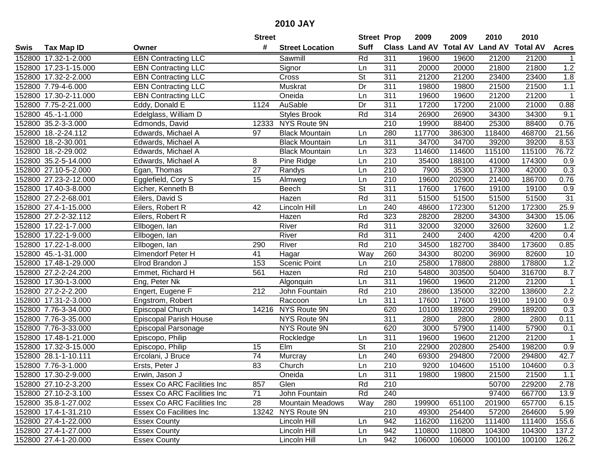|      |                       |                             | <b>Street</b>   |                         | <b>Street Prop</b>       |                  | 2009          | 2009            | 2010           | 2010            |                |
|------|-----------------------|-----------------------------|-----------------|-------------------------|--------------------------|------------------|---------------|-----------------|----------------|-----------------|----------------|
| Swis | <b>Tax Map ID</b>     | Owner                       | #               | <b>Street Location</b>  | <b>Suff</b>              |                  | Class Land AV | <b>Total AV</b> | <b>Land AV</b> | <b>Total AV</b> | <b>Acres</b>   |
|      | 152800 17.32-1-2.000  | <b>EBN Contracting LLC</b>  |                 | Sawmill                 | Rd                       | 311              | 19600         | 19600           | 21200          | 21200           |                |
|      | 152800 17.23-1-15.000 | <b>EBN Contracting LLC</b>  |                 | Signor                  | Ln                       | 311              | 20000         | 20000           | 21800          | 21800           | 1.2            |
|      | 152800 17.32-2-2.000  | <b>EBN Contracting LLC</b>  |                 | Cross                   | <b>St</b>                | 311              | 21200         | 21200           | 23400          | 23400           | 1.8            |
|      | 152800 7.79-4-6.000   | <b>EBN</b> Contracting LLC  |                 | Muskrat                 | Dr                       | 311              | 19800         | 19800           | 21500          | 21500           | 1.1            |
|      | 152800 17.30-2-11.000 | <b>EBN Contracting LLC</b>  |                 | Oneida                  | Ln                       | 311              | 19600         | 19600           | 21200          | 21200           | $\overline{1}$ |
|      | 152800 7.75-2-21.000  | Eddy, Donald E              | 1124            | <b>AuSable</b>          | Dr                       | 311              | 17200         | 17200           | 21000          | 21000           | 0.88           |
|      | 152800 45.-1-1.000    | Edelglass, William D        |                 | <b>Styles Brook</b>     | Rd                       | 314              | 26900         | 26900           | 34300          | 34300           | 9.1            |
|      | 152800 35.2-3-3.000   | Edmonds, David              |                 | 12333 NYS Route 9N      |                          | 210              | 19900         | 88400           | 25300          | 88400           | 0.76           |
|      | 152800 18.-2-24.112   | Edwards, Michael A          | 97              | <b>Black Mountain</b>   | Ln                       | 280              | 117700        | 386300          | 118400         | 468700          | 21.56          |
|      | 152800 18.-2-30.001   | Edwards, Michael A          |                 | <b>Black Mountain</b>   | Ln                       | $\overline{311}$ | 34700         | 34700           | 39200          | 39200           | 8.53           |
|      | 152800 18.-2-29.002   | Edwards, Michael A          |                 | <b>Black Mountain</b>   | Ln                       | 323              | 114600        | 114600          | 115100         | 115100          | 76.72          |
|      | 152800 35.2-5-14.000  | Edwards, Michael A          | 8               | Pine Ridge              | Ln                       | 210              | 35400         | 188100          | 41000          | 174300          | 0.9            |
|      | 152800 27.10-5-2.000  | Egan, Thomas                | $\overline{27}$ | Randys                  | Ln                       | 210              | 7900          | 35300           | 17300          | 42000           | 0.3            |
|      | 152800 27.23-2-12.000 | Egglefield, Cory S          | 15              | Almweg                  | Ln                       | 210              | 19600         | 202900          | 21400          | 186700          | 0.76           |
|      | 152800 17.40-3-8.000  | Eicher, Kenneth B           |                 | Beech                   | $\overline{\mathsf{St}}$ | 311              | 17600         | 17600           | 19100          | 19100           | 0.9            |
|      | 152800 27.2-2-68.001  | Eilers, David S             |                 | Hazen                   | Rd                       | 311              | 51500         | 51500           | 51500          | 51500           | 31             |
|      | 152800 27.4-1-15.000  | Eilers, Robert R            | 42              | Lincoln Hill            | Ln                       | 240              | 48600         | 172300          | 51200          | 172300          | 25.9           |
|      | 152800 27.2-2-32.112  | Eilers, Robert R            |                 | Hazen                   | Rd                       | 323              | 28200         | 28200           | 34300          | 34300           | 15.06          |
|      | 152800 17.22-1-7.000  | Ellbogen, Ian               |                 | River                   | Rd                       | 311              | 32000         | 32000           | 32600          | 32600           | 1.2            |
|      | 152800 17.22-1-9.000  | Ellbogen, Ian               |                 | River                   | Rd                       | 311              | 2400          | 2400            | 4200           | 4200            | 0.4            |
|      | 152800 17.22-1-8.000  | Ellbogen, Ian               | 290             | River                   | Rd                       | 210              | 34500         | 182700          | 38400          | 173600          | 0.85           |
|      | 152800 45.-1-31.000   | <b>Elmendorf Peter H</b>    | 41              | Hagar                   | Way                      | 260              | 34300         | 80200           | 36900          | 82600           | 10             |
|      | 152800 17.48-1-29.000 | Elrod Brandon J             | 153             | <b>Scenic Point</b>     | Ln                       | 210              | 25800         | 178800          | 28800          | 178800          | 1.2            |
|      | 152800 27.2-2-24.200  | Emmet, Richard H            | 561             | Hazen                   | Rd                       | 210              | 54800         | 303500          | 50400          | 316700          | 8.7            |
|      | 152800 17.30-1-3.000  | Eng, Peter Nk               |                 | Algonquin               | Ln                       | 311              | 19600         | 19600           | 21200          | 21200           | $\overline{1}$ |
|      | 152800 27.2-2-2.200   | Engert, Eugene F            | 212             | John Fountain           | Rd                       | 210              | 28600         | 135000          | 32200          | 138600          | 2.2            |
|      | 152800 17.31-2-3.000  | Engstrom, Robert            |                 | Raccoon                 | Ln                       | 311              | 17600         | 17600           | 19100          | 19100           | 0.9            |
|      | 152800 7.76-3-34.000  | Episcopal Church            |                 | 14216 NYS Route 9N      |                          | 620              | 10100         | 189200          | 29900          | 189200          | 0.3            |
|      | 152800 7.76-3-35.000  | Episcopal Parish House      |                 | NYS Route 9N            |                          | $\overline{311}$ | 2800          | 2800            | 2800           | 2800            | 0.11           |
|      | 152800 7.76-3-33.000  | Episcopal Parsonage         |                 | NYS Route 9N            |                          | 620              | 3000          | 57900           | 11400          | 57900           | 0.1            |
|      | 152800 17.48-1-21.000 | Episcopo, Philip            |                 | Rockledge               | Ln                       | $\overline{311}$ | 19600         | 19600           | 21200          | 21200           | $\overline{1}$ |
|      | 152800 17.32-3-15.000 | Episcopo, Philip            | 15              | Elm                     | $\overline{\mathsf{St}}$ | 210              | 22900         | 202800          | 25400          | 198200          | 0.9            |
|      | 152800 28.1-1-10.111  | Ercolani, J Bruce           | 74              | Murcray                 | Ln                       | 240              | 69300         | 294800          | 72000          | 294800          | 42.7           |
|      | 152800 7.76-3-1.000   | Ersts, Peter J              | 83              | Church                  | Ln                       | $\overline{210}$ | 9200          | 104600          | 15100          | 104600          | 0.3            |
|      | 152800 17.30-2-9.000  | Erwin, Jason J              |                 | Oneida                  | Ln                       | 311              | 19800         | 19800           | 21500          | 21500           | 1.1            |
|      | 152800 27.10-2-3.200  | Essex Co ARC Facilities Inc | 857             | Glen                    | Rd                       | 210              |               |                 | 50700          | 229200          | 2.78           |
|      | 152800 27.10-2-3.100  | Essex Co ARC Facilities Inc | 71              | John Fountain           | Rd                       | 240              |               |                 | 97400          | 667700          | 13.9           |
|      | 152800 35.8-1-27.002  | Essex Co ARC Facilities Inc | 28              | <b>Mountain Meadows</b> | Way                      | 280              | 199900        | 651100          | 201900         | 657700          | 6.15           |
|      | 152800 17.4-1-31.210  | Essex Co Facilities Inc     |                 | 13242 NYS Route 9N      |                          | 210              | 49300         | 254400          | 57200          | 264600          | 5.99           |
|      | 152800 27.4-1-22.000  | <b>Essex County</b>         |                 | Lincoln Hill            | Ln                       | 942              | 116200        | 116200          | 111400         | 111400          | 155.6          |
|      | 152800 27.4-1-27.000  | <b>Essex County</b>         |                 | Lincoln Hill            | Ln                       | 942              | 110800        | 110800          | 104300         | 104300          | 137.2          |
|      | 152800 27.4-1-20.000  | <b>Essex County</b>         |                 | Lincoln Hill            | Ln                       | 942              | 106000        | 106000          | 100100         | 100100          | 126.2          |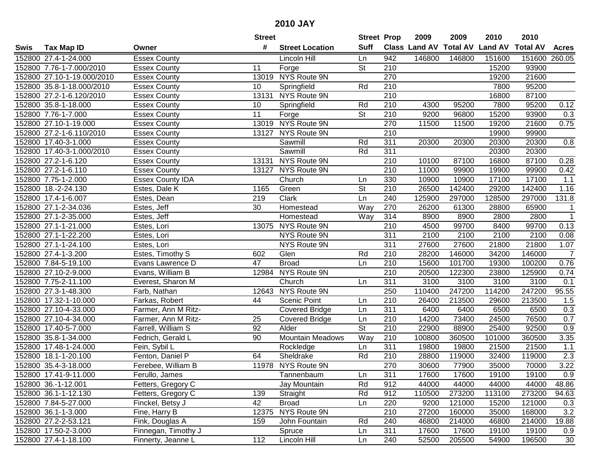| #<br><b>Suff</b><br><b>Class Land AV Total AV</b><br><b>Land AV</b><br><b>Total AV</b><br><b>Tax Map ID</b><br><b>Street Location</b><br><b>Acres</b><br>Owner<br><b>Essex County</b><br>152800 27.4-1-24.000<br>Lincoln Hill<br>942<br>146800<br>146800<br>151600<br>151600<br>260.05<br>Ln<br><b>St</b><br>210<br>93900<br>152800 7.76-1-7.000/2010<br>Forge<br>15200<br><b>Essex County</b><br>11<br>13019 NYS Route 9N<br>270<br>21600<br>152800 27.10-1-19.000/2010<br>19200<br><b>Essex County</b><br>95200<br>Rd<br>210<br>152800 35.8-1-18.000/2010<br><b>Essex County</b><br>10<br>Springfield<br>7800<br>$\overline{210}$<br>87100<br>152800 27.2-1-6.120/2010<br>13131 NYS Route 9N<br><b>Essex County</b><br>16800<br>$\overline{210}$<br>95200<br>0.12<br>152800 35.8-1-18.000<br><b>Essex County</b><br>Springfield<br>Rd<br>4300<br>95200<br>7800<br>10<br>152800 7.76-1-7.000<br><b>St</b><br>210<br>9200<br>15200<br>93900<br>0.3<br><b>Essex County</b><br>11<br>Forge<br>96800<br>13019 NYS Route 9N<br>270<br>152800 27.10-1-19.000<br>11500<br>21600<br>0.75<br><b>Essex County</b><br>11500<br>19200<br>210<br>152800 27.2-1-6.110/2010<br>13127 NYS Route 9N<br><b>Essex County</b><br>19900<br>99900<br>$\overline{311}$<br>152800 17.40-3-1.000<br>20300<br>$0.8\,$<br><b>Essex County</b><br>Sawmill<br>Rd<br>20300<br>20300<br>20300<br>152800 17.40-3-1.000/2010<br>Sawmill<br>311<br>20300<br>20300<br><b>Essex County</b><br>Rd<br>152800 27.2-1-6.120<br>13131 NYS Route 9N<br><b>Essex County</b><br>210<br>87100<br>16800<br>87100<br>0.28<br>10100<br>13127 NYS Route 9N<br>152800 27.2-1-6.110<br>210<br>11000<br>19900<br>99900<br>0.42<br><b>Essex County</b><br>99900<br>330<br>152800 7.75-1-2.000<br><b>Essex County IDA</b><br>Church<br>10900<br>10900<br>17100<br>17100<br>1.1<br>Ln<br>St<br>210<br>142400<br>1.16<br>152800 18.-2-24.130<br>1165<br>Green<br>26500<br>29200<br>142400<br>Estes, Dale K<br>240<br>Clark<br>Ln<br>125900<br>297000<br>128500<br>297000<br>131.8<br>152800 17.4-1-6.007<br>Estes, Dean<br>219<br>30<br>Way<br>270<br>26200<br>65900<br>152800 27.1-2-34.036<br>61300<br>28800<br>Estes, Jeff<br>Homestead<br>$\mathbf{1}$<br>152800 27.1-2-35.000<br>Way<br>314<br>8900<br>8900<br>2800<br>2800<br>$\overline{1}$<br>Estes, Jeff<br>Homestead<br>0.13<br>13075 NYS Route 9N<br>4500<br>152800 27.1-1-21.000<br>210<br>99700<br>8400<br>99700<br>Estes, Lori<br>152800 27.1-1-22.200<br>NYS Route 9N<br>311<br>2100<br>2100<br>2100<br>2100<br>0.08<br>Estes, Lori<br>$\overline{311}$<br>152800 27.1-1-24.100<br>NYS Route 9N<br>27600<br>27600<br>21800<br>21800<br>1.07<br>Estes, Lori<br>210<br>28200<br>$\overline{7}$<br>152800 27.4-1-3.200<br>Estes, Timothy S<br>602<br>Glen<br>Rd<br>146000<br>34200<br>146000<br>47<br>210<br>15600<br>0.76<br>152800 7.84-5-19.100<br><b>Broad</b><br>Ln<br>101700<br>19300<br>100200<br>Evans Lawrence D<br>NYS Route 9N<br>210<br>152800 27.10-2-9.000<br>Evans, William B<br>12984<br>20500<br>122300<br>23800<br>125900<br>0.74<br>$\overline{311}$<br>152800 7.75-2-11.100<br>Church<br>3100<br>3100<br>3100<br>3100<br>0.1<br>Everest, Sharon M<br>Ln<br>12643 NYS Route 9N<br>250<br>247200<br>247200<br>152800 27.3-1-48.300<br>110400<br>114200<br>95.55<br>Farb, Nathan<br>210<br>26400<br>213500<br>213500<br>152800 17.32-1-10.000<br>Farkas, Robert<br>44<br>Scenic Point<br>29600<br>1.5<br>Ln<br>152800 27.10-4-33.000<br>311<br>0.3<br>Farmer, Ann M Ritz-<br><b>Covered Bridge</b><br>6400<br>6400<br>6500<br>6500<br>Ln<br>210<br>76500<br>0.7<br>152800 27.10-4-34.000<br>25<br>14200<br>73400<br>24500<br>Farmer, Ann M Ritz-<br><b>Covered Bridge</b><br>Ln<br>92<br>$\overline{\mathsf{St}}$<br>$\overline{210}$<br>22900<br>25400<br>92500<br>0.9<br>152800 17.40-5-7.000<br>Farrell, William S<br>Alder<br>88900<br>Way<br>152800 35.8-1-34.000<br>90<br><b>Mountain Meadows</b><br>210<br>360500<br>360500<br>3.35<br>Fedrich, Gerald L<br>100800<br>101000<br>152800 17.48-1-24.000<br>311<br>19800<br>21500<br>21500<br>Fein, Sybil L<br>Ln<br>19800<br>1.1<br>Rockledge<br>2.3<br>152800 18.1-1-20.100<br>Rd<br>$\overline{210}$<br>32400<br>Fenton, Daniel P<br>64<br>Sheldrake<br>28800<br>119000<br>119000<br>3.22<br>270<br>152800 35.4-3-18.000<br>11978 NYS Route 9N<br>30600<br>77900<br>35000<br>70000<br>Ferebee, William B<br>152800 17.41-9-11.000<br>Ferullo, James<br>Tannenbaum<br>Ln<br>311<br>17600<br>17600<br>19100<br>19100<br>0.9<br>152800 36.-1-12.001<br>Fetters, Gregory C<br>Rd<br>912<br>44000<br>44000<br>44000<br>44000<br>48.86<br>Jay Mountain<br>Rd<br>912<br>110500<br>273200<br>113100<br>273200<br>152800 36.1-1-12.130<br>Fetters, Gregory C<br>139<br>Straight<br>94.63<br>42<br><b>Broad</b><br>220<br>9200<br>121000<br>15200<br>121000<br>152800 7.84-5-27.000<br>Finckel, Betsy J<br>Ln<br>0.3<br>Fine, Harry B<br>12375 NYS Route 9N<br>210<br>27200<br>3.2<br>152800 36.1-1-3.000<br>160000<br>35000<br>168000<br>Rd<br>240<br>46800<br>152800 27.2-2-53.121<br>Fink, Douglas A<br>159<br>John Fountain<br>214000<br>46800<br>214000<br>19.88<br>152800 17.50-2-3.000<br>Finnegan, Timothy J<br>311<br>17600<br>17600<br>19100<br>19100<br>Spruce<br>Ln<br>0.9<br>152800 27.4-1-18.100 |      |                    | <b>Street</b> |              | <b>Street Prop</b> |     | 2009  | 2009   | 2010  | 2010   |    |
|-----------------------------------------------------------------------------------------------------------------------------------------------------------------------------------------------------------------------------------------------------------------------------------------------------------------------------------------------------------------------------------------------------------------------------------------------------------------------------------------------------------------------------------------------------------------------------------------------------------------------------------------------------------------------------------------------------------------------------------------------------------------------------------------------------------------------------------------------------------------------------------------------------------------------------------------------------------------------------------------------------------------------------------------------------------------------------------------------------------------------------------------------------------------------------------------------------------------------------------------------------------------------------------------------------------------------------------------------------------------------------------------------------------------------------------------------------------------------------------------------------------------------------------------------------------------------------------------------------------------------------------------------------------------------------------------------------------------------------------------------------------------------------------------------------------------------------------------------------------------------------------------------------------------------------------------------------------------------------------------------------------------------------------------------------------------------------------------------------------------------------------------------------------------------------------------------------------------------------------------------------------------------------------------------------------------------------------------------------------------------------------------------------------------------------------------------------------------------------------------------------------------------------------------------------------------------------------------------------------------------------------------------------------------------------------------------------------------------------------------------------------------------------------------------------------------------------------------------------------------------------------------------------------------------------------------------------------------------------------------------------------------------------------------------------------------------------------------------------------------------------------------------------------------------------------------------------------------------------------------------------------------------------------------------------------------------------------------------------------------------------------------------------------------------------------------------------------------------------------------------------------------------------------------------------------------------------------------------------------------------------------------------------------------------------------------------------------------------------------------------------------------------------------------------------------------------------------------------------------------------------------------------------------------------------------------------------------------------------------------------------------------------------------------------------------------------------------------------------------------------------------------------------------------------------------------------------------------------------------------------------------------------------------------------------------------------------------------------------------------------------------------------------------------------------------------------------------------------------------------------------------------------------------------------------------------------------------------------------------------------------------------------------------------------------------------------------------------------------------------------------------------------------------------------------------------------------------------------------------------------------------------------------------------------------------------------------------------------------------------------------------------------------------------------------------------------------------------------------------------------------------------------------------------------------------------------------------------------------------------------------------------------------------|------|--------------------|---------------|--------------|--------------------|-----|-------|--------|-------|--------|----|
|                                                                                                                                                                                                                                                                                                                                                                                                                                                                                                                                                                                                                                                                                                                                                                                                                                                                                                                                                                                                                                                                                                                                                                                                                                                                                                                                                                                                                                                                                                                                                                                                                                                                                                                                                                                                                                                                                                                                                                                                                                                                                                                                                                                                                                                                                                                                                                                                                                                                                                                                                                                                                                                                                                                                                                                                                                                                                                                                                                                                                                                                                                                                                                                                                                                                                                                                                                                                                                                                                                                                                                                                                                                                                                                                                                                                                                                                                                                                                                                                                                                                                                                                                                                                                                                                                                                                                                                                                                                                                                                                                                                                                                                                                                                                                                                                                                                                                                                                                                                                                                                                                                                                                                                                                                                                                   | Swis |                    |               |              |                    |     |       |        |       |        |    |
|                                                                                                                                                                                                                                                                                                                                                                                                                                                                                                                                                                                                                                                                                                                                                                                                                                                                                                                                                                                                                                                                                                                                                                                                                                                                                                                                                                                                                                                                                                                                                                                                                                                                                                                                                                                                                                                                                                                                                                                                                                                                                                                                                                                                                                                                                                                                                                                                                                                                                                                                                                                                                                                                                                                                                                                                                                                                                                                                                                                                                                                                                                                                                                                                                                                                                                                                                                                                                                                                                                                                                                                                                                                                                                                                                                                                                                                                                                                                                                                                                                                                                                                                                                                                                                                                                                                                                                                                                                                                                                                                                                                                                                                                                                                                                                                                                                                                                                                                                                                                                                                                                                                                                                                                                                                                                   |      |                    |               |              |                    |     |       |        |       |        |    |
|                                                                                                                                                                                                                                                                                                                                                                                                                                                                                                                                                                                                                                                                                                                                                                                                                                                                                                                                                                                                                                                                                                                                                                                                                                                                                                                                                                                                                                                                                                                                                                                                                                                                                                                                                                                                                                                                                                                                                                                                                                                                                                                                                                                                                                                                                                                                                                                                                                                                                                                                                                                                                                                                                                                                                                                                                                                                                                                                                                                                                                                                                                                                                                                                                                                                                                                                                                                                                                                                                                                                                                                                                                                                                                                                                                                                                                                                                                                                                                                                                                                                                                                                                                                                                                                                                                                                                                                                                                                                                                                                                                                                                                                                                                                                                                                                                                                                                                                                                                                                                                                                                                                                                                                                                                                                                   |      |                    |               |              |                    |     |       |        |       |        |    |
|                                                                                                                                                                                                                                                                                                                                                                                                                                                                                                                                                                                                                                                                                                                                                                                                                                                                                                                                                                                                                                                                                                                                                                                                                                                                                                                                                                                                                                                                                                                                                                                                                                                                                                                                                                                                                                                                                                                                                                                                                                                                                                                                                                                                                                                                                                                                                                                                                                                                                                                                                                                                                                                                                                                                                                                                                                                                                                                                                                                                                                                                                                                                                                                                                                                                                                                                                                                                                                                                                                                                                                                                                                                                                                                                                                                                                                                                                                                                                                                                                                                                                                                                                                                                                                                                                                                                                                                                                                                                                                                                                                                                                                                                                                                                                                                                                                                                                                                                                                                                                                                                                                                                                                                                                                                                                   |      |                    |               |              |                    |     |       |        |       |        |    |
|                                                                                                                                                                                                                                                                                                                                                                                                                                                                                                                                                                                                                                                                                                                                                                                                                                                                                                                                                                                                                                                                                                                                                                                                                                                                                                                                                                                                                                                                                                                                                                                                                                                                                                                                                                                                                                                                                                                                                                                                                                                                                                                                                                                                                                                                                                                                                                                                                                                                                                                                                                                                                                                                                                                                                                                                                                                                                                                                                                                                                                                                                                                                                                                                                                                                                                                                                                                                                                                                                                                                                                                                                                                                                                                                                                                                                                                                                                                                                                                                                                                                                                                                                                                                                                                                                                                                                                                                                                                                                                                                                                                                                                                                                                                                                                                                                                                                                                                                                                                                                                                                                                                                                                                                                                                                                   |      |                    |               |              |                    |     |       |        |       |        |    |
|                                                                                                                                                                                                                                                                                                                                                                                                                                                                                                                                                                                                                                                                                                                                                                                                                                                                                                                                                                                                                                                                                                                                                                                                                                                                                                                                                                                                                                                                                                                                                                                                                                                                                                                                                                                                                                                                                                                                                                                                                                                                                                                                                                                                                                                                                                                                                                                                                                                                                                                                                                                                                                                                                                                                                                                                                                                                                                                                                                                                                                                                                                                                                                                                                                                                                                                                                                                                                                                                                                                                                                                                                                                                                                                                                                                                                                                                                                                                                                                                                                                                                                                                                                                                                                                                                                                                                                                                                                                                                                                                                                                                                                                                                                                                                                                                                                                                                                                                                                                                                                                                                                                                                                                                                                                                                   |      |                    |               |              |                    |     |       |        |       |        |    |
|                                                                                                                                                                                                                                                                                                                                                                                                                                                                                                                                                                                                                                                                                                                                                                                                                                                                                                                                                                                                                                                                                                                                                                                                                                                                                                                                                                                                                                                                                                                                                                                                                                                                                                                                                                                                                                                                                                                                                                                                                                                                                                                                                                                                                                                                                                                                                                                                                                                                                                                                                                                                                                                                                                                                                                                                                                                                                                                                                                                                                                                                                                                                                                                                                                                                                                                                                                                                                                                                                                                                                                                                                                                                                                                                                                                                                                                                                                                                                                                                                                                                                                                                                                                                                                                                                                                                                                                                                                                                                                                                                                                                                                                                                                                                                                                                                                                                                                                                                                                                                                                                                                                                                                                                                                                                                   |      |                    |               |              |                    |     |       |        |       |        |    |
|                                                                                                                                                                                                                                                                                                                                                                                                                                                                                                                                                                                                                                                                                                                                                                                                                                                                                                                                                                                                                                                                                                                                                                                                                                                                                                                                                                                                                                                                                                                                                                                                                                                                                                                                                                                                                                                                                                                                                                                                                                                                                                                                                                                                                                                                                                                                                                                                                                                                                                                                                                                                                                                                                                                                                                                                                                                                                                                                                                                                                                                                                                                                                                                                                                                                                                                                                                                                                                                                                                                                                                                                                                                                                                                                                                                                                                                                                                                                                                                                                                                                                                                                                                                                                                                                                                                                                                                                                                                                                                                                                                                                                                                                                                                                                                                                                                                                                                                                                                                                                                                                                                                                                                                                                                                                                   |      |                    |               |              |                    |     |       |        |       |        |    |
|                                                                                                                                                                                                                                                                                                                                                                                                                                                                                                                                                                                                                                                                                                                                                                                                                                                                                                                                                                                                                                                                                                                                                                                                                                                                                                                                                                                                                                                                                                                                                                                                                                                                                                                                                                                                                                                                                                                                                                                                                                                                                                                                                                                                                                                                                                                                                                                                                                                                                                                                                                                                                                                                                                                                                                                                                                                                                                                                                                                                                                                                                                                                                                                                                                                                                                                                                                                                                                                                                                                                                                                                                                                                                                                                                                                                                                                                                                                                                                                                                                                                                                                                                                                                                                                                                                                                                                                                                                                                                                                                                                                                                                                                                                                                                                                                                                                                                                                                                                                                                                                                                                                                                                                                                                                                                   |      |                    |               |              |                    |     |       |        |       |        |    |
|                                                                                                                                                                                                                                                                                                                                                                                                                                                                                                                                                                                                                                                                                                                                                                                                                                                                                                                                                                                                                                                                                                                                                                                                                                                                                                                                                                                                                                                                                                                                                                                                                                                                                                                                                                                                                                                                                                                                                                                                                                                                                                                                                                                                                                                                                                                                                                                                                                                                                                                                                                                                                                                                                                                                                                                                                                                                                                                                                                                                                                                                                                                                                                                                                                                                                                                                                                                                                                                                                                                                                                                                                                                                                                                                                                                                                                                                                                                                                                                                                                                                                                                                                                                                                                                                                                                                                                                                                                                                                                                                                                                                                                                                                                                                                                                                                                                                                                                                                                                                                                                                                                                                                                                                                                                                                   |      |                    |               |              |                    |     |       |        |       |        |    |
|                                                                                                                                                                                                                                                                                                                                                                                                                                                                                                                                                                                                                                                                                                                                                                                                                                                                                                                                                                                                                                                                                                                                                                                                                                                                                                                                                                                                                                                                                                                                                                                                                                                                                                                                                                                                                                                                                                                                                                                                                                                                                                                                                                                                                                                                                                                                                                                                                                                                                                                                                                                                                                                                                                                                                                                                                                                                                                                                                                                                                                                                                                                                                                                                                                                                                                                                                                                                                                                                                                                                                                                                                                                                                                                                                                                                                                                                                                                                                                                                                                                                                                                                                                                                                                                                                                                                                                                                                                                                                                                                                                                                                                                                                                                                                                                                                                                                                                                                                                                                                                                                                                                                                                                                                                                                                   |      |                    |               |              |                    |     |       |        |       |        |    |
|                                                                                                                                                                                                                                                                                                                                                                                                                                                                                                                                                                                                                                                                                                                                                                                                                                                                                                                                                                                                                                                                                                                                                                                                                                                                                                                                                                                                                                                                                                                                                                                                                                                                                                                                                                                                                                                                                                                                                                                                                                                                                                                                                                                                                                                                                                                                                                                                                                                                                                                                                                                                                                                                                                                                                                                                                                                                                                                                                                                                                                                                                                                                                                                                                                                                                                                                                                                                                                                                                                                                                                                                                                                                                                                                                                                                                                                                                                                                                                                                                                                                                                                                                                                                                                                                                                                                                                                                                                                                                                                                                                                                                                                                                                                                                                                                                                                                                                                                                                                                                                                                                                                                                                                                                                                                                   |      |                    |               |              |                    |     |       |        |       |        |    |
|                                                                                                                                                                                                                                                                                                                                                                                                                                                                                                                                                                                                                                                                                                                                                                                                                                                                                                                                                                                                                                                                                                                                                                                                                                                                                                                                                                                                                                                                                                                                                                                                                                                                                                                                                                                                                                                                                                                                                                                                                                                                                                                                                                                                                                                                                                                                                                                                                                                                                                                                                                                                                                                                                                                                                                                                                                                                                                                                                                                                                                                                                                                                                                                                                                                                                                                                                                                                                                                                                                                                                                                                                                                                                                                                                                                                                                                                                                                                                                                                                                                                                                                                                                                                                                                                                                                                                                                                                                                                                                                                                                                                                                                                                                                                                                                                                                                                                                                                                                                                                                                                                                                                                                                                                                                                                   |      |                    |               |              |                    |     |       |        |       |        |    |
|                                                                                                                                                                                                                                                                                                                                                                                                                                                                                                                                                                                                                                                                                                                                                                                                                                                                                                                                                                                                                                                                                                                                                                                                                                                                                                                                                                                                                                                                                                                                                                                                                                                                                                                                                                                                                                                                                                                                                                                                                                                                                                                                                                                                                                                                                                                                                                                                                                                                                                                                                                                                                                                                                                                                                                                                                                                                                                                                                                                                                                                                                                                                                                                                                                                                                                                                                                                                                                                                                                                                                                                                                                                                                                                                                                                                                                                                                                                                                                                                                                                                                                                                                                                                                                                                                                                                                                                                                                                                                                                                                                                                                                                                                                                                                                                                                                                                                                                                                                                                                                                                                                                                                                                                                                                                                   |      |                    |               |              |                    |     |       |        |       |        |    |
|                                                                                                                                                                                                                                                                                                                                                                                                                                                                                                                                                                                                                                                                                                                                                                                                                                                                                                                                                                                                                                                                                                                                                                                                                                                                                                                                                                                                                                                                                                                                                                                                                                                                                                                                                                                                                                                                                                                                                                                                                                                                                                                                                                                                                                                                                                                                                                                                                                                                                                                                                                                                                                                                                                                                                                                                                                                                                                                                                                                                                                                                                                                                                                                                                                                                                                                                                                                                                                                                                                                                                                                                                                                                                                                                                                                                                                                                                                                                                                                                                                                                                                                                                                                                                                                                                                                                                                                                                                                                                                                                                                                                                                                                                                                                                                                                                                                                                                                                                                                                                                                                                                                                                                                                                                                                                   |      |                    |               |              |                    |     |       |        |       |        |    |
|                                                                                                                                                                                                                                                                                                                                                                                                                                                                                                                                                                                                                                                                                                                                                                                                                                                                                                                                                                                                                                                                                                                                                                                                                                                                                                                                                                                                                                                                                                                                                                                                                                                                                                                                                                                                                                                                                                                                                                                                                                                                                                                                                                                                                                                                                                                                                                                                                                                                                                                                                                                                                                                                                                                                                                                                                                                                                                                                                                                                                                                                                                                                                                                                                                                                                                                                                                                                                                                                                                                                                                                                                                                                                                                                                                                                                                                                                                                                                                                                                                                                                                                                                                                                                                                                                                                                                                                                                                                                                                                                                                                                                                                                                                                                                                                                                                                                                                                                                                                                                                                                                                                                                                                                                                                                                   |      |                    |               |              |                    |     |       |        |       |        |    |
|                                                                                                                                                                                                                                                                                                                                                                                                                                                                                                                                                                                                                                                                                                                                                                                                                                                                                                                                                                                                                                                                                                                                                                                                                                                                                                                                                                                                                                                                                                                                                                                                                                                                                                                                                                                                                                                                                                                                                                                                                                                                                                                                                                                                                                                                                                                                                                                                                                                                                                                                                                                                                                                                                                                                                                                                                                                                                                                                                                                                                                                                                                                                                                                                                                                                                                                                                                                                                                                                                                                                                                                                                                                                                                                                                                                                                                                                                                                                                                                                                                                                                                                                                                                                                                                                                                                                                                                                                                                                                                                                                                                                                                                                                                                                                                                                                                                                                                                                                                                                                                                                                                                                                                                                                                                                                   |      |                    |               |              |                    |     |       |        |       |        |    |
|                                                                                                                                                                                                                                                                                                                                                                                                                                                                                                                                                                                                                                                                                                                                                                                                                                                                                                                                                                                                                                                                                                                                                                                                                                                                                                                                                                                                                                                                                                                                                                                                                                                                                                                                                                                                                                                                                                                                                                                                                                                                                                                                                                                                                                                                                                                                                                                                                                                                                                                                                                                                                                                                                                                                                                                                                                                                                                                                                                                                                                                                                                                                                                                                                                                                                                                                                                                                                                                                                                                                                                                                                                                                                                                                                                                                                                                                                                                                                                                                                                                                                                                                                                                                                                                                                                                                                                                                                                                                                                                                                                                                                                                                                                                                                                                                                                                                                                                                                                                                                                                                                                                                                                                                                                                                                   |      |                    |               |              |                    |     |       |        |       |        |    |
|                                                                                                                                                                                                                                                                                                                                                                                                                                                                                                                                                                                                                                                                                                                                                                                                                                                                                                                                                                                                                                                                                                                                                                                                                                                                                                                                                                                                                                                                                                                                                                                                                                                                                                                                                                                                                                                                                                                                                                                                                                                                                                                                                                                                                                                                                                                                                                                                                                                                                                                                                                                                                                                                                                                                                                                                                                                                                                                                                                                                                                                                                                                                                                                                                                                                                                                                                                                                                                                                                                                                                                                                                                                                                                                                                                                                                                                                                                                                                                                                                                                                                                                                                                                                                                                                                                                                                                                                                                                                                                                                                                                                                                                                                                                                                                                                                                                                                                                                                                                                                                                                                                                                                                                                                                                                                   |      |                    |               |              |                    |     |       |        |       |        |    |
|                                                                                                                                                                                                                                                                                                                                                                                                                                                                                                                                                                                                                                                                                                                                                                                                                                                                                                                                                                                                                                                                                                                                                                                                                                                                                                                                                                                                                                                                                                                                                                                                                                                                                                                                                                                                                                                                                                                                                                                                                                                                                                                                                                                                                                                                                                                                                                                                                                                                                                                                                                                                                                                                                                                                                                                                                                                                                                                                                                                                                                                                                                                                                                                                                                                                                                                                                                                                                                                                                                                                                                                                                                                                                                                                                                                                                                                                                                                                                                                                                                                                                                                                                                                                                                                                                                                                                                                                                                                                                                                                                                                                                                                                                                                                                                                                                                                                                                                                                                                                                                                                                                                                                                                                                                                                                   |      |                    |               |              |                    |     |       |        |       |        |    |
|                                                                                                                                                                                                                                                                                                                                                                                                                                                                                                                                                                                                                                                                                                                                                                                                                                                                                                                                                                                                                                                                                                                                                                                                                                                                                                                                                                                                                                                                                                                                                                                                                                                                                                                                                                                                                                                                                                                                                                                                                                                                                                                                                                                                                                                                                                                                                                                                                                                                                                                                                                                                                                                                                                                                                                                                                                                                                                                                                                                                                                                                                                                                                                                                                                                                                                                                                                                                                                                                                                                                                                                                                                                                                                                                                                                                                                                                                                                                                                                                                                                                                                                                                                                                                                                                                                                                                                                                                                                                                                                                                                                                                                                                                                                                                                                                                                                                                                                                                                                                                                                                                                                                                                                                                                                                                   |      |                    |               |              |                    |     |       |        |       |        |    |
|                                                                                                                                                                                                                                                                                                                                                                                                                                                                                                                                                                                                                                                                                                                                                                                                                                                                                                                                                                                                                                                                                                                                                                                                                                                                                                                                                                                                                                                                                                                                                                                                                                                                                                                                                                                                                                                                                                                                                                                                                                                                                                                                                                                                                                                                                                                                                                                                                                                                                                                                                                                                                                                                                                                                                                                                                                                                                                                                                                                                                                                                                                                                                                                                                                                                                                                                                                                                                                                                                                                                                                                                                                                                                                                                                                                                                                                                                                                                                                                                                                                                                                                                                                                                                                                                                                                                                                                                                                                                                                                                                                                                                                                                                                                                                                                                                                                                                                                                                                                                                                                                                                                                                                                                                                                                                   |      |                    |               |              |                    |     |       |        |       |        |    |
|                                                                                                                                                                                                                                                                                                                                                                                                                                                                                                                                                                                                                                                                                                                                                                                                                                                                                                                                                                                                                                                                                                                                                                                                                                                                                                                                                                                                                                                                                                                                                                                                                                                                                                                                                                                                                                                                                                                                                                                                                                                                                                                                                                                                                                                                                                                                                                                                                                                                                                                                                                                                                                                                                                                                                                                                                                                                                                                                                                                                                                                                                                                                                                                                                                                                                                                                                                                                                                                                                                                                                                                                                                                                                                                                                                                                                                                                                                                                                                                                                                                                                                                                                                                                                                                                                                                                                                                                                                                                                                                                                                                                                                                                                                                                                                                                                                                                                                                                                                                                                                                                                                                                                                                                                                                                                   |      |                    |               |              |                    |     |       |        |       |        |    |
|                                                                                                                                                                                                                                                                                                                                                                                                                                                                                                                                                                                                                                                                                                                                                                                                                                                                                                                                                                                                                                                                                                                                                                                                                                                                                                                                                                                                                                                                                                                                                                                                                                                                                                                                                                                                                                                                                                                                                                                                                                                                                                                                                                                                                                                                                                                                                                                                                                                                                                                                                                                                                                                                                                                                                                                                                                                                                                                                                                                                                                                                                                                                                                                                                                                                                                                                                                                                                                                                                                                                                                                                                                                                                                                                                                                                                                                                                                                                                                                                                                                                                                                                                                                                                                                                                                                                                                                                                                                                                                                                                                                                                                                                                                                                                                                                                                                                                                                                                                                                                                                                                                                                                                                                                                                                                   |      |                    |               |              |                    |     |       |        |       |        |    |
|                                                                                                                                                                                                                                                                                                                                                                                                                                                                                                                                                                                                                                                                                                                                                                                                                                                                                                                                                                                                                                                                                                                                                                                                                                                                                                                                                                                                                                                                                                                                                                                                                                                                                                                                                                                                                                                                                                                                                                                                                                                                                                                                                                                                                                                                                                                                                                                                                                                                                                                                                                                                                                                                                                                                                                                                                                                                                                                                                                                                                                                                                                                                                                                                                                                                                                                                                                                                                                                                                                                                                                                                                                                                                                                                                                                                                                                                                                                                                                                                                                                                                                                                                                                                                                                                                                                                                                                                                                                                                                                                                                                                                                                                                                                                                                                                                                                                                                                                                                                                                                                                                                                                                                                                                                                                                   |      |                    |               |              |                    |     |       |        |       |        |    |
|                                                                                                                                                                                                                                                                                                                                                                                                                                                                                                                                                                                                                                                                                                                                                                                                                                                                                                                                                                                                                                                                                                                                                                                                                                                                                                                                                                                                                                                                                                                                                                                                                                                                                                                                                                                                                                                                                                                                                                                                                                                                                                                                                                                                                                                                                                                                                                                                                                                                                                                                                                                                                                                                                                                                                                                                                                                                                                                                                                                                                                                                                                                                                                                                                                                                                                                                                                                                                                                                                                                                                                                                                                                                                                                                                                                                                                                                                                                                                                                                                                                                                                                                                                                                                                                                                                                                                                                                                                                                                                                                                                                                                                                                                                                                                                                                                                                                                                                                                                                                                                                                                                                                                                                                                                                                                   |      |                    |               |              |                    |     |       |        |       |        |    |
|                                                                                                                                                                                                                                                                                                                                                                                                                                                                                                                                                                                                                                                                                                                                                                                                                                                                                                                                                                                                                                                                                                                                                                                                                                                                                                                                                                                                                                                                                                                                                                                                                                                                                                                                                                                                                                                                                                                                                                                                                                                                                                                                                                                                                                                                                                                                                                                                                                                                                                                                                                                                                                                                                                                                                                                                                                                                                                                                                                                                                                                                                                                                                                                                                                                                                                                                                                                                                                                                                                                                                                                                                                                                                                                                                                                                                                                                                                                                                                                                                                                                                                                                                                                                                                                                                                                                                                                                                                                                                                                                                                                                                                                                                                                                                                                                                                                                                                                                                                                                                                                                                                                                                                                                                                                                                   |      |                    |               |              |                    |     |       |        |       |        |    |
|                                                                                                                                                                                                                                                                                                                                                                                                                                                                                                                                                                                                                                                                                                                                                                                                                                                                                                                                                                                                                                                                                                                                                                                                                                                                                                                                                                                                                                                                                                                                                                                                                                                                                                                                                                                                                                                                                                                                                                                                                                                                                                                                                                                                                                                                                                                                                                                                                                                                                                                                                                                                                                                                                                                                                                                                                                                                                                                                                                                                                                                                                                                                                                                                                                                                                                                                                                                                                                                                                                                                                                                                                                                                                                                                                                                                                                                                                                                                                                                                                                                                                                                                                                                                                                                                                                                                                                                                                                                                                                                                                                                                                                                                                                                                                                                                                                                                                                                                                                                                                                                                                                                                                                                                                                                                                   |      |                    |               |              |                    |     |       |        |       |        |    |
|                                                                                                                                                                                                                                                                                                                                                                                                                                                                                                                                                                                                                                                                                                                                                                                                                                                                                                                                                                                                                                                                                                                                                                                                                                                                                                                                                                                                                                                                                                                                                                                                                                                                                                                                                                                                                                                                                                                                                                                                                                                                                                                                                                                                                                                                                                                                                                                                                                                                                                                                                                                                                                                                                                                                                                                                                                                                                                                                                                                                                                                                                                                                                                                                                                                                                                                                                                                                                                                                                                                                                                                                                                                                                                                                                                                                                                                                                                                                                                                                                                                                                                                                                                                                                                                                                                                                                                                                                                                                                                                                                                                                                                                                                                                                                                                                                                                                                                                                                                                                                                                                                                                                                                                                                                                                                   |      |                    |               |              |                    |     |       |        |       |        |    |
|                                                                                                                                                                                                                                                                                                                                                                                                                                                                                                                                                                                                                                                                                                                                                                                                                                                                                                                                                                                                                                                                                                                                                                                                                                                                                                                                                                                                                                                                                                                                                                                                                                                                                                                                                                                                                                                                                                                                                                                                                                                                                                                                                                                                                                                                                                                                                                                                                                                                                                                                                                                                                                                                                                                                                                                                                                                                                                                                                                                                                                                                                                                                                                                                                                                                                                                                                                                                                                                                                                                                                                                                                                                                                                                                                                                                                                                                                                                                                                                                                                                                                                                                                                                                                                                                                                                                                                                                                                                                                                                                                                                                                                                                                                                                                                                                                                                                                                                                                                                                                                                                                                                                                                                                                                                                                   |      |                    |               |              |                    |     |       |        |       |        |    |
|                                                                                                                                                                                                                                                                                                                                                                                                                                                                                                                                                                                                                                                                                                                                                                                                                                                                                                                                                                                                                                                                                                                                                                                                                                                                                                                                                                                                                                                                                                                                                                                                                                                                                                                                                                                                                                                                                                                                                                                                                                                                                                                                                                                                                                                                                                                                                                                                                                                                                                                                                                                                                                                                                                                                                                                                                                                                                                                                                                                                                                                                                                                                                                                                                                                                                                                                                                                                                                                                                                                                                                                                                                                                                                                                                                                                                                                                                                                                                                                                                                                                                                                                                                                                                                                                                                                                                                                                                                                                                                                                                                                                                                                                                                                                                                                                                                                                                                                                                                                                                                                                                                                                                                                                                                                                                   |      |                    |               |              |                    |     |       |        |       |        |    |
|                                                                                                                                                                                                                                                                                                                                                                                                                                                                                                                                                                                                                                                                                                                                                                                                                                                                                                                                                                                                                                                                                                                                                                                                                                                                                                                                                                                                                                                                                                                                                                                                                                                                                                                                                                                                                                                                                                                                                                                                                                                                                                                                                                                                                                                                                                                                                                                                                                                                                                                                                                                                                                                                                                                                                                                                                                                                                                                                                                                                                                                                                                                                                                                                                                                                                                                                                                                                                                                                                                                                                                                                                                                                                                                                                                                                                                                                                                                                                                                                                                                                                                                                                                                                                                                                                                                                                                                                                                                                                                                                                                                                                                                                                                                                                                                                                                                                                                                                                                                                                                                                                                                                                                                                                                                                                   |      |                    |               |              |                    |     |       |        |       |        |    |
|                                                                                                                                                                                                                                                                                                                                                                                                                                                                                                                                                                                                                                                                                                                                                                                                                                                                                                                                                                                                                                                                                                                                                                                                                                                                                                                                                                                                                                                                                                                                                                                                                                                                                                                                                                                                                                                                                                                                                                                                                                                                                                                                                                                                                                                                                                                                                                                                                                                                                                                                                                                                                                                                                                                                                                                                                                                                                                                                                                                                                                                                                                                                                                                                                                                                                                                                                                                                                                                                                                                                                                                                                                                                                                                                                                                                                                                                                                                                                                                                                                                                                                                                                                                                                                                                                                                                                                                                                                                                                                                                                                                                                                                                                                                                                                                                                                                                                                                                                                                                                                                                                                                                                                                                                                                                                   |      |                    |               |              |                    |     |       |        |       |        |    |
|                                                                                                                                                                                                                                                                                                                                                                                                                                                                                                                                                                                                                                                                                                                                                                                                                                                                                                                                                                                                                                                                                                                                                                                                                                                                                                                                                                                                                                                                                                                                                                                                                                                                                                                                                                                                                                                                                                                                                                                                                                                                                                                                                                                                                                                                                                                                                                                                                                                                                                                                                                                                                                                                                                                                                                                                                                                                                                                                                                                                                                                                                                                                                                                                                                                                                                                                                                                                                                                                                                                                                                                                                                                                                                                                                                                                                                                                                                                                                                                                                                                                                                                                                                                                                                                                                                                                                                                                                                                                                                                                                                                                                                                                                                                                                                                                                                                                                                                                                                                                                                                                                                                                                                                                                                                                                   |      |                    |               |              |                    |     |       |        |       |        |    |
|                                                                                                                                                                                                                                                                                                                                                                                                                                                                                                                                                                                                                                                                                                                                                                                                                                                                                                                                                                                                                                                                                                                                                                                                                                                                                                                                                                                                                                                                                                                                                                                                                                                                                                                                                                                                                                                                                                                                                                                                                                                                                                                                                                                                                                                                                                                                                                                                                                                                                                                                                                                                                                                                                                                                                                                                                                                                                                                                                                                                                                                                                                                                                                                                                                                                                                                                                                                                                                                                                                                                                                                                                                                                                                                                                                                                                                                                                                                                                                                                                                                                                                                                                                                                                                                                                                                                                                                                                                                                                                                                                                                                                                                                                                                                                                                                                                                                                                                                                                                                                                                                                                                                                                                                                                                                                   |      |                    |               |              |                    |     |       |        |       |        |    |
|                                                                                                                                                                                                                                                                                                                                                                                                                                                                                                                                                                                                                                                                                                                                                                                                                                                                                                                                                                                                                                                                                                                                                                                                                                                                                                                                                                                                                                                                                                                                                                                                                                                                                                                                                                                                                                                                                                                                                                                                                                                                                                                                                                                                                                                                                                                                                                                                                                                                                                                                                                                                                                                                                                                                                                                                                                                                                                                                                                                                                                                                                                                                                                                                                                                                                                                                                                                                                                                                                                                                                                                                                                                                                                                                                                                                                                                                                                                                                                                                                                                                                                                                                                                                                                                                                                                                                                                                                                                                                                                                                                                                                                                                                                                                                                                                                                                                                                                                                                                                                                                                                                                                                                                                                                                                                   |      |                    |               |              |                    |     |       |        |       |        |    |
|                                                                                                                                                                                                                                                                                                                                                                                                                                                                                                                                                                                                                                                                                                                                                                                                                                                                                                                                                                                                                                                                                                                                                                                                                                                                                                                                                                                                                                                                                                                                                                                                                                                                                                                                                                                                                                                                                                                                                                                                                                                                                                                                                                                                                                                                                                                                                                                                                                                                                                                                                                                                                                                                                                                                                                                                                                                                                                                                                                                                                                                                                                                                                                                                                                                                                                                                                                                                                                                                                                                                                                                                                                                                                                                                                                                                                                                                                                                                                                                                                                                                                                                                                                                                                                                                                                                                                                                                                                                                                                                                                                                                                                                                                                                                                                                                                                                                                                                                                                                                                                                                                                                                                                                                                                                                                   |      |                    |               |              |                    |     |       |        |       |        |    |
|                                                                                                                                                                                                                                                                                                                                                                                                                                                                                                                                                                                                                                                                                                                                                                                                                                                                                                                                                                                                                                                                                                                                                                                                                                                                                                                                                                                                                                                                                                                                                                                                                                                                                                                                                                                                                                                                                                                                                                                                                                                                                                                                                                                                                                                                                                                                                                                                                                                                                                                                                                                                                                                                                                                                                                                                                                                                                                                                                                                                                                                                                                                                                                                                                                                                                                                                                                                                                                                                                                                                                                                                                                                                                                                                                                                                                                                                                                                                                                                                                                                                                                                                                                                                                                                                                                                                                                                                                                                                                                                                                                                                                                                                                                                                                                                                                                                                                                                                                                                                                                                                                                                                                                                                                                                                                   |      |                    |               |              |                    |     |       |        |       |        |    |
|                                                                                                                                                                                                                                                                                                                                                                                                                                                                                                                                                                                                                                                                                                                                                                                                                                                                                                                                                                                                                                                                                                                                                                                                                                                                                                                                                                                                                                                                                                                                                                                                                                                                                                                                                                                                                                                                                                                                                                                                                                                                                                                                                                                                                                                                                                                                                                                                                                                                                                                                                                                                                                                                                                                                                                                                                                                                                                                                                                                                                                                                                                                                                                                                                                                                                                                                                                                                                                                                                                                                                                                                                                                                                                                                                                                                                                                                                                                                                                                                                                                                                                                                                                                                                                                                                                                                                                                                                                                                                                                                                                                                                                                                                                                                                                                                                                                                                                                                                                                                                                                                                                                                                                                                                                                                                   |      |                    |               |              |                    |     |       |        |       |        |    |
|                                                                                                                                                                                                                                                                                                                                                                                                                                                                                                                                                                                                                                                                                                                                                                                                                                                                                                                                                                                                                                                                                                                                                                                                                                                                                                                                                                                                                                                                                                                                                                                                                                                                                                                                                                                                                                                                                                                                                                                                                                                                                                                                                                                                                                                                                                                                                                                                                                                                                                                                                                                                                                                                                                                                                                                                                                                                                                                                                                                                                                                                                                                                                                                                                                                                                                                                                                                                                                                                                                                                                                                                                                                                                                                                                                                                                                                                                                                                                                                                                                                                                                                                                                                                                                                                                                                                                                                                                                                                                                                                                                                                                                                                                                                                                                                                                                                                                                                                                                                                                                                                                                                                                                                                                                                                                   |      |                    |               |              |                    |     |       |        |       |        |    |
|                                                                                                                                                                                                                                                                                                                                                                                                                                                                                                                                                                                                                                                                                                                                                                                                                                                                                                                                                                                                                                                                                                                                                                                                                                                                                                                                                                                                                                                                                                                                                                                                                                                                                                                                                                                                                                                                                                                                                                                                                                                                                                                                                                                                                                                                                                                                                                                                                                                                                                                                                                                                                                                                                                                                                                                                                                                                                                                                                                                                                                                                                                                                                                                                                                                                                                                                                                                                                                                                                                                                                                                                                                                                                                                                                                                                                                                                                                                                                                                                                                                                                                                                                                                                                                                                                                                                                                                                                                                                                                                                                                                                                                                                                                                                                                                                                                                                                                                                                                                                                                                                                                                                                                                                                                                                                   |      |                    |               |              |                    |     |       |        |       |        |    |
|                                                                                                                                                                                                                                                                                                                                                                                                                                                                                                                                                                                                                                                                                                                                                                                                                                                                                                                                                                                                                                                                                                                                                                                                                                                                                                                                                                                                                                                                                                                                                                                                                                                                                                                                                                                                                                                                                                                                                                                                                                                                                                                                                                                                                                                                                                                                                                                                                                                                                                                                                                                                                                                                                                                                                                                                                                                                                                                                                                                                                                                                                                                                                                                                                                                                                                                                                                                                                                                                                                                                                                                                                                                                                                                                                                                                                                                                                                                                                                                                                                                                                                                                                                                                                                                                                                                                                                                                                                                                                                                                                                                                                                                                                                                                                                                                                                                                                                                                                                                                                                                                                                                                                                                                                                                                                   |      |                    |               |              |                    |     |       |        |       |        |    |
|                                                                                                                                                                                                                                                                                                                                                                                                                                                                                                                                                                                                                                                                                                                                                                                                                                                                                                                                                                                                                                                                                                                                                                                                                                                                                                                                                                                                                                                                                                                                                                                                                                                                                                                                                                                                                                                                                                                                                                                                                                                                                                                                                                                                                                                                                                                                                                                                                                                                                                                                                                                                                                                                                                                                                                                                                                                                                                                                                                                                                                                                                                                                                                                                                                                                                                                                                                                                                                                                                                                                                                                                                                                                                                                                                                                                                                                                                                                                                                                                                                                                                                                                                                                                                                                                                                                                                                                                                                                                                                                                                                                                                                                                                                                                                                                                                                                                                                                                                                                                                                                                                                                                                                                                                                                                                   |      | Finnerty, Jeanne L | 112           | Lincoln Hill | Ln                 | 240 | 52500 | 205500 | 54900 | 196500 | 30 |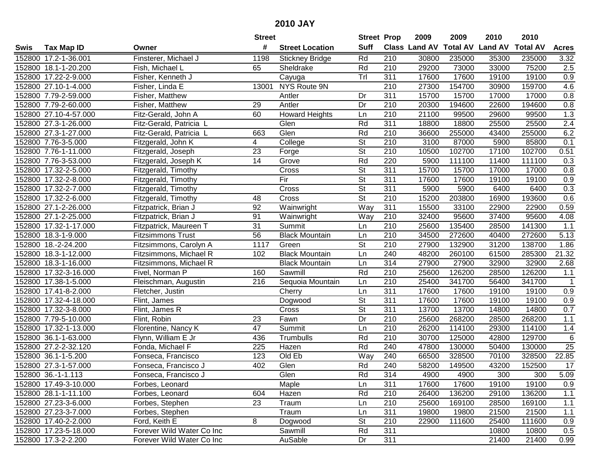|        |                       |                           | <b>Street</b>   |                        |                          | <b>Street Prop</b> | 2009                 | 2009            | 2010           | 2010            |                 |
|--------|-----------------------|---------------------------|-----------------|------------------------|--------------------------|--------------------|----------------------|-----------------|----------------|-----------------|-----------------|
| Swis   | <b>Tax Map ID</b>     | Owner                     | #               | <b>Street Location</b> | <b>Suff</b>              |                    | <b>Class Land AV</b> | <b>Total AV</b> | <b>Land AV</b> | <b>Total AV</b> | <b>Acres</b>    |
|        | 152800 17.2-1-36.001  | Finsterer, Michael J      | 1198            | <b>Stickney Bridge</b> | Rd                       | 210                | 30800                | 235000          | 35300          | 235000          | 3.32            |
|        | 152800 18.1-1-20.200  | Fish, Michael L           | 65              | Sheldrake              | Rd                       | 210                | 29200                | 73000           | 33000          | 75200           | 2.5             |
|        | 152800 17.22-2-9.000  | Fisher, Kenneth J         |                 | Cayuga                 | Trl                      | 311                | 17600                | 17600           | 19100          | 19100           | 0.9             |
|        | 152800 27.10-1-4.000  | Fisher, Linda E           | 13001           | NYS Route 9N           |                          | $\overline{210}$   | 27300                | 154700          | 30900          | 159700          | 4.6             |
|        | 152800 7.79-2-59.000  | Fisher, Matthew           |                 | Antler                 | Dr                       | 311                | 15700                | 15700           | 17000          | 17000           | 0.8             |
|        | 152800 7.79-2-60.000  | Fisher, Matthew           | 29              | Antler                 | Dr                       | 210                | 20300                | 194600          | 22600          | 194600          | 0.8             |
|        | 152800 27.10-4-57.000 | Fitz-Gerald, John A       | 60              | <b>Howard Heights</b>  | Ln                       | 210                | 21100                | 99500           | 29600          | 99500           | 1.3             |
|        | 152800 27.3-1-26.000  | Fitz-Gerald, Patricia L   |                 | Glen                   | Rd                       | 311                | 18800                | 18800           | 25500          | 25500           | 2.4             |
|        | 152800 27.3-1-27.000  | Fitz-Gerald, Patricia L   | 663             | Glen                   | Rd                       | $\overline{210}$   | 36600                | 255000          | 43400          | 255000          | 6.2             |
|        | 152800 7.76-3-5.000   | Fitzgerald, John K        | 4               | College                | $\overline{\mathsf{St}}$ | 210                | 3100                 | 87000           | 5900           | 85800           | 0.1             |
|        | 152800 7.76-1-11.000  | Fitzgerald, Joseph        | 23              | Forge                  | $\overline{\mathsf{St}}$ | 210                | 10500                | 102700          | 17100          | 102700          | 0.51            |
|        | 152800 7.76-3-53.000  | Fitzgerald, Joseph K      | 14              | Grove                  | Rd                       | 220                | 5900                 | 111100          | 11400          | 111100          | 0.3             |
|        | 152800 17.32-2-5.000  | Fitzgerald, Timothy       |                 | Cross                  | $\overline{\mathsf{St}}$ | 311                | 15700                | 15700           | 17000          | 17000           | 0.8             |
|        | 152800 17.32-2-8.000  | Fitzgerald, Timothy       |                 | Fir                    | $\overline{\mathsf{St}}$ | 311                | 17600                | 17600           | 19100          | 19100           | 0.9             |
| 152800 | 17.32-2-7.000         | Fitzgerald, Timothy       |                 | Cross                  | $\overline{\mathsf{St}}$ | 311                | 5900                 | 5900            | 6400           | 6400            | 0.3             |
|        | 152800 17.32-2-6.000  | Fitzgerald, Timothy       | 48              | Cross                  | $\overline{\mathsf{St}}$ | 210                | 15200                | 203800          | 16900          | 193600          | 0.6             |
|        | 152800 27.1-2-26.000  | Fitzpatrick, Brian J      | 92              | Wainwright             | Way                      | 311                | 15500                | 33100           | 22900          | 22900           | 0.59            |
|        | 152800 27.1-2-25.000  | Fitzpatrick, Brian J      | 91              | Wainwright             | Way                      | 210                | 32400                | 95600           | 37400          | 95600           | 4.08            |
|        | 152800 17.32-1-17.000 | Fitzpatrick, Maureen T    | 31              | Summit                 | Ln                       | 210                | 25600                | 135400          | 28500          | 141300          | 1.1             |
|        | 152800 18.3-1-9.000   | <b>Fitzsimmons Trust</b>  | 56              | <b>Black Mountain</b>  | Ln                       | 210                | 34500                | 272600          | 40400          | 272600          | 5.13            |
|        | 152800 18.-2-24.200   | Fitzsimmons, Carolyn A    | 1117            | Green                  | $\overline{\mathsf{St}}$ | 210                | 27900                | 132900          | 31200          | 138700          | 1.86            |
|        | 152800 18.3-1-12.000  | Fitzsimmons, Michael R    | 102             | <b>Black Mountain</b>  | Ln                       | 240                | 48200                | 260100          | 61500          | 285300          | 21.32           |
| 152800 | 18.3-1-16.000         | Fitzsimmons, Michael R    |                 | <b>Black Mountain</b>  | Ln                       | 314                | 27900                | 27900           | 32900          | 32900           | 2.68            |
| 152800 | 17.32-3-16.000        | Fivel, Norman P           | 160             | Sawmill                | Rd                       | 210                | 25600                | 126200          | 28500          | 126200          | 1.1             |
|        | 152800 17.38-1-5.000  | Fleischman, Augustin      | 216             | Sequoia Mountain       | Ln                       | $\overline{210}$   | 25400                | 341700          | 56400          | 341700          | $\mathbf 1$     |
|        | 152800 17.41-8-2.000  | Fletcher, Justin          |                 | Cherry                 | Ln                       | 311                | 17600                | 17600           | 19100          | 19100           | 0.9             |
|        | 152800 17.32-4-18.000 | Flint, James              |                 | Dogwood                | $\overline{\mathsf{St}}$ | 311                | 17600                | 17600           | 19100          | 19100           | 0.9             |
|        | 152800 17.32-3-8.000  | Flint, James R            |                 | Cross                  | St                       | 311                | 13700                | 13700           | 14800          | 14800           | 0.7             |
|        | 152800 7.79-5-10.000  | Flint, Robin              | 23              | Fawn                   | Dr                       | $\overline{210}$   | 25600                | 268200          | 28500          | 268200          | 1.1             |
|        | 152800 17.32-1-13.000 | Florentine, Nancy K       | $\overline{47}$ | Summit                 | Ln                       | $\overline{210}$   | 26200                | 114100          | 29300          | 114100          | 1.4             |
|        | 152800 36.1-1-63.000  | Flynn, William E Jr       | 436             | Trumbulls              | Rd                       | 210                | 30700                | 125000          | 42800          | 129700          | 6               |
|        | 152800 27.2-2-32.120  | Fonda, Michael F          | 225             | Hazen                  | Rd                       | 240                | 47800                | 130000          | 50400          | 130000          | $\overline{25}$ |
|        | 152800 36.1-1-5.200   | Fonseca, Francisco        | 123             | Old Eb                 | Way                      | 240                | 66500                | 328500          | 70100          | 328500          | 22.85           |
|        | 152800 27.3-1-57.000  | Fonseca, Francisco J      | 402             | Glen                   | Rd                       | 240                | 58200                | 149500          | 43200          | 152500          | 17              |
|        | 152800 36.-1-1.113    | Fonseca, Francisco J      |                 | Glen                   | Rd                       | 314                | 4900                 | 4900            | 300            | 300             | 5.09            |
|        | 152800 17.49-3-10.000 | Forbes, Leonard           |                 | Maple                  | Ln                       | 311                | 17600                | 17600           | 19100          | 19100           | 0.9             |
|        | 152800 28.1-1-11.100  | Forbes, Leonard           | 604             | Hazen                  | Rd                       | 210                | 26400                | 136200          | 29100          | 136200          | 1.1             |
|        | 152800 27.23-3-6.000  | Forbes, Stephen           | 23              | Traum                  | Ln                       | 210                | 25600                | 169100          | 28500          | 169100          | 1.1             |
|        | 152800 27.23-3-7.000  | Forbes, Stephen           |                 | Traum                  | Ln                       | 311                | 19800                | 19800           | 21500          | 21500           | $1.1$           |
|        | 152800 17.40-2-2.000  | Ford, Keith E             | 8               | Dogwood                | <b>St</b>                | 210                | 22900                | 111600          | 25400          | 111600          | 0.9             |
|        | 152800 17.23-5-18.000 | Forever Wild Water Co Inc |                 | Sawmill                | Rd                       | 311                |                      |                 | 10800          | 10800           | 0.5             |
|        | 152800 17.3-2-2.200   | Forever Wild Water Co Inc |                 | AuSable                | Dr                       | 311                |                      |                 | 21400          | 21400           | 0.99            |
|        |                       |                           |                 |                        |                          |                    |                      |                 |                |                 |                 |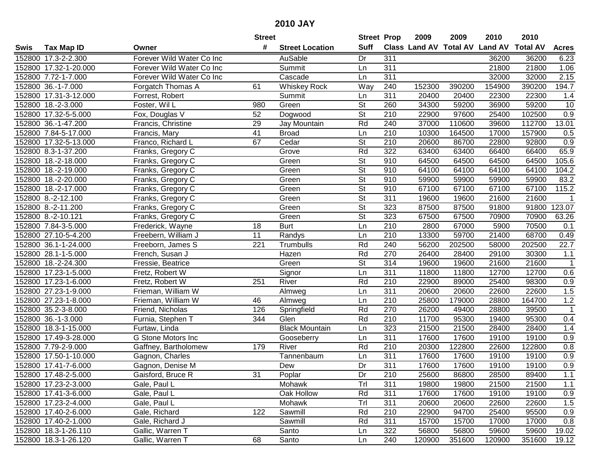|      |                       |                           | <b>Street</b>   |                        | <b>Street Prop</b>       |                  | 2009                           | 2009   | 2010   | 2010            |                  |
|------|-----------------------|---------------------------|-----------------|------------------------|--------------------------|------------------|--------------------------------|--------|--------|-----------------|------------------|
| Swis | <b>Tax Map ID</b>     | Owner                     | #               | <b>Street Location</b> | <b>Suff</b>              |                  | Class Land AV Total AV Land AV |        |        | <b>Total AV</b> | <b>Acres</b>     |
|      | 152800 17.3-2-2.300   | Forever Wild Water Co Inc |                 | AuSable                | Dr                       | 311              |                                |        | 36200  | 36200           | 6.23             |
|      | 152800 17.32-1-20.000 | Forever Wild Water Co Inc |                 | Summit                 | Ln                       | 311              |                                |        | 21800  | 21800           | 1.06             |
|      | 152800 7.72-1-7.000   | Forever Wild Water Co Inc |                 | Cascade                | Ln                       | 311              |                                |        | 32000  | 32000           | 2.15             |
|      | 152800 36.-1-7.000    | Forgatch Thomas A         | 61              | <b>Whiskey Rock</b>    | Way                      | 240              | 152300                         | 390200 | 154900 | 390200          | 194.7            |
|      | 152800 17.31-3-12.000 | Forrest, Robert           |                 | Summit                 | Ln                       | $\overline{311}$ | 20400                          | 20400  | 22300  | 22300           | 1.4              |
|      | 152800 18.-2-3.000    | Foster, Wil L             | 980             | Green                  | $\overline{\mathsf{St}}$ | 260              | 34300                          | 59200  | 36900  | 59200           | 10               |
|      | 152800 17.32-5-5.000  | Fox, Douglas V            | 52              | Dogwood                | <b>St</b>                | 210              | 22900                          | 97600  | 25400  | 102500          | 0.9              |
|      | 152800 36.-1-47.200   | Francis, Christine        | 29              | Jay Mountain           | Rd                       | 240              | 37000                          | 110600 | 39600  | 112700          | 13.01            |
|      | 152800 7.84-5-17.000  | Francis, Mary             | $\overline{41}$ | <b>Broad</b>           | Ln                       | $\overline{210}$ | 10300                          | 164500 | 17000  | 157900          | 0.5              |
|      | 152800 17.32-5-13.000 | Franco, Richard L         | 67              | Cedar                  | $\overline{\mathsf{St}}$ | 210              | 20600                          | 86700  | 22800  | 92800           | 0.9              |
|      | 152800 8.3-1-37.200   | Franks, Gregory C         |                 | Grove                  | Rd                       | $\overline{322}$ | 63400                          | 63400  | 66400  | 66400           | 65.9             |
|      | 152800 18.-2-18.000   | Franks, Gregory C         |                 | Green                  | St                       | 910              | 64500                          | 64500  | 64500  | 64500           | 105.6            |
|      | 152800 18.-2-19.000   | Franks, Gregory C         |                 | Green                  | $\overline{\mathsf{St}}$ | 910              | 64100                          | 64100  | 64100  | 64100           | 104.2            |
|      | 152800 18.-2-20.000   | Franks, Gregory C         |                 | Green                  | $\overline{\mathsf{St}}$ | 910              | 59900                          | 59900  | 59900  | 59900           | 83.2             |
|      | 152800 18.-2-17.000   | Franks, Gregory C         |                 | Green                  | $\overline{\mathsf{St}}$ | 910              | 67100                          | 67100  | 67100  | 67100           | 115.2            |
|      | 152800 8.-2-12.100    | Franks, Gregory C         |                 | Green                  | $\overline{\mathsf{St}}$ | 311              | 19600                          | 19600  | 21600  | 21600           | $\mathbf{1}$     |
|      | 152800 8.-2-11.200    | Franks, Gregory C         |                 | Green                  | $\overline{\mathsf{St}}$ | 323              | 87500                          | 87500  | 91800  | 91800           | 123.07           |
|      | 152800 8.-2-10.121    | Franks, Gregory C         |                 | Green                  | $\overline{\mathsf{St}}$ | 323              | 67500                          | 67500  | 70900  | 70900           | 63.26            |
|      | 152800 7.84-3-5.000   | Frederick, Wayne          | 18              | <b>Burt</b>            | Ln                       | 210              | 2800                           | 67000  | 5900   | 70500           | 0.1              |
|      | 152800 27.10-5-4.200  | Freebern, William J       | 11              | Randys                 | Ln                       | 210              | 13300                          | 59700  | 21400  | 68700           | 0.49             |
|      | 152800 36.1-1-24.000  | Freeborn, James S         | 221             | Trumbulls              | Rd                       | 240              | 56200                          | 202500 | 58000  | 202500          | 22.7             |
|      | 152800 28.1-1-5.000   | French, Susan J           |                 | Hazen                  | Rd                       | 270              | 26400                          | 28400  | 29100  | 30300           | $1.1$            |
|      | 152800 18.-2-24.300   | Fressie, Beatrice         |                 | Green                  | St                       | 314              | 19600                          | 19600  | 21600  | 21600           | $\mathbf{1}$     |
|      | 152800 17.23-1-5.000  | Fretz, Robert W           |                 | Signor                 | Ln                       | 311              | 11800                          | 11800  | 12700  | 12700           | 0.6              |
|      | 152800 17.23-1-6.000  | Fretz, Robert W           | 251             | River                  | Rd                       | 210              | 22900                          | 89000  | 25400  | 98300           | 0.9              |
|      | 152800 27.23-1-9.000  | Frieman, William W        |                 | Almweg                 | Ln                       | 311              | 20600                          | 20600  | 22600  | 22600           | 1.5              |
|      | 152800 27.23-1-8.000  | Frieman, William W        | 46              | Almweg                 | Ln                       | 210              | 25800                          | 179000 | 28800  | 164700          | 1.2              |
|      | 152800 35.2-3-8.000   | Friend, Nicholas          | 126             | Springfield            | Rd                       | 270              | 26200                          | 49400  | 28800  | 39500           | $\mathbf{1}$     |
|      | 152800 36.-1-3.000    | Furnia, Stephen T         | 344             | Glen                   | Rd                       | 210              | 11700                          | 95300  | 19400  | 95300           | 0.4              |
|      | 152800 18.3-1-15.000  | Furtaw, Linda             |                 | <b>Black Mountain</b>  | Ln                       | $\overline{323}$ | 21500                          | 21500  | 28400  | 28400           | 1.4              |
|      | 152800 17.49-3-28.000 | G Stone Motors Inc        |                 | Gooseberry             | Ln                       | $\overline{311}$ | 17600                          | 17600  | 19100  | 19100           | 0.9              |
|      | 152800 7.79-2-9.000   | Gaffney, Bartholomew      | 179             | River                  | Rd                       | 210              | 20300                          | 122800 | 22600  | 122800          | 0.8              |
|      | 152800 17.50-1-10.000 | Gagnon, Charles           |                 | Tannenbaum             | Ln                       | 311              | 17600                          | 17600  | 19100  | 19100           | $\overline{0.9}$ |
|      | 152800 17.41-7-6.000  | Gagnon, Denise M          |                 | Dew                    | Dr                       | 311              | 17600                          | 17600  | 19100  | 19100           | $\overline{0.9}$ |
|      | 152800 17.48-2-5.000  | Gaisford, Bruce R         | 31              | Poplar                 | Dr                       | 210              | 25600                          | 86800  | 28500  | 89400           | 1.1              |
|      | 152800 17.23-2-3.000  | Gale, Paul L              |                 | Mohawk                 | Trl                      | 311              | 19800                          | 19800  | 21500  | 21500           | 1.1              |
|      | 152800 17.41-3-6.000  | Gale, Paul L              |                 | Oak Hollow             | Rd                       | 311              | 17600                          | 17600  | 19100  | 19100           | 0.9              |
|      | 152800 17.23-2-4.000  | Gale, Paul L              |                 | Mohawk                 | Trl                      | 311              | 20600                          | 20600  | 22600  | 22600           | 1.5              |
|      | 152800 17.40-2-6.000  | Gale, Richard             | 122             | Sawmill                | Rd                       | 210              | 22900                          | 94700  | 25400  | 95500           | 0.9              |
|      | 152800 17.40-2-1.000  | Gale, Richard J           |                 | Sawmill                | Rd                       | 311              | 15700                          | 15700  | 17000  | 17000           | 0.8              |
|      | 152800 18.3-1-26.110  | Gallic, Warren T          |                 | Santo                  | Ln                       | 322              | 56800                          | 56800  | 59600  | 59600           | 19.02            |
|      | 152800 18.3-1-26.120  | Gallic, Warren T          | 68              | Santo                  | Ln                       | 240              | 120900                         | 351600 | 120900 | 351600          | 19.12            |
|      |                       |                           |                 |                        |                          |                  |                                |        |        |                 |                  |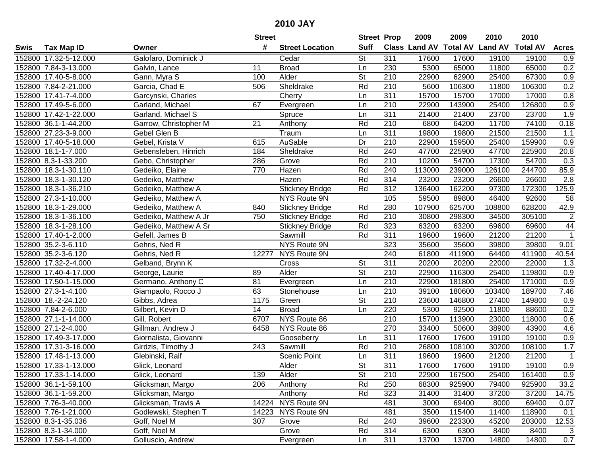|      |                       |                       | <b>Street</b>   |                        | <b>Street Prop</b>       |                  | 2009                           | 2009   | 2010   | 2010            |                  |
|------|-----------------------|-----------------------|-----------------|------------------------|--------------------------|------------------|--------------------------------|--------|--------|-----------------|------------------|
| Swis | <b>Tax Map ID</b>     | Owner                 | #               | <b>Street Location</b> | <b>Suff</b>              |                  | Class Land AV Total AV Land AV |        |        | <b>Total AV</b> | <b>Acres</b>     |
|      | 152800 17.32-5-12.000 | Galofaro, Dominick J  |                 | Cedar                  | <b>St</b>                | 311              | 17600                          | 17600  | 19100  | 19100           | 0.9              |
|      | 152800 7.84-3-13.000  | Galvin, Lance         | 11              | <b>Broad</b>           | Ln                       | 230              | 5300                           | 65000  | 11800  | 65000           | 0.2              |
|      | 152800 17.40-5-8.000  | Gann, Myra S          | 100             | Alder                  | <b>St</b>                | 210              | 22900                          | 62900  | 25400  | 67300           | 0.9              |
|      | 152800 7.84-2-21.000  | Garcia, Chad E        | 506             | Sheldrake              | Rd                       | 210              | 5600                           | 106300 | 11800  | 106300          | 0.2              |
|      | 152800 17.41-7-4.000  | Garcynski, Charles    |                 | Cherry                 | Ln                       | 311              | 15700                          | 15700  | 17000  | 17000           | 0.8              |
|      | 152800 17.49-5-6.000  | Garland, Michael      | 67              | Evergreen              | Ln                       | $\overline{210}$ | 22900                          | 143900 | 25400  | 126800          | 0.9              |
|      | 152800 17.42-1-22.000 | Garland, Michael S    |                 | Spruce                 | Ln                       | 311              | 21400                          | 21400  | 23700  | 23700           | 1.9              |
|      | 152800 36.1-1-44.200  | Garrow, Christopher M | $\overline{21}$ | Anthony                | Rd                       | 210              | 6800                           | 64200  | 11700  | 74100           | 0.18             |
|      | 152800 27.23-3-9.000  | Gebel Glen B          |                 | Traum                  | Ln                       | 311              | 19800                          | 19800  | 21500  | 21500           | 1.1              |
|      | 152800 17.40-5-18.000 | Gebel, Krista V       | 615             | AuSable                | Dr                       | 210              | 22900                          | 159500 | 25400  | 159900          | 0.9              |
|      | 152800 18.1-1-7.000   | Gebensleben, Hinrich  | 184             | Sheldrake              | Rd                       | 240              | 47700                          | 225900 | 47700  | 225900          | 20.8             |
|      | 152800 8.3-1-33.200   | Gebo, Christopher     | 286             | Grove                  | Rd                       | 210              | 10200                          | 54700  | 17300  | 54700           | 0.3              |
|      | 152800 18.3-1-30.110  | Gedeiko, Elaine       | 770             | Hazen                  | Rd                       | 240              | 113000                         | 239000 | 126100 | 244700          | 85.9             |
|      | 152800 18.3-1-30.120  | Gedeiko, Matthew      |                 | Hazen                  | Rd                       | 314              | 23200                          | 23200  | 26600  | 26600           | 2.8              |
|      | 152800 18.3-1-36.210  | Gedeiko, Matthew A    |                 | <b>Stickney Bridge</b> | Rd                       | 312              | 136400                         | 162200 | 97300  | 172300          | 125.9            |
|      | 152800 27.3-1-10.000  | Gedeiko, Matthew A    |                 | NYS Route 9N           |                          | 105              | 59500                          | 89800  | 46400  | 92600           | 58               |
|      | 152800 18.3-1-29.000  | Gedeiko, Matthew A    | 840             | <b>Stickney Bridge</b> | Rd                       | 280              | 107900                         | 625700 | 108800 | 628200          | 42.9             |
|      | 152800 18.3-1-36.100  | Gedeiko, Matthew A Jr | 750             | <b>Stickney Bridge</b> | Rd                       | 210              | 30800                          | 298300 | 34500  | 305100          | $\overline{c}$   |
|      | 152800 18.3-1-28.100  | Gedeiko, Matthew A Sr |                 | <b>Stickney Bridge</b> | Rd                       | 323              | 63200                          | 63200  | 69600  | 69600           | 44               |
|      | 152800 17.40-1-2.000  | Gefell, James B       |                 | Sawmill                | Rd                       | 311              | 19600                          | 19600  | 21200  | 21200           | $\mathbf{1}$     |
|      | 152800 35.2-3-6.110   | Gehris, Ned R         |                 | NYS Route 9N           |                          | 323              | 35600                          | 35600  | 39800  | 39800           | 9.01             |
|      | 152800 35.2-3-6.120   | Gehris, Ned R         | 12277           | NYS Route 9N           |                          | 240              | 61800                          | 411900 | 64400  | 411900          | 40.54            |
|      | 152800 17.32-2-4.000  | Gelband, Brynn K      |                 | Cross                  | <b>St</b>                | 311              | 20200                          | 20200  | 22000  | 22000           | 1.3              |
|      | 152800 17.40-4-17.000 | George, Laurie        | 89              | Alder                  | <b>St</b>                | 210              | 22900                          | 116300 | 25400  | 119800          | 0.9              |
|      | 152800 17.50-1-15.000 | Germano, Anthony C    | 81              | Evergreen              | Ln                       | 210              | 22900                          | 181800 | 25400  | 171000          | 0.9              |
|      | 152800 27.3-1-4.100   | Giampaolo, Rocco J    | 63              | Stonehouse             | Ln                       | 210              | 39100                          | 180600 | 103400 | 189700          | 7.46             |
|      | 152800 18.-2-24.120   | Gibbs, Adrea          | 1175            | Green                  | $\overline{\mathsf{St}}$ | 210              | 23600                          | 146800 | 27400  | 149800          | 0.9              |
|      | 152800 7.84-2-6.000   | Gilbert, Kevin D      | 14              | <b>Broad</b>           | Ln                       | 220              | 5300                           | 92500  | 11800  | 88600           | 0.2              |
|      | 152800 27.1-1-14.000  | Gill, Robert          | 6707            | NYS Route 86           |                          | 210              | 15700                          | 113900 | 23000  | 118000          | 0.6              |
|      | 152800 27.1-2-4.000   | Gillman, Andrew J     | 6458            | NYS Route 86           |                          | 270              | 33400                          | 50600  | 38900  | 43900           | 4.6              |
|      | 152800 17.49-3-17.000 | Giornalista, Giovanni |                 | Gooseberry             | Ln                       | 311              | 17600                          | 17600  | 19100  | 19100           | $\overline{0.9}$ |
|      | 152800 17.31-3-16.000 | Girdzis, Timothy J    | 243             | Sawmill                | Rd                       | 210              | 26800                          | 108100 | 30200  | 108100          | 1.7              |
|      | 152800 17.48-1-13.000 | Glebinski, Ralf       |                 | <b>Scenic Point</b>    | Ln                       | 311              | 19600                          | 19600  | 21200  | 21200           | $\mathbf{1}$     |
|      | 152800 17.33-1-13.000 | Glick, Leonard        |                 | Alder                  | $\overline{\mathsf{St}}$ | 311              | 17600                          | 17600  | 19100  | 19100           | $\overline{0.9}$ |
|      | 152800 17.33-1-14.000 | Glick, Leonard        | 139             | Alder                  | St                       | 210              | 22900                          | 167500 | 25400  | 161400          | 0.9              |
|      | 152800 36.1-1-59.100  | Glicksman, Margo      | 206             | Anthony                | Rd                       | 250              | 68300                          | 925900 | 79400  | 925900          | 33.2             |
|      | 152800 36.1-1-59.200  | Glicksman, Margo      |                 | Anthony                | Rd                       | 323              | 31400                          | 31400  | 37200  | 37200           | 14.75            |
|      | 152800 7.76-3-40.000  | Glicksman, Travis A   |                 | 14224 NYS Route 9N     |                          | 481              | 3000                           | 69400  | 8000   | 69400           | 0.07             |
|      | 152800 7.76-1-21.000  | Godlewski, Stephen T  | 14223           | NYS Route 9N           |                          | 481              | 3500                           | 115400 | 11400  | 118900          | 0.1              |
|      | 152800 8.3-1-35.036   | Goff, Noel M          | 307             | Grove                  | Rd                       | 240              | 39600                          | 223300 | 45200  | 203000          | 12.53            |
|      | 152800 8.3-1-34.000   | Goff, Noel M          |                 | Grove                  | Rd                       | 314              | 6300                           | 6300   | 8400   | 8400            | 3                |
|      | 152800 17.58-1-4.000  | Golluscio, Andrew     |                 | Evergreen              | Ln                       | 311              | 13700                          | 13700  | 14800  | 14800           | 0.7              |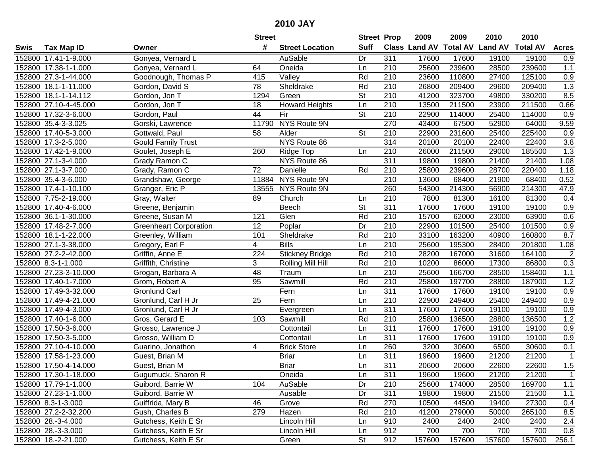|      |                       |                               | <b>Street</b>   |                        | <b>Street Prop</b>       |                  | 2009                           | 2009   | 2010   | 2010            |                  |
|------|-----------------------|-------------------------------|-----------------|------------------------|--------------------------|------------------|--------------------------------|--------|--------|-----------------|------------------|
| Swis | <b>Tax Map ID</b>     | Owner                         | #               | <b>Street Location</b> | <b>Suff</b>              |                  | Class Land AV Total AV Land AV |        |        | <b>Total AV</b> | <b>Acres</b>     |
|      | 152800 17.41-1-9.000  | Gonyea, Vernard L             |                 | AuSable                | Dr                       | 311              | 17600                          | 17600  | 19100  | 19100           | 0.9              |
|      | 152800 17.38-1-1.000  | Gonyea, Vernard L             | 64              | Oneida                 | Ln                       | 210              | 25600                          | 239600 | 28500  | 239600          | $1.1$            |
|      | 152800 27.3-1-44.000  | Goodnough, Thomas P           | 415             | Valley                 | Rd                       | 210              | 23600                          | 110800 | 27400  | 125100          | 0.9              |
|      | 152800 18.1-1-11.000  | Gordon, David S               | 78              | Sheldrake              | Rd                       | 210              | 26800                          | 209400 | 29600  | 209400          | 1.3              |
|      | 152800 18.1-1-14.112  | Gordon, Jon T                 | 1294            | Green                  | <b>St</b>                | 210              | 41200                          | 323700 | 49800  | 330200          | 8.5              |
|      | 152800 27.10-4-45.000 | Gordon, Jon T                 | 18              | <b>Howard Heights</b>  | Ln                       | $\overline{210}$ | 13500                          | 211500 | 23900  | 211500          | 0.66             |
|      | 152800 17.32-3-6.000  | Gordon, Paul                  | 44              | Fir                    | $\overline{\mathsf{St}}$ | 210              | 22900                          | 114000 | 25400  | 114000          | 0.9              |
|      | 152800 35.4-3-3.025   | Gorski, Lawrence              | 11790           | NYS Route 9N           |                          | 270              | 43400                          | 67500  | 52900  | 64000           | 9.59             |
|      | 152800 17.40-5-3.000  | Gottwald, Paul                | $\overline{58}$ | Alder                  | $\overline{\mathsf{St}}$ | 210              | 22900                          | 231600 | 25400  | 225400          | 0.9              |
|      | 152800 17.3-2-5.000   | <b>Gould Family Trust</b>     |                 | NYS Route 86           |                          | 314              | 20100                          | 20100  | 22400  | 22400           | 3.8              |
|      | 152800 17.42-1-9.000  | Goulet, Joseph E              | 260             | Ridge Top              | Ln                       | 210              | 26000                          | 211500 | 29000  | 185500          | 1.3              |
|      | 152800 27.1-3-4.000   | Grady Ramon C                 |                 | NYS Route 86           |                          | 311              | 19800                          | 19800  | 21400  | 21400           | 1.08             |
|      | 152800 27.1-3-7.000   | Grady, Ramon C                | 72              | Danielle               | Rd                       | 210              | 25800                          | 239600 | 28700  | 220400          | 1.18             |
|      | 152800 35.4-3-6.000   | Grandshaw, George             |                 | 11884 NYS Route 9N     |                          | 210              | 13600                          | 68400  | 21900  | 68400           | 0.52             |
|      | 152800 17.4-1-10.100  | Granger, Eric P               | 13555           | NYS Route 9N           |                          | 260              | 54300                          | 214300 | 56900  | 214300          | 47.9             |
|      | 152800 7.75-2-19.000  | Gray, Walter                  | 89              | Church                 | Ln                       | 210              | 7800                           | 81300  | 16100  | 81300           | 0.4              |
|      | 152800 17.40-4-6.000  | Greene, Benjamin              |                 | Beech                  | $\overline{\mathsf{St}}$ | 311              | 17600                          | 17600  | 19100  | 19100           | 0.9              |
|      | 152800 36.1-1-30.000  | Greene, Susan M               | 121             | Glen                   | Rd                       | 210              | 15700                          | 62000  | 23000  | 63900           | 0.6              |
|      | 152800 17.48-2-7.000  | <b>Greenheart Corporation</b> | 12              | Poplar                 | Dr                       | 210              | 22900                          | 101500 | 25400  | 101500          | 0.9              |
|      | 152800 18.1-1-22.000  | Greenley, William             | 101             | Sheldrake              | Rd                       | 210              | 33100                          | 163200 | 40900  | 160800          | 8.7              |
|      | 152800 27.1-3-38.000  | Gregory, Earl F               | 4               | <b>Bills</b>           | Ln                       | 210              | 25600                          | 195300 | 28400  | 201800          | 1.08             |
|      | 152800 27.2-2-42.000  | Griffin, Anne E               | 224             | <b>Stickney Bridge</b> | Rd                       | 210              | 28200                          | 167000 | 31600  | 164100          | $\overline{2}$   |
|      | 152800 8.3-1-1.000    | Griffith, Christine           | 3               | Rolling Mill Hill      | Rd                       | 210              | 10200                          | 86000  | 17300  | 86800           | 0.3              |
|      | 152800 27.23-3-10.000 | Grogan, Barbara A             | 48              | Traum                  | Ln                       | 210              | 25600                          | 166700 | 28500  | 158400          | $1.1$            |
|      | 152800 17.40-1-7.000  | Grom, Robert A                | 95              | Sawmill                | Rd                       | 210              | 25800                          | 197700 | 28800  | 187900          | 1.2              |
|      | 152800 17.49-3-32.000 | <b>Gronlund Carl</b>          |                 | Fern                   | Ln                       | 311              | 17600                          | 17600  | 19100  | 19100           | 0.9              |
|      | 152800 17.49-4-21.000 | Gronlund, Carl H Jr           | 25              | Fern                   | Ln                       | 210              | 22900                          | 249400 | 25400  | 249400          | 0.9              |
|      | 152800 17.49-4-3.000  | Gronlund, Carl H Jr           |                 | Evergreen              | Ln                       | 311              | 17600                          | 17600  | 19100  | 19100           | 0.9              |
|      | 152800 17.40-1-6.000  | Gros, Gerard E                | 103             | Sawmill                | Rd                       | 210              | 25800                          | 136500 | 28800  | 136500          | 1.2              |
|      | 152800 17.50-3-6.000  | Grosso, Lawrence J            |                 | Cottontail             | Ln                       | $\overline{311}$ | 17600                          | 17600  | 19100  | 19100           | 0.9              |
|      | 152800 17.50-3-5.000  | Grosso, William D             |                 | Cottontail             | Ln                       | $\overline{311}$ | 17600                          | 17600  | 19100  | 19100           | $\overline{0.9}$ |
|      | 152800 27.10-4-10.000 | Guarino, Jonathon             | 4               | <b>Brick Store</b>     | Ln                       | 260              | 3200                           | 30600  | 6500   | 30600           | 0.1              |
|      | 152800 17.58-1-23.000 | Guest, Brian M                |                 | <b>Briar</b>           | Ln                       | 311              | 19600                          | 19600  | 21200  | 21200           | $\mathbf{1}$     |
|      | 152800 17.50-4-14.000 | Guest, Brian M                |                 | <b>Briar</b>           | Ln                       | 311              | 20600                          | 20600  | 22600  | 22600           | 1.5              |
|      | 152800 17.30-1-18.000 | Gugumuck, Sharon R            |                 | Oneida                 | Ln                       | 311              | 19600                          | 19600  | 21200  | 21200           | 1                |
|      | 152800 17.79-1-1.000  | Guibord, Barrie W             | 104             | AuSable                | Dr                       | 210              | 25600                          | 174000 | 28500  | 169700          | 1.1              |
|      | 152800 27.23-1-1.000  | Guibord, Barrie W             |                 | Ausable                | Dr                       | 311              | 19800                          | 19800  | 21500  | 21500           | 1.1              |
|      | 152800 8.3-1-3.000    | Guiffrida, Mary B             | 46              | Grove                  | Rd                       | 270              | 10500                          | 44500  | 19400  | 27300           | 0.4              |
|      | 152800 27.2-2-32.200  | Gush, Charles B               | 279             | Hazen                  | Rd                       | 210              | 41200                          | 279000 | 50000  | 265100          | 8.5              |
|      | 152800 28.-3-4.000    | Gutchess, Keith E Sr          |                 | Lincoln Hill           | Ln                       | 910              | 2400                           | 2400   | 2400   | 2400            | 2.4              |
|      | 152800 28.-3-3.000    | Gutchess, Keith E Sr          |                 | Lincoln Hill           | Ln                       | 912              | 700                            | 700    | 700    | 700             | 0.8              |
|      | 152800 18.-2-21.000   | Gutchess, Keith E Sr          |                 | Green                  | <b>St</b>                | 912              | 157600                         | 157600 | 157600 | 157600          | 256.1            |
|      |                       |                               |                 |                        |                          |                  |                                |        |        |                 |                  |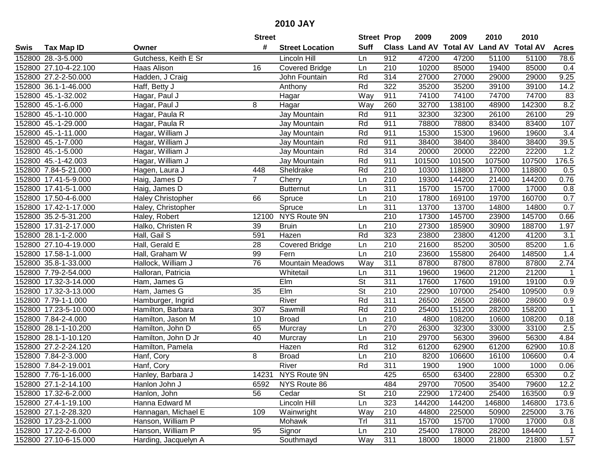| #<br><b>Suff</b><br>Class Land AV Total AV Land AV<br><b>Total AV</b><br><b>Tax Map ID</b><br><b>Street Location</b><br><b>Acres</b><br>Swis<br>Owner<br>Gutchess, Keith E Sr<br>152800 28.-3-5.000<br>Lincoln Hill<br>912<br>47200<br>47200<br>51100<br>51100<br>78.6<br>Ln<br>85000<br>152800 27.10-4-22.100<br>Haas Alison<br>16<br><b>Covered Bridge</b><br>210<br>10200<br>19400<br>85000<br>0.4<br>Ln<br>9.25<br>152800 27.2-2-50.000<br>Hadden, J Craig<br>John Fountain<br>Rd<br>314<br>27000<br>27000<br>29000<br>29000<br>Rd<br>322<br>35200<br>35200<br>39100<br>39100<br>14.2<br>152800 36.1-1-46.000<br>Haff, Betty J<br>Anthony<br>152800 45.-1-32.002<br>Hagar, Paul J<br>Way<br>911<br>74100<br>74100<br>74700<br>74700<br>83<br>Hagar<br>8.2<br>152800 45.-1-6.000<br>Hagar, Paul J<br>8<br>Way<br>260<br>32700<br>138100<br>48900<br>142300<br>Hagar<br>911<br>29<br>152800 45.-1-10.000<br>Hagar, Paula R<br>Rd<br>32300<br>26100<br>26100<br>Jay Mountain<br>32300<br>78800<br>107<br>152800 45.-1-29.000<br>Rd<br>911<br>78800<br>83400<br>83400<br>Hagar, Paula R<br>Jay Mountain<br>Rd<br>15300<br>152800 45.-1-11.000<br>Hagar, William J<br>911<br>15300<br>19600<br>19600<br>3.4<br>Jay Mountain<br>Rd<br>38400<br>39.5<br>152800 45.-1-7.000<br>Hagar, William J<br>911<br>38400<br>38400<br>38400<br>Jay Mountain<br>152800 45.-1-5.000<br>Rd<br>1.2<br>Hagar, William J<br>Jay Mountain<br>314<br>20000<br>20000<br>22200<br>22200<br>152800 45.-1-42.003<br>Jay Mountain<br>Rd<br>911<br>101500<br>101500<br>107500<br>107500<br>176.5<br>Hagar, William J<br>210<br>152800 7.84-5-21.000<br>Rd<br>10300<br>118800<br>118800<br>448<br>Sheldrake<br>17000<br>0.5<br>Hagen, Laura J<br>$\overline{7}$<br>152800 17.41-5-9.000<br>210<br>19300<br>144200<br>21400<br>144200<br>0.76<br>Haig, James D<br>Cherry<br>Ln<br>311<br>17000<br>152800 17.41-5-1.000<br>Haig, James D<br>15700<br>15700<br>17000<br>0.8<br><b>Butternut</b><br>Ln<br>152800 17.50-4-6.000<br>66<br>Spruce<br>210<br>17800<br>169100<br>19700<br>160700<br>0.7<br>Ln<br><b>Haley Christopher</b><br>0.7<br>311<br>14800<br>152800 17.42-1-17.000<br>Spruce<br>13700<br>13700<br>14800<br>Ln<br>Haley, Christopher<br>NYS Route 9N<br>210<br>152800 35.2-5-31.200<br>12100<br>17300<br>145700<br>23900<br>145700<br>0.66<br>Haley, Robert<br>210<br>152800 17.31-2-17.000<br><b>Bruin</b><br>27300<br>185900<br>30900<br>188700<br>1.97<br>Halko, Christen R<br>39<br>Ln<br>152800 28.1-1-2.000<br>Hall, Gail S<br>591<br>Hazen<br>Rd<br>323<br>23800<br>23800<br>41200<br>41200<br>3.1<br>1.6<br>210<br>21600<br>85200<br>152800 27.10-4-19.000<br>Hall, Gerald E<br>28<br>Covered Bridge<br>Ln<br>85200<br>30500<br>1.4<br>152800 17.58-1-1.000<br>Hall, Graham W<br>99<br>Fern<br>210<br>23600<br>155800<br>26400<br>148500<br>Ln<br>76<br><b>Mountain Meadows</b><br>Way<br>311<br>2.74<br>152800 35.8-1-33.000<br>Hallock, William J<br>87800<br>87800<br>87800<br>87800<br>152800 7.79-2-54.000<br>Whitetail<br>311<br>19600<br>19600<br>21200<br>21200<br>Halloran, Patricia<br>Ln<br>-1<br>$E$ Im<br>$\overline{\mathsf{St}}$<br>311<br>152800 17.32-3-14.000<br>17600<br>17600<br>19100<br>19100<br>0.9<br>Ham, James G<br>$\overline{\mathsf{St}}$<br>152800 17.32-3-13.000<br>Elm<br>22900<br>107000<br>Ham, James G<br>35<br>210<br>25400<br>109500<br>0.9<br>152800 7.79-1-1.000<br>River<br>Rd<br>311<br>26500<br>28600<br>26500<br>28600<br>0.9<br>Hamburger, Ingrid<br>Rd<br>151200<br>152800 17.23-5-10.000<br>307<br>Sawmill<br>210<br>25400<br>28200<br>158200<br>1<br>Hamilton, Barbara<br>$\overline{210}$<br>152800 7.84-2-4.000<br>10<br>4800<br>108200<br>108200<br>0.18<br>Hamilton, Jason M<br><b>Broad</b><br>Ln<br>10600<br>270<br>33100<br>152800 28.1-1-10.200<br>Hamilton, John D<br>65<br>26300<br>32300<br>33000<br>2.5<br>Murcray<br>Ln<br>152800 28.1-1-10.120<br>40<br>$\overline{210}$<br>29700<br>56300<br>56300<br>4.84<br>Hamilton, John D Jr<br>39600<br>Murcray<br>Ln<br>152800 27.2-2-24.120<br>Hamilton, Pamela<br>Rd<br>312<br>61200<br>62900<br>61200<br>62900<br>Hazen<br>10.8<br>152800 7.84-2-3.000<br>$\overline{210}$<br>Hanf, Cory<br>8<br><b>Broad</b><br>8200<br>106600<br>16100<br>106600<br>0.4<br>Ln<br>River<br>Rd<br>311<br>152800 7.84-2-19.001<br>Hanf, Cory<br>1900<br>0.06<br>1900<br>1000<br>1000<br>152800 7.76-1-16.000<br>Hanley, Barbara J<br>14231 NYS Route 9N<br>425<br>6500<br>63400<br>22800<br>65300<br>0.2<br>484<br>12.2<br>152800 27.1-2-14.100<br>Hanlon John J<br>NYS Route 86<br>29700<br>70500<br>35400<br>79600<br>6592<br>172400<br>163500<br>152800 17.32-6-2.000<br>Hanlon, John<br>56<br>Cedar<br><b>St</b><br>210<br>22900<br>25400<br>0.9<br>Hanna Edward M<br>323<br>152800 27.4-1-19.100<br>Lincoln Hill<br>Ln<br>144200<br>144200<br>146800<br>146800<br>173.6<br>152800 27.1-2-28.320<br>Hannagan, Michael E<br>109<br>Way<br>210<br>Wainwright<br>44800<br>225000<br>50900<br>225000<br>3.76<br>Hanson, William P<br>Trl<br>311<br>152800 17.23-2-1.000<br>Mohawk<br>15700<br>15700<br>17000<br>17000<br>0.8<br>152800 17.22-2-6.000<br>95<br>Hanson, William P<br>Signor<br>210<br>25400<br>178000<br>28200<br>184400<br>Ln<br>1<br>152800 27.10-6-15.000 |  |                      | <b>Street</b> |           |     | <b>Street Prop</b> | 2009  | 2009  | 2010  | 2010  |                   |
|-----------------------------------------------------------------------------------------------------------------------------------------------------------------------------------------------------------------------------------------------------------------------------------------------------------------------------------------------------------------------------------------------------------------------------------------------------------------------------------------------------------------------------------------------------------------------------------------------------------------------------------------------------------------------------------------------------------------------------------------------------------------------------------------------------------------------------------------------------------------------------------------------------------------------------------------------------------------------------------------------------------------------------------------------------------------------------------------------------------------------------------------------------------------------------------------------------------------------------------------------------------------------------------------------------------------------------------------------------------------------------------------------------------------------------------------------------------------------------------------------------------------------------------------------------------------------------------------------------------------------------------------------------------------------------------------------------------------------------------------------------------------------------------------------------------------------------------------------------------------------------------------------------------------------------------------------------------------------------------------------------------------------------------------------------------------------------------------------------------------------------------------------------------------------------------------------------------------------------------------------------------------------------------------------------------------------------------------------------------------------------------------------------------------------------------------------------------------------------------------------------------------------------------------------------------------------------------------------------------------------------------------------------------------------------------------------------------------------------------------------------------------------------------------------------------------------------------------------------------------------------------------------------------------------------------------------------------------------------------------------------------------------------------------------------------------------------------------------------------------------------------------------------------------------------------------------------------------------------------------------------------------------------------------------------------------------------------------------------------------------------------------------------------------------------------------------------------------------------------------------------------------------------------------------------------------------------------------------------------------------------------------------------------------------------------------------------------------------------------------------------------------------------------------------------------------------------------------------------------------------------------------------------------------------------------------------------------------------------------------------------------------------------------------------------------------------------------------------------------------------------------------------------------------------------------------------------------------------------------------------------------------------------------------------------------------------------------------------------------------------------------------------------------------------------------------------------------------------------------------------------------------------------------------------------------------------------------------------------------------------------------------------------------------------------------------------------------------------------------------------------------------------------------------------------------------------------------------------------------------------------------------------------------------------------------------------------------------------------------------------------------------------------------------------------------------------------------------------------------------------------------------------------------------------------------------------------------------------------------------------------------|--|----------------------|---------------|-----------|-----|--------------------|-------|-------|-------|-------|-------------------|
|                                                                                                                                                                                                                                                                                                                                                                                                                                                                                                                                                                                                                                                                                                                                                                                                                                                                                                                                                                                                                                                                                                                                                                                                                                                                                                                                                                                                                                                                                                                                                                                                                                                                                                                                                                                                                                                                                                                                                                                                                                                                                                                                                                                                                                                                                                                                                                                                                                                                                                                                                                                                                                                                                                                                                                                                                                                                                                                                                                                                                                                                                                                                                                                                                                                                                                                                                                                                                                                                                                                                                                                                                                                                                                                                                                                                                                                                                                                                                                                                                                                                                                                                                                                                                                                                                                                                                                                                                                                                                                                                                                                                                                                                                                                                                                                                                                                                                                                                                                                                                                                                                                                                                                                                                                                           |  |                      |               |           |     |                    |       |       |       |       |                   |
|                                                                                                                                                                                                                                                                                                                                                                                                                                                                                                                                                                                                                                                                                                                                                                                                                                                                                                                                                                                                                                                                                                                                                                                                                                                                                                                                                                                                                                                                                                                                                                                                                                                                                                                                                                                                                                                                                                                                                                                                                                                                                                                                                                                                                                                                                                                                                                                                                                                                                                                                                                                                                                                                                                                                                                                                                                                                                                                                                                                                                                                                                                                                                                                                                                                                                                                                                                                                                                                                                                                                                                                                                                                                                                                                                                                                                                                                                                                                                                                                                                                                                                                                                                                                                                                                                                                                                                                                                                                                                                                                                                                                                                                                                                                                                                                                                                                                                                                                                                                                                                                                                                                                                                                                                                                           |  |                      |               |           |     |                    |       |       |       |       |                   |
|                                                                                                                                                                                                                                                                                                                                                                                                                                                                                                                                                                                                                                                                                                                                                                                                                                                                                                                                                                                                                                                                                                                                                                                                                                                                                                                                                                                                                                                                                                                                                                                                                                                                                                                                                                                                                                                                                                                                                                                                                                                                                                                                                                                                                                                                                                                                                                                                                                                                                                                                                                                                                                                                                                                                                                                                                                                                                                                                                                                                                                                                                                                                                                                                                                                                                                                                                                                                                                                                                                                                                                                                                                                                                                                                                                                                                                                                                                                                                                                                                                                                                                                                                                                                                                                                                                                                                                                                                                                                                                                                                                                                                                                                                                                                                                                                                                                                                                                                                                                                                                                                                                                                                                                                                                                           |  |                      |               |           |     |                    |       |       |       |       |                   |
|                                                                                                                                                                                                                                                                                                                                                                                                                                                                                                                                                                                                                                                                                                                                                                                                                                                                                                                                                                                                                                                                                                                                                                                                                                                                                                                                                                                                                                                                                                                                                                                                                                                                                                                                                                                                                                                                                                                                                                                                                                                                                                                                                                                                                                                                                                                                                                                                                                                                                                                                                                                                                                                                                                                                                                                                                                                                                                                                                                                                                                                                                                                                                                                                                                                                                                                                                                                                                                                                                                                                                                                                                                                                                                                                                                                                                                                                                                                                                                                                                                                                                                                                                                                                                                                                                                                                                                                                                                                                                                                                                                                                                                                                                                                                                                                                                                                                                                                                                                                                                                                                                                                                                                                                                                                           |  |                      |               |           |     |                    |       |       |       |       |                   |
|                                                                                                                                                                                                                                                                                                                                                                                                                                                                                                                                                                                                                                                                                                                                                                                                                                                                                                                                                                                                                                                                                                                                                                                                                                                                                                                                                                                                                                                                                                                                                                                                                                                                                                                                                                                                                                                                                                                                                                                                                                                                                                                                                                                                                                                                                                                                                                                                                                                                                                                                                                                                                                                                                                                                                                                                                                                                                                                                                                                                                                                                                                                                                                                                                                                                                                                                                                                                                                                                                                                                                                                                                                                                                                                                                                                                                                                                                                                                                                                                                                                                                                                                                                                                                                                                                                                                                                                                                                                                                                                                                                                                                                                                                                                                                                                                                                                                                                                                                                                                                                                                                                                                                                                                                                                           |  |                      |               |           |     |                    |       |       |       |       |                   |
|                                                                                                                                                                                                                                                                                                                                                                                                                                                                                                                                                                                                                                                                                                                                                                                                                                                                                                                                                                                                                                                                                                                                                                                                                                                                                                                                                                                                                                                                                                                                                                                                                                                                                                                                                                                                                                                                                                                                                                                                                                                                                                                                                                                                                                                                                                                                                                                                                                                                                                                                                                                                                                                                                                                                                                                                                                                                                                                                                                                                                                                                                                                                                                                                                                                                                                                                                                                                                                                                                                                                                                                                                                                                                                                                                                                                                                                                                                                                                                                                                                                                                                                                                                                                                                                                                                                                                                                                                                                                                                                                                                                                                                                                                                                                                                                                                                                                                                                                                                                                                                                                                                                                                                                                                                                           |  |                      |               |           |     |                    |       |       |       |       |                   |
|                                                                                                                                                                                                                                                                                                                                                                                                                                                                                                                                                                                                                                                                                                                                                                                                                                                                                                                                                                                                                                                                                                                                                                                                                                                                                                                                                                                                                                                                                                                                                                                                                                                                                                                                                                                                                                                                                                                                                                                                                                                                                                                                                                                                                                                                                                                                                                                                                                                                                                                                                                                                                                                                                                                                                                                                                                                                                                                                                                                                                                                                                                                                                                                                                                                                                                                                                                                                                                                                                                                                                                                                                                                                                                                                                                                                                                                                                                                                                                                                                                                                                                                                                                                                                                                                                                                                                                                                                                                                                                                                                                                                                                                                                                                                                                                                                                                                                                                                                                                                                                                                                                                                                                                                                                                           |  |                      |               |           |     |                    |       |       |       |       |                   |
|                                                                                                                                                                                                                                                                                                                                                                                                                                                                                                                                                                                                                                                                                                                                                                                                                                                                                                                                                                                                                                                                                                                                                                                                                                                                                                                                                                                                                                                                                                                                                                                                                                                                                                                                                                                                                                                                                                                                                                                                                                                                                                                                                                                                                                                                                                                                                                                                                                                                                                                                                                                                                                                                                                                                                                                                                                                                                                                                                                                                                                                                                                                                                                                                                                                                                                                                                                                                                                                                                                                                                                                                                                                                                                                                                                                                                                                                                                                                                                                                                                                                                                                                                                                                                                                                                                                                                                                                                                                                                                                                                                                                                                                                                                                                                                                                                                                                                                                                                                                                                                                                                                                                                                                                                                                           |  |                      |               |           |     |                    |       |       |       |       |                   |
|                                                                                                                                                                                                                                                                                                                                                                                                                                                                                                                                                                                                                                                                                                                                                                                                                                                                                                                                                                                                                                                                                                                                                                                                                                                                                                                                                                                                                                                                                                                                                                                                                                                                                                                                                                                                                                                                                                                                                                                                                                                                                                                                                                                                                                                                                                                                                                                                                                                                                                                                                                                                                                                                                                                                                                                                                                                                                                                                                                                                                                                                                                                                                                                                                                                                                                                                                                                                                                                                                                                                                                                                                                                                                                                                                                                                                                                                                                                                                                                                                                                                                                                                                                                                                                                                                                                                                                                                                                                                                                                                                                                                                                                                                                                                                                                                                                                                                                                                                                                                                                                                                                                                                                                                                                                           |  |                      |               |           |     |                    |       |       |       |       |                   |
|                                                                                                                                                                                                                                                                                                                                                                                                                                                                                                                                                                                                                                                                                                                                                                                                                                                                                                                                                                                                                                                                                                                                                                                                                                                                                                                                                                                                                                                                                                                                                                                                                                                                                                                                                                                                                                                                                                                                                                                                                                                                                                                                                                                                                                                                                                                                                                                                                                                                                                                                                                                                                                                                                                                                                                                                                                                                                                                                                                                                                                                                                                                                                                                                                                                                                                                                                                                                                                                                                                                                                                                                                                                                                                                                                                                                                                                                                                                                                                                                                                                                                                                                                                                                                                                                                                                                                                                                                                                                                                                                                                                                                                                                                                                                                                                                                                                                                                                                                                                                                                                                                                                                                                                                                                                           |  |                      |               |           |     |                    |       |       |       |       |                   |
|                                                                                                                                                                                                                                                                                                                                                                                                                                                                                                                                                                                                                                                                                                                                                                                                                                                                                                                                                                                                                                                                                                                                                                                                                                                                                                                                                                                                                                                                                                                                                                                                                                                                                                                                                                                                                                                                                                                                                                                                                                                                                                                                                                                                                                                                                                                                                                                                                                                                                                                                                                                                                                                                                                                                                                                                                                                                                                                                                                                                                                                                                                                                                                                                                                                                                                                                                                                                                                                                                                                                                                                                                                                                                                                                                                                                                                                                                                                                                                                                                                                                                                                                                                                                                                                                                                                                                                                                                                                                                                                                                                                                                                                                                                                                                                                                                                                                                                                                                                                                                                                                                                                                                                                                                                                           |  |                      |               |           |     |                    |       |       |       |       |                   |
|                                                                                                                                                                                                                                                                                                                                                                                                                                                                                                                                                                                                                                                                                                                                                                                                                                                                                                                                                                                                                                                                                                                                                                                                                                                                                                                                                                                                                                                                                                                                                                                                                                                                                                                                                                                                                                                                                                                                                                                                                                                                                                                                                                                                                                                                                                                                                                                                                                                                                                                                                                                                                                                                                                                                                                                                                                                                                                                                                                                                                                                                                                                                                                                                                                                                                                                                                                                                                                                                                                                                                                                                                                                                                                                                                                                                                                                                                                                                                                                                                                                                                                                                                                                                                                                                                                                                                                                                                                                                                                                                                                                                                                                                                                                                                                                                                                                                                                                                                                                                                                                                                                                                                                                                                                                           |  |                      |               |           |     |                    |       |       |       |       |                   |
|                                                                                                                                                                                                                                                                                                                                                                                                                                                                                                                                                                                                                                                                                                                                                                                                                                                                                                                                                                                                                                                                                                                                                                                                                                                                                                                                                                                                                                                                                                                                                                                                                                                                                                                                                                                                                                                                                                                                                                                                                                                                                                                                                                                                                                                                                                                                                                                                                                                                                                                                                                                                                                                                                                                                                                                                                                                                                                                                                                                                                                                                                                                                                                                                                                                                                                                                                                                                                                                                                                                                                                                                                                                                                                                                                                                                                                                                                                                                                                                                                                                                                                                                                                                                                                                                                                                                                                                                                                                                                                                                                                                                                                                                                                                                                                                                                                                                                                                                                                                                                                                                                                                                                                                                                                                           |  |                      |               |           |     |                    |       |       |       |       |                   |
|                                                                                                                                                                                                                                                                                                                                                                                                                                                                                                                                                                                                                                                                                                                                                                                                                                                                                                                                                                                                                                                                                                                                                                                                                                                                                                                                                                                                                                                                                                                                                                                                                                                                                                                                                                                                                                                                                                                                                                                                                                                                                                                                                                                                                                                                                                                                                                                                                                                                                                                                                                                                                                                                                                                                                                                                                                                                                                                                                                                                                                                                                                                                                                                                                                                                                                                                                                                                                                                                                                                                                                                                                                                                                                                                                                                                                                                                                                                                                                                                                                                                                                                                                                                                                                                                                                                                                                                                                                                                                                                                                                                                                                                                                                                                                                                                                                                                                                                                                                                                                                                                                                                                                                                                                                                           |  |                      |               |           |     |                    |       |       |       |       |                   |
|                                                                                                                                                                                                                                                                                                                                                                                                                                                                                                                                                                                                                                                                                                                                                                                                                                                                                                                                                                                                                                                                                                                                                                                                                                                                                                                                                                                                                                                                                                                                                                                                                                                                                                                                                                                                                                                                                                                                                                                                                                                                                                                                                                                                                                                                                                                                                                                                                                                                                                                                                                                                                                                                                                                                                                                                                                                                                                                                                                                                                                                                                                                                                                                                                                                                                                                                                                                                                                                                                                                                                                                                                                                                                                                                                                                                                                                                                                                                                                                                                                                                                                                                                                                                                                                                                                                                                                                                                                                                                                                                                                                                                                                                                                                                                                                                                                                                                                                                                                                                                                                                                                                                                                                                                                                           |  |                      |               |           |     |                    |       |       |       |       |                   |
|                                                                                                                                                                                                                                                                                                                                                                                                                                                                                                                                                                                                                                                                                                                                                                                                                                                                                                                                                                                                                                                                                                                                                                                                                                                                                                                                                                                                                                                                                                                                                                                                                                                                                                                                                                                                                                                                                                                                                                                                                                                                                                                                                                                                                                                                                                                                                                                                                                                                                                                                                                                                                                                                                                                                                                                                                                                                                                                                                                                                                                                                                                                                                                                                                                                                                                                                                                                                                                                                                                                                                                                                                                                                                                                                                                                                                                                                                                                                                                                                                                                                                                                                                                                                                                                                                                                                                                                                                                                                                                                                                                                                                                                                                                                                                                                                                                                                                                                                                                                                                                                                                                                                                                                                                                                           |  |                      |               |           |     |                    |       |       |       |       |                   |
|                                                                                                                                                                                                                                                                                                                                                                                                                                                                                                                                                                                                                                                                                                                                                                                                                                                                                                                                                                                                                                                                                                                                                                                                                                                                                                                                                                                                                                                                                                                                                                                                                                                                                                                                                                                                                                                                                                                                                                                                                                                                                                                                                                                                                                                                                                                                                                                                                                                                                                                                                                                                                                                                                                                                                                                                                                                                                                                                                                                                                                                                                                                                                                                                                                                                                                                                                                                                                                                                                                                                                                                                                                                                                                                                                                                                                                                                                                                                                                                                                                                                                                                                                                                                                                                                                                                                                                                                                                                                                                                                                                                                                                                                                                                                                                                                                                                                                                                                                                                                                                                                                                                                                                                                                                                           |  |                      |               |           |     |                    |       |       |       |       |                   |
|                                                                                                                                                                                                                                                                                                                                                                                                                                                                                                                                                                                                                                                                                                                                                                                                                                                                                                                                                                                                                                                                                                                                                                                                                                                                                                                                                                                                                                                                                                                                                                                                                                                                                                                                                                                                                                                                                                                                                                                                                                                                                                                                                                                                                                                                                                                                                                                                                                                                                                                                                                                                                                                                                                                                                                                                                                                                                                                                                                                                                                                                                                                                                                                                                                                                                                                                                                                                                                                                                                                                                                                                                                                                                                                                                                                                                                                                                                                                                                                                                                                                                                                                                                                                                                                                                                                                                                                                                                                                                                                                                                                                                                                                                                                                                                                                                                                                                                                                                                                                                                                                                                                                                                                                                                                           |  |                      |               |           |     |                    |       |       |       |       |                   |
|                                                                                                                                                                                                                                                                                                                                                                                                                                                                                                                                                                                                                                                                                                                                                                                                                                                                                                                                                                                                                                                                                                                                                                                                                                                                                                                                                                                                                                                                                                                                                                                                                                                                                                                                                                                                                                                                                                                                                                                                                                                                                                                                                                                                                                                                                                                                                                                                                                                                                                                                                                                                                                                                                                                                                                                                                                                                                                                                                                                                                                                                                                                                                                                                                                                                                                                                                                                                                                                                                                                                                                                                                                                                                                                                                                                                                                                                                                                                                                                                                                                                                                                                                                                                                                                                                                                                                                                                                                                                                                                                                                                                                                                                                                                                                                                                                                                                                                                                                                                                                                                                                                                                                                                                                                                           |  |                      |               |           |     |                    |       |       |       |       |                   |
|                                                                                                                                                                                                                                                                                                                                                                                                                                                                                                                                                                                                                                                                                                                                                                                                                                                                                                                                                                                                                                                                                                                                                                                                                                                                                                                                                                                                                                                                                                                                                                                                                                                                                                                                                                                                                                                                                                                                                                                                                                                                                                                                                                                                                                                                                                                                                                                                                                                                                                                                                                                                                                                                                                                                                                                                                                                                                                                                                                                                                                                                                                                                                                                                                                                                                                                                                                                                                                                                                                                                                                                                                                                                                                                                                                                                                                                                                                                                                                                                                                                                                                                                                                                                                                                                                                                                                                                                                                                                                                                                                                                                                                                                                                                                                                                                                                                                                                                                                                                                                                                                                                                                                                                                                                                           |  |                      |               |           |     |                    |       |       |       |       |                   |
|                                                                                                                                                                                                                                                                                                                                                                                                                                                                                                                                                                                                                                                                                                                                                                                                                                                                                                                                                                                                                                                                                                                                                                                                                                                                                                                                                                                                                                                                                                                                                                                                                                                                                                                                                                                                                                                                                                                                                                                                                                                                                                                                                                                                                                                                                                                                                                                                                                                                                                                                                                                                                                                                                                                                                                                                                                                                                                                                                                                                                                                                                                                                                                                                                                                                                                                                                                                                                                                                                                                                                                                                                                                                                                                                                                                                                                                                                                                                                                                                                                                                                                                                                                                                                                                                                                                                                                                                                                                                                                                                                                                                                                                                                                                                                                                                                                                                                                                                                                                                                                                                                                                                                                                                                                                           |  |                      |               |           |     |                    |       |       |       |       |                   |
|                                                                                                                                                                                                                                                                                                                                                                                                                                                                                                                                                                                                                                                                                                                                                                                                                                                                                                                                                                                                                                                                                                                                                                                                                                                                                                                                                                                                                                                                                                                                                                                                                                                                                                                                                                                                                                                                                                                                                                                                                                                                                                                                                                                                                                                                                                                                                                                                                                                                                                                                                                                                                                                                                                                                                                                                                                                                                                                                                                                                                                                                                                                                                                                                                                                                                                                                                                                                                                                                                                                                                                                                                                                                                                                                                                                                                                                                                                                                                                                                                                                                                                                                                                                                                                                                                                                                                                                                                                                                                                                                                                                                                                                                                                                                                                                                                                                                                                                                                                                                                                                                                                                                                                                                                                                           |  |                      |               |           |     |                    |       |       |       |       |                   |
|                                                                                                                                                                                                                                                                                                                                                                                                                                                                                                                                                                                                                                                                                                                                                                                                                                                                                                                                                                                                                                                                                                                                                                                                                                                                                                                                                                                                                                                                                                                                                                                                                                                                                                                                                                                                                                                                                                                                                                                                                                                                                                                                                                                                                                                                                                                                                                                                                                                                                                                                                                                                                                                                                                                                                                                                                                                                                                                                                                                                                                                                                                                                                                                                                                                                                                                                                                                                                                                                                                                                                                                                                                                                                                                                                                                                                                                                                                                                                                                                                                                                                                                                                                                                                                                                                                                                                                                                                                                                                                                                                                                                                                                                                                                                                                                                                                                                                                                                                                                                                                                                                                                                                                                                                                                           |  |                      |               |           |     |                    |       |       |       |       |                   |
|                                                                                                                                                                                                                                                                                                                                                                                                                                                                                                                                                                                                                                                                                                                                                                                                                                                                                                                                                                                                                                                                                                                                                                                                                                                                                                                                                                                                                                                                                                                                                                                                                                                                                                                                                                                                                                                                                                                                                                                                                                                                                                                                                                                                                                                                                                                                                                                                                                                                                                                                                                                                                                                                                                                                                                                                                                                                                                                                                                                                                                                                                                                                                                                                                                                                                                                                                                                                                                                                                                                                                                                                                                                                                                                                                                                                                                                                                                                                                                                                                                                                                                                                                                                                                                                                                                                                                                                                                                                                                                                                                                                                                                                                                                                                                                                                                                                                                                                                                                                                                                                                                                                                                                                                                                                           |  |                      |               |           |     |                    |       |       |       |       |                   |
|                                                                                                                                                                                                                                                                                                                                                                                                                                                                                                                                                                                                                                                                                                                                                                                                                                                                                                                                                                                                                                                                                                                                                                                                                                                                                                                                                                                                                                                                                                                                                                                                                                                                                                                                                                                                                                                                                                                                                                                                                                                                                                                                                                                                                                                                                                                                                                                                                                                                                                                                                                                                                                                                                                                                                                                                                                                                                                                                                                                                                                                                                                                                                                                                                                                                                                                                                                                                                                                                                                                                                                                                                                                                                                                                                                                                                                                                                                                                                                                                                                                                                                                                                                                                                                                                                                                                                                                                                                                                                                                                                                                                                                                                                                                                                                                                                                                                                                                                                                                                                                                                                                                                                                                                                                                           |  |                      |               |           |     |                    |       |       |       |       |                   |
|                                                                                                                                                                                                                                                                                                                                                                                                                                                                                                                                                                                                                                                                                                                                                                                                                                                                                                                                                                                                                                                                                                                                                                                                                                                                                                                                                                                                                                                                                                                                                                                                                                                                                                                                                                                                                                                                                                                                                                                                                                                                                                                                                                                                                                                                                                                                                                                                                                                                                                                                                                                                                                                                                                                                                                                                                                                                                                                                                                                                                                                                                                                                                                                                                                                                                                                                                                                                                                                                                                                                                                                                                                                                                                                                                                                                                                                                                                                                                                                                                                                                                                                                                                                                                                                                                                                                                                                                                                                                                                                                                                                                                                                                                                                                                                                                                                                                                                                                                                                                                                                                                                                                                                                                                                                           |  |                      |               |           |     |                    |       |       |       |       |                   |
|                                                                                                                                                                                                                                                                                                                                                                                                                                                                                                                                                                                                                                                                                                                                                                                                                                                                                                                                                                                                                                                                                                                                                                                                                                                                                                                                                                                                                                                                                                                                                                                                                                                                                                                                                                                                                                                                                                                                                                                                                                                                                                                                                                                                                                                                                                                                                                                                                                                                                                                                                                                                                                                                                                                                                                                                                                                                                                                                                                                                                                                                                                                                                                                                                                                                                                                                                                                                                                                                                                                                                                                                                                                                                                                                                                                                                                                                                                                                                                                                                                                                                                                                                                                                                                                                                                                                                                                                                                                                                                                                                                                                                                                                                                                                                                                                                                                                                                                                                                                                                                                                                                                                                                                                                                                           |  |                      |               |           |     |                    |       |       |       |       |                   |
|                                                                                                                                                                                                                                                                                                                                                                                                                                                                                                                                                                                                                                                                                                                                                                                                                                                                                                                                                                                                                                                                                                                                                                                                                                                                                                                                                                                                                                                                                                                                                                                                                                                                                                                                                                                                                                                                                                                                                                                                                                                                                                                                                                                                                                                                                                                                                                                                                                                                                                                                                                                                                                                                                                                                                                                                                                                                                                                                                                                                                                                                                                                                                                                                                                                                                                                                                                                                                                                                                                                                                                                                                                                                                                                                                                                                                                                                                                                                                                                                                                                                                                                                                                                                                                                                                                                                                                                                                                                                                                                                                                                                                                                                                                                                                                                                                                                                                                                                                                                                                                                                                                                                                                                                                                                           |  |                      |               |           |     |                    |       |       |       |       |                   |
|                                                                                                                                                                                                                                                                                                                                                                                                                                                                                                                                                                                                                                                                                                                                                                                                                                                                                                                                                                                                                                                                                                                                                                                                                                                                                                                                                                                                                                                                                                                                                                                                                                                                                                                                                                                                                                                                                                                                                                                                                                                                                                                                                                                                                                                                                                                                                                                                                                                                                                                                                                                                                                                                                                                                                                                                                                                                                                                                                                                                                                                                                                                                                                                                                                                                                                                                                                                                                                                                                                                                                                                                                                                                                                                                                                                                                                                                                                                                                                                                                                                                                                                                                                                                                                                                                                                                                                                                                                                                                                                                                                                                                                                                                                                                                                                                                                                                                                                                                                                                                                                                                                                                                                                                                                                           |  |                      |               |           |     |                    |       |       |       |       |                   |
|                                                                                                                                                                                                                                                                                                                                                                                                                                                                                                                                                                                                                                                                                                                                                                                                                                                                                                                                                                                                                                                                                                                                                                                                                                                                                                                                                                                                                                                                                                                                                                                                                                                                                                                                                                                                                                                                                                                                                                                                                                                                                                                                                                                                                                                                                                                                                                                                                                                                                                                                                                                                                                                                                                                                                                                                                                                                                                                                                                                                                                                                                                                                                                                                                                                                                                                                                                                                                                                                                                                                                                                                                                                                                                                                                                                                                                                                                                                                                                                                                                                                                                                                                                                                                                                                                                                                                                                                                                                                                                                                                                                                                                                                                                                                                                                                                                                                                                                                                                                                                                                                                                                                                                                                                                                           |  |                      |               |           |     |                    |       |       |       |       |                   |
|                                                                                                                                                                                                                                                                                                                                                                                                                                                                                                                                                                                                                                                                                                                                                                                                                                                                                                                                                                                                                                                                                                                                                                                                                                                                                                                                                                                                                                                                                                                                                                                                                                                                                                                                                                                                                                                                                                                                                                                                                                                                                                                                                                                                                                                                                                                                                                                                                                                                                                                                                                                                                                                                                                                                                                                                                                                                                                                                                                                                                                                                                                                                                                                                                                                                                                                                                                                                                                                                                                                                                                                                                                                                                                                                                                                                                                                                                                                                                                                                                                                                                                                                                                                                                                                                                                                                                                                                                                                                                                                                                                                                                                                                                                                                                                                                                                                                                                                                                                                                                                                                                                                                                                                                                                                           |  |                      |               |           |     |                    |       |       |       |       |                   |
|                                                                                                                                                                                                                                                                                                                                                                                                                                                                                                                                                                                                                                                                                                                                                                                                                                                                                                                                                                                                                                                                                                                                                                                                                                                                                                                                                                                                                                                                                                                                                                                                                                                                                                                                                                                                                                                                                                                                                                                                                                                                                                                                                                                                                                                                                                                                                                                                                                                                                                                                                                                                                                                                                                                                                                                                                                                                                                                                                                                                                                                                                                                                                                                                                                                                                                                                                                                                                                                                                                                                                                                                                                                                                                                                                                                                                                                                                                                                                                                                                                                                                                                                                                                                                                                                                                                                                                                                                                                                                                                                                                                                                                                                                                                                                                                                                                                                                                                                                                                                                                                                                                                                                                                                                                                           |  |                      |               |           |     |                    |       |       |       |       |                   |
|                                                                                                                                                                                                                                                                                                                                                                                                                                                                                                                                                                                                                                                                                                                                                                                                                                                                                                                                                                                                                                                                                                                                                                                                                                                                                                                                                                                                                                                                                                                                                                                                                                                                                                                                                                                                                                                                                                                                                                                                                                                                                                                                                                                                                                                                                                                                                                                                                                                                                                                                                                                                                                                                                                                                                                                                                                                                                                                                                                                                                                                                                                                                                                                                                                                                                                                                                                                                                                                                                                                                                                                                                                                                                                                                                                                                                                                                                                                                                                                                                                                                                                                                                                                                                                                                                                                                                                                                                                                                                                                                                                                                                                                                                                                                                                                                                                                                                                                                                                                                                                                                                                                                                                                                                                                           |  |                      |               |           |     |                    |       |       |       |       |                   |
|                                                                                                                                                                                                                                                                                                                                                                                                                                                                                                                                                                                                                                                                                                                                                                                                                                                                                                                                                                                                                                                                                                                                                                                                                                                                                                                                                                                                                                                                                                                                                                                                                                                                                                                                                                                                                                                                                                                                                                                                                                                                                                                                                                                                                                                                                                                                                                                                                                                                                                                                                                                                                                                                                                                                                                                                                                                                                                                                                                                                                                                                                                                                                                                                                                                                                                                                                                                                                                                                                                                                                                                                                                                                                                                                                                                                                                                                                                                                                                                                                                                                                                                                                                                                                                                                                                                                                                                                                                                                                                                                                                                                                                                                                                                                                                                                                                                                                                                                                                                                                                                                                                                                                                                                                                                           |  |                      |               |           |     |                    |       |       |       |       |                   |
|                                                                                                                                                                                                                                                                                                                                                                                                                                                                                                                                                                                                                                                                                                                                                                                                                                                                                                                                                                                                                                                                                                                                                                                                                                                                                                                                                                                                                                                                                                                                                                                                                                                                                                                                                                                                                                                                                                                                                                                                                                                                                                                                                                                                                                                                                                                                                                                                                                                                                                                                                                                                                                                                                                                                                                                                                                                                                                                                                                                                                                                                                                                                                                                                                                                                                                                                                                                                                                                                                                                                                                                                                                                                                                                                                                                                                                                                                                                                                                                                                                                                                                                                                                                                                                                                                                                                                                                                                                                                                                                                                                                                                                                                                                                                                                                                                                                                                                                                                                                                                                                                                                                                                                                                                                                           |  |                      |               |           |     |                    |       |       |       |       |                   |
|                                                                                                                                                                                                                                                                                                                                                                                                                                                                                                                                                                                                                                                                                                                                                                                                                                                                                                                                                                                                                                                                                                                                                                                                                                                                                                                                                                                                                                                                                                                                                                                                                                                                                                                                                                                                                                                                                                                                                                                                                                                                                                                                                                                                                                                                                                                                                                                                                                                                                                                                                                                                                                                                                                                                                                                                                                                                                                                                                                                                                                                                                                                                                                                                                                                                                                                                                                                                                                                                                                                                                                                                                                                                                                                                                                                                                                                                                                                                                                                                                                                                                                                                                                                                                                                                                                                                                                                                                                                                                                                                                                                                                                                                                                                                                                                                                                                                                                                                                                                                                                                                                                                                                                                                                                                           |  |                      |               |           |     |                    |       |       |       |       |                   |
|                                                                                                                                                                                                                                                                                                                                                                                                                                                                                                                                                                                                                                                                                                                                                                                                                                                                                                                                                                                                                                                                                                                                                                                                                                                                                                                                                                                                                                                                                                                                                                                                                                                                                                                                                                                                                                                                                                                                                                                                                                                                                                                                                                                                                                                                                                                                                                                                                                                                                                                                                                                                                                                                                                                                                                                                                                                                                                                                                                                                                                                                                                                                                                                                                                                                                                                                                                                                                                                                                                                                                                                                                                                                                                                                                                                                                                                                                                                                                                                                                                                                                                                                                                                                                                                                                                                                                                                                                                                                                                                                                                                                                                                                                                                                                                                                                                                                                                                                                                                                                                                                                                                                                                                                                                                           |  |                      |               |           |     |                    |       |       |       |       |                   |
|                                                                                                                                                                                                                                                                                                                                                                                                                                                                                                                                                                                                                                                                                                                                                                                                                                                                                                                                                                                                                                                                                                                                                                                                                                                                                                                                                                                                                                                                                                                                                                                                                                                                                                                                                                                                                                                                                                                                                                                                                                                                                                                                                                                                                                                                                                                                                                                                                                                                                                                                                                                                                                                                                                                                                                                                                                                                                                                                                                                                                                                                                                                                                                                                                                                                                                                                                                                                                                                                                                                                                                                                                                                                                                                                                                                                                                                                                                                                                                                                                                                                                                                                                                                                                                                                                                                                                                                                                                                                                                                                                                                                                                                                                                                                                                                                                                                                                                                                                                                                                                                                                                                                                                                                                                                           |  |                      |               |           |     |                    |       |       |       |       |                   |
|                                                                                                                                                                                                                                                                                                                                                                                                                                                                                                                                                                                                                                                                                                                                                                                                                                                                                                                                                                                                                                                                                                                                                                                                                                                                                                                                                                                                                                                                                                                                                                                                                                                                                                                                                                                                                                                                                                                                                                                                                                                                                                                                                                                                                                                                                                                                                                                                                                                                                                                                                                                                                                                                                                                                                                                                                                                                                                                                                                                                                                                                                                                                                                                                                                                                                                                                                                                                                                                                                                                                                                                                                                                                                                                                                                                                                                                                                                                                                                                                                                                                                                                                                                                                                                                                                                                                                                                                                                                                                                                                                                                                                                                                                                                                                                                                                                                                                                                                                                                                                                                                                                                                                                                                                                                           |  |                      |               |           |     |                    |       |       |       |       |                   |
|                                                                                                                                                                                                                                                                                                                                                                                                                                                                                                                                                                                                                                                                                                                                                                                                                                                                                                                                                                                                                                                                                                                                                                                                                                                                                                                                                                                                                                                                                                                                                                                                                                                                                                                                                                                                                                                                                                                                                                                                                                                                                                                                                                                                                                                                                                                                                                                                                                                                                                                                                                                                                                                                                                                                                                                                                                                                                                                                                                                                                                                                                                                                                                                                                                                                                                                                                                                                                                                                                                                                                                                                                                                                                                                                                                                                                                                                                                                                                                                                                                                                                                                                                                                                                                                                                                                                                                                                                                                                                                                                                                                                                                                                                                                                                                                                                                                                                                                                                                                                                                                                                                                                                                                                                                                           |  |                      |               |           |     |                    |       |       |       |       |                   |
|                                                                                                                                                                                                                                                                                                                                                                                                                                                                                                                                                                                                                                                                                                                                                                                                                                                                                                                                                                                                                                                                                                                                                                                                                                                                                                                                                                                                                                                                                                                                                                                                                                                                                                                                                                                                                                                                                                                                                                                                                                                                                                                                                                                                                                                                                                                                                                                                                                                                                                                                                                                                                                                                                                                                                                                                                                                                                                                                                                                                                                                                                                                                                                                                                                                                                                                                                                                                                                                                                                                                                                                                                                                                                                                                                                                                                                                                                                                                                                                                                                                                                                                                                                                                                                                                                                                                                                                                                                                                                                                                                                                                                                                                                                                                                                                                                                                                                                                                                                                                                                                                                                                                                                                                                                                           |  |                      |               |           |     |                    |       |       |       |       |                   |
|                                                                                                                                                                                                                                                                                                                                                                                                                                                                                                                                                                                                                                                                                                                                                                                                                                                                                                                                                                                                                                                                                                                                                                                                                                                                                                                                                                                                                                                                                                                                                                                                                                                                                                                                                                                                                                                                                                                                                                                                                                                                                                                                                                                                                                                                                                                                                                                                                                                                                                                                                                                                                                                                                                                                                                                                                                                                                                                                                                                                                                                                                                                                                                                                                                                                                                                                                                                                                                                                                                                                                                                                                                                                                                                                                                                                                                                                                                                                                                                                                                                                                                                                                                                                                                                                                                                                                                                                                                                                                                                                                                                                                                                                                                                                                                                                                                                                                                                                                                                                                                                                                                                                                                                                                                                           |  |                      |               |           |     |                    |       |       |       |       |                   |
|                                                                                                                                                                                                                                                                                                                                                                                                                                                                                                                                                                                                                                                                                                                                                                                                                                                                                                                                                                                                                                                                                                                                                                                                                                                                                                                                                                                                                                                                                                                                                                                                                                                                                                                                                                                                                                                                                                                                                                                                                                                                                                                                                                                                                                                                                                                                                                                                                                                                                                                                                                                                                                                                                                                                                                                                                                                                                                                                                                                                                                                                                                                                                                                                                                                                                                                                                                                                                                                                                                                                                                                                                                                                                                                                                                                                                                                                                                                                                                                                                                                                                                                                                                                                                                                                                                                                                                                                                                                                                                                                                                                                                                                                                                                                                                                                                                                                                                                                                                                                                                                                                                                                                                                                                                                           |  | Harding, Jacquelyn A |               | Southmayd | Way | 311                | 18000 | 18000 | 21800 | 21800 | $\overline{1.57}$ |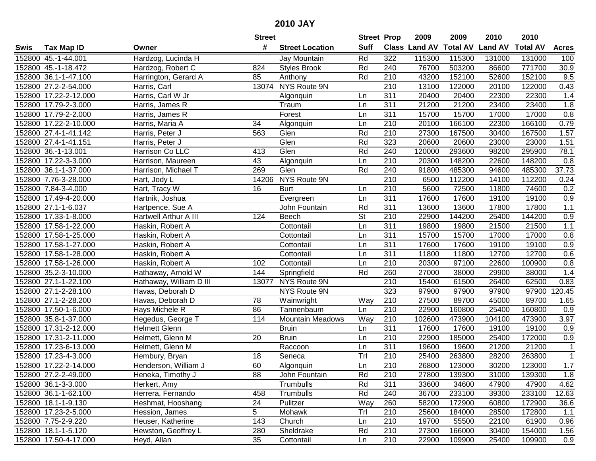|      |                       |                         | <b>Street</b>   |                         | <b>Street Prop</b>       |                  | 2009                 | 2009            | 2010           | 2010            |                   |
|------|-----------------------|-------------------------|-----------------|-------------------------|--------------------------|------------------|----------------------|-----------------|----------------|-----------------|-------------------|
| Swis | <b>Tax Map ID</b>     | Owner                   | #               | <b>Street Location</b>  | <b>Suff</b>              |                  | <b>Class Land AV</b> | <b>Total AV</b> | <b>Land AV</b> | <b>Total AV</b> | <b>Acres</b>      |
|      | 152800 45.-1-44.001   | Hardzog, Lucinda H      |                 | Jay Mountain            | Rd                       | 322              | 115300               | 115300          | 131000         | 131000          | 100               |
|      | 152800 45.-1-18.472   | Hardzog, Robert C       | 824             | <b>Styles Brook</b>     | Rd                       | 240              | 76700                | 503200          | 86600          | 771700          | $\overline{30.9}$ |
|      | 152800 36.1-1-47.100  | Harrington, Gerard A    | 85              | Anthony                 | Rd                       | 210              | 43200                | 152100          | 52600          | 152100          | 9.5               |
|      | 152800 27.2-2-54.000  | Harris, Carl            |                 | 13074 NYS Route 9N      |                          | 210              | 13100                | 122000          | 20100          | 122000          | 0.43              |
|      | 152800 17.22-2-12.000 | Harris, Carl W Jr       |                 | Algonquin               | Ln                       | 311              | 20400                | 20400           | 22300          | 22300           | 1.4               |
|      | 152800 17.79-2-3.000  | Harris, James R         |                 | Traum                   | Ln                       | 311              | 21200                | 21200           | 23400          | 23400           | 1.8               |
|      | 152800 17.79-2-2.000  | Harris, James R         |                 | Forest                  | Ln                       | 311              | 15700                | 15700           | 17000          | 17000           | 0.8               |
|      | 152800 17.22-2-10.000 | Harris, Maria A         | 34              | Algonquin               | Ln                       | $\overline{210}$ | 20100                | 166100          | 22300          | 166100          | 0.79              |
|      | 152800 27.4-1-41.142  | Harris, Peter J         | 563             | Glen                    | Rd                       | $\overline{210}$ | 27300                | 167500          | 30400          | 167500          | 1.57              |
|      | 152800 27.4-1-41.151  | Harris, Peter J         |                 | Glen                    | Rd                       | 323              | 20600                | 20600           | 23000          | 23000           | 1.51              |
|      | 152800 36.-1-13.001   | Harrison Co LLC         | 413             | Glen                    | Rd                       | 240              | 120000               | 293600          | 98200          | 295900          | 78.1              |
|      | 152800 17.22-3-3.000  | Harrison, Maureen       | 43              | Algonquin               | Ln                       | 210              | 20300                | 148200          | 22600          | 148200          | 0.8               |
|      | 152800 36.1-1-37.000  | Harrison, Michael T     | 269             | Glen                    | Rd                       | 240              | 91800                | 485300          | 94600          | 485300          | 37.73             |
|      | 152800 7.76-3-28.000  | Hart, Jody L            | 14206           | NYS Route 9N            |                          | 210              | 6500                 | 112200          | 14100          | 112200          | 0.24              |
|      | 152800 7.84-3-4.000   | Hart, Tracy W           | 16              | <b>Burt</b>             | Ln                       | 210              | 5600                 | 72500           | 11800          | 74600           | 0.2               |
|      | 152800 17.49-4-20.000 | Hartnik, Joshua         |                 | Evergreen               | Ln                       | 311              | 17600                | 17600           | 19100          | 19100           | 0.9               |
|      | 152800 27.1-1-6.037   | Hartpence, Sue A        |                 | John Fountain           | Rd                       | 311              | 13600                | 13600           | 17800          | 17800           | 1.1               |
|      | 152800 17.33-1-8.000  | Hartwell Arthur A III   | 124             | Beech                   | $\overline{\mathsf{St}}$ | 210              | 22900                | 144200          | 25400          | 144200          | 0.9               |
|      | 152800 17.58-1-22.000 | Haskin, Robert A        |                 | Cottontail              | Ln                       | 311              | 19800                | 19800           | 21500          | 21500           | $1.1$             |
|      | 152800 17.58-1-25.000 | Haskin, Robert A        |                 | Cottontail              | Ln                       | 311              | 15700                | 15700           | 17000          | 17000           | 0.8               |
|      | 152800 17.58-1-27.000 | Haskin, Robert A        |                 | Cottontail              | Ln                       | 311              | 17600                | 17600           | 19100          | 19100           | 0.9               |
|      | 152800 17.58-1-28.000 | Haskin, Robert A        |                 | Cottontail              | Ln                       | 311              | 11800                | 11800           | 12700          | 12700           | 0.6               |
|      | 152800 17.58-1-26.000 | Haskin, Robert A        | 102             | Cottontail              | Ln                       | 210              | 20300                | 97100           | 22600          | 100900          | 0.8               |
|      | 152800 35.2-3-10.000  | Hathaway, Arnold W      | 144             | Springfield             | Rd                       | 260              | 27000                | 38000           | 29900          | 38000           | 1.4               |
|      | 152800 27.1-1-22.100  | Hathaway, William D III | 13077           | NYS Route 9N            |                          | 210              | 15400                | 61500           | 26400          | 62500           | 0.83              |
|      | 152800 27.1-2-28.100  | Havas, Deborah D        |                 | NYS Route 9N            |                          | 323              | 97900                | 97900           | 97900          | 97900           | 120.45            |
|      | 152800 27.1-2-28.200  | Havas, Deborah D        | 78              | Wainwright              | Way                      | 210              | 27500                | 89700           | 45000          | 89700           | 1.65              |
|      | 152800 17.50-1-6.000  | Hays Michele R          | 86              | Tannenbaum              | Ln                       | 210              | 22900                | 160800          | 25400          | 160800          | 0.9               |
|      | 152800 35.8-1-37.000  | Hegedus, George T       | 114             | <b>Mountain Meadows</b> | Way                      | 210              | 102600               | 473900          | 104100         | 473900          | 3.97              |
|      | 152800 17.31-2-12.000 | <b>Helmett Glenn</b>    |                 | <b>Bruin</b>            | Ln                       | $\overline{311}$ | 17600                | 17600           | 19100          | 19100           | 0.9               |
|      | 152800 17.31-2-11.000 | Helmett, Glenn M        | $\overline{20}$ | <b>Bruin</b>            | Ln                       | 210              | 22900                | 185000          | 25400          | 172000          | 0.9               |
|      | 152800 17.23-6-13.000 | Helmett, Glenn M        |                 | Raccoon                 | Ln                       | 311              | 19600                | 19600           | 21200          | 21200           | $\mathbf 1$       |
|      | 152800 17.23-4-3.000  | Hembury, Bryan          | 18              | Seneca                  | Trl                      | $\overline{210}$ | 25400                | 263800          | 28200          | 263800          | $\mathbf{1}$      |
|      | 152800 17.22-2-14.000 | Henderson, William J    | 60              | Algonquin               | Ln                       | 210              | 26800                | 123000          | 30200          | 123000          | 1.7               |
|      | 152800 27.2-2-49.000  | Heneka, Timothy J       | 88              | John Fountain           | Rd                       | 210              | 27800                | 139300          | 31000          | 139300          | 1.8               |
|      | 152800 36.1-3-3.000   | Herkert, Amy            |                 | Trumbulls               | Rd                       | 311              | 33600                | 34600           | 47900          | 47900           | 4.62              |
|      | 152800 36.1-1-62.100  | Herrera, Fernando       | 458             | Trumbulls               | Rd                       | 240              | 36700                | 233100          | 39300          | 233100          | 12.63             |
|      | 152800 18.1-1-9.130   | Heshmat, Hooshang       | 24              | Pulitzer                | Way                      | 260              | 58200                | 172900          | 60800          | 172900          | 36.6              |
|      | 152800 17.23-2-5.000  | Hession, James          | 5               | Mohawk                  | Trl                      | 210              | 25600                | 184000          | 28500          | 172800          | 1.1               |
|      | 152800 7.75-2-9.220   | Heuser, Katherine       | 143             | Church                  | Ln                       | 210              | 19700                | 55500           | 22100          | 61900           | 0.96              |
|      | 152800 18.1-1-5.120   | Hewston, Geoffrey L     | 280             | Sheldrake               | Rd                       | 210              | 27300                | 166000          | 30400          | 154000          | 1.56              |
|      | 152800 17.50-4-17.000 | Heyd, Allan             | 35              | Cottontail              | Ln                       | 210              | 22900                | 109900          | 25400          | 109900          | 0.9               |
|      |                       |                         |                 |                         |                          |                  |                      |                 |                |                 |                   |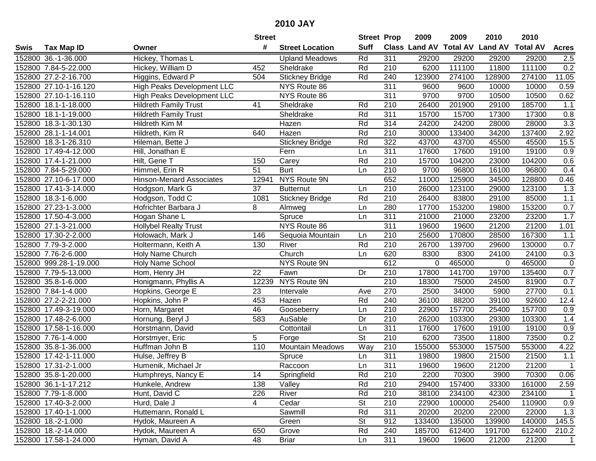| #<br><b>Suff</b><br>Class Land AV<br><b>Total AV</b><br><b>Land AV</b><br><b>Total AV</b><br><b>Tax Map ID</b><br><b>Street Location</b><br><b>Acres</b><br>Swis<br>Owner<br>Hickey, Thomas L<br>Rd<br>311<br>152800 36.-1-36.000<br>29200<br>29200<br>29200<br>29200<br>2.5<br><b>Upland Meadows</b><br>Rd<br>6200<br>111100<br>111100<br>0.2<br>152800 7.84-5-22.000<br>452<br>Sheldrake<br>210<br>11800<br>Hickey, William D<br>Higgins, Edward P<br>$\overline{11.05}$<br>152800 27.2-2-16.700<br>504<br>Rd<br>240<br>123900<br>274100<br>128900<br>274100<br><b>Stickney Bridge</b><br>$\overline{311}$<br><b>High Peaks Development LLC</b><br>NYS Route 86<br>9600<br>9600<br>10000<br>10000<br>0.59<br>152800 27.10-1-16.120<br>NYS Route 86<br>9700<br>0.62<br>152800 27.10-1-16.110<br><b>High Peaks Development LLC</b><br>311<br>9700<br>10500<br>10500<br>185700<br>152800 18.1-1-18.000<br><b>Hildreth Family Trust</b><br>41<br>Rd<br>210<br>26400<br>201900<br>29100<br>1.1<br>Sheldrake<br>311<br><b>Hildreth Family Trust</b><br>Sheldrake<br>Rd<br>15700<br>15700<br>17300<br>17300<br>0.8<br>152800 18.1-1-19.000<br>314<br>$\overline{3.3}$<br>Rd<br>24200<br>24200<br>28000<br>152800 18.3-1-30.130<br>Hildreth Kim M<br>Hazen<br>28000<br>Rd<br>$\overline{210}$<br>137400<br>2.92<br>152800 28.1-1-14.001<br>Hildreth, Kim R<br>640<br>30000<br>133400<br>34200<br>Hazen<br>Rd<br>322<br>43700<br>45500<br>15.5<br>152800 18.3-1-26.310<br><b>Stickney Bridge</b><br>43700<br>45500<br>Hileman, Bette J<br>311<br>17600<br>19100<br>152800 17.49-4-12.000<br>Fern<br>17600<br>19100<br>0.9<br>Hill, Jonathan E<br>Ln<br>152800 17.4-1-21.000<br>Carey<br>Rd<br>210<br>15700<br>104200<br>23000<br>104200<br>0.6<br>Hilt, Gene T<br>150<br>152800 7.84-5-29.000<br>Himmel, Erin R<br>51<br><b>Burt</b><br>210<br>9700<br>16100<br>96800<br>0.4<br>Ln<br>96800<br>NYS Route 9N<br>652<br>128800<br>152800 27.10-6-17.000<br><b>Hinson-Menard Associates</b><br>12941<br>11000<br>125900<br>34500<br>0.46<br>210<br>123100<br>1.3<br>152800 17.41-3-14.000<br>Hodgson, Mark G<br>37<br>26000<br>123100<br>29000<br><b>Butternut</b><br>Ln<br>210<br>Hodgson, Todd C<br>1081<br>Rd<br>26400<br>83800<br>29100<br>85000<br>1.1<br>152800 18.3-1-6.000<br><b>Stickney Bridge</b><br>280<br>0.7<br>152800 27.23-1-3.000<br>8<br>17700<br>153200<br>19800<br>153200<br>Hofrichter Barbara J<br>Ln<br>Almweg<br>311<br>1.7<br>152800 17.50-4-3.000<br>Hogan Shane L<br>Spruce<br>Ln<br>21000<br>21000<br>23200<br>23200<br>NYS Route 86<br>311<br>21200<br>152800 27.1-3-21.000<br><b>Hollybel Realty Trust</b><br>19600<br>19600<br>21200<br>1.01<br>152800 17.30-2-2.000<br>Holowach, Mark J<br>210<br>25600<br>170800<br>28500<br>167300<br>1.1<br>146<br>Sequoia Mountain<br>Ln<br>Rd<br>152800 7.79-3-2.000<br>River<br>210<br>26700<br>139700<br>29600<br>130000<br>0.7<br>Holtermann, Keith A<br>130<br>0.3<br>152800 7.76-2-6.000<br>Church<br>620<br>8300<br>8300<br>24100<br>24100<br>Holy Name Church<br>Ln<br>NYS Route 9N<br>612<br>465000<br>$\pmb{0}$<br>152800 999.28-1-19.000<br><b>Holy Name School</b><br>0<br>465000<br>$\Omega$<br>Fawn<br>17800<br>0.7<br>152800 7.79-5-13.000<br>Hom, Henry JH<br>22<br>Dr<br>210<br>141700<br>19700<br>135400<br>NYS Route 9N<br>$\overline{210}$<br>152800 35.8-1-6.000<br>12239<br>18300<br>75000<br>81900<br>0.7<br>Honigmann, Phyllis A<br>24500<br>23<br>270<br>27700<br>152800 7.84-1-4.000<br>Intervale<br>2500<br>34000<br>5900<br>0.1<br>Hopkins, George E<br>Ave<br>152800 27.2-2-21.000<br>453<br>Rd<br>240<br>36100<br>39100<br>92600<br>Hopkins, John P<br>Hazen<br>88200<br>12.4<br>46<br>210<br>157700<br>25400<br>157700<br>152800 17.49-3-19.000<br>22900<br>0.9<br>Horn, Margaret<br>Gooseberry<br>Ln<br>$\overline{210}$<br>1.4<br>152800 17.48-2-6.000<br>583<br>AuSable<br>Dr<br>26200<br>103300<br>29300<br>103300<br>Hornung, Beryl J<br>$\overline{311}$<br>17600<br>19100<br>152800 17.58-1-16.000<br>17600<br>19100<br>0.9<br>Horstmann, David<br>Cottontail<br>Ln<br>$\overline{\mathsf{St}}$<br>152800 7.76-1-4.000<br>$\overline{210}$<br>6200<br>73500<br>11800<br>73500<br>0.2<br>Horstmyer, Eric<br>5<br>Forge<br>Way<br>152800 35.8-1-36.000<br>110<br><b>Mountain Meadows</b><br>210<br>155000<br>553000<br>157500<br>553000<br>4.22<br>Huffman John B<br>311<br>19800<br>21500<br>152800 17.42-1-11.000<br>19800<br>21500<br>1.1<br>Hulse, Jeffrey B<br>Spruce<br>Ln<br>311<br>152800 17.31-2-1.000<br>Humenik, Michael Jr<br>Raccoon<br>Ln<br>19600<br>19600<br>21200<br>21200<br>$\overline{1}$<br>152800 35.8-1-20.000<br>Humphreys, Nancy E<br>14<br>Springfield<br>Rd<br>210<br>2200<br>70300<br>3900<br>70300<br>0.06<br>Rd<br>152800 36.1-1-17.212<br>138<br>Valley<br>210<br>29400<br>157400<br>33300<br>161000<br>2.59<br>Hunkele, Andrew<br>Rd<br>210<br>38100<br>152800 7.79-1-8.000<br>Hunt, David C<br>226<br>River<br>234100<br>42300<br>234100<br>$\overline{1}$<br>152800 17.40-3-2.000<br>$\overline{4}$<br><b>St</b><br>210<br>22900<br>0.9<br>Hurd, Dale J<br>Cedar<br>100000<br>25400<br>110900<br>Rd<br>311<br>20200<br>22000<br>1.3<br>152800 17.40-1-1.000<br>Huttemann, Ronald L<br>Sawmill<br>20200<br>22000<br><b>St</b><br>912<br>133400<br>140000<br>145.5<br>152800 18.-2-1.000<br>Hydok, Maureen A<br>Green<br>135000<br>139900<br>152800 18.-2-14.000<br>Hydok, Maureen A<br>650<br>Grove<br>Rd<br>240<br>185700<br>612400<br>191700<br>612400<br>210.2<br>152800 17.58-1-24.000<br>48<br>$\overline{1}$ |  |                | <b>Street</b> |              | <b>Street Prop</b> |     | 2009  | 2009  | 2010  | 2010  |  |
|---------------------------------------------------------------------------------------------------------------------------------------------------------------------------------------------------------------------------------------------------------------------------------------------------------------------------------------------------------------------------------------------------------------------------------------------------------------------------------------------------------------------------------------------------------------------------------------------------------------------------------------------------------------------------------------------------------------------------------------------------------------------------------------------------------------------------------------------------------------------------------------------------------------------------------------------------------------------------------------------------------------------------------------------------------------------------------------------------------------------------------------------------------------------------------------------------------------------------------------------------------------------------------------------------------------------------------------------------------------------------------------------------------------------------------------------------------------------------------------------------------------------------------------------------------------------------------------------------------------------------------------------------------------------------------------------------------------------------------------------------------------------------------------------------------------------------------------------------------------------------------------------------------------------------------------------------------------------------------------------------------------------------------------------------------------------------------------------------------------------------------------------------------------------------------------------------------------------------------------------------------------------------------------------------------------------------------------------------------------------------------------------------------------------------------------------------------------------------------------------------------------------------------------------------------------------------------------------------------------------------------------------------------------------------------------------------------------------------------------------------------------------------------------------------------------------------------------------------------------------------------------------------------------------------------------------------------------------------------------------------------------------------------------------------------------------------------------------------------------------------------------------------------------------------------------------------------------------------------------------------------------------------------------------------------------------------------------------------------------------------------------------------------------------------------------------------------------------------------------------------------------------------------------------------------------------------------------------------------------------------------------------------------------------------------------------------------------------------------------------------------------------------------------------------------------------------------------------------------------------------------------------------------------------------------------------------------------------------------------------------------------------------------------------------------------------------------------------------------------------------------------------------------------------------------------------------------------------------------------------------------------------------------------------------------------------------------------------------------------------------------------------------------------------------------------------------------------------------------------------------------------------------------------------------------------------------------------------------------------------------------------------------------------------------------------------------------------------------------------------------------------------------------------------------------------------------------------------------------------------------------------------------------------------------------------------------------------------------------------------------------------------------------------------------------------------------------------------------------------------------------------------------------------------------------------------------------------------------------------------------------------------------------------------------------------------------------------------------------------------------------------------------------------------------------------------------------------------------------------------------------------------------------------------------|--|----------------|---------------|--------------|--------------------|-----|-------|-------|-------|-------|--|
|                                                                                                                                                                                                                                                                                                                                                                                                                                                                                                                                                                                                                                                                                                                                                                                                                                                                                                                                                                                                                                                                                                                                                                                                                                                                                                                                                                                                                                                                                                                                                                                                                                                                                                                                                                                                                                                                                                                                                                                                                                                                                                                                                                                                                                                                                                                                                                                                                                                                                                                                                                                                                                                                                                                                                                                                                                                                                                                                                                                                                                                                                                                                                                                                                                                                                                                                                                                                                                                                                                                                                                                                                                                                                                                                                                                                                                                                                                                                                                                                                                                                                                                                                                                                                                                                                                                                                                                                                                                                                                                                                                                                                                                                                                                                                                                                                                                                                                                                                                                                                                                                                                                                                                                                                                                                                                                                                                                                                                                                                                                                                   |  |                |               |              |                    |     |       |       |       |       |  |
|                                                                                                                                                                                                                                                                                                                                                                                                                                                                                                                                                                                                                                                                                                                                                                                                                                                                                                                                                                                                                                                                                                                                                                                                                                                                                                                                                                                                                                                                                                                                                                                                                                                                                                                                                                                                                                                                                                                                                                                                                                                                                                                                                                                                                                                                                                                                                                                                                                                                                                                                                                                                                                                                                                                                                                                                                                                                                                                                                                                                                                                                                                                                                                                                                                                                                                                                                                                                                                                                                                                                                                                                                                                                                                                                                                                                                                                                                                                                                                                                                                                                                                                                                                                                                                                                                                                                                                                                                                                                                                                                                                                                                                                                                                                                                                                                                                                                                                                                                                                                                                                                                                                                                                                                                                                                                                                                                                                                                                                                                                                                                   |  |                |               |              |                    |     |       |       |       |       |  |
|                                                                                                                                                                                                                                                                                                                                                                                                                                                                                                                                                                                                                                                                                                                                                                                                                                                                                                                                                                                                                                                                                                                                                                                                                                                                                                                                                                                                                                                                                                                                                                                                                                                                                                                                                                                                                                                                                                                                                                                                                                                                                                                                                                                                                                                                                                                                                                                                                                                                                                                                                                                                                                                                                                                                                                                                                                                                                                                                                                                                                                                                                                                                                                                                                                                                                                                                                                                                                                                                                                                                                                                                                                                                                                                                                                                                                                                                                                                                                                                                                                                                                                                                                                                                                                                                                                                                                                                                                                                                                                                                                                                                                                                                                                                                                                                                                                                                                                                                                                                                                                                                                                                                                                                                                                                                                                                                                                                                                                                                                                                                                   |  |                |               |              |                    |     |       |       |       |       |  |
|                                                                                                                                                                                                                                                                                                                                                                                                                                                                                                                                                                                                                                                                                                                                                                                                                                                                                                                                                                                                                                                                                                                                                                                                                                                                                                                                                                                                                                                                                                                                                                                                                                                                                                                                                                                                                                                                                                                                                                                                                                                                                                                                                                                                                                                                                                                                                                                                                                                                                                                                                                                                                                                                                                                                                                                                                                                                                                                                                                                                                                                                                                                                                                                                                                                                                                                                                                                                                                                                                                                                                                                                                                                                                                                                                                                                                                                                                                                                                                                                                                                                                                                                                                                                                                                                                                                                                                                                                                                                                                                                                                                                                                                                                                                                                                                                                                                                                                                                                                                                                                                                                                                                                                                                                                                                                                                                                                                                                                                                                                                                                   |  |                |               |              |                    |     |       |       |       |       |  |
|                                                                                                                                                                                                                                                                                                                                                                                                                                                                                                                                                                                                                                                                                                                                                                                                                                                                                                                                                                                                                                                                                                                                                                                                                                                                                                                                                                                                                                                                                                                                                                                                                                                                                                                                                                                                                                                                                                                                                                                                                                                                                                                                                                                                                                                                                                                                                                                                                                                                                                                                                                                                                                                                                                                                                                                                                                                                                                                                                                                                                                                                                                                                                                                                                                                                                                                                                                                                                                                                                                                                                                                                                                                                                                                                                                                                                                                                                                                                                                                                                                                                                                                                                                                                                                                                                                                                                                                                                                                                                                                                                                                                                                                                                                                                                                                                                                                                                                                                                                                                                                                                                                                                                                                                                                                                                                                                                                                                                                                                                                                                                   |  |                |               |              |                    |     |       |       |       |       |  |
|                                                                                                                                                                                                                                                                                                                                                                                                                                                                                                                                                                                                                                                                                                                                                                                                                                                                                                                                                                                                                                                                                                                                                                                                                                                                                                                                                                                                                                                                                                                                                                                                                                                                                                                                                                                                                                                                                                                                                                                                                                                                                                                                                                                                                                                                                                                                                                                                                                                                                                                                                                                                                                                                                                                                                                                                                                                                                                                                                                                                                                                                                                                                                                                                                                                                                                                                                                                                                                                                                                                                                                                                                                                                                                                                                                                                                                                                                                                                                                                                                                                                                                                                                                                                                                                                                                                                                                                                                                                                                                                                                                                                                                                                                                                                                                                                                                                                                                                                                                                                                                                                                                                                                                                                                                                                                                                                                                                                                                                                                                                                                   |  |                |               |              |                    |     |       |       |       |       |  |
|                                                                                                                                                                                                                                                                                                                                                                                                                                                                                                                                                                                                                                                                                                                                                                                                                                                                                                                                                                                                                                                                                                                                                                                                                                                                                                                                                                                                                                                                                                                                                                                                                                                                                                                                                                                                                                                                                                                                                                                                                                                                                                                                                                                                                                                                                                                                                                                                                                                                                                                                                                                                                                                                                                                                                                                                                                                                                                                                                                                                                                                                                                                                                                                                                                                                                                                                                                                                                                                                                                                                                                                                                                                                                                                                                                                                                                                                                                                                                                                                                                                                                                                                                                                                                                                                                                                                                                                                                                                                                                                                                                                                                                                                                                                                                                                                                                                                                                                                                                                                                                                                                                                                                                                                                                                                                                                                                                                                                                                                                                                                                   |  |                |               |              |                    |     |       |       |       |       |  |
|                                                                                                                                                                                                                                                                                                                                                                                                                                                                                                                                                                                                                                                                                                                                                                                                                                                                                                                                                                                                                                                                                                                                                                                                                                                                                                                                                                                                                                                                                                                                                                                                                                                                                                                                                                                                                                                                                                                                                                                                                                                                                                                                                                                                                                                                                                                                                                                                                                                                                                                                                                                                                                                                                                                                                                                                                                                                                                                                                                                                                                                                                                                                                                                                                                                                                                                                                                                                                                                                                                                                                                                                                                                                                                                                                                                                                                                                                                                                                                                                                                                                                                                                                                                                                                                                                                                                                                                                                                                                                                                                                                                                                                                                                                                                                                                                                                                                                                                                                                                                                                                                                                                                                                                                                                                                                                                                                                                                                                                                                                                                                   |  |                |               |              |                    |     |       |       |       |       |  |
|                                                                                                                                                                                                                                                                                                                                                                                                                                                                                                                                                                                                                                                                                                                                                                                                                                                                                                                                                                                                                                                                                                                                                                                                                                                                                                                                                                                                                                                                                                                                                                                                                                                                                                                                                                                                                                                                                                                                                                                                                                                                                                                                                                                                                                                                                                                                                                                                                                                                                                                                                                                                                                                                                                                                                                                                                                                                                                                                                                                                                                                                                                                                                                                                                                                                                                                                                                                                                                                                                                                                                                                                                                                                                                                                                                                                                                                                                                                                                                                                                                                                                                                                                                                                                                                                                                                                                                                                                                                                                                                                                                                                                                                                                                                                                                                                                                                                                                                                                                                                                                                                                                                                                                                                                                                                                                                                                                                                                                                                                                                                                   |  |                |               |              |                    |     |       |       |       |       |  |
|                                                                                                                                                                                                                                                                                                                                                                                                                                                                                                                                                                                                                                                                                                                                                                                                                                                                                                                                                                                                                                                                                                                                                                                                                                                                                                                                                                                                                                                                                                                                                                                                                                                                                                                                                                                                                                                                                                                                                                                                                                                                                                                                                                                                                                                                                                                                                                                                                                                                                                                                                                                                                                                                                                                                                                                                                                                                                                                                                                                                                                                                                                                                                                                                                                                                                                                                                                                                                                                                                                                                                                                                                                                                                                                                                                                                                                                                                                                                                                                                                                                                                                                                                                                                                                                                                                                                                                                                                                                                                                                                                                                                                                                                                                                                                                                                                                                                                                                                                                                                                                                                                                                                                                                                                                                                                                                                                                                                                                                                                                                                                   |  |                |               |              |                    |     |       |       |       |       |  |
|                                                                                                                                                                                                                                                                                                                                                                                                                                                                                                                                                                                                                                                                                                                                                                                                                                                                                                                                                                                                                                                                                                                                                                                                                                                                                                                                                                                                                                                                                                                                                                                                                                                                                                                                                                                                                                                                                                                                                                                                                                                                                                                                                                                                                                                                                                                                                                                                                                                                                                                                                                                                                                                                                                                                                                                                                                                                                                                                                                                                                                                                                                                                                                                                                                                                                                                                                                                                                                                                                                                                                                                                                                                                                                                                                                                                                                                                                                                                                                                                                                                                                                                                                                                                                                                                                                                                                                                                                                                                                                                                                                                                                                                                                                                                                                                                                                                                                                                                                                                                                                                                                                                                                                                                                                                                                                                                                                                                                                                                                                                                                   |  |                |               |              |                    |     |       |       |       |       |  |
|                                                                                                                                                                                                                                                                                                                                                                                                                                                                                                                                                                                                                                                                                                                                                                                                                                                                                                                                                                                                                                                                                                                                                                                                                                                                                                                                                                                                                                                                                                                                                                                                                                                                                                                                                                                                                                                                                                                                                                                                                                                                                                                                                                                                                                                                                                                                                                                                                                                                                                                                                                                                                                                                                                                                                                                                                                                                                                                                                                                                                                                                                                                                                                                                                                                                                                                                                                                                                                                                                                                                                                                                                                                                                                                                                                                                                                                                                                                                                                                                                                                                                                                                                                                                                                                                                                                                                                                                                                                                                                                                                                                                                                                                                                                                                                                                                                                                                                                                                                                                                                                                                                                                                                                                                                                                                                                                                                                                                                                                                                                                                   |  |                |               |              |                    |     |       |       |       |       |  |
|                                                                                                                                                                                                                                                                                                                                                                                                                                                                                                                                                                                                                                                                                                                                                                                                                                                                                                                                                                                                                                                                                                                                                                                                                                                                                                                                                                                                                                                                                                                                                                                                                                                                                                                                                                                                                                                                                                                                                                                                                                                                                                                                                                                                                                                                                                                                                                                                                                                                                                                                                                                                                                                                                                                                                                                                                                                                                                                                                                                                                                                                                                                                                                                                                                                                                                                                                                                                                                                                                                                                                                                                                                                                                                                                                                                                                                                                                                                                                                                                                                                                                                                                                                                                                                                                                                                                                                                                                                                                                                                                                                                                                                                                                                                                                                                                                                                                                                                                                                                                                                                                                                                                                                                                                                                                                                                                                                                                                                                                                                                                                   |  |                |               |              |                    |     |       |       |       |       |  |
|                                                                                                                                                                                                                                                                                                                                                                                                                                                                                                                                                                                                                                                                                                                                                                                                                                                                                                                                                                                                                                                                                                                                                                                                                                                                                                                                                                                                                                                                                                                                                                                                                                                                                                                                                                                                                                                                                                                                                                                                                                                                                                                                                                                                                                                                                                                                                                                                                                                                                                                                                                                                                                                                                                                                                                                                                                                                                                                                                                                                                                                                                                                                                                                                                                                                                                                                                                                                                                                                                                                                                                                                                                                                                                                                                                                                                                                                                                                                                                                                                                                                                                                                                                                                                                                                                                                                                                                                                                                                                                                                                                                                                                                                                                                                                                                                                                                                                                                                                                                                                                                                                                                                                                                                                                                                                                                                                                                                                                                                                                                                                   |  |                |               |              |                    |     |       |       |       |       |  |
|                                                                                                                                                                                                                                                                                                                                                                                                                                                                                                                                                                                                                                                                                                                                                                                                                                                                                                                                                                                                                                                                                                                                                                                                                                                                                                                                                                                                                                                                                                                                                                                                                                                                                                                                                                                                                                                                                                                                                                                                                                                                                                                                                                                                                                                                                                                                                                                                                                                                                                                                                                                                                                                                                                                                                                                                                                                                                                                                                                                                                                                                                                                                                                                                                                                                                                                                                                                                                                                                                                                                                                                                                                                                                                                                                                                                                                                                                                                                                                                                                                                                                                                                                                                                                                                                                                                                                                                                                                                                                                                                                                                                                                                                                                                                                                                                                                                                                                                                                                                                                                                                                                                                                                                                                                                                                                                                                                                                                                                                                                                                                   |  |                |               |              |                    |     |       |       |       |       |  |
|                                                                                                                                                                                                                                                                                                                                                                                                                                                                                                                                                                                                                                                                                                                                                                                                                                                                                                                                                                                                                                                                                                                                                                                                                                                                                                                                                                                                                                                                                                                                                                                                                                                                                                                                                                                                                                                                                                                                                                                                                                                                                                                                                                                                                                                                                                                                                                                                                                                                                                                                                                                                                                                                                                                                                                                                                                                                                                                                                                                                                                                                                                                                                                                                                                                                                                                                                                                                                                                                                                                                                                                                                                                                                                                                                                                                                                                                                                                                                                                                                                                                                                                                                                                                                                                                                                                                                                                                                                                                                                                                                                                                                                                                                                                                                                                                                                                                                                                                                                                                                                                                                                                                                                                                                                                                                                                                                                                                                                                                                                                                                   |  |                |               |              |                    |     |       |       |       |       |  |
|                                                                                                                                                                                                                                                                                                                                                                                                                                                                                                                                                                                                                                                                                                                                                                                                                                                                                                                                                                                                                                                                                                                                                                                                                                                                                                                                                                                                                                                                                                                                                                                                                                                                                                                                                                                                                                                                                                                                                                                                                                                                                                                                                                                                                                                                                                                                                                                                                                                                                                                                                                                                                                                                                                                                                                                                                                                                                                                                                                                                                                                                                                                                                                                                                                                                                                                                                                                                                                                                                                                                                                                                                                                                                                                                                                                                                                                                                                                                                                                                                                                                                                                                                                                                                                                                                                                                                                                                                                                                                                                                                                                                                                                                                                                                                                                                                                                                                                                                                                                                                                                                                                                                                                                                                                                                                                                                                                                                                                                                                                                                                   |  |                |               |              |                    |     |       |       |       |       |  |
|                                                                                                                                                                                                                                                                                                                                                                                                                                                                                                                                                                                                                                                                                                                                                                                                                                                                                                                                                                                                                                                                                                                                                                                                                                                                                                                                                                                                                                                                                                                                                                                                                                                                                                                                                                                                                                                                                                                                                                                                                                                                                                                                                                                                                                                                                                                                                                                                                                                                                                                                                                                                                                                                                                                                                                                                                                                                                                                                                                                                                                                                                                                                                                                                                                                                                                                                                                                                                                                                                                                                                                                                                                                                                                                                                                                                                                                                                                                                                                                                                                                                                                                                                                                                                                                                                                                                                                                                                                                                                                                                                                                                                                                                                                                                                                                                                                                                                                                                                                                                                                                                                                                                                                                                                                                                                                                                                                                                                                                                                                                                                   |  |                |               |              |                    |     |       |       |       |       |  |
|                                                                                                                                                                                                                                                                                                                                                                                                                                                                                                                                                                                                                                                                                                                                                                                                                                                                                                                                                                                                                                                                                                                                                                                                                                                                                                                                                                                                                                                                                                                                                                                                                                                                                                                                                                                                                                                                                                                                                                                                                                                                                                                                                                                                                                                                                                                                                                                                                                                                                                                                                                                                                                                                                                                                                                                                                                                                                                                                                                                                                                                                                                                                                                                                                                                                                                                                                                                                                                                                                                                                                                                                                                                                                                                                                                                                                                                                                                                                                                                                                                                                                                                                                                                                                                                                                                                                                                                                                                                                                                                                                                                                                                                                                                                                                                                                                                                                                                                                                                                                                                                                                                                                                                                                                                                                                                                                                                                                                                                                                                                                                   |  |                |               |              |                    |     |       |       |       |       |  |
|                                                                                                                                                                                                                                                                                                                                                                                                                                                                                                                                                                                                                                                                                                                                                                                                                                                                                                                                                                                                                                                                                                                                                                                                                                                                                                                                                                                                                                                                                                                                                                                                                                                                                                                                                                                                                                                                                                                                                                                                                                                                                                                                                                                                                                                                                                                                                                                                                                                                                                                                                                                                                                                                                                                                                                                                                                                                                                                                                                                                                                                                                                                                                                                                                                                                                                                                                                                                                                                                                                                                                                                                                                                                                                                                                                                                                                                                                                                                                                                                                                                                                                                                                                                                                                                                                                                                                                                                                                                                                                                                                                                                                                                                                                                                                                                                                                                                                                                                                                                                                                                                                                                                                                                                                                                                                                                                                                                                                                                                                                                                                   |  |                |               |              |                    |     |       |       |       |       |  |
|                                                                                                                                                                                                                                                                                                                                                                                                                                                                                                                                                                                                                                                                                                                                                                                                                                                                                                                                                                                                                                                                                                                                                                                                                                                                                                                                                                                                                                                                                                                                                                                                                                                                                                                                                                                                                                                                                                                                                                                                                                                                                                                                                                                                                                                                                                                                                                                                                                                                                                                                                                                                                                                                                                                                                                                                                                                                                                                                                                                                                                                                                                                                                                                                                                                                                                                                                                                                                                                                                                                                                                                                                                                                                                                                                                                                                                                                                                                                                                                                                                                                                                                                                                                                                                                                                                                                                                                                                                                                                                                                                                                                                                                                                                                                                                                                                                                                                                                                                                                                                                                                                                                                                                                                                                                                                                                                                                                                                                                                                                                                                   |  |                |               |              |                    |     |       |       |       |       |  |
|                                                                                                                                                                                                                                                                                                                                                                                                                                                                                                                                                                                                                                                                                                                                                                                                                                                                                                                                                                                                                                                                                                                                                                                                                                                                                                                                                                                                                                                                                                                                                                                                                                                                                                                                                                                                                                                                                                                                                                                                                                                                                                                                                                                                                                                                                                                                                                                                                                                                                                                                                                                                                                                                                                                                                                                                                                                                                                                                                                                                                                                                                                                                                                                                                                                                                                                                                                                                                                                                                                                                                                                                                                                                                                                                                                                                                                                                                                                                                                                                                                                                                                                                                                                                                                                                                                                                                                                                                                                                                                                                                                                                                                                                                                                                                                                                                                                                                                                                                                                                                                                                                                                                                                                                                                                                                                                                                                                                                                                                                                                                                   |  |                |               |              |                    |     |       |       |       |       |  |
|                                                                                                                                                                                                                                                                                                                                                                                                                                                                                                                                                                                                                                                                                                                                                                                                                                                                                                                                                                                                                                                                                                                                                                                                                                                                                                                                                                                                                                                                                                                                                                                                                                                                                                                                                                                                                                                                                                                                                                                                                                                                                                                                                                                                                                                                                                                                                                                                                                                                                                                                                                                                                                                                                                                                                                                                                                                                                                                                                                                                                                                                                                                                                                                                                                                                                                                                                                                                                                                                                                                                                                                                                                                                                                                                                                                                                                                                                                                                                                                                                                                                                                                                                                                                                                                                                                                                                                                                                                                                                                                                                                                                                                                                                                                                                                                                                                                                                                                                                                                                                                                                                                                                                                                                                                                                                                                                                                                                                                                                                                                                                   |  |                |               |              |                    |     |       |       |       |       |  |
|                                                                                                                                                                                                                                                                                                                                                                                                                                                                                                                                                                                                                                                                                                                                                                                                                                                                                                                                                                                                                                                                                                                                                                                                                                                                                                                                                                                                                                                                                                                                                                                                                                                                                                                                                                                                                                                                                                                                                                                                                                                                                                                                                                                                                                                                                                                                                                                                                                                                                                                                                                                                                                                                                                                                                                                                                                                                                                                                                                                                                                                                                                                                                                                                                                                                                                                                                                                                                                                                                                                                                                                                                                                                                                                                                                                                                                                                                                                                                                                                                                                                                                                                                                                                                                                                                                                                                                                                                                                                                                                                                                                                                                                                                                                                                                                                                                                                                                                                                                                                                                                                                                                                                                                                                                                                                                                                                                                                                                                                                                                                                   |  |                |               |              |                    |     |       |       |       |       |  |
|                                                                                                                                                                                                                                                                                                                                                                                                                                                                                                                                                                                                                                                                                                                                                                                                                                                                                                                                                                                                                                                                                                                                                                                                                                                                                                                                                                                                                                                                                                                                                                                                                                                                                                                                                                                                                                                                                                                                                                                                                                                                                                                                                                                                                                                                                                                                                                                                                                                                                                                                                                                                                                                                                                                                                                                                                                                                                                                                                                                                                                                                                                                                                                                                                                                                                                                                                                                                                                                                                                                                                                                                                                                                                                                                                                                                                                                                                                                                                                                                                                                                                                                                                                                                                                                                                                                                                                                                                                                                                                                                                                                                                                                                                                                                                                                                                                                                                                                                                                                                                                                                                                                                                                                                                                                                                                                                                                                                                                                                                                                                                   |  |                |               |              |                    |     |       |       |       |       |  |
|                                                                                                                                                                                                                                                                                                                                                                                                                                                                                                                                                                                                                                                                                                                                                                                                                                                                                                                                                                                                                                                                                                                                                                                                                                                                                                                                                                                                                                                                                                                                                                                                                                                                                                                                                                                                                                                                                                                                                                                                                                                                                                                                                                                                                                                                                                                                                                                                                                                                                                                                                                                                                                                                                                                                                                                                                                                                                                                                                                                                                                                                                                                                                                                                                                                                                                                                                                                                                                                                                                                                                                                                                                                                                                                                                                                                                                                                                                                                                                                                                                                                                                                                                                                                                                                                                                                                                                                                                                                                                                                                                                                                                                                                                                                                                                                                                                                                                                                                                                                                                                                                                                                                                                                                                                                                                                                                                                                                                                                                                                                                                   |  |                |               |              |                    |     |       |       |       |       |  |
|                                                                                                                                                                                                                                                                                                                                                                                                                                                                                                                                                                                                                                                                                                                                                                                                                                                                                                                                                                                                                                                                                                                                                                                                                                                                                                                                                                                                                                                                                                                                                                                                                                                                                                                                                                                                                                                                                                                                                                                                                                                                                                                                                                                                                                                                                                                                                                                                                                                                                                                                                                                                                                                                                                                                                                                                                                                                                                                                                                                                                                                                                                                                                                                                                                                                                                                                                                                                                                                                                                                                                                                                                                                                                                                                                                                                                                                                                                                                                                                                                                                                                                                                                                                                                                                                                                                                                                                                                                                                                                                                                                                                                                                                                                                                                                                                                                                                                                                                                                                                                                                                                                                                                                                                                                                                                                                                                                                                                                                                                                                                                   |  |                |               |              |                    |     |       |       |       |       |  |
|                                                                                                                                                                                                                                                                                                                                                                                                                                                                                                                                                                                                                                                                                                                                                                                                                                                                                                                                                                                                                                                                                                                                                                                                                                                                                                                                                                                                                                                                                                                                                                                                                                                                                                                                                                                                                                                                                                                                                                                                                                                                                                                                                                                                                                                                                                                                                                                                                                                                                                                                                                                                                                                                                                                                                                                                                                                                                                                                                                                                                                                                                                                                                                                                                                                                                                                                                                                                                                                                                                                                                                                                                                                                                                                                                                                                                                                                                                                                                                                                                                                                                                                                                                                                                                                                                                                                                                                                                                                                                                                                                                                                                                                                                                                                                                                                                                                                                                                                                                                                                                                                                                                                                                                                                                                                                                                                                                                                                                                                                                                                                   |  |                |               |              |                    |     |       |       |       |       |  |
|                                                                                                                                                                                                                                                                                                                                                                                                                                                                                                                                                                                                                                                                                                                                                                                                                                                                                                                                                                                                                                                                                                                                                                                                                                                                                                                                                                                                                                                                                                                                                                                                                                                                                                                                                                                                                                                                                                                                                                                                                                                                                                                                                                                                                                                                                                                                                                                                                                                                                                                                                                                                                                                                                                                                                                                                                                                                                                                                                                                                                                                                                                                                                                                                                                                                                                                                                                                                                                                                                                                                                                                                                                                                                                                                                                                                                                                                                                                                                                                                                                                                                                                                                                                                                                                                                                                                                                                                                                                                                                                                                                                                                                                                                                                                                                                                                                                                                                                                                                                                                                                                                                                                                                                                                                                                                                                                                                                                                                                                                                                                                   |  |                |               |              |                    |     |       |       |       |       |  |
|                                                                                                                                                                                                                                                                                                                                                                                                                                                                                                                                                                                                                                                                                                                                                                                                                                                                                                                                                                                                                                                                                                                                                                                                                                                                                                                                                                                                                                                                                                                                                                                                                                                                                                                                                                                                                                                                                                                                                                                                                                                                                                                                                                                                                                                                                                                                                                                                                                                                                                                                                                                                                                                                                                                                                                                                                                                                                                                                                                                                                                                                                                                                                                                                                                                                                                                                                                                                                                                                                                                                                                                                                                                                                                                                                                                                                                                                                                                                                                                                                                                                                                                                                                                                                                                                                                                                                                                                                                                                                                                                                                                                                                                                                                                                                                                                                                                                                                                                                                                                                                                                                                                                                                                                                                                                                                                                                                                                                                                                                                                                                   |  |                |               |              |                    |     |       |       |       |       |  |
|                                                                                                                                                                                                                                                                                                                                                                                                                                                                                                                                                                                                                                                                                                                                                                                                                                                                                                                                                                                                                                                                                                                                                                                                                                                                                                                                                                                                                                                                                                                                                                                                                                                                                                                                                                                                                                                                                                                                                                                                                                                                                                                                                                                                                                                                                                                                                                                                                                                                                                                                                                                                                                                                                                                                                                                                                                                                                                                                                                                                                                                                                                                                                                                                                                                                                                                                                                                                                                                                                                                                                                                                                                                                                                                                                                                                                                                                                                                                                                                                                                                                                                                                                                                                                                                                                                                                                                                                                                                                                                                                                                                                                                                                                                                                                                                                                                                                                                                                                                                                                                                                                                                                                                                                                                                                                                                                                                                                                                                                                                                                                   |  |                |               |              |                    |     |       |       |       |       |  |
|                                                                                                                                                                                                                                                                                                                                                                                                                                                                                                                                                                                                                                                                                                                                                                                                                                                                                                                                                                                                                                                                                                                                                                                                                                                                                                                                                                                                                                                                                                                                                                                                                                                                                                                                                                                                                                                                                                                                                                                                                                                                                                                                                                                                                                                                                                                                                                                                                                                                                                                                                                                                                                                                                                                                                                                                                                                                                                                                                                                                                                                                                                                                                                                                                                                                                                                                                                                                                                                                                                                                                                                                                                                                                                                                                                                                                                                                                                                                                                                                                                                                                                                                                                                                                                                                                                                                                                                                                                                                                                                                                                                                                                                                                                                                                                                                                                                                                                                                                                                                                                                                                                                                                                                                                                                                                                                                                                                                                                                                                                                                                   |  |                |               |              |                    |     |       |       |       |       |  |
|                                                                                                                                                                                                                                                                                                                                                                                                                                                                                                                                                                                                                                                                                                                                                                                                                                                                                                                                                                                                                                                                                                                                                                                                                                                                                                                                                                                                                                                                                                                                                                                                                                                                                                                                                                                                                                                                                                                                                                                                                                                                                                                                                                                                                                                                                                                                                                                                                                                                                                                                                                                                                                                                                                                                                                                                                                                                                                                                                                                                                                                                                                                                                                                                                                                                                                                                                                                                                                                                                                                                                                                                                                                                                                                                                                                                                                                                                                                                                                                                                                                                                                                                                                                                                                                                                                                                                                                                                                                                                                                                                                                                                                                                                                                                                                                                                                                                                                                                                                                                                                                                                                                                                                                                                                                                                                                                                                                                                                                                                                                                                   |  |                |               |              |                    |     |       |       |       |       |  |
|                                                                                                                                                                                                                                                                                                                                                                                                                                                                                                                                                                                                                                                                                                                                                                                                                                                                                                                                                                                                                                                                                                                                                                                                                                                                                                                                                                                                                                                                                                                                                                                                                                                                                                                                                                                                                                                                                                                                                                                                                                                                                                                                                                                                                                                                                                                                                                                                                                                                                                                                                                                                                                                                                                                                                                                                                                                                                                                                                                                                                                                                                                                                                                                                                                                                                                                                                                                                                                                                                                                                                                                                                                                                                                                                                                                                                                                                                                                                                                                                                                                                                                                                                                                                                                                                                                                                                                                                                                                                                                                                                                                                                                                                                                                                                                                                                                                                                                                                                                                                                                                                                                                                                                                                                                                                                                                                                                                                                                                                                                                                                   |  |                |               |              |                    |     |       |       |       |       |  |
|                                                                                                                                                                                                                                                                                                                                                                                                                                                                                                                                                                                                                                                                                                                                                                                                                                                                                                                                                                                                                                                                                                                                                                                                                                                                                                                                                                                                                                                                                                                                                                                                                                                                                                                                                                                                                                                                                                                                                                                                                                                                                                                                                                                                                                                                                                                                                                                                                                                                                                                                                                                                                                                                                                                                                                                                                                                                                                                                                                                                                                                                                                                                                                                                                                                                                                                                                                                                                                                                                                                                                                                                                                                                                                                                                                                                                                                                                                                                                                                                                                                                                                                                                                                                                                                                                                                                                                                                                                                                                                                                                                                                                                                                                                                                                                                                                                                                                                                                                                                                                                                                                                                                                                                                                                                                                                                                                                                                                                                                                                                                                   |  |                |               |              |                    |     |       |       |       |       |  |
|                                                                                                                                                                                                                                                                                                                                                                                                                                                                                                                                                                                                                                                                                                                                                                                                                                                                                                                                                                                                                                                                                                                                                                                                                                                                                                                                                                                                                                                                                                                                                                                                                                                                                                                                                                                                                                                                                                                                                                                                                                                                                                                                                                                                                                                                                                                                                                                                                                                                                                                                                                                                                                                                                                                                                                                                                                                                                                                                                                                                                                                                                                                                                                                                                                                                                                                                                                                                                                                                                                                                                                                                                                                                                                                                                                                                                                                                                                                                                                                                                                                                                                                                                                                                                                                                                                                                                                                                                                                                                                                                                                                                                                                                                                                                                                                                                                                                                                                                                                                                                                                                                                                                                                                                                                                                                                                                                                                                                                                                                                                                                   |  |                |               |              |                    |     |       |       |       |       |  |
|                                                                                                                                                                                                                                                                                                                                                                                                                                                                                                                                                                                                                                                                                                                                                                                                                                                                                                                                                                                                                                                                                                                                                                                                                                                                                                                                                                                                                                                                                                                                                                                                                                                                                                                                                                                                                                                                                                                                                                                                                                                                                                                                                                                                                                                                                                                                                                                                                                                                                                                                                                                                                                                                                                                                                                                                                                                                                                                                                                                                                                                                                                                                                                                                                                                                                                                                                                                                                                                                                                                                                                                                                                                                                                                                                                                                                                                                                                                                                                                                                                                                                                                                                                                                                                                                                                                                                                                                                                                                                                                                                                                                                                                                                                                                                                                                                                                                                                                                                                                                                                                                                                                                                                                                                                                                                                                                                                                                                                                                                                                                                   |  |                |               |              |                    |     |       |       |       |       |  |
|                                                                                                                                                                                                                                                                                                                                                                                                                                                                                                                                                                                                                                                                                                                                                                                                                                                                                                                                                                                                                                                                                                                                                                                                                                                                                                                                                                                                                                                                                                                                                                                                                                                                                                                                                                                                                                                                                                                                                                                                                                                                                                                                                                                                                                                                                                                                                                                                                                                                                                                                                                                                                                                                                                                                                                                                                                                                                                                                                                                                                                                                                                                                                                                                                                                                                                                                                                                                                                                                                                                                                                                                                                                                                                                                                                                                                                                                                                                                                                                                                                                                                                                                                                                                                                                                                                                                                                                                                                                                                                                                                                                                                                                                                                                                                                                                                                                                                                                                                                                                                                                                                                                                                                                                                                                                                                                                                                                                                                                                                                                                                   |  |                |               |              |                    |     |       |       |       |       |  |
|                                                                                                                                                                                                                                                                                                                                                                                                                                                                                                                                                                                                                                                                                                                                                                                                                                                                                                                                                                                                                                                                                                                                                                                                                                                                                                                                                                                                                                                                                                                                                                                                                                                                                                                                                                                                                                                                                                                                                                                                                                                                                                                                                                                                                                                                                                                                                                                                                                                                                                                                                                                                                                                                                                                                                                                                                                                                                                                                                                                                                                                                                                                                                                                                                                                                                                                                                                                                                                                                                                                                                                                                                                                                                                                                                                                                                                                                                                                                                                                                                                                                                                                                                                                                                                                                                                                                                                                                                                                                                                                                                                                                                                                                                                                                                                                                                                                                                                                                                                                                                                                                                                                                                                                                                                                                                                                                                                                                                                                                                                                                                   |  |                |               |              |                    |     |       |       |       |       |  |
|                                                                                                                                                                                                                                                                                                                                                                                                                                                                                                                                                                                                                                                                                                                                                                                                                                                                                                                                                                                                                                                                                                                                                                                                                                                                                                                                                                                                                                                                                                                                                                                                                                                                                                                                                                                                                                                                                                                                                                                                                                                                                                                                                                                                                                                                                                                                                                                                                                                                                                                                                                                                                                                                                                                                                                                                                                                                                                                                                                                                                                                                                                                                                                                                                                                                                                                                                                                                                                                                                                                                                                                                                                                                                                                                                                                                                                                                                                                                                                                                                                                                                                                                                                                                                                                                                                                                                                                                                                                                                                                                                                                                                                                                                                                                                                                                                                                                                                                                                                                                                                                                                                                                                                                                                                                                                                                                                                                                                                                                                                                                                   |  |                |               |              |                    |     |       |       |       |       |  |
|                                                                                                                                                                                                                                                                                                                                                                                                                                                                                                                                                                                                                                                                                                                                                                                                                                                                                                                                                                                                                                                                                                                                                                                                                                                                                                                                                                                                                                                                                                                                                                                                                                                                                                                                                                                                                                                                                                                                                                                                                                                                                                                                                                                                                                                                                                                                                                                                                                                                                                                                                                                                                                                                                                                                                                                                                                                                                                                                                                                                                                                                                                                                                                                                                                                                                                                                                                                                                                                                                                                                                                                                                                                                                                                                                                                                                                                                                                                                                                                                                                                                                                                                                                                                                                                                                                                                                                                                                                                                                                                                                                                                                                                                                                                                                                                                                                                                                                                                                                                                                                                                                                                                                                                                                                                                                                                                                                                                                                                                                                                                                   |  |                |               |              |                    |     |       |       |       |       |  |
|                                                                                                                                                                                                                                                                                                                                                                                                                                                                                                                                                                                                                                                                                                                                                                                                                                                                                                                                                                                                                                                                                                                                                                                                                                                                                                                                                                                                                                                                                                                                                                                                                                                                                                                                                                                                                                                                                                                                                                                                                                                                                                                                                                                                                                                                                                                                                                                                                                                                                                                                                                                                                                                                                                                                                                                                                                                                                                                                                                                                                                                                                                                                                                                                                                                                                                                                                                                                                                                                                                                                                                                                                                                                                                                                                                                                                                                                                                                                                                                                                                                                                                                                                                                                                                                                                                                                                                                                                                                                                                                                                                                                                                                                                                                                                                                                                                                                                                                                                                                                                                                                                                                                                                                                                                                                                                                                                                                                                                                                                                                                                   |  |                |               |              |                    |     |       |       |       |       |  |
|                                                                                                                                                                                                                                                                                                                                                                                                                                                                                                                                                                                                                                                                                                                                                                                                                                                                                                                                                                                                                                                                                                                                                                                                                                                                                                                                                                                                                                                                                                                                                                                                                                                                                                                                                                                                                                                                                                                                                                                                                                                                                                                                                                                                                                                                                                                                                                                                                                                                                                                                                                                                                                                                                                                                                                                                                                                                                                                                                                                                                                                                                                                                                                                                                                                                                                                                                                                                                                                                                                                                                                                                                                                                                                                                                                                                                                                                                                                                                                                                                                                                                                                                                                                                                                                                                                                                                                                                                                                                                                                                                                                                                                                                                                                                                                                                                                                                                                                                                                                                                                                                                                                                                                                                                                                                                                                                                                                                                                                                                                                                                   |  | Hyman, David A |               | <b>Briar</b> | Ln                 | 311 | 19600 | 19600 | 21200 | 21200 |  |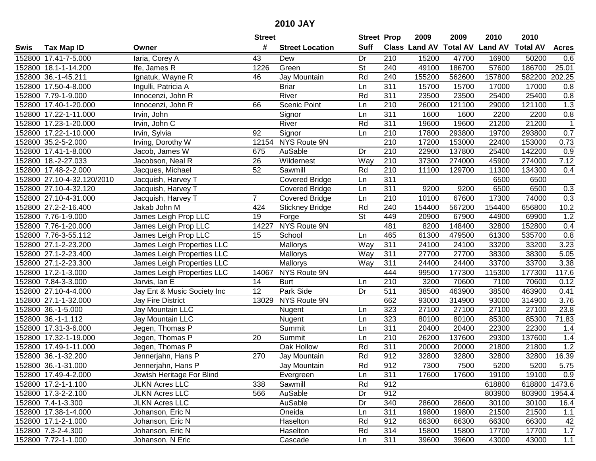|      |                            |                             | <b>Street</b> |                        | <b>Street Prop</b>       |                  | 2009                 | 2009            | 2010           | 2010            |                |
|------|----------------------------|-----------------------------|---------------|------------------------|--------------------------|------------------|----------------------|-----------------|----------------|-----------------|----------------|
| Swis | <b>Tax Map ID</b>          | Owner                       | #             | <b>Street Location</b> | <b>Suff</b>              |                  | <b>Class Land AV</b> | <b>Total AV</b> | <b>Land AV</b> | <b>Total AV</b> | <b>Acres</b>   |
|      | 152800 17.41-7-5.000       | laria, Corey A              | 43            | Dew                    | Dr                       | 210              | 15200                | 47700           | 16900          | 50200           | 0.6            |
|      | 152800 18.1-1-14.200       | Ife, James R                | 1226          | Green                  | St                       | 240              | 49100                | 186700          | 57600          | 186700          | 25.01          |
|      | 152800 36.-1-45.211        | Ignatuk, Wayne R            | 46            | Jay Mountain           | Rd                       | 240              | 155200               | 562600          | 157800         | 582200          | 202.25         |
|      | 152800 17.50-4-8.000       | Ingulli, Patricia A         |               | <b>Briar</b>           | Ln                       | 311              | 15700                | 15700           | 17000          | 17000           | 0.8            |
|      | 152800 7.79-1-9.000        | Innocenzi, John R           |               | River                  | Rd                       | 311              | 23500                | 23500           | 25400          | 25400           | 0.8            |
|      | 152800 17.40-1-20.000      | Innocenzi, John R           | 66            | Scenic Point           | Ln                       | 210              | 26000                | 121100          | 29000          | 121100          | 1.3            |
|      | 152800 17.22-1-11.000      | Irvin, John                 |               | Signor                 | Ln                       | 311              | 1600                 | 1600            | 2200           | 2200            | 0.8            |
|      | 152800 17.23-1-20.000      | Irvin, John C               |               | River                  | Rd                       | 311              | 19600                | 19600           | 21200          | 21200           | $\overline{1}$ |
|      | 152800 17.22-1-10.000      | Irvin, Sylvia               | 92            | Signor                 | Ln                       | 210              | 17800                | 293800          | 19700          | 293800          | 0.7            |
|      | 152800 35.2-5-2.000        | Irving, Dorothy W           |               | 12154 NYS Route 9N     |                          | 210              | 17200                | 153000          | 22400          | 153000          | 0.73           |
|      | 152800 17.41-1-8.000       | Jacob, James W              | 675           | AuSable                | Dr                       | 210              | 22900                | 137800          | 25400          | 142200          | 0.9            |
|      | 152800 18.-2-27.033        | Jacobson, Neal R            | 26            | Wildernest             | Way                      | 210              | 37300                | 274000          | 45900          | 274000          | 7.12           |
|      | 152800 17.48-2-2.000       | Jacques, Michael            | 52            | Sawmill                | Rd                       | 210              | 11100                | 129700          | 11300          | 134300          | 0.4            |
|      | 152800 27.10-4-32.120/2010 | Jacquish, Harvey T          |               | <b>Covered Bridge</b>  | Ln                       | 311              |                      |                 | 6500           | 6500            |                |
|      | 152800 27.10-4-32.120      | Jacquish, Harvey T          |               | <b>Covered Bridge</b>  | Ln                       | 311              | 9200                 | 9200            | 6500           | 6500            | 0.3            |
|      | 152800 27.10-4-31.000      | Jacquish, Harvey T          | 7             | <b>Covered Bridge</b>  | Ln                       | 210              | 10100                | 67600           | 17300          | 74000           | 0.3            |
|      | 152800 27.2-2-16.400       | Jakab John M                | 424           | <b>Stickney Bridge</b> | Rd                       | 240              | 154400               | 567200          | 154400         | 656800          | 10.2           |
|      | 152800 7.76-1-9.000        | James Leigh Prop LLC        | 19            | Forge                  | $\overline{\mathsf{St}}$ | 449              | 20900                | 67900           | 44900          | 69900           | 1.2            |
|      | 152800 7.76-1-20.000       | James Leigh Prop LLC        | 14227         | NYS Route 9N           |                          | 481              | 8200                 | 148400          | 32800          | 152800          | 0.4            |
|      | 152800 7.76-3-55.112       | James Leigh Prop LLC        | 15            | School                 | Ln                       | 465              | 61300                | 479500          | 61300          | 535700          | 0.8            |
|      | 152800 27.1-2-23.200       | James Leigh Properties LLC  |               | Mallorys               | Way                      | 311              | 24100                | 24100           | 33200          | 33200           | 3.23           |
|      | 152800 27.1-2-23.400       | James Leigh Properties LLC  |               | Mallorys               | Way                      | 311              | 27700                | 27700           | 38300          | 38300           | 5.05           |
|      | 152800 27.1-2-23.300       | James Leigh Properties LLC  |               | Mallorys               | Way                      | 311              | 24400                | 24400           | 33700          | 33700           | 3.38           |
|      | 152800 17.2-1-3.000        | James Leigh Properties LLC  | 14067         | NYS Route 9N           |                          | 444              | 99500                | 177300          | 115300         | 177300          | 117.6          |
|      | 152800 7.84-3-3.000        | Jarvis, Ian E               | 14            | <b>Burt</b>            | Ln                       | 210              | 3200                 | 70600           | 7100           | 70600           | 0.12           |
|      | 152800 27.10-4-4.000       | Jay Ent & Music Society Inc | 12            | Park Side              | Dr                       | 511              | 38500                | 463900          | 38500          | 463900          | 0.41           |
|      | 152800 27.1-1-32.000       | <b>Jay Fire District</b>    | 13029         | NYS Route 9N           |                          | 662              | 93000                | 314900          | 93000          | 314900          | 3.76           |
|      | 152800 36.-1-5.000         | Jay Mountain LLC            |               | Nugent                 | Ln                       | 323              | 27100                | 27100           | 27100          | 27100           | 23.8           |
|      | 152800 36.-1-1.112         | Jay Mountain LLC            |               | Nugent                 | Ln                       | 323              | 80100                | 80100           | 85300          | 85300           | 71.83          |
|      | 152800 17.31-3-6.000       | Jegen, Thomas P             |               | Summit                 | Ln                       | $\overline{311}$ | 20400                | 20400           | 22300          | 22300           | 1.4            |
|      | 152800 17.32-1-19.000      | Jegen, Thomas P             | 20            | Summit                 | Ln                       | $\overline{210}$ | 26200                | 137600          | 29300          | 137600          | 1.4            |
|      | 152800 17.49-1-11.000      | Jegen, Thomas P             |               | Oak Hollow             | Rd                       | 311              | 20000                | 20000           | 21800          | 21800           | 1.2            |
|      | 152800 36.-1-32.200        | Jennerjahn, Hans P          | 270           | Jay Mountain           | Rd                       | 912              | 32800                | 32800           | 32800          | 32800           | 16.39          |
|      | 152800 36.-1-31.000        | Jennerjahn, Hans P          |               | Jay Mountain           | Rd                       | 912              | 7300                 | 7500            | 5200           | 5200            | 5.75           |
|      | 152800 17.49-4-2.000       | Jewish Heritage For Blind   |               | Evergreen              | Ln                       | 311              | 17600                | 17600           | 19100          | 19100           | 0.9            |
|      | 152800 17.2-1-1.100        | <b>JLKN Acres LLC</b>       | 338           | Sawmill                | Rd                       | 912              |                      |                 | 618800         | 618800 1473.6   |                |
|      | 152800 17.3-2-2.100        | <b>JLKN Acres LLC</b>       | 566           | AuSable                | Dr                       | 912              |                      |                 | 803900         | 803900 1954.4   |                |
|      | 152800 7.4-1-3.300         | <b>JLKN Acres LLC</b>       |               | AuSable                | Dr                       | 340              | 28600                | 28600           | 30100          | 30100           | 16.4           |
|      | 152800 17.38-1-4.000       | Johanson, Eric N            |               | Oneida                 | Ln                       | 311              | 19800                | 19800           | 21500          | 21500           | 1.1            |
|      | 152800 17.1-2-1.000        | Johanson, Eric N            |               | Haselton               | Rd                       | 912              | 66300                | 66300           | 66300          | 66300           | 42             |
|      | 152800 7.3-2-4.300         | Johanson, Eric N            |               | Haselton               | Rd                       | 314              | 15800                | 15800           | 17700          | 17700           | 1.7            |
|      | 152800 7.72-1-1.000        | Johanson, N Eric            |               | Cascade                | Ln                       | 311              | 39600                | 39600           | 43000          | 43000           | 1.1            |
|      |                            |                             |               |                        |                          |                  |                      |                 |                |                 |                |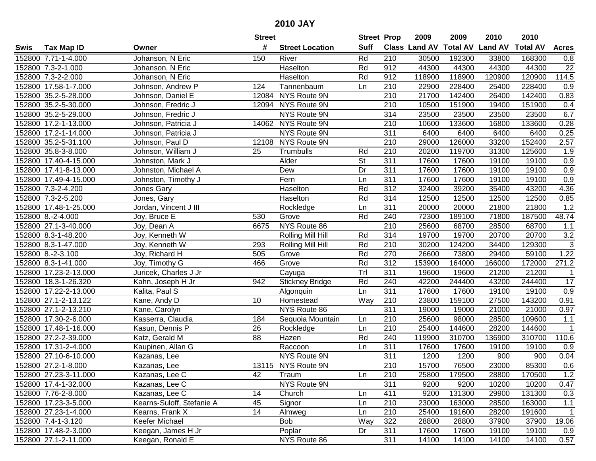| #<br><b>Suff</b><br>Class Land AV Total AV Land AV<br><b>Total AV</b><br><b>Acres</b><br><b>Tax Map ID</b><br><b>Street Location</b><br>Swis<br>Owner<br>Johanson, N Eric<br>Rd<br>210<br>152800 7.71-1-4.000<br>150<br>30500<br>192300<br>33800<br>168300<br>0.8<br>River<br>Haselton<br>Rd<br>912<br>44300<br>44300<br>22<br>152800 7.3-2-1.000<br>44300<br>44300<br>Johanson, N Eric<br>114.5<br>152800 7.3-2-2.000<br>Haselton<br>Rd<br>912<br>118900<br>118900<br>120900<br>120900<br>Johanson, N Eric<br>124<br>210<br>22900<br>228400<br>25400<br>228400<br>0.9<br>152800 17.58-1-7.000<br>Johnson, Andrew P<br>Tannenbaum<br>Ln<br>12084 NYS Route 9N<br>21700<br>152800 35.2-5-28.000<br>210<br>142400<br>26400<br>142400<br>0.83<br>Johnson, Daniel E<br>12094 NYS Route 9N<br>10500<br>0.4<br>152800 35.2-5-30.000<br>210<br>151900<br>19400<br>151900<br>Johnson, Fredric J<br><b>NYS Route 9N</b><br>152800 35.2-5-29.000<br>314<br>23500<br>23500<br>6.7<br>Johnson, Fredric J<br>23500<br>23500<br>210<br>152800 17.2-1-13.000<br>14062 NYS Route 9N<br>10600<br>133600<br>16800<br>133600<br>0.28<br>Johnson, Patricia J<br>152800 17.2-1-14.000<br><b>NYS Route 9N</b><br>311<br>6400<br>6400<br>6400<br>6400<br>0.25<br>Johnson, Patricia J<br>12108 NYS Route 9N<br>210<br>29000<br>126000<br>33200<br>152400<br>2.57<br>152800 35.2-5-31.100<br>Johnson, Paul D<br>210<br>20200<br>31300<br>152800 35.8-3-8.000<br>Johnson, William J<br>25<br>Trumbulls<br>Rd<br>119700<br>125600<br>1.9<br>St<br>152800 17.40-4-15.000<br>Johnston, Mark J<br>Alder<br>311<br>17600<br>17600<br>19100<br>19100<br>0.9<br>311<br>0.9<br>152800 17.41-8-13.000<br>Dr<br>17600<br>17600<br>19100<br>19100<br>Johnston, Michael A<br>Dew<br>311<br>152800 17.49-4-15.000<br>Johnston, Timothy J<br>Fern<br>17600<br>17600<br>19100<br>19100<br>0.9<br>Ln<br>Rd<br>312<br>4.36<br>152800 7.3-2-4.200<br>Haselton<br>32400<br>39200<br>35400<br>43200<br>Jones Gary<br>Rd<br>314<br>152800 7.3-2-5.200<br>12500<br>12500<br>12500<br>12500<br>0.85<br>Jones, Gary<br>Haselton<br>$\overline{311}$<br>1.2<br>Jordan, Vincent J III<br>152800 17.48-1-25.000<br>20000<br>20000<br>21800<br>21800<br>Rockledge<br>Ln<br>Rd<br>48.74<br>152800 8.-2-4.000<br>530<br>Grove<br>240<br>72300<br>189100<br>71800<br>187500<br>Joy, Bruce E<br>NYS Route 86<br>152800 27.1-3-40.000<br>6675<br>210<br>25600<br>68700<br>28500<br>68700<br>Joy, Dean A<br>1.1<br>20700<br>3.2<br>152800 8.3-1-48.200<br>Joy, Kenneth W<br>314<br>19700<br>19700<br>20700<br>Rolling Mill Hill<br>Rd<br>$\overline{3}$<br>Rd<br>210<br>30200<br>124200<br>34400<br>129300<br>152800 8.3-1-47.000<br>Joy, Kenneth W<br>293<br>Rolling Mill Hill<br>Rd<br>270<br>59100<br>1.22<br>152800 8.-2-3.100<br>Joy, Richard H<br>Grove<br>26600<br>73800<br>29400<br>505<br>Rd<br>312<br>172000<br>271.2<br>152800 8.3-1-41.000<br>Joy, Timothy G<br>466<br>Grove<br>153900<br>164000<br>166000<br>Tr<br>311<br>152800 17.23-2-13.000<br>19600<br>19600<br>21200<br>21200<br>Juricek, Charles J Jr<br>$\mathbf 1$<br>Cayuga<br>942<br>Rd<br>240<br>42200<br>244400<br>43200<br>244400<br>17<br>152800 18.3-1-26.320<br>Kahn, Joseph H Jr<br><b>Stickney Bridge</b><br>311<br>17600<br>17600<br>19100<br>19100<br>0.9<br>152800 17.22-2-13.000<br>Kalita, Paul S<br>Ln<br>Algonquin<br>152800 27.1-2-13.122<br>10<br>210<br>23800<br>159100<br>143200<br>Kane, Andy D<br>Homestead<br>Way<br>27500<br>0.91<br>311<br>21000<br>152800 27.1-2-13.210<br>NYS Route 86<br>19000<br>19000<br>21000<br>Kane, Carolyn<br>0.97<br>210<br>152800 17.30-2-6.000<br>184<br>25600<br>98000<br>28500<br>109600<br>1.1<br>Kasserra, Claudia<br>Sequoia Mountain<br>Ln<br>$\overline{26}$<br>$\overline{210}$<br>25400<br>28200<br>152800 17.48-1-16.000<br>Kasun, Dennis P<br>144600<br>144600<br>$\mathbf{1}$<br>Rockledge<br>Ln<br>152800 27.2-2-39.000<br>Rd<br>240<br>119900<br>310700<br>136900<br>310700<br>110.6<br>Katz, Gerald M<br>88<br>Hazen<br>152800 17.31-2-4.000<br>311<br>17600<br>17600<br>19100<br>19100<br>0.9<br>Kaupinen, Allan G<br>Raccoon<br>Ln<br>311<br>NYS Route 9N<br>1200<br>1200<br>152800 27.10-6-10.000<br>900<br>900<br>0.04<br>Kazanas, Lee<br>$\overline{210}$<br>15700<br>85300<br>0.6<br>152800 27.2-1-8.000<br>13115 NYS Route 9N<br>76500<br>23000<br>Kazanas, Lee<br>152800 27.23-3-11.000<br>Kazanas, Lee C<br>42<br>Traum<br>Ln<br>210<br>25800<br>179500<br>28800<br>170500<br>1.2<br>311<br>152800 17.4-1-32.000<br>Kazanas, Lee C<br>NYS Route 9N<br>9200<br>9200<br>10200<br>10200<br>0.47<br>411<br>9200<br>131300<br>131300<br>152800 7.76-2-8.000<br>Kazanas, Lee C<br>14<br>Church<br>29900<br>0.3<br>Ln<br>210<br>152800 17.23-3-5.000<br>Kearns-Suloff, Stefanie A<br>45<br>Signor<br>23000<br>163000<br>28500<br>163000<br>1.1<br>Ln<br>152800 27.23-1-4.000<br>14<br>210<br>25400<br>$\overline{1}$<br>Kearns, Frank X<br>Almweg<br>Ln<br>191600<br>28200<br>191600<br><b>Bob</b><br>322<br>28800<br>19.06<br>152800 7.4-1-3.120<br>Keefer Michael<br>Way<br>28800<br>37900<br>37900<br>311<br>152800 17.48-2-3.000<br>Keegan, James H Jr<br>Poplar<br>17600<br>17600<br>19100<br>19100<br>0.9<br>Dr<br>152800 27.1-2-11.000<br>Keegan, Ronald E<br>NYS Route 86<br>311<br>14100<br>14100<br>14100<br>14100<br>0.57 |  | <b>Street</b> | <b>Street Prop</b> | 2009 | 2009 | 2010 | 2010 |  |
|------------------------------------------------------------------------------------------------------------------------------------------------------------------------------------------------------------------------------------------------------------------------------------------------------------------------------------------------------------------------------------------------------------------------------------------------------------------------------------------------------------------------------------------------------------------------------------------------------------------------------------------------------------------------------------------------------------------------------------------------------------------------------------------------------------------------------------------------------------------------------------------------------------------------------------------------------------------------------------------------------------------------------------------------------------------------------------------------------------------------------------------------------------------------------------------------------------------------------------------------------------------------------------------------------------------------------------------------------------------------------------------------------------------------------------------------------------------------------------------------------------------------------------------------------------------------------------------------------------------------------------------------------------------------------------------------------------------------------------------------------------------------------------------------------------------------------------------------------------------------------------------------------------------------------------------------------------------------------------------------------------------------------------------------------------------------------------------------------------------------------------------------------------------------------------------------------------------------------------------------------------------------------------------------------------------------------------------------------------------------------------------------------------------------------------------------------------------------------------------------------------------------------------------------------------------------------------------------------------------------------------------------------------------------------------------------------------------------------------------------------------------------------------------------------------------------------------------------------------------------------------------------------------------------------------------------------------------------------------------------------------------------------------------------------------------------------------------------------------------------------------------------------------------------------------------------------------------------------------------------------------------------------------------------------------------------------------------------------------------------------------------------------------------------------------------------------------------------------------------------------------------------------------------------------------------------------------------------------------------------------------------------------------------------------------------------------------------------------------------------------------------------------------------------------------------------------------------------------------------------------------------------------------------------------------------------------------------------------------------------------------------------------------------------------------------------------------------------------------------------------------------------------------------------------------------------------------------------------------------------------------------------------------------------------------------------------------------------------------------------------------------------------------------------------------------------------------------------------------------------------------------------------------------------------------------------------------------------------------------------------------------------------------------------------------------------------------------------------------------------------------------------------------------------------------------------------------------------------------------------------------------------------------------------------------------------------------------------------------------------------------------------------------------------------------------------------------------------------------------------------------------------------------------------------------------------------------------------------------------------------------------------------------------------------------------------|--|---------------|--------------------|------|------|------|------|--|
|                                                                                                                                                                                                                                                                                                                                                                                                                                                                                                                                                                                                                                                                                                                                                                                                                                                                                                                                                                                                                                                                                                                                                                                                                                                                                                                                                                                                                                                                                                                                                                                                                                                                                                                                                                                                                                                                                                                                                                                                                                                                                                                                                                                                                                                                                                                                                                                                                                                                                                                                                                                                                                                                                                                                                                                                                                                                                                                                                                                                                                                                                                                                                                                                                                                                                                                                                                                                                                                                                                                                                                                                                                                                                                                                                                                                                                                                                                                                                                                                                                                                                                                                                                                                                                                                                                                                                                                                                                                                                                                                                                                                                                                                                                                                                                                                                                                                                                                                                                                                                                                                                                                                                                                                                                                                                                                        |  |               |                    |      |      |      |      |  |
|                                                                                                                                                                                                                                                                                                                                                                                                                                                                                                                                                                                                                                                                                                                                                                                                                                                                                                                                                                                                                                                                                                                                                                                                                                                                                                                                                                                                                                                                                                                                                                                                                                                                                                                                                                                                                                                                                                                                                                                                                                                                                                                                                                                                                                                                                                                                                                                                                                                                                                                                                                                                                                                                                                                                                                                                                                                                                                                                                                                                                                                                                                                                                                                                                                                                                                                                                                                                                                                                                                                                                                                                                                                                                                                                                                                                                                                                                                                                                                                                                                                                                                                                                                                                                                                                                                                                                                                                                                                                                                                                                                                                                                                                                                                                                                                                                                                                                                                                                                                                                                                                                                                                                                                                                                                                                                                        |  |               |                    |      |      |      |      |  |
|                                                                                                                                                                                                                                                                                                                                                                                                                                                                                                                                                                                                                                                                                                                                                                                                                                                                                                                                                                                                                                                                                                                                                                                                                                                                                                                                                                                                                                                                                                                                                                                                                                                                                                                                                                                                                                                                                                                                                                                                                                                                                                                                                                                                                                                                                                                                                                                                                                                                                                                                                                                                                                                                                                                                                                                                                                                                                                                                                                                                                                                                                                                                                                                                                                                                                                                                                                                                                                                                                                                                                                                                                                                                                                                                                                                                                                                                                                                                                                                                                                                                                                                                                                                                                                                                                                                                                                                                                                                                                                                                                                                                                                                                                                                                                                                                                                                                                                                                                                                                                                                                                                                                                                                                                                                                                                                        |  |               |                    |      |      |      |      |  |
|                                                                                                                                                                                                                                                                                                                                                                                                                                                                                                                                                                                                                                                                                                                                                                                                                                                                                                                                                                                                                                                                                                                                                                                                                                                                                                                                                                                                                                                                                                                                                                                                                                                                                                                                                                                                                                                                                                                                                                                                                                                                                                                                                                                                                                                                                                                                                                                                                                                                                                                                                                                                                                                                                                                                                                                                                                                                                                                                                                                                                                                                                                                                                                                                                                                                                                                                                                                                                                                                                                                                                                                                                                                                                                                                                                                                                                                                                                                                                                                                                                                                                                                                                                                                                                                                                                                                                                                                                                                                                                                                                                                                                                                                                                                                                                                                                                                                                                                                                                                                                                                                                                                                                                                                                                                                                                                        |  |               |                    |      |      |      |      |  |
|                                                                                                                                                                                                                                                                                                                                                                                                                                                                                                                                                                                                                                                                                                                                                                                                                                                                                                                                                                                                                                                                                                                                                                                                                                                                                                                                                                                                                                                                                                                                                                                                                                                                                                                                                                                                                                                                                                                                                                                                                                                                                                                                                                                                                                                                                                                                                                                                                                                                                                                                                                                                                                                                                                                                                                                                                                                                                                                                                                                                                                                                                                                                                                                                                                                                                                                                                                                                                                                                                                                                                                                                                                                                                                                                                                                                                                                                                                                                                                                                                                                                                                                                                                                                                                                                                                                                                                                                                                                                                                                                                                                                                                                                                                                                                                                                                                                                                                                                                                                                                                                                                                                                                                                                                                                                                                                        |  |               |                    |      |      |      |      |  |
|                                                                                                                                                                                                                                                                                                                                                                                                                                                                                                                                                                                                                                                                                                                                                                                                                                                                                                                                                                                                                                                                                                                                                                                                                                                                                                                                                                                                                                                                                                                                                                                                                                                                                                                                                                                                                                                                                                                                                                                                                                                                                                                                                                                                                                                                                                                                                                                                                                                                                                                                                                                                                                                                                                                                                                                                                                                                                                                                                                                                                                                                                                                                                                                                                                                                                                                                                                                                                                                                                                                                                                                                                                                                                                                                                                                                                                                                                                                                                                                                                                                                                                                                                                                                                                                                                                                                                                                                                                                                                                                                                                                                                                                                                                                                                                                                                                                                                                                                                                                                                                                                                                                                                                                                                                                                                                                        |  |               |                    |      |      |      |      |  |
|                                                                                                                                                                                                                                                                                                                                                                                                                                                                                                                                                                                                                                                                                                                                                                                                                                                                                                                                                                                                                                                                                                                                                                                                                                                                                                                                                                                                                                                                                                                                                                                                                                                                                                                                                                                                                                                                                                                                                                                                                                                                                                                                                                                                                                                                                                                                                                                                                                                                                                                                                                                                                                                                                                                                                                                                                                                                                                                                                                                                                                                                                                                                                                                                                                                                                                                                                                                                                                                                                                                                                                                                                                                                                                                                                                                                                                                                                                                                                                                                                                                                                                                                                                                                                                                                                                                                                                                                                                                                                                                                                                                                                                                                                                                                                                                                                                                                                                                                                                                                                                                                                                                                                                                                                                                                                                                        |  |               |                    |      |      |      |      |  |
|                                                                                                                                                                                                                                                                                                                                                                                                                                                                                                                                                                                                                                                                                                                                                                                                                                                                                                                                                                                                                                                                                                                                                                                                                                                                                                                                                                                                                                                                                                                                                                                                                                                                                                                                                                                                                                                                                                                                                                                                                                                                                                                                                                                                                                                                                                                                                                                                                                                                                                                                                                                                                                                                                                                                                                                                                                                                                                                                                                                                                                                                                                                                                                                                                                                                                                                                                                                                                                                                                                                                                                                                                                                                                                                                                                                                                                                                                                                                                                                                                                                                                                                                                                                                                                                                                                                                                                                                                                                                                                                                                                                                                                                                                                                                                                                                                                                                                                                                                                                                                                                                                                                                                                                                                                                                                                                        |  |               |                    |      |      |      |      |  |
|                                                                                                                                                                                                                                                                                                                                                                                                                                                                                                                                                                                                                                                                                                                                                                                                                                                                                                                                                                                                                                                                                                                                                                                                                                                                                                                                                                                                                                                                                                                                                                                                                                                                                                                                                                                                                                                                                                                                                                                                                                                                                                                                                                                                                                                                                                                                                                                                                                                                                                                                                                                                                                                                                                                                                                                                                                                                                                                                                                                                                                                                                                                                                                                                                                                                                                                                                                                                                                                                                                                                                                                                                                                                                                                                                                                                                                                                                                                                                                                                                                                                                                                                                                                                                                                                                                                                                                                                                                                                                                                                                                                                                                                                                                                                                                                                                                                                                                                                                                                                                                                                                                                                                                                                                                                                                                                        |  |               |                    |      |      |      |      |  |
|                                                                                                                                                                                                                                                                                                                                                                                                                                                                                                                                                                                                                                                                                                                                                                                                                                                                                                                                                                                                                                                                                                                                                                                                                                                                                                                                                                                                                                                                                                                                                                                                                                                                                                                                                                                                                                                                                                                                                                                                                                                                                                                                                                                                                                                                                                                                                                                                                                                                                                                                                                                                                                                                                                                                                                                                                                                                                                                                                                                                                                                                                                                                                                                                                                                                                                                                                                                                                                                                                                                                                                                                                                                                                                                                                                                                                                                                                                                                                                                                                                                                                                                                                                                                                                                                                                                                                                                                                                                                                                                                                                                                                                                                                                                                                                                                                                                                                                                                                                                                                                                                                                                                                                                                                                                                                                                        |  |               |                    |      |      |      |      |  |
|                                                                                                                                                                                                                                                                                                                                                                                                                                                                                                                                                                                                                                                                                                                                                                                                                                                                                                                                                                                                                                                                                                                                                                                                                                                                                                                                                                                                                                                                                                                                                                                                                                                                                                                                                                                                                                                                                                                                                                                                                                                                                                                                                                                                                                                                                                                                                                                                                                                                                                                                                                                                                                                                                                                                                                                                                                                                                                                                                                                                                                                                                                                                                                                                                                                                                                                                                                                                                                                                                                                                                                                                                                                                                                                                                                                                                                                                                                                                                                                                                                                                                                                                                                                                                                                                                                                                                                                                                                                                                                                                                                                                                                                                                                                                                                                                                                                                                                                                                                                                                                                                                                                                                                                                                                                                                                                        |  |               |                    |      |      |      |      |  |
|                                                                                                                                                                                                                                                                                                                                                                                                                                                                                                                                                                                                                                                                                                                                                                                                                                                                                                                                                                                                                                                                                                                                                                                                                                                                                                                                                                                                                                                                                                                                                                                                                                                                                                                                                                                                                                                                                                                                                                                                                                                                                                                                                                                                                                                                                                                                                                                                                                                                                                                                                                                                                                                                                                                                                                                                                                                                                                                                                                                                                                                                                                                                                                                                                                                                                                                                                                                                                                                                                                                                                                                                                                                                                                                                                                                                                                                                                                                                                                                                                                                                                                                                                                                                                                                                                                                                                                                                                                                                                                                                                                                                                                                                                                                                                                                                                                                                                                                                                                                                                                                                                                                                                                                                                                                                                                                        |  |               |                    |      |      |      |      |  |
|                                                                                                                                                                                                                                                                                                                                                                                                                                                                                                                                                                                                                                                                                                                                                                                                                                                                                                                                                                                                                                                                                                                                                                                                                                                                                                                                                                                                                                                                                                                                                                                                                                                                                                                                                                                                                                                                                                                                                                                                                                                                                                                                                                                                                                                                                                                                                                                                                                                                                                                                                                                                                                                                                                                                                                                                                                                                                                                                                                                                                                                                                                                                                                                                                                                                                                                                                                                                                                                                                                                                                                                                                                                                                                                                                                                                                                                                                                                                                                                                                                                                                                                                                                                                                                                                                                                                                                                                                                                                                                                                                                                                                                                                                                                                                                                                                                                                                                                                                                                                                                                                                                                                                                                                                                                                                                                        |  |               |                    |      |      |      |      |  |
|                                                                                                                                                                                                                                                                                                                                                                                                                                                                                                                                                                                                                                                                                                                                                                                                                                                                                                                                                                                                                                                                                                                                                                                                                                                                                                                                                                                                                                                                                                                                                                                                                                                                                                                                                                                                                                                                                                                                                                                                                                                                                                                                                                                                                                                                                                                                                                                                                                                                                                                                                                                                                                                                                                                                                                                                                                                                                                                                                                                                                                                                                                                                                                                                                                                                                                                                                                                                                                                                                                                                                                                                                                                                                                                                                                                                                                                                                                                                                                                                                                                                                                                                                                                                                                                                                                                                                                                                                                                                                                                                                                                                                                                                                                                                                                                                                                                                                                                                                                                                                                                                                                                                                                                                                                                                                                                        |  |               |                    |      |      |      |      |  |
|                                                                                                                                                                                                                                                                                                                                                                                                                                                                                                                                                                                                                                                                                                                                                                                                                                                                                                                                                                                                                                                                                                                                                                                                                                                                                                                                                                                                                                                                                                                                                                                                                                                                                                                                                                                                                                                                                                                                                                                                                                                                                                                                                                                                                                                                                                                                                                                                                                                                                                                                                                                                                                                                                                                                                                                                                                                                                                                                                                                                                                                                                                                                                                                                                                                                                                                                                                                                                                                                                                                                                                                                                                                                                                                                                                                                                                                                                                                                                                                                                                                                                                                                                                                                                                                                                                                                                                                                                                                                                                                                                                                                                                                                                                                                                                                                                                                                                                                                                                                                                                                                                                                                                                                                                                                                                                                        |  |               |                    |      |      |      |      |  |
|                                                                                                                                                                                                                                                                                                                                                                                                                                                                                                                                                                                                                                                                                                                                                                                                                                                                                                                                                                                                                                                                                                                                                                                                                                                                                                                                                                                                                                                                                                                                                                                                                                                                                                                                                                                                                                                                                                                                                                                                                                                                                                                                                                                                                                                                                                                                                                                                                                                                                                                                                                                                                                                                                                                                                                                                                                                                                                                                                                                                                                                                                                                                                                                                                                                                                                                                                                                                                                                                                                                                                                                                                                                                                                                                                                                                                                                                                                                                                                                                                                                                                                                                                                                                                                                                                                                                                                                                                                                                                                                                                                                                                                                                                                                                                                                                                                                                                                                                                                                                                                                                                                                                                                                                                                                                                                                        |  |               |                    |      |      |      |      |  |
|                                                                                                                                                                                                                                                                                                                                                                                                                                                                                                                                                                                                                                                                                                                                                                                                                                                                                                                                                                                                                                                                                                                                                                                                                                                                                                                                                                                                                                                                                                                                                                                                                                                                                                                                                                                                                                                                                                                                                                                                                                                                                                                                                                                                                                                                                                                                                                                                                                                                                                                                                                                                                                                                                                                                                                                                                                                                                                                                                                                                                                                                                                                                                                                                                                                                                                                                                                                                                                                                                                                                                                                                                                                                                                                                                                                                                                                                                                                                                                                                                                                                                                                                                                                                                                                                                                                                                                                                                                                                                                                                                                                                                                                                                                                                                                                                                                                                                                                                                                                                                                                                                                                                                                                                                                                                                                                        |  |               |                    |      |      |      |      |  |
|                                                                                                                                                                                                                                                                                                                                                                                                                                                                                                                                                                                                                                                                                                                                                                                                                                                                                                                                                                                                                                                                                                                                                                                                                                                                                                                                                                                                                                                                                                                                                                                                                                                                                                                                                                                                                                                                                                                                                                                                                                                                                                                                                                                                                                                                                                                                                                                                                                                                                                                                                                                                                                                                                                                                                                                                                                                                                                                                                                                                                                                                                                                                                                                                                                                                                                                                                                                                                                                                                                                                                                                                                                                                                                                                                                                                                                                                                                                                                                                                                                                                                                                                                                                                                                                                                                                                                                                                                                                                                                                                                                                                                                                                                                                                                                                                                                                                                                                                                                                                                                                                                                                                                                                                                                                                                                                        |  |               |                    |      |      |      |      |  |
|                                                                                                                                                                                                                                                                                                                                                                                                                                                                                                                                                                                                                                                                                                                                                                                                                                                                                                                                                                                                                                                                                                                                                                                                                                                                                                                                                                                                                                                                                                                                                                                                                                                                                                                                                                                                                                                                                                                                                                                                                                                                                                                                                                                                                                                                                                                                                                                                                                                                                                                                                                                                                                                                                                                                                                                                                                                                                                                                                                                                                                                                                                                                                                                                                                                                                                                                                                                                                                                                                                                                                                                                                                                                                                                                                                                                                                                                                                                                                                                                                                                                                                                                                                                                                                                                                                                                                                                                                                                                                                                                                                                                                                                                                                                                                                                                                                                                                                                                                                                                                                                                                                                                                                                                                                                                                                                        |  |               |                    |      |      |      |      |  |
|                                                                                                                                                                                                                                                                                                                                                                                                                                                                                                                                                                                                                                                                                                                                                                                                                                                                                                                                                                                                                                                                                                                                                                                                                                                                                                                                                                                                                                                                                                                                                                                                                                                                                                                                                                                                                                                                                                                                                                                                                                                                                                                                                                                                                                                                                                                                                                                                                                                                                                                                                                                                                                                                                                                                                                                                                                                                                                                                                                                                                                                                                                                                                                                                                                                                                                                                                                                                                                                                                                                                                                                                                                                                                                                                                                                                                                                                                                                                                                                                                                                                                                                                                                                                                                                                                                                                                                                                                                                                                                                                                                                                                                                                                                                                                                                                                                                                                                                                                                                                                                                                                                                                                                                                                                                                                                                        |  |               |                    |      |      |      |      |  |
|                                                                                                                                                                                                                                                                                                                                                                                                                                                                                                                                                                                                                                                                                                                                                                                                                                                                                                                                                                                                                                                                                                                                                                                                                                                                                                                                                                                                                                                                                                                                                                                                                                                                                                                                                                                                                                                                                                                                                                                                                                                                                                                                                                                                                                                                                                                                                                                                                                                                                                                                                                                                                                                                                                                                                                                                                                                                                                                                                                                                                                                                                                                                                                                                                                                                                                                                                                                                                                                                                                                                                                                                                                                                                                                                                                                                                                                                                                                                                                                                                                                                                                                                                                                                                                                                                                                                                                                                                                                                                                                                                                                                                                                                                                                                                                                                                                                                                                                                                                                                                                                                                                                                                                                                                                                                                                                        |  |               |                    |      |      |      |      |  |
|                                                                                                                                                                                                                                                                                                                                                                                                                                                                                                                                                                                                                                                                                                                                                                                                                                                                                                                                                                                                                                                                                                                                                                                                                                                                                                                                                                                                                                                                                                                                                                                                                                                                                                                                                                                                                                                                                                                                                                                                                                                                                                                                                                                                                                                                                                                                                                                                                                                                                                                                                                                                                                                                                                                                                                                                                                                                                                                                                                                                                                                                                                                                                                                                                                                                                                                                                                                                                                                                                                                                                                                                                                                                                                                                                                                                                                                                                                                                                                                                                                                                                                                                                                                                                                                                                                                                                                                                                                                                                                                                                                                                                                                                                                                                                                                                                                                                                                                                                                                                                                                                                                                                                                                                                                                                                                                        |  |               |                    |      |      |      |      |  |
|                                                                                                                                                                                                                                                                                                                                                                                                                                                                                                                                                                                                                                                                                                                                                                                                                                                                                                                                                                                                                                                                                                                                                                                                                                                                                                                                                                                                                                                                                                                                                                                                                                                                                                                                                                                                                                                                                                                                                                                                                                                                                                                                                                                                                                                                                                                                                                                                                                                                                                                                                                                                                                                                                                                                                                                                                                                                                                                                                                                                                                                                                                                                                                                                                                                                                                                                                                                                                                                                                                                                                                                                                                                                                                                                                                                                                                                                                                                                                                                                                                                                                                                                                                                                                                                                                                                                                                                                                                                                                                                                                                                                                                                                                                                                                                                                                                                                                                                                                                                                                                                                                                                                                                                                                                                                                                                        |  |               |                    |      |      |      |      |  |
|                                                                                                                                                                                                                                                                                                                                                                                                                                                                                                                                                                                                                                                                                                                                                                                                                                                                                                                                                                                                                                                                                                                                                                                                                                                                                                                                                                                                                                                                                                                                                                                                                                                                                                                                                                                                                                                                                                                                                                                                                                                                                                                                                                                                                                                                                                                                                                                                                                                                                                                                                                                                                                                                                                                                                                                                                                                                                                                                                                                                                                                                                                                                                                                                                                                                                                                                                                                                                                                                                                                                                                                                                                                                                                                                                                                                                                                                                                                                                                                                                                                                                                                                                                                                                                                                                                                                                                                                                                                                                                                                                                                                                                                                                                                                                                                                                                                                                                                                                                                                                                                                                                                                                                                                                                                                                                                        |  |               |                    |      |      |      |      |  |
|                                                                                                                                                                                                                                                                                                                                                                                                                                                                                                                                                                                                                                                                                                                                                                                                                                                                                                                                                                                                                                                                                                                                                                                                                                                                                                                                                                                                                                                                                                                                                                                                                                                                                                                                                                                                                                                                                                                                                                                                                                                                                                                                                                                                                                                                                                                                                                                                                                                                                                                                                                                                                                                                                                                                                                                                                                                                                                                                                                                                                                                                                                                                                                                                                                                                                                                                                                                                                                                                                                                                                                                                                                                                                                                                                                                                                                                                                                                                                                                                                                                                                                                                                                                                                                                                                                                                                                                                                                                                                                                                                                                                                                                                                                                                                                                                                                                                                                                                                                                                                                                                                                                                                                                                                                                                                                                        |  |               |                    |      |      |      |      |  |
|                                                                                                                                                                                                                                                                                                                                                                                                                                                                                                                                                                                                                                                                                                                                                                                                                                                                                                                                                                                                                                                                                                                                                                                                                                                                                                                                                                                                                                                                                                                                                                                                                                                                                                                                                                                                                                                                                                                                                                                                                                                                                                                                                                                                                                                                                                                                                                                                                                                                                                                                                                                                                                                                                                                                                                                                                                                                                                                                                                                                                                                                                                                                                                                                                                                                                                                                                                                                                                                                                                                                                                                                                                                                                                                                                                                                                                                                                                                                                                                                                                                                                                                                                                                                                                                                                                                                                                                                                                                                                                                                                                                                                                                                                                                                                                                                                                                                                                                                                                                                                                                                                                                                                                                                                                                                                                                        |  |               |                    |      |      |      |      |  |
|                                                                                                                                                                                                                                                                                                                                                                                                                                                                                                                                                                                                                                                                                                                                                                                                                                                                                                                                                                                                                                                                                                                                                                                                                                                                                                                                                                                                                                                                                                                                                                                                                                                                                                                                                                                                                                                                                                                                                                                                                                                                                                                                                                                                                                                                                                                                                                                                                                                                                                                                                                                                                                                                                                                                                                                                                                                                                                                                                                                                                                                                                                                                                                                                                                                                                                                                                                                                                                                                                                                                                                                                                                                                                                                                                                                                                                                                                                                                                                                                                                                                                                                                                                                                                                                                                                                                                                                                                                                                                                                                                                                                                                                                                                                                                                                                                                                                                                                                                                                                                                                                                                                                                                                                                                                                                                                        |  |               |                    |      |      |      |      |  |
|                                                                                                                                                                                                                                                                                                                                                                                                                                                                                                                                                                                                                                                                                                                                                                                                                                                                                                                                                                                                                                                                                                                                                                                                                                                                                                                                                                                                                                                                                                                                                                                                                                                                                                                                                                                                                                                                                                                                                                                                                                                                                                                                                                                                                                                                                                                                                                                                                                                                                                                                                                                                                                                                                                                                                                                                                                                                                                                                                                                                                                                                                                                                                                                                                                                                                                                                                                                                                                                                                                                                                                                                                                                                                                                                                                                                                                                                                                                                                                                                                                                                                                                                                                                                                                                                                                                                                                                                                                                                                                                                                                                                                                                                                                                                                                                                                                                                                                                                                                                                                                                                                                                                                                                                                                                                                                                        |  |               |                    |      |      |      |      |  |
|                                                                                                                                                                                                                                                                                                                                                                                                                                                                                                                                                                                                                                                                                                                                                                                                                                                                                                                                                                                                                                                                                                                                                                                                                                                                                                                                                                                                                                                                                                                                                                                                                                                                                                                                                                                                                                                                                                                                                                                                                                                                                                                                                                                                                                                                                                                                                                                                                                                                                                                                                                                                                                                                                                                                                                                                                                                                                                                                                                                                                                                                                                                                                                                                                                                                                                                                                                                                                                                                                                                                                                                                                                                                                                                                                                                                                                                                                                                                                                                                                                                                                                                                                                                                                                                                                                                                                                                                                                                                                                                                                                                                                                                                                                                                                                                                                                                                                                                                                                                                                                                                                                                                                                                                                                                                                                                        |  |               |                    |      |      |      |      |  |
|                                                                                                                                                                                                                                                                                                                                                                                                                                                                                                                                                                                                                                                                                                                                                                                                                                                                                                                                                                                                                                                                                                                                                                                                                                                                                                                                                                                                                                                                                                                                                                                                                                                                                                                                                                                                                                                                                                                                                                                                                                                                                                                                                                                                                                                                                                                                                                                                                                                                                                                                                                                                                                                                                                                                                                                                                                                                                                                                                                                                                                                                                                                                                                                                                                                                                                                                                                                                                                                                                                                                                                                                                                                                                                                                                                                                                                                                                                                                                                                                                                                                                                                                                                                                                                                                                                                                                                                                                                                                                                                                                                                                                                                                                                                                                                                                                                                                                                                                                                                                                                                                                                                                                                                                                                                                                                                        |  |               |                    |      |      |      |      |  |
|                                                                                                                                                                                                                                                                                                                                                                                                                                                                                                                                                                                                                                                                                                                                                                                                                                                                                                                                                                                                                                                                                                                                                                                                                                                                                                                                                                                                                                                                                                                                                                                                                                                                                                                                                                                                                                                                                                                                                                                                                                                                                                                                                                                                                                                                                                                                                                                                                                                                                                                                                                                                                                                                                                                                                                                                                                                                                                                                                                                                                                                                                                                                                                                                                                                                                                                                                                                                                                                                                                                                                                                                                                                                                                                                                                                                                                                                                                                                                                                                                                                                                                                                                                                                                                                                                                                                                                                                                                                                                                                                                                                                                                                                                                                                                                                                                                                                                                                                                                                                                                                                                                                                                                                                                                                                                                                        |  |               |                    |      |      |      |      |  |
|                                                                                                                                                                                                                                                                                                                                                                                                                                                                                                                                                                                                                                                                                                                                                                                                                                                                                                                                                                                                                                                                                                                                                                                                                                                                                                                                                                                                                                                                                                                                                                                                                                                                                                                                                                                                                                                                                                                                                                                                                                                                                                                                                                                                                                                                                                                                                                                                                                                                                                                                                                                                                                                                                                                                                                                                                                                                                                                                                                                                                                                                                                                                                                                                                                                                                                                                                                                                                                                                                                                                                                                                                                                                                                                                                                                                                                                                                                                                                                                                                                                                                                                                                                                                                                                                                                                                                                                                                                                                                                                                                                                                                                                                                                                                                                                                                                                                                                                                                                                                                                                                                                                                                                                                                                                                                                                        |  |               |                    |      |      |      |      |  |
|                                                                                                                                                                                                                                                                                                                                                                                                                                                                                                                                                                                                                                                                                                                                                                                                                                                                                                                                                                                                                                                                                                                                                                                                                                                                                                                                                                                                                                                                                                                                                                                                                                                                                                                                                                                                                                                                                                                                                                                                                                                                                                                                                                                                                                                                                                                                                                                                                                                                                                                                                                                                                                                                                                                                                                                                                                                                                                                                                                                                                                                                                                                                                                                                                                                                                                                                                                                                                                                                                                                                                                                                                                                                                                                                                                                                                                                                                                                                                                                                                                                                                                                                                                                                                                                                                                                                                                                                                                                                                                                                                                                                                                                                                                                                                                                                                                                                                                                                                                                                                                                                                                                                                                                                                                                                                                                        |  |               |                    |      |      |      |      |  |
|                                                                                                                                                                                                                                                                                                                                                                                                                                                                                                                                                                                                                                                                                                                                                                                                                                                                                                                                                                                                                                                                                                                                                                                                                                                                                                                                                                                                                                                                                                                                                                                                                                                                                                                                                                                                                                                                                                                                                                                                                                                                                                                                                                                                                                                                                                                                                                                                                                                                                                                                                                                                                                                                                                                                                                                                                                                                                                                                                                                                                                                                                                                                                                                                                                                                                                                                                                                                                                                                                                                                                                                                                                                                                                                                                                                                                                                                                                                                                                                                                                                                                                                                                                                                                                                                                                                                                                                                                                                                                                                                                                                                                                                                                                                                                                                                                                                                                                                                                                                                                                                                                                                                                                                                                                                                                                                        |  |               |                    |      |      |      |      |  |
|                                                                                                                                                                                                                                                                                                                                                                                                                                                                                                                                                                                                                                                                                                                                                                                                                                                                                                                                                                                                                                                                                                                                                                                                                                                                                                                                                                                                                                                                                                                                                                                                                                                                                                                                                                                                                                                                                                                                                                                                                                                                                                                                                                                                                                                                                                                                                                                                                                                                                                                                                                                                                                                                                                                                                                                                                                                                                                                                                                                                                                                                                                                                                                                                                                                                                                                                                                                                                                                                                                                                                                                                                                                                                                                                                                                                                                                                                                                                                                                                                                                                                                                                                                                                                                                                                                                                                                                                                                                                                                                                                                                                                                                                                                                                                                                                                                                                                                                                                                                                                                                                                                                                                                                                                                                                                                                        |  |               |                    |      |      |      |      |  |
|                                                                                                                                                                                                                                                                                                                                                                                                                                                                                                                                                                                                                                                                                                                                                                                                                                                                                                                                                                                                                                                                                                                                                                                                                                                                                                                                                                                                                                                                                                                                                                                                                                                                                                                                                                                                                                                                                                                                                                                                                                                                                                                                                                                                                                                                                                                                                                                                                                                                                                                                                                                                                                                                                                                                                                                                                                                                                                                                                                                                                                                                                                                                                                                                                                                                                                                                                                                                                                                                                                                                                                                                                                                                                                                                                                                                                                                                                                                                                                                                                                                                                                                                                                                                                                                                                                                                                                                                                                                                                                                                                                                                                                                                                                                                                                                                                                                                                                                                                                                                                                                                                                                                                                                                                                                                                                                        |  |               |                    |      |      |      |      |  |
|                                                                                                                                                                                                                                                                                                                                                                                                                                                                                                                                                                                                                                                                                                                                                                                                                                                                                                                                                                                                                                                                                                                                                                                                                                                                                                                                                                                                                                                                                                                                                                                                                                                                                                                                                                                                                                                                                                                                                                                                                                                                                                                                                                                                                                                                                                                                                                                                                                                                                                                                                                                                                                                                                                                                                                                                                                                                                                                                                                                                                                                                                                                                                                                                                                                                                                                                                                                                                                                                                                                                                                                                                                                                                                                                                                                                                                                                                                                                                                                                                                                                                                                                                                                                                                                                                                                                                                                                                                                                                                                                                                                                                                                                                                                                                                                                                                                                                                                                                                                                                                                                                                                                                                                                                                                                                                                        |  |               |                    |      |      |      |      |  |
|                                                                                                                                                                                                                                                                                                                                                                                                                                                                                                                                                                                                                                                                                                                                                                                                                                                                                                                                                                                                                                                                                                                                                                                                                                                                                                                                                                                                                                                                                                                                                                                                                                                                                                                                                                                                                                                                                                                                                                                                                                                                                                                                                                                                                                                                                                                                                                                                                                                                                                                                                                                                                                                                                                                                                                                                                                                                                                                                                                                                                                                                                                                                                                                                                                                                                                                                                                                                                                                                                                                                                                                                                                                                                                                                                                                                                                                                                                                                                                                                                                                                                                                                                                                                                                                                                                                                                                                                                                                                                                                                                                                                                                                                                                                                                                                                                                                                                                                                                                                                                                                                                                                                                                                                                                                                                                                        |  |               |                    |      |      |      |      |  |
|                                                                                                                                                                                                                                                                                                                                                                                                                                                                                                                                                                                                                                                                                                                                                                                                                                                                                                                                                                                                                                                                                                                                                                                                                                                                                                                                                                                                                                                                                                                                                                                                                                                                                                                                                                                                                                                                                                                                                                                                                                                                                                                                                                                                                                                                                                                                                                                                                                                                                                                                                                                                                                                                                                                                                                                                                                                                                                                                                                                                                                                                                                                                                                                                                                                                                                                                                                                                                                                                                                                                                                                                                                                                                                                                                                                                                                                                                                                                                                                                                                                                                                                                                                                                                                                                                                                                                                                                                                                                                                                                                                                                                                                                                                                                                                                                                                                                                                                                                                                                                                                                                                                                                                                                                                                                                                                        |  |               |                    |      |      |      |      |  |
|                                                                                                                                                                                                                                                                                                                                                                                                                                                                                                                                                                                                                                                                                                                                                                                                                                                                                                                                                                                                                                                                                                                                                                                                                                                                                                                                                                                                                                                                                                                                                                                                                                                                                                                                                                                                                                                                                                                                                                                                                                                                                                                                                                                                                                                                                                                                                                                                                                                                                                                                                                                                                                                                                                                                                                                                                                                                                                                                                                                                                                                                                                                                                                                                                                                                                                                                                                                                                                                                                                                                                                                                                                                                                                                                                                                                                                                                                                                                                                                                                                                                                                                                                                                                                                                                                                                                                                                                                                                                                                                                                                                                                                                                                                                                                                                                                                                                                                                                                                                                                                                                                                                                                                                                                                                                                                                        |  |               |                    |      |      |      |      |  |
|                                                                                                                                                                                                                                                                                                                                                                                                                                                                                                                                                                                                                                                                                                                                                                                                                                                                                                                                                                                                                                                                                                                                                                                                                                                                                                                                                                                                                                                                                                                                                                                                                                                                                                                                                                                                                                                                                                                                                                                                                                                                                                                                                                                                                                                                                                                                                                                                                                                                                                                                                                                                                                                                                                                                                                                                                                                                                                                                                                                                                                                                                                                                                                                                                                                                                                                                                                                                                                                                                                                                                                                                                                                                                                                                                                                                                                                                                                                                                                                                                                                                                                                                                                                                                                                                                                                                                                                                                                                                                                                                                                                                                                                                                                                                                                                                                                                                                                                                                                                                                                                                                                                                                                                                                                                                                                                        |  |               |                    |      |      |      |      |  |
|                                                                                                                                                                                                                                                                                                                                                                                                                                                                                                                                                                                                                                                                                                                                                                                                                                                                                                                                                                                                                                                                                                                                                                                                                                                                                                                                                                                                                                                                                                                                                                                                                                                                                                                                                                                                                                                                                                                                                                                                                                                                                                                                                                                                                                                                                                                                                                                                                                                                                                                                                                                                                                                                                                                                                                                                                                                                                                                                                                                                                                                                                                                                                                                                                                                                                                                                                                                                                                                                                                                                                                                                                                                                                                                                                                                                                                                                                                                                                                                                                                                                                                                                                                                                                                                                                                                                                                                                                                                                                                                                                                                                                                                                                                                                                                                                                                                                                                                                                                                                                                                                                                                                                                                                                                                                                                                        |  |               |                    |      |      |      |      |  |
|                                                                                                                                                                                                                                                                                                                                                                                                                                                                                                                                                                                                                                                                                                                                                                                                                                                                                                                                                                                                                                                                                                                                                                                                                                                                                                                                                                                                                                                                                                                                                                                                                                                                                                                                                                                                                                                                                                                                                                                                                                                                                                                                                                                                                                                                                                                                                                                                                                                                                                                                                                                                                                                                                                                                                                                                                                                                                                                                                                                                                                                                                                                                                                                                                                                                                                                                                                                                                                                                                                                                                                                                                                                                                                                                                                                                                                                                                                                                                                                                                                                                                                                                                                                                                                                                                                                                                                                                                                                                                                                                                                                                                                                                                                                                                                                                                                                                                                                                                                                                                                                                                                                                                                                                                                                                                                                        |  |               |                    |      |      |      |      |  |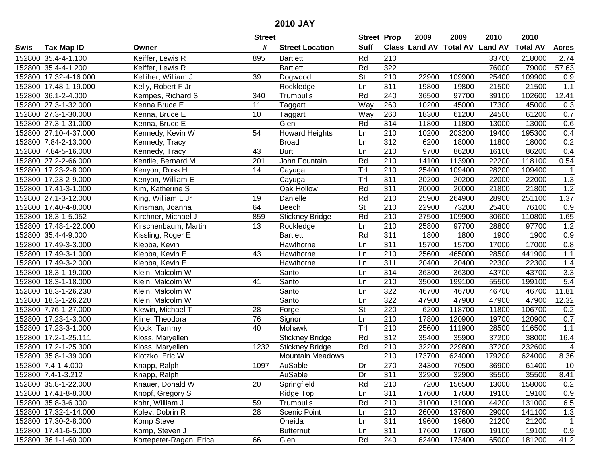| #<br><b>Suff</b><br>Class Land AV Total AV Land AV<br><b>Total AV</b><br><b>Tax Map ID</b><br><b>Street Location</b><br><b>Acres</b><br>Swis<br>Owner<br>Rd<br>152800 35.4-4-1.100<br>Keiffer, Lewis R<br>895<br><b>Bartlett</b><br>210<br>33700<br>218000<br>2.74<br>Rd<br>322<br>57.63<br>152800 35.4-4-1.200<br>Keiffer, Lewis R<br><b>Bartlett</b><br>76000<br>79000<br>152800 17.32-4-16.000<br>Kelliher, William J<br>39<br><b>St</b><br>210<br>22900<br>109900<br>25400<br>109900<br>0.9<br>Dogwood<br>311<br>19800<br>21500<br>21500<br>1.1<br>152800 17.48-1-19.000<br>Kelly, Robert F Jr<br>Rockledge<br>Ln<br>19800<br>Rd<br>152800 36.1-2-4.000<br>Kempes, Richard S<br>340<br>240<br>36500<br>97700<br>39100<br>102600<br>12.41<br>Trumbulls<br>152800 27.3-1-32.000<br>11<br>Way<br>260<br>10200<br>45000<br>17300<br>45000<br>0.3<br>Kenna Bruce E<br>Taggart<br>Way<br>260<br>61200<br>61200<br>0.7<br>152800 27.3-1-30.000<br>Kenna, Bruce E<br>10<br>18300<br>24500<br>Taggart<br>314<br>152800 27.3-1-31.000<br>Glen<br>Rd<br>11800<br>13000<br>13000<br>0.6<br>Kenna, Bruce E<br>11800<br>203200<br>152800 27.10-4-37.000<br>Kennedy, Kevin W<br>54<br><b>Howard Heights</b><br>210<br>10200<br>19400<br>195300<br>0.4<br>Ln<br>312<br>0.2<br>152800 7.84-2-13.000<br><b>Broad</b><br>6200<br>18000<br>11800<br>18000<br>Kennedy, Tracy<br>Ln<br>152800 7.84-5-16.000<br>210<br>9700<br>86200<br>0.4<br>Kennedy, Tracy<br>43<br><b>Burt</b><br>86200<br>16100<br>Ln<br>152800 27.2-2-66.000<br>201<br>John Fountain<br>Rd<br>210<br>14100<br>113900<br>22200<br>118100<br>0.54<br>Kentile, Bernard M<br>Tr<br>210<br>152800 17.23-2-8.000<br>14<br>25400<br>109400<br>28200<br>109400<br>Kenyon, Ross H<br>Cayuga<br>Trl<br>311<br>1.3<br>152800 17.23-2-9.000<br>Kenyon, William E<br>20200<br>22000<br>22000<br>Cayuga<br>20200<br>Oak Hollow<br>Rd<br>311<br>21800<br>1.2<br>152800 17.41-3-1.000<br>Kim, Katherine S<br>20000<br>20000<br>21800<br>Rd<br>210<br>152800 27.1-3-12.000<br>25900<br>264900<br>28900<br>251100<br>1.37<br>King, William L Jr<br>19<br>Danielle<br>$\overline{\mathsf{St}}$<br>64<br>210<br>76100<br>0.9<br>152800 17.40-4-8.000<br>Beech<br>22900<br>73200<br>25400<br>Kinsman, Joanna<br>Rd<br>1.65<br>152800 18.3-1-5.052<br>859<br>210<br>27500<br>109900<br>30600<br>110800<br>Kirchner, Michael J<br><b>Stickney Bridge</b><br>1.2<br>152800 17.48-1-22.000<br>13<br>210<br>25800<br>97700<br>28800<br>97700<br>Kirschenbaum, Martin<br>Rockledge<br>Ln<br>0.9<br><b>Bartlett</b><br>Rd<br>311<br>1800<br>1800<br>1900<br>1900<br>152800 35.4-4-9.000<br>Kissling, Roger E<br>0.8<br>311<br>15700<br>15700<br>17000<br>152800 17.49-3-3.000<br>Hawthorne<br>Ln<br>17000<br>Klebba, Kevin<br>$1.1$<br>152800 17.49-3-1.000<br>Klebba, Kevin E<br>43<br>Hawthorne<br>210<br>25600<br>465000<br>28500<br>441900<br>Ln<br>311<br>1.4<br>152800 17.49-3-2.000<br>20400<br>20400<br>22300<br>22300<br>Klebba, Kevin E<br>Hawthorne<br>Ln<br>3.3<br>152800 18.3-1-19.000<br>Santo<br>314<br>36300<br>36300<br>43700<br>43700<br>Klein, Malcolm W<br>Ln<br>Santo<br>5.4<br>41<br>210<br>35000<br>199100<br>55500<br>199100<br>152800 18.3-1-18.000<br>Klein, Malcolm W<br>Ln<br>Santo<br>322<br>46700<br>11.81<br>152800 18.3-1-26.230<br>46700<br>46700<br>Klein, Malcolm W<br>Ln<br>46700<br>Santo<br>322<br>47900<br>12.32<br>152800 18.3-1-26.220<br>47900<br>47900<br>47900<br>Klein, Malcolm W<br>Ln<br>St<br>118700<br>106700<br>152800 7.76-1-27.000<br>Klewin, Michael T<br>28<br>220<br>6200<br>11800<br>0.2<br>Forge<br>210<br>152800 17.23-1-3.000<br>76<br>Signor<br>Ln<br>17800<br>120900<br>120900<br>0.7<br>19700<br>Kline, Theodora<br>40<br>Tr<br>$\overline{210}$<br>111900<br>28500<br>116500<br>152800 17.23-3-1.000<br>25600<br>1.1<br>Klock, Tammy<br>Mohawk<br>Rd<br>312<br>35400<br>35900<br>37200<br>38000<br>16.4<br>152800 17.2-1-25.111<br>Kloss, Maryellen<br><b>Stickney Bridge</b><br>37200<br>$\overline{4}$<br>152800 17.2-1-25.300<br>Rd<br>210<br>32200<br>229800<br>232600<br>Kloss, Maryellen<br>1232<br><b>Stickney Bridge</b><br>$\overline{210}$<br>173700<br>179200<br>8.36<br>152800 35.8-1-39.000<br>Klotzko, Eric W<br>624000<br>624000<br><b>Mountain Meadows</b><br>270<br>152800 7.4-1-4.000<br>1097<br>AuSable<br>Dr<br>34300<br>70500<br>36900<br>61400<br>10<br>Knapp, Ralph<br>152800 7.4-1-3.212<br>Knapp, Ralph<br>AuSable<br>Dr<br>311<br>32900<br>32900<br>35500<br>35500<br>8.41<br>Rd<br>152800 35.8-1-22.000<br>Knauer, Donald W<br>20<br>Springfield<br>210<br>7200<br>156500<br>13000<br>158000<br>0.2<br>Knopf, Gregory S<br>311<br>19100<br>152800 17.41-8-8.000<br>Ridge Top<br>17600<br>17600<br>19100<br>0.9<br>Ln<br>Rd<br>210<br>6.5<br>152800 35.8-3-6.000<br>Kohr, William J<br>31000<br>131000<br>44200<br>131000<br>59<br>Trumbulls<br>152800 17.32-1-14.000<br>Kolev, Dobrin R<br>28<br>Scenic Point<br>210<br>1.3<br>26000<br>137600<br>29000<br>141100<br>Ln<br>Oneida<br>311<br>152800 17.30-2-8.000<br>Komp Steve<br>19600<br>19600<br>21200<br>21200<br>$\mathbf{1}$<br>Ln<br>Komp, Steven J<br>311<br>152800 17.41-6-5.000<br><b>Butternut</b><br>17600<br>17600<br>19100<br>19100<br>0.9<br>Ln<br>152800 36.1-1-60.000<br>62400 |  |                         | <b>Street</b> |      | <b>Street Prop</b> |     | 2009 | 2009   | 2010  | 2010   |      |
|------------------------------------------------------------------------------------------------------------------------------------------------------------------------------------------------------------------------------------------------------------------------------------------------------------------------------------------------------------------------------------------------------------------------------------------------------------------------------------------------------------------------------------------------------------------------------------------------------------------------------------------------------------------------------------------------------------------------------------------------------------------------------------------------------------------------------------------------------------------------------------------------------------------------------------------------------------------------------------------------------------------------------------------------------------------------------------------------------------------------------------------------------------------------------------------------------------------------------------------------------------------------------------------------------------------------------------------------------------------------------------------------------------------------------------------------------------------------------------------------------------------------------------------------------------------------------------------------------------------------------------------------------------------------------------------------------------------------------------------------------------------------------------------------------------------------------------------------------------------------------------------------------------------------------------------------------------------------------------------------------------------------------------------------------------------------------------------------------------------------------------------------------------------------------------------------------------------------------------------------------------------------------------------------------------------------------------------------------------------------------------------------------------------------------------------------------------------------------------------------------------------------------------------------------------------------------------------------------------------------------------------------------------------------------------------------------------------------------------------------------------------------------------------------------------------------------------------------------------------------------------------------------------------------------------------------------------------------------------------------------------------------------------------------------------------------------------------------------------------------------------------------------------------------------------------------------------------------------------------------------------------------------------------------------------------------------------------------------------------------------------------------------------------------------------------------------------------------------------------------------------------------------------------------------------------------------------------------------------------------------------------------------------------------------------------------------------------------------------------------------------------------------------------------------------------------------------------------------------------------------------------------------------------------------------------------------------------------------------------------------------------------------------------------------------------------------------------------------------------------------------------------------------------------------------------------------------------------------------------------------------------------------------------------------------------------------------------------------------------------------------------------------------------------------------------------------------------------------------------------------------------------------------------------------------------------------------------------------------------------------------------------------------------------------------------------------------------------------------------------------------------------------------------------------------------------------------------------------------------------------------------------------------------------------------------------------------------------------------------------------------------------------------------------------------------------------------------------------------------------------------------------------------------------------------------------------------------------------------------------------------------|--|-------------------------|---------------|------|--------------------|-----|------|--------|-------|--------|------|
|                                                                                                                                                                                                                                                                                                                                                                                                                                                                                                                                                                                                                                                                                                                                                                                                                                                                                                                                                                                                                                                                                                                                                                                                                                                                                                                                                                                                                                                                                                                                                                                                                                                                                                                                                                                                                                                                                                                                                                                                                                                                                                                                                                                                                                                                                                                                                                                                                                                                                                                                                                                                                                                                                                                                                                                                                                                                                                                                                                                                                                                                                                                                                                                                                                                                                                                                                                                                                                                                                                                                                                                                                                                                                                                                                                                                                                                                                                                                                                                                                                                                                                                                                                                                                                                                                                                                                                                                                                                                                                                                                                                                                                                                                                                                                                                                                                                                                                                                                                                                                                                                                                                                                                                                                                                                  |  |                         |               |      |                    |     |      |        |       |        |      |
|                                                                                                                                                                                                                                                                                                                                                                                                                                                                                                                                                                                                                                                                                                                                                                                                                                                                                                                                                                                                                                                                                                                                                                                                                                                                                                                                                                                                                                                                                                                                                                                                                                                                                                                                                                                                                                                                                                                                                                                                                                                                                                                                                                                                                                                                                                                                                                                                                                                                                                                                                                                                                                                                                                                                                                                                                                                                                                                                                                                                                                                                                                                                                                                                                                                                                                                                                                                                                                                                                                                                                                                                                                                                                                                                                                                                                                                                                                                                                                                                                                                                                                                                                                                                                                                                                                                                                                                                                                                                                                                                                                                                                                                                                                                                                                                                                                                                                                                                                                                                                                                                                                                                                                                                                                                                  |  |                         |               |      |                    |     |      |        |       |        |      |
|                                                                                                                                                                                                                                                                                                                                                                                                                                                                                                                                                                                                                                                                                                                                                                                                                                                                                                                                                                                                                                                                                                                                                                                                                                                                                                                                                                                                                                                                                                                                                                                                                                                                                                                                                                                                                                                                                                                                                                                                                                                                                                                                                                                                                                                                                                                                                                                                                                                                                                                                                                                                                                                                                                                                                                                                                                                                                                                                                                                                                                                                                                                                                                                                                                                                                                                                                                                                                                                                                                                                                                                                                                                                                                                                                                                                                                                                                                                                                                                                                                                                                                                                                                                                                                                                                                                                                                                                                                                                                                                                                                                                                                                                                                                                                                                                                                                                                                                                                                                                                                                                                                                                                                                                                                                                  |  |                         |               |      |                    |     |      |        |       |        |      |
|                                                                                                                                                                                                                                                                                                                                                                                                                                                                                                                                                                                                                                                                                                                                                                                                                                                                                                                                                                                                                                                                                                                                                                                                                                                                                                                                                                                                                                                                                                                                                                                                                                                                                                                                                                                                                                                                                                                                                                                                                                                                                                                                                                                                                                                                                                                                                                                                                                                                                                                                                                                                                                                                                                                                                                                                                                                                                                                                                                                                                                                                                                                                                                                                                                                                                                                                                                                                                                                                                                                                                                                                                                                                                                                                                                                                                                                                                                                                                                                                                                                                                                                                                                                                                                                                                                                                                                                                                                                                                                                                                                                                                                                                                                                                                                                                                                                                                                                                                                                                                                                                                                                                                                                                                                                                  |  |                         |               |      |                    |     |      |        |       |        |      |
|                                                                                                                                                                                                                                                                                                                                                                                                                                                                                                                                                                                                                                                                                                                                                                                                                                                                                                                                                                                                                                                                                                                                                                                                                                                                                                                                                                                                                                                                                                                                                                                                                                                                                                                                                                                                                                                                                                                                                                                                                                                                                                                                                                                                                                                                                                                                                                                                                                                                                                                                                                                                                                                                                                                                                                                                                                                                                                                                                                                                                                                                                                                                                                                                                                                                                                                                                                                                                                                                                                                                                                                                                                                                                                                                                                                                                                                                                                                                                                                                                                                                                                                                                                                                                                                                                                                                                                                                                                                                                                                                                                                                                                                                                                                                                                                                                                                                                                                                                                                                                                                                                                                                                                                                                                                                  |  |                         |               |      |                    |     |      |        |       |        |      |
|                                                                                                                                                                                                                                                                                                                                                                                                                                                                                                                                                                                                                                                                                                                                                                                                                                                                                                                                                                                                                                                                                                                                                                                                                                                                                                                                                                                                                                                                                                                                                                                                                                                                                                                                                                                                                                                                                                                                                                                                                                                                                                                                                                                                                                                                                                                                                                                                                                                                                                                                                                                                                                                                                                                                                                                                                                                                                                                                                                                                                                                                                                                                                                                                                                                                                                                                                                                                                                                                                                                                                                                                                                                                                                                                                                                                                                                                                                                                                                                                                                                                                                                                                                                                                                                                                                                                                                                                                                                                                                                                                                                                                                                                                                                                                                                                                                                                                                                                                                                                                                                                                                                                                                                                                                                                  |  |                         |               |      |                    |     |      |        |       |        |      |
|                                                                                                                                                                                                                                                                                                                                                                                                                                                                                                                                                                                                                                                                                                                                                                                                                                                                                                                                                                                                                                                                                                                                                                                                                                                                                                                                                                                                                                                                                                                                                                                                                                                                                                                                                                                                                                                                                                                                                                                                                                                                                                                                                                                                                                                                                                                                                                                                                                                                                                                                                                                                                                                                                                                                                                                                                                                                                                                                                                                                                                                                                                                                                                                                                                                                                                                                                                                                                                                                                                                                                                                                                                                                                                                                                                                                                                                                                                                                                                                                                                                                                                                                                                                                                                                                                                                                                                                                                                                                                                                                                                                                                                                                                                                                                                                                                                                                                                                                                                                                                                                                                                                                                                                                                                                                  |  |                         |               |      |                    |     |      |        |       |        |      |
|                                                                                                                                                                                                                                                                                                                                                                                                                                                                                                                                                                                                                                                                                                                                                                                                                                                                                                                                                                                                                                                                                                                                                                                                                                                                                                                                                                                                                                                                                                                                                                                                                                                                                                                                                                                                                                                                                                                                                                                                                                                                                                                                                                                                                                                                                                                                                                                                                                                                                                                                                                                                                                                                                                                                                                                                                                                                                                                                                                                                                                                                                                                                                                                                                                                                                                                                                                                                                                                                                                                                                                                                                                                                                                                                                                                                                                                                                                                                                                                                                                                                                                                                                                                                                                                                                                                                                                                                                                                                                                                                                                                                                                                                                                                                                                                                                                                                                                                                                                                                                                                                                                                                                                                                                                                                  |  |                         |               |      |                    |     |      |        |       |        |      |
|                                                                                                                                                                                                                                                                                                                                                                                                                                                                                                                                                                                                                                                                                                                                                                                                                                                                                                                                                                                                                                                                                                                                                                                                                                                                                                                                                                                                                                                                                                                                                                                                                                                                                                                                                                                                                                                                                                                                                                                                                                                                                                                                                                                                                                                                                                                                                                                                                                                                                                                                                                                                                                                                                                                                                                                                                                                                                                                                                                                                                                                                                                                                                                                                                                                                                                                                                                                                                                                                                                                                                                                                                                                                                                                                                                                                                                                                                                                                                                                                                                                                                                                                                                                                                                                                                                                                                                                                                                                                                                                                                                                                                                                                                                                                                                                                                                                                                                                                                                                                                                                                                                                                                                                                                                                                  |  |                         |               |      |                    |     |      |        |       |        |      |
|                                                                                                                                                                                                                                                                                                                                                                                                                                                                                                                                                                                                                                                                                                                                                                                                                                                                                                                                                                                                                                                                                                                                                                                                                                                                                                                                                                                                                                                                                                                                                                                                                                                                                                                                                                                                                                                                                                                                                                                                                                                                                                                                                                                                                                                                                                                                                                                                                                                                                                                                                                                                                                                                                                                                                                                                                                                                                                                                                                                                                                                                                                                                                                                                                                                                                                                                                                                                                                                                                                                                                                                                                                                                                                                                                                                                                                                                                                                                                                                                                                                                                                                                                                                                                                                                                                                                                                                                                                                                                                                                                                                                                                                                                                                                                                                                                                                                                                                                                                                                                                                                                                                                                                                                                                                                  |  |                         |               |      |                    |     |      |        |       |        |      |
|                                                                                                                                                                                                                                                                                                                                                                                                                                                                                                                                                                                                                                                                                                                                                                                                                                                                                                                                                                                                                                                                                                                                                                                                                                                                                                                                                                                                                                                                                                                                                                                                                                                                                                                                                                                                                                                                                                                                                                                                                                                                                                                                                                                                                                                                                                                                                                                                                                                                                                                                                                                                                                                                                                                                                                                                                                                                                                                                                                                                                                                                                                                                                                                                                                                                                                                                                                                                                                                                                                                                                                                                                                                                                                                                                                                                                                                                                                                                                                                                                                                                                                                                                                                                                                                                                                                                                                                                                                                                                                                                                                                                                                                                                                                                                                                                                                                                                                                                                                                                                                                                                                                                                                                                                                                                  |  |                         |               |      |                    |     |      |        |       |        |      |
|                                                                                                                                                                                                                                                                                                                                                                                                                                                                                                                                                                                                                                                                                                                                                                                                                                                                                                                                                                                                                                                                                                                                                                                                                                                                                                                                                                                                                                                                                                                                                                                                                                                                                                                                                                                                                                                                                                                                                                                                                                                                                                                                                                                                                                                                                                                                                                                                                                                                                                                                                                                                                                                                                                                                                                                                                                                                                                                                                                                                                                                                                                                                                                                                                                                                                                                                                                                                                                                                                                                                                                                                                                                                                                                                                                                                                                                                                                                                                                                                                                                                                                                                                                                                                                                                                                                                                                                                                                                                                                                                                                                                                                                                                                                                                                                                                                                                                                                                                                                                                                                                                                                                                                                                                                                                  |  |                         |               |      |                    |     |      |        |       |        |      |
|                                                                                                                                                                                                                                                                                                                                                                                                                                                                                                                                                                                                                                                                                                                                                                                                                                                                                                                                                                                                                                                                                                                                                                                                                                                                                                                                                                                                                                                                                                                                                                                                                                                                                                                                                                                                                                                                                                                                                                                                                                                                                                                                                                                                                                                                                                                                                                                                                                                                                                                                                                                                                                                                                                                                                                                                                                                                                                                                                                                                                                                                                                                                                                                                                                                                                                                                                                                                                                                                                                                                                                                                                                                                                                                                                                                                                                                                                                                                                                                                                                                                                                                                                                                                                                                                                                                                                                                                                                                                                                                                                                                                                                                                                                                                                                                                                                                                                                                                                                                                                                                                                                                                                                                                                                                                  |  |                         |               |      |                    |     |      |        |       |        |      |
|                                                                                                                                                                                                                                                                                                                                                                                                                                                                                                                                                                                                                                                                                                                                                                                                                                                                                                                                                                                                                                                                                                                                                                                                                                                                                                                                                                                                                                                                                                                                                                                                                                                                                                                                                                                                                                                                                                                                                                                                                                                                                                                                                                                                                                                                                                                                                                                                                                                                                                                                                                                                                                                                                                                                                                                                                                                                                                                                                                                                                                                                                                                                                                                                                                                                                                                                                                                                                                                                                                                                                                                                                                                                                                                                                                                                                                                                                                                                                                                                                                                                                                                                                                                                                                                                                                                                                                                                                                                                                                                                                                                                                                                                                                                                                                                                                                                                                                                                                                                                                                                                                                                                                                                                                                                                  |  |                         |               |      |                    |     |      |        |       |        |      |
|                                                                                                                                                                                                                                                                                                                                                                                                                                                                                                                                                                                                                                                                                                                                                                                                                                                                                                                                                                                                                                                                                                                                                                                                                                                                                                                                                                                                                                                                                                                                                                                                                                                                                                                                                                                                                                                                                                                                                                                                                                                                                                                                                                                                                                                                                                                                                                                                                                                                                                                                                                                                                                                                                                                                                                                                                                                                                                                                                                                                                                                                                                                                                                                                                                                                                                                                                                                                                                                                                                                                                                                                                                                                                                                                                                                                                                                                                                                                                                                                                                                                                                                                                                                                                                                                                                                                                                                                                                                                                                                                                                                                                                                                                                                                                                                                                                                                                                                                                                                                                                                                                                                                                                                                                                                                  |  |                         |               |      |                    |     |      |        |       |        |      |
|                                                                                                                                                                                                                                                                                                                                                                                                                                                                                                                                                                                                                                                                                                                                                                                                                                                                                                                                                                                                                                                                                                                                                                                                                                                                                                                                                                                                                                                                                                                                                                                                                                                                                                                                                                                                                                                                                                                                                                                                                                                                                                                                                                                                                                                                                                                                                                                                                                                                                                                                                                                                                                                                                                                                                                                                                                                                                                                                                                                                                                                                                                                                                                                                                                                                                                                                                                                                                                                                                                                                                                                                                                                                                                                                                                                                                                                                                                                                                                                                                                                                                                                                                                                                                                                                                                                                                                                                                                                                                                                                                                                                                                                                                                                                                                                                                                                                                                                                                                                                                                                                                                                                                                                                                                                                  |  |                         |               |      |                    |     |      |        |       |        |      |
|                                                                                                                                                                                                                                                                                                                                                                                                                                                                                                                                                                                                                                                                                                                                                                                                                                                                                                                                                                                                                                                                                                                                                                                                                                                                                                                                                                                                                                                                                                                                                                                                                                                                                                                                                                                                                                                                                                                                                                                                                                                                                                                                                                                                                                                                                                                                                                                                                                                                                                                                                                                                                                                                                                                                                                                                                                                                                                                                                                                                                                                                                                                                                                                                                                                                                                                                                                                                                                                                                                                                                                                                                                                                                                                                                                                                                                                                                                                                                                                                                                                                                                                                                                                                                                                                                                                                                                                                                                                                                                                                                                                                                                                                                                                                                                                                                                                                                                                                                                                                                                                                                                                                                                                                                                                                  |  |                         |               |      |                    |     |      |        |       |        |      |
|                                                                                                                                                                                                                                                                                                                                                                                                                                                                                                                                                                                                                                                                                                                                                                                                                                                                                                                                                                                                                                                                                                                                                                                                                                                                                                                                                                                                                                                                                                                                                                                                                                                                                                                                                                                                                                                                                                                                                                                                                                                                                                                                                                                                                                                                                                                                                                                                                                                                                                                                                                                                                                                                                                                                                                                                                                                                                                                                                                                                                                                                                                                                                                                                                                                                                                                                                                                                                                                                                                                                                                                                                                                                                                                                                                                                                                                                                                                                                                                                                                                                                                                                                                                                                                                                                                                                                                                                                                                                                                                                                                                                                                                                                                                                                                                                                                                                                                                                                                                                                                                                                                                                                                                                                                                                  |  |                         |               |      |                    |     |      |        |       |        |      |
|                                                                                                                                                                                                                                                                                                                                                                                                                                                                                                                                                                                                                                                                                                                                                                                                                                                                                                                                                                                                                                                                                                                                                                                                                                                                                                                                                                                                                                                                                                                                                                                                                                                                                                                                                                                                                                                                                                                                                                                                                                                                                                                                                                                                                                                                                                                                                                                                                                                                                                                                                                                                                                                                                                                                                                                                                                                                                                                                                                                                                                                                                                                                                                                                                                                                                                                                                                                                                                                                                                                                                                                                                                                                                                                                                                                                                                                                                                                                                                                                                                                                                                                                                                                                                                                                                                                                                                                                                                                                                                                                                                                                                                                                                                                                                                                                                                                                                                                                                                                                                                                                                                                                                                                                                                                                  |  |                         |               |      |                    |     |      |        |       |        |      |
|                                                                                                                                                                                                                                                                                                                                                                                                                                                                                                                                                                                                                                                                                                                                                                                                                                                                                                                                                                                                                                                                                                                                                                                                                                                                                                                                                                                                                                                                                                                                                                                                                                                                                                                                                                                                                                                                                                                                                                                                                                                                                                                                                                                                                                                                                                                                                                                                                                                                                                                                                                                                                                                                                                                                                                                                                                                                                                                                                                                                                                                                                                                                                                                                                                                                                                                                                                                                                                                                                                                                                                                                                                                                                                                                                                                                                                                                                                                                                                                                                                                                                                                                                                                                                                                                                                                                                                                                                                                                                                                                                                                                                                                                                                                                                                                                                                                                                                                                                                                                                                                                                                                                                                                                                                                                  |  |                         |               |      |                    |     |      |        |       |        |      |
|                                                                                                                                                                                                                                                                                                                                                                                                                                                                                                                                                                                                                                                                                                                                                                                                                                                                                                                                                                                                                                                                                                                                                                                                                                                                                                                                                                                                                                                                                                                                                                                                                                                                                                                                                                                                                                                                                                                                                                                                                                                                                                                                                                                                                                                                                                                                                                                                                                                                                                                                                                                                                                                                                                                                                                                                                                                                                                                                                                                                                                                                                                                                                                                                                                                                                                                                                                                                                                                                                                                                                                                                                                                                                                                                                                                                                                                                                                                                                                                                                                                                                                                                                                                                                                                                                                                                                                                                                                                                                                                                                                                                                                                                                                                                                                                                                                                                                                                                                                                                                                                                                                                                                                                                                                                                  |  |                         |               |      |                    |     |      |        |       |        |      |
|                                                                                                                                                                                                                                                                                                                                                                                                                                                                                                                                                                                                                                                                                                                                                                                                                                                                                                                                                                                                                                                                                                                                                                                                                                                                                                                                                                                                                                                                                                                                                                                                                                                                                                                                                                                                                                                                                                                                                                                                                                                                                                                                                                                                                                                                                                                                                                                                                                                                                                                                                                                                                                                                                                                                                                                                                                                                                                                                                                                                                                                                                                                                                                                                                                                                                                                                                                                                                                                                                                                                                                                                                                                                                                                                                                                                                                                                                                                                                                                                                                                                                                                                                                                                                                                                                                                                                                                                                                                                                                                                                                                                                                                                                                                                                                                                                                                                                                                                                                                                                                                                                                                                                                                                                                                                  |  |                         |               |      |                    |     |      |        |       |        |      |
|                                                                                                                                                                                                                                                                                                                                                                                                                                                                                                                                                                                                                                                                                                                                                                                                                                                                                                                                                                                                                                                                                                                                                                                                                                                                                                                                                                                                                                                                                                                                                                                                                                                                                                                                                                                                                                                                                                                                                                                                                                                                                                                                                                                                                                                                                                                                                                                                                                                                                                                                                                                                                                                                                                                                                                                                                                                                                                                                                                                                                                                                                                                                                                                                                                                                                                                                                                                                                                                                                                                                                                                                                                                                                                                                                                                                                                                                                                                                                                                                                                                                                                                                                                                                                                                                                                                                                                                                                                                                                                                                                                                                                                                                                                                                                                                                                                                                                                                                                                                                                                                                                                                                                                                                                                                                  |  |                         |               |      |                    |     |      |        |       |        |      |
|                                                                                                                                                                                                                                                                                                                                                                                                                                                                                                                                                                                                                                                                                                                                                                                                                                                                                                                                                                                                                                                                                                                                                                                                                                                                                                                                                                                                                                                                                                                                                                                                                                                                                                                                                                                                                                                                                                                                                                                                                                                                                                                                                                                                                                                                                                                                                                                                                                                                                                                                                                                                                                                                                                                                                                                                                                                                                                                                                                                                                                                                                                                                                                                                                                                                                                                                                                                                                                                                                                                                                                                                                                                                                                                                                                                                                                                                                                                                                                                                                                                                                                                                                                                                                                                                                                                                                                                                                                                                                                                                                                                                                                                                                                                                                                                                                                                                                                                                                                                                                                                                                                                                                                                                                                                                  |  |                         |               |      |                    |     |      |        |       |        |      |
|                                                                                                                                                                                                                                                                                                                                                                                                                                                                                                                                                                                                                                                                                                                                                                                                                                                                                                                                                                                                                                                                                                                                                                                                                                                                                                                                                                                                                                                                                                                                                                                                                                                                                                                                                                                                                                                                                                                                                                                                                                                                                                                                                                                                                                                                                                                                                                                                                                                                                                                                                                                                                                                                                                                                                                                                                                                                                                                                                                                                                                                                                                                                                                                                                                                                                                                                                                                                                                                                                                                                                                                                                                                                                                                                                                                                                                                                                                                                                                                                                                                                                                                                                                                                                                                                                                                                                                                                                                                                                                                                                                                                                                                                                                                                                                                                                                                                                                                                                                                                                                                                                                                                                                                                                                                                  |  |                         |               |      |                    |     |      |        |       |        |      |
|                                                                                                                                                                                                                                                                                                                                                                                                                                                                                                                                                                                                                                                                                                                                                                                                                                                                                                                                                                                                                                                                                                                                                                                                                                                                                                                                                                                                                                                                                                                                                                                                                                                                                                                                                                                                                                                                                                                                                                                                                                                                                                                                                                                                                                                                                                                                                                                                                                                                                                                                                                                                                                                                                                                                                                                                                                                                                                                                                                                                                                                                                                                                                                                                                                                                                                                                                                                                                                                                                                                                                                                                                                                                                                                                                                                                                                                                                                                                                                                                                                                                                                                                                                                                                                                                                                                                                                                                                                                                                                                                                                                                                                                                                                                                                                                                                                                                                                                                                                                                                                                                                                                                                                                                                                                                  |  |                         |               |      |                    |     |      |        |       |        |      |
|                                                                                                                                                                                                                                                                                                                                                                                                                                                                                                                                                                                                                                                                                                                                                                                                                                                                                                                                                                                                                                                                                                                                                                                                                                                                                                                                                                                                                                                                                                                                                                                                                                                                                                                                                                                                                                                                                                                                                                                                                                                                                                                                                                                                                                                                                                                                                                                                                                                                                                                                                                                                                                                                                                                                                                                                                                                                                                                                                                                                                                                                                                                                                                                                                                                                                                                                                                                                                                                                                                                                                                                                                                                                                                                                                                                                                                                                                                                                                                                                                                                                                                                                                                                                                                                                                                                                                                                                                                                                                                                                                                                                                                                                                                                                                                                                                                                                                                                                                                                                                                                                                                                                                                                                                                                                  |  |                         |               |      |                    |     |      |        |       |        |      |
|                                                                                                                                                                                                                                                                                                                                                                                                                                                                                                                                                                                                                                                                                                                                                                                                                                                                                                                                                                                                                                                                                                                                                                                                                                                                                                                                                                                                                                                                                                                                                                                                                                                                                                                                                                                                                                                                                                                                                                                                                                                                                                                                                                                                                                                                                                                                                                                                                                                                                                                                                                                                                                                                                                                                                                                                                                                                                                                                                                                                                                                                                                                                                                                                                                                                                                                                                                                                                                                                                                                                                                                                                                                                                                                                                                                                                                                                                                                                                                                                                                                                                                                                                                                                                                                                                                                                                                                                                                                                                                                                                                                                                                                                                                                                                                                                                                                                                                                                                                                                                                                                                                                                                                                                                                                                  |  |                         |               |      |                    |     |      |        |       |        |      |
|                                                                                                                                                                                                                                                                                                                                                                                                                                                                                                                                                                                                                                                                                                                                                                                                                                                                                                                                                                                                                                                                                                                                                                                                                                                                                                                                                                                                                                                                                                                                                                                                                                                                                                                                                                                                                                                                                                                                                                                                                                                                                                                                                                                                                                                                                                                                                                                                                                                                                                                                                                                                                                                                                                                                                                                                                                                                                                                                                                                                                                                                                                                                                                                                                                                                                                                                                                                                                                                                                                                                                                                                                                                                                                                                                                                                                                                                                                                                                                                                                                                                                                                                                                                                                                                                                                                                                                                                                                                                                                                                                                                                                                                                                                                                                                                                                                                                                                                                                                                                                                                                                                                                                                                                                                                                  |  |                         |               |      |                    |     |      |        |       |        |      |
|                                                                                                                                                                                                                                                                                                                                                                                                                                                                                                                                                                                                                                                                                                                                                                                                                                                                                                                                                                                                                                                                                                                                                                                                                                                                                                                                                                                                                                                                                                                                                                                                                                                                                                                                                                                                                                                                                                                                                                                                                                                                                                                                                                                                                                                                                                                                                                                                                                                                                                                                                                                                                                                                                                                                                                                                                                                                                                                                                                                                                                                                                                                                                                                                                                                                                                                                                                                                                                                                                                                                                                                                                                                                                                                                                                                                                                                                                                                                                                                                                                                                                                                                                                                                                                                                                                                                                                                                                                                                                                                                                                                                                                                                                                                                                                                                                                                                                                                                                                                                                                                                                                                                                                                                                                                                  |  |                         |               |      |                    |     |      |        |       |        |      |
|                                                                                                                                                                                                                                                                                                                                                                                                                                                                                                                                                                                                                                                                                                                                                                                                                                                                                                                                                                                                                                                                                                                                                                                                                                                                                                                                                                                                                                                                                                                                                                                                                                                                                                                                                                                                                                                                                                                                                                                                                                                                                                                                                                                                                                                                                                                                                                                                                                                                                                                                                                                                                                                                                                                                                                                                                                                                                                                                                                                                                                                                                                                                                                                                                                                                                                                                                                                                                                                                                                                                                                                                                                                                                                                                                                                                                                                                                                                                                                                                                                                                                                                                                                                                                                                                                                                                                                                                                                                                                                                                                                                                                                                                                                                                                                                                                                                                                                                                                                                                                                                                                                                                                                                                                                                                  |  |                         |               |      |                    |     |      |        |       |        |      |
|                                                                                                                                                                                                                                                                                                                                                                                                                                                                                                                                                                                                                                                                                                                                                                                                                                                                                                                                                                                                                                                                                                                                                                                                                                                                                                                                                                                                                                                                                                                                                                                                                                                                                                                                                                                                                                                                                                                                                                                                                                                                                                                                                                                                                                                                                                                                                                                                                                                                                                                                                                                                                                                                                                                                                                                                                                                                                                                                                                                                                                                                                                                                                                                                                                                                                                                                                                                                                                                                                                                                                                                                                                                                                                                                                                                                                                                                                                                                                                                                                                                                                                                                                                                                                                                                                                                                                                                                                                                                                                                                                                                                                                                                                                                                                                                                                                                                                                                                                                                                                                                                                                                                                                                                                                                                  |  |                         |               |      |                    |     |      |        |       |        |      |
|                                                                                                                                                                                                                                                                                                                                                                                                                                                                                                                                                                                                                                                                                                                                                                                                                                                                                                                                                                                                                                                                                                                                                                                                                                                                                                                                                                                                                                                                                                                                                                                                                                                                                                                                                                                                                                                                                                                                                                                                                                                                                                                                                                                                                                                                                                                                                                                                                                                                                                                                                                                                                                                                                                                                                                                                                                                                                                                                                                                                                                                                                                                                                                                                                                                                                                                                                                                                                                                                                                                                                                                                                                                                                                                                                                                                                                                                                                                                                                                                                                                                                                                                                                                                                                                                                                                                                                                                                                                                                                                                                                                                                                                                                                                                                                                                                                                                                                                                                                                                                                                                                                                                                                                                                                                                  |  |                         |               |      |                    |     |      |        |       |        |      |
|                                                                                                                                                                                                                                                                                                                                                                                                                                                                                                                                                                                                                                                                                                                                                                                                                                                                                                                                                                                                                                                                                                                                                                                                                                                                                                                                                                                                                                                                                                                                                                                                                                                                                                                                                                                                                                                                                                                                                                                                                                                                                                                                                                                                                                                                                                                                                                                                                                                                                                                                                                                                                                                                                                                                                                                                                                                                                                                                                                                                                                                                                                                                                                                                                                                                                                                                                                                                                                                                                                                                                                                                                                                                                                                                                                                                                                                                                                                                                                                                                                                                                                                                                                                                                                                                                                                                                                                                                                                                                                                                                                                                                                                                                                                                                                                                                                                                                                                                                                                                                                                                                                                                                                                                                                                                  |  |                         |               |      |                    |     |      |        |       |        |      |
|                                                                                                                                                                                                                                                                                                                                                                                                                                                                                                                                                                                                                                                                                                                                                                                                                                                                                                                                                                                                                                                                                                                                                                                                                                                                                                                                                                                                                                                                                                                                                                                                                                                                                                                                                                                                                                                                                                                                                                                                                                                                                                                                                                                                                                                                                                                                                                                                                                                                                                                                                                                                                                                                                                                                                                                                                                                                                                                                                                                                                                                                                                                                                                                                                                                                                                                                                                                                                                                                                                                                                                                                                                                                                                                                                                                                                                                                                                                                                                                                                                                                                                                                                                                                                                                                                                                                                                                                                                                                                                                                                                                                                                                                                                                                                                                                                                                                                                                                                                                                                                                                                                                                                                                                                                                                  |  |                         |               |      |                    |     |      |        |       |        |      |
|                                                                                                                                                                                                                                                                                                                                                                                                                                                                                                                                                                                                                                                                                                                                                                                                                                                                                                                                                                                                                                                                                                                                                                                                                                                                                                                                                                                                                                                                                                                                                                                                                                                                                                                                                                                                                                                                                                                                                                                                                                                                                                                                                                                                                                                                                                                                                                                                                                                                                                                                                                                                                                                                                                                                                                                                                                                                                                                                                                                                                                                                                                                                                                                                                                                                                                                                                                                                                                                                                                                                                                                                                                                                                                                                                                                                                                                                                                                                                                                                                                                                                                                                                                                                                                                                                                                                                                                                                                                                                                                                                                                                                                                                                                                                                                                                                                                                                                                                                                                                                                                                                                                                                                                                                                                                  |  |                         |               |      |                    |     |      |        |       |        |      |
|                                                                                                                                                                                                                                                                                                                                                                                                                                                                                                                                                                                                                                                                                                                                                                                                                                                                                                                                                                                                                                                                                                                                                                                                                                                                                                                                                                                                                                                                                                                                                                                                                                                                                                                                                                                                                                                                                                                                                                                                                                                                                                                                                                                                                                                                                                                                                                                                                                                                                                                                                                                                                                                                                                                                                                                                                                                                                                                                                                                                                                                                                                                                                                                                                                                                                                                                                                                                                                                                                                                                                                                                                                                                                                                                                                                                                                                                                                                                                                                                                                                                                                                                                                                                                                                                                                                                                                                                                                                                                                                                                                                                                                                                                                                                                                                                                                                                                                                                                                                                                                                                                                                                                                                                                                                                  |  |                         |               |      |                    |     |      |        |       |        |      |
|                                                                                                                                                                                                                                                                                                                                                                                                                                                                                                                                                                                                                                                                                                                                                                                                                                                                                                                                                                                                                                                                                                                                                                                                                                                                                                                                                                                                                                                                                                                                                                                                                                                                                                                                                                                                                                                                                                                                                                                                                                                                                                                                                                                                                                                                                                                                                                                                                                                                                                                                                                                                                                                                                                                                                                                                                                                                                                                                                                                                                                                                                                                                                                                                                                                                                                                                                                                                                                                                                                                                                                                                                                                                                                                                                                                                                                                                                                                                                                                                                                                                                                                                                                                                                                                                                                                                                                                                                                                                                                                                                                                                                                                                                                                                                                                                                                                                                                                                                                                                                                                                                                                                                                                                                                                                  |  |                         |               |      |                    |     |      |        |       |        |      |
|                                                                                                                                                                                                                                                                                                                                                                                                                                                                                                                                                                                                                                                                                                                                                                                                                                                                                                                                                                                                                                                                                                                                                                                                                                                                                                                                                                                                                                                                                                                                                                                                                                                                                                                                                                                                                                                                                                                                                                                                                                                                                                                                                                                                                                                                                                                                                                                                                                                                                                                                                                                                                                                                                                                                                                                                                                                                                                                                                                                                                                                                                                                                                                                                                                                                                                                                                                                                                                                                                                                                                                                                                                                                                                                                                                                                                                                                                                                                                                                                                                                                                                                                                                                                                                                                                                                                                                                                                                                                                                                                                                                                                                                                                                                                                                                                                                                                                                                                                                                                                                                                                                                                                                                                                                                                  |  |                         |               |      |                    |     |      |        |       |        |      |
|                                                                                                                                                                                                                                                                                                                                                                                                                                                                                                                                                                                                                                                                                                                                                                                                                                                                                                                                                                                                                                                                                                                                                                                                                                                                                                                                                                                                                                                                                                                                                                                                                                                                                                                                                                                                                                                                                                                                                                                                                                                                                                                                                                                                                                                                                                                                                                                                                                                                                                                                                                                                                                                                                                                                                                                                                                                                                                                                                                                                                                                                                                                                                                                                                                                                                                                                                                                                                                                                                                                                                                                                                                                                                                                                                                                                                                                                                                                                                                                                                                                                                                                                                                                                                                                                                                                                                                                                                                                                                                                                                                                                                                                                                                                                                                                                                                                                                                                                                                                                                                                                                                                                                                                                                                                                  |  |                         |               |      |                    |     |      |        |       |        |      |
|                                                                                                                                                                                                                                                                                                                                                                                                                                                                                                                                                                                                                                                                                                                                                                                                                                                                                                                                                                                                                                                                                                                                                                                                                                                                                                                                                                                                                                                                                                                                                                                                                                                                                                                                                                                                                                                                                                                                                                                                                                                                                                                                                                                                                                                                                                                                                                                                                                                                                                                                                                                                                                                                                                                                                                                                                                                                                                                                                                                                                                                                                                                                                                                                                                                                                                                                                                                                                                                                                                                                                                                                                                                                                                                                                                                                                                                                                                                                                                                                                                                                                                                                                                                                                                                                                                                                                                                                                                                                                                                                                                                                                                                                                                                                                                                                                                                                                                                                                                                                                                                                                                                                                                                                                                                                  |  |                         |               |      |                    |     |      |        |       |        |      |
|                                                                                                                                                                                                                                                                                                                                                                                                                                                                                                                                                                                                                                                                                                                                                                                                                                                                                                                                                                                                                                                                                                                                                                                                                                                                                                                                                                                                                                                                                                                                                                                                                                                                                                                                                                                                                                                                                                                                                                                                                                                                                                                                                                                                                                                                                                                                                                                                                                                                                                                                                                                                                                                                                                                                                                                                                                                                                                                                                                                                                                                                                                                                                                                                                                                                                                                                                                                                                                                                                                                                                                                                                                                                                                                                                                                                                                                                                                                                                                                                                                                                                                                                                                                                                                                                                                                                                                                                                                                                                                                                                                                                                                                                                                                                                                                                                                                                                                                                                                                                                                                                                                                                                                                                                                                                  |  |                         |               |      |                    |     |      |        |       |        |      |
|                                                                                                                                                                                                                                                                                                                                                                                                                                                                                                                                                                                                                                                                                                                                                                                                                                                                                                                                                                                                                                                                                                                                                                                                                                                                                                                                                                                                                                                                                                                                                                                                                                                                                                                                                                                                                                                                                                                                                                                                                                                                                                                                                                                                                                                                                                                                                                                                                                                                                                                                                                                                                                                                                                                                                                                                                                                                                                                                                                                                                                                                                                                                                                                                                                                                                                                                                                                                                                                                                                                                                                                                                                                                                                                                                                                                                                                                                                                                                                                                                                                                                                                                                                                                                                                                                                                                                                                                                                                                                                                                                                                                                                                                                                                                                                                                                                                                                                                                                                                                                                                                                                                                                                                                                                                                  |  | Kortepeter-Ragan, Erica | 66            | Glen | Rd                 | 240 |      | 173400 | 65000 | 181200 | 41.2 |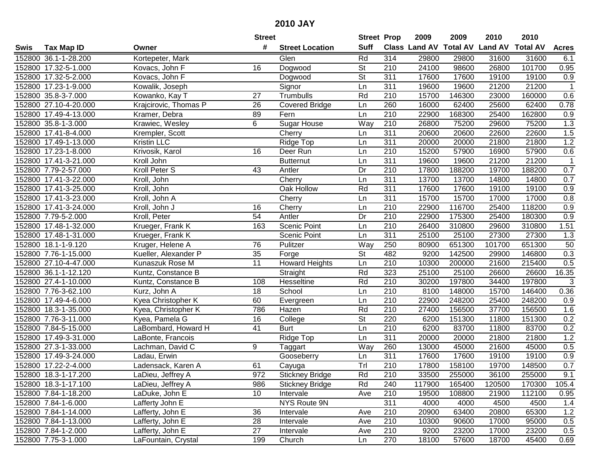| #<br><b>Suff</b><br>Class Land AV<br><b>Total AV</b><br><b>Land AV</b><br><b>Total AV</b><br><b>Acres</b><br><b>Tax Map ID</b><br><b>Street Location</b><br>Swis<br>Owner<br>Rd<br>314<br>152800 36.1-1-28.200<br>Kortepeter, Mark<br>29800<br>29800<br>31600<br>31600<br>Glen<br>6.1<br><b>St</b><br>24100<br>101700<br>152800 17.32-5-1.000<br>16<br>Dogwood<br>210<br>98600<br>26800<br>0.95<br>Kovacs, John F<br><b>St</b><br>152800 17.32-5-2.000<br>Kovacs, John F<br>Dogwood<br>311<br>17600<br>17600<br>19100<br>19100<br>0.9<br>$\overline{311}$<br>152800 17.23-1-9.000<br>Signor<br>19600<br>19600<br>21200<br>21200<br>$\mathbf{1}$<br>Kowalik, Joseph<br>Ln<br>Rd<br>$\overline{210}$<br>0.6<br>152800 35.8-3-7.000<br>27<br>Trumbulls<br>15700<br>146300<br>23000<br>160000<br>Kowanko, Kay T<br>260<br>0.78<br>152800 27.10-4-20.000<br>Krajcirovic, Thomas P<br>26<br><b>Covered Bridge</b><br>16000<br>62400<br>25600<br>62400<br>Ln<br>0.9<br>152800 17.49-4-13.000<br>Kramer, Debra<br>210<br>22900<br>168300<br>25400<br>162800<br>89<br>Fern<br>Ln<br><b>Sugar House</b><br>Way<br>210<br>1.3<br>152800 35.8-1-3.000<br>Krawiec, Wesley<br>6<br>26800<br>75200<br>29600<br>75200<br>311<br>20600<br>1.5<br>152800 17.41-8-4.000<br>Krempler, Scott<br>Cherry<br>20600<br>22600<br>22600<br>Ln<br>1.2<br>Kristin LLC<br>311<br>20000<br>21800<br>152800 17.49-1-13.000<br>Ridge Top<br>20000<br>21800<br>Ln<br>152800 17.23-1-8.000<br>Krivosik, Karol<br>210<br>15200<br>57900<br>0.6<br>Deer Run<br>57900<br>16900<br>16<br>Ln<br>21200<br>152800 17.41-3-21.000<br>Kroll John<br>Butternut<br>311<br>19600<br>19600<br>21200<br>Ln<br>1<br>210<br>188200<br>0.7<br>152800 7.79-2-57.000<br>Kroll Peter S<br>43<br>Dr<br>17800<br>188200<br>19700<br>Antler<br>311<br>14800<br>152800 17.41-3-22.000<br>Kroll, John<br>Cherry<br>13700<br>13700<br>14800<br>0.7<br>Ln<br>Oak Hollow<br>Rd<br>311<br>19100<br>0.9<br>152800 17.41-3-25.000<br>Kroll, John<br>17600<br>17600<br>19100<br>311<br>152800 17.41-3-23.000<br>15700<br>15700<br>17000<br>17000<br>0.8<br>Kroll, John A<br>Cherry<br>Ln<br>$\overline{210}$<br>0.9<br>22900<br>118200<br>152800 17.41-3-24.000<br>Kroll, John J<br>16<br>Cherry<br>116700<br>25400<br>Ln<br>54<br>Dr<br>210<br>0.9<br>152800 7.79-5-2.000<br>Kroll, Peter<br>Antler<br>22900<br>175300<br>25400<br>180300<br>210<br>26400<br>1.51<br>152800 17.48-1-32.000<br>Krueger, Frank K<br>163<br><b>Scenic Point</b><br>310800<br>29600<br>310800<br>Ln<br>311<br>1.3<br>152800 17.48-1-31.000<br>Krueger, Frank K<br>Scenic Point<br>25100<br>25100<br>27300<br>27300<br>Ln<br>50<br>152800 18.1-1-9.120<br>Pulitzer<br>Way<br>250<br>80900<br>651300<br>101700<br>651300<br>Kruger, Helene A<br>76<br><b>St</b><br>482<br>9200<br>0.3<br>152800 7.76-1-15.000<br>Kueller, Alexander P<br>35<br>Forge<br>142500<br>29900<br>146800<br>11<br>210<br>10300<br>215400<br>0.5<br>152800 27.10-4-47.000<br>Kunaszuk Rose M<br><b>Howard Heights</b><br>Ln<br>200000<br>21600<br>323<br>25100<br>25100<br>26600<br>16.35<br>152800 36.1-1-12.120<br>Straight<br>Rd<br>26600<br>Kuntz, Constance B<br>Rd<br>$\overline{210}$<br>197800<br>$\mathbf{3}$<br>30200<br>34400<br>197800<br>152800 27.4-1-10.000<br>Kuntz, Constance B<br>108<br>Hesseltine<br>152800 7.76-3-62.100<br>18<br>School<br>210<br>8100<br>148000<br>146400<br>Kurz, John A<br>15700<br>0.36<br>Ln<br>$\overline{210}$<br>60<br>22900<br>248200<br>248200<br>152800 17.49-4-6.000<br>Kyea Christopher K<br>Ln<br>25400<br>0.9<br>Evergreen<br>152800 18.3-1-35.000<br>786<br>Rd<br>210<br>27400<br>156500<br>37700<br>Hazen<br>156500<br>1.6<br>Kyea, Christopher K<br>$\overline{\mathsf{St}}$<br>220<br>151300<br>0.2<br>152800 7.76-3-11.000<br>16<br>6200<br>151300<br>11800<br>Kyea, Pamela G<br>College<br>210<br>152800 7.84-5-15.000<br>$\overline{41}$<br>6200<br>83700<br>0.2<br>LaBombard, Howard H<br><b>Burt</b><br>Ln<br>83700<br>11800<br>311<br>1.2<br>152800 17.49-3-31.000<br><b>Ridge Top</b><br>21800<br>LaBonte, Francois<br>Ln<br>20000<br>20000<br>21800<br>0.5<br>152800 27.3-1-33.000<br>Lachman, David C<br>9<br>Way<br>260<br>13000<br>45000<br>21600<br>45000<br>Taggart<br>311<br>17600<br>17600<br>19100<br>19100<br>0.9<br>152800 17.49-3-24.000<br>Ladau, Erwin<br>Gooseberry<br>Ln<br>Trl<br>0.7<br>$\overline{210}$<br>152800 17.22-2-4.000<br>61<br>17800<br>158100<br>19700<br>148500<br>Ladensack, Karen A<br>Cayuga<br>152800 18.3-1-17.200<br>LaDieu, Jeffrey A<br>972<br><b>Stickney Bridge</b><br>Rd<br>210<br>33500<br>255000<br>36100<br>255000<br>9.1<br>152800 18.3-1-17.100<br>LaDieu, Jeffrey A<br>986<br><b>Stickney Bridge</b><br>Rd<br>240<br>117900<br>165400<br>170300<br>105.4<br>120500<br>108800<br>152800 7.84-1-18.200<br>10<br>Intervale<br>210<br>19500<br>21900<br>112100<br>LaDuke, John E<br>Ave<br>0.95<br>311<br>152800 7.84-1-6.000<br>NYS Route 9N<br>4000<br>1.4<br>Lafferty John E<br>4000<br>4500<br>4500<br>1.2<br>152800 7.84-1-14.000<br>Lafferty, John E<br>36<br>Intervale<br>210<br>20900<br>63400<br>20800<br>65300<br>Ave<br>28<br>210<br>152800 7.84-1-13.000<br>Lafferty, John E<br>Intervale<br>10300<br>90600<br>17000<br>95000<br>0.5<br>Ave<br>27<br>152800 7.84-1-2.000<br>Lafferty, John E<br>210<br>9200<br>23200<br>17000<br>23200<br>0.5<br>Intervale<br>Ave<br>270<br>152800 7.75-3-1.000<br>18100<br>18700<br>45400<br>0.69<br>LaFountain, Crystal<br>199<br>Church<br>57600<br>Ln |  | <b>Street</b> | <b>Street Prop</b> | 2009 | 2009 | 2010 | 2010 |  |
|---------------------------------------------------------------------------------------------------------------------------------------------------------------------------------------------------------------------------------------------------------------------------------------------------------------------------------------------------------------------------------------------------------------------------------------------------------------------------------------------------------------------------------------------------------------------------------------------------------------------------------------------------------------------------------------------------------------------------------------------------------------------------------------------------------------------------------------------------------------------------------------------------------------------------------------------------------------------------------------------------------------------------------------------------------------------------------------------------------------------------------------------------------------------------------------------------------------------------------------------------------------------------------------------------------------------------------------------------------------------------------------------------------------------------------------------------------------------------------------------------------------------------------------------------------------------------------------------------------------------------------------------------------------------------------------------------------------------------------------------------------------------------------------------------------------------------------------------------------------------------------------------------------------------------------------------------------------------------------------------------------------------------------------------------------------------------------------------------------------------------------------------------------------------------------------------------------------------------------------------------------------------------------------------------------------------------------------------------------------------------------------------------------------------------------------------------------------------------------------------------------------------------------------------------------------------------------------------------------------------------------------------------------------------------------------------------------------------------------------------------------------------------------------------------------------------------------------------------------------------------------------------------------------------------------------------------------------------------------------------------------------------------------------------------------------------------------------------------------------------------------------------------------------------------------------------------------------------------------------------------------------------------------------------------------------------------------------------------------------------------------------------------------------------------------------------------------------------------------------------------------------------------------------------------------------------------------------------------------------------------------------------------------------------------------------------------------------------------------------------------------------------------------------------------------------------------------------------------------------------------------------------------------------------------------------------------------------------------------------------------------------------------------------------------------------------------------------------------------------------------------------------------------------------------------------------------------------------------------------------------------------------------------------------------------------------------------------------------------------------------------------------------------------------------------------------------------------------------------------------------------------------------------------------------------------------------------------------------------------------------------------------------------------------------------------------------------------------------------------------------------------------------------------------------------------------------------------------------------------------------------------------------------------------------------------------------------------------------------------------------------------------------------------------------------------------------------------------------------------------------------------------------------------------------------------------------------------------------------------------------------------------------------------------------------------------------------------------------------------------------------------------------------------------------------------------------------------------------------------------------|--|---------------|--------------------|------|------|------|------|--|
|                                                                                                                                                                                                                                                                                                                                                                                                                                                                                                                                                                                                                                                                                                                                                                                                                                                                                                                                                                                                                                                                                                                                                                                                                                                                                                                                                                                                                                                                                                                                                                                                                                                                                                                                                                                                                                                                                                                                                                                                                                                                                                                                                                                                                                                                                                                                                                                                                                                                                                                                                                                                                                                                                                                                                                                                                                                                                                                                                                                                                                                                                                                                                                                                                                                                                                                                                                                                                                                                                                                                                                                                                                                                                                                                                                                                                                                                                                                                                                                                                                                                                                                                                                                                                                                                                                                                                                                                                                                                                                                                                                                                                                                                                                                                                                                                                                                                                                                                                                                                                                                                                                                                                                                                                                                                                                                                                                                                                                                                                                   |  |               |                    |      |      |      |      |  |
|                                                                                                                                                                                                                                                                                                                                                                                                                                                                                                                                                                                                                                                                                                                                                                                                                                                                                                                                                                                                                                                                                                                                                                                                                                                                                                                                                                                                                                                                                                                                                                                                                                                                                                                                                                                                                                                                                                                                                                                                                                                                                                                                                                                                                                                                                                                                                                                                                                                                                                                                                                                                                                                                                                                                                                                                                                                                                                                                                                                                                                                                                                                                                                                                                                                                                                                                                                                                                                                                                                                                                                                                                                                                                                                                                                                                                                                                                                                                                                                                                                                                                                                                                                                                                                                                                                                                                                                                                                                                                                                                                                                                                                                                                                                                                                                                                                                                                                                                                                                                                                                                                                                                                                                                                                                                                                                                                                                                                                                                                                   |  |               |                    |      |      |      |      |  |
|                                                                                                                                                                                                                                                                                                                                                                                                                                                                                                                                                                                                                                                                                                                                                                                                                                                                                                                                                                                                                                                                                                                                                                                                                                                                                                                                                                                                                                                                                                                                                                                                                                                                                                                                                                                                                                                                                                                                                                                                                                                                                                                                                                                                                                                                                                                                                                                                                                                                                                                                                                                                                                                                                                                                                                                                                                                                                                                                                                                                                                                                                                                                                                                                                                                                                                                                                                                                                                                                                                                                                                                                                                                                                                                                                                                                                                                                                                                                                                                                                                                                                                                                                                                                                                                                                                                                                                                                                                                                                                                                                                                                                                                                                                                                                                                                                                                                                                                                                                                                                                                                                                                                                                                                                                                                                                                                                                                                                                                                                                   |  |               |                    |      |      |      |      |  |
|                                                                                                                                                                                                                                                                                                                                                                                                                                                                                                                                                                                                                                                                                                                                                                                                                                                                                                                                                                                                                                                                                                                                                                                                                                                                                                                                                                                                                                                                                                                                                                                                                                                                                                                                                                                                                                                                                                                                                                                                                                                                                                                                                                                                                                                                                                                                                                                                                                                                                                                                                                                                                                                                                                                                                                                                                                                                                                                                                                                                                                                                                                                                                                                                                                                                                                                                                                                                                                                                                                                                                                                                                                                                                                                                                                                                                                                                                                                                                                                                                                                                                                                                                                                                                                                                                                                                                                                                                                                                                                                                                                                                                                                                                                                                                                                                                                                                                                                                                                                                                                                                                                                                                                                                                                                                                                                                                                                                                                                                                                   |  |               |                    |      |      |      |      |  |
|                                                                                                                                                                                                                                                                                                                                                                                                                                                                                                                                                                                                                                                                                                                                                                                                                                                                                                                                                                                                                                                                                                                                                                                                                                                                                                                                                                                                                                                                                                                                                                                                                                                                                                                                                                                                                                                                                                                                                                                                                                                                                                                                                                                                                                                                                                                                                                                                                                                                                                                                                                                                                                                                                                                                                                                                                                                                                                                                                                                                                                                                                                                                                                                                                                                                                                                                                                                                                                                                                                                                                                                                                                                                                                                                                                                                                                                                                                                                                                                                                                                                                                                                                                                                                                                                                                                                                                                                                                                                                                                                                                                                                                                                                                                                                                                                                                                                                                                                                                                                                                                                                                                                                                                                                                                                                                                                                                                                                                                                                                   |  |               |                    |      |      |      |      |  |
|                                                                                                                                                                                                                                                                                                                                                                                                                                                                                                                                                                                                                                                                                                                                                                                                                                                                                                                                                                                                                                                                                                                                                                                                                                                                                                                                                                                                                                                                                                                                                                                                                                                                                                                                                                                                                                                                                                                                                                                                                                                                                                                                                                                                                                                                                                                                                                                                                                                                                                                                                                                                                                                                                                                                                                                                                                                                                                                                                                                                                                                                                                                                                                                                                                                                                                                                                                                                                                                                                                                                                                                                                                                                                                                                                                                                                                                                                                                                                                                                                                                                                                                                                                                                                                                                                                                                                                                                                                                                                                                                                                                                                                                                                                                                                                                                                                                                                                                                                                                                                                                                                                                                                                                                                                                                                                                                                                                                                                                                                                   |  |               |                    |      |      |      |      |  |
|                                                                                                                                                                                                                                                                                                                                                                                                                                                                                                                                                                                                                                                                                                                                                                                                                                                                                                                                                                                                                                                                                                                                                                                                                                                                                                                                                                                                                                                                                                                                                                                                                                                                                                                                                                                                                                                                                                                                                                                                                                                                                                                                                                                                                                                                                                                                                                                                                                                                                                                                                                                                                                                                                                                                                                                                                                                                                                                                                                                                                                                                                                                                                                                                                                                                                                                                                                                                                                                                                                                                                                                                                                                                                                                                                                                                                                                                                                                                                                                                                                                                                                                                                                                                                                                                                                                                                                                                                                                                                                                                                                                                                                                                                                                                                                                                                                                                                                                                                                                                                                                                                                                                                                                                                                                                                                                                                                                                                                                                                                   |  |               |                    |      |      |      |      |  |
|                                                                                                                                                                                                                                                                                                                                                                                                                                                                                                                                                                                                                                                                                                                                                                                                                                                                                                                                                                                                                                                                                                                                                                                                                                                                                                                                                                                                                                                                                                                                                                                                                                                                                                                                                                                                                                                                                                                                                                                                                                                                                                                                                                                                                                                                                                                                                                                                                                                                                                                                                                                                                                                                                                                                                                                                                                                                                                                                                                                                                                                                                                                                                                                                                                                                                                                                                                                                                                                                                                                                                                                                                                                                                                                                                                                                                                                                                                                                                                                                                                                                                                                                                                                                                                                                                                                                                                                                                                                                                                                                                                                                                                                                                                                                                                                                                                                                                                                                                                                                                                                                                                                                                                                                                                                                                                                                                                                                                                                                                                   |  |               |                    |      |      |      |      |  |
|                                                                                                                                                                                                                                                                                                                                                                                                                                                                                                                                                                                                                                                                                                                                                                                                                                                                                                                                                                                                                                                                                                                                                                                                                                                                                                                                                                                                                                                                                                                                                                                                                                                                                                                                                                                                                                                                                                                                                                                                                                                                                                                                                                                                                                                                                                                                                                                                                                                                                                                                                                                                                                                                                                                                                                                                                                                                                                                                                                                                                                                                                                                                                                                                                                                                                                                                                                                                                                                                                                                                                                                                                                                                                                                                                                                                                                                                                                                                                                                                                                                                                                                                                                                                                                                                                                                                                                                                                                                                                                                                                                                                                                                                                                                                                                                                                                                                                                                                                                                                                                                                                                                                                                                                                                                                                                                                                                                                                                                                                                   |  |               |                    |      |      |      |      |  |
|                                                                                                                                                                                                                                                                                                                                                                                                                                                                                                                                                                                                                                                                                                                                                                                                                                                                                                                                                                                                                                                                                                                                                                                                                                                                                                                                                                                                                                                                                                                                                                                                                                                                                                                                                                                                                                                                                                                                                                                                                                                                                                                                                                                                                                                                                                                                                                                                                                                                                                                                                                                                                                                                                                                                                                                                                                                                                                                                                                                                                                                                                                                                                                                                                                                                                                                                                                                                                                                                                                                                                                                                                                                                                                                                                                                                                                                                                                                                                                                                                                                                                                                                                                                                                                                                                                                                                                                                                                                                                                                                                                                                                                                                                                                                                                                                                                                                                                                                                                                                                                                                                                                                                                                                                                                                                                                                                                                                                                                                                                   |  |               |                    |      |      |      |      |  |
|                                                                                                                                                                                                                                                                                                                                                                                                                                                                                                                                                                                                                                                                                                                                                                                                                                                                                                                                                                                                                                                                                                                                                                                                                                                                                                                                                                                                                                                                                                                                                                                                                                                                                                                                                                                                                                                                                                                                                                                                                                                                                                                                                                                                                                                                                                                                                                                                                                                                                                                                                                                                                                                                                                                                                                                                                                                                                                                                                                                                                                                                                                                                                                                                                                                                                                                                                                                                                                                                                                                                                                                                                                                                                                                                                                                                                                                                                                                                                                                                                                                                                                                                                                                                                                                                                                                                                                                                                                                                                                                                                                                                                                                                                                                                                                                                                                                                                                                                                                                                                                                                                                                                                                                                                                                                                                                                                                                                                                                                                                   |  |               |                    |      |      |      |      |  |
|                                                                                                                                                                                                                                                                                                                                                                                                                                                                                                                                                                                                                                                                                                                                                                                                                                                                                                                                                                                                                                                                                                                                                                                                                                                                                                                                                                                                                                                                                                                                                                                                                                                                                                                                                                                                                                                                                                                                                                                                                                                                                                                                                                                                                                                                                                                                                                                                                                                                                                                                                                                                                                                                                                                                                                                                                                                                                                                                                                                                                                                                                                                                                                                                                                                                                                                                                                                                                                                                                                                                                                                                                                                                                                                                                                                                                                                                                                                                                                                                                                                                                                                                                                                                                                                                                                                                                                                                                                                                                                                                                                                                                                                                                                                                                                                                                                                                                                                                                                                                                                                                                                                                                                                                                                                                                                                                                                                                                                                                                                   |  |               |                    |      |      |      |      |  |
|                                                                                                                                                                                                                                                                                                                                                                                                                                                                                                                                                                                                                                                                                                                                                                                                                                                                                                                                                                                                                                                                                                                                                                                                                                                                                                                                                                                                                                                                                                                                                                                                                                                                                                                                                                                                                                                                                                                                                                                                                                                                                                                                                                                                                                                                                                                                                                                                                                                                                                                                                                                                                                                                                                                                                                                                                                                                                                                                                                                                                                                                                                                                                                                                                                                                                                                                                                                                                                                                                                                                                                                                                                                                                                                                                                                                                                                                                                                                                                                                                                                                                                                                                                                                                                                                                                                                                                                                                                                                                                                                                                                                                                                                                                                                                                                                                                                                                                                                                                                                                                                                                                                                                                                                                                                                                                                                                                                                                                                                                                   |  |               |                    |      |      |      |      |  |
|                                                                                                                                                                                                                                                                                                                                                                                                                                                                                                                                                                                                                                                                                                                                                                                                                                                                                                                                                                                                                                                                                                                                                                                                                                                                                                                                                                                                                                                                                                                                                                                                                                                                                                                                                                                                                                                                                                                                                                                                                                                                                                                                                                                                                                                                                                                                                                                                                                                                                                                                                                                                                                                                                                                                                                                                                                                                                                                                                                                                                                                                                                                                                                                                                                                                                                                                                                                                                                                                                                                                                                                                                                                                                                                                                                                                                                                                                                                                                                                                                                                                                                                                                                                                                                                                                                                                                                                                                                                                                                                                                                                                                                                                                                                                                                                                                                                                                                                                                                                                                                                                                                                                                                                                                                                                                                                                                                                                                                                                                                   |  |               |                    |      |      |      |      |  |
|                                                                                                                                                                                                                                                                                                                                                                                                                                                                                                                                                                                                                                                                                                                                                                                                                                                                                                                                                                                                                                                                                                                                                                                                                                                                                                                                                                                                                                                                                                                                                                                                                                                                                                                                                                                                                                                                                                                                                                                                                                                                                                                                                                                                                                                                                                                                                                                                                                                                                                                                                                                                                                                                                                                                                                                                                                                                                                                                                                                                                                                                                                                                                                                                                                                                                                                                                                                                                                                                                                                                                                                                                                                                                                                                                                                                                                                                                                                                                                                                                                                                                                                                                                                                                                                                                                                                                                                                                                                                                                                                                                                                                                                                                                                                                                                                                                                                                                                                                                                                                                                                                                                                                                                                                                                                                                                                                                                                                                                                                                   |  |               |                    |      |      |      |      |  |
|                                                                                                                                                                                                                                                                                                                                                                                                                                                                                                                                                                                                                                                                                                                                                                                                                                                                                                                                                                                                                                                                                                                                                                                                                                                                                                                                                                                                                                                                                                                                                                                                                                                                                                                                                                                                                                                                                                                                                                                                                                                                                                                                                                                                                                                                                                                                                                                                                                                                                                                                                                                                                                                                                                                                                                                                                                                                                                                                                                                                                                                                                                                                                                                                                                                                                                                                                                                                                                                                                                                                                                                                                                                                                                                                                                                                                                                                                                                                                                                                                                                                                                                                                                                                                                                                                                                                                                                                                                                                                                                                                                                                                                                                                                                                                                                                                                                                                                                                                                                                                                                                                                                                                                                                                                                                                                                                                                                                                                                                                                   |  |               |                    |      |      |      |      |  |
|                                                                                                                                                                                                                                                                                                                                                                                                                                                                                                                                                                                                                                                                                                                                                                                                                                                                                                                                                                                                                                                                                                                                                                                                                                                                                                                                                                                                                                                                                                                                                                                                                                                                                                                                                                                                                                                                                                                                                                                                                                                                                                                                                                                                                                                                                                                                                                                                                                                                                                                                                                                                                                                                                                                                                                                                                                                                                                                                                                                                                                                                                                                                                                                                                                                                                                                                                                                                                                                                                                                                                                                                                                                                                                                                                                                                                                                                                                                                                                                                                                                                                                                                                                                                                                                                                                                                                                                                                                                                                                                                                                                                                                                                                                                                                                                                                                                                                                                                                                                                                                                                                                                                                                                                                                                                                                                                                                                                                                                                                                   |  |               |                    |      |      |      |      |  |
|                                                                                                                                                                                                                                                                                                                                                                                                                                                                                                                                                                                                                                                                                                                                                                                                                                                                                                                                                                                                                                                                                                                                                                                                                                                                                                                                                                                                                                                                                                                                                                                                                                                                                                                                                                                                                                                                                                                                                                                                                                                                                                                                                                                                                                                                                                                                                                                                                                                                                                                                                                                                                                                                                                                                                                                                                                                                                                                                                                                                                                                                                                                                                                                                                                                                                                                                                                                                                                                                                                                                                                                                                                                                                                                                                                                                                                                                                                                                                                                                                                                                                                                                                                                                                                                                                                                                                                                                                                                                                                                                                                                                                                                                                                                                                                                                                                                                                                                                                                                                                                                                                                                                                                                                                                                                                                                                                                                                                                                                                                   |  |               |                    |      |      |      |      |  |
|                                                                                                                                                                                                                                                                                                                                                                                                                                                                                                                                                                                                                                                                                                                                                                                                                                                                                                                                                                                                                                                                                                                                                                                                                                                                                                                                                                                                                                                                                                                                                                                                                                                                                                                                                                                                                                                                                                                                                                                                                                                                                                                                                                                                                                                                                                                                                                                                                                                                                                                                                                                                                                                                                                                                                                                                                                                                                                                                                                                                                                                                                                                                                                                                                                                                                                                                                                                                                                                                                                                                                                                                                                                                                                                                                                                                                                                                                                                                                                                                                                                                                                                                                                                                                                                                                                                                                                                                                                                                                                                                                                                                                                                                                                                                                                                                                                                                                                                                                                                                                                                                                                                                                                                                                                                                                                                                                                                                                                                                                                   |  |               |                    |      |      |      |      |  |
|                                                                                                                                                                                                                                                                                                                                                                                                                                                                                                                                                                                                                                                                                                                                                                                                                                                                                                                                                                                                                                                                                                                                                                                                                                                                                                                                                                                                                                                                                                                                                                                                                                                                                                                                                                                                                                                                                                                                                                                                                                                                                                                                                                                                                                                                                                                                                                                                                                                                                                                                                                                                                                                                                                                                                                                                                                                                                                                                                                                                                                                                                                                                                                                                                                                                                                                                                                                                                                                                                                                                                                                                                                                                                                                                                                                                                                                                                                                                                                                                                                                                                                                                                                                                                                                                                                                                                                                                                                                                                                                                                                                                                                                                                                                                                                                                                                                                                                                                                                                                                                                                                                                                                                                                                                                                                                                                                                                                                                                                                                   |  |               |                    |      |      |      |      |  |
|                                                                                                                                                                                                                                                                                                                                                                                                                                                                                                                                                                                                                                                                                                                                                                                                                                                                                                                                                                                                                                                                                                                                                                                                                                                                                                                                                                                                                                                                                                                                                                                                                                                                                                                                                                                                                                                                                                                                                                                                                                                                                                                                                                                                                                                                                                                                                                                                                                                                                                                                                                                                                                                                                                                                                                                                                                                                                                                                                                                                                                                                                                                                                                                                                                                                                                                                                                                                                                                                                                                                                                                                                                                                                                                                                                                                                                                                                                                                                                                                                                                                                                                                                                                                                                                                                                                                                                                                                                                                                                                                                                                                                                                                                                                                                                                                                                                                                                                                                                                                                                                                                                                                                                                                                                                                                                                                                                                                                                                                                                   |  |               |                    |      |      |      |      |  |
|                                                                                                                                                                                                                                                                                                                                                                                                                                                                                                                                                                                                                                                                                                                                                                                                                                                                                                                                                                                                                                                                                                                                                                                                                                                                                                                                                                                                                                                                                                                                                                                                                                                                                                                                                                                                                                                                                                                                                                                                                                                                                                                                                                                                                                                                                                                                                                                                                                                                                                                                                                                                                                                                                                                                                                                                                                                                                                                                                                                                                                                                                                                                                                                                                                                                                                                                                                                                                                                                                                                                                                                                                                                                                                                                                                                                                                                                                                                                                                                                                                                                                                                                                                                                                                                                                                                                                                                                                                                                                                                                                                                                                                                                                                                                                                                                                                                                                                                                                                                                                                                                                                                                                                                                                                                                                                                                                                                                                                                                                                   |  |               |                    |      |      |      |      |  |
|                                                                                                                                                                                                                                                                                                                                                                                                                                                                                                                                                                                                                                                                                                                                                                                                                                                                                                                                                                                                                                                                                                                                                                                                                                                                                                                                                                                                                                                                                                                                                                                                                                                                                                                                                                                                                                                                                                                                                                                                                                                                                                                                                                                                                                                                                                                                                                                                                                                                                                                                                                                                                                                                                                                                                                                                                                                                                                                                                                                                                                                                                                                                                                                                                                                                                                                                                                                                                                                                                                                                                                                                                                                                                                                                                                                                                                                                                                                                                                                                                                                                                                                                                                                                                                                                                                                                                                                                                                                                                                                                                                                                                                                                                                                                                                                                                                                                                                                                                                                                                                                                                                                                                                                                                                                                                                                                                                                                                                                                                                   |  |               |                    |      |      |      |      |  |
|                                                                                                                                                                                                                                                                                                                                                                                                                                                                                                                                                                                                                                                                                                                                                                                                                                                                                                                                                                                                                                                                                                                                                                                                                                                                                                                                                                                                                                                                                                                                                                                                                                                                                                                                                                                                                                                                                                                                                                                                                                                                                                                                                                                                                                                                                                                                                                                                                                                                                                                                                                                                                                                                                                                                                                                                                                                                                                                                                                                                                                                                                                                                                                                                                                                                                                                                                                                                                                                                                                                                                                                                                                                                                                                                                                                                                                                                                                                                                                                                                                                                                                                                                                                                                                                                                                                                                                                                                                                                                                                                                                                                                                                                                                                                                                                                                                                                                                                                                                                                                                                                                                                                                                                                                                                                                                                                                                                                                                                                                                   |  |               |                    |      |      |      |      |  |
|                                                                                                                                                                                                                                                                                                                                                                                                                                                                                                                                                                                                                                                                                                                                                                                                                                                                                                                                                                                                                                                                                                                                                                                                                                                                                                                                                                                                                                                                                                                                                                                                                                                                                                                                                                                                                                                                                                                                                                                                                                                                                                                                                                                                                                                                                                                                                                                                                                                                                                                                                                                                                                                                                                                                                                                                                                                                                                                                                                                                                                                                                                                                                                                                                                                                                                                                                                                                                                                                                                                                                                                                                                                                                                                                                                                                                                                                                                                                                                                                                                                                                                                                                                                                                                                                                                                                                                                                                                                                                                                                                                                                                                                                                                                                                                                                                                                                                                                                                                                                                                                                                                                                                                                                                                                                                                                                                                                                                                                                                                   |  |               |                    |      |      |      |      |  |
|                                                                                                                                                                                                                                                                                                                                                                                                                                                                                                                                                                                                                                                                                                                                                                                                                                                                                                                                                                                                                                                                                                                                                                                                                                                                                                                                                                                                                                                                                                                                                                                                                                                                                                                                                                                                                                                                                                                                                                                                                                                                                                                                                                                                                                                                                                                                                                                                                                                                                                                                                                                                                                                                                                                                                                                                                                                                                                                                                                                                                                                                                                                                                                                                                                                                                                                                                                                                                                                                                                                                                                                                                                                                                                                                                                                                                                                                                                                                                                                                                                                                                                                                                                                                                                                                                                                                                                                                                                                                                                                                                                                                                                                                                                                                                                                                                                                                                                                                                                                                                                                                                                                                                                                                                                                                                                                                                                                                                                                                                                   |  |               |                    |      |      |      |      |  |
|                                                                                                                                                                                                                                                                                                                                                                                                                                                                                                                                                                                                                                                                                                                                                                                                                                                                                                                                                                                                                                                                                                                                                                                                                                                                                                                                                                                                                                                                                                                                                                                                                                                                                                                                                                                                                                                                                                                                                                                                                                                                                                                                                                                                                                                                                                                                                                                                                                                                                                                                                                                                                                                                                                                                                                                                                                                                                                                                                                                                                                                                                                                                                                                                                                                                                                                                                                                                                                                                                                                                                                                                                                                                                                                                                                                                                                                                                                                                                                                                                                                                                                                                                                                                                                                                                                                                                                                                                                                                                                                                                                                                                                                                                                                                                                                                                                                                                                                                                                                                                                                                                                                                                                                                                                                                                                                                                                                                                                                                                                   |  |               |                    |      |      |      |      |  |
|                                                                                                                                                                                                                                                                                                                                                                                                                                                                                                                                                                                                                                                                                                                                                                                                                                                                                                                                                                                                                                                                                                                                                                                                                                                                                                                                                                                                                                                                                                                                                                                                                                                                                                                                                                                                                                                                                                                                                                                                                                                                                                                                                                                                                                                                                                                                                                                                                                                                                                                                                                                                                                                                                                                                                                                                                                                                                                                                                                                                                                                                                                                                                                                                                                                                                                                                                                                                                                                                                                                                                                                                                                                                                                                                                                                                                                                                                                                                                                                                                                                                                                                                                                                                                                                                                                                                                                                                                                                                                                                                                                                                                                                                                                                                                                                                                                                                                                                                                                                                                                                                                                                                                                                                                                                                                                                                                                                                                                                                                                   |  |               |                    |      |      |      |      |  |
|                                                                                                                                                                                                                                                                                                                                                                                                                                                                                                                                                                                                                                                                                                                                                                                                                                                                                                                                                                                                                                                                                                                                                                                                                                                                                                                                                                                                                                                                                                                                                                                                                                                                                                                                                                                                                                                                                                                                                                                                                                                                                                                                                                                                                                                                                                                                                                                                                                                                                                                                                                                                                                                                                                                                                                                                                                                                                                                                                                                                                                                                                                                                                                                                                                                                                                                                                                                                                                                                                                                                                                                                                                                                                                                                                                                                                                                                                                                                                                                                                                                                                                                                                                                                                                                                                                                                                                                                                                                                                                                                                                                                                                                                                                                                                                                                                                                                                                                                                                                                                                                                                                                                                                                                                                                                                                                                                                                                                                                                                                   |  |               |                    |      |      |      |      |  |
|                                                                                                                                                                                                                                                                                                                                                                                                                                                                                                                                                                                                                                                                                                                                                                                                                                                                                                                                                                                                                                                                                                                                                                                                                                                                                                                                                                                                                                                                                                                                                                                                                                                                                                                                                                                                                                                                                                                                                                                                                                                                                                                                                                                                                                                                                                                                                                                                                                                                                                                                                                                                                                                                                                                                                                                                                                                                                                                                                                                                                                                                                                                                                                                                                                                                                                                                                                                                                                                                                                                                                                                                                                                                                                                                                                                                                                                                                                                                                                                                                                                                                                                                                                                                                                                                                                                                                                                                                                                                                                                                                                                                                                                                                                                                                                                                                                                                                                                                                                                                                                                                                                                                                                                                                                                                                                                                                                                                                                                                                                   |  |               |                    |      |      |      |      |  |
|                                                                                                                                                                                                                                                                                                                                                                                                                                                                                                                                                                                                                                                                                                                                                                                                                                                                                                                                                                                                                                                                                                                                                                                                                                                                                                                                                                                                                                                                                                                                                                                                                                                                                                                                                                                                                                                                                                                                                                                                                                                                                                                                                                                                                                                                                                                                                                                                                                                                                                                                                                                                                                                                                                                                                                                                                                                                                                                                                                                                                                                                                                                                                                                                                                                                                                                                                                                                                                                                                                                                                                                                                                                                                                                                                                                                                                                                                                                                                                                                                                                                                                                                                                                                                                                                                                                                                                                                                                                                                                                                                                                                                                                                                                                                                                                                                                                                                                                                                                                                                                                                                                                                                                                                                                                                                                                                                                                                                                                                                                   |  |               |                    |      |      |      |      |  |
|                                                                                                                                                                                                                                                                                                                                                                                                                                                                                                                                                                                                                                                                                                                                                                                                                                                                                                                                                                                                                                                                                                                                                                                                                                                                                                                                                                                                                                                                                                                                                                                                                                                                                                                                                                                                                                                                                                                                                                                                                                                                                                                                                                                                                                                                                                                                                                                                                                                                                                                                                                                                                                                                                                                                                                                                                                                                                                                                                                                                                                                                                                                                                                                                                                                                                                                                                                                                                                                                                                                                                                                                                                                                                                                                                                                                                                                                                                                                                                                                                                                                                                                                                                                                                                                                                                                                                                                                                                                                                                                                                                                                                                                                                                                                                                                                                                                                                                                                                                                                                                                                                                                                                                                                                                                                                                                                                                                                                                                                                                   |  |               |                    |      |      |      |      |  |
|                                                                                                                                                                                                                                                                                                                                                                                                                                                                                                                                                                                                                                                                                                                                                                                                                                                                                                                                                                                                                                                                                                                                                                                                                                                                                                                                                                                                                                                                                                                                                                                                                                                                                                                                                                                                                                                                                                                                                                                                                                                                                                                                                                                                                                                                                                                                                                                                                                                                                                                                                                                                                                                                                                                                                                                                                                                                                                                                                                                                                                                                                                                                                                                                                                                                                                                                                                                                                                                                                                                                                                                                                                                                                                                                                                                                                                                                                                                                                                                                                                                                                                                                                                                                                                                                                                                                                                                                                                                                                                                                                                                                                                                                                                                                                                                                                                                                                                                                                                                                                                                                                                                                                                                                                                                                                                                                                                                                                                                                                                   |  |               |                    |      |      |      |      |  |
|                                                                                                                                                                                                                                                                                                                                                                                                                                                                                                                                                                                                                                                                                                                                                                                                                                                                                                                                                                                                                                                                                                                                                                                                                                                                                                                                                                                                                                                                                                                                                                                                                                                                                                                                                                                                                                                                                                                                                                                                                                                                                                                                                                                                                                                                                                                                                                                                                                                                                                                                                                                                                                                                                                                                                                                                                                                                                                                                                                                                                                                                                                                                                                                                                                                                                                                                                                                                                                                                                                                                                                                                                                                                                                                                                                                                                                                                                                                                                                                                                                                                                                                                                                                                                                                                                                                                                                                                                                                                                                                                                                                                                                                                                                                                                                                                                                                                                                                                                                                                                                                                                                                                                                                                                                                                                                                                                                                                                                                                                                   |  |               |                    |      |      |      |      |  |
|                                                                                                                                                                                                                                                                                                                                                                                                                                                                                                                                                                                                                                                                                                                                                                                                                                                                                                                                                                                                                                                                                                                                                                                                                                                                                                                                                                                                                                                                                                                                                                                                                                                                                                                                                                                                                                                                                                                                                                                                                                                                                                                                                                                                                                                                                                                                                                                                                                                                                                                                                                                                                                                                                                                                                                                                                                                                                                                                                                                                                                                                                                                                                                                                                                                                                                                                                                                                                                                                                                                                                                                                                                                                                                                                                                                                                                                                                                                                                                                                                                                                                                                                                                                                                                                                                                                                                                                                                                                                                                                                                                                                                                                                                                                                                                                                                                                                                                                                                                                                                                                                                                                                                                                                                                                                                                                                                                                                                                                                                                   |  |               |                    |      |      |      |      |  |
|                                                                                                                                                                                                                                                                                                                                                                                                                                                                                                                                                                                                                                                                                                                                                                                                                                                                                                                                                                                                                                                                                                                                                                                                                                                                                                                                                                                                                                                                                                                                                                                                                                                                                                                                                                                                                                                                                                                                                                                                                                                                                                                                                                                                                                                                                                                                                                                                                                                                                                                                                                                                                                                                                                                                                                                                                                                                                                                                                                                                                                                                                                                                                                                                                                                                                                                                                                                                                                                                                                                                                                                                                                                                                                                                                                                                                                                                                                                                                                                                                                                                                                                                                                                                                                                                                                                                                                                                                                                                                                                                                                                                                                                                                                                                                                                                                                                                                                                                                                                                                                                                                                                                                                                                                                                                                                                                                                                                                                                                                                   |  |               |                    |      |      |      |      |  |
|                                                                                                                                                                                                                                                                                                                                                                                                                                                                                                                                                                                                                                                                                                                                                                                                                                                                                                                                                                                                                                                                                                                                                                                                                                                                                                                                                                                                                                                                                                                                                                                                                                                                                                                                                                                                                                                                                                                                                                                                                                                                                                                                                                                                                                                                                                                                                                                                                                                                                                                                                                                                                                                                                                                                                                                                                                                                                                                                                                                                                                                                                                                                                                                                                                                                                                                                                                                                                                                                                                                                                                                                                                                                                                                                                                                                                                                                                                                                                                                                                                                                                                                                                                                                                                                                                                                                                                                                                                                                                                                                                                                                                                                                                                                                                                                                                                                                                                                                                                                                                                                                                                                                                                                                                                                                                                                                                                                                                                                                                                   |  |               |                    |      |      |      |      |  |
|                                                                                                                                                                                                                                                                                                                                                                                                                                                                                                                                                                                                                                                                                                                                                                                                                                                                                                                                                                                                                                                                                                                                                                                                                                                                                                                                                                                                                                                                                                                                                                                                                                                                                                                                                                                                                                                                                                                                                                                                                                                                                                                                                                                                                                                                                                                                                                                                                                                                                                                                                                                                                                                                                                                                                                                                                                                                                                                                                                                                                                                                                                                                                                                                                                                                                                                                                                                                                                                                                                                                                                                                                                                                                                                                                                                                                                                                                                                                                                                                                                                                                                                                                                                                                                                                                                                                                                                                                                                                                                                                                                                                                                                                                                                                                                                                                                                                                                                                                                                                                                                                                                                                                                                                                                                                                                                                                                                                                                                                                                   |  |               |                    |      |      |      |      |  |
|                                                                                                                                                                                                                                                                                                                                                                                                                                                                                                                                                                                                                                                                                                                                                                                                                                                                                                                                                                                                                                                                                                                                                                                                                                                                                                                                                                                                                                                                                                                                                                                                                                                                                                                                                                                                                                                                                                                                                                                                                                                                                                                                                                                                                                                                                                                                                                                                                                                                                                                                                                                                                                                                                                                                                                                                                                                                                                                                                                                                                                                                                                                                                                                                                                                                                                                                                                                                                                                                                                                                                                                                                                                                                                                                                                                                                                                                                                                                                                                                                                                                                                                                                                                                                                                                                                                                                                                                                                                                                                                                                                                                                                                                                                                                                                                                                                                                                                                                                                                                                                                                                                                                                                                                                                                                                                                                                                                                                                                                                                   |  |               |                    |      |      |      |      |  |
|                                                                                                                                                                                                                                                                                                                                                                                                                                                                                                                                                                                                                                                                                                                                                                                                                                                                                                                                                                                                                                                                                                                                                                                                                                                                                                                                                                                                                                                                                                                                                                                                                                                                                                                                                                                                                                                                                                                                                                                                                                                                                                                                                                                                                                                                                                                                                                                                                                                                                                                                                                                                                                                                                                                                                                                                                                                                                                                                                                                                                                                                                                                                                                                                                                                                                                                                                                                                                                                                                                                                                                                                                                                                                                                                                                                                                                                                                                                                                                                                                                                                                                                                                                                                                                                                                                                                                                                                                                                                                                                                                                                                                                                                                                                                                                                                                                                                                                                                                                                                                                                                                                                                                                                                                                                                                                                                                                                                                                                                                                   |  |               |                    |      |      |      |      |  |
|                                                                                                                                                                                                                                                                                                                                                                                                                                                                                                                                                                                                                                                                                                                                                                                                                                                                                                                                                                                                                                                                                                                                                                                                                                                                                                                                                                                                                                                                                                                                                                                                                                                                                                                                                                                                                                                                                                                                                                                                                                                                                                                                                                                                                                                                                                                                                                                                                                                                                                                                                                                                                                                                                                                                                                                                                                                                                                                                                                                                                                                                                                                                                                                                                                                                                                                                                                                                                                                                                                                                                                                                                                                                                                                                                                                                                                                                                                                                                                                                                                                                                                                                                                                                                                                                                                                                                                                                                                                                                                                                                                                                                                                                                                                                                                                                                                                                                                                                                                                                                                                                                                                                                                                                                                                                                                                                                                                                                                                                                                   |  |               |                    |      |      |      |      |  |
|                                                                                                                                                                                                                                                                                                                                                                                                                                                                                                                                                                                                                                                                                                                                                                                                                                                                                                                                                                                                                                                                                                                                                                                                                                                                                                                                                                                                                                                                                                                                                                                                                                                                                                                                                                                                                                                                                                                                                                                                                                                                                                                                                                                                                                                                                                                                                                                                                                                                                                                                                                                                                                                                                                                                                                                                                                                                                                                                                                                                                                                                                                                                                                                                                                                                                                                                                                                                                                                                                                                                                                                                                                                                                                                                                                                                                                                                                                                                                                                                                                                                                                                                                                                                                                                                                                                                                                                                                                                                                                                                                                                                                                                                                                                                                                                                                                                                                                                                                                                                                                                                                                                                                                                                                                                                                                                                                                                                                                                                                                   |  |               |                    |      |      |      |      |  |
|                                                                                                                                                                                                                                                                                                                                                                                                                                                                                                                                                                                                                                                                                                                                                                                                                                                                                                                                                                                                                                                                                                                                                                                                                                                                                                                                                                                                                                                                                                                                                                                                                                                                                                                                                                                                                                                                                                                                                                                                                                                                                                                                                                                                                                                                                                                                                                                                                                                                                                                                                                                                                                                                                                                                                                                                                                                                                                                                                                                                                                                                                                                                                                                                                                                                                                                                                                                                                                                                                                                                                                                                                                                                                                                                                                                                                                                                                                                                                                                                                                                                                                                                                                                                                                                                                                                                                                                                                                                                                                                                                                                                                                                                                                                                                                                                                                                                                                                                                                                                                                                                                                                                                                                                                                                                                                                                                                                                                                                                                                   |  |               |                    |      |      |      |      |  |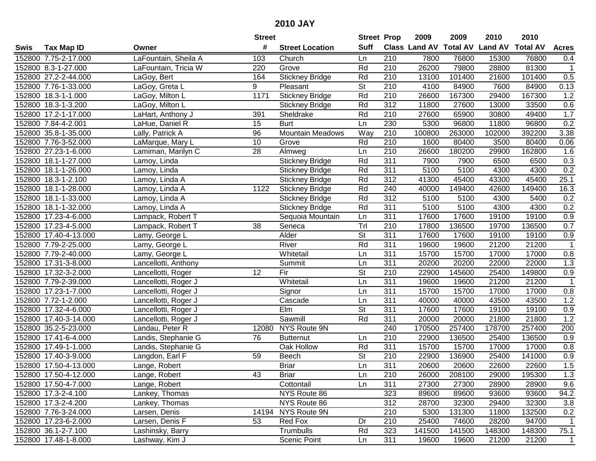|        |                       |                      | <b>Street</b> |                         | <b>Street Prop</b>       |                  | 2009   | 2009   | 2010                           | 2010            |                |
|--------|-----------------------|----------------------|---------------|-------------------------|--------------------------|------------------|--------|--------|--------------------------------|-----------------|----------------|
| Swis   | <b>Tax Map ID</b>     | Owner                | #             | <b>Street Location</b>  | <b>Suff</b>              |                  |        |        | Class Land AV Total AV Land AV | <b>Total AV</b> | <b>Acres</b>   |
|        | 152800 7.75-2-17.000  | LaFountain, Sheila A | 103           | Church                  | Ln                       | 210              | 7800   | 76800  | 15300                          | 76800           | 0.4            |
|        | 152800 8.3-1-27.000   | LaFountain, Tricia W | 220           | Grove                   | Rd                       | 210              | 26200  | 79800  | 28800                          | 81300           | $\mathbf{1}$   |
|        | 152800 27.2-2-44.000  | LaGoy, Bert          | 164           | <b>Stickney Bridge</b>  | Rd                       | 210              | 13100  | 101400 | 21600                          | 101400          | 0.5            |
|        | 152800 7.76-1-33.000  | LaGoy, Greta L       | 9             | Pleasant                | <b>St</b>                | 210              | 4100   | 84900  | 7600                           | 84900           | 0.13           |
|        | 152800 18.3-1-1.000   | LaGoy, Milton L      | 1171          | <b>Stickney Bridge</b>  | Rd                       | 210              | 26600  | 167300 | 29400                          | 167300          | 1.2            |
|        | 152800 18.3-1-3.200   | LaGoy, Milton L      |               | Stickney Bridge         | Rd                       | $\overline{312}$ | 11800  | 27600  | 13000                          | 33500           | 0.6            |
|        | 152800 17.2-1-17.000  | LaHart, Anthony J    | 391           | Sheldrake               | Rd                       | 210              | 27600  | 65900  | 30800                          | 49400           | 1.7            |
|        | 152800 7.84-4-2.001   | LaHue, Daniel R      | 15            | <b>Burt</b>             | Ln                       | 230              | 5300   | 96800  | 11800                          | 96800           | 0.2            |
|        | 152800 35.8-1-35.000  | Lally, Patrick A     | 96            | <b>Mountain Meadows</b> | Way                      | $\overline{210}$ | 100800 | 263000 | 102000                         | 392200          | 3.38           |
|        | 152800 7.76-3-52.000  | LaMarque, Mary L     | 10            | Grove                   | Rd                       | 210              | 1600   | 80400  | 3500                           | 80400           | 0.06           |
|        | 152800 27.23-1-6.000  | Lamiman, Marilyn C   | 28            | Almweg                  | Ln                       | 210              | 26600  | 180200 | 29900                          | 162800          | 1.6            |
|        | 152800 18.1-1-27.000  | Lamoy, Linda         |               | <b>Stickney Bridge</b>  | Rd                       | 311              | 7900   | 7900   | 6500                           | 6500            | 0.3            |
|        | 152800 18.1-1-26.000  | Lamoy, Linda         |               | <b>Stickney Bridge</b>  | Rd                       | 311              | 5100   | 5100   | 4300                           | 4300            | 0.2            |
|        | 152800 18.3-1-2.100   | Lamoy, Linda A       |               | <b>Stickney Bridge</b>  | Rd                       | 312              | 41300  | 45400  | 43300                          | 45400           | 25.1           |
|        | 152800 18.1-1-28.000  | Lamoy, Linda A       | 1122          | <b>Stickney Bridge</b>  | Rd                       | 240              | 40000  | 149400 | 42600                          | 149400          | 16.3           |
|        | 152800 18.1-1-33.000  | Lamoy, Linda A       |               | <b>Stickney Bridge</b>  | Rd                       | 312              | 5100   | 5100   | 4300                           | 5400            | 0.2            |
|        | 152800 18.1-1-32.000  | Lamoy, Linda A       |               | <b>Stickney Bridge</b>  | Rd                       | 311              | 5100   | 5100   | 4300                           | 4300            | 0.2            |
|        | 152800 17.23-4-6.000  | Lampack, Robert T    |               | Sequoia Mountain        | Ln                       | 311              | 17600  | 17600  | 19100                          | 19100           | 0.9            |
|        | 152800 17.23-4-5.000  | Lampack, Robert T    | 38            | Seneca                  | Trl                      | 210              | 17800  | 136500 | 19700                          | 136500          | 0.7            |
|        | 152800 17.40-4-13.000 | Lamy, George L       |               | Alder                   | <b>St</b>                | 311              | 17600  | 17600  | 19100                          | 19100           | 0.9            |
|        | 152800 7.79-2-25.000  | Lamy, George L       |               | River                   | Rd                       | 311              | 19600  | 19600  | 21200                          | 21200           | $\overline{1}$ |
|        | 152800 7.79-2-40.000  | Lamy, George L       |               | Whitetail               | Ln                       | 311              | 15700  | 15700  | 17000                          | 17000           | $0.8\,$        |
| 152800 | 17.31-3-8.000         | Lancellotti, Anthony |               | Summit                  | Ln                       | 311              | 20200  | 20200  | 22000                          | 22000           | 1.3            |
| 152800 | 17.32-3-2.000         | Lancellotti, Roger   | 12            | Fir                     | St                       | 210              | 22900  | 145600 | 25400                          | 149800          | 0.9            |
|        | 152800 7.79-2-39.000  | Lancellotti, Roger J |               | Whitetail               | Ln                       | 311              | 19600  | 19600  | 21200                          | 21200           | $\overline{1}$ |
|        | 152800 17.23-1-7.000  | Lancellotti, Roger J |               | Signor                  | Ln                       | 311              | 15700  | 15700  | 17000                          | 17000           | 0.8            |
|        | 152800 7.72-1-2.000   | Lancellotti, Roger J |               | Cascade                 | Ln                       | 311              | 40000  | 40000  | 43500                          | 43500           | 1.2            |
|        | 152800 17.32-4-6.000  | Lancellotti, Roger J |               | Elm                     | St                       | 311              | 17600  | 17600  | 19100                          | 19100           | 0.9            |
|        | 152800 17.40-3-14.000 | Lancellotti, Roger J |               | Sawmill                 | Rd                       | 311              | 20000  | 20000  | 21800                          | 21800           | 1.2            |
|        | 152800 35.2-5-23.000  | Landau, Peter R      |               | 12080 NYS Route 9N      |                          | 240              | 170500 | 257400 | 178700                         | 257400          | 200            |
|        | 152800 17.41-6-4.000  | Landis, Stephanie G  | 76            | <b>Butternut</b>        | Ln                       | $\overline{210}$ | 22900  | 136500 | 25400                          | 136500          | 0.9            |
|        | 152800 17.49-1-1.000  | Landis, Stephanie G  |               | Oak Hollow              | Rd                       | 311              | 15700  | 15700  | 17000                          | 17000           | 0.8            |
|        | 152800 17.40-3-9.000  | Langdon, Earl F      | 59            | Beech                   | $\overline{\mathsf{St}}$ | $\overline{210}$ | 22900  | 136900 | 25400                          | 141000          | 0.9            |
|        | 152800 17.50-4-13.000 | Lange, Robert        |               | <b>Briar</b>            | Ln                       | 311              | 20600  | 20600  | 22600                          | 22600           | 1.5            |
|        | 152800 17.50-4-12.000 | Lange, Robert        | 43            | Briar                   | Ln                       | 210              | 26000  | 208100 | 29000                          | 195300          | 1.3            |
|        | 152800 17.50-4-7.000  | Lange, Robert        |               | Cottontail              | Ln                       | 311              | 27300  | 27300  | 28900                          | 28900           | 9.6            |
|        | 152800 17.3-2-4.100   | Lankey, Thomas       |               | NYS Route 86            |                          | 323              | 89600  | 89600  | 93600                          | 93600           | 94.2           |
|        | 152800 17.3-2-4.200   | Lankey, Thomas       |               | NYS Route 86            |                          | 312              | 28700  | 32300  | 29400                          | 32300           | 3.8            |
|        | 152800 7.76-3-24.000  | Larsen, Denis        |               | 14194 NYS Route 9N      |                          | 210              | 5300   | 131300 | 11800                          | 132500          | 0.2            |
|        | 152800 17.23-6-2.000  | Larsen, Denis F      | 53            | Red Fox                 | Dr                       | 210              | 25400  | 74600  | 28200                          | 94700           | 1              |
|        | 152800 36.1-2-7.100   | Lashinsky, Barry     |               | Trumbulls               | Rd                       | 323              | 141500 | 141500 | 148300                         | 148300          | 75.1           |
|        | 152800 17.48-1-8.000  | Lashway, Kim J       |               | Scenic Point            | Ln                       | 311              | 19600  | 19600  | 21200                          | 21200           | $\overline{1}$ |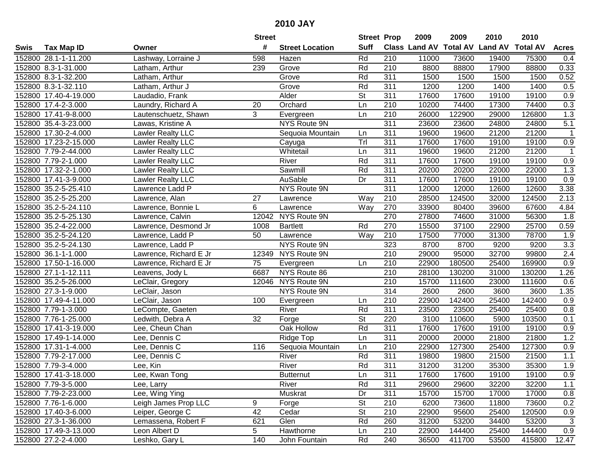|      |                       |                          | <b>Street</b> |                        | <b>Street Prop</b>       |                  | 2009                 | 2009            | 2010           | 2010            |              |
|------|-----------------------|--------------------------|---------------|------------------------|--------------------------|------------------|----------------------|-----------------|----------------|-----------------|--------------|
| Swis | <b>Tax Map ID</b>     | Owner                    | #             | <b>Street Location</b> | <b>Suff</b>              |                  | <b>Class Land AV</b> | <b>Total AV</b> | <b>Land AV</b> | <b>Total AV</b> | <b>Acres</b> |
|      | 152800 28.1-1-11.200  | Lashway, Lorraine J      | 598           | Hazen                  | Rd                       | 210              | 11000                | 73600           | 19400          | 75300           | 0.4          |
|      | 152800 8.3-1-31.000   | Latham, Arthur           | 239           | Grove                  | Rd                       | 210              | 8800                 | 88800           | 17900          | 88800           | 0.33         |
|      | 152800 8.3-1-32.200   | Latham, Arthur           |               | Grove                  | Rd                       | 311              | 1500                 | 1500            | 1500           | 1500            | 0.52         |
|      | 152800 8.3-1-32.110   | Latham, Arthur J         |               | Grove                  | Rd                       | $\overline{311}$ | 1200                 | 1200            | 1400           | 1400            | 0.5          |
|      | 152800 17.40-4-19.000 | Laudadio, Frank          |               | Alder                  | <b>St</b>                | 311              | 17600                | 17600           | 19100          | 19100           | 0.9          |
|      | 152800 17.4-2-3.000   | Laundry, Richard A       | 20            | Orchard                | Ln                       | 210              | 10200                | 74400           | 17300          | 74400           | 0.3          |
|      | 152800 17.41-9-8.000  | Lautenschuetz, Shawn     | 3             | Evergreen              | Ln                       | 210              | 26000                | 122900          | 29000          | 126800          | 1.3          |
|      | 152800 35.4-3-23.000  | Lawas, Kristine A        |               | <b>NYS Route 9N</b>    |                          | 311              | 23600                | 23600           | 24800          | 24800           | 5.1          |
|      | 152800 17.30-2-4.000  | <b>Lawler Realty LLC</b> |               | Sequoia Mountain       | Ln                       | 311              | 19600                | 19600           | 21200          | 21200           | $\mathbf 1$  |
|      | 152800 17.23-2-15.000 | Lawler Realty LLC        |               | Cayuga                 | Trl                      | 311              | 17600                | 17600           | 19100          | 19100           | 0.9          |
|      | 152800 7.79-2-44.000  | Lawler Realty LLC        |               | Whitetail              | Ln                       | 311              | 19600                | 19600           | 21200          | 21200           | -1           |
|      | 152800 7.79-2-1.000   | Lawler Realty LLC        |               | River                  | Rd                       | 311              | 17600                | 17600           | 19100          | 19100           | 0.9          |
|      | 152800 17.32-2-1.000  | <b>Lawler Realty LLC</b> |               | Sawmill                | Rd                       | 311              | 20200                | 20200           | 22000          | 22000           | 1.3          |
|      | 152800 17.41-3-9.000  | Lawler Realty LLC        |               | AuSable                | Dr                       | 311              | 17600                | 17600           | 19100          | 19100           | 0.9          |
|      | 152800 35.2-5-25.410  | _awrence Ladd P          |               | NYS Route 9N           |                          | 311              | 12000                | 12000           | 12600          | 12600           | 3.38         |
|      | 152800 35.2-5-25.200  | Lawrence, Alan           | 27            | Lawrence               | Way                      | 210              | 28500                | 124500          | 32000          | 124500          | 2.13         |
|      | 152800 35.2-5-24.110  | Lawrence, Bonnie L       | 6             | Lawrence               | Way                      | 270              | 33900                | 80400           | 39600          | 67600           | 4.84         |
|      | 152800 35.2-5-25.130  | Lawrence, Calvin         | 12042         | NYS Route 9N           |                          | 270              | 27800                | 74600           | 31000          | 56300           | 1.8          |
|      | 152800 35.2-4-22.000  | Lawrence, Desmond Jr     | 1008          | <b>Bartlett</b>        | Rd                       | 270              | 15500                | 37100           | 22900          | 25700           | 0.59         |
|      | 152800 35.2-5-24.120  | Lawrence, Ladd P         | 50            | Lawrence               | Way                      | 210              | 17500                | 77000           | 31300          | 78700           | 1.9          |
|      | 152800 35.2-5-24.130  | Lawrence, Ladd P         |               | NYS Route 9N           |                          | 323              | 8700                 | 8700            | 9200           | 9200            | 3.3          |
|      | 152800 36.1-1-1.000   | Lawrence, Richard E Jr   | 12349         | NYS Route 9N           |                          | 210              | 29000                | 95000           | 32700          | 99800           | 2.4          |
|      | 152800 17.50-1-16.000 | Lawrence, Richard E Jr   | 75            | Evergreen              | Ln                       | 210              | 22900                | 180500          | 25400          | 169900          | 0.9          |
|      | 152800 27.1-1-12.111  | Leavens, Jody L          | 6687          | NYS Route 86           |                          | 210              | 28100                | 130200          | 31000          | 130200          | 1.26         |
|      | 152800 35.2-5-26.000  | LeClair, Gregory         | 12046         | NYS Route 9N           |                          | 210              | 15700                | 111600          | 23000          | 111600          | 0.6          |
|      | 152800 27.3-1-9.000   | LeClair, Jason           |               | NYS Route 9N           |                          | 314              | 2600                 | 2600            | 3600           | 3600            | 1.35         |
|      | 152800 17.49-4-11.000 | LeClair, Jason           | 100           | Evergreen              | Ln                       | 210              | 22900                | 142400          | 25400          | 142400          | 0.9          |
|      | 152800 7.79-1-3.000   | LeCompte, Gaeten         |               | River                  | Rd                       | 311              | 23500                | 23500           | 25400          | 25400           | 0.8          |
|      | 152800 7.76-1-25.000  | Ledwith, Debra A         | 32            | Forge                  | $\overline{\mathsf{St}}$ | 220              | 3100                 | 110600          | 5900           | 103500          | 0.1          |
|      | 152800 17.41-3-19.000 | Lee, Cheun Chan          |               | <b>Oak Hollow</b>      | Rd                       | 311              | 17600                | 17600           | 19100          | 19100           | 0.9          |
|      | 152800 17.49-1-14.000 | Lee, Dennis C            |               | Ridge Top              | Ln                       | 311              | 20000                | 20000           | 21800          | 21800           | 1.2          |
|      | 152800 17.31-1-4.000  | Lee, Dennis C            | 116           | Sequoia Mountain       | Ln                       | 210              | 22900                | 127300          | 25400          | 127300          | 0.9          |
|      | 152800 7.79-2-17.000  | Lee, Dennis C            |               | River                  | Rd                       | 311              | 19800                | 19800           | 21500          | 21500           | 1.1          |
|      | 152800 7.79-3-4.000   | Lee, Kin                 |               | River                  | Rd                       | 311              | 31200                | 31200           | 35300          | 35300           | 1.9          |
|      | 152800 17.41-3-18.000 | Lee, Kwan Tong           |               | <b>Butternut</b>       | Ln                       | 311              | 17600                | 17600           | 19100          | 19100           | 0.9          |
|      | 152800 7.79-3-5.000   | Lee, Larry               |               | River                  | Rd                       | 311              | 29600                | 29600           | 32200          | 32200           | 1.1          |
|      | 152800 7.79-2-23.000  | Lee, Wing Ying           |               | Muskrat                | Dr                       | 311              | 15700                | 15700           | 17000          | 17000           | 0.8          |
|      | 152800 7.76-1-6.000   | Leigh James Prop LLC     | 9             | Forge                  | <b>St</b>                | 210              | 6200                 | 73600           | 11800          | 73600           | 0.2          |
|      | 152800 17.40-3-6.000  | Leiper, George C         | 42            | Cedar                  | <b>St</b>                | 210              | 22900                | 95600           | 25400          | 120500          | 0.9          |
|      | 152800 27.3-1-36.000  | Lemassena, Robert F      | 621           | Glen                   | Rd                       | 260              | 31200                | 53200           | 34400          | 53200           | $\sqrt{3}$   |
|      | 152800 17.49-3-13.000 | Leon Albert D            | 5             | Hawthorne              | Ln                       | 210              | 22900                | 144400          | 25400          | 144400          | 0.9          |
|      | 152800 27.2-2-4.000   | Leshko, Gary L           | 140           | John Fountain          | Rd                       | 240              | 36500                | 411700          | 53500          | 415800          | 12.47        |
|      |                       |                          |               |                        |                          |                  |                      |                 |                |                 |              |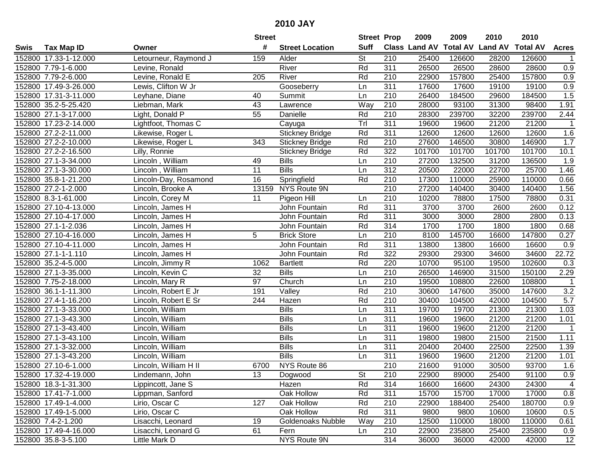|      |                       |                       | <b>Street</b>   |                        | <b>Street Prop</b> |                  | 2009                 | 2009            | 2010           | 2010            |                   |
|------|-----------------------|-----------------------|-----------------|------------------------|--------------------|------------------|----------------------|-----------------|----------------|-----------------|-------------------|
| Swis | <b>Tax Map ID</b>     | Owner                 | #               | <b>Street Location</b> | <b>Suff</b>        |                  | <b>Class Land AV</b> | <b>Total AV</b> | <b>Land AV</b> | <b>Total AV</b> | <b>Acres</b>      |
|      | 152800 17.33-1-12.000 | Letourneur, Raymond J | 159             | Alder                  | <b>St</b>          | 210              | 25400                | 126600          | 28200          | 126600          | 1                 |
|      | 152800 7.79-1-6.000   | Levine, Ronald        |                 | River                  | Rd                 | 311              | 26500                | 26500           | 28600          | 28600           | 0.9               |
|      | 152800 7.79-2-6.000   | Levine, Ronald E      | 205             | River                  | Rd                 | 210              | 22900                | 157800          | 25400          | 157800          | 0.9               |
|      | 152800 17.49-3-26.000 | Lewis, Clifton W Jr   |                 | Gooseberry             | Ln                 | 311              | 17600                | 17600           | 19100          | 19100           | 0.9               |
|      | 152800 17.31-3-11.000 | Leyhane, Diane        | 40              | Summit                 | Ln                 | 210              | 26400                | 184500          | 29600          | 184500          | 1.5               |
|      | 152800 35.2-5-25.420  | Liebman, Mark         | 43              | Lawrence               | Way                | 210              | 28000                | 93100           | 31300          | 98400           | 1.91              |
|      | 152800 27.1-3-17.000  | Light, Donald P       | 55              | Danielle               | Rd                 | 210              | 28300                | 239700          | 32200          | 239700          | $\overline{2.44}$ |
|      | 152800 17.23-2-14.000 | Lightfoot, Thomas C   |                 | Cayuga                 | Trl                | 311              | 19600                | 19600           | 21200          | 21200           | $\mathbf 1$       |
|      | 152800 27.2-2-11.000  | Likewise, Roger L     |                 | <b>Stickney Bridge</b> | Rd                 | 311              | 12600                | 12600           | 12600          | 12600           | 1.6               |
|      | 152800 27.2-2-10.000  | Likewise, Roger L     | 343             | <b>Stickney Bridge</b> | Rd                 | 210              | 27600                | 146500          | 30800          | 146900          | 1.7               |
|      | 152800 27.2-2-16.500  | Lilly, Ronnie         |                 | <b>Stickney Bridge</b> | Rd                 | 322              | 101700               | 101700          | 101700         | 101700          | 10.1              |
|      | 152800 27.1-3-34.000  | Lincoln, William      | 49              | <b>Bills</b>           | Ln                 | 210              | 27200                | 132500          | 31200          | 136500          | 1.9               |
|      | 152800 27.1-3-30.000  | Lincoln, William      | $\overline{11}$ | <b>Bills</b>           | Ln                 | 312              | 20500                | 22000           | 22700          | 25700           | 1.46              |
|      | 152800 35.8-1-21.200  | Lincoln-Day, Rosamond | 16              | Springfield            | Rd                 | 210              | 17300                | 110000          | 25900          | 110000          | 0.66              |
|      | 152800 27.2-1-2.000   | Lincoln, Brooke A     | 13159           | NYS Route 9N           |                    | 210              | 27200                | 140400          | 30400          | 140400          | 1.56              |
|      | 152800 8.3-1-61.000   | Lincoln, Corey M      | 11              | Pigeon Hill            | Ln                 | 210              | 10200                | 78800           | 17500          | 78800           | 0.31              |
|      | 152800 27.10-4-13.000 | Lincoln, James H      |                 | John Fountain          | Rd                 | $\overline{311}$ | 3700                 | 3700            | 2600           | 2600            | 0.12              |
|      | 152800 27.10-4-17.000 | Lincoln, James H      |                 | John Fountain          | Rd                 | 311              | 3000                 | 3000            | 2800           | 2800            | 0.13              |
|      | 152800 27.1-1-2.036   | Lincoln, James H      |                 | John Fountain          | Rd                 | 314              | 1700                 | 1700            | 1800           | 1800            | 0.68              |
|      | 152800 27.10-4-16.000 | Lincoln, James H      | 5               | <b>Brick Store</b>     | Ln                 | 210              | 8100                 | 145700          | 16600          | 147800          | 0.27              |
|      | 152800 27.10-4-11.000 | Lincoln, James H      |                 | John Fountain          | Rd                 | 311              | 13800                | 13800           | 16600          | 16600           | 0.9               |
|      | 152800 27.1-1-1.110   | Lincoln, James H      |                 | John Fountain          | Rd                 | 322              | 29300                | 29300           | 34600          | 34600           | 22.72             |
|      | 152800 35.2-4-5.000   | Lincoln, Jimmy R      | 1062            | <b>Bartlett</b>        | Rd                 | 220              | 10700                | 95100           | 19500          | 102600          | 0.3               |
|      | 152800 27.1-3-35.000  | Lincoln, Kevin C      | 32              | <b>Bills</b>           | Ln                 | 210              | 26500                | 146900          | 31500          | 150100          | 2.29              |
|      | 152800 7.75-2-18.000  | Lincoln, Mary R       | 97              | Church                 | Ln                 | 210              | 19500                | 108800          | 22600          | 108800          | $\mathbf 1$       |
|      | 152800 36.1-1-11.300  | Lincoln, Robert E Jr  | 191             | Valley                 | Rd                 | 210              | 30600                | 147600          | 35000          | 147600          | 3.2               |
|      | 152800 27.4-1-16.200  | Lincoln, Robert E Sr  | 244             | Hazen                  | Rd                 | 210              | 30400                | 104500          | 42000          | 104500          | 5.7               |
|      | 152800 27.1-3-33.000  | Lincoln, William      |                 | <b>Bills</b>           | Ln                 | 311              | 19700                | 19700           | 21300          | 21300           | 1.03              |
|      | 152800 27.1-3-43.300  | Lincoln, William      |                 | <b>Bills</b>           | Ln                 | $\overline{311}$ | 19600                | 19600           | 21200          | 21200           | 1.01              |
|      | 152800 27.1-3-43.400  | Lincoln, William      |                 | <b>Bills</b>           | Ln                 | $\overline{311}$ | 19600                | 19600           | 21200          | 21200           | $\mathbf 1$       |
|      | 152800 27.1-3-43.100  | Lincoln, William      |                 | <b>Bills</b>           | Ln                 | $\overline{311}$ | 19800                | 19800           | 21500          | 21500           | 1.11              |
|      | 152800 27.1-3-32.000  | Lincoln, William      |                 | <b>Bills</b>           | Ln                 | 311              | 20400                | 20400           | 22500          | 22500           | 1.39              |
|      | 152800 27.1-3-43.200  | Lincoln, William      |                 | <b>Bills</b>           | Ln                 | 311              | 19600                | 19600           | 21200          | 21200           | 1.01              |
|      | 152800 27.10-6-1.000  | Lincoln, William H II | 6700            | NYS Route 86           |                    | $\overline{210}$ | 21600                | 91000           | 30500          | 93700           | 1.6               |
|      | 152800 17.32-4-19.000 | Lindemann, John       | 13              | Dogwood                | St                 | 210              | 22900                | 89000           | 25400          | 91100           | 0.9               |
|      | 152800 18.3-1-31.300  | Lippincott, Jane S    |                 | Hazen                  | Rd                 | 314              | 16600                | 16600           | 24300          | 24300           | 4                 |
|      | 152800 17.41-7-1.000  | Lippman, Sanford      |                 | Oak Hollow             | Rd                 | 311              | 15700                | 15700           | 17000          | 17000           | 0.8               |
|      | 152800 17.49-1-4.000  | Lirio, Oscar C        | 127             | Oak Hollow             | Rd                 | 210              | 22900                | 188400          | 25400          | 180700          | 0.9               |
|      | 152800 17.49-1-5.000  | Lirio, Oscar C        |                 | Oak Hollow             | Rd                 | 311              | 9800                 | 9800            | 10600          | 10600           | 0.5               |
|      | 152800 7.4-2-1.200    | Lisacchi, Leonard     | 19              | Goldenoaks Nubble      | Way                | 210              | 12500                | 110000          | 18000          | 110000          | 0.61              |
|      | 152800 17.49-4-16.000 | Lisacchi, Leonard G   | 61              | Fern                   | Ln                 | 210              | 22900                | 235800          | 25400          | 235800          | 0.9               |
|      | 152800 35.8-3-5.100   | Little Mark D         |                 | NYS Route 9N           |                    | 314              | 36000                | 36000           | 42000          | 42000           | 12                |
|      |                       |                       |                 |                        |                    |                  |                      |                 |                |                 |                   |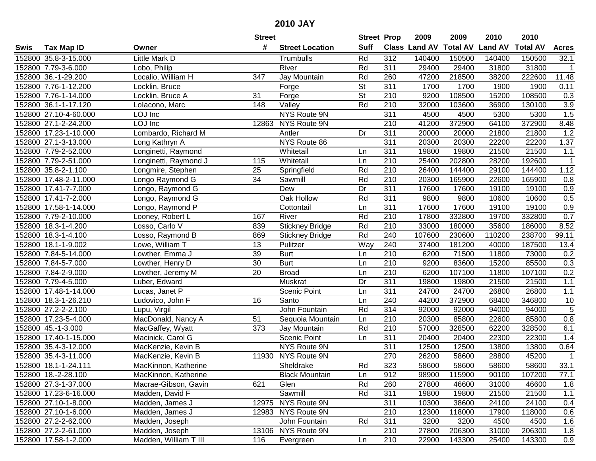| #<br><b>Suff</b><br><b>Total AV</b><br><b>Class Land AV</b><br><b>Land AV</b><br><b>Total AV</b><br><b>Tax Map ID</b><br><b>Street Location</b><br>Swis<br>Owner<br>Rd<br>312<br>140400<br>152800 35.8-3-15.000<br>Little Mark D<br>Trumbulls<br>140400<br>150500<br>150500<br>311<br>152800 7.79-3-6.000<br>River<br>Rd<br>29400<br>29400<br>31800<br>31800<br>Lobo, Philip<br>152800 36.-1-29.200<br>Localio, William H<br>347<br>Rd<br>47200<br>218500<br>38200<br>222600<br>Jay Mountain<br>260<br>152800 7.76-1-12.200<br>St<br>311<br>1700<br>1700<br>1900<br>1900<br>Locklin, Bruce<br>Forge<br>$\overline{\mathsf{St}}$<br>152800 7.76-1-14.000<br>Locklin, Bruce A<br>31<br>210<br>9200<br>108500<br>15200<br>108500<br>Forge<br>Rd<br>152800 36.1-1-17.120<br>Lolacono, Marc<br>148<br>$\overline{\mathsf{Valley}}$<br>210<br>32000<br>103600<br>36900<br>130100<br>152800 27.10-4-60.000<br>LOJ Inc<br>NYS Route 9N<br>311<br>4500<br>4500<br>5300<br>5300<br>LOJ Inc<br>210<br>372900<br>152800 27.1-2-24.200<br>NYS Route 9N<br>41200<br>372900<br>64100<br>12863<br>Lombardo, Richard M<br>311<br>20000<br>152800 17.23-1-10.000<br>Dr<br>20000<br>21800<br>21800<br>Antler |                  |
|-------------------------------------------------------------------------------------------------------------------------------------------------------------------------------------------------------------------------------------------------------------------------------------------------------------------------------------------------------------------------------------------------------------------------------------------------------------------------------------------------------------------------------------------------------------------------------------------------------------------------------------------------------------------------------------------------------------------------------------------------------------------------------------------------------------------------------------------------------------------------------------------------------------------------------------------------------------------------------------------------------------------------------------------------------------------------------------------------------------------------------------------------------------------------------------------|------------------|
|                                                                                                                                                                                                                                                                                                                                                                                                                                                                                                                                                                                                                                                                                                                                                                                                                                                                                                                                                                                                                                                                                                                                                                                           | <b>Acres</b>     |
|                                                                                                                                                                                                                                                                                                                                                                                                                                                                                                                                                                                                                                                                                                                                                                                                                                                                                                                                                                                                                                                                                                                                                                                           | 32.1             |
|                                                                                                                                                                                                                                                                                                                                                                                                                                                                                                                                                                                                                                                                                                                                                                                                                                                                                                                                                                                                                                                                                                                                                                                           | $\mathbf{1}$     |
|                                                                                                                                                                                                                                                                                                                                                                                                                                                                                                                                                                                                                                                                                                                                                                                                                                                                                                                                                                                                                                                                                                                                                                                           | 11.48            |
|                                                                                                                                                                                                                                                                                                                                                                                                                                                                                                                                                                                                                                                                                                                                                                                                                                                                                                                                                                                                                                                                                                                                                                                           | 0.11             |
|                                                                                                                                                                                                                                                                                                                                                                                                                                                                                                                                                                                                                                                                                                                                                                                                                                                                                                                                                                                                                                                                                                                                                                                           | 0.3              |
|                                                                                                                                                                                                                                                                                                                                                                                                                                                                                                                                                                                                                                                                                                                                                                                                                                                                                                                                                                                                                                                                                                                                                                                           | $\overline{3.9}$ |
|                                                                                                                                                                                                                                                                                                                                                                                                                                                                                                                                                                                                                                                                                                                                                                                                                                                                                                                                                                                                                                                                                                                                                                                           | 1.5              |
|                                                                                                                                                                                                                                                                                                                                                                                                                                                                                                                                                                                                                                                                                                                                                                                                                                                                                                                                                                                                                                                                                                                                                                                           | 8.48             |
|                                                                                                                                                                                                                                                                                                                                                                                                                                                                                                                                                                                                                                                                                                                                                                                                                                                                                                                                                                                                                                                                                                                                                                                           | 1.2              |
| 152800 27.1-3-13.000<br>NYS Route 86<br>311<br>22200<br>20300<br>20300<br>22200<br>Long Kathryn A                                                                                                                                                                                                                                                                                                                                                                                                                                                                                                                                                                                                                                                                                                                                                                                                                                                                                                                                                                                                                                                                                         | 1.37             |
| 21500<br>152800 7.79-2-52.000<br>Whitetail<br>311<br>19800<br>19800<br>21500<br>Longinetti, Raymond<br>Ln                                                                                                                                                                                                                                                                                                                                                                                                                                                                                                                                                                                                                                                                                                                                                                                                                                                                                                                                                                                                                                                                                 | 1.1              |
| 210<br>152800 7.79-2-51.000<br>Whitetail<br>25400<br>202800<br>28200<br>192600<br>Longinetti, Raymond J<br>115<br>Ln                                                                                                                                                                                                                                                                                                                                                                                                                                                                                                                                                                                                                                                                                                                                                                                                                                                                                                                                                                                                                                                                      | 1                |
| 210<br>152800 35.8-2-1.100<br>Rd<br>26400<br>144400<br>29100<br>144400<br>Longmire, Stephen<br>25<br>Springfield                                                                                                                                                                                                                                                                                                                                                                                                                                                                                                                                                                                                                                                                                                                                                                                                                                                                                                                                                                                                                                                                          | 1.12             |
| 34<br>Rd<br>152800 17.48-2-11.000<br>Longo Raymond G<br>Sawmill<br>210<br>20300<br>165900<br>22600<br>165900                                                                                                                                                                                                                                                                                                                                                                                                                                                                                                                                                                                                                                                                                                                                                                                                                                                                                                                                                                                                                                                                              | 0.8              |
| Dr<br>311<br>152800<br>17.41-7-7.000<br>17600<br>17600<br>19100<br>19100<br>Longo, Raymond G<br>Dew                                                                                                                                                                                                                                                                                                                                                                                                                                                                                                                                                                                                                                                                                                                                                                                                                                                                                                                                                                                                                                                                                       | 0.9              |
| Rd<br>311<br>9800<br>9800<br>10600<br>152800 17.41-7-2.000<br>Longo, Raymond G<br>Oak Hollow<br>10600                                                                                                                                                                                                                                                                                                                                                                                                                                                                                                                                                                                                                                                                                                                                                                                                                                                                                                                                                                                                                                                                                     | 0.5              |
| 311<br>152800 17.58-1-14.000<br>17600<br>17600<br>19100<br>19100<br>Longo, Raymond P<br>Cottontail<br>Ln                                                                                                                                                                                                                                                                                                                                                                                                                                                                                                                                                                                                                                                                                                                                                                                                                                                                                                                                                                                                                                                                                  | 0.9              |
| Rd<br>152800 7.79-2-10.000<br>River<br>210<br>17800<br>332800<br>19700<br>332800<br>Looney, Robert L<br>167                                                                                                                                                                                                                                                                                                                                                                                                                                                                                                                                                                                                                                                                                                                                                                                                                                                                                                                                                                                                                                                                               | 0.7              |
| Rd<br>210<br>152800 18.3-1-4.200<br>Losso, Carlo V<br>839<br><b>Stickney Bridge</b><br>33000<br>180000<br>35600<br>186000                                                                                                                                                                                                                                                                                                                                                                                                                                                                                                                                                                                                                                                                                                                                                                                                                                                                                                                                                                                                                                                                 | 8.52             |
| Rd<br>152800 18.3-1-4.100<br>Losso, Raymond B<br>869<br>240<br>107600<br>230600<br>110200<br>238700<br><b>Stickney Bridge</b>                                                                                                                                                                                                                                                                                                                                                                                                                                                                                                                                                                                                                                                                                                                                                                                                                                                                                                                                                                                                                                                             | 99.11            |
| 240<br>37400<br>187500<br>152800 18.1-1-9.002<br>13<br>Pulitzer<br>Way<br>181200<br>40000<br>Lowe, William T                                                                                                                                                                                                                                                                                                                                                                                                                                                                                                                                                                                                                                                                                                                                                                                                                                                                                                                                                                                                                                                                              | 13.4             |
| 7.84-5-14.000<br>Lowther, Emma J<br>39<br><b>Burt</b><br>210<br>6200<br>71500<br>11800<br>73000<br>152800<br>Ln                                                                                                                                                                                                                                                                                                                                                                                                                                                                                                                                                                                                                                                                                                                                                                                                                                                                                                                                                                                                                                                                           | 0.2              |
| 30<br><b>Burt</b><br>210<br>9200<br>152800<br>7.84-5-7.000<br>Lowther, Henry D<br>83600<br>15200<br>85500<br>Ln                                                                                                                                                                                                                                                                                                                                                                                                                                                                                                                                                                                                                                                                                                                                                                                                                                                                                                                                                                                                                                                                           | 0.3              |
| 210<br>107100<br>152800 7.84-2-9.000<br>20<br>6200<br>107100<br><b>Broad</b><br>11800<br>Lowther, Jeremy M<br>Ln                                                                                                                                                                                                                                                                                                                                                                                                                                                                                                                                                                                                                                                                                                                                                                                                                                                                                                                                                                                                                                                                          | 0.2              |
| 311<br>Dr<br>19800<br>21500<br>152800 7.79-4-5.000<br>Luber, Edward<br>Muskrat<br>19800<br>21500                                                                                                                                                                                                                                                                                                                                                                                                                                                                                                                                                                                                                                                                                                                                                                                                                                                                                                                                                                                                                                                                                          | 1.1              |
| 311<br>24700<br>26800<br>152800 17.48-1-14.000<br>Lucas, Janet P<br>Scenic Point<br>24700<br>26800<br>Ln                                                                                                                                                                                                                                                                                                                                                                                                                                                                                                                                                                                                                                                                                                                                                                                                                                                                                                                                                                                                                                                                                  | $1.1$            |
| 240<br>346800<br>152800 18.3-1-26.210<br>Ludovico, John F<br>16<br>Santo<br>Ln<br>44200<br>372900<br>68400                                                                                                                                                                                                                                                                                                                                                                                                                                                                                                                                                                                                                                                                                                                                                                                                                                                                                                                                                                                                                                                                                | 10               |
| 152800 27.2-2-2.100<br>Lupu, Virgil<br>John Fountain<br>Rd<br>314<br>92000<br>92000<br>94000<br>94000                                                                                                                                                                                                                                                                                                                                                                                                                                                                                                                                                                                                                                                                                                                                                                                                                                                                                                                                                                                                                                                                                     | $\overline{5}$   |
| 210<br>152800 17.23-5-4.000<br>51<br>20300<br>22600<br>85800<br>MacDonald, Nancy A<br>Sequoia Mountain<br>Ln<br>85800                                                                                                                                                                                                                                                                                                                                                                                                                                                                                                                                                                                                                                                                                                                                                                                                                                                                                                                                                                                                                                                                     | 0.8              |
| $\overline{373}$<br>Rd<br>$\overline{210}$<br>328500<br>328500<br>152800 45.-1-3.000<br>Jay Mountain<br>57000<br>62200<br>MacGaffey, Wyatt                                                                                                                                                                                                                                                                                                                                                                                                                                                                                                                                                                                                                                                                                                                                                                                                                                                                                                                                                                                                                                                | 6.1              |
| $\overline{311}$<br>20400<br>22300<br>22300<br>152800 17.40-1-15.000<br>Macinick, Carol G<br>Scenic Point<br>20400<br>Ln                                                                                                                                                                                                                                                                                                                                                                                                                                                                                                                                                                                                                                                                                                                                                                                                                                                                                                                                                                                                                                                                  | 1.4              |
| 152800 35.4-3-12.000<br>311<br>12500<br>12500<br>13800<br>MacKenzie, Kevin B<br>NYS Route 9N<br>13800                                                                                                                                                                                                                                                                                                                                                                                                                                                                                                                                                                                                                                                                                                                                                                                                                                                                                                                                                                                                                                                                                     | 0.64             |
| NYS Route 9N<br>270<br>45200<br>152800 35.4-3-11.000<br>MacKenzie, Kevin B<br>11930<br>26200<br>58600<br>28800                                                                                                                                                                                                                                                                                                                                                                                                                                                                                                                                                                                                                                                                                                                                                                                                                                                                                                                                                                                                                                                                            | $\overline{1}$   |
| Sheldrake<br>Rd<br>323<br>152800 18.1-1-24.111<br>58600<br>58600<br>58600<br>58600<br>MacKinnon, Katherine                                                                                                                                                                                                                                                                                                                                                                                                                                                                                                                                                                                                                                                                                                                                                                                                                                                                                                                                                                                                                                                                                | 33.1             |
| 152800 18.-2-28.100<br>MacKinnon, Katherine<br><b>Black Mountain</b><br>Ln<br>912<br>98900<br>115900<br>90100<br>107200                                                                                                                                                                                                                                                                                                                                                                                                                                                                                                                                                                                                                                                                                                                                                                                                                                                                                                                                                                                                                                                                   | 77.1             |
| 152800 27.3-1-37.000<br>Macrae-Gibson, Gavin<br>Glen<br>Rd<br>260<br>31000<br>46600<br>621<br>27800<br>46600                                                                                                                                                                                                                                                                                                                                                                                                                                                                                                                                                                                                                                                                                                                                                                                                                                                                                                                                                                                                                                                                              | 1.8              |
| Sawmill<br>21500<br>152800 17.23-6-16.000<br>Madden, David F<br>Rd<br>311<br>19800<br>19800<br>21500                                                                                                                                                                                                                                                                                                                                                                                                                                                                                                                                                                                                                                                                                                                                                                                                                                                                                                                                                                                                                                                                                      | 1.1              |
| 12975 NYS Route 9N<br>311<br>10300<br>24100<br>24100<br>152800 27.10-1-8.000<br>Madden, James J<br>38600                                                                                                                                                                                                                                                                                                                                                                                                                                                                                                                                                                                                                                                                                                                                                                                                                                                                                                                                                                                                                                                                                  | 0.4              |
| 12983 NYS Route 9N<br>210<br>152800 27.10-1-6.000<br>Madden, James J<br>12300<br>118000<br>17900<br>118000                                                                                                                                                                                                                                                                                                                                                                                                                                                                                                                                                                                                                                                                                                                                                                                                                                                                                                                                                                                                                                                                                | 0.6              |
| Rd<br>311<br>152800 27.2-2-62.000<br>Madden, Joseph<br>John Fountain<br>3200<br>3200<br>4500<br>4500                                                                                                                                                                                                                                                                                                                                                                                                                                                                                                                                                                                                                                                                                                                                                                                                                                                                                                                                                                                                                                                                                      | 1.6              |
| 13106 NYS Route 9N<br>210<br>152800 27.2-2-61.000<br>27800<br>206300<br>31000<br>206300<br>Madden, Joseph                                                                                                                                                                                                                                                                                                                                                                                                                                                                                                                                                                                                                                                                                                                                                                                                                                                                                                                                                                                                                                                                                 | 1.8              |
| 210<br>152800 17.58-1-2.000<br>Madden, William T III<br>116<br>Ln<br>22900<br>143300<br>143300<br>25400<br>Evergreen                                                                                                                                                                                                                                                                                                                                                                                                                                                                                                                                                                                                                                                                                                                                                                                                                                                                                                                                                                                                                                                                      |                  |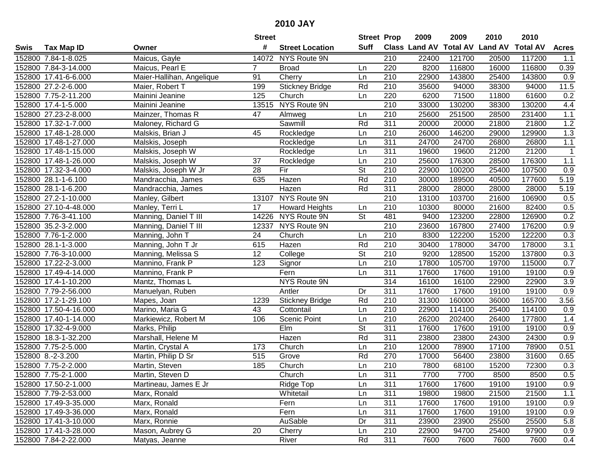|      |                       |                           | <b>Street</b> |                        | <b>Street Prop</b>       |                  | 2009          | 2009   | 2010                    | 2010            |                  |
|------|-----------------------|---------------------------|---------------|------------------------|--------------------------|------------------|---------------|--------|-------------------------|-----------------|------------------|
| Swis | <b>Tax Map ID</b>     | Owner                     | #             | <b>Street Location</b> | Suff                     |                  | Class Land AV |        | <b>Total AV Land AV</b> | <b>Total AV</b> | <b>Acres</b>     |
|      | 152800 7.84-1-8.025   | Maicus, Gayle             | 14072         | NYS Route 9N           |                          | 210              | 22400         | 121700 | 20500                   | 117200          | 1.1              |
|      | 152800 7.84-3-14.000  | Maicus, Pearl E           | 7             | <b>Broad</b>           | Ln                       | 220              | 8200          | 116800 | 16000                   | 116800          | 0.39             |
|      | 152800 17.41-6-6.000  | Maier-Hallihan, Angelique | 91            | Cherry                 | Ln                       | 210              | 22900         | 143800 | 25400                   | 143800          | 0.9              |
|      | 152800 27.2-2-6.000   | Maier, Robert T           | 199           | <b>Stickney Bridge</b> | Rd                       | 210              | 35600         | 94000  | 38300                   | 94000           | 11.5             |
|      | 152800 7.75-2-11.200  | Mainini Jeanine           | 125           | Church                 | Ln                       | 220              | 6200          | 71500  | 11800                   | 61600           | 0.2              |
|      | 152800 17.4-1-5.000   | Mainini Jeanine           | 13515         | NYS Route 9N           |                          | $\overline{210}$ | 33000         | 130200 | 38300                   | 130200          | 4.4              |
|      | 152800 27.23-2-8.000  | Mainzer, Thomas R         | 47            | Almweg                 | Ln                       | 210              | 25600         | 251500 | 28500                   | 231400          | 1.1              |
|      | 152800 17.32-1-7.000  | Maloney, Richard G        |               | Sawmill                | Rd                       | 311              | 20000         | 20000  | 21800                   | 21800           | 1.2              |
|      | 152800 17.48-1-28.000 | Malskis, Brian J          | 45            | Rockledge              | Ln                       | 210              | 26000         | 146200 | 29000                   | 129900          | 1.3              |
|      | 152800 17.48-1-27.000 | Malskis, Joseph           |               | Rockledge              | Ln                       | 311              | 24700         | 24700  | 26800                   | 26800           | 1.1              |
|      | 152800 17.48-1-15.000 | Malskis, Joseph W         |               | Rockledge              | Ln                       | 311              | 19600         | 19600  | 21200                   | 21200           | 1                |
|      | 152800 17.48-1-26.000 | Malskis, Joseph W         | 37            | Rockledge              | Ln                       | 210              | 25600         | 176300 | 28500                   | 176300          | 1.1              |
|      | 152800 17.32-3-4.000  | Malskis, Joseph W Jr      | 28            | Fir                    | $\overline{\mathsf{St}}$ | 210              | 22900         | 100200 | 25400                   | 107500          | 0.9              |
|      | 152800 28.1-1-6.100   | Mandracchia, James        | 635           | Hazen                  | Rd                       | 210              | 30000         | 189500 | 40500                   | 177600          | 5.19             |
|      | 152800 28.1-1-6.200   | Mandracchia, James        |               | Hazen                  | Rd                       | 311              | 28000         | 28000  | 28000                   | 28000           | 5.19             |
|      | 152800 27.2-1-10.000  | Manley, Gilbert           | 13107         | NYS Route 9N           |                          | 210              | 13100         | 103700 | 21600                   | 106900          | 0.5              |
|      | 152800 27.10-4-48.000 | Manley, Terri L           | 17            | <b>Howard Heights</b>  | Ln                       | 210              | 10300         | 80000  | 21600                   | 82400           | 0.5              |
|      | 152800 7.76-3-41.100  | Manning, Daniel T III     | 14226         | NYS Route 9N           | $\overline{\mathsf{St}}$ | 481              | 9400          | 123200 | 22800                   | 126900          | 0.2              |
|      | 152800 35.2-3-2.000   | Manning, Daniel T III     | 12337         | NYS Route 9N           |                          | 210              | 23600         | 167800 | 27400                   | 176200          | 0.9              |
|      | 152800 7.76-1-2.000   | Manning, John T           | 24            | Church                 | Ln                       | 210              | 8300          | 122200 | 15200                   | 122200          | 0.3              |
|      | 152800 28.1-1-3.000   | Manning, John T Jr        | 615           | Hazen                  | Rd                       | 210              | 30400         | 178000 | 34700                   | 178000          | $\overline{3.1}$ |
|      | 152800 7.76-3-10.000  | Manning, Melissa S        | 12            | College                | <b>St</b>                | 210              | 9200          | 128500 | 15200                   | 137800          | 0.3              |
|      | 152800 17.22-2-3.000  | Mannino, Frank P          | 123           | Signor                 | Ln                       | 210              | 17800         | 105700 | 19700                   | 115000          | 0.7              |
|      | 152800 17.49-4-14.000 | Mannino, Frank P          |               | Fern                   | Ln                       | 311              | 17600         | 17600  | 19100                   | 19100           | 0.9              |
|      | 152800 17.4-1-10.200  | Mantz, Thomas L           |               | NYS Route 9N           |                          | 314              | 16100         | 16100  | 22900                   | 22900           | 3.9              |
|      | 152800 7.79-2-56.000  | Manuelyan, Ruben          |               | Antler                 | Dr                       | 311              | 17600         | 17600  | 19100                   | 19100           | 0.9              |
|      | 152800 17.2-1-29.100  | Mapes, Joan               | 1239          | <b>Stickney Bridge</b> | Rd                       | 210              | 31300         | 160000 | 36000                   | 165700          | 3.56             |
|      | 152800 17.50-4-16.000 | Marino, Maria G           | 43            | Cottontail             | Ln                       | 210              | 22900         | 114100 | 25400                   | 114100          | 0.9              |
|      | 152800 17.40-1-14.000 | Markiewicz, Robert M      | 106           | Scenic Point           | Ln                       | $\overline{210}$ | 26200         | 202400 | 26400                   | 177800          | 1.4              |
|      | 152800 17.32-4-9.000  | Marks, Philip             |               | Elm                    | $\overline{\mathsf{St}}$ | $\overline{311}$ | 17600         | 17600  | 19100                   | 19100           | 0.9              |
|      | 152800 18.3-1-32.200  | Marshall, Helene M        |               | Hazen                  | Rd                       | $\overline{311}$ | 23800         | 23800  | 24300                   | 24300           | $\overline{0.9}$ |
|      | 152800 7.75-2-5.000   | Martin, Crystal A         | 173           | Church                 | Ln                       | 210              | 12000         | 78900  | 17100                   | 78900           | 0.51             |
|      | 152800 8.-2-3.200     | Martin, Philip D Sr       | 515           | Grove                  | Rd                       | 270              | 17000         | 56400  | 23800                   | 31600           | 0.65             |
|      | 152800 7.75-2-2.000   | Martin, Steven            | 185           | Church                 | Ln                       | $\overline{210}$ | 7800          | 68100  | 15200                   | 72300           | 0.3              |
|      | 152800 7.75-2-1.000   | Martin, Steven D          |               | Church                 | Ln                       | 311              | 7700          | 7700   | 8500                    | 8500            | 0.5              |
|      | 152800 17.50-2-1.000  | Martineau, James E Jr     |               | Ridge Top              | Ln                       | 311              | 17600         | 17600  | 19100                   | 19100           | 0.9              |
|      | 152800 7.79-2-53.000  | Marx, Ronald              |               | Whitetail              | Ln                       | 311              | 19800         | 19800  | 21500                   | 21500           | 1.1              |
|      | 152800 17.49-3-35.000 | Marx, Ronald              |               | Fern                   | Ln                       | 311              | 17600         | 17600  | 19100                   | 19100           | 0.9              |
|      | 152800 17.49-3-36.000 | Marx, Ronald              |               | Fern                   | Ln                       | 311              | 17600         | 17600  | 19100                   | 19100           | 0.9              |
|      | 152800 17.41-3-10.000 | Marx, Ronnie              |               | AuSable                | Dr                       | 311              | 23900         | 23900  | 25500                   | 25500           | 5.8              |
|      | 152800 17.41-3-28.000 | Mason, Aubrey G           | 20            | Cherry                 | Ln                       | 210              | 22900         | 94700  | 25400                   | 97900           | 0.9              |
|      | 152800 7.84-2-22.000  | Matyas, Jeanne            |               | River                  | Rd                       | 311              | 7600          | 7600   | 7600                    | 7600            | 0.4              |
|      |                       |                           |               |                        |                          |                  |               |        |                         |                 |                  |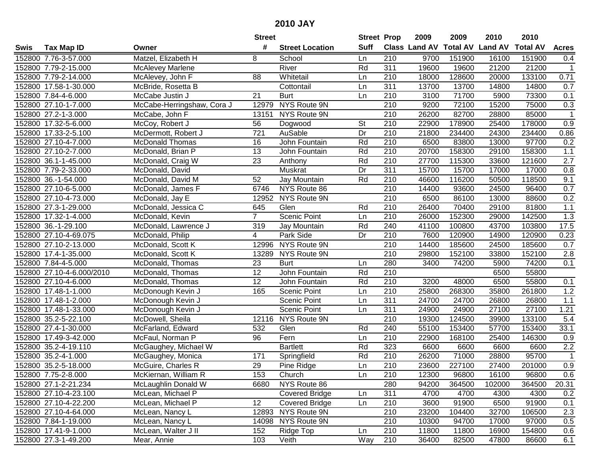|      |                           |                            | <b>Street</b>    |                        | <b>Street Prop</b>       |                  | 2009                 | 2009   | 2010                    | 2010            |                  |
|------|---------------------------|----------------------------|------------------|------------------------|--------------------------|------------------|----------------------|--------|-------------------------|-----------------|------------------|
| Swis | <b>Tax Map ID</b>         | Owner                      | #                | <b>Street Location</b> | <b>Suff</b>              |                  | <b>Class Land AV</b> |        | <b>Total AV Land AV</b> | <b>Total AV</b> | <b>Acres</b>     |
|      | 152800 7.76-3-57.000      | Matzel, Elizabeth H        | 8                | School                 | Ln                       | 210              | 9700                 | 151900 | 16100                   | 151900          | 0.4              |
|      | 152800 7.79-2-15.000      | <b>McAlevey Marlene</b>    |                  | River                  | Rd                       | 311              | 19600                | 19600  | 21200                   | 21200           | $\mathbf{1}$     |
|      | 152800 7.79-2-14.000      | McAlevey, John F           | 88               | Whitetail              | Ln                       | 210              | 18000                | 128600 | 20000                   | 133100          | 0.71             |
|      | 152800 17.58-1-30.000     | McBride, Rosetta B         |                  | Cottontail             | Ln                       | 311              | 13700                | 13700  | 14800                   | 14800           | 0.7              |
|      | 152800 7.84-4-6.000       | McCabe Justin J            | 21               | Burt                   | Ln                       | 210              | 3100                 | 71700  | 5900                    | 73300           | 0.1              |
|      | 152800 27.10-1-7.000      | McCabe-Herringshaw, Cora J | 12979            | NYS Route 9N           |                          | 210              | 9200                 | 72100  | 15200                   | 75000           | 0.3              |
|      | 152800 27.2-1-3.000       | McCabe, John F             | 13151            | NYS Route 9N           |                          | 210              | 26200                | 82700  | 28800                   | 85000           | $\mathbf 1$      |
|      | 152800 17.32-5-6.000      | McCoy, Robert J            | 56               | Dogwood                | $\overline{\mathsf{St}}$ | 210              | 22900                | 178900 | 25400                   | 178000          | 0.9              |
|      | 152800 17.33-2-5.100      | McDermott, Robert J        | $\overline{721}$ | AuSable                | Dr                       | $\overline{210}$ | 21800                | 234400 | 24300                   | 234400          | 0.86             |
|      | 152800 27.10-4-7.000      | <b>McDonald Thomas</b>     | 16               | John Fountain          | Rd                       | 210              | 6500                 | 83800  | 13000                   | 97700           | 0.2              |
|      | 152800 27.10-2-7.000      | McDonald, Brian P          | 13               | John Fountain          | Rd                       | 210              | 20700                | 158300 | 29100                   | 158300          | 1.1              |
|      | 152800 36.1-1-45.000      | McDonald, Craig W          | 23               | Anthony                | Rd                       | 210              | 27700                | 115300 | 33600                   | 121600          | 2.7              |
|      | 152800 7.79-2-33.000      | McDonald, David            |                  | Muskrat                | Dr                       | 311              | 15700                | 15700  | 17000                   | 17000           | 0.8              |
|      | 152800 36.-1-54.000       | McDonald, David M          | 52               | Jay Mountain           | Rd                       | 210              | 46600                | 116200 | 50500                   | 118500          | 9.1              |
|      | 152800 27.10-6-5.000      | McDonald, James F          | 6746             | NYS Route 86           |                          | 210              | 14400                | 93600  | 24500                   | 96400           | 0.7              |
|      | 152800 27.10-4-73.000     | McDonald, Jay E            | 12952            | NYS Route 9N           |                          | 210              | 6500                 | 86100  | 13000                   | 88600           | 0.2              |
|      | 152800 27.3-1-29.000      | McDonald, Jessica C        | 645              | Glen                   | Rd                       | 210              | 26400                | 70400  | 29100                   | 81800           | 1.1              |
|      | 152800 17.32-1-4.000      | McDonald, Kevin            | $\overline{7}$   | Scenic Point           | Ln                       | 210              | 26000                | 152300 | 29000                   | 142500          | 1.3              |
|      | 152800 36.-1-29.100       | McDonald, Lawrence J       | 319              | Jay Mountain           | Rd                       | 240              | 41100                | 100800 | 43700                   | 103800          | 17.5             |
|      | 152800 27.10-4-69.075     | McDonald, Philip           | 4                | Park Side              | Dr                       | 210              | 7600                 | 120900 | 14900                   | 120900          | 0.23             |
|      | 152800 27.10-2-13.000     | McDonald, Scott K          | 12996            | NYS Route 9N           |                          | 210              | 14400                | 185600 | 24500                   | 185600          | 0.7              |
|      | 152800 17.4-1-35.000      | McDonald, Scott K          | 13289            | NYS Route 9N           |                          | 210              | 29800                | 152100 | 33800                   | 152100          | 2.8              |
|      | 152800 7.84-4-5.000       | McDonald, Thomas           | 23               | <b>Burt</b>            | Ln                       | 280              | 3400                 | 74200  | 5900                    | 74200           | 0.1              |
|      | 152800 27.10-4-6.000/2010 | McDonald, Thomas           | 12               | John Fountain          | Rd                       | 210              |                      |        | 6500                    | 55800           |                  |
|      | 152800 27.10-4-6.000      | McDonald, Thomas           | $\overline{12}$  | John Fountain          | Rd                       | 210              | 3200                 | 48000  | 6500                    | 55800           | 0.1              |
|      | 152800 17.48-1-1.000      | McDonough Kevin J          | 165              | Scenic Point           | Ln                       | 210              | 25800                | 268300 | 35800                   | 261800          | 1.2              |
|      | 152800 17.48-1-2.000      | McDonough Kevin J          |                  | <b>Scenic Point</b>    | Ln                       | 311              | 24700                | 24700  | 26800                   | 26800           | 1.1              |
|      | 152800 17.48-1-33.000     | McDonough Kevin J          |                  | Scenic Point           | Ln                       | 311              | 24900                | 24900  | 27100                   | 27100           | 1.21             |
|      | 152800 35.2-5-22.100      | McDowell, Sheila           | 12116            | NYS Route 9N           |                          | 210              | 19300                | 124500 | 39900                   | 133100          | 5.4              |
|      | 152800 27.4-1-30.000      | McFarland, Edward          | 532              | Glen                   | Rd                       | 240              | 55100                | 153400 | 57700                   | 153400          | 33.1             |
|      | 152800 17.49-3-42.000     | McFaul, Norman P           | 96               | Fern                   | Ln                       | $\overline{210}$ | 22900                | 168100 | 25400                   | 146300          | 0.9              |
|      | 152800 35.2-4-19.110      | McGaughey, Michael W       |                  | <b>Bartlett</b>        | Rd                       | 323              | 6600                 | 6600   | 6600                    | 6600            | 2.2              |
|      | 152800 35.2-4-1.000       | McGaughey, Monica          | 171              | Springfield            | Rd                       | $\overline{210}$ | 26200                | 71000  | 28800                   | 95700           | $\overline{1}$   |
|      | 152800 35.2-5-18.000      | McGuire, Charles R         | $\overline{29}$  | Pine Ridge             | Ln                       | $\overline{210}$ | 23600                | 227100 | 27400                   | 201000          | $\overline{0.9}$ |
|      | 152800 7.75-2-8.000       | McKiernan, William R       | 153              | Church                 | Ln                       | 210              | 12300                | 96800  | 16100                   | 96800           | 0.6              |
|      | 152800 27.1-2-21.234      | McLaughlin Donald W        | 6680             | NYS Route 86           |                          | 280              | 94200                | 364500 | 102000                  | 364500          | 20.31            |
|      | 152800 27.10-4-23.100     | McLean, Michael P          |                  | <b>Covered Bridge</b>  | Ln                       | 311              | 4700                 | 4700   | 4300                    | 4300            | 0.2              |
|      | 152800 27.10-4-22.200     | McLean, Michael P          | 12               | <b>Covered Bridge</b>  | Ln                       | 210              | 3600                 | 91900  | 6500                    | 91900           | 0.1              |
|      | 152800 27.10-4-64.000     | McLean, Nancy L            |                  | 12893 NYS Route 9N     |                          | 210              | 23200                | 104400 | 32700                   | 106500          | 2.3              |
|      | 152800 7.84-1-19.000      | McLean, Nancy L            |                  | 14098 NYS Route 9N     |                          | 210              | 10300                | 94700  | 17000                   | 97000           | 0.5              |
|      | 152800 17.41-9-1.000      | McLean, Walter J II        | 152              | Ridge Top              | Ln                       | 210              | 11800                | 11800  | 16900                   | 154800          | 0.6              |
|      | 152800 27.3-1-49.200      | Mear, Annie                | 103              | Veith                  | Way                      | 210              | 36400                | 82500  | 47800                   | 86600           | 6.1              |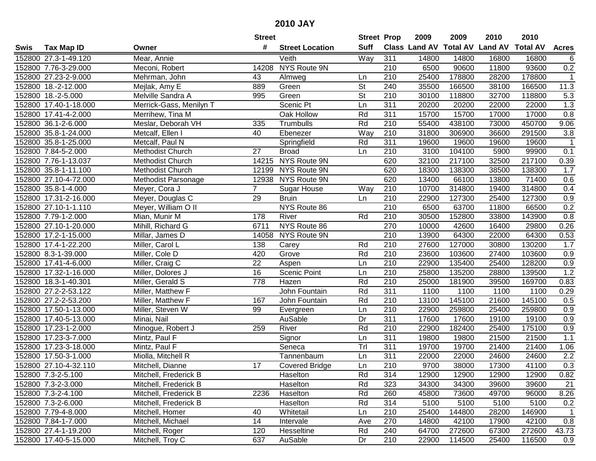|      |                       |                         | <b>Street</b>  |                        | <b>Street Prop</b>       |                  | 2009  | 2009   | 2010                           | 2010            |                  |
|------|-----------------------|-------------------------|----------------|------------------------|--------------------------|------------------|-------|--------|--------------------------------|-----------------|------------------|
| Swis | <b>Tax Map ID</b>     | Owner                   | #              | <b>Street Location</b> | <b>Suff</b>              |                  |       |        | Class Land AV Total AV Land AV | <b>Total AV</b> | <b>Acres</b>     |
|      | 152800 27.3-1-49.120  | Mear, Annie             |                | Veith                  | Way                      | 311              | 14800 | 14800  | 16800                          | 16800           | 6                |
|      | 152800 7.76-3-29.000  | Meconi, Robert          | 14208          | NYS Route 9N           |                          | 210              | 6500  | 90600  | 11800                          | 93600           | $0.2\,$          |
|      | 152800 27.23-2-9.000  | Mehrman, John           | 43             | Almweg                 | Ln                       | 210              | 25400 | 178800 | 28200                          | 178800          | $\overline{1}$   |
|      | 152800 18.-2-12.000   | Mejlak, Amy E           | 889            | Green                  | $\overline{\mathsf{St}}$ | 240              | 35500 | 166500 | 38100                          | 166500          | 11.3             |
|      | 152800 18.-2-5.000    | Melville Sandra A       | 995            | Green                  | <b>St</b>                | 210              | 30100 | 118800 | 32700                          | 118800          | 5.3              |
|      | 152800 17.40-1-18.000 | Merrick-Gass, Menilyn T |                | Scenic Pt              | Ln                       | 311              | 20200 | 20200  | 22000                          | 22000           | 1.3              |
|      | 152800 17.41-4-2.000  | Merrihew, Tina M        |                | Oak Hollow             | Rd                       | 311              | 15700 | 15700  | 17000                          | 17000           | 0.8              |
|      | 152800 36.1-2-6.000   | Meslar, Deborah VH      | 335            | Trumbulls              | Rd                       | 210              | 55400 | 438100 | 73000                          | 450700          | 9.06             |
|      | 152800 35.8-1-24.000  | Metcalf, Ellen I        | 40             | Ebenezer               | Way                      | $\overline{210}$ | 31800 | 306900 | 36600                          | 291500          | 3.8              |
|      | 152800 35.8-1-25.000  | Metcalf, Paul N         |                | Springfield            | Rd                       | 311              | 19600 | 19600  | 19600                          | 19600           | $\mathbf 1$      |
|      | 152800 7.84-5-2.000   | Methodist Church        | 27             | <b>Broad</b>           | Ln                       | 210              | 3100  | 104100 | 5900                           | 99900           | 0.1              |
|      | 152800 7.76-1-13.037  | Methodist Church        |                | 14215 NYS Route 9N     |                          | 620              | 32100 | 217100 | 32500                          | 217100          | 0.39             |
|      | 152800 35.8-1-11.100  | Methodist Church        | 12199          | NYS Route 9N           |                          | 620              | 18300 | 138300 | 38500                          | 138300          | 1.7              |
|      | 152800 27.10-4-72.000 | Methodist Parsonage     | 12938          | NYS Route 9N           |                          | 620              | 13400 | 66100  | 13800                          | 71400           | 0.6              |
|      | 152800 35.8-1-4.000   | Meyer, Cora J           | $\overline{7}$ | <b>Sugar House</b>     | Way                      | 210              | 10700 | 314800 | 19400                          | 314800          | 0.4              |
|      | 152800 17.31-2-16.000 | Meyer, Douglas C        | 29             | <b>Bruin</b>           | Ln                       | 210              | 22900 | 127300 | 25400                          | 127300          | 0.9              |
|      | 152800 27.10-1-1.110  | Meyer, William O II     |                | NYS Route 86           |                          | $\overline{210}$ | 6500  | 63700  | 11800                          | 66500           | 0.2              |
|      | 152800 7.79-1-2.000   | Mian, Munir M           | 178            | River                  | Rd                       | 210              | 30500 | 152800 | 33800                          | 143900          | 0.8              |
|      | 152800 27.10-1-20.000 | Mihill, Richard G       | 6711           | NYS Route 86           |                          | 270              | 10000 | 42600  | 16400                          | 29800           | 0.26             |
|      | 152800 17.2-1-15.000  | Millar, James D         | 14058          | NYS Route 9N           |                          | 210              | 13900 | 64300  | 22000                          | 64300           | 0.53             |
|      | 152800 17.4-1-22.200  | Miller, Carol L         | 138            | Carey                  | Rd                       | 210              | 27600 | 127000 | 30800                          | 130200          | 1.7              |
|      | 152800 8.3-1-39.000   | Miller, Cole D          | 420            | Grove                  | Rd                       | 210              | 23600 | 103600 | 27400                          | 103600          | 0.9              |
|      | 152800 17.41-4-6.000  | Miller, Craig C         | 22             | Aspen                  | Ln                       | 210              | 22900 | 135400 | 25400                          | 128200          | 0.9              |
|      | 152800 17.32-1-16.000 | Miller, Dolores J       | 16             | Scenic Point           | Ln                       | 210              | 25800 | 135200 | 28800                          | 139500          | 1.2              |
|      | 152800 18.3-1-40.301  | Miller, Gerald S        | 778            | Hazen                  | Rd                       | $\overline{210}$ | 25000 | 181900 | 39500                          | 169700          | 0.83             |
|      | 152800 27.2-2-53.122  | Miller, Matthew F       |                | John Fountain          | Rd                       | 311              | 1100  | 1100   | 1100                           | 1100            | 0.29             |
|      | 152800 27.2-2-53.200  | Miller, Matthew F       | 167            | John Fountain          | Rd                       | 210              | 13100 | 145100 | 21600                          | 145100          | 0.5              |
|      | 152800 17.50-1-13.000 | Miller, Steven W        | 99             | Evergreen              | Ln                       | 210              | 22900 | 259800 | 25400                          | 259800          | 0.9              |
|      | 152800 17.40-5-13.000 | Minai, Nail             |                | AuSable                | Dr                       | 311              | 17600 | 17600  | 19100                          | 19100           | 0.9              |
|      | 152800 17.23-1-2.000  | Minogue, Robert J       | 259            | River                  | Rd                       | $\overline{210}$ | 22900 | 182400 | 25400                          | 175100          | 0.9              |
|      | 152800 17.23-3-7.000  | Mintz, Paul F           |                | Signor                 | Ln                       | $\overline{311}$ | 19800 | 19800  | 21500                          | 21500           | 1.1              |
|      | 152800 17.23-3-18.000 | Mintz, Paul F           |                | Seneca                 | TrI                      | 311              | 19700 | 19700  | 21400                          | 21400           | 1.06             |
|      | 152800 17.50-3-1.000  | Miolla, Mitchell R      |                | Tannenbaum             | Ln                       | 311              | 22000 | 22000  | 24600                          | 24600           | $\overline{2.2}$ |
|      | 152800 27.10-4-32.110 | Mitchell, Dianne        | 17             | <b>Covered Bridge</b>  | Ln                       | $\overline{210}$ | 9700  | 38000  | 17300                          | 41100           | 0.3              |
|      | 152800 7.3-2-5.100    | Mitchell, Frederick B   |                | Haselton               | Rd                       | 314              | 12900 | 12900  | 12900                          | 12900           | 0.82             |
|      | 152800 7.3-2-3.000    | Mitchell, Frederick B   |                | Haselton               | Rd                       | 323              | 34300 | 34300  | 39600                          | 39600           | 21               |
|      | 152800 7.3-2-4.100    | Mitchell, Frederick B   | 2236           | Haselton               | Rd                       | 260              | 45800 | 73600  | 49700                          | 96000           | 8.26             |
|      | 152800 7.3-2-6.000    | Mitchell, Frederick B   |                | Haselton               | Rd                       | 314              | 5100  | 5100   | 5100                           | 5100            | 0.2              |
|      | 152800 7.79-4-8.000   | Mitchell, Homer         | 40             | Whitetail              | Ln                       | 210              | 25400 | 144800 | 28200                          | 146900          | $\overline{1}$   |
|      | 152800 7.84-1-7.000   | Mitchell, Michael       | 14             | Intervale              | Ave                      | 270              | 14800 | 42100  | 17900                          | 42100           | 0.8              |
|      | 152800 27.4-1-19.200  | Mitchell, Roger         | 120            | Hesseltine             | Rd                       | 240              | 64700 | 272600 | 67300                          | 272600          | 43.73            |
|      | 152800 17.40-5-15.000 | Mitchell, Troy C        | 637            | AuSable                | Dr                       | 210              | 22900 | 114500 | 25400                          | 116500          | 0.9              |
|      |                       |                         |                |                        |                          |                  |       |        |                                |                 |                  |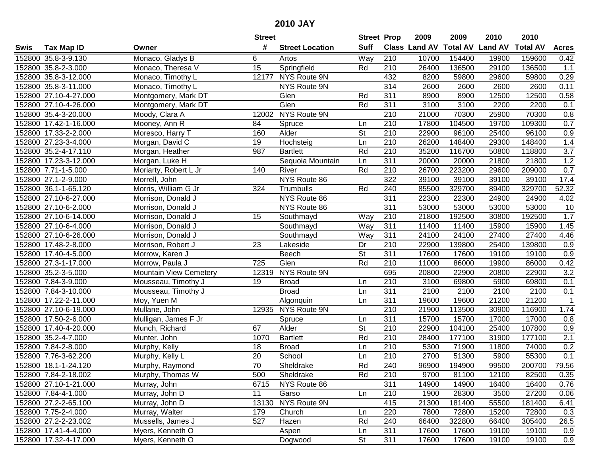|      |                       |                               | <b>Street</b>   |                        | <b>Street Prop</b>       |                  | 2009          | 2009            | 2010           | 2010            |                  |
|------|-----------------------|-------------------------------|-----------------|------------------------|--------------------------|------------------|---------------|-----------------|----------------|-----------------|------------------|
| Swis | <b>Tax Map ID</b>     | Owner                         | #               | <b>Street Location</b> | <b>Suff</b>              |                  | Class Land AV | <b>Total AV</b> | <b>Land AV</b> | <b>Total AV</b> | <b>Acres</b>     |
|      | 152800 35.8-3-9.130   | Monaco, Gladys B              | 6               | Artos                  | Way                      | 210              | 10700         | 154400          | 19900          | 159600          | 0.42             |
|      | 152800 35.8-2-3.000   | Monaco, Theresa V             | 15              | Springfield            | Rd                       | 210              | 26400         | 136500          | 29100          | 136500          | 1.1              |
|      | 152800 35.8-3-12.000  | Monaco, Timothy L             | 12177           | NYS Route 9N           |                          | 432              | 8200          | 59800           | 29600          | 59800           | 0.29             |
|      | 152800 35.8-3-11.000  | Monaco, Timothy L             |                 | NYS Route 9N           |                          | 314              | 2600          | 2600            | 2600           | 2600            | 0.11             |
|      | 152800 27.10-4-27.000 | Montgomery, Mark DT           |                 | Glen                   | Rd                       | 311              | 8900          | 8900            | 12500          | 12500           | 0.58             |
|      | 152800 27.10-4-26.000 | Montgomery, Mark DT           |                 | Glen                   | Rd                       | 311              | 3100          | 3100            | 2200           | 2200            | 0.1              |
|      | 152800 35.4-3-20.000  | Moody, Clara A                | 12002           | NYS Route 9N           |                          | 210              | 21000         | 70300           | 25900          | 70300           | 0.8              |
|      | 152800 17.42-1-16.000 | Mooney, Ann R                 | 84              | Spruce                 | Ln                       | 210              | 17800         | 104500          | 19700          | 109300          | 0.7              |
|      | 152800 17.33-2-2.000  | Moresco, Harry T              | 160             | Alder                  | $\overline{\mathsf{St}}$ | $\overline{210}$ | 22900         | 96100           | 25400          | 96100           | 0.9              |
|      | 152800 27.23-3-4.000  | Morgan, David C               | 19              | Hochsteig              | Ln                       | 210              | 26200         | 148400          | 29300          | 148400          | 1.4              |
|      | 152800 35.2-4-17.110  | Morgan, Heather               | 987             | <b>Bartlett</b>        | Rd                       | 210              | 35200         | 116700          | 50800          | 118800          | $\overline{3.7}$ |
|      | 152800 17.23-3-12.000 | Morgan, Luke H                |                 | Sequoia Mountain       | Ln                       | 311              | 20000         | 20000           | 21800          | 21800           | 1.2              |
|      | 152800 7.71-1-5.000   | Moriarty, Robert L Jr         | 140             | River                  | Rd                       | 210              | 26700         | 223200          | 29600          | 209000          | 0.7              |
|      | 152800 27.1-2-9.000   | Morrell, John                 |                 | NYS Route 86           |                          | 322              | 39100         | 39100           | 39100          | 39100           | 17.4             |
|      | 152800 36.1-1-65.120  | Morris, William G Jr          | 324             | Trumbulls              | Rd                       | 240              | 85500         | 329700          | 89400          | 329700          | 52.32            |
|      | 152800 27.10-6-27.000 | Morrison, Donald J            |                 | NYS Route 86           |                          | 311              | 22300         | 22300           | 24900          | 24900           | 4.02             |
|      | 152800 27.10-6-2.000  | Morrison, Donald J            |                 | NYS Route 86           |                          | 311              | 53000         | 53000           | 53000          | 53000           | 10               |
|      | 152800 27.10-6-14.000 | Morrison, Donald J            | 15              | Southmayd              | Way                      | 210              | 21800         | 192500          | 30800          | 192500          | 1.7              |
|      | 152800 27.10-6-4.000  | Morrison, Donald J            |                 | Southmayd              | Way                      | 311              | 11400         | 11400           | 15900          | 15900           | 1.45             |
|      | 152800 27.10-6-26.000 | Morrison, Donald J            |                 | Southmayd              | Way                      | 311              | 24100         | 24100           | 27400          | 27400           | 4.46             |
|      | 152800 17.48-2-8.000  | Morrison, Robert J            | 23              | Lakeside               | Dr                       | 210              | 22900         | 139800          | 25400          | 139800          | 0.9              |
|      | 152800 17.40-4-5.000  | Morrow, Karen J               |                 | Beech                  | <b>St</b>                | 311              | 17600         | 17600           | 19100          | 19100           | 0.9              |
|      | 152800 27.3-1-17.000  | Morrow, Paula J               | 725             | Glen                   | Rd                       | 210              | 11000         | 86000           | 19900          | 86000           | 0.42             |
|      | 152800 35.2-3-5.000   | <b>Mountain View Cemetery</b> | 12319           | NYS Route 9N           |                          | 695              | 20800         | 22900           | 20800          | 22900           | 3.2              |
|      | 152800 7.84-3-9.000   | Mousseau, Timothy J           | 19              | <b>Broad</b>           | Ln                       | 210              | 3100          | 69800           | 5900           | 69800           | 0.1              |
|      | 152800 7.84-3-10.000  | Mousseau, Timothy J           |                 | <b>Broad</b>           | Ln                       | 311              | 2100          | 2100            | 2100           | 2100            | 0.1              |
|      | 152800 17.22-2-11.000 | Moy, Yuen M                   |                 | Algonquin              | Ln                       | 311              | 19600         | 19600           | 21200          | 21200           | 1                |
|      | 152800 27.10-6-19.000 | Mullane, John                 |                 | 12935 NYS Route 9N     |                          | 210              | 21900         | 113500          | 30900          | 116900          | 1.74             |
|      | 152800 17.50-2-6.000  | Mulligan, James F Jr          |                 | Spruce                 | Ln                       | 311              | 15700         | 15700           | 17000          | 17000           | 0.8              |
|      | 152800 17.40-4-20.000 | Munch, Richard                | 67              | Alder                  | $\overline{\mathsf{St}}$ | $\overline{210}$ | 22900         | 104100          | 25400          | 107800          | 0.9              |
|      | 152800 35.2-4-7.000   | Munter, John                  | 1070            | <b>Bartlett</b>        | Rd                       | $\overline{210}$ | 28400         | 177100          | 31900          | 177100          | 2.1              |
|      | 152800 7.84-2-8.000   | Murphy, Kelly                 | 18              | <b>Broad</b>           | Ln                       | 210              | 5300          | 71900           | 11800          | 74000           | 0.2              |
|      | 152800 7.76-3-62.200  | Murphy, Kelly L               | $\overline{20}$ | School                 | Ln                       | 210              | 2700          | 51300           | 5900           | 55300           | 0.1              |
|      | 152800 18.1-1-24.120  | Murphy, Raymond               | 70              | Sheldrake              | Rd                       | 240              | 96900         | 194900          | 99500          | 200700          | 79.56            |
|      | 152800 7.84-2-18.002  | Murphy, Thomas W              | 500             | Sheldrake              | Rd                       | 210              | 9700          | 81100           | 12100          | 82500           | 0.35             |
|      | 152800 27.10-1-21.000 | Murray, John                  | 6715            | NYS Route 86           |                          | 311              | 14900         | 14900           | 16400          | 16400           | 0.76             |
|      | 152800 7.84-4-1.000   | Murray, John D                | 11              | Garso                  | Ln                       | 210              | 1900          | 28300           | 3500           | 27200           | 0.06             |
|      | 152800 27.2-2-65.100  | Murray, John D                |                 | 13130 NYS Route 9N     |                          | 415              | 21300         | 181400          | 55500          | 181400          | 6.41             |
|      | 152800 7.75-2-4.000   | Murray, Walter                | 179             | Church                 | Ln                       | 220              | 7800          | 72800           | 15200          | 72800           | 0.3              |
|      | 152800 27.2-2-23.002  | Mussells, James J             | 527             | Hazen                  | Rd                       | 240              | 66400         | 322800          | 66400          | 305400          | 26.5             |
|      | 152800 17.41-4-4.000  | Myers, Kenneth O              |                 | Aspen                  | Ln                       | 311              | 17600         | 17600           | 19100          | 19100           | 0.9              |
|      | 152800 17.32-4-17.000 | Myers, Kenneth O              |                 | Dogwood                | $\overline{\mathsf{St}}$ | 311              | 17600         | 17600           | 19100          | 19100           | 0.9              |
|      |                       |                               |                 |                        |                          |                  |               |                 |                |                 |                  |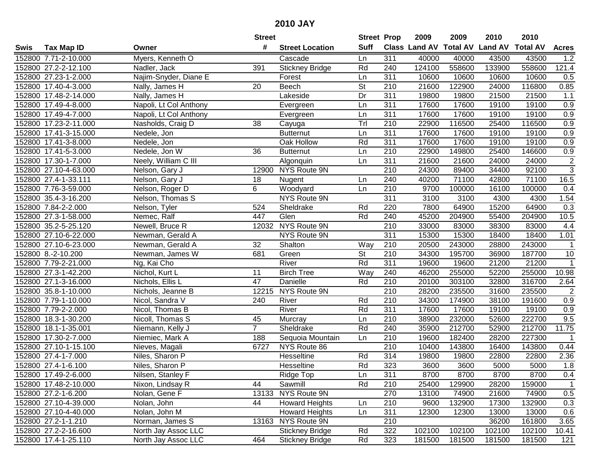|      |                       |                        | <b>Street</b>   |                        | <b>Street Prop</b>       |                  | 2009                          | 2009   | 2010           | 2010            |                         |
|------|-----------------------|------------------------|-----------------|------------------------|--------------------------|------------------|-------------------------------|--------|----------------|-----------------|-------------------------|
| Swis | <b>Tax Map ID</b>     | Owner                  | #               | <b>Street Location</b> | <b>Suff</b>              |                  | <b>Class Land AV Total AV</b> |        | <b>Land AV</b> | <b>Total AV</b> | <b>Acres</b>            |
|      | 152800 7.71-2-10.000  | Myers, Kenneth O       |                 | Cascade                | Ln                       | 311              | 40000                         | 40000  | 43500          | 43500           | 1.2                     |
|      | 152800 27.2-2-12.100  | Nadler, Jack           | 391             | <b>Stickney Bridge</b> | Rd                       | 240              | 124100                        | 558600 | 133900         | 558600          | 121.4                   |
|      | 152800 27.23-1-2.000  | Najim-Snyder, Diane E  |                 | Forest                 | Ln                       | 311              | 10600                         | 10600  | 10600          | 10600           | 0.5                     |
|      | 152800 17.40-4-3.000  | Nally, James H         | 20              | <b>Beech</b>           | $\overline{\mathsf{St}}$ | 210              | 21600                         | 122900 | 24000          | 116800          | 0.85                    |
|      | 152800 17.48-2-14.000 | Nally, James H         |                 | Lakeside               | Dr                       | 311              | 19800                         | 19800  | 21500          | 21500           | 1.1                     |
|      | 152800 17.49-4-8.000  | Napoli, Lt Col Anthony |                 | Evergreen              | Ln                       | 311              | 17600                         | 17600  | 19100          | 19100           | 0.9                     |
|      | 152800 17.49-4-7.000  | Napoli, Lt Col Anthony |                 | Evergreen              | Ln                       | 311              | 17600                         | 17600  | 19100          | 19100           | 0.9                     |
|      | 152800 17.23-2-11.000 | Nasholds, Craig D      | $\overline{38}$ | Cayuga                 | Trl                      | 210              | 22900                         | 116500 | 25400          | 116500          | 0.9                     |
|      | 152800 17.41-3-15.000 | Nedele, Jon            |                 | <b>Butternut</b>       | Ln                       | 311              | 17600                         | 17600  | 19100          | 19100           | 0.9                     |
|      | 152800 17.41-3-8.000  | Nedele, Jon            |                 | Oak Hollow             | Rd                       | 311              | 17600                         | 17600  | 19100          | 19100           | 0.9                     |
|      | 152800 17.41-5-3.000  | Nedele, Jon W          | 36              | <b>Butternut</b>       | Ln                       | 210              | 22900                         | 149800 | 25400          | 146600          | 0.9                     |
|      | 152800 17.30-1-7.000  | Neely, William C III   |                 | Algonquin              | Ln                       | 311              | 21600                         | 21600  | 24000          | 24000           | $\overline{\mathbf{c}}$ |
|      | 152800 27.10-4-63.000 | Nelson, Gary J         | 12900           | NYS Route 9N           |                          | 210              | 24300                         | 89400  | 34400          | 92100           | $\overline{3}$          |
|      | 152800 27.4-1-33.111  | Nelson, Gary J         | 18              | Nugent                 | Ln                       | 240              | 40200                         | 71100  | 42800          | 71100           | $16.\overline{5}$       |
|      | 152800 7.76-3-59.000  | Nelson, Roger D        | 6               | Woodyard               | Ln                       | 210              | 9700                          | 100000 | 16100          | 100000          | 0.4                     |
|      | 152800 35.4-3-16.200  | Nelson, Thomas S       |                 | NYS Route 9N           |                          | 311              | 3100                          | 3100   | 4300           | 4300            | 1.54                    |
|      | 152800 7.84-2-2.000   | Nelson, Tyler          | 524             | Sheldrake              | Rd                       | 220              | 7800                          | 64900  | 15200          | 64900           | 0.3                     |
|      | 152800 27.3-1-58.000  | Nemec, Ralf            | 447             | Glen                   | Rd                       | 240              | 45200                         | 204900 | 55400          | 204900          | 10.5                    |
|      | 152800 35.2-5-25.120  | Newell, Bruce R        | 12032           | NYS Route 9N           |                          | 210              | 33000                         | 83000  | 38300          | 83000           | 4.4                     |
|      | 152800 27.10-6-22.000 | Newman, Gerald A       |                 | NYS Route 9N           |                          | 311              | 15300                         | 15300  | 18400          | 18400           | 1.01                    |
|      | 152800 27.10-6-23.000 | Newman, Gerald A       | 32              | Shalton                | Way                      | 210              | 20500                         | 243000 | 28800          | 243000          | $\mathbf{1}$            |
|      | 152800 8.-2-10.200    | Newman, James W        | 681             | Green                  | St                       | 210              | 34300                         | 195700 | 36900          | 187700          | $10$                    |
|      | 152800 7.79-2-21.000  | Ng, Kai Cho            |                 | River                  | Rd                       | 311              | 19600                         | 19600  | 21200          | 21200           | $\mathbf{1}$            |
|      | 152800 27.3-1-42.200  | Nichol, Kurt L         | 11              | <b>Birch Tree</b>      | Way                      | 240              | 46200                         | 255000 | 52200          | 255000          | 10.98                   |
|      | 152800 27.1-3-16.000  | Nichols, Ellis L       | 47              | Danielle               | Rd                       | $\overline{210}$ | 20100                         | 303100 | 32800          | 316700          | 2.64                    |
|      | 152800 35.8-1-10.000  | Nichols, Jeanne B      |                 | 12215 NYS Route 9N     |                          | $\overline{210}$ | 28200                         | 235500 | 31600          | 235500          | $\overline{c}$          |
|      | 152800 7.79-1-10.000  | Nicol, Sandra V        | 240             | River                  | Rd                       | 210              | 34300                         | 174900 | 38100          | 191600          | 0.9                     |
|      | 152800 7.79-2-2.000   | Nicol, Thomas B        |                 | River                  | Rd                       | 311              | 17600                         | 17600  | 19100          | 19100           | 0.9                     |
|      | 152800 18.3-1-30.200  | Nicoll, Thomas S       | 45              | Murcray                | Ln                       | $\overline{210}$ | 38900                         | 232000 | 52600          | 222700          | 9.5                     |
|      | 152800 18.1-1-35.001  | Niemann, Kelly J       | $\overline{7}$  | Sheldrake              | Rd                       | 240              | 35900                         | 212700 | 52900          | 212700          | 11.75                   |
|      | 152800 17.30-2-7.000  | Niemiec, Mark A        | 188             | Sequoia Mountain       | Ln                       | $\overline{210}$ | 19600                         | 182400 | 28200          | 227300          | $\mathbf 1$             |
|      | 152800 27.10-1-15.100 | Nieves, Magali         | 6727            | NYS Route 86           |                          | $\overline{210}$ | 10400                         | 143800 | 16400          | 143800          | 0.44                    |
|      | 152800 27.4-1-7.000   | Niles, Sharon P        |                 | Hesseltine             | Rd                       | 314              | 19800                         | 19800  | 22800          | 22800           | 2.36                    |
|      | 152800 27.4-1-6.100   | Niles, Sharon P        |                 | Hesseltine             | Rd                       | 323              | 3600                          | 3600   | 5000           | 5000            | 1.8                     |
|      | 152800 17.49-2-6.000  | Nilsen, Stanley F      |                 | Ridge Top              | Ln                       | 311              | 8700                          | 8700   | 8700           | 8700            | 0.4                     |
|      | 152800 17.48-2-10.000 | Nixon, Lindsay R       | 44              | Sawmill                | Rd                       | 210              | 25400                         | 129900 | 28200          | 159000          | $\mathbf{1}$            |
|      | 152800 27.2-1-6.200   | Nolan, Gene F          |                 | 13133 NYS Route 9N     |                          | 270              | 13100                         | 74900  | 21600          | 74900           | 0.5                     |
|      | 152800 27.10-4-39.000 | Nolan, John            | 44              | <b>Howard Heights</b>  | Ln                       | 210              | 9600                          | 132900 | 17300          | 132900          | 0.3                     |
|      | 152800 27.10-4-40.000 | Nolan, John M          |                 | <b>Howard Heights</b>  | Ln                       | 311              | 12300                         | 12300  | 13000          | 13000           | 0.6                     |
|      | 152800 27.2-1-1.210   | Norman, James S        |                 | 13163 NYS Route 9N     |                          | 210              |                               |        | 36200          | 161800          | 3.65                    |
|      | 152800 27.2-2-16.600  | North Jay Assoc LLC    |                 | <b>Stickney Bridge</b> | Rd                       | 322              | 102100                        | 102100 | 102100         | 102100          | 10.41                   |
|      | 152800 17.4-1-25.110  | North Jay Assoc LLC    | 464             | <b>Stickney Bridge</b> | Rd                       | 323              | 181500                        | 181500 | 181500         | 181500          | 121                     |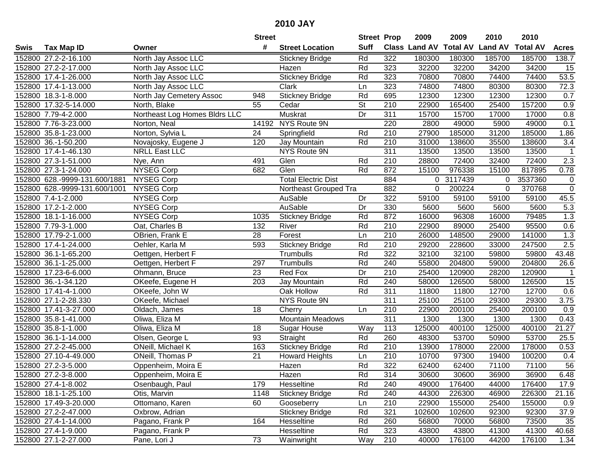|      |                               |                               | <b>Street</b>   |                            | <b>Street Prop</b>       |                  | 2009          | 2009            | 2010           | 2010            |                  |
|------|-------------------------------|-------------------------------|-----------------|----------------------------|--------------------------|------------------|---------------|-----------------|----------------|-----------------|------------------|
| Swis | <b>Tax Map ID</b>             | Owner                         | #               | <b>Street Location</b>     | <b>Suff</b>              |                  | Class Land AV | <b>Total AV</b> | <b>Land AV</b> | <b>Total AV</b> | <b>Acres</b>     |
|      | 152800 27.2-2-16.100          | North Jay Assoc LLC           |                 | <b>Stickney Bridge</b>     | Rd                       | 322              | 180300        | 180300          | 185700         | 185700          | 138.7            |
|      | 152800 27.2-2-17.000          | North Jay Assoc LLC           |                 | Hazen                      | Rd                       | 323              | 32200         | 32200           | 34200          | 34200           | 15               |
|      | 152800 17.4-1-26.000          | North Jay Assoc LLC           |                 | <b>Stickney Bridge</b>     | Rd                       | 323              | 70800         | 70800           | 74400          | 74400           | 53.5             |
|      | 152800 17.4-1-13.000          | North Jay Assoc LLC           |                 | Clark                      | Ln                       | 323              | 74800         | 74800           | 80300          | 80300           | 72.3             |
|      | 152800 18.3-1-8.000           | North Jay Cemetery Assoc      | 948             | <b>Stickney Bridge</b>     | Rd                       | 695              | 12300         | 12300           | 12300          | 12300           | 0.7              |
|      | 152800 17.32-5-14.000         | North, Blake                  | 55              | Cedar                      | $\overline{\mathsf{St}}$ | 210              | 22900         | 165400          | 25400          | 157200          | 0.9              |
|      | 152800 7.79-4-2.000           | Northeast Log Homes Bldrs LLC |                 | Muskrat                    | Dr                       | 311              | 15700         | 15700           | 17000          | 17000           | 0.8              |
|      | 152800 7.76-3-23.000          | Norton, Neal                  | 14192           | NYS Route 9N               |                          | 220              | 2800          | 49000           | 5900           | 49000           | 0.1              |
|      | 152800 35.8-1-23.000          | Norton, Sylvia L              | 24              | Springfield                | Rd                       | $\overline{210}$ | 27900         | 185000          | 31200          | 185000          | 1.86             |
|      | 152800 36.-1-50.200           | Novajosky, Eugene J           | 120             | Jay Mountain               | Rd                       | 210              | 31000         | 138600          | 35500          | 138600          | 3.4              |
|      | 152800 17.4-1-46.130          | <b>NRLL East LLC</b>          |                 | NYS Route 9N               |                          | 311              | 13500         | 13500           | 13500          | 13500           | $\mathbf 1$      |
|      | 152800 27.3-1-51.000          | Nye, Ann                      | 491             | Glen                       | Rd                       | 210              | 28800         | 72400           | 32400          | 72400           | 2.3              |
|      | 152800 27.3-1-24.000          | <b>NYSEG Corp</b>             | 682             | Glen                       | Rd                       | 872              | 15100         | 976338          | 15100          | 817895          | 0.78             |
|      | 152800 628.-9999-131.600/1881 | <b>NYSEG Corp</b>             |                 | <b>Total Electric Dist</b> |                          | 884              | 0             | 3117439         | $\Omega$       | 3537360         | $\pmb{0}$        |
|      | 152800 628.-9999-131.600/1001 | <b>NYSEG Corp</b>             |                 | Northeast Grouped Tra      |                          | 882              | 0             | 200224          | $\Omega$       | 370768          | $\mathbf 0$      |
|      | 152800 7.4-1-2.000            | <b>NYSEG Corp</b>             |                 | AuSable                    | Dr                       | 322              | 59100         | 59100           | 59100          | 59100           | 45.5             |
|      | 152800 17.2-1-2.000           | <b>NYSEG Corp</b>             |                 | AuSable                    | Dr                       | 330              | 5600          | 5600            | 5600           | 5600            | $\overline{5.3}$ |
|      | 152800 18.1-1-16.000          | <b>NYSEG Corp</b>             | 1035            | <b>Stickney Bridge</b>     | Rd                       | 872              | 16000         | 96308           | 16000          | 79485           | 1.3              |
|      | 152800 7.79-3-1.000           | Oat, Charles B                | 132             | River                      | Rd                       | 210              | 22900         | 89000           | 25400          | 95500           | 0.6              |
|      | 152800 17.79-2-1.000          | OBrien, Frank E               | 28              | Forest                     | Ln                       | 210              | 26000         | 148500          | 29000          | 141000          | 1.3              |
|      | 152800 17.4-1-24.000          | Oehler, Karla M               | 593             | <b>Stickney Bridge</b>     | Rd                       | $\overline{210}$ | 29200         | 228600          | 33000          | 247500          | 2.5              |
|      | 152800 36.1-1-65.200          | Oettgen, Herbert F            |                 | Trumbulls                  | Rd                       | 322              | 32100         | 32100           | 59800          | 59800           | 43.48            |
|      | 152800 36.1-1-25.000          | Oettgen, Herbert F            | 297             | Trumbulls                  | Rd                       | 240              | 55800         | 204800          | 59000          | 204800          | 26.6             |
|      | 152800 17.23-6-6.000          | Ohmann, Bruce                 | 23              | Red Fox                    | Dr                       | 210              | 25400         | 120900          | 28200          | 120900          | $\overline{1}$   |
|      | 152800 36.-1-34.120           | OKeefe, Eugene H              | 203             | Jay Mountain               | Rd                       | 240              | 58000         | 126500          | 58000          | 126500          | $\overline{15}$  |
|      | 152800 17.41-4-1.000          | OKeefe, John W                |                 | Oak Hollow                 | Rd                       | 311              | 11800         | 11800           | 12700          | 12700           | 0.6              |
|      | 152800 27.1-2-28.330          | OKeefe, Michael               |                 | NYS Route 9N               |                          | 311              | 25100         | 25100           | 29300          | 29300           | 3.75             |
|      | 152800 17.41-3-27.000         | Oldach, James                 | 18              | Cherry                     | Ln                       | 210              | 22900         | 200100          | 25400          | 200100          | 0.9              |
|      | 152800 35.8-1-41.000          | Oliwa, Eliza M                |                 | <b>Mountain Meadows</b>    |                          | 311              | 1300          | 1300            | 1300           | 1300            | 0.43             |
|      | 152800 35.8-1-1.000           | Oliwa, Eliza M                | 18              | Sugar House                | Way                      | 113              | 125000        | 400100          | 125000         | 400100          | 21.27            |
|      | 152800 36.1-1-14.000          | Olsen, George L               | 93              | Straight                   | Rd                       | 260              | 48300         | 53700           | 50900          | 53700           | 25.5             |
|      | 152800 27.2-2-45.000          | ONeill, Michael K             | 163             | <b>Stickney Bridge</b>     | Rd                       | 210              | 13900         | 178000          | 22000          | 178000          | 0.53             |
|      | 152800 27.10-4-49.000         | ONeill, Thomas P              | $\overline{21}$ | <b>Howard Heights</b>      | Ln                       | $\overline{210}$ | 10700         | 97300           | 19400          | 100200          | 0.4              |
|      | 152800 27.2-3-5.000           | Oppenheim, Moira E            |                 | Hazen                      | Rd                       | 322              | 62400         | 62400           | 71100          | 71100           | 56               |
|      | 152800 27.2-3-8.000           | Oppenheim, Moira E            |                 | Hazen                      | Rd                       | 314              | 30600         | 30600           | 36900          | 36900           | 6.48             |
|      | 152800 27.4-1-8.002           | Osenbaugh, Paul               | 179             | Hesseltine                 | Rd                       | 240              | 49000         | 176400          | 44000          | 176400          | 17.9             |
|      | 152800 18.1-1-25.100          | Otis, Marvin                  | 1148            | <b>Stickney Bridge</b>     | Rd                       | 240              | 44300         | 226300          | 46900          | 226300          | 21.16            |
|      | 152800 17.49-3-20.000         | Ottomano, Karen               | 60              | Gooseberry                 | Ln                       | 210              | 22900         | 155000          | 25400          | 155000          | 0.9              |
|      | 152800 27.2-2-47.000          | Oxbrow, Adrian                |                 | <b>Stickney Bridge</b>     | Rd                       | 321              | 102600        | 102600          | 92300          | 92300           | 37.9             |
|      | 152800 27.4-1-14.000          | Pagano, Frank P               | 164             | Hesseltine                 | Rd                       | 260              | 56800         | 70000           | 56800          | 73500           | 35               |
|      | 152800 27.4-1-9.000           | Pagano, Frank P               |                 | Hesseltine                 | Rd                       | 323              | 43800         | 43800           | 41300          | 41300           | 40.68            |
|      | 152800 27.1-2-27.000          | Pane, Lori J                  | $\overline{73}$ | Wainwright                 | Way                      | 210              | 40000         | 176100          | 44200          | 176100          | 1.34             |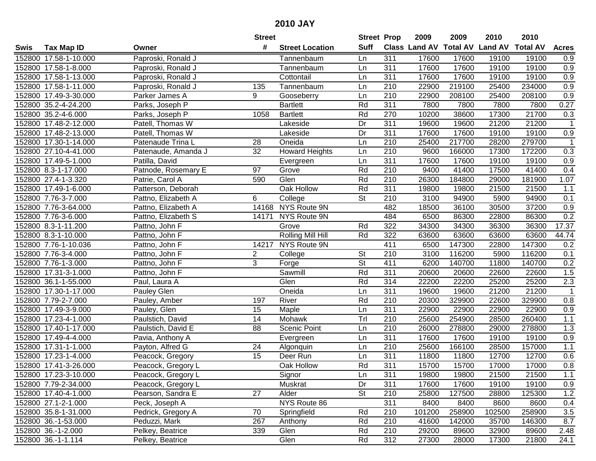|      |                       |                     | <b>Street</b>   |                        | <b>Street Prop</b> |                  | 2009                          | 2009   | 2010           | 2010            |                |
|------|-----------------------|---------------------|-----------------|------------------------|--------------------|------------------|-------------------------------|--------|----------------|-----------------|----------------|
| Swis | <b>Tax Map ID</b>     | Owner               | #               | <b>Street Location</b> | <b>Suff</b>        |                  | <b>Class Land AV Total AV</b> |        | <b>Land AV</b> | <b>Total AV</b> | <b>Acres</b>   |
|      | 152800 17.58-1-10.000 | Paproski, Ronald J  |                 | Tannenbaum             | Ln                 | 311              | 17600                         | 17600  | 19100          | 19100           | 0.9            |
|      | 152800 17.58-1-8.000  | Paproski, Ronald J  |                 | Tannenbaum             | Ln                 | 311              | 17600                         | 17600  | 19100          | 19100           | 0.9            |
|      | 152800 17.58-1-13.000 | Paproski, Ronald J  |                 | Cottontail             | Ln                 | 311              | 17600                         | 17600  | 19100          | 19100           | 0.9            |
|      | 152800 17.58-1-11.000 | Paproski, Ronald J  | 135             | Tannenbaum             | Ln                 | 210              | 22900                         | 219100 | 25400          | 234000          | 0.9            |
|      | 152800 17.49-3-30.000 | Parker James A      | 9               | Gooseberry             | Ln                 | 210              | 22900                         | 208100 | 25400          | 208100          | 0.9            |
|      | 152800 35.2-4-24.200  | Parks, Joseph P     |                 | <b>Bartlett</b>        | Rd                 | 311              | 7800                          | 7800   | 7800           | 7800            | 0.27           |
|      | 152800 35.2-4-6.000   | Parks, Joseph P     | 1058            | <b>Bartlett</b>        | Rd                 | 270              | 10200                         | 38600  | 17300          | 21700           | 0.3            |
|      | 152800 17.48-2-12.000 | Patell, Thomas W    |                 | Lakeside               | Dr                 | 311              | 19600                         | 19600  | 21200          | 21200           | $\mathbf 1$    |
|      | 152800 17.48-2-13.000 | Patell, Thomas W    |                 | Lakeside               | Dr                 | 311              | 17600                         | 17600  | 19100          | 19100           | 0.9            |
|      | 152800 17.30-1-14.000 | Patenaude Trina L   | 28              | Oneida                 | Ln                 | 210              | 25400                         | 217700 | 28200          | 279700          | -1             |
|      | 152800 27.10-4-41.000 | Patenaude, Amanda J | 32              | <b>Howard Heights</b>  | Ln                 | 210              | 9600                          | 166000 | 17300          | 172200          | 0.3            |
|      | 152800 17.49-5-1.000  | Patilla, David      |                 | Evergreen              | Ln                 | 311              | 17600                         | 17600  | 19100          | 19100           | 0.9            |
|      | 152800 8.3-1-17.000   | Patnode, Rosemary E | 97              | Grove                  | Rd                 | $\overline{210}$ | 9400                          | 41400  | 17500          | 41400           | 0.4            |
|      | 152800 27.4-1-3.320   | Patrie, Carol A     | 590             | Glen                   | Rd                 | 210              | 26300                         | 184800 | 29000          | 181900          | 1.07           |
|      | 152800 17.49-1-6.000  | Patterson, Deborah  |                 | Oak Hollow             | Rd                 | 311              | 19800                         | 19800  | 21500          | 21500           | 1.1            |
|      | 152800 7.76-3-7.000   | Pattno, Elizabeth A | 6               | College                | St                 | 210              | 3100                          | 94900  | 5900           | 94900           | 0.1            |
|      | 152800 7.76-3-64.000  | Pattno, Elizabeth A |                 | 14168 NYS Route 9N     |                    | 482              | 18500                         | 36100  | 30500          | 37200           | 0.9            |
|      | 152800 7.76-3-6.000   | Pattno, Elizabeth S | 14171           | NYS Route 9N           |                    | 484              | 6500                          | 86300  | 22800          | 86300           | 0.2            |
|      | 152800 8.3-1-11.200   | Pattno, John F      |                 | Grove                  | Rd                 | 322              | 34300                         | 34300  | 36300          | 36300           | 17.37          |
|      | 152800 8.3-1-10.000   | Pattno, John F      |                 | Rolling Mill Hill      | Rd                 | 322              | 63600                         | 63600  | 63600          | 63600           | 44.74          |
|      | 152800 7.76-1-10.036  | Pattno, John F      | 14217           | NYS Route 9N           |                    | 411              | 6500                          | 147300 | 22800          | 147300          | 0.2            |
|      | 152800 7.76-3-4.000   | Pattno, John F      | $\overline{2}$  | College                | <b>St</b>          | 210              | 3100                          | 116200 | 5900           | 116200          | 0.1            |
|      | 152800 7.76-1-3.000   | Pattno, John F      | 3               | Forge                  | St                 | 411              | 6200                          | 140700 | 11800          | 140700          | 0.2            |
|      | 152800 17.31-3-1.000  | Pattno, John F      |                 | Sawmill                | Rd                 | 311              | 20600                         | 20600  | 22600          | 22600           | 1.5            |
|      | 152800 36.1-1-55.000  | Paul, Laura A       |                 | Glen                   | Rd                 | 314              | 22200                         | 22200  | 25200          | 25200           | 2.3            |
|      | 152800 17.30-1-17.000 | Pauley Glen         |                 | Oneida                 | Ln                 | 311              | 19600                         | 19600  | 21200          | 21200           | $\overline{1}$ |
|      | 152800 7.79-2-7.000   | Pauley, Amber       | 197             | River                  | Rd                 | 210              | 20300                         | 329900 | 22600          | 329900          | 0.8            |
|      | 152800 17.49-3-9.000  | Pauley, Glen        | 15              | Maple                  | Ln                 | 311              | 22900                         | 22900  | 22900          | 22900           | 0.9            |
|      | 152800 17.23-4-1.000  | Paulstich, David    | $\overline{14}$ | Mohawk                 | Trl                | $\overline{210}$ | 25600                         | 254900 | 28500          | 260400          | 1.1            |
|      | 152800 17.40-1-17.000 | Paulstich, David E  | $\overline{88}$ | Scenic Point           | Ln                 | $\overline{210}$ | 26000                         | 278800 | 29000          | 278800          | 1.3            |
|      | 152800 17.49-4-4.000  | Pavia, Anthony A    |                 | Evergreen              | Ln                 | 311              | 17600                         | 17600  | 19100          | 19100           | 0.9            |
|      | 152800 17.31-1-1.000  | Payton, Alfred G    | 24              | Algonquin              | Ln                 | 210              | 25600                         | 166100 | 28500          | 157000          | 1.1            |
|      | 152800 17.23-1-4.000  | Peacock, Gregory    | $\overline{15}$ | Deer Run               | Ln                 | 311              | 11800                         | 11800  | 12700          | 12700           | 0.6            |
|      | 152800 17.41-3-26.000 | Peacock, Gregory L  |                 | Oak Hollow             | Rd                 | 311              | 15700                         | 15700  | 17000          | 17000           | 0.8            |
|      | 152800 17.23-3-10.000 | Peacock, Gregory L  |                 | Signor                 | Ln                 | 311              | 19800                         | 19800  | 21500          | 21500           | 1.1            |
|      | 152800 7.79-2-34.000  | Peacock, Gregory L  |                 | Muskrat                | Dr                 | 311              | 17600                         | 17600  | 19100          | 19100           | 0.9            |
|      | 152800 17.40-4-1.000  | Pearson, Sandra E   | 27              | Alder                  | <b>St</b>          | 210              | 25800                         | 127500 | 28800          | 125300          | 1.2            |
|      | 152800 27.1-2-1.000   | Peck, Joseph A      |                 | NYS Route 86           |                    | 311              | 8400                          | 8400   | 8600           | 8600            | 0.4            |
|      | 152800 35.8-1-31.000  | Pedrick, Gregory A  | 70              | Springfield            | Rd                 | 210              | 101200                        | 258900 | 102500         | 258900          | 3.5            |
|      | 152800 36.-1-53.000   | Peduzzi, Mark       | 267             | Anthony                | Rd                 | 210              | 41600                         | 142000 | 35700          | 146300          | 8.7            |
|      | 152800 36.-1-2.000    | Pelkey, Beatrice    | 339             | Glen                   | Rd                 | 210              | 29200                         | 89600  | 32900          | 89600           | 2.48           |
|      | 152800 36.-1-1.114    | Pelkey, Beatrice    |                 | Glen                   | Rd                 | 312              | 27300                         | 28000  | 17300          | 21800           | 24.1           |
|      |                       |                     |                 |                        |                    |                  |                               |        |                |                 |                |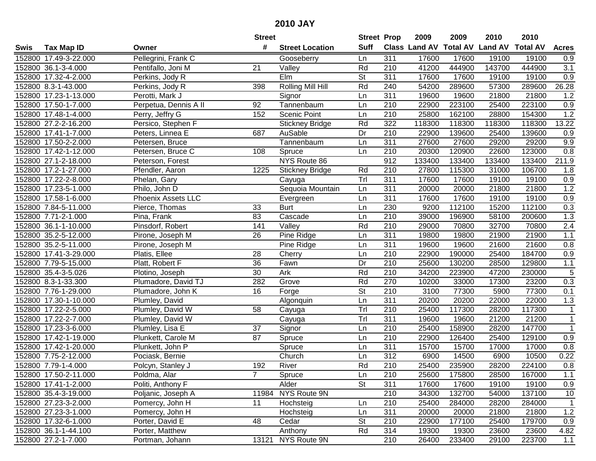|      |                       |                       | <b>Street</b>   |                          | <b>Street Prop</b>       |                  | 2009          | 2009            | 2010           | 2010            |              |
|------|-----------------------|-----------------------|-----------------|--------------------------|--------------------------|------------------|---------------|-----------------|----------------|-----------------|--------------|
| Swis | <b>Tax Map ID</b>     | Owner                 | #               | <b>Street Location</b>   | <b>Suff</b>              |                  | Class Land AV | <b>Total AV</b> | <b>Land AV</b> | <b>Total AV</b> | <b>Acres</b> |
|      | 152800 17.49-3-22.000 | Pellegrini, Frank C   |                 | Gooseberry               | Ln                       | 311              | 17600         | 17600           | 19100          | 19100           | 0.9          |
|      | 152800 36.1-3-4.000   | Pentifallo, Joni M    | 21              | Valley                   | Rd                       | 210              | 41200         | 444900          | 143700         | 444900          | 3.1          |
|      | 152800 17.32-4-2.000  | Perkins, Jody R       |                 | Elm                      | St                       | 311              | 17600         | 17600           | 19100          | 19100           | 0.9          |
|      | 152800 8.3-1-43.000   | Perkins, Jody R       | 398             | <b>Rolling Mill Hill</b> | Rd                       | 240              | 54200         | 289600          | 57300          | 289600          | 26.28        |
|      | 152800 17.23-1-13.000 | Perotti, Mark J       |                 | Signor                   | Ln                       | $\overline{311}$ | 19600         | 19600           | 21800          | 21800           | 1.2          |
|      | 152800 17.50-1-7.000  | Perpetua, Dennis A II | 92              | Tannenbaum               | Ln                       | 210              | 22900         | 223100          | 25400          | 223100          | 0.9          |
|      | 152800 17.48-1-4.000  | Perry, Jeffry G       | 152             | <b>Scenic Point</b>      | Ln                       | 210              | 25800         | 162100          | 28800          | 154300          | 1.2          |
|      | 152800 27.2-2-16.200  | Persico, Stephen F    |                 | <b>Stickney Bridge</b>   | Rd                       | 322              | 118300        | 118300          | 118300         | 118300          | 13.22        |
|      | 152800 17.41-1-7.000  | Peters, Linnea E      | 687             | AuSable                  | Dr                       | $\overline{210}$ | 22900         | 139600          | 25400          | 139600          | 0.9          |
|      | 152800 17.50-2-2.000  | Petersen, Bruce       |                 | Tannenbaum               | Ln                       | 311              | 27600         | 27600           | 29200          | 29200           | 9.9          |
|      | 152800 17.42-1-12.000 | Petersen, Bruce C     | 108             | Spruce                   | Ln                       | 210              | 20300         | 120900          | 22600          | 123000          | 0.8          |
|      | 152800 27.1-2-18.000  | Peterson, Forest      |                 | NYS Route 86             |                          | 912              | 133400        | 133400          | 133400         | 133400          | 211.9        |
|      | 152800 17.2-1-27.000  | Pfendler, Aaron       | 1225            | <b>Stickney Bridge</b>   | Rd                       | 210              | 27800         | 115300          | 31000          | 106700          | 1.8          |
|      | 152800 17.22-2-8.000  | Phelan, Gary          |                 | Cayuga                   | Trl                      | 311              | 17600         | 17600           | 19100          | 19100           | 0.9          |
|      | 152800 17.23-5-1.000  | Philo, John D         |                 | Sequoia Mountain         | Ln                       | 311              | 20000         | 20000           | 21800          | 21800           | 1.2          |
|      | 152800 17.58-1-6.000  | Phoenix Assets LLC    |                 | Evergreen                | Ln                       | 311              | 17600         | 17600           | 19100          | 19100           | 0.9          |
|      | 152800 7.84-5-11.000  | Pierce, Thomas        | 33              | <b>Burt</b>              | Ln                       | 230              | 9200          | 112100          | 15200          | 112100          | 0.3          |
|      | 152800 7.71-2-1.000   | Pina, Frank           | 83              | Cascade                  | Ln                       | 210              | 39000         | 196900          | 58100          | 200600          | 1.3          |
|      | 152800 36.1-1-10.000  | Pinsdorf, Robert      | 141             | Valley                   | Rd                       | 210              | 29000         | 70800           | 32700          | 70800           | $2.4\,$      |
|      | 152800 35.2-5-12.000  | Pirone, Joseph M      | 26              | Pine Ridge               | Ln                       | 311              | 19800         | 19800           | 21900          | 21900           | $1.1$        |
|      | 152800 35.2-5-11.000  | Pirone, Joseph M      |                 | Pine Ridge               | Ln                       | 311              | 19600         | 19600           | 21600          | 21600           | 0.8          |
|      | 152800 17.41-3-29.000 | Platis, Ellee         | 28              | Cherry                   | Ln                       | 210              | 22900         | 190000          | 25400          | 184700          | 0.9          |
|      | 152800 7.79-5-15.000  | Platt, Robert F       | 36              | Fawn                     | Dr                       | 210              | 25600         | 130200          | 28500          | 129800          | $1.1$        |
|      | 152800 35.4-3-5.026   | Plotino, Joseph       | 30              | Ark                      | Rd                       | 210              | 34200         | 223900          | 47200          | 230000          | 5            |
|      | 152800 8.3-1-33.300   | Plumadore, David TJ   | 282             | Grove                    | Rd                       | 270              | 10200         | 33000           | 17300          | 23200           | 0.3          |
|      | 152800 7.76-1-29.000  | Plumadore, John K     | 16              | Forge                    | $\overline{\mathsf{St}}$ | 210              | 3100          | 77300           | 5900           | 77300           | 0.1          |
|      | 152800 17.30-1-10.000 | Plumley, David        |                 | Algonquin                | Ln                       | $\overline{311}$ | 20200         | 20200           | 22000          | 22000           | 1.3          |
|      | 152800 17.22-2-5.000  | Plumley, David W      | 58              | Cayuga                   | Tr                       | 210              | 25400         | 117300          | 28200          | 117300          | $\mathbf{1}$ |
|      | 152800 17.22-2-7.000  | Plumley, David W      |                 | Cayuga                   | Trl                      | 311              | 19600         | 19600           | 21200          | 21200           | $\mathbf{1}$ |
|      | 152800 17.23-3-6.000  | Plumley, Lisa E       | $\overline{37}$ | Signor                   | Ln                       | $\overline{210}$ | 25400         | 158900          | 28200          | 147700          | $\mathbf{1}$ |
|      | 152800 17.42-1-19.000 | Plunkett, Carole M    | $\overline{87}$ | Spruce                   | Ln                       | $\overline{210}$ | 22900         | 126400          | 25400          | 129100          | 0.9          |
|      | 152800 17.42-1-20.000 | Plunkett, John P      |                 | Spruce                   | Ln                       | 311              | 15700         | 15700           | 17000          | 17000           | 0.8          |
|      | 152800 7.75-2-12.000  | Pociask, Bernie       |                 | Church                   | Ln                       | 312              | 6900          | 14500           | 6900           | 10500           | 0.22         |
|      | 152800 7.79-1-4.000   | Polcyn, Stanley J     | 192             | River                    | Rd                       | 210              | 25400         | 235900          | 28200          | 224100          | 0.8          |
|      | 152800 17.50-2-11.000 | Poldma, Alar          |                 | Spruce                   | Ln                       | 210              | 25600         | 175800          | 28500          | 167000          | 1.1          |
|      | 152800 17.41-1-2.000  | Politi, Anthony F     |                 | Alder                    | <b>St</b>                | 311              | 17600         | 17600           | 19100          | 19100           | 0.9          |
|      | 152800 35.4-3-19.000  | Poljanic, Joseph A    |                 | 11984 NYS Route 9N       |                          | 210              | 34300         | 132700          | 54000          | 137100          | 10           |
|      | 152800 27.23-3-2.000  | Pomercy, John H       | 11              | Hochsteig                | Ln                       | 210              | 25400         | 284000          | 28200          | 284000          | $\mathbf{1}$ |
|      | 152800 27.23-3-1.000  | Pomercy, John H       |                 | Hochsteig                | Ln                       | 311              | 20000         | 20000           | 21800          | 21800           | 1.2          |
|      | 152800 17.32-6-1.000  | Porter, David E       | 48              | Cedar                    | <b>St</b>                | 210              | 22900         | 177100          | 25400          | 179700          | 0.9          |
|      | 152800 36.1-1-44.100  | Porter, Matthew       |                 | Anthony                  | Rd                       | 314              | 19300         | 19300           | 23600          | 23600           | 4.82         |
|      | 152800 27.2-1-7.000   | Portman, Johann       |                 | 13121 NYS Route 9N       |                          | 210              | 26400         | 233400          | 29100          | 223700          | 1.1          |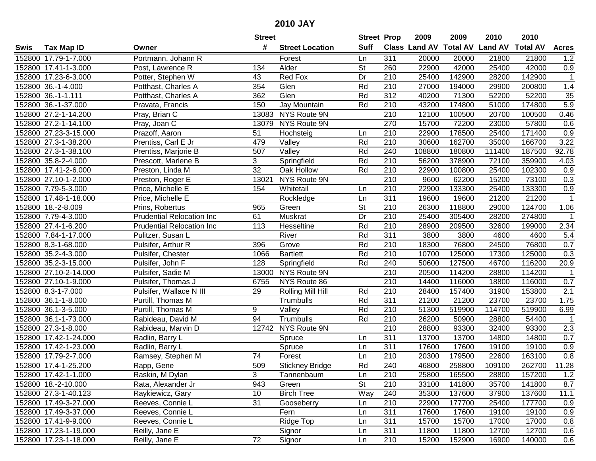|      |                       |                                  | <b>Street</b>   |                        | <b>Street Prop</b>       |                  | 2009                 | 2009   | 2010                    | 2010            |              |
|------|-----------------------|----------------------------------|-----------------|------------------------|--------------------------|------------------|----------------------|--------|-------------------------|-----------------|--------------|
| Swis | <b>Tax Map ID</b>     | Owner                            | #               | <b>Street Location</b> | <b>Suff</b>              |                  | <b>Class Land AV</b> |        | <b>Total AV Land AV</b> | <b>Total AV</b> | <b>Acres</b> |
|      | 152800 17.79-1-7.000  | Portmann, Johann R               |                 | Forest                 | Ln                       | 311              | 20000                | 20000  | 21800                   | 21800           | 1.2          |
|      | 152800 17.41-1-3.000  | Post, Lawrence R                 | 134             | Alder                  | $\overline{\mathsf{St}}$ | 260              | 22900                | 42000  | 25400                   | 42000           | 0.9          |
|      | 152800 17.23-6-3.000  | Potter, Stephen W                | 43              | Red Fox                | Dr                       | 210              | 25400                | 142900 | 28200                   | 142900          | $\mathbf{1}$ |
|      | 152800 36.-1-4.000    | Potthast, Charles A              | 354             | Glen                   | Rd                       | 210              | 27000                | 194000 | 29900                   | 200800          | 1.4          |
|      | 152800 36.-1-1.111    | Potthast, Charles A              | 362             | Glen                   | Rd                       | $\overline{312}$ | 40200                | 71300  | 52200                   | 52200           | 35           |
|      | 152800 36.-1-37.000   | Pravata, Francis                 | 150             | Jay Mountain           | Rd                       | 210              | 43200                | 174800 | 51000                   | 174800          | 5.9          |
|      | 152800 27.2-1-14.200  | Pray, Brian C                    | 13083           | NYS Route 9N           |                          | 210              | 12100                | 100500 | 20700                   | 100500          | 0.46         |
|      | 152800 27.2-1-14.100  | Pray, Joan C                     | 13079           | NYS Route 9N           |                          | 270              | 15700                | 72200  | 23000                   | 57800           | 0.6          |
|      | 152800 27.23-3-15.000 | Prazoff, Aaron                   | 51              | Hochsteig              | Ln                       | $\overline{210}$ | 22900                | 178500 | 25400                   | 171400          | 0.9          |
|      | 152800 27.3-1-38.200  | Prentiss, Carl E Jr              | 479             | Valley                 | Rd                       | 210              | 30600                | 162700 | 35000                   | 166700          | 3.22         |
|      | 152800 27.3-1-38.100  | Prentiss, Marjorie B             | 507             | Valley                 | Rd                       | 240              | 108800               | 180800 | 111400                  | 187500          | 92.78        |
|      | 152800 35.8-2-4.000   | Prescott, Marlene B              | 3               | Springfield            | Rd                       | 210              | 56200                | 378900 | 72100                   | 359900          | 4.03         |
|      | 152800 17.41-2-6.000  | Preston, Linda M                 | $\overline{32}$ | Oak Hollow             | Rd                       | 210              | 22900                | 100800 | 25400                   | 102300          | 0.9          |
|      | 152800 27.10-1-2.000  | Preston, Roger E                 | 13021           | NYS Route 9N           |                          | 210              | 9600                 | 62200  | 15200                   | 73100           | 0.3          |
|      | 152800 7.79-5-3.000   | Price, Michelle E                | 154             | Whitetail              | Ln                       | 210              | 22900                | 133300 | 25400                   | 133300          | 0.9          |
|      | 152800 17.48-1-18.000 | Price, Michelle E                |                 | Rockledge              | Ln                       | 311              | 19600                | 19600  | 21200                   | 21200           | $\mathbf{1}$ |
|      | 152800 18.-2-8.009    | Prins, Robertus                  | 965             | Green                  | $\overline{\mathsf{St}}$ | 210              | 26300                | 118800 | 29000                   | 124700          | 1.06         |
|      | 152800 7.79-4-3.000   | <b>Prudential Relocation Inc</b> | 61              | Muskrat                | Dr                       | 210              | 25400                | 305400 | 28200                   | 274800          | $\mathbf 1$  |
|      | 152800 27.4-1-6.200   | <b>Prudential Relocation Inc</b> | 113             | Hesseltine             | Rd                       | 210              | 28900                | 209500 | 32600                   | 199000          | 2.34         |
|      | 152800 7.84-1-17.000  | Pulitzer, Susan L                |                 | River                  | Rd                       | 311              | 3800                 | 3800   | 4600                    | 4600            | 5.4          |
|      | 152800 8.3-1-68.000   | Pulsifer, Arthur R               | 396             | Grove                  | Rd                       | 210              | 18300                | 76800  | 24500                   | 76800           | 0.7          |
|      | 152800 35.2-4-3.000   | Pulsifer, Chester                | 1066            | <b>Bartlett</b>        | Rd                       | 210              | 10700                | 125000 | 17300                   | 125000          | 0.3          |
|      | 152800 35.2-3-15.000  | Pulsifer, John F                 | 128             | Springfield            | Rd                       | 240              | 50600                | 127500 | 46700                   | 116200          | 20.9         |
|      | 152800 27.10-2-14.000 | Pulsifer, Sadie M                | 13000           | NYS Route 9N           |                          | 210              | 20500                | 114200 | 28800                   | 114200          | $\mathbf 1$  |
|      | 152800 27.10-1-9.000  | Pulsifer, Thomas J               | 6755            | NYS Route 86           |                          | $\overline{210}$ | 14400                | 116000 | 18800                   | 116000          | 0.7          |
|      | 152800 8.3-1-7.000    | Pulsifer, Wallace N III          | 29              | Rolling Mill Hill      | Rd                       | 210              | 28400                | 157400 | 31900                   | 153800          | 2.1          |
|      | 152800 36.1-1-8.000   | Purtill, Thomas M                |                 | Trumbulls              | Rd                       | 311              | 21200                | 21200  | 23700                   | 23700           | 1.75         |
|      | 152800 36.1-3-5.000   | Purtill, Thomas M                | 9               | Valley                 | Rd                       | 210              | 51300                | 519900 | 114700                  | 519900          | 6.99         |
|      | 152800 36.1-1-73.000  | Rabideau, David M                | 94              | Trumbulls              | Rd                       | 210              | 26200                | 50900  | 28800                   | 54400           | $\mathbf{1}$ |
|      | 152800 27.3-1-8.000   | Rabideau, Marvin D               |                 | 12742 NYS Route 9N     |                          | $\overline{210}$ | 28800                | 93300  | 32400                   | 93300           | 2.3          |
|      | 152800 17.42-1-24.000 | Radlin, Barry L                  |                 | Spruce                 | Ln                       | 311              | 13700                | 13700  | 14800                   | 14800           | 0.7          |
|      | 152800 17.42-1-23.000 | Radlin, Barry L                  |                 | Spruce                 | Ln                       | 311              | 17600                | 17600  | 19100                   | 19100           | 0.9          |
|      | 152800 17.79-2-7.000  | Ramsey, Stephen M                | 74              | Forest                 | Ln                       | $\overline{210}$ | 20300                | 179500 | 22600                   | 163100          | 0.8          |
|      | 152800 17.4-1-25.200  | Rapp, Gene                       | 509             | <b>Stickney Bridge</b> | Rd                       | 240              | 46800                | 258800 | 109100                  | 262700          | 11.28        |
|      | 152800 17.42-1-1.000  | Raskin, M Dylan                  | 3               | Tannenbaum             | Ln                       | 210              | 25800                | 165500 | 28800                   | 157200          | 1.2          |
|      | 152800 18.-2-10.000   | Rata, Alexander Jr               | 943             | Green                  | <b>St</b>                | 210              | 33100                | 141800 | 35700                   | 141800          | 8.7          |
|      | 152800 27.3-1-40.123  | Raykiewicz, Gary                 | 10              | <b>Birch Tree</b>      | Way                      | 240              | 35300                | 137600 | 37900                   | 137600          | 11.1         |
|      | 152800 17.49-3-27.000 | Reeves, Connie L                 | 31              | Gooseberry             | Ln                       | 210              | 22900                | 177700 | 25400                   | 177700          | 0.9          |
|      | 152800 17.49-3-37.000 | Reeves, Connie L                 |                 | Fern                   | Ln                       | 311              | 17600                | 17600  | 19100                   | 19100           | 0.9          |
|      | 152800 17.41-9-9.000  | Reeves, Connie L                 |                 | Ridge Top              | Ln                       | 311              | 15700                | 15700  | 17000                   | 17000           | 0.8          |
|      | 152800 17.23-1-19.000 | Reilly, Jane E                   |                 | Signor                 | Ln                       | 311              | 11800                | 11800  | 12700                   | 12700           | 0.6          |
|      | 152800 17.23-1-18.000 | Reilly, Jane E                   | 72              | Signor                 | Ln                       | 210              | 15200                | 152900 | 16900                   | 140000          | 0.6          |
|      |                       |                                  |                 |                        |                          |                  |                      |        |                         |                 |              |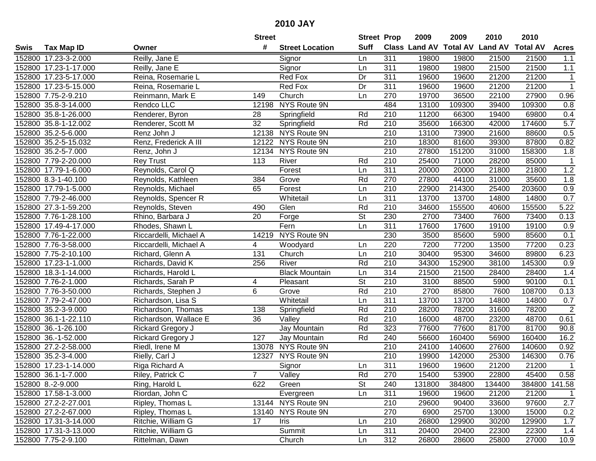| #<br><b>Suff</b><br><b>Class Land AV Total AV</b><br><b>Land AV</b><br><b>Total AV</b><br><b>Tax Map ID</b><br><b>Street Location</b><br><b>Acres</b><br>Swis<br>Owner<br>152800 17.23-3-2.000<br>Reilly, Jane E<br>Signor<br>311<br>19800<br>19800<br>21500<br>21500<br>1.1<br>Ln<br>311<br>21500<br>152800 17.23-1-17.000<br>Signor<br>19800<br>19800<br>21500<br>1.1<br>Reilly, Jane E<br>Ln<br>152800 17.23-5-17.000<br>Reina, Rosemarie L<br>Red Fox<br>Dr<br>311<br>19600<br>19600<br>21200<br>21200<br>$\mathbf 1$<br>Red Fox<br>Dr<br>311<br>19600<br>21200<br>21200<br>$\mathbf{1}$<br>152800 17.23-5-15.000<br>Reina, Rosemarie L<br>19600<br>0.96<br>152800 7.75-2-9.210<br>149<br>270<br>19700<br>36500<br>22100<br>27900<br>Reinmann, Mark E<br>Church<br>Ln<br>12198 NYS Route 9N<br>484<br>152800 35.8-3-14.000<br>Rendco LLC<br>13100<br>109300<br>39400<br>109300<br>0.8<br>Rd<br>210<br>11200<br>69800<br>152800 35.8-1-26.000<br>Renderer, Byron<br>28<br>Springfield<br>66300<br>19400<br>0.4<br>Rd<br>210<br>5.7<br>$\overline{32}$<br>35600<br>166300<br>42000<br>174600<br>152800 35.8-1-12.002<br>Renderer, Scott M<br>Springfield<br>12138 NYS Route 9N<br>$\overline{210}$<br>0.5<br>152800 35.2-5-6.000<br>Renz John J<br>13100<br>73900<br>21600<br>88600<br>12122 NYS Route 9N<br>210<br>39300<br>87800<br>152800 35.2-5-15.032<br>Renz, Frederick A III<br>18300<br>81600<br>0.82<br>12134 NYS Route 9N<br>210<br>151200<br>152800 35.2-5-7.000<br>Renz, John J<br>27800<br>31000<br>158300<br>1.8<br>152800 7.79-2-20.000<br>113<br>River<br>210<br>25400<br>71000<br>28200<br>85000<br><b>Rey Trust</b><br>Rd<br>1<br>311<br>1.2<br>Reynolds, Carol Q<br>Forest<br>20000<br>21800<br>21800<br>152800 17.79-1-6.000<br>Ln<br>20000<br>Rd<br>270<br>35600<br>152800 8.3-1-40.100<br>Reynolds, Kathleen<br>384<br>Grove<br>27800<br>44100<br>31000<br>1.8<br>210<br>152800 17.79-1-5.000<br>65<br>Forest<br>22900<br>214300<br>25400<br>203600<br>0.9<br>Reynolds, Michael<br>Ln<br>311<br>152800 7.79-2-46.000<br>Whitetail<br>13700<br>13700<br>14800<br>14800<br>0.7<br>Reynolds, Spencer R<br>Ln<br>$\overline{210}$<br>Rd<br>5.22<br>152800 27.3-1-59.200<br>Reynolds, Steven<br>490<br>Glen<br>34600<br>155500<br>40600<br>155500<br>$\overline{\mathsf{St}}$<br>152800 7.76-1-28.100<br>20<br>Forge<br>230<br>2700<br>73400<br>7600<br>73400<br>0.13<br>Rhino, Barbara J<br>152800 17.49-4-17.000<br>Rhodes, Shawn L<br>Fern<br>311<br>17600<br>17600<br>19100<br>19100<br>0.9<br>Ln<br>152800 7.76-1-22.000<br>Riccardelli, Michael A<br>14219<br>NYS Route 9N<br>230<br>3500<br>85600<br>5900<br>85600<br>0.1<br>220<br>7200<br>77200<br>0.23<br>152800 7.76-3-58.000<br>Riccardelli, Michael A<br>4<br>77200<br>13500<br>Woodyard<br>Ln<br>152800 7.75-2-10.100<br>Richard, Glenn A<br>131<br>Church<br>210<br>30400<br>95300<br>34600<br>89800<br>6.23<br>Ln<br>River<br>Rd<br>210<br>0.9<br>152800 17.23-1-1.000<br>Richards, David K<br>256<br>34300<br>152900<br>38100<br>145300<br>152800 18.3-1-14.000<br><b>Black Mountain</b><br>314<br>21500<br>21500<br>28400<br>28400<br>1.4<br>Richards, Harold L<br>Ln<br>$\overline{\mathsf{St}}$<br>$\overline{210}$<br>152800 7.76-2-1.000<br>3100<br>90100<br>0.1<br>Richards, Sarah P<br>4<br>Pleasant<br>88500<br>5900<br>6<br>Rd<br>210<br>2700<br>7600<br>152800 7.76-3-50.000<br>Richards, Stephen J<br>Grove<br>85800<br>108700<br>0.13<br>311<br>152800 7.79-2-47.000<br>13700<br>Richardson, Lisa S<br>Whitetail<br>Ln<br>13700<br>14800<br>14800<br>0.7<br>$\sqrt{2}$<br>Rd<br>210<br>28200<br>152800 35.2-3-9.000<br>138<br>78200<br>31600<br>78200<br>Richardson, Thomas<br>Springfield<br>Rd<br>$\overline{210}$<br>152800 36.1-1-22.110<br>36<br>16000<br>48700<br>23200<br>48700<br>0.61<br>Richardson, Wallace E<br>Valley<br>Rd<br>323<br>77600<br>152800 36.-1-26.100<br>Rickard Gregory J<br>Jay Mountain<br>77600<br>81700<br>81700<br>90.8<br>152800 36.-1-52.000<br>127<br>Rd<br>240<br>160400<br>Rickard Gregory J<br>Jay Mountain<br>56600<br>56900<br>160400<br>16.2<br>152800 27.2-2-58.000<br>Riedl, Irene M<br>13078 NYS Route 9N<br>210<br>24100<br>140600<br>27600<br>140600<br>0.92<br>152800 35.2-3-4.000<br>NYS Route 9N<br>$\overline{210}$<br>19900<br>146300<br>0.76<br>Rielly, Carl J<br>12327<br>142000<br>25300<br>Signor<br>311<br>152800 17.23-1-14.000<br>19600<br>19600<br>21200<br>21200<br>Riga Richard A<br>$\mathbf{1}$<br>Ln<br>152800 36.1-1-7.000<br>Riley, Patrick C<br>Valley<br>Rd<br>270<br>15400<br>53900<br>22800<br>45400<br>0.58<br><b>St</b><br>152800 8.-2-9.000<br>Ring, Harold L<br>622<br>Green<br>240<br>131800<br>384800<br>134400<br>384800<br>141.58<br>Riordan, John C<br>311<br>19600<br>21200<br>21200<br>152800 17.58-1-3.000<br>Evergreen<br>Ln<br>19600<br>$\mathbf{1}$<br>13144 NYS Route 9N<br>152800 27.2-2-27.001<br>Ripley, Thomas L<br>210<br>29600<br>90400<br>33600<br>97600<br>2.7<br>152800 27.2-2-67.000<br>Ripley, Thomas L<br>13140 NYS Route 9N<br>270<br>0.2<br>6900<br>25700<br>13000<br>15000<br>152800 17.31-3-14.000<br>Ritchie, William G<br>210<br>26800<br>30200<br>1.7<br>17<br>Iris<br>129900<br>129900<br>Ln<br>Ritchie, William G<br>311<br>152800 17.31-3-13.000<br>Summit<br>20400<br>20400<br>22300<br>22300<br>1.4<br>Ln<br>152800 7.75-2-9.100<br>Church<br>312<br>Rittelman, Dawn<br>26800<br>25800<br>27000<br>10.9<br>Ln<br>28600 |  | <b>Street</b> | <b>Street Prop</b> | 2009 | 2009 | 2010 | 2010 |  |
|-------------------------------------------------------------------------------------------------------------------------------------------------------------------------------------------------------------------------------------------------------------------------------------------------------------------------------------------------------------------------------------------------------------------------------------------------------------------------------------------------------------------------------------------------------------------------------------------------------------------------------------------------------------------------------------------------------------------------------------------------------------------------------------------------------------------------------------------------------------------------------------------------------------------------------------------------------------------------------------------------------------------------------------------------------------------------------------------------------------------------------------------------------------------------------------------------------------------------------------------------------------------------------------------------------------------------------------------------------------------------------------------------------------------------------------------------------------------------------------------------------------------------------------------------------------------------------------------------------------------------------------------------------------------------------------------------------------------------------------------------------------------------------------------------------------------------------------------------------------------------------------------------------------------------------------------------------------------------------------------------------------------------------------------------------------------------------------------------------------------------------------------------------------------------------------------------------------------------------------------------------------------------------------------------------------------------------------------------------------------------------------------------------------------------------------------------------------------------------------------------------------------------------------------------------------------------------------------------------------------------------------------------------------------------------------------------------------------------------------------------------------------------------------------------------------------------------------------------------------------------------------------------------------------------------------------------------------------------------------------------------------------------------------------------------------------------------------------------------------------------------------------------------------------------------------------------------------------------------------------------------------------------------------------------------------------------------------------------------------------------------------------------------------------------------------------------------------------------------------------------------------------------------------------------------------------------------------------------------------------------------------------------------------------------------------------------------------------------------------------------------------------------------------------------------------------------------------------------------------------------------------------------------------------------------------------------------------------------------------------------------------------------------------------------------------------------------------------------------------------------------------------------------------------------------------------------------------------------------------------------------------------------------------------------------------------------------------------------------------------------------------------------------------------------------------------------------------------------------------------------------------------------------------------------------------------------------------------------------------------------------------------------------------------------------------------------------------------------------------------------------------------------------------------------------------------------------------------------------------------------------------------------------------------------------------------------------------------------------------------------------------------------------------------------------------------------------------------------------------------------------------------------------------------------------------------------------------------------------------------------------------------------------------------------------------------------------------------------------------------------------------------------------------------------------------|--|---------------|--------------------|------|------|------|------|--|
|                                                                                                                                                                                                                                                                                                                                                                                                                                                                                                                                                                                                                                                                                                                                                                                                                                                                                                                                                                                                                                                                                                                                                                                                                                                                                                                                                                                                                                                                                                                                                                                                                                                                                                                                                                                                                                                                                                                                                                                                                                                                                                                                                                                                                                                                                                                                                                                                                                                                                                                                                                                                                                                                                                                                                                                                                                                                                                                                                                                                                                                                                                                                                                                                                                                                                                                                                                                                                                                                                                                                                                                                                                                                                                                                                                                                                                                                                                                                                                                                                                                                                                                                                                                                                                                                                                                                                                                                                                                                                                                                                                                                                                                                                                                                                                                                                                                                                                                                                                                                                                                                                                                                                                                                                                                                                                                                                                                                                                     |  |               |                    |      |      |      |      |  |
|                                                                                                                                                                                                                                                                                                                                                                                                                                                                                                                                                                                                                                                                                                                                                                                                                                                                                                                                                                                                                                                                                                                                                                                                                                                                                                                                                                                                                                                                                                                                                                                                                                                                                                                                                                                                                                                                                                                                                                                                                                                                                                                                                                                                                                                                                                                                                                                                                                                                                                                                                                                                                                                                                                                                                                                                                                                                                                                                                                                                                                                                                                                                                                                                                                                                                                                                                                                                                                                                                                                                                                                                                                                                                                                                                                                                                                                                                                                                                                                                                                                                                                                                                                                                                                                                                                                                                                                                                                                                                                                                                                                                                                                                                                                                                                                                                                                                                                                                                                                                                                                                                                                                                                                                                                                                                                                                                                                                                                     |  |               |                    |      |      |      |      |  |
|                                                                                                                                                                                                                                                                                                                                                                                                                                                                                                                                                                                                                                                                                                                                                                                                                                                                                                                                                                                                                                                                                                                                                                                                                                                                                                                                                                                                                                                                                                                                                                                                                                                                                                                                                                                                                                                                                                                                                                                                                                                                                                                                                                                                                                                                                                                                                                                                                                                                                                                                                                                                                                                                                                                                                                                                                                                                                                                                                                                                                                                                                                                                                                                                                                                                                                                                                                                                                                                                                                                                                                                                                                                                                                                                                                                                                                                                                                                                                                                                                                                                                                                                                                                                                                                                                                                                                                                                                                                                                                                                                                                                                                                                                                                                                                                                                                                                                                                                                                                                                                                                                                                                                                                                                                                                                                                                                                                                                                     |  |               |                    |      |      |      |      |  |
|                                                                                                                                                                                                                                                                                                                                                                                                                                                                                                                                                                                                                                                                                                                                                                                                                                                                                                                                                                                                                                                                                                                                                                                                                                                                                                                                                                                                                                                                                                                                                                                                                                                                                                                                                                                                                                                                                                                                                                                                                                                                                                                                                                                                                                                                                                                                                                                                                                                                                                                                                                                                                                                                                                                                                                                                                                                                                                                                                                                                                                                                                                                                                                                                                                                                                                                                                                                                                                                                                                                                                                                                                                                                                                                                                                                                                                                                                                                                                                                                                                                                                                                                                                                                                                                                                                                                                                                                                                                                                                                                                                                                                                                                                                                                                                                                                                                                                                                                                                                                                                                                                                                                                                                                                                                                                                                                                                                                                                     |  |               |                    |      |      |      |      |  |
|                                                                                                                                                                                                                                                                                                                                                                                                                                                                                                                                                                                                                                                                                                                                                                                                                                                                                                                                                                                                                                                                                                                                                                                                                                                                                                                                                                                                                                                                                                                                                                                                                                                                                                                                                                                                                                                                                                                                                                                                                                                                                                                                                                                                                                                                                                                                                                                                                                                                                                                                                                                                                                                                                                                                                                                                                                                                                                                                                                                                                                                                                                                                                                                                                                                                                                                                                                                                                                                                                                                                                                                                                                                                                                                                                                                                                                                                                                                                                                                                                                                                                                                                                                                                                                                                                                                                                                                                                                                                                                                                                                                                                                                                                                                                                                                                                                                                                                                                                                                                                                                                                                                                                                                                                                                                                                                                                                                                                                     |  |               |                    |      |      |      |      |  |
|                                                                                                                                                                                                                                                                                                                                                                                                                                                                                                                                                                                                                                                                                                                                                                                                                                                                                                                                                                                                                                                                                                                                                                                                                                                                                                                                                                                                                                                                                                                                                                                                                                                                                                                                                                                                                                                                                                                                                                                                                                                                                                                                                                                                                                                                                                                                                                                                                                                                                                                                                                                                                                                                                                                                                                                                                                                                                                                                                                                                                                                                                                                                                                                                                                                                                                                                                                                                                                                                                                                                                                                                                                                                                                                                                                                                                                                                                                                                                                                                                                                                                                                                                                                                                                                                                                                                                                                                                                                                                                                                                                                                                                                                                                                                                                                                                                                                                                                                                                                                                                                                                                                                                                                                                                                                                                                                                                                                                                     |  |               |                    |      |      |      |      |  |
|                                                                                                                                                                                                                                                                                                                                                                                                                                                                                                                                                                                                                                                                                                                                                                                                                                                                                                                                                                                                                                                                                                                                                                                                                                                                                                                                                                                                                                                                                                                                                                                                                                                                                                                                                                                                                                                                                                                                                                                                                                                                                                                                                                                                                                                                                                                                                                                                                                                                                                                                                                                                                                                                                                                                                                                                                                                                                                                                                                                                                                                                                                                                                                                                                                                                                                                                                                                                                                                                                                                                                                                                                                                                                                                                                                                                                                                                                                                                                                                                                                                                                                                                                                                                                                                                                                                                                                                                                                                                                                                                                                                                                                                                                                                                                                                                                                                                                                                                                                                                                                                                                                                                                                                                                                                                                                                                                                                                                                     |  |               |                    |      |      |      |      |  |
|                                                                                                                                                                                                                                                                                                                                                                                                                                                                                                                                                                                                                                                                                                                                                                                                                                                                                                                                                                                                                                                                                                                                                                                                                                                                                                                                                                                                                                                                                                                                                                                                                                                                                                                                                                                                                                                                                                                                                                                                                                                                                                                                                                                                                                                                                                                                                                                                                                                                                                                                                                                                                                                                                                                                                                                                                                                                                                                                                                                                                                                                                                                                                                                                                                                                                                                                                                                                                                                                                                                                                                                                                                                                                                                                                                                                                                                                                                                                                                                                                                                                                                                                                                                                                                                                                                                                                                                                                                                                                                                                                                                                                                                                                                                                                                                                                                                                                                                                                                                                                                                                                                                                                                                                                                                                                                                                                                                                                                     |  |               |                    |      |      |      |      |  |
|                                                                                                                                                                                                                                                                                                                                                                                                                                                                                                                                                                                                                                                                                                                                                                                                                                                                                                                                                                                                                                                                                                                                                                                                                                                                                                                                                                                                                                                                                                                                                                                                                                                                                                                                                                                                                                                                                                                                                                                                                                                                                                                                                                                                                                                                                                                                                                                                                                                                                                                                                                                                                                                                                                                                                                                                                                                                                                                                                                                                                                                                                                                                                                                                                                                                                                                                                                                                                                                                                                                                                                                                                                                                                                                                                                                                                                                                                                                                                                                                                                                                                                                                                                                                                                                                                                                                                                                                                                                                                                                                                                                                                                                                                                                                                                                                                                                                                                                                                                                                                                                                                                                                                                                                                                                                                                                                                                                                                                     |  |               |                    |      |      |      |      |  |
|                                                                                                                                                                                                                                                                                                                                                                                                                                                                                                                                                                                                                                                                                                                                                                                                                                                                                                                                                                                                                                                                                                                                                                                                                                                                                                                                                                                                                                                                                                                                                                                                                                                                                                                                                                                                                                                                                                                                                                                                                                                                                                                                                                                                                                                                                                                                                                                                                                                                                                                                                                                                                                                                                                                                                                                                                                                                                                                                                                                                                                                                                                                                                                                                                                                                                                                                                                                                                                                                                                                                                                                                                                                                                                                                                                                                                                                                                                                                                                                                                                                                                                                                                                                                                                                                                                                                                                                                                                                                                                                                                                                                                                                                                                                                                                                                                                                                                                                                                                                                                                                                                                                                                                                                                                                                                                                                                                                                                                     |  |               |                    |      |      |      |      |  |
|                                                                                                                                                                                                                                                                                                                                                                                                                                                                                                                                                                                                                                                                                                                                                                                                                                                                                                                                                                                                                                                                                                                                                                                                                                                                                                                                                                                                                                                                                                                                                                                                                                                                                                                                                                                                                                                                                                                                                                                                                                                                                                                                                                                                                                                                                                                                                                                                                                                                                                                                                                                                                                                                                                                                                                                                                                                                                                                                                                                                                                                                                                                                                                                                                                                                                                                                                                                                                                                                                                                                                                                                                                                                                                                                                                                                                                                                                                                                                                                                                                                                                                                                                                                                                                                                                                                                                                                                                                                                                                                                                                                                                                                                                                                                                                                                                                                                                                                                                                                                                                                                                                                                                                                                                                                                                                                                                                                                                                     |  |               |                    |      |      |      |      |  |
|                                                                                                                                                                                                                                                                                                                                                                                                                                                                                                                                                                                                                                                                                                                                                                                                                                                                                                                                                                                                                                                                                                                                                                                                                                                                                                                                                                                                                                                                                                                                                                                                                                                                                                                                                                                                                                                                                                                                                                                                                                                                                                                                                                                                                                                                                                                                                                                                                                                                                                                                                                                                                                                                                                                                                                                                                                                                                                                                                                                                                                                                                                                                                                                                                                                                                                                                                                                                                                                                                                                                                                                                                                                                                                                                                                                                                                                                                                                                                                                                                                                                                                                                                                                                                                                                                                                                                                                                                                                                                                                                                                                                                                                                                                                                                                                                                                                                                                                                                                                                                                                                                                                                                                                                                                                                                                                                                                                                                                     |  |               |                    |      |      |      |      |  |
|                                                                                                                                                                                                                                                                                                                                                                                                                                                                                                                                                                                                                                                                                                                                                                                                                                                                                                                                                                                                                                                                                                                                                                                                                                                                                                                                                                                                                                                                                                                                                                                                                                                                                                                                                                                                                                                                                                                                                                                                                                                                                                                                                                                                                                                                                                                                                                                                                                                                                                                                                                                                                                                                                                                                                                                                                                                                                                                                                                                                                                                                                                                                                                                                                                                                                                                                                                                                                                                                                                                                                                                                                                                                                                                                                                                                                                                                                                                                                                                                                                                                                                                                                                                                                                                                                                                                                                                                                                                                                                                                                                                                                                                                                                                                                                                                                                                                                                                                                                                                                                                                                                                                                                                                                                                                                                                                                                                                                                     |  |               |                    |      |      |      |      |  |
|                                                                                                                                                                                                                                                                                                                                                                                                                                                                                                                                                                                                                                                                                                                                                                                                                                                                                                                                                                                                                                                                                                                                                                                                                                                                                                                                                                                                                                                                                                                                                                                                                                                                                                                                                                                                                                                                                                                                                                                                                                                                                                                                                                                                                                                                                                                                                                                                                                                                                                                                                                                                                                                                                                                                                                                                                                                                                                                                                                                                                                                                                                                                                                                                                                                                                                                                                                                                                                                                                                                                                                                                                                                                                                                                                                                                                                                                                                                                                                                                                                                                                                                                                                                                                                                                                                                                                                                                                                                                                                                                                                                                                                                                                                                                                                                                                                                                                                                                                                                                                                                                                                                                                                                                                                                                                                                                                                                                                                     |  |               |                    |      |      |      |      |  |
|                                                                                                                                                                                                                                                                                                                                                                                                                                                                                                                                                                                                                                                                                                                                                                                                                                                                                                                                                                                                                                                                                                                                                                                                                                                                                                                                                                                                                                                                                                                                                                                                                                                                                                                                                                                                                                                                                                                                                                                                                                                                                                                                                                                                                                                                                                                                                                                                                                                                                                                                                                                                                                                                                                                                                                                                                                                                                                                                                                                                                                                                                                                                                                                                                                                                                                                                                                                                                                                                                                                                                                                                                                                                                                                                                                                                                                                                                                                                                                                                                                                                                                                                                                                                                                                                                                                                                                                                                                                                                                                                                                                                                                                                                                                                                                                                                                                                                                                                                                                                                                                                                                                                                                                                                                                                                                                                                                                                                                     |  |               |                    |      |      |      |      |  |
|                                                                                                                                                                                                                                                                                                                                                                                                                                                                                                                                                                                                                                                                                                                                                                                                                                                                                                                                                                                                                                                                                                                                                                                                                                                                                                                                                                                                                                                                                                                                                                                                                                                                                                                                                                                                                                                                                                                                                                                                                                                                                                                                                                                                                                                                                                                                                                                                                                                                                                                                                                                                                                                                                                                                                                                                                                                                                                                                                                                                                                                                                                                                                                                                                                                                                                                                                                                                                                                                                                                                                                                                                                                                                                                                                                                                                                                                                                                                                                                                                                                                                                                                                                                                                                                                                                                                                                                                                                                                                                                                                                                                                                                                                                                                                                                                                                                                                                                                                                                                                                                                                                                                                                                                                                                                                                                                                                                                                                     |  |               |                    |      |      |      |      |  |
|                                                                                                                                                                                                                                                                                                                                                                                                                                                                                                                                                                                                                                                                                                                                                                                                                                                                                                                                                                                                                                                                                                                                                                                                                                                                                                                                                                                                                                                                                                                                                                                                                                                                                                                                                                                                                                                                                                                                                                                                                                                                                                                                                                                                                                                                                                                                                                                                                                                                                                                                                                                                                                                                                                                                                                                                                                                                                                                                                                                                                                                                                                                                                                                                                                                                                                                                                                                                                                                                                                                                                                                                                                                                                                                                                                                                                                                                                                                                                                                                                                                                                                                                                                                                                                                                                                                                                                                                                                                                                                                                                                                                                                                                                                                                                                                                                                                                                                                                                                                                                                                                                                                                                                                                                                                                                                                                                                                                                                     |  |               |                    |      |      |      |      |  |
|                                                                                                                                                                                                                                                                                                                                                                                                                                                                                                                                                                                                                                                                                                                                                                                                                                                                                                                                                                                                                                                                                                                                                                                                                                                                                                                                                                                                                                                                                                                                                                                                                                                                                                                                                                                                                                                                                                                                                                                                                                                                                                                                                                                                                                                                                                                                                                                                                                                                                                                                                                                                                                                                                                                                                                                                                                                                                                                                                                                                                                                                                                                                                                                                                                                                                                                                                                                                                                                                                                                                                                                                                                                                                                                                                                                                                                                                                                                                                                                                                                                                                                                                                                                                                                                                                                                                                                                                                                                                                                                                                                                                                                                                                                                                                                                                                                                                                                                                                                                                                                                                                                                                                                                                                                                                                                                                                                                                                                     |  |               |                    |      |      |      |      |  |
|                                                                                                                                                                                                                                                                                                                                                                                                                                                                                                                                                                                                                                                                                                                                                                                                                                                                                                                                                                                                                                                                                                                                                                                                                                                                                                                                                                                                                                                                                                                                                                                                                                                                                                                                                                                                                                                                                                                                                                                                                                                                                                                                                                                                                                                                                                                                                                                                                                                                                                                                                                                                                                                                                                                                                                                                                                                                                                                                                                                                                                                                                                                                                                                                                                                                                                                                                                                                                                                                                                                                                                                                                                                                                                                                                                                                                                                                                                                                                                                                                                                                                                                                                                                                                                                                                                                                                                                                                                                                                                                                                                                                                                                                                                                                                                                                                                                                                                                                                                                                                                                                                                                                                                                                                                                                                                                                                                                                                                     |  |               |                    |      |      |      |      |  |
|                                                                                                                                                                                                                                                                                                                                                                                                                                                                                                                                                                                                                                                                                                                                                                                                                                                                                                                                                                                                                                                                                                                                                                                                                                                                                                                                                                                                                                                                                                                                                                                                                                                                                                                                                                                                                                                                                                                                                                                                                                                                                                                                                                                                                                                                                                                                                                                                                                                                                                                                                                                                                                                                                                                                                                                                                                                                                                                                                                                                                                                                                                                                                                                                                                                                                                                                                                                                                                                                                                                                                                                                                                                                                                                                                                                                                                                                                                                                                                                                                                                                                                                                                                                                                                                                                                                                                                                                                                                                                                                                                                                                                                                                                                                                                                                                                                                                                                                                                                                                                                                                                                                                                                                                                                                                                                                                                                                                                                     |  |               |                    |      |      |      |      |  |
|                                                                                                                                                                                                                                                                                                                                                                                                                                                                                                                                                                                                                                                                                                                                                                                                                                                                                                                                                                                                                                                                                                                                                                                                                                                                                                                                                                                                                                                                                                                                                                                                                                                                                                                                                                                                                                                                                                                                                                                                                                                                                                                                                                                                                                                                                                                                                                                                                                                                                                                                                                                                                                                                                                                                                                                                                                                                                                                                                                                                                                                                                                                                                                                                                                                                                                                                                                                                                                                                                                                                                                                                                                                                                                                                                                                                                                                                                                                                                                                                                                                                                                                                                                                                                                                                                                                                                                                                                                                                                                                                                                                                                                                                                                                                                                                                                                                                                                                                                                                                                                                                                                                                                                                                                                                                                                                                                                                                                                     |  |               |                    |      |      |      |      |  |
|                                                                                                                                                                                                                                                                                                                                                                                                                                                                                                                                                                                                                                                                                                                                                                                                                                                                                                                                                                                                                                                                                                                                                                                                                                                                                                                                                                                                                                                                                                                                                                                                                                                                                                                                                                                                                                                                                                                                                                                                                                                                                                                                                                                                                                                                                                                                                                                                                                                                                                                                                                                                                                                                                                                                                                                                                                                                                                                                                                                                                                                                                                                                                                                                                                                                                                                                                                                                                                                                                                                                                                                                                                                                                                                                                                                                                                                                                                                                                                                                                                                                                                                                                                                                                                                                                                                                                                                                                                                                                                                                                                                                                                                                                                                                                                                                                                                                                                                                                                                                                                                                                                                                                                                                                                                                                                                                                                                                                                     |  |               |                    |      |      |      |      |  |
|                                                                                                                                                                                                                                                                                                                                                                                                                                                                                                                                                                                                                                                                                                                                                                                                                                                                                                                                                                                                                                                                                                                                                                                                                                                                                                                                                                                                                                                                                                                                                                                                                                                                                                                                                                                                                                                                                                                                                                                                                                                                                                                                                                                                                                                                                                                                                                                                                                                                                                                                                                                                                                                                                                                                                                                                                                                                                                                                                                                                                                                                                                                                                                                                                                                                                                                                                                                                                                                                                                                                                                                                                                                                                                                                                                                                                                                                                                                                                                                                                                                                                                                                                                                                                                                                                                                                                                                                                                                                                                                                                                                                                                                                                                                                                                                                                                                                                                                                                                                                                                                                                                                                                                                                                                                                                                                                                                                                                                     |  |               |                    |      |      |      |      |  |
|                                                                                                                                                                                                                                                                                                                                                                                                                                                                                                                                                                                                                                                                                                                                                                                                                                                                                                                                                                                                                                                                                                                                                                                                                                                                                                                                                                                                                                                                                                                                                                                                                                                                                                                                                                                                                                                                                                                                                                                                                                                                                                                                                                                                                                                                                                                                                                                                                                                                                                                                                                                                                                                                                                                                                                                                                                                                                                                                                                                                                                                                                                                                                                                                                                                                                                                                                                                                                                                                                                                                                                                                                                                                                                                                                                                                                                                                                                                                                                                                                                                                                                                                                                                                                                                                                                                                                                                                                                                                                                                                                                                                                                                                                                                                                                                                                                                                                                                                                                                                                                                                                                                                                                                                                                                                                                                                                                                                                                     |  |               |                    |      |      |      |      |  |
|                                                                                                                                                                                                                                                                                                                                                                                                                                                                                                                                                                                                                                                                                                                                                                                                                                                                                                                                                                                                                                                                                                                                                                                                                                                                                                                                                                                                                                                                                                                                                                                                                                                                                                                                                                                                                                                                                                                                                                                                                                                                                                                                                                                                                                                                                                                                                                                                                                                                                                                                                                                                                                                                                                                                                                                                                                                                                                                                                                                                                                                                                                                                                                                                                                                                                                                                                                                                                                                                                                                                                                                                                                                                                                                                                                                                                                                                                                                                                                                                                                                                                                                                                                                                                                                                                                                                                                                                                                                                                                                                                                                                                                                                                                                                                                                                                                                                                                                                                                                                                                                                                                                                                                                                                                                                                                                                                                                                                                     |  |               |                    |      |      |      |      |  |
|                                                                                                                                                                                                                                                                                                                                                                                                                                                                                                                                                                                                                                                                                                                                                                                                                                                                                                                                                                                                                                                                                                                                                                                                                                                                                                                                                                                                                                                                                                                                                                                                                                                                                                                                                                                                                                                                                                                                                                                                                                                                                                                                                                                                                                                                                                                                                                                                                                                                                                                                                                                                                                                                                                                                                                                                                                                                                                                                                                                                                                                                                                                                                                                                                                                                                                                                                                                                                                                                                                                                                                                                                                                                                                                                                                                                                                                                                                                                                                                                                                                                                                                                                                                                                                                                                                                                                                                                                                                                                                                                                                                                                                                                                                                                                                                                                                                                                                                                                                                                                                                                                                                                                                                                                                                                                                                                                                                                                                     |  |               |                    |      |      |      |      |  |
|                                                                                                                                                                                                                                                                                                                                                                                                                                                                                                                                                                                                                                                                                                                                                                                                                                                                                                                                                                                                                                                                                                                                                                                                                                                                                                                                                                                                                                                                                                                                                                                                                                                                                                                                                                                                                                                                                                                                                                                                                                                                                                                                                                                                                                                                                                                                                                                                                                                                                                                                                                                                                                                                                                                                                                                                                                                                                                                                                                                                                                                                                                                                                                                                                                                                                                                                                                                                                                                                                                                                                                                                                                                                                                                                                                                                                                                                                                                                                                                                                                                                                                                                                                                                                                                                                                                                                                                                                                                                                                                                                                                                                                                                                                                                                                                                                                                                                                                                                                                                                                                                                                                                                                                                                                                                                                                                                                                                                                     |  |               |                    |      |      |      |      |  |
|                                                                                                                                                                                                                                                                                                                                                                                                                                                                                                                                                                                                                                                                                                                                                                                                                                                                                                                                                                                                                                                                                                                                                                                                                                                                                                                                                                                                                                                                                                                                                                                                                                                                                                                                                                                                                                                                                                                                                                                                                                                                                                                                                                                                                                                                                                                                                                                                                                                                                                                                                                                                                                                                                                                                                                                                                                                                                                                                                                                                                                                                                                                                                                                                                                                                                                                                                                                                                                                                                                                                                                                                                                                                                                                                                                                                                                                                                                                                                                                                                                                                                                                                                                                                                                                                                                                                                                                                                                                                                                                                                                                                                                                                                                                                                                                                                                                                                                                                                                                                                                                                                                                                                                                                                                                                                                                                                                                                                                     |  |               |                    |      |      |      |      |  |
|                                                                                                                                                                                                                                                                                                                                                                                                                                                                                                                                                                                                                                                                                                                                                                                                                                                                                                                                                                                                                                                                                                                                                                                                                                                                                                                                                                                                                                                                                                                                                                                                                                                                                                                                                                                                                                                                                                                                                                                                                                                                                                                                                                                                                                                                                                                                                                                                                                                                                                                                                                                                                                                                                                                                                                                                                                                                                                                                                                                                                                                                                                                                                                                                                                                                                                                                                                                                                                                                                                                                                                                                                                                                                                                                                                                                                                                                                                                                                                                                                                                                                                                                                                                                                                                                                                                                                                                                                                                                                                                                                                                                                                                                                                                                                                                                                                                                                                                                                                                                                                                                                                                                                                                                                                                                                                                                                                                                                                     |  |               |                    |      |      |      |      |  |
|                                                                                                                                                                                                                                                                                                                                                                                                                                                                                                                                                                                                                                                                                                                                                                                                                                                                                                                                                                                                                                                                                                                                                                                                                                                                                                                                                                                                                                                                                                                                                                                                                                                                                                                                                                                                                                                                                                                                                                                                                                                                                                                                                                                                                                                                                                                                                                                                                                                                                                                                                                                                                                                                                                                                                                                                                                                                                                                                                                                                                                                                                                                                                                                                                                                                                                                                                                                                                                                                                                                                                                                                                                                                                                                                                                                                                                                                                                                                                                                                                                                                                                                                                                                                                                                                                                                                                                                                                                                                                                                                                                                                                                                                                                                                                                                                                                                                                                                                                                                                                                                                                                                                                                                                                                                                                                                                                                                                                                     |  |               |                    |      |      |      |      |  |
|                                                                                                                                                                                                                                                                                                                                                                                                                                                                                                                                                                                                                                                                                                                                                                                                                                                                                                                                                                                                                                                                                                                                                                                                                                                                                                                                                                                                                                                                                                                                                                                                                                                                                                                                                                                                                                                                                                                                                                                                                                                                                                                                                                                                                                                                                                                                                                                                                                                                                                                                                                                                                                                                                                                                                                                                                                                                                                                                                                                                                                                                                                                                                                                                                                                                                                                                                                                                                                                                                                                                                                                                                                                                                                                                                                                                                                                                                                                                                                                                                                                                                                                                                                                                                                                                                                                                                                                                                                                                                                                                                                                                                                                                                                                                                                                                                                                                                                                                                                                                                                                                                                                                                                                                                                                                                                                                                                                                                                     |  |               |                    |      |      |      |      |  |
|                                                                                                                                                                                                                                                                                                                                                                                                                                                                                                                                                                                                                                                                                                                                                                                                                                                                                                                                                                                                                                                                                                                                                                                                                                                                                                                                                                                                                                                                                                                                                                                                                                                                                                                                                                                                                                                                                                                                                                                                                                                                                                                                                                                                                                                                                                                                                                                                                                                                                                                                                                                                                                                                                                                                                                                                                                                                                                                                                                                                                                                                                                                                                                                                                                                                                                                                                                                                                                                                                                                                                                                                                                                                                                                                                                                                                                                                                                                                                                                                                                                                                                                                                                                                                                                                                                                                                                                                                                                                                                                                                                                                                                                                                                                                                                                                                                                                                                                                                                                                                                                                                                                                                                                                                                                                                                                                                                                                                                     |  |               |                    |      |      |      |      |  |
|                                                                                                                                                                                                                                                                                                                                                                                                                                                                                                                                                                                                                                                                                                                                                                                                                                                                                                                                                                                                                                                                                                                                                                                                                                                                                                                                                                                                                                                                                                                                                                                                                                                                                                                                                                                                                                                                                                                                                                                                                                                                                                                                                                                                                                                                                                                                                                                                                                                                                                                                                                                                                                                                                                                                                                                                                                                                                                                                                                                                                                                                                                                                                                                                                                                                                                                                                                                                                                                                                                                                                                                                                                                                                                                                                                                                                                                                                                                                                                                                                                                                                                                                                                                                                                                                                                                                                                                                                                                                                                                                                                                                                                                                                                                                                                                                                                                                                                                                                                                                                                                                                                                                                                                                                                                                                                                                                                                                                                     |  |               |                    |      |      |      |      |  |
|                                                                                                                                                                                                                                                                                                                                                                                                                                                                                                                                                                                                                                                                                                                                                                                                                                                                                                                                                                                                                                                                                                                                                                                                                                                                                                                                                                                                                                                                                                                                                                                                                                                                                                                                                                                                                                                                                                                                                                                                                                                                                                                                                                                                                                                                                                                                                                                                                                                                                                                                                                                                                                                                                                                                                                                                                                                                                                                                                                                                                                                                                                                                                                                                                                                                                                                                                                                                                                                                                                                                                                                                                                                                                                                                                                                                                                                                                                                                                                                                                                                                                                                                                                                                                                                                                                                                                                                                                                                                                                                                                                                                                                                                                                                                                                                                                                                                                                                                                                                                                                                                                                                                                                                                                                                                                                                                                                                                                                     |  |               |                    |      |      |      |      |  |
|                                                                                                                                                                                                                                                                                                                                                                                                                                                                                                                                                                                                                                                                                                                                                                                                                                                                                                                                                                                                                                                                                                                                                                                                                                                                                                                                                                                                                                                                                                                                                                                                                                                                                                                                                                                                                                                                                                                                                                                                                                                                                                                                                                                                                                                                                                                                                                                                                                                                                                                                                                                                                                                                                                                                                                                                                                                                                                                                                                                                                                                                                                                                                                                                                                                                                                                                                                                                                                                                                                                                                                                                                                                                                                                                                                                                                                                                                                                                                                                                                                                                                                                                                                                                                                                                                                                                                                                                                                                                                                                                                                                                                                                                                                                                                                                                                                                                                                                                                                                                                                                                                                                                                                                                                                                                                                                                                                                                                                     |  |               |                    |      |      |      |      |  |
|                                                                                                                                                                                                                                                                                                                                                                                                                                                                                                                                                                                                                                                                                                                                                                                                                                                                                                                                                                                                                                                                                                                                                                                                                                                                                                                                                                                                                                                                                                                                                                                                                                                                                                                                                                                                                                                                                                                                                                                                                                                                                                                                                                                                                                                                                                                                                                                                                                                                                                                                                                                                                                                                                                                                                                                                                                                                                                                                                                                                                                                                                                                                                                                                                                                                                                                                                                                                                                                                                                                                                                                                                                                                                                                                                                                                                                                                                                                                                                                                                                                                                                                                                                                                                                                                                                                                                                                                                                                                                                                                                                                                                                                                                                                                                                                                                                                                                                                                                                                                                                                                                                                                                                                                                                                                                                                                                                                                                                     |  |               |                    |      |      |      |      |  |
|                                                                                                                                                                                                                                                                                                                                                                                                                                                                                                                                                                                                                                                                                                                                                                                                                                                                                                                                                                                                                                                                                                                                                                                                                                                                                                                                                                                                                                                                                                                                                                                                                                                                                                                                                                                                                                                                                                                                                                                                                                                                                                                                                                                                                                                                                                                                                                                                                                                                                                                                                                                                                                                                                                                                                                                                                                                                                                                                                                                                                                                                                                                                                                                                                                                                                                                                                                                                                                                                                                                                                                                                                                                                                                                                                                                                                                                                                                                                                                                                                                                                                                                                                                                                                                                                                                                                                                                                                                                                                                                                                                                                                                                                                                                                                                                                                                                                                                                                                                                                                                                                                                                                                                                                                                                                                                                                                                                                                                     |  |               |                    |      |      |      |      |  |
|                                                                                                                                                                                                                                                                                                                                                                                                                                                                                                                                                                                                                                                                                                                                                                                                                                                                                                                                                                                                                                                                                                                                                                                                                                                                                                                                                                                                                                                                                                                                                                                                                                                                                                                                                                                                                                                                                                                                                                                                                                                                                                                                                                                                                                                                                                                                                                                                                                                                                                                                                                                                                                                                                                                                                                                                                                                                                                                                                                                                                                                                                                                                                                                                                                                                                                                                                                                                                                                                                                                                                                                                                                                                                                                                                                                                                                                                                                                                                                                                                                                                                                                                                                                                                                                                                                                                                                                                                                                                                                                                                                                                                                                                                                                                                                                                                                                                                                                                                                                                                                                                                                                                                                                                                                                                                                                                                                                                                                     |  |               |                    |      |      |      |      |  |
|                                                                                                                                                                                                                                                                                                                                                                                                                                                                                                                                                                                                                                                                                                                                                                                                                                                                                                                                                                                                                                                                                                                                                                                                                                                                                                                                                                                                                                                                                                                                                                                                                                                                                                                                                                                                                                                                                                                                                                                                                                                                                                                                                                                                                                                                                                                                                                                                                                                                                                                                                                                                                                                                                                                                                                                                                                                                                                                                                                                                                                                                                                                                                                                                                                                                                                                                                                                                                                                                                                                                                                                                                                                                                                                                                                                                                                                                                                                                                                                                                                                                                                                                                                                                                                                                                                                                                                                                                                                                                                                                                                                                                                                                                                                                                                                                                                                                                                                                                                                                                                                                                                                                                                                                                                                                                                                                                                                                                                     |  |               |                    |      |      |      |      |  |
|                                                                                                                                                                                                                                                                                                                                                                                                                                                                                                                                                                                                                                                                                                                                                                                                                                                                                                                                                                                                                                                                                                                                                                                                                                                                                                                                                                                                                                                                                                                                                                                                                                                                                                                                                                                                                                                                                                                                                                                                                                                                                                                                                                                                                                                                                                                                                                                                                                                                                                                                                                                                                                                                                                                                                                                                                                                                                                                                                                                                                                                                                                                                                                                                                                                                                                                                                                                                                                                                                                                                                                                                                                                                                                                                                                                                                                                                                                                                                                                                                                                                                                                                                                                                                                                                                                                                                                                                                                                                                                                                                                                                                                                                                                                                                                                                                                                                                                                                                                                                                                                                                                                                                                                                                                                                                                                                                                                                                                     |  |               |                    |      |      |      |      |  |
|                                                                                                                                                                                                                                                                                                                                                                                                                                                                                                                                                                                                                                                                                                                                                                                                                                                                                                                                                                                                                                                                                                                                                                                                                                                                                                                                                                                                                                                                                                                                                                                                                                                                                                                                                                                                                                                                                                                                                                                                                                                                                                                                                                                                                                                                                                                                                                                                                                                                                                                                                                                                                                                                                                                                                                                                                                                                                                                                                                                                                                                                                                                                                                                                                                                                                                                                                                                                                                                                                                                                                                                                                                                                                                                                                                                                                                                                                                                                                                                                                                                                                                                                                                                                                                                                                                                                                                                                                                                                                                                                                                                                                                                                                                                                                                                                                                                                                                                                                                                                                                                                                                                                                                                                                                                                                                                                                                                                                                     |  |               |                    |      |      |      |      |  |
|                                                                                                                                                                                                                                                                                                                                                                                                                                                                                                                                                                                                                                                                                                                                                                                                                                                                                                                                                                                                                                                                                                                                                                                                                                                                                                                                                                                                                                                                                                                                                                                                                                                                                                                                                                                                                                                                                                                                                                                                                                                                                                                                                                                                                                                                                                                                                                                                                                                                                                                                                                                                                                                                                                                                                                                                                                                                                                                                                                                                                                                                                                                                                                                                                                                                                                                                                                                                                                                                                                                                                                                                                                                                                                                                                                                                                                                                                                                                                                                                                                                                                                                                                                                                                                                                                                                                                                                                                                                                                                                                                                                                                                                                                                                                                                                                                                                                                                                                                                                                                                                                                                                                                                                                                                                                                                                                                                                                                                     |  |               |                    |      |      |      |      |  |
|                                                                                                                                                                                                                                                                                                                                                                                                                                                                                                                                                                                                                                                                                                                                                                                                                                                                                                                                                                                                                                                                                                                                                                                                                                                                                                                                                                                                                                                                                                                                                                                                                                                                                                                                                                                                                                                                                                                                                                                                                                                                                                                                                                                                                                                                                                                                                                                                                                                                                                                                                                                                                                                                                                                                                                                                                                                                                                                                                                                                                                                                                                                                                                                                                                                                                                                                                                                                                                                                                                                                                                                                                                                                                                                                                                                                                                                                                                                                                                                                                                                                                                                                                                                                                                                                                                                                                                                                                                                                                                                                                                                                                                                                                                                                                                                                                                                                                                                                                                                                                                                                                                                                                                                                                                                                                                                                                                                                                                     |  |               |                    |      |      |      |      |  |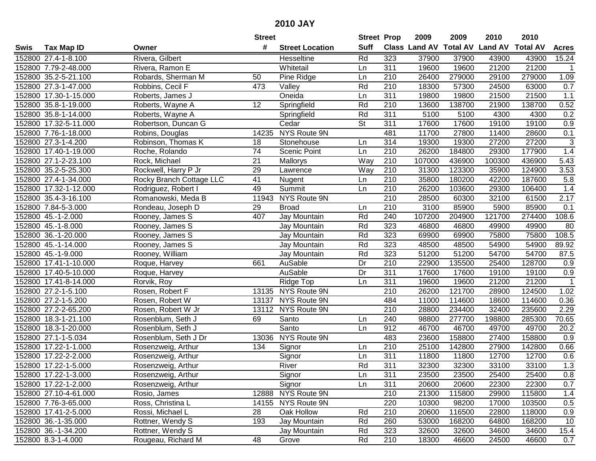|        |                       |                          | <b>Street</b>   |                        | <b>Street Prop</b>       |     | 2009                 | 2009            | 2010           | 2010            |                |
|--------|-----------------------|--------------------------|-----------------|------------------------|--------------------------|-----|----------------------|-----------------|----------------|-----------------|----------------|
| Swis   | Tax Map ID            | Owner                    | #               | <b>Street Location</b> | <b>Suff</b>              |     | <b>Class Land AV</b> | <b>Total AV</b> | <b>Land AV</b> | <b>Total AV</b> | <b>Acres</b>   |
|        | 152800 27.4-1-8.100   | Rivera, Gilbert          |                 | Hesseltine             | Rd                       | 323 | 37900                | 37900           | 43900          | 43900           | 15.24          |
|        | 152800 7.79-2-48.000  | Rivera, Ramon E          |                 | Whitetail              | Ln                       | 311 | 19600                | 19600           | 21200          | 21200           | $\mathbf 1$    |
|        | 152800 35.2-5-21.100  | Robards, Sherman M       | 50              | Pine Ridge             | Ln                       | 210 | 26400                | 279000          | 29100          | 279000          | 1.09           |
|        | 152800 27.3-1-47.000  | Robbins, Cecil F         | 473             | Valley                 | Rd                       | 210 | 18300                | 57300           | 24500          | 63000           | 0.7            |
|        | 152800 17.30-1-15.000 | Roberts, James J         |                 | Oneida                 | Ln                       | 311 | 19800                | 19800           | 21500          | 21500           | 1.1            |
|        | 152800 35.8-1-19.000  | Roberts, Wayne A         | $\overline{12}$ | Springfield            | Rd                       | 210 | 13600                | 138700          | 21900          | 138700          | 0.52           |
|        | 152800 35.8-1-14.000  | Roberts, Wayne A         |                 | Springfield            | Rd                       | 311 | 5100                 | 5100            | 4300           | 4300            | 0.2            |
|        | 152800 17.32-5-11.000 | Robertson, Duncan G      |                 | Cedar                  | $\overline{\mathsf{St}}$ | 311 | 17600                | 17600           | 19100          | 19100           | 0.9            |
|        | 152800 7.76-1-18.000  | Robins, Douglas          | 14235           | NYS Route 9N           |                          | 481 | 11700                | 27800           | 11400          | 28600           | 0.1            |
|        | 152800 27.3-1-4.200   | Robinson, Thomas K       | 18              | Stonehouse             | Ln                       | 314 | 19300                | 19300           | 27200          | 27200           | $\sqrt{3}$     |
|        | 152800 17.40-1-19.000 | Roche, Rolando           | 74              | <b>Scenic Point</b>    | Ln                       | 210 | 26200                | 184800          | 29300          | 177900          | 1.4            |
|        | 152800 27.1-2-23.100  | Rock, Michael            | 21              | Mallorys               | Way                      | 210 | 107000               | 436900          | 100300         | 436900          | 5.43           |
|        | 152800 35.2-5-25.300  | Rockwell, Harry P Jr     | 29              | Lawrence               | Way                      | 210 | 31300                | 123300          | 35900          | 124900          | 3.53           |
|        | 152800 27.4-1-34.000  | Rocky Branch Cottage LLC | 41              | Nugent                 | Ln                       | 210 | 35800                | 180200          | 42200          | 187600          | 5.8            |
|        | 152800 17.32-1-12.000 | Rodriguez, Robert I      | 49              | Summit                 | Ln                       | 210 | 26200                | 103600          | 29300          | 106400          | 1.4            |
|        | 152800 35.4-3-16.100  | Romanowski, Meda B       | 11943           | NYS Route 9N           |                          | 210 | 28500                | 60300           | 32100          | 61500           | 2.17           |
|        | 152800 7.84-5-3.000   | Rondeau, Joseph D        | 29              | <b>Broad</b>           | Ln                       | 210 | 3100                 | 85900           | 5900           | 85900           | 0.1            |
|        | 152800 45.-1-2.000    | Rooney, James S          | 407             | Jay Mountain           | Rd                       | 240 | 107200               | 204900          | 121700         | 274400          | 108.6          |
|        | 152800 45.-1-8.000    | Rooney, James S          |                 | Jay Mountain           | Rd                       | 323 | 46800                | 46800           | 49900          | 49900           | 80             |
|        | 152800 36.-1-20.000   | Rooney, James S          |                 | Jay Mountain           | Rd                       | 323 | 69900                | 69900           | 75800          | 75800           | 108.5          |
|        | 152800 45.-1-14.000   | Rooney, James S          |                 | Jay Mountain           | Rd                       | 323 | 48500                | 48500           | 54900          | 54900           | 89.92          |
|        | 152800 45.-1-9.000    | Rooney, William          |                 | Jay Mountain           | Rd                       | 323 | 51200                | 51200           | 54700          | 54700           | 87.5           |
| 152800 | 17.41-1-10.000        | Roque, Harvey            | 661             | AuSable                | Dr                       | 210 | 22900                | 135500          | 25400          | 128700          | 0.9            |
| 152800 | 17.40-5-10.000        | Roque, Harvey            |                 | AuSable                | Dr                       | 311 | 17600                | 17600           | 19100          | 19100           | 0.9            |
|        | 152800 17.41-8-14.000 | Rorvik, Roy              |                 | Ridge Top              | Ln                       | 311 | 19600                | 19600           | 21200          | 21200           | $\overline{1}$ |
|        | 152800 27.2-1-5.100   | Rosen, Robert F          |                 | 13135 NYS Route 9N     |                          | 210 | 26200                | 121700          | 28900          | 124500          | 1.02           |
|        | 152800 27.2-1-5.200   | Rosen, Robert W          | 13137           | NYS Route 9N           |                          | 484 | 11000                | 114600          | 18600          | 114600          | 0.36           |
|        | 152800 27.2-2-65.200  | Rosen, Robert W Jr       |                 | 13112 NYS Route 9N     |                          | 210 | 28800                | 234400          | 32400          | 235600          | 2.29           |
|        | 152800 18.3-1-21.100  | Rosenblum, Seth J        | 69              | Santo                  | Ln                       | 240 | 98800                | 277700          | 198800         | 285300          | 70.65          |
|        | 152800 18.3-1-20.000  | Rosenblum, Seth J        |                 | Santo                  | Ln                       | 912 | 46700                | 46700           | 49700          | 49700           | 20.2           |
|        | 152800 27.1-1-5.034   | Rosenblum, Seth J Dr     | 13036           | NYS Route 9N           |                          | 483 | 23600                | 158800          | 27400          | 158800          | 0.9            |
|        | 152800 17.22-1-1.000  | Rosenzweig, Arthur       | 134             | Signor                 | Ln                       | 210 | 25100                | 142800          | 27900          | 142800          | 0.66           |
|        | 152800 17.22-2-2.000  | Rosenzweig, Arthur       |                 | Signor                 | Ln                       | 311 | 11800                | 11800           | 12700          | 12700           | 0.6            |
|        | 152800 17.22-1-5.000  | Rosenzweig, Arthur       |                 | River                  | Rd                       | 311 | 32300                | 32300           | 33100          | 33100           | 1.3            |
|        | 152800 17.22-1-3.000  | Rosenzweig, Arthur       |                 | Signor                 | Ln                       | 311 | 23500                | 23500           | 25400          | 25400           | 0.8            |
|        | 152800 17.22-1-2.000  | Rosenzweig, Arthur       |                 | Signor                 | Ln                       | 311 | 20600                | 20600           | 22300          | 22300           | 0.7            |
|        | 152800 27.10-4-61.000 | Rosio, James             | 12888           | NYS Route 9N           |                          | 210 | 21300                | 115800          | 29900          | 115800          | 1.4            |
|        | 152800 7.76-3-65.000  | Ross, Christina L        |                 | 14155 NYS Route 9N     |                          | 220 | 10300                | 98200           | 17000          | 103500          | 0.5            |
|        | 152800 17.41-2-5.000  | Rossi, Michael L         | 28              | Oak Hollow             | Rd                       | 210 | 20600                | 116500          | 22800          | 118000          | 0.9            |
|        | 152800 36.-1-35.000   | Rottner, Wendy S         | 193             | Jay Mountain           | Rd                       | 260 | 53000                | 168200          | 64800          | 168200          | 10             |
|        | 152800 36.-1-34.200   | Rottner, Wendy S         |                 | Jay Mountain           | Rd                       | 323 | 32600                | 32600           | 34600          | 34600           | 15.4           |
|        | 152800 8.3-1-4.000    | Rougeau, Richard M       | 48              | Grove                  | Rd                       | 210 | 18300                | 46600           | 24500          | 46600           | 0.7            |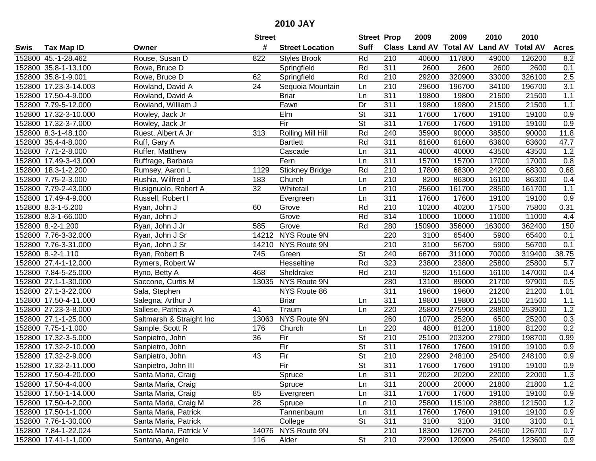|      |                       |                          | <b>Street</b>   |                          | <b>Street Prop</b>       |                  | 2009   | 2009   | 2010                           | 2010            |                  |
|------|-----------------------|--------------------------|-----------------|--------------------------|--------------------------|------------------|--------|--------|--------------------------------|-----------------|------------------|
| Swis | <b>Tax Map ID</b>     | Owner                    | #               | <b>Street Location</b>   | <b>Suff</b>              |                  |        |        | Class Land AV Total AV Land AV | <b>Total AV</b> | <b>Acres</b>     |
|      | 152800 45.-1-28.462   | Rouse, Susan D           | 822             | <b>Styles Brook</b>      | Rd                       | 210              | 40600  | 117800 | 49000                          | 126200          | 8.2              |
|      | 152800 35.8-1-13.100  | Rowe, Bruce D            |                 | Springfield              | Rd                       | 311              | 2600   | 2600   | 2600                           | 2600            | 0.1              |
|      | 152800 35.8-1-9.001   | Rowe, Bruce D            | 62              | Springfield              | Rd                       | 210              | 29200  | 320900 | 33000                          | 326100          | 2.5              |
|      | 152800 17.23-3-14.003 | Rowland, David A         | 24              | Sequoia Mountain         | Ln                       | $\overline{210}$ | 29600  | 196700 | 34100                          | 196700          | 3.1              |
|      | 152800 17.50-4-9.000  | Rowland, David A         |                 | <b>Briar</b>             | Ln                       | 311              | 19800  | 19800  | 21500                          | 21500           | 1.1              |
|      | 152800 7.79-5-12.000  | Rowland, William J       |                 | Fawn                     | $\overline{Dr}$          | 311              | 19800  | 19800  | 21500                          | 21500           | 1.1              |
|      | 152800 17.32-3-10.000 | Rowley, Jack Jr          |                 | EIm                      | <b>St</b>                | 311              | 17600  | 17600  | 19100                          | 19100           | 0.9              |
|      | 152800 17.32-3-7.000  | Rowley, Jack Jr          |                 | Fir                      | $\overline{\mathsf{St}}$ | 311              | 17600  | 17600  | 19100                          | 19100           | 0.9              |
|      | 152800 8.3-1-48.100   | Ruest, Albert A Jr       | 313             | <b>Rolling Mill Hill</b> | Rd                       | 240              | 35900  | 90000  | 38500                          | 90000           | 11.8             |
|      | 152800 35.4-4-8.000   | Ruff, Gary A             |                 | <b>Bartlett</b>          | Rd                       | 311              | 61600  | 61600  | 63600                          | 63600           | 47.7             |
|      | 152800 7.71-2-8.000   | Ruffer, Matthew          |                 | Cascade                  | Ln                       | 311              | 40000  | 40000  | 43500                          | 43500           | 1.2              |
|      | 152800 17.49-3-43.000 | Ruffrage, Barbara        |                 | Fern                     | Ln                       | 311              | 15700  | 15700  | 17000                          | 17000           | 0.8              |
|      | 152800 18.3-1-2.200   | Rumsey, Aaron L          | 1129            | <b>Stickney Bridge</b>   | Rd                       | 210              | 17800  | 68300  | 24200                          | 68300           | 0.68             |
|      | 152800 7.75-2-3.000   | Rushia, Wilfred J        | 183             | Church                   | Ln                       | 210              | 8200   | 86300  | 16100                          | 86300           | 0.4              |
|      | 152800 7.79-2-43.000  | Rusignuolo, Robert A     | 32              | Whitetail                | Ln                       | 210              | 25600  | 161700 | 28500                          | 161700          | 1.1              |
|      | 152800 17.49-4-9.000  | Russell, Robert I        |                 | Evergreen                | Ln                       | 311              | 17600  | 17600  | 19100                          | 19100           | 0.9              |
|      | 152800 8.3-1-5.200    | Ryan, John J             | 60              | Grove                    | Rd                       | $\overline{210}$ | 10200  | 40200  | 17500                          | 75800           | 0.31             |
|      | 152800 8.3-1-66.000   | Ryan, John J             |                 | Grove                    | Rd                       | 314              | 10000  | 10000  | 11000                          | 11000           | 4.4              |
|      | 152800 8.-2-1.200     | Ryan, John J Jr          | 585             | Grove                    | Rd                       | 280              | 150900 | 356000 | 163000                         | 362400          | 150              |
|      | 152800 7.76-3-32.000  | Ryan, John J Sr          |                 | 14212 NYS Route 9N       |                          | 220              | 3100   | 65400  | 5900                           | 65400           | 0.1              |
|      | 152800 7.76-3-31.000  | Ryan, John J Sr          | 14210           | NYS Route 9N             |                          | 210              | 3100   | 56700  | 5900                           | 56700           | 0.1              |
|      | 152800 8.-2-1.110     | Ryan, Robert B           | 745             | Green                    | <b>St</b>                | 240              | 66700  | 311000 | 70000                          | 319400          | 38.75            |
|      | 152800 27.4-1-12.000  | Rymers, Robert W         |                 | Hesseltine               | Rd                       | 323              | 23800  | 23800  | 25800                          | 25800           | 5.7              |
|      | 152800 7.84-5-25.000  | Ryno, Betty A            | 468             | Sheldrake                | Rd                       | 210              | 9200   | 151600 | 16100                          | 147000          | 0.4              |
|      | 152800 27.1-1-30.000  | Saccone, Curtis M        | 13035           | NYS Route 9N             |                          | 280              | 13100  | 89000  | 21700                          | 97900           | 0.5              |
|      | 152800 27.1-3-22.000  | Sala, Stephen            |                 | NYS Route 86             |                          | 311              | 19600  | 19600  | 21200                          | 21200           | 1.01             |
|      | 152800 17.50-4-11.000 | Salegna, Arthur J        |                 | <b>Briar</b>             | Ln                       | 311              | 19800  | 19800  | 21500                          | 21500           | 1.1              |
|      | 152800 27.23-3-8.000  | Sallese, Patricia A      | 41              | Traum                    | Ln                       | 220              | 25800  | 275900 | 28800                          | 253900          | 1.2              |
|      | 152800 27.1-1-25.000  | Saltmarsh & Straight Inc | 13063           | NYS Route 9N             |                          | 260              | 10700  | 25200  | 6500                           | 25200           | 0.3              |
|      | 152800 7.75-1-1.000   | Sample, Scott R          | 176             | Church                   | Ln                       | 220              | 4800   | 81200  | 11800                          | 81200           | 0.2              |
|      | 152800 17.32-3-5.000  | Sanpietro, John          | 36              | Fir                      | $\overline{\mathsf{St}}$ | 210              | 25100  | 203200 | 27900                          | 198700          | 0.99             |
|      | 152800 17.32-2-10.000 | Sanpietro, John          |                 | Fir                      | $\overline{\mathsf{St}}$ | $\overline{311}$ | 17600  | 17600  | 19100                          | 19100           | 0.9              |
|      | 152800 17.32-2-9.000  | Sanpietro, John          | $\overline{43}$ | Fir                      | $\overline{\mathsf{St}}$ | $\overline{210}$ | 22900  | 248100 | 25400                          | 248100          | $\overline{0.9}$ |
|      | 152800 17.32-2-11.000 | Sanpietro, John III      |                 | Fir                      | $\overline{\mathsf{St}}$ | 311              | 17600  | 17600  | 19100                          | 19100           | $\overline{0.9}$ |
|      | 152800 17.50-4-20.000 | Santa Maria, Craig       |                 | Spruce                   | Ln                       | 311              | 20200  | 20200  | 22000                          | 22000           | 1.3              |
|      | 152800 17.50-4-4.000  | Santa Maria, Craig       |                 | Spruce                   | Ln                       | 311              | 20000  | 20000  | 21800                          | 21800           | $1.2$            |
|      | 152800 17.50-1-14.000 | Santa Maria, Craig       | 85              | Evergreen                | Ln                       | 311              | 17600  | 17600  | 19100                          | 19100           | 0.9              |
|      | 152800 17.50-4-2.000  | Santa Maria, Craig M     | 28              | Spruce                   | Ln                       | 210              | 25800  | 115100 | 28800                          | 121500          | 1.2              |
|      | 152800 17.50-1-1.000  | Santa Maria, Patrick     |                 | Tannenbaum               | Ln                       | 311              | 17600  | 17600  | 19100                          | 19100           | 0.9              |
|      | 152800 7.76-1-30.000  | Santa Maria, Patrick     |                 | College                  | <b>St</b>                | 311              | 3100   | 3100   | 3100                           | 3100            | 0.1              |
|      | 152800 7.84-1-22.024  | Santa Maria, Patrick V   |                 | 14076 NYS Route 9N       |                          | 210              | 18300  | 126700 | 24500                          | 126700          | 0.7              |
|      | 152800 17.41-1-1.000  | Santana, Angelo          | 116             | Alder                    | $\overline{\mathsf{St}}$ | 210              | 22900  | 120900 | 25400                          | 123600          | 0.9              |
|      |                       |                          |                 |                          |                          |                  |        |        |                                |                 |                  |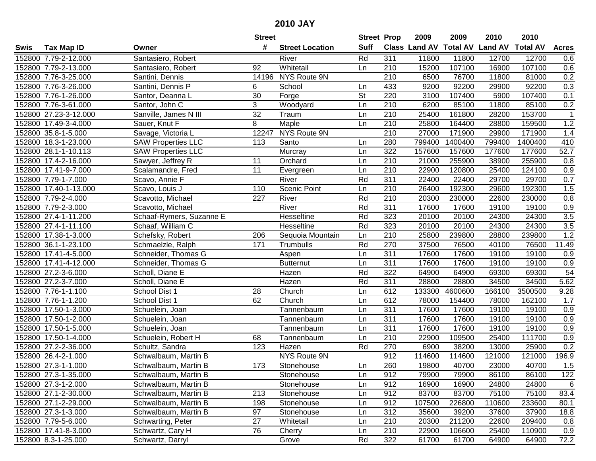| #<br><b>Suff</b><br><b>Class Land AV</b><br><b>Total AV</b><br><b>Land AV</b><br><b>Total AV</b><br><b>Tax Map ID</b><br><b>Street Location</b><br><b>Acres</b><br>Swis<br>Owner<br>Rd<br>311<br>152800 7.79-2-12.000<br>Santasiero, Robert<br>11800<br>11800<br>12700<br>12700<br>River<br>0.6<br>Whitetail<br>107100<br>152800 7.79-2-13.000<br>92<br>210<br>15200<br>16900<br>107100<br>0.6<br>Santasiero, Robert<br>Ln<br>152800 7.76-3-25.000<br>14196 NYS Route 9N<br>210<br>6500<br>76700<br>11800<br>81000<br>0.2<br>Santini, Dennis<br>Santini, Dennis P<br>433<br>9200<br>92200<br>92200<br>0.3<br>152800 7.76-3-26.000<br>6<br>School<br>29900<br>Ln.<br>30<br>152800 7.76-1-26.000<br><b>St</b><br>220<br>3100<br>107400<br>107400<br>0.1<br>Santor, Deanna L<br>Forge<br>5900<br>3<br>$\overline{210}$<br>0.2<br>152800 7.76-3-61.000<br>Santor, John C<br>Woodyard<br>6200<br>85100<br>11800<br>85100<br>Ln<br>152800 27.23-3-12.000<br>Sanville, James N III<br>32<br>210<br>25400<br>161800<br>153700<br>Traum<br>Ln<br>28200<br>$\mathbf 1$<br>1.2<br>152800 17.49-3-4.000<br>8<br>$\overline{210}$<br>25800<br>164400<br>28800<br>159500<br>Sauer, Knut F<br>Maple<br>Ln<br>NYS Route 9N<br>$\overline{210}$<br>27000<br>171900<br>152800 35.8-1-5.000<br>Savage, Victoria L<br>12247<br>29900<br>171900<br>1.4<br>799400<br>152800 18.3-1-23.000<br><b>SAW Properties LLC</b><br>113<br>Santo<br>280<br>799400<br>1400400<br>1400400<br>410<br>Ln<br>$\overline{322}$<br>157600<br>$\overline{52.7}$<br>152800 28.1-1-10.113<br><b>SAW Properties LLC</b><br>Murcray<br>157600<br>177600<br>177600<br>Ln<br>255900<br>152800 17.4-2-16.000<br>Orchard<br>210<br>21000<br>38900<br>255900<br>Sawyer, Jeffrey R<br>11<br>Ln<br>0.8<br>$\overline{11}$<br>152800 17.41-9-7.000<br>210<br>22900<br>120800<br>25400<br>124100<br>0.9<br>Scalamandre, Fred<br>Ln<br>Evergreen<br>Rd<br>311<br>29700<br>152800 7.79-1-7.000<br>River<br>22400<br>22400<br>29700<br>0.7<br>Scavo, Annie F<br>210<br>1.5<br>152800 17.40-1-13.000<br><b>Scenic Point</b><br>26400<br>192300<br>29600<br>192300<br>Scavo, Louis J<br>110<br>Ln<br>Rd<br>210<br>152800 7.79-2-4.000<br>227<br>River<br>20300<br>230000<br>22600<br>230000<br>0.8<br>Scavotto, Michael<br>Rd<br>$\overline{311}$<br>17600<br>17600<br>0.9<br>152800 7.79-2-3.000<br>River<br>19100<br>19100<br>Scavotto, Michael<br>Rd<br>323<br>3.5<br>20100<br>20100<br>24300<br>24300<br>152800 27.4-1-11.200<br>Schaaf-Rymers, Suzanne E<br>Hesseltine<br>3.5<br>323<br>Rd<br>20100<br>20100<br>24300<br>24300<br>152800 27.4-1-11.100<br>Schaaf, William C<br>Hesseltine<br>1.2<br>152800 17.38-1-3.000<br>210<br>25800<br>239800<br>28800<br>239800<br>Schefsky, Robert<br>206<br>Sequoia Mountain<br>Ln<br>Rd<br>270<br>37500<br>76500<br>11.49<br>152800 36.1-1-23.100<br>Schmaelzle, Ralph<br>171<br>Trumbulls<br>76500<br>40100<br>311<br>152800 17.41-4-5.000<br>Schneider, Thomas G<br>17600<br>17600<br>19100<br>19100<br>0.9<br>Aspen<br>Ln<br>311<br>0.9<br>152800 17.41-4-12.000<br>17600<br>17600<br>19100<br>19100<br>Schneider, Thomas G<br><b>Butternut</b><br>Ln<br>54<br>152800 27.2-3-6.000<br>Hazen<br>Rd<br>322<br>64900<br>64900<br>69300<br>69300<br>Scholl, Diane E<br>Rd<br>$\overline{311}$<br>5.62<br>152800 27.2-3-7.000<br>Hazen<br>28800<br>28800<br>34500<br>34500<br>Scholl, Diane E<br>612<br>166100<br>3500500<br>152800 7.76-1-1.100<br>School Dist 1<br>28<br>Church<br>133300<br>4600600<br>9.28<br>Ln<br>152800 7.76-1-1.200<br>62<br>612<br>1.7<br>School Dist 1<br>Church<br>Ln<br>78000<br>154400<br>78000<br>162100<br>311<br>17600<br>152800 17.50-1-3.000<br>Schuelein, Joan<br>17600<br>19100<br>19100<br>0.9<br>Tannenbaum<br>Ln<br>311<br>152800 17.50-1-2.000<br>17600<br>17600<br>19100<br>19100<br>0.9<br>Ln<br>Schuelein, Joan<br>Tannenbaum<br>$\overline{311}$<br>17600<br>17600<br>19100<br>152800 17.50-1-5.000<br>19100<br>0.9<br>Schuelein, Joan<br>Tannenbaum<br>Ln<br>152800 17.50-1-4.000<br>$\overline{210}$<br>25400<br>111700<br>$\overline{0.9}$<br>68<br>22900<br>109500<br>Schuelein, Robert H<br>Tannenbaum<br>Ln<br>152800 27.2-2-36.000<br>Rd<br>270<br>6900<br>38200<br>13000<br>25900<br>0.2<br>Schultz, Sandra<br>123<br>Hazen<br><b>NYS Route 9N</b><br>912<br>121000<br>196.9<br>152800 26.4-2-1.000<br>114600<br>114600<br>121000<br>Schwalbaum, Martin B<br>152800 27.3-1-1.000<br>173<br>260<br>19800<br>40700<br>23000<br>40700<br>1.5<br>Schwalbaum, Martin B<br>Stonehouse<br>Ln<br>152800 27.3-1-35.000<br>Schwalbaum, Martin B<br>Stonehouse<br>Ln<br>912<br>79900<br>79900<br>86100<br>86100<br>122<br>912<br>24800<br>6<br>152800 27.3-1-2.000<br>Schwalbaum, Martin B<br>Stonehouse<br>Ln<br>16900<br>16900<br>24800<br>152800 27.1-2-30.000<br>912<br>83700<br>83700<br>75100<br>75100<br>83.4<br>Schwalbaum, Martin B<br>213<br>Stonehouse<br>Ln<br>912<br>107500<br>233600<br>152800 27.1-2-29.000<br>Schwalbaum, Martin B<br>198<br>226800<br>110600<br>80.1<br>Stonehouse<br>Ln<br>312<br>152800 27.3-1-3.000<br>Schwalbaum, Martin B<br>97<br>Stonehouse<br>35600<br>39200<br>37600<br>37900<br>18.8<br>Ln<br>211200<br>152800 7.79-5-6.000<br>Schwarting, Peter<br>27<br>Whitetail<br>210<br>20300<br>22600<br>209400<br>0.8<br>Ln |                      |                  | <b>Street</b> |        | <b>Street Prop</b> |     | 2009  | 2009   | 2010  | 2010   |     |
|-------------------------------------------------------------------------------------------------------------------------------------------------------------------------------------------------------------------------------------------------------------------------------------------------------------------------------------------------------------------------------------------------------------------------------------------------------------------------------------------------------------------------------------------------------------------------------------------------------------------------------------------------------------------------------------------------------------------------------------------------------------------------------------------------------------------------------------------------------------------------------------------------------------------------------------------------------------------------------------------------------------------------------------------------------------------------------------------------------------------------------------------------------------------------------------------------------------------------------------------------------------------------------------------------------------------------------------------------------------------------------------------------------------------------------------------------------------------------------------------------------------------------------------------------------------------------------------------------------------------------------------------------------------------------------------------------------------------------------------------------------------------------------------------------------------------------------------------------------------------------------------------------------------------------------------------------------------------------------------------------------------------------------------------------------------------------------------------------------------------------------------------------------------------------------------------------------------------------------------------------------------------------------------------------------------------------------------------------------------------------------------------------------------------------------------------------------------------------------------------------------------------------------------------------------------------------------------------------------------------------------------------------------------------------------------------------------------------------------------------------------------------------------------------------------------------------------------------------------------------------------------------------------------------------------------------------------------------------------------------------------------------------------------------------------------------------------------------------------------------------------------------------------------------------------------------------------------------------------------------------------------------------------------------------------------------------------------------------------------------------------------------------------------------------------------------------------------------------------------------------------------------------------------------------------------------------------------------------------------------------------------------------------------------------------------------------------------------------------------------------------------------------------------------------------------------------------------------------------------------------------------------------------------------------------------------------------------------------------------------------------------------------------------------------------------------------------------------------------------------------------------------------------------------------------------------------------------------------------------------------------------------------------------------------------------------------------------------------------------------------------------------------------------------------------------------------------------------------------------------------------------------------------------------------------------------------------------------------------------------------------------------------------------------------------------------------------------------------------------------------------------------------------------------------------------------------------------------------------------------------------------------------------------------------------------------------------------------------------------------------------------------------------------------------------------------------------------------------------------------------------------------------------------------------------------------------------------------------------------------------------------------------------------------|----------------------|------------------|---------------|--------|--------------------|-----|-------|--------|-------|--------|-----|
|                                                                                                                                                                                                                                                                                                                                                                                                                                                                                                                                                                                                                                                                                                                                                                                                                                                                                                                                                                                                                                                                                                                                                                                                                                                                                                                                                                                                                                                                                                                                                                                                                                                                                                                                                                                                                                                                                                                                                                                                                                                                                                                                                                                                                                                                                                                                                                                                                                                                                                                                                                                                                                                                                                                                                                                                                                                                                                                                                                                                                                                                                                                                                                                                                                                                                                                                                                                                                                                                                                                                                                                                                                                                                                                                                                                                                                                                                                                                                                                                                                                                                                                                                                                                                                                                                                                                                                                                                                                                                                                                                                                                                                                                                                                                                                                                                                                                                                                                                                                                                                                                                                                                                                                                                                                                                           |                      |                  |               |        |                    |     |       |        |       |        |     |
|                                                                                                                                                                                                                                                                                                                                                                                                                                                                                                                                                                                                                                                                                                                                                                                                                                                                                                                                                                                                                                                                                                                                                                                                                                                                                                                                                                                                                                                                                                                                                                                                                                                                                                                                                                                                                                                                                                                                                                                                                                                                                                                                                                                                                                                                                                                                                                                                                                                                                                                                                                                                                                                                                                                                                                                                                                                                                                                                                                                                                                                                                                                                                                                                                                                                                                                                                                                                                                                                                                                                                                                                                                                                                                                                                                                                                                                                                                                                                                                                                                                                                                                                                                                                                                                                                                                                                                                                                                                                                                                                                                                                                                                                                                                                                                                                                                                                                                                                                                                                                                                                                                                                                                                                                                                                                           |                      |                  |               |        |                    |     |       |        |       |        |     |
|                                                                                                                                                                                                                                                                                                                                                                                                                                                                                                                                                                                                                                                                                                                                                                                                                                                                                                                                                                                                                                                                                                                                                                                                                                                                                                                                                                                                                                                                                                                                                                                                                                                                                                                                                                                                                                                                                                                                                                                                                                                                                                                                                                                                                                                                                                                                                                                                                                                                                                                                                                                                                                                                                                                                                                                                                                                                                                                                                                                                                                                                                                                                                                                                                                                                                                                                                                                                                                                                                                                                                                                                                                                                                                                                                                                                                                                                                                                                                                                                                                                                                                                                                                                                                                                                                                                                                                                                                                                                                                                                                                                                                                                                                                                                                                                                                                                                                                                                                                                                                                                                                                                                                                                                                                                                                           |                      |                  |               |        |                    |     |       |        |       |        |     |
|                                                                                                                                                                                                                                                                                                                                                                                                                                                                                                                                                                                                                                                                                                                                                                                                                                                                                                                                                                                                                                                                                                                                                                                                                                                                                                                                                                                                                                                                                                                                                                                                                                                                                                                                                                                                                                                                                                                                                                                                                                                                                                                                                                                                                                                                                                                                                                                                                                                                                                                                                                                                                                                                                                                                                                                                                                                                                                                                                                                                                                                                                                                                                                                                                                                                                                                                                                                                                                                                                                                                                                                                                                                                                                                                                                                                                                                                                                                                                                                                                                                                                                                                                                                                                                                                                                                                                                                                                                                                                                                                                                                                                                                                                                                                                                                                                                                                                                                                                                                                                                                                                                                                                                                                                                                                                           |                      |                  |               |        |                    |     |       |        |       |        |     |
|                                                                                                                                                                                                                                                                                                                                                                                                                                                                                                                                                                                                                                                                                                                                                                                                                                                                                                                                                                                                                                                                                                                                                                                                                                                                                                                                                                                                                                                                                                                                                                                                                                                                                                                                                                                                                                                                                                                                                                                                                                                                                                                                                                                                                                                                                                                                                                                                                                                                                                                                                                                                                                                                                                                                                                                                                                                                                                                                                                                                                                                                                                                                                                                                                                                                                                                                                                                                                                                                                                                                                                                                                                                                                                                                                                                                                                                                                                                                                                                                                                                                                                                                                                                                                                                                                                                                                                                                                                                                                                                                                                                                                                                                                                                                                                                                                                                                                                                                                                                                                                                                                                                                                                                                                                                                                           |                      |                  |               |        |                    |     |       |        |       |        |     |
|                                                                                                                                                                                                                                                                                                                                                                                                                                                                                                                                                                                                                                                                                                                                                                                                                                                                                                                                                                                                                                                                                                                                                                                                                                                                                                                                                                                                                                                                                                                                                                                                                                                                                                                                                                                                                                                                                                                                                                                                                                                                                                                                                                                                                                                                                                                                                                                                                                                                                                                                                                                                                                                                                                                                                                                                                                                                                                                                                                                                                                                                                                                                                                                                                                                                                                                                                                                                                                                                                                                                                                                                                                                                                                                                                                                                                                                                                                                                                                                                                                                                                                                                                                                                                                                                                                                                                                                                                                                                                                                                                                                                                                                                                                                                                                                                                                                                                                                                                                                                                                                                                                                                                                                                                                                                                           |                      |                  |               |        |                    |     |       |        |       |        |     |
|                                                                                                                                                                                                                                                                                                                                                                                                                                                                                                                                                                                                                                                                                                                                                                                                                                                                                                                                                                                                                                                                                                                                                                                                                                                                                                                                                                                                                                                                                                                                                                                                                                                                                                                                                                                                                                                                                                                                                                                                                                                                                                                                                                                                                                                                                                                                                                                                                                                                                                                                                                                                                                                                                                                                                                                                                                                                                                                                                                                                                                                                                                                                                                                                                                                                                                                                                                                                                                                                                                                                                                                                                                                                                                                                                                                                                                                                                                                                                                                                                                                                                                                                                                                                                                                                                                                                                                                                                                                                                                                                                                                                                                                                                                                                                                                                                                                                                                                                                                                                                                                                                                                                                                                                                                                                                           |                      |                  |               |        |                    |     |       |        |       |        |     |
|                                                                                                                                                                                                                                                                                                                                                                                                                                                                                                                                                                                                                                                                                                                                                                                                                                                                                                                                                                                                                                                                                                                                                                                                                                                                                                                                                                                                                                                                                                                                                                                                                                                                                                                                                                                                                                                                                                                                                                                                                                                                                                                                                                                                                                                                                                                                                                                                                                                                                                                                                                                                                                                                                                                                                                                                                                                                                                                                                                                                                                                                                                                                                                                                                                                                                                                                                                                                                                                                                                                                                                                                                                                                                                                                                                                                                                                                                                                                                                                                                                                                                                                                                                                                                                                                                                                                                                                                                                                                                                                                                                                                                                                                                                                                                                                                                                                                                                                                                                                                                                                                                                                                                                                                                                                                                           |                      |                  |               |        |                    |     |       |        |       |        |     |
|                                                                                                                                                                                                                                                                                                                                                                                                                                                                                                                                                                                                                                                                                                                                                                                                                                                                                                                                                                                                                                                                                                                                                                                                                                                                                                                                                                                                                                                                                                                                                                                                                                                                                                                                                                                                                                                                                                                                                                                                                                                                                                                                                                                                                                                                                                                                                                                                                                                                                                                                                                                                                                                                                                                                                                                                                                                                                                                                                                                                                                                                                                                                                                                                                                                                                                                                                                                                                                                                                                                                                                                                                                                                                                                                                                                                                                                                                                                                                                                                                                                                                                                                                                                                                                                                                                                                                                                                                                                                                                                                                                                                                                                                                                                                                                                                                                                                                                                                                                                                                                                                                                                                                                                                                                                                                           |                      |                  |               |        |                    |     |       |        |       |        |     |
|                                                                                                                                                                                                                                                                                                                                                                                                                                                                                                                                                                                                                                                                                                                                                                                                                                                                                                                                                                                                                                                                                                                                                                                                                                                                                                                                                                                                                                                                                                                                                                                                                                                                                                                                                                                                                                                                                                                                                                                                                                                                                                                                                                                                                                                                                                                                                                                                                                                                                                                                                                                                                                                                                                                                                                                                                                                                                                                                                                                                                                                                                                                                                                                                                                                                                                                                                                                                                                                                                                                                                                                                                                                                                                                                                                                                                                                                                                                                                                                                                                                                                                                                                                                                                                                                                                                                                                                                                                                                                                                                                                                                                                                                                                                                                                                                                                                                                                                                                                                                                                                                                                                                                                                                                                                                                           |                      |                  |               |        |                    |     |       |        |       |        |     |
|                                                                                                                                                                                                                                                                                                                                                                                                                                                                                                                                                                                                                                                                                                                                                                                                                                                                                                                                                                                                                                                                                                                                                                                                                                                                                                                                                                                                                                                                                                                                                                                                                                                                                                                                                                                                                                                                                                                                                                                                                                                                                                                                                                                                                                                                                                                                                                                                                                                                                                                                                                                                                                                                                                                                                                                                                                                                                                                                                                                                                                                                                                                                                                                                                                                                                                                                                                                                                                                                                                                                                                                                                                                                                                                                                                                                                                                                                                                                                                                                                                                                                                                                                                                                                                                                                                                                                                                                                                                                                                                                                                                                                                                                                                                                                                                                                                                                                                                                                                                                                                                                                                                                                                                                                                                                                           |                      |                  |               |        |                    |     |       |        |       |        |     |
|                                                                                                                                                                                                                                                                                                                                                                                                                                                                                                                                                                                                                                                                                                                                                                                                                                                                                                                                                                                                                                                                                                                                                                                                                                                                                                                                                                                                                                                                                                                                                                                                                                                                                                                                                                                                                                                                                                                                                                                                                                                                                                                                                                                                                                                                                                                                                                                                                                                                                                                                                                                                                                                                                                                                                                                                                                                                                                                                                                                                                                                                                                                                                                                                                                                                                                                                                                                                                                                                                                                                                                                                                                                                                                                                                                                                                                                                                                                                                                                                                                                                                                                                                                                                                                                                                                                                                                                                                                                                                                                                                                                                                                                                                                                                                                                                                                                                                                                                                                                                                                                                                                                                                                                                                                                                                           |                      |                  |               |        |                    |     |       |        |       |        |     |
|                                                                                                                                                                                                                                                                                                                                                                                                                                                                                                                                                                                                                                                                                                                                                                                                                                                                                                                                                                                                                                                                                                                                                                                                                                                                                                                                                                                                                                                                                                                                                                                                                                                                                                                                                                                                                                                                                                                                                                                                                                                                                                                                                                                                                                                                                                                                                                                                                                                                                                                                                                                                                                                                                                                                                                                                                                                                                                                                                                                                                                                                                                                                                                                                                                                                                                                                                                                                                                                                                                                                                                                                                                                                                                                                                                                                                                                                                                                                                                                                                                                                                                                                                                                                                                                                                                                                                                                                                                                                                                                                                                                                                                                                                                                                                                                                                                                                                                                                                                                                                                                                                                                                                                                                                                                                                           |                      |                  |               |        |                    |     |       |        |       |        |     |
|                                                                                                                                                                                                                                                                                                                                                                                                                                                                                                                                                                                                                                                                                                                                                                                                                                                                                                                                                                                                                                                                                                                                                                                                                                                                                                                                                                                                                                                                                                                                                                                                                                                                                                                                                                                                                                                                                                                                                                                                                                                                                                                                                                                                                                                                                                                                                                                                                                                                                                                                                                                                                                                                                                                                                                                                                                                                                                                                                                                                                                                                                                                                                                                                                                                                                                                                                                                                                                                                                                                                                                                                                                                                                                                                                                                                                                                                                                                                                                                                                                                                                                                                                                                                                                                                                                                                                                                                                                                                                                                                                                                                                                                                                                                                                                                                                                                                                                                                                                                                                                                                                                                                                                                                                                                                                           |                      |                  |               |        |                    |     |       |        |       |        |     |
|                                                                                                                                                                                                                                                                                                                                                                                                                                                                                                                                                                                                                                                                                                                                                                                                                                                                                                                                                                                                                                                                                                                                                                                                                                                                                                                                                                                                                                                                                                                                                                                                                                                                                                                                                                                                                                                                                                                                                                                                                                                                                                                                                                                                                                                                                                                                                                                                                                                                                                                                                                                                                                                                                                                                                                                                                                                                                                                                                                                                                                                                                                                                                                                                                                                                                                                                                                                                                                                                                                                                                                                                                                                                                                                                                                                                                                                                                                                                                                                                                                                                                                                                                                                                                                                                                                                                                                                                                                                                                                                                                                                                                                                                                                                                                                                                                                                                                                                                                                                                                                                                                                                                                                                                                                                                                           |                      |                  |               |        |                    |     |       |        |       |        |     |
|                                                                                                                                                                                                                                                                                                                                                                                                                                                                                                                                                                                                                                                                                                                                                                                                                                                                                                                                                                                                                                                                                                                                                                                                                                                                                                                                                                                                                                                                                                                                                                                                                                                                                                                                                                                                                                                                                                                                                                                                                                                                                                                                                                                                                                                                                                                                                                                                                                                                                                                                                                                                                                                                                                                                                                                                                                                                                                                                                                                                                                                                                                                                                                                                                                                                                                                                                                                                                                                                                                                                                                                                                                                                                                                                                                                                                                                                                                                                                                                                                                                                                                                                                                                                                                                                                                                                                                                                                                                                                                                                                                                                                                                                                                                                                                                                                                                                                                                                                                                                                                                                                                                                                                                                                                                                                           |                      |                  |               |        |                    |     |       |        |       |        |     |
|                                                                                                                                                                                                                                                                                                                                                                                                                                                                                                                                                                                                                                                                                                                                                                                                                                                                                                                                                                                                                                                                                                                                                                                                                                                                                                                                                                                                                                                                                                                                                                                                                                                                                                                                                                                                                                                                                                                                                                                                                                                                                                                                                                                                                                                                                                                                                                                                                                                                                                                                                                                                                                                                                                                                                                                                                                                                                                                                                                                                                                                                                                                                                                                                                                                                                                                                                                                                                                                                                                                                                                                                                                                                                                                                                                                                                                                                                                                                                                                                                                                                                                                                                                                                                                                                                                                                                                                                                                                                                                                                                                                                                                                                                                                                                                                                                                                                                                                                                                                                                                                                                                                                                                                                                                                                                           |                      |                  |               |        |                    |     |       |        |       |        |     |
|                                                                                                                                                                                                                                                                                                                                                                                                                                                                                                                                                                                                                                                                                                                                                                                                                                                                                                                                                                                                                                                                                                                                                                                                                                                                                                                                                                                                                                                                                                                                                                                                                                                                                                                                                                                                                                                                                                                                                                                                                                                                                                                                                                                                                                                                                                                                                                                                                                                                                                                                                                                                                                                                                                                                                                                                                                                                                                                                                                                                                                                                                                                                                                                                                                                                                                                                                                                                                                                                                                                                                                                                                                                                                                                                                                                                                                                                                                                                                                                                                                                                                                                                                                                                                                                                                                                                                                                                                                                                                                                                                                                                                                                                                                                                                                                                                                                                                                                                                                                                                                                                                                                                                                                                                                                                                           |                      |                  |               |        |                    |     |       |        |       |        |     |
|                                                                                                                                                                                                                                                                                                                                                                                                                                                                                                                                                                                                                                                                                                                                                                                                                                                                                                                                                                                                                                                                                                                                                                                                                                                                                                                                                                                                                                                                                                                                                                                                                                                                                                                                                                                                                                                                                                                                                                                                                                                                                                                                                                                                                                                                                                                                                                                                                                                                                                                                                                                                                                                                                                                                                                                                                                                                                                                                                                                                                                                                                                                                                                                                                                                                                                                                                                                                                                                                                                                                                                                                                                                                                                                                                                                                                                                                                                                                                                                                                                                                                                                                                                                                                                                                                                                                                                                                                                                                                                                                                                                                                                                                                                                                                                                                                                                                                                                                                                                                                                                                                                                                                                                                                                                                                           |                      |                  |               |        |                    |     |       |        |       |        |     |
|                                                                                                                                                                                                                                                                                                                                                                                                                                                                                                                                                                                                                                                                                                                                                                                                                                                                                                                                                                                                                                                                                                                                                                                                                                                                                                                                                                                                                                                                                                                                                                                                                                                                                                                                                                                                                                                                                                                                                                                                                                                                                                                                                                                                                                                                                                                                                                                                                                                                                                                                                                                                                                                                                                                                                                                                                                                                                                                                                                                                                                                                                                                                                                                                                                                                                                                                                                                                                                                                                                                                                                                                                                                                                                                                                                                                                                                                                                                                                                                                                                                                                                                                                                                                                                                                                                                                                                                                                                                                                                                                                                                                                                                                                                                                                                                                                                                                                                                                                                                                                                                                                                                                                                                                                                                                                           |                      |                  |               |        |                    |     |       |        |       |        |     |
|                                                                                                                                                                                                                                                                                                                                                                                                                                                                                                                                                                                                                                                                                                                                                                                                                                                                                                                                                                                                                                                                                                                                                                                                                                                                                                                                                                                                                                                                                                                                                                                                                                                                                                                                                                                                                                                                                                                                                                                                                                                                                                                                                                                                                                                                                                                                                                                                                                                                                                                                                                                                                                                                                                                                                                                                                                                                                                                                                                                                                                                                                                                                                                                                                                                                                                                                                                                                                                                                                                                                                                                                                                                                                                                                                                                                                                                                                                                                                                                                                                                                                                                                                                                                                                                                                                                                                                                                                                                                                                                                                                                                                                                                                                                                                                                                                                                                                                                                                                                                                                                                                                                                                                                                                                                                                           |                      |                  |               |        |                    |     |       |        |       |        |     |
|                                                                                                                                                                                                                                                                                                                                                                                                                                                                                                                                                                                                                                                                                                                                                                                                                                                                                                                                                                                                                                                                                                                                                                                                                                                                                                                                                                                                                                                                                                                                                                                                                                                                                                                                                                                                                                                                                                                                                                                                                                                                                                                                                                                                                                                                                                                                                                                                                                                                                                                                                                                                                                                                                                                                                                                                                                                                                                                                                                                                                                                                                                                                                                                                                                                                                                                                                                                                                                                                                                                                                                                                                                                                                                                                                                                                                                                                                                                                                                                                                                                                                                                                                                                                                                                                                                                                                                                                                                                                                                                                                                                                                                                                                                                                                                                                                                                                                                                                                                                                                                                                                                                                                                                                                                                                                           |                      |                  |               |        |                    |     |       |        |       |        |     |
|                                                                                                                                                                                                                                                                                                                                                                                                                                                                                                                                                                                                                                                                                                                                                                                                                                                                                                                                                                                                                                                                                                                                                                                                                                                                                                                                                                                                                                                                                                                                                                                                                                                                                                                                                                                                                                                                                                                                                                                                                                                                                                                                                                                                                                                                                                                                                                                                                                                                                                                                                                                                                                                                                                                                                                                                                                                                                                                                                                                                                                                                                                                                                                                                                                                                                                                                                                                                                                                                                                                                                                                                                                                                                                                                                                                                                                                                                                                                                                                                                                                                                                                                                                                                                                                                                                                                                                                                                                                                                                                                                                                                                                                                                                                                                                                                                                                                                                                                                                                                                                                                                                                                                                                                                                                                                           |                      |                  |               |        |                    |     |       |        |       |        |     |
|                                                                                                                                                                                                                                                                                                                                                                                                                                                                                                                                                                                                                                                                                                                                                                                                                                                                                                                                                                                                                                                                                                                                                                                                                                                                                                                                                                                                                                                                                                                                                                                                                                                                                                                                                                                                                                                                                                                                                                                                                                                                                                                                                                                                                                                                                                                                                                                                                                                                                                                                                                                                                                                                                                                                                                                                                                                                                                                                                                                                                                                                                                                                                                                                                                                                                                                                                                                                                                                                                                                                                                                                                                                                                                                                                                                                                                                                                                                                                                                                                                                                                                                                                                                                                                                                                                                                                                                                                                                                                                                                                                                                                                                                                                                                                                                                                                                                                                                                                                                                                                                                                                                                                                                                                                                                                           |                      |                  |               |        |                    |     |       |        |       |        |     |
|                                                                                                                                                                                                                                                                                                                                                                                                                                                                                                                                                                                                                                                                                                                                                                                                                                                                                                                                                                                                                                                                                                                                                                                                                                                                                                                                                                                                                                                                                                                                                                                                                                                                                                                                                                                                                                                                                                                                                                                                                                                                                                                                                                                                                                                                                                                                                                                                                                                                                                                                                                                                                                                                                                                                                                                                                                                                                                                                                                                                                                                                                                                                                                                                                                                                                                                                                                                                                                                                                                                                                                                                                                                                                                                                                                                                                                                                                                                                                                                                                                                                                                                                                                                                                                                                                                                                                                                                                                                                                                                                                                                                                                                                                                                                                                                                                                                                                                                                                                                                                                                                                                                                                                                                                                                                                           |                      |                  |               |        |                    |     |       |        |       |        |     |
|                                                                                                                                                                                                                                                                                                                                                                                                                                                                                                                                                                                                                                                                                                                                                                                                                                                                                                                                                                                                                                                                                                                                                                                                                                                                                                                                                                                                                                                                                                                                                                                                                                                                                                                                                                                                                                                                                                                                                                                                                                                                                                                                                                                                                                                                                                                                                                                                                                                                                                                                                                                                                                                                                                                                                                                                                                                                                                                                                                                                                                                                                                                                                                                                                                                                                                                                                                                                                                                                                                                                                                                                                                                                                                                                                                                                                                                                                                                                                                                                                                                                                                                                                                                                                                                                                                                                                                                                                                                                                                                                                                                                                                                                                                                                                                                                                                                                                                                                                                                                                                                                                                                                                                                                                                                                                           |                      |                  |               |        |                    |     |       |        |       |        |     |
|                                                                                                                                                                                                                                                                                                                                                                                                                                                                                                                                                                                                                                                                                                                                                                                                                                                                                                                                                                                                                                                                                                                                                                                                                                                                                                                                                                                                                                                                                                                                                                                                                                                                                                                                                                                                                                                                                                                                                                                                                                                                                                                                                                                                                                                                                                                                                                                                                                                                                                                                                                                                                                                                                                                                                                                                                                                                                                                                                                                                                                                                                                                                                                                                                                                                                                                                                                                                                                                                                                                                                                                                                                                                                                                                                                                                                                                                                                                                                                                                                                                                                                                                                                                                                                                                                                                                                                                                                                                                                                                                                                                                                                                                                                                                                                                                                                                                                                                                                                                                                                                                                                                                                                                                                                                                                           |                      |                  |               |        |                    |     |       |        |       |        |     |
|                                                                                                                                                                                                                                                                                                                                                                                                                                                                                                                                                                                                                                                                                                                                                                                                                                                                                                                                                                                                                                                                                                                                                                                                                                                                                                                                                                                                                                                                                                                                                                                                                                                                                                                                                                                                                                                                                                                                                                                                                                                                                                                                                                                                                                                                                                                                                                                                                                                                                                                                                                                                                                                                                                                                                                                                                                                                                                                                                                                                                                                                                                                                                                                                                                                                                                                                                                                                                                                                                                                                                                                                                                                                                                                                                                                                                                                                                                                                                                                                                                                                                                                                                                                                                                                                                                                                                                                                                                                                                                                                                                                                                                                                                                                                                                                                                                                                                                                                                                                                                                                                                                                                                                                                                                                                                           |                      |                  |               |        |                    |     |       |        |       |        |     |
|                                                                                                                                                                                                                                                                                                                                                                                                                                                                                                                                                                                                                                                                                                                                                                                                                                                                                                                                                                                                                                                                                                                                                                                                                                                                                                                                                                                                                                                                                                                                                                                                                                                                                                                                                                                                                                                                                                                                                                                                                                                                                                                                                                                                                                                                                                                                                                                                                                                                                                                                                                                                                                                                                                                                                                                                                                                                                                                                                                                                                                                                                                                                                                                                                                                                                                                                                                                                                                                                                                                                                                                                                                                                                                                                                                                                                                                                                                                                                                                                                                                                                                                                                                                                                                                                                                                                                                                                                                                                                                                                                                                                                                                                                                                                                                                                                                                                                                                                                                                                                                                                                                                                                                                                                                                                                           |                      |                  |               |        |                    |     |       |        |       |        |     |
|                                                                                                                                                                                                                                                                                                                                                                                                                                                                                                                                                                                                                                                                                                                                                                                                                                                                                                                                                                                                                                                                                                                                                                                                                                                                                                                                                                                                                                                                                                                                                                                                                                                                                                                                                                                                                                                                                                                                                                                                                                                                                                                                                                                                                                                                                                                                                                                                                                                                                                                                                                                                                                                                                                                                                                                                                                                                                                                                                                                                                                                                                                                                                                                                                                                                                                                                                                                                                                                                                                                                                                                                                                                                                                                                                                                                                                                                                                                                                                                                                                                                                                                                                                                                                                                                                                                                                                                                                                                                                                                                                                                                                                                                                                                                                                                                                                                                                                                                                                                                                                                                                                                                                                                                                                                                                           |                      |                  |               |        |                    |     |       |        |       |        |     |
|                                                                                                                                                                                                                                                                                                                                                                                                                                                                                                                                                                                                                                                                                                                                                                                                                                                                                                                                                                                                                                                                                                                                                                                                                                                                                                                                                                                                                                                                                                                                                                                                                                                                                                                                                                                                                                                                                                                                                                                                                                                                                                                                                                                                                                                                                                                                                                                                                                                                                                                                                                                                                                                                                                                                                                                                                                                                                                                                                                                                                                                                                                                                                                                                                                                                                                                                                                                                                                                                                                                                                                                                                                                                                                                                                                                                                                                                                                                                                                                                                                                                                                                                                                                                                                                                                                                                                                                                                                                                                                                                                                                                                                                                                                                                                                                                                                                                                                                                                                                                                                                                                                                                                                                                                                                                                           |                      |                  |               |        |                    |     |       |        |       |        |     |
|                                                                                                                                                                                                                                                                                                                                                                                                                                                                                                                                                                                                                                                                                                                                                                                                                                                                                                                                                                                                                                                                                                                                                                                                                                                                                                                                                                                                                                                                                                                                                                                                                                                                                                                                                                                                                                                                                                                                                                                                                                                                                                                                                                                                                                                                                                                                                                                                                                                                                                                                                                                                                                                                                                                                                                                                                                                                                                                                                                                                                                                                                                                                                                                                                                                                                                                                                                                                                                                                                                                                                                                                                                                                                                                                                                                                                                                                                                                                                                                                                                                                                                                                                                                                                                                                                                                                                                                                                                                                                                                                                                                                                                                                                                                                                                                                                                                                                                                                                                                                                                                                                                                                                                                                                                                                                           |                      |                  |               |        |                    |     |       |        |       |        |     |
|                                                                                                                                                                                                                                                                                                                                                                                                                                                                                                                                                                                                                                                                                                                                                                                                                                                                                                                                                                                                                                                                                                                                                                                                                                                                                                                                                                                                                                                                                                                                                                                                                                                                                                                                                                                                                                                                                                                                                                                                                                                                                                                                                                                                                                                                                                                                                                                                                                                                                                                                                                                                                                                                                                                                                                                                                                                                                                                                                                                                                                                                                                                                                                                                                                                                                                                                                                                                                                                                                                                                                                                                                                                                                                                                                                                                                                                                                                                                                                                                                                                                                                                                                                                                                                                                                                                                                                                                                                                                                                                                                                                                                                                                                                                                                                                                                                                                                                                                                                                                                                                                                                                                                                                                                                                                                           |                      |                  |               |        |                    |     |       |        |       |        |     |
|                                                                                                                                                                                                                                                                                                                                                                                                                                                                                                                                                                                                                                                                                                                                                                                                                                                                                                                                                                                                                                                                                                                                                                                                                                                                                                                                                                                                                                                                                                                                                                                                                                                                                                                                                                                                                                                                                                                                                                                                                                                                                                                                                                                                                                                                                                                                                                                                                                                                                                                                                                                                                                                                                                                                                                                                                                                                                                                                                                                                                                                                                                                                                                                                                                                                                                                                                                                                                                                                                                                                                                                                                                                                                                                                                                                                                                                                                                                                                                                                                                                                                                                                                                                                                                                                                                                                                                                                                                                                                                                                                                                                                                                                                                                                                                                                                                                                                                                                                                                                                                                                                                                                                                                                                                                                                           |                      |                  |               |        |                    |     |       |        |       |        |     |
|                                                                                                                                                                                                                                                                                                                                                                                                                                                                                                                                                                                                                                                                                                                                                                                                                                                                                                                                                                                                                                                                                                                                                                                                                                                                                                                                                                                                                                                                                                                                                                                                                                                                                                                                                                                                                                                                                                                                                                                                                                                                                                                                                                                                                                                                                                                                                                                                                                                                                                                                                                                                                                                                                                                                                                                                                                                                                                                                                                                                                                                                                                                                                                                                                                                                                                                                                                                                                                                                                                                                                                                                                                                                                                                                                                                                                                                                                                                                                                                                                                                                                                                                                                                                                                                                                                                                                                                                                                                                                                                                                                                                                                                                                                                                                                                                                                                                                                                                                                                                                                                                                                                                                                                                                                                                                           |                      |                  |               |        |                    |     |       |        |       |        |     |
|                                                                                                                                                                                                                                                                                                                                                                                                                                                                                                                                                                                                                                                                                                                                                                                                                                                                                                                                                                                                                                                                                                                                                                                                                                                                                                                                                                                                                                                                                                                                                                                                                                                                                                                                                                                                                                                                                                                                                                                                                                                                                                                                                                                                                                                                                                                                                                                                                                                                                                                                                                                                                                                                                                                                                                                                                                                                                                                                                                                                                                                                                                                                                                                                                                                                                                                                                                                                                                                                                                                                                                                                                                                                                                                                                                                                                                                                                                                                                                                                                                                                                                                                                                                                                                                                                                                                                                                                                                                                                                                                                                                                                                                                                                                                                                                                                                                                                                                                                                                                                                                                                                                                                                                                                                                                                           |                      |                  |               |        |                    |     |       |        |       |        |     |
|                                                                                                                                                                                                                                                                                                                                                                                                                                                                                                                                                                                                                                                                                                                                                                                                                                                                                                                                                                                                                                                                                                                                                                                                                                                                                                                                                                                                                                                                                                                                                                                                                                                                                                                                                                                                                                                                                                                                                                                                                                                                                                                                                                                                                                                                                                                                                                                                                                                                                                                                                                                                                                                                                                                                                                                                                                                                                                                                                                                                                                                                                                                                                                                                                                                                                                                                                                                                                                                                                                                                                                                                                                                                                                                                                                                                                                                                                                                                                                                                                                                                                                                                                                                                                                                                                                                                                                                                                                                                                                                                                                                                                                                                                                                                                                                                                                                                                                                                                                                                                                                                                                                                                                                                                                                                                           |                      |                  |               |        |                    |     |       |        |       |        |     |
|                                                                                                                                                                                                                                                                                                                                                                                                                                                                                                                                                                                                                                                                                                                                                                                                                                                                                                                                                                                                                                                                                                                                                                                                                                                                                                                                                                                                                                                                                                                                                                                                                                                                                                                                                                                                                                                                                                                                                                                                                                                                                                                                                                                                                                                                                                                                                                                                                                                                                                                                                                                                                                                                                                                                                                                                                                                                                                                                                                                                                                                                                                                                                                                                                                                                                                                                                                                                                                                                                                                                                                                                                                                                                                                                                                                                                                                                                                                                                                                                                                                                                                                                                                                                                                                                                                                                                                                                                                                                                                                                                                                                                                                                                                                                                                                                                                                                                                                                                                                                                                                                                                                                                                                                                                                                                           |                      |                  |               |        |                    |     |       |        |       |        |     |
|                                                                                                                                                                                                                                                                                                                                                                                                                                                                                                                                                                                                                                                                                                                                                                                                                                                                                                                                                                                                                                                                                                                                                                                                                                                                                                                                                                                                                                                                                                                                                                                                                                                                                                                                                                                                                                                                                                                                                                                                                                                                                                                                                                                                                                                                                                                                                                                                                                                                                                                                                                                                                                                                                                                                                                                                                                                                                                                                                                                                                                                                                                                                                                                                                                                                                                                                                                                                                                                                                                                                                                                                                                                                                                                                                                                                                                                                                                                                                                                                                                                                                                                                                                                                                                                                                                                                                                                                                                                                                                                                                                                                                                                                                                                                                                                                                                                                                                                                                                                                                                                                                                                                                                                                                                                                                           |                      |                  |               |        |                    |     |       |        |       |        |     |
|                                                                                                                                                                                                                                                                                                                                                                                                                                                                                                                                                                                                                                                                                                                                                                                                                                                                                                                                                                                                                                                                                                                                                                                                                                                                                                                                                                                                                                                                                                                                                                                                                                                                                                                                                                                                                                                                                                                                                                                                                                                                                                                                                                                                                                                                                                                                                                                                                                                                                                                                                                                                                                                                                                                                                                                                                                                                                                                                                                                                                                                                                                                                                                                                                                                                                                                                                                                                                                                                                                                                                                                                                                                                                                                                                                                                                                                                                                                                                                                                                                                                                                                                                                                                                                                                                                                                                                                                                                                                                                                                                                                                                                                                                                                                                                                                                                                                                                                                                                                                                                                                                                                                                                                                                                                                                           |                      |                  |               |        |                    |     |       |        |       |        |     |
|                                                                                                                                                                                                                                                                                                                                                                                                                                                                                                                                                                                                                                                                                                                                                                                                                                                                                                                                                                                                                                                                                                                                                                                                                                                                                                                                                                                                                                                                                                                                                                                                                                                                                                                                                                                                                                                                                                                                                                                                                                                                                                                                                                                                                                                                                                                                                                                                                                                                                                                                                                                                                                                                                                                                                                                                                                                                                                                                                                                                                                                                                                                                                                                                                                                                                                                                                                                                                                                                                                                                                                                                                                                                                                                                                                                                                                                                                                                                                                                                                                                                                                                                                                                                                                                                                                                                                                                                                                                                                                                                                                                                                                                                                                                                                                                                                                                                                                                                                                                                                                                                                                                                                                                                                                                                                           |                      |                  |               |        |                    |     |       |        |       |        |     |
|                                                                                                                                                                                                                                                                                                                                                                                                                                                                                                                                                                                                                                                                                                                                                                                                                                                                                                                                                                                                                                                                                                                                                                                                                                                                                                                                                                                                                                                                                                                                                                                                                                                                                                                                                                                                                                                                                                                                                                                                                                                                                                                                                                                                                                                                                                                                                                                                                                                                                                                                                                                                                                                                                                                                                                                                                                                                                                                                                                                                                                                                                                                                                                                                                                                                                                                                                                                                                                                                                                                                                                                                                                                                                                                                                                                                                                                                                                                                                                                                                                                                                                                                                                                                                                                                                                                                                                                                                                                                                                                                                                                                                                                                                                                                                                                                                                                                                                                                                                                                                                                                                                                                                                                                                                                                                           | 152800 17.41-8-3.000 | Schwartz, Cary H | 76            | Cherry | Ln                 | 210 | 22900 | 106600 | 25400 | 110900 | 0.9 |
| 322<br>152800 8.3-1-25.000<br>Rd<br>61700<br>64900<br>72.2<br>Schwartz, Darryl<br>Grove<br>61700<br>64900                                                                                                                                                                                                                                                                                                                                                                                                                                                                                                                                                                                                                                                                                                                                                                                                                                                                                                                                                                                                                                                                                                                                                                                                                                                                                                                                                                                                                                                                                                                                                                                                                                                                                                                                                                                                                                                                                                                                                                                                                                                                                                                                                                                                                                                                                                                                                                                                                                                                                                                                                                                                                                                                                                                                                                                                                                                                                                                                                                                                                                                                                                                                                                                                                                                                                                                                                                                                                                                                                                                                                                                                                                                                                                                                                                                                                                                                                                                                                                                                                                                                                                                                                                                                                                                                                                                                                                                                                                                                                                                                                                                                                                                                                                                                                                                                                                                                                                                                                                                                                                                                                                                                                                                 |                      |                  |               |        |                    |     |       |        |       |        |     |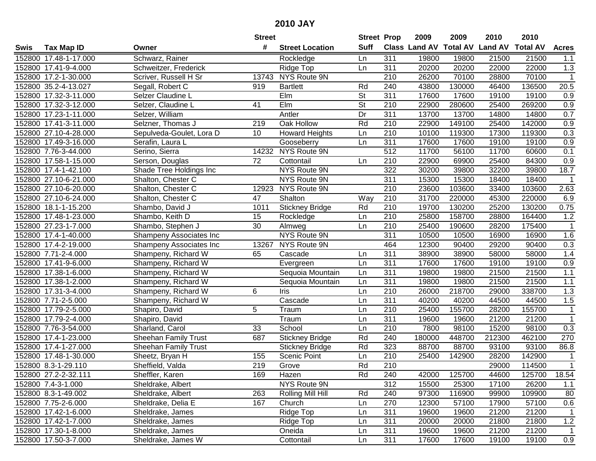| #<br><b>Suff</b><br><b>Total AV</b><br><b>Land AV</b><br><b>Class Land AV</b><br><b>Total AV</b><br><b>Tax Map ID</b><br><b>Street Location</b><br><b>Acres</b><br>Swis<br>Owner<br>Schwarz, Rainer<br>152800 17.48-1-17.000<br>311<br>19800<br>19800<br>21500<br>21500<br>Rockledge<br>1.1<br>Ln<br>311<br>152800 17.41-9-4.000<br>20200<br>20200<br>22000<br>22000<br>1.3<br>Schweitzer, Frederick<br>Ridge Top<br>Ln<br>NYS Route 9N<br>$\mathbf{1}$<br>152800 17.2-1-30.000<br>Scriver, Russell H Sr<br>13743<br>210<br>26200<br>70100<br>28800<br>70100<br>Rd<br>240<br>43800<br>130000<br>136500<br>20.5<br>152800 35.2-4-13.027<br>Segall, Robert C<br><b>Bartlett</b><br>46400<br>919<br>311<br>152800 17.32-3-11.000<br>Selzer Claudine L<br>Elm<br><b>St</b><br>17600<br>17600<br>19100<br>19100<br>0.9<br>EIm<br>$\overline{\mathsf{St}}$<br>0.9<br>152800 17.32-3-12.000<br>Selzer, Claudine L<br>41<br>210<br>22900<br>280600<br>25400<br>269200<br>0.7<br>152800 17.23-1-11.000<br>Dr<br>311<br>13700<br>13700<br>Selzer, William<br>Antler<br>14800<br>14800<br>Rd<br>210<br>0.9<br>152800 17.41-3-11.000<br>Selzner, Thomas J<br>$\overline{219}$<br>Oak Hollow<br>22900<br>149100<br>25400<br>142000<br>$\overline{210}$<br>10100<br>0.3<br>152800 27.10-4-28.000<br>Sepulveda-Goulet, Lora D<br>10<br><b>Howard Heights</b><br>119300<br>17300<br>119300<br>Ln<br>311<br>17600<br>0.9<br>152800 17.49-3-16.000<br>17600<br>19100<br>19100<br>Serafin, Laura L<br>Gooseberry<br>Ln<br>NYS Route 9N<br>512<br>11700<br>0.1<br>152800 7.76-3-44.000<br>Serino, Sierra<br>14232<br>56100<br>11700<br>60600<br>152800 17.58-1-15.000<br>72<br>Cottontail<br>210<br>22900<br>69900<br>25400<br>84300<br>0.9<br>Serson, Douglas<br>Ln<br>322<br>18.7<br>152800 17.4-1-42.100<br>NYS Route 9N<br>30200<br>32200<br>39800<br>Shade Tree Holdings Inc<br>39800<br>311<br>152800 27.10-6-21.000<br>Shalton, Chester C<br>NYS Route 9N<br>15300<br>15300<br>18400<br>18400<br>$\mathbf 1$<br>NYS Route 9N<br>210<br>2.63<br>152800 27.10-6-20.000<br>Shalton, Chester C<br>12923<br>23600<br>103600<br>33400<br>103600<br>152800 27.10-6-24.000<br>Shalton<br>210<br>31700<br>220000<br>45300<br>220000<br>6.9<br>Shalton, Chester C<br>47<br>Way<br>Rd<br>210<br>19700<br>0.75<br>1011<br>130200<br>25200<br>130200<br>152800 18.1-1-15.200<br>Shambo, David J<br><b>Stickney Bridge</b><br>1.2<br>15<br>210<br>25800<br>158700<br>28800<br>164400<br>152800 17.48-1-23.000<br>Shambo, Keith D<br>Rockledge<br>Ln<br>152800 27.23-1-7.000<br>30<br>Almweg<br>210<br>25400<br>190600<br>28200<br>175400<br>$\mathbf{1}$<br>Shambo, Stephen J<br>Ln<br>NYS Route 9N<br>311<br>10500<br>10500<br>16900<br>16900<br>1.6<br>152800 17.4-1-40.000<br>Shampeny Associates Inc<br>0.3<br>NYS Route 9N<br>464<br>12300<br>90400<br>29200<br>90400<br>152800 17.4-2-19.000<br>Shampeny Associates Inc<br>13267<br>311<br>1.4<br>152800 7.71-2-4.000<br>Shampeny, Richard W<br>Cascade<br>38900<br>38900<br>58000<br>58000<br>65<br>Ln<br>311<br>0.9<br>152800 17.41-9-6.000<br>Evergreen<br>Ln<br>17600<br>17600<br>19100<br>19100<br>Shampeny, Richard W<br>311<br>$1.1$<br>152800 17.38-1-6.000<br>Sequoia Mountain<br>19800<br>19800<br>21500<br>21500<br>Shampeny, Richard W<br>Ln<br>311<br>1.1<br>152800 17.38-1-2.000<br>19800<br>19800<br>21500<br>21500<br>Shampeny, Richard W<br>Sequoia Mountain<br>Ln<br>6<br>210<br>26000<br>218700<br>338700<br>1.3<br>152800 17.31-3-4.000<br>Shampeny, Richard W<br>Ln<br>29000<br><b>Iris</b><br>152800 7.71-2-5.000<br>Cascade<br>311<br>Shampeny, Richard W<br>Ln<br>40200<br>40200<br>44500<br>44500<br>1.5<br>210<br>25400<br>155700<br>155700<br>152800 17.79-2-5.000<br>5<br>28200<br>$\mathbf 1$<br>Shapiro, David<br>Traum<br>Ln<br>311<br>$\mathbf{1}$<br>152800 17.79-2-4.000<br>Traum<br>19600<br>21200<br>21200<br>Ln<br>19600<br>Shapiro, David<br>33<br>$\overline{210}$<br>7800<br>15200<br>98100<br>0.3<br>152800 7.76-3-54.000<br>School<br>98100<br>Sharland, Carol<br>Ln<br>687<br>Rd<br>240<br>448700<br>212300<br>462100<br>270<br>152800 17.4-1-23.000<br><b>Stickney Bridge</b><br>180000<br><b>Sheehan Family Trust</b><br>Rd<br>152800 17.4-1-27.000<br>323<br>88700<br>88700<br>93100<br>93100<br>86.8<br><b>Sheehan Family Trust</b><br><b>Stickney Bridge</b><br>210<br>28200<br>142900<br>152800 17.48-1-30.000<br>155<br><b>Scenic Point</b><br>25400<br>142900<br>Sheetz, Bryan H<br>Ln<br>$\mathbf{1}$<br>Rd<br>$\overline{210}$<br>152800 8.3-1-29.110<br>219<br>Grove<br>114500<br>$\mathbf{1}$<br>Sheffield, Valda<br>29000<br>152800 27.2-2-32.111<br>Sheffler, Karen<br>169<br>Hazen<br>Rd<br>240<br>42000<br>125700<br>44600<br>125700<br>18.54<br>NYS Route 9N<br>312<br>152800 7.4-3-1.000<br>15500<br>17100<br>26200<br>Sheldrake, Albert<br>25300<br>1.1<br>97300<br>109900<br>152800 8.3-1-49.002<br>263<br>Rolling Mill Hill<br>Rd<br>240<br>116900<br>99900<br>80<br>Sheldrake, Albert<br>167<br>270<br>12300<br>57100<br>0.6<br>152800 7.75-2-6.000<br>Sheldrake, Delia E<br>Church<br>Ln<br>57100<br>17900<br>Ridge Top<br>311<br>152800 17.42-1-6.000<br>Sheldrake, James<br>19600<br>19600<br>21200<br>21200<br>$\mathbf{1}$<br>Ln<br>311<br>$1.2$<br>152800 17.42-1-7.000<br>Ridge Top<br>20000<br>20000<br>21800<br>21800<br>Sheldrake, James<br>Ln<br>152800 17.30-1-8.000<br>Oneida<br>311<br>19600<br>19600<br>21200<br>21200<br>Sheldrake, James<br>Ln<br>1<br>152800 17.50-3-7.000 |  |                    | <b>Street</b> |            | <b>Street Prop</b> |     | 2009  | 2009  | 2010  | 2010  |     |
|------------------------------------------------------------------------------------------------------------------------------------------------------------------------------------------------------------------------------------------------------------------------------------------------------------------------------------------------------------------------------------------------------------------------------------------------------------------------------------------------------------------------------------------------------------------------------------------------------------------------------------------------------------------------------------------------------------------------------------------------------------------------------------------------------------------------------------------------------------------------------------------------------------------------------------------------------------------------------------------------------------------------------------------------------------------------------------------------------------------------------------------------------------------------------------------------------------------------------------------------------------------------------------------------------------------------------------------------------------------------------------------------------------------------------------------------------------------------------------------------------------------------------------------------------------------------------------------------------------------------------------------------------------------------------------------------------------------------------------------------------------------------------------------------------------------------------------------------------------------------------------------------------------------------------------------------------------------------------------------------------------------------------------------------------------------------------------------------------------------------------------------------------------------------------------------------------------------------------------------------------------------------------------------------------------------------------------------------------------------------------------------------------------------------------------------------------------------------------------------------------------------------------------------------------------------------------------------------------------------------------------------------------------------------------------------------------------------------------------------------------------------------------------------------------------------------------------------------------------------------------------------------------------------------------------------------------------------------------------------------------------------------------------------------------------------------------------------------------------------------------------------------------------------------------------------------------------------------------------------------------------------------------------------------------------------------------------------------------------------------------------------------------------------------------------------------------------------------------------------------------------------------------------------------------------------------------------------------------------------------------------------------------------------------------------------------------------------------------------------------------------------------------------------------------------------------------------------------------------------------------------------------------------------------------------------------------------------------------------------------------------------------------------------------------------------------------------------------------------------------------------------------------------------------------------------------------------------------------------------------------------------------------------------------------------------------------------------------------------------------------------------------------------------------------------------------------------------------------------------------------------------------------------------------------------------------------------------------------------------------------------------------------------------------------------------------------------------------------------------------------------------------------------------------------------------------------------------------------------------------------------------------------------------------------------------------------------------------------------------------------------------------------------------------------------------------------------------------------------------------------------------------------------------------------------------------------------------------------------------------------------------------------------------------------------------------------------------------------------------------------------------------------------------------------------------------------------------------------------------|--|--------------------|---------------|------------|--------------------|-----|-------|-------|-------|-------|-----|
|                                                                                                                                                                                                                                                                                                                                                                                                                                                                                                                                                                                                                                                                                                                                                                                                                                                                                                                                                                                                                                                                                                                                                                                                                                                                                                                                                                                                                                                                                                                                                                                                                                                                                                                                                                                                                                                                                                                                                                                                                                                                                                                                                                                                                                                                                                                                                                                                                                                                                                                                                                                                                                                                                                                                                                                                                                                                                                                                                                                                                                                                                                                                                                                                                                                                                                                                                                                                                                                                                                                                                                                                                                                                                                                                                                                                                                                                                                                                                                                                                                                                                                                                                                                                                                                                                                                                                                                                                                                                                                                                                                                                                                                                                                                                                                                                                                                                                                                                                                                                                                                                                                                                                                                                                                                                                                                                                                                                                                                                                          |  |                    |               |            |                    |     |       |       |       |       |     |
|                                                                                                                                                                                                                                                                                                                                                                                                                                                                                                                                                                                                                                                                                                                                                                                                                                                                                                                                                                                                                                                                                                                                                                                                                                                                                                                                                                                                                                                                                                                                                                                                                                                                                                                                                                                                                                                                                                                                                                                                                                                                                                                                                                                                                                                                                                                                                                                                                                                                                                                                                                                                                                                                                                                                                                                                                                                                                                                                                                                                                                                                                                                                                                                                                                                                                                                                                                                                                                                                                                                                                                                                                                                                                                                                                                                                                                                                                                                                                                                                                                                                                                                                                                                                                                                                                                                                                                                                                                                                                                                                                                                                                                                                                                                                                                                                                                                                                                                                                                                                                                                                                                                                                                                                                                                                                                                                                                                                                                                                                          |  |                    |               |            |                    |     |       |       |       |       |     |
|                                                                                                                                                                                                                                                                                                                                                                                                                                                                                                                                                                                                                                                                                                                                                                                                                                                                                                                                                                                                                                                                                                                                                                                                                                                                                                                                                                                                                                                                                                                                                                                                                                                                                                                                                                                                                                                                                                                                                                                                                                                                                                                                                                                                                                                                                                                                                                                                                                                                                                                                                                                                                                                                                                                                                                                                                                                                                                                                                                                                                                                                                                                                                                                                                                                                                                                                                                                                                                                                                                                                                                                                                                                                                                                                                                                                                                                                                                                                                                                                                                                                                                                                                                                                                                                                                                                                                                                                                                                                                                                                                                                                                                                                                                                                                                                                                                                                                                                                                                                                                                                                                                                                                                                                                                                                                                                                                                                                                                                                                          |  |                    |               |            |                    |     |       |       |       |       |     |
|                                                                                                                                                                                                                                                                                                                                                                                                                                                                                                                                                                                                                                                                                                                                                                                                                                                                                                                                                                                                                                                                                                                                                                                                                                                                                                                                                                                                                                                                                                                                                                                                                                                                                                                                                                                                                                                                                                                                                                                                                                                                                                                                                                                                                                                                                                                                                                                                                                                                                                                                                                                                                                                                                                                                                                                                                                                                                                                                                                                                                                                                                                                                                                                                                                                                                                                                                                                                                                                                                                                                                                                                                                                                                                                                                                                                                                                                                                                                                                                                                                                                                                                                                                                                                                                                                                                                                                                                                                                                                                                                                                                                                                                                                                                                                                                                                                                                                                                                                                                                                                                                                                                                                                                                                                                                                                                                                                                                                                                                                          |  |                    |               |            |                    |     |       |       |       |       |     |
|                                                                                                                                                                                                                                                                                                                                                                                                                                                                                                                                                                                                                                                                                                                                                                                                                                                                                                                                                                                                                                                                                                                                                                                                                                                                                                                                                                                                                                                                                                                                                                                                                                                                                                                                                                                                                                                                                                                                                                                                                                                                                                                                                                                                                                                                                                                                                                                                                                                                                                                                                                                                                                                                                                                                                                                                                                                                                                                                                                                                                                                                                                                                                                                                                                                                                                                                                                                                                                                                                                                                                                                                                                                                                                                                                                                                                                                                                                                                                                                                                                                                                                                                                                                                                                                                                                                                                                                                                                                                                                                                                                                                                                                                                                                                                                                                                                                                                                                                                                                                                                                                                                                                                                                                                                                                                                                                                                                                                                                                                          |  |                    |               |            |                    |     |       |       |       |       |     |
|                                                                                                                                                                                                                                                                                                                                                                                                                                                                                                                                                                                                                                                                                                                                                                                                                                                                                                                                                                                                                                                                                                                                                                                                                                                                                                                                                                                                                                                                                                                                                                                                                                                                                                                                                                                                                                                                                                                                                                                                                                                                                                                                                                                                                                                                                                                                                                                                                                                                                                                                                                                                                                                                                                                                                                                                                                                                                                                                                                                                                                                                                                                                                                                                                                                                                                                                                                                                                                                                                                                                                                                                                                                                                                                                                                                                                                                                                                                                                                                                                                                                                                                                                                                                                                                                                                                                                                                                                                                                                                                                                                                                                                                                                                                                                                                                                                                                                                                                                                                                                                                                                                                                                                                                                                                                                                                                                                                                                                                                                          |  |                    |               |            |                    |     |       |       |       |       |     |
|                                                                                                                                                                                                                                                                                                                                                                                                                                                                                                                                                                                                                                                                                                                                                                                                                                                                                                                                                                                                                                                                                                                                                                                                                                                                                                                                                                                                                                                                                                                                                                                                                                                                                                                                                                                                                                                                                                                                                                                                                                                                                                                                                                                                                                                                                                                                                                                                                                                                                                                                                                                                                                                                                                                                                                                                                                                                                                                                                                                                                                                                                                                                                                                                                                                                                                                                                                                                                                                                                                                                                                                                                                                                                                                                                                                                                                                                                                                                                                                                                                                                                                                                                                                                                                                                                                                                                                                                                                                                                                                                                                                                                                                                                                                                                                                                                                                                                                                                                                                                                                                                                                                                                                                                                                                                                                                                                                                                                                                                                          |  |                    |               |            |                    |     |       |       |       |       |     |
|                                                                                                                                                                                                                                                                                                                                                                                                                                                                                                                                                                                                                                                                                                                                                                                                                                                                                                                                                                                                                                                                                                                                                                                                                                                                                                                                                                                                                                                                                                                                                                                                                                                                                                                                                                                                                                                                                                                                                                                                                                                                                                                                                                                                                                                                                                                                                                                                                                                                                                                                                                                                                                                                                                                                                                                                                                                                                                                                                                                                                                                                                                                                                                                                                                                                                                                                                                                                                                                                                                                                                                                                                                                                                                                                                                                                                                                                                                                                                                                                                                                                                                                                                                                                                                                                                                                                                                                                                                                                                                                                                                                                                                                                                                                                                                                                                                                                                                                                                                                                                                                                                                                                                                                                                                                                                                                                                                                                                                                                                          |  |                    |               |            |                    |     |       |       |       |       |     |
|                                                                                                                                                                                                                                                                                                                                                                                                                                                                                                                                                                                                                                                                                                                                                                                                                                                                                                                                                                                                                                                                                                                                                                                                                                                                                                                                                                                                                                                                                                                                                                                                                                                                                                                                                                                                                                                                                                                                                                                                                                                                                                                                                                                                                                                                                                                                                                                                                                                                                                                                                                                                                                                                                                                                                                                                                                                                                                                                                                                                                                                                                                                                                                                                                                                                                                                                                                                                                                                                                                                                                                                                                                                                                                                                                                                                                                                                                                                                                                                                                                                                                                                                                                                                                                                                                                                                                                                                                                                                                                                                                                                                                                                                                                                                                                                                                                                                                                                                                                                                                                                                                                                                                                                                                                                                                                                                                                                                                                                                                          |  |                    |               |            |                    |     |       |       |       |       |     |
|                                                                                                                                                                                                                                                                                                                                                                                                                                                                                                                                                                                                                                                                                                                                                                                                                                                                                                                                                                                                                                                                                                                                                                                                                                                                                                                                                                                                                                                                                                                                                                                                                                                                                                                                                                                                                                                                                                                                                                                                                                                                                                                                                                                                                                                                                                                                                                                                                                                                                                                                                                                                                                                                                                                                                                                                                                                                                                                                                                                                                                                                                                                                                                                                                                                                                                                                                                                                                                                                                                                                                                                                                                                                                                                                                                                                                                                                                                                                                                                                                                                                                                                                                                                                                                                                                                                                                                                                                                                                                                                                                                                                                                                                                                                                                                                                                                                                                                                                                                                                                                                                                                                                                                                                                                                                                                                                                                                                                                                                                          |  |                    |               |            |                    |     |       |       |       |       |     |
|                                                                                                                                                                                                                                                                                                                                                                                                                                                                                                                                                                                                                                                                                                                                                                                                                                                                                                                                                                                                                                                                                                                                                                                                                                                                                                                                                                                                                                                                                                                                                                                                                                                                                                                                                                                                                                                                                                                                                                                                                                                                                                                                                                                                                                                                                                                                                                                                                                                                                                                                                                                                                                                                                                                                                                                                                                                                                                                                                                                                                                                                                                                                                                                                                                                                                                                                                                                                                                                                                                                                                                                                                                                                                                                                                                                                                                                                                                                                                                                                                                                                                                                                                                                                                                                                                                                                                                                                                                                                                                                                                                                                                                                                                                                                                                                                                                                                                                                                                                                                                                                                                                                                                                                                                                                                                                                                                                                                                                                                                          |  |                    |               |            |                    |     |       |       |       |       |     |
|                                                                                                                                                                                                                                                                                                                                                                                                                                                                                                                                                                                                                                                                                                                                                                                                                                                                                                                                                                                                                                                                                                                                                                                                                                                                                                                                                                                                                                                                                                                                                                                                                                                                                                                                                                                                                                                                                                                                                                                                                                                                                                                                                                                                                                                                                                                                                                                                                                                                                                                                                                                                                                                                                                                                                                                                                                                                                                                                                                                                                                                                                                                                                                                                                                                                                                                                                                                                                                                                                                                                                                                                                                                                                                                                                                                                                                                                                                                                                                                                                                                                                                                                                                                                                                                                                                                                                                                                                                                                                                                                                                                                                                                                                                                                                                                                                                                                                                                                                                                                                                                                                                                                                                                                                                                                                                                                                                                                                                                                                          |  |                    |               |            |                    |     |       |       |       |       |     |
|                                                                                                                                                                                                                                                                                                                                                                                                                                                                                                                                                                                                                                                                                                                                                                                                                                                                                                                                                                                                                                                                                                                                                                                                                                                                                                                                                                                                                                                                                                                                                                                                                                                                                                                                                                                                                                                                                                                                                                                                                                                                                                                                                                                                                                                                                                                                                                                                                                                                                                                                                                                                                                                                                                                                                                                                                                                                                                                                                                                                                                                                                                                                                                                                                                                                                                                                                                                                                                                                                                                                                                                                                                                                                                                                                                                                                                                                                                                                                                                                                                                                                                                                                                                                                                                                                                                                                                                                                                                                                                                                                                                                                                                                                                                                                                                                                                                                                                                                                                                                                                                                                                                                                                                                                                                                                                                                                                                                                                                                                          |  |                    |               |            |                    |     |       |       |       |       |     |
|                                                                                                                                                                                                                                                                                                                                                                                                                                                                                                                                                                                                                                                                                                                                                                                                                                                                                                                                                                                                                                                                                                                                                                                                                                                                                                                                                                                                                                                                                                                                                                                                                                                                                                                                                                                                                                                                                                                                                                                                                                                                                                                                                                                                                                                                                                                                                                                                                                                                                                                                                                                                                                                                                                                                                                                                                                                                                                                                                                                                                                                                                                                                                                                                                                                                                                                                                                                                                                                                                                                                                                                                                                                                                                                                                                                                                                                                                                                                                                                                                                                                                                                                                                                                                                                                                                                                                                                                                                                                                                                                                                                                                                                                                                                                                                                                                                                                                                                                                                                                                                                                                                                                                                                                                                                                                                                                                                                                                                                                                          |  |                    |               |            |                    |     |       |       |       |       |     |
|                                                                                                                                                                                                                                                                                                                                                                                                                                                                                                                                                                                                                                                                                                                                                                                                                                                                                                                                                                                                                                                                                                                                                                                                                                                                                                                                                                                                                                                                                                                                                                                                                                                                                                                                                                                                                                                                                                                                                                                                                                                                                                                                                                                                                                                                                                                                                                                                                                                                                                                                                                                                                                                                                                                                                                                                                                                                                                                                                                                                                                                                                                                                                                                                                                                                                                                                                                                                                                                                                                                                                                                                                                                                                                                                                                                                                                                                                                                                                                                                                                                                                                                                                                                                                                                                                                                                                                                                                                                                                                                                                                                                                                                                                                                                                                                                                                                                                                                                                                                                                                                                                                                                                                                                                                                                                                                                                                                                                                                                                          |  |                    |               |            |                    |     |       |       |       |       |     |
|                                                                                                                                                                                                                                                                                                                                                                                                                                                                                                                                                                                                                                                                                                                                                                                                                                                                                                                                                                                                                                                                                                                                                                                                                                                                                                                                                                                                                                                                                                                                                                                                                                                                                                                                                                                                                                                                                                                                                                                                                                                                                                                                                                                                                                                                                                                                                                                                                                                                                                                                                                                                                                                                                                                                                                                                                                                                                                                                                                                                                                                                                                                                                                                                                                                                                                                                                                                                                                                                                                                                                                                                                                                                                                                                                                                                                                                                                                                                                                                                                                                                                                                                                                                                                                                                                                                                                                                                                                                                                                                                                                                                                                                                                                                                                                                                                                                                                                                                                                                                                                                                                                                                                                                                                                                                                                                                                                                                                                                                                          |  |                    |               |            |                    |     |       |       |       |       |     |
|                                                                                                                                                                                                                                                                                                                                                                                                                                                                                                                                                                                                                                                                                                                                                                                                                                                                                                                                                                                                                                                                                                                                                                                                                                                                                                                                                                                                                                                                                                                                                                                                                                                                                                                                                                                                                                                                                                                                                                                                                                                                                                                                                                                                                                                                                                                                                                                                                                                                                                                                                                                                                                                                                                                                                                                                                                                                                                                                                                                                                                                                                                                                                                                                                                                                                                                                                                                                                                                                                                                                                                                                                                                                                                                                                                                                                                                                                                                                                                                                                                                                                                                                                                                                                                                                                                                                                                                                                                                                                                                                                                                                                                                                                                                                                                                                                                                                                                                                                                                                                                                                                                                                                                                                                                                                                                                                                                                                                                                                                          |  |                    |               |            |                    |     |       |       |       |       |     |
|                                                                                                                                                                                                                                                                                                                                                                                                                                                                                                                                                                                                                                                                                                                                                                                                                                                                                                                                                                                                                                                                                                                                                                                                                                                                                                                                                                                                                                                                                                                                                                                                                                                                                                                                                                                                                                                                                                                                                                                                                                                                                                                                                                                                                                                                                                                                                                                                                                                                                                                                                                                                                                                                                                                                                                                                                                                                                                                                                                                                                                                                                                                                                                                                                                                                                                                                                                                                                                                                                                                                                                                                                                                                                                                                                                                                                                                                                                                                                                                                                                                                                                                                                                                                                                                                                                                                                                                                                                                                                                                                                                                                                                                                                                                                                                                                                                                                                                                                                                                                                                                                                                                                                                                                                                                                                                                                                                                                                                                                                          |  |                    |               |            |                    |     |       |       |       |       |     |
|                                                                                                                                                                                                                                                                                                                                                                                                                                                                                                                                                                                                                                                                                                                                                                                                                                                                                                                                                                                                                                                                                                                                                                                                                                                                                                                                                                                                                                                                                                                                                                                                                                                                                                                                                                                                                                                                                                                                                                                                                                                                                                                                                                                                                                                                                                                                                                                                                                                                                                                                                                                                                                                                                                                                                                                                                                                                                                                                                                                                                                                                                                                                                                                                                                                                                                                                                                                                                                                                                                                                                                                                                                                                                                                                                                                                                                                                                                                                                                                                                                                                                                                                                                                                                                                                                                                                                                                                                                                                                                                                                                                                                                                                                                                                                                                                                                                                                                                                                                                                                                                                                                                                                                                                                                                                                                                                                                                                                                                                                          |  |                    |               |            |                    |     |       |       |       |       |     |
|                                                                                                                                                                                                                                                                                                                                                                                                                                                                                                                                                                                                                                                                                                                                                                                                                                                                                                                                                                                                                                                                                                                                                                                                                                                                                                                                                                                                                                                                                                                                                                                                                                                                                                                                                                                                                                                                                                                                                                                                                                                                                                                                                                                                                                                                                                                                                                                                                                                                                                                                                                                                                                                                                                                                                                                                                                                                                                                                                                                                                                                                                                                                                                                                                                                                                                                                                                                                                                                                                                                                                                                                                                                                                                                                                                                                                                                                                                                                                                                                                                                                                                                                                                                                                                                                                                                                                                                                                                                                                                                                                                                                                                                                                                                                                                                                                                                                                                                                                                                                                                                                                                                                                                                                                                                                                                                                                                                                                                                                                          |  |                    |               |            |                    |     |       |       |       |       |     |
|                                                                                                                                                                                                                                                                                                                                                                                                                                                                                                                                                                                                                                                                                                                                                                                                                                                                                                                                                                                                                                                                                                                                                                                                                                                                                                                                                                                                                                                                                                                                                                                                                                                                                                                                                                                                                                                                                                                                                                                                                                                                                                                                                                                                                                                                                                                                                                                                                                                                                                                                                                                                                                                                                                                                                                                                                                                                                                                                                                                                                                                                                                                                                                                                                                                                                                                                                                                                                                                                                                                                                                                                                                                                                                                                                                                                                                                                                                                                                                                                                                                                                                                                                                                                                                                                                                                                                                                                                                                                                                                                                                                                                                                                                                                                                                                                                                                                                                                                                                                                                                                                                                                                                                                                                                                                                                                                                                                                                                                                                          |  |                    |               |            |                    |     |       |       |       |       |     |
|                                                                                                                                                                                                                                                                                                                                                                                                                                                                                                                                                                                                                                                                                                                                                                                                                                                                                                                                                                                                                                                                                                                                                                                                                                                                                                                                                                                                                                                                                                                                                                                                                                                                                                                                                                                                                                                                                                                                                                                                                                                                                                                                                                                                                                                                                                                                                                                                                                                                                                                                                                                                                                                                                                                                                                                                                                                                                                                                                                                                                                                                                                                                                                                                                                                                                                                                                                                                                                                                                                                                                                                                                                                                                                                                                                                                                                                                                                                                                                                                                                                                                                                                                                                                                                                                                                                                                                                                                                                                                                                                                                                                                                                                                                                                                                                                                                                                                                                                                                                                                                                                                                                                                                                                                                                                                                                                                                                                                                                                                          |  |                    |               |            |                    |     |       |       |       |       |     |
|                                                                                                                                                                                                                                                                                                                                                                                                                                                                                                                                                                                                                                                                                                                                                                                                                                                                                                                                                                                                                                                                                                                                                                                                                                                                                                                                                                                                                                                                                                                                                                                                                                                                                                                                                                                                                                                                                                                                                                                                                                                                                                                                                                                                                                                                                                                                                                                                                                                                                                                                                                                                                                                                                                                                                                                                                                                                                                                                                                                                                                                                                                                                                                                                                                                                                                                                                                                                                                                                                                                                                                                                                                                                                                                                                                                                                                                                                                                                                                                                                                                                                                                                                                                                                                                                                                                                                                                                                                                                                                                                                                                                                                                                                                                                                                                                                                                                                                                                                                                                                                                                                                                                                                                                                                                                                                                                                                                                                                                                                          |  |                    |               |            |                    |     |       |       |       |       |     |
|                                                                                                                                                                                                                                                                                                                                                                                                                                                                                                                                                                                                                                                                                                                                                                                                                                                                                                                                                                                                                                                                                                                                                                                                                                                                                                                                                                                                                                                                                                                                                                                                                                                                                                                                                                                                                                                                                                                                                                                                                                                                                                                                                                                                                                                                                                                                                                                                                                                                                                                                                                                                                                                                                                                                                                                                                                                                                                                                                                                                                                                                                                                                                                                                                                                                                                                                                                                                                                                                                                                                                                                                                                                                                                                                                                                                                                                                                                                                                                                                                                                                                                                                                                                                                                                                                                                                                                                                                                                                                                                                                                                                                                                                                                                                                                                                                                                                                                                                                                                                                                                                                                                                                                                                                                                                                                                                                                                                                                                                                          |  |                    |               |            |                    |     |       |       |       |       |     |
|                                                                                                                                                                                                                                                                                                                                                                                                                                                                                                                                                                                                                                                                                                                                                                                                                                                                                                                                                                                                                                                                                                                                                                                                                                                                                                                                                                                                                                                                                                                                                                                                                                                                                                                                                                                                                                                                                                                                                                                                                                                                                                                                                                                                                                                                                                                                                                                                                                                                                                                                                                                                                                                                                                                                                                                                                                                                                                                                                                                                                                                                                                                                                                                                                                                                                                                                                                                                                                                                                                                                                                                                                                                                                                                                                                                                                                                                                                                                                                                                                                                                                                                                                                                                                                                                                                                                                                                                                                                                                                                                                                                                                                                                                                                                                                                                                                                                                                                                                                                                                                                                                                                                                                                                                                                                                                                                                                                                                                                                                          |  |                    |               |            |                    |     |       |       |       |       |     |
|                                                                                                                                                                                                                                                                                                                                                                                                                                                                                                                                                                                                                                                                                                                                                                                                                                                                                                                                                                                                                                                                                                                                                                                                                                                                                                                                                                                                                                                                                                                                                                                                                                                                                                                                                                                                                                                                                                                                                                                                                                                                                                                                                                                                                                                                                                                                                                                                                                                                                                                                                                                                                                                                                                                                                                                                                                                                                                                                                                                                                                                                                                                                                                                                                                                                                                                                                                                                                                                                                                                                                                                                                                                                                                                                                                                                                                                                                                                                                                                                                                                                                                                                                                                                                                                                                                                                                                                                                                                                                                                                                                                                                                                                                                                                                                                                                                                                                                                                                                                                                                                                                                                                                                                                                                                                                                                                                                                                                                                                                          |  |                    |               |            |                    |     |       |       |       |       |     |
|                                                                                                                                                                                                                                                                                                                                                                                                                                                                                                                                                                                                                                                                                                                                                                                                                                                                                                                                                                                                                                                                                                                                                                                                                                                                                                                                                                                                                                                                                                                                                                                                                                                                                                                                                                                                                                                                                                                                                                                                                                                                                                                                                                                                                                                                                                                                                                                                                                                                                                                                                                                                                                                                                                                                                                                                                                                                                                                                                                                                                                                                                                                                                                                                                                                                                                                                                                                                                                                                                                                                                                                                                                                                                                                                                                                                                                                                                                                                                                                                                                                                                                                                                                                                                                                                                                                                                                                                                                                                                                                                                                                                                                                                                                                                                                                                                                                                                                                                                                                                                                                                                                                                                                                                                                                                                                                                                                                                                                                                                          |  |                    |               |            |                    |     |       |       |       |       |     |
|                                                                                                                                                                                                                                                                                                                                                                                                                                                                                                                                                                                                                                                                                                                                                                                                                                                                                                                                                                                                                                                                                                                                                                                                                                                                                                                                                                                                                                                                                                                                                                                                                                                                                                                                                                                                                                                                                                                                                                                                                                                                                                                                                                                                                                                                                                                                                                                                                                                                                                                                                                                                                                                                                                                                                                                                                                                                                                                                                                                                                                                                                                                                                                                                                                                                                                                                                                                                                                                                                                                                                                                                                                                                                                                                                                                                                                                                                                                                                                                                                                                                                                                                                                                                                                                                                                                                                                                                                                                                                                                                                                                                                                                                                                                                                                                                                                                                                                                                                                                                                                                                                                                                                                                                                                                                                                                                                                                                                                                                                          |  |                    |               |            |                    |     |       |       |       |       |     |
|                                                                                                                                                                                                                                                                                                                                                                                                                                                                                                                                                                                                                                                                                                                                                                                                                                                                                                                                                                                                                                                                                                                                                                                                                                                                                                                                                                                                                                                                                                                                                                                                                                                                                                                                                                                                                                                                                                                                                                                                                                                                                                                                                                                                                                                                                                                                                                                                                                                                                                                                                                                                                                                                                                                                                                                                                                                                                                                                                                                                                                                                                                                                                                                                                                                                                                                                                                                                                                                                                                                                                                                                                                                                                                                                                                                                                                                                                                                                                                                                                                                                                                                                                                                                                                                                                                                                                                                                                                                                                                                                                                                                                                                                                                                                                                                                                                                                                                                                                                                                                                                                                                                                                                                                                                                                                                                                                                                                                                                                                          |  |                    |               |            |                    |     |       |       |       |       |     |
|                                                                                                                                                                                                                                                                                                                                                                                                                                                                                                                                                                                                                                                                                                                                                                                                                                                                                                                                                                                                                                                                                                                                                                                                                                                                                                                                                                                                                                                                                                                                                                                                                                                                                                                                                                                                                                                                                                                                                                                                                                                                                                                                                                                                                                                                                                                                                                                                                                                                                                                                                                                                                                                                                                                                                                                                                                                                                                                                                                                                                                                                                                                                                                                                                                                                                                                                                                                                                                                                                                                                                                                                                                                                                                                                                                                                                                                                                                                                                                                                                                                                                                                                                                                                                                                                                                                                                                                                                                                                                                                                                                                                                                                                                                                                                                                                                                                                                                                                                                                                                                                                                                                                                                                                                                                                                                                                                                                                                                                                                          |  |                    |               |            |                    |     |       |       |       |       |     |
|                                                                                                                                                                                                                                                                                                                                                                                                                                                                                                                                                                                                                                                                                                                                                                                                                                                                                                                                                                                                                                                                                                                                                                                                                                                                                                                                                                                                                                                                                                                                                                                                                                                                                                                                                                                                                                                                                                                                                                                                                                                                                                                                                                                                                                                                                                                                                                                                                                                                                                                                                                                                                                                                                                                                                                                                                                                                                                                                                                                                                                                                                                                                                                                                                                                                                                                                                                                                                                                                                                                                                                                                                                                                                                                                                                                                                                                                                                                                                                                                                                                                                                                                                                                                                                                                                                                                                                                                                                                                                                                                                                                                                                                                                                                                                                                                                                                                                                                                                                                                                                                                                                                                                                                                                                                                                                                                                                                                                                                                                          |  |                    |               |            |                    |     |       |       |       |       |     |
|                                                                                                                                                                                                                                                                                                                                                                                                                                                                                                                                                                                                                                                                                                                                                                                                                                                                                                                                                                                                                                                                                                                                                                                                                                                                                                                                                                                                                                                                                                                                                                                                                                                                                                                                                                                                                                                                                                                                                                                                                                                                                                                                                                                                                                                                                                                                                                                                                                                                                                                                                                                                                                                                                                                                                                                                                                                                                                                                                                                                                                                                                                                                                                                                                                                                                                                                                                                                                                                                                                                                                                                                                                                                                                                                                                                                                                                                                                                                                                                                                                                                                                                                                                                                                                                                                                                                                                                                                                                                                                                                                                                                                                                                                                                                                                                                                                                                                                                                                                                                                                                                                                                                                                                                                                                                                                                                                                                                                                                                                          |  |                    |               |            |                    |     |       |       |       |       |     |
|                                                                                                                                                                                                                                                                                                                                                                                                                                                                                                                                                                                                                                                                                                                                                                                                                                                                                                                                                                                                                                                                                                                                                                                                                                                                                                                                                                                                                                                                                                                                                                                                                                                                                                                                                                                                                                                                                                                                                                                                                                                                                                                                                                                                                                                                                                                                                                                                                                                                                                                                                                                                                                                                                                                                                                                                                                                                                                                                                                                                                                                                                                                                                                                                                                                                                                                                                                                                                                                                                                                                                                                                                                                                                                                                                                                                                                                                                                                                                                                                                                                                                                                                                                                                                                                                                                                                                                                                                                                                                                                                                                                                                                                                                                                                                                                                                                                                                                                                                                                                                                                                                                                                                                                                                                                                                                                                                                                                                                                                                          |  |                    |               |            |                    |     |       |       |       |       |     |
|                                                                                                                                                                                                                                                                                                                                                                                                                                                                                                                                                                                                                                                                                                                                                                                                                                                                                                                                                                                                                                                                                                                                                                                                                                                                                                                                                                                                                                                                                                                                                                                                                                                                                                                                                                                                                                                                                                                                                                                                                                                                                                                                                                                                                                                                                                                                                                                                                                                                                                                                                                                                                                                                                                                                                                                                                                                                                                                                                                                                                                                                                                                                                                                                                                                                                                                                                                                                                                                                                                                                                                                                                                                                                                                                                                                                                                                                                                                                                                                                                                                                                                                                                                                                                                                                                                                                                                                                                                                                                                                                                                                                                                                                                                                                                                                                                                                                                                                                                                                                                                                                                                                                                                                                                                                                                                                                                                                                                                                                                          |  |                    |               |            |                    |     |       |       |       |       |     |
|                                                                                                                                                                                                                                                                                                                                                                                                                                                                                                                                                                                                                                                                                                                                                                                                                                                                                                                                                                                                                                                                                                                                                                                                                                                                                                                                                                                                                                                                                                                                                                                                                                                                                                                                                                                                                                                                                                                                                                                                                                                                                                                                                                                                                                                                                                                                                                                                                                                                                                                                                                                                                                                                                                                                                                                                                                                                                                                                                                                                                                                                                                                                                                                                                                                                                                                                                                                                                                                                                                                                                                                                                                                                                                                                                                                                                                                                                                                                                                                                                                                                                                                                                                                                                                                                                                                                                                                                                                                                                                                                                                                                                                                                                                                                                                                                                                                                                                                                                                                                                                                                                                                                                                                                                                                                                                                                                                                                                                                                                          |  |                    |               |            |                    |     |       |       |       |       |     |
|                                                                                                                                                                                                                                                                                                                                                                                                                                                                                                                                                                                                                                                                                                                                                                                                                                                                                                                                                                                                                                                                                                                                                                                                                                                                                                                                                                                                                                                                                                                                                                                                                                                                                                                                                                                                                                                                                                                                                                                                                                                                                                                                                                                                                                                                                                                                                                                                                                                                                                                                                                                                                                                                                                                                                                                                                                                                                                                                                                                                                                                                                                                                                                                                                                                                                                                                                                                                                                                                                                                                                                                                                                                                                                                                                                                                                                                                                                                                                                                                                                                                                                                                                                                                                                                                                                                                                                                                                                                                                                                                                                                                                                                                                                                                                                                                                                                                                                                                                                                                                                                                                                                                                                                                                                                                                                                                                                                                                                                                                          |  |                    |               |            |                    |     |       |       |       |       |     |
|                                                                                                                                                                                                                                                                                                                                                                                                                                                                                                                                                                                                                                                                                                                                                                                                                                                                                                                                                                                                                                                                                                                                                                                                                                                                                                                                                                                                                                                                                                                                                                                                                                                                                                                                                                                                                                                                                                                                                                                                                                                                                                                                                                                                                                                                                                                                                                                                                                                                                                                                                                                                                                                                                                                                                                                                                                                                                                                                                                                                                                                                                                                                                                                                                                                                                                                                                                                                                                                                                                                                                                                                                                                                                                                                                                                                                                                                                                                                                                                                                                                                                                                                                                                                                                                                                                                                                                                                                                                                                                                                                                                                                                                                                                                                                                                                                                                                                                                                                                                                                                                                                                                                                                                                                                                                                                                                                                                                                                                                                          |  |                    |               |            |                    |     |       |       |       |       |     |
|                                                                                                                                                                                                                                                                                                                                                                                                                                                                                                                                                                                                                                                                                                                                                                                                                                                                                                                                                                                                                                                                                                                                                                                                                                                                                                                                                                                                                                                                                                                                                                                                                                                                                                                                                                                                                                                                                                                                                                                                                                                                                                                                                                                                                                                                                                                                                                                                                                                                                                                                                                                                                                                                                                                                                                                                                                                                                                                                                                                                                                                                                                                                                                                                                                                                                                                                                                                                                                                                                                                                                                                                                                                                                                                                                                                                                                                                                                                                                                                                                                                                                                                                                                                                                                                                                                                                                                                                                                                                                                                                                                                                                                                                                                                                                                                                                                                                                                                                                                                                                                                                                                                                                                                                                                                                                                                                                                                                                                                                                          |  |                    |               |            |                    |     |       |       |       |       |     |
|                                                                                                                                                                                                                                                                                                                                                                                                                                                                                                                                                                                                                                                                                                                                                                                                                                                                                                                                                                                                                                                                                                                                                                                                                                                                                                                                                                                                                                                                                                                                                                                                                                                                                                                                                                                                                                                                                                                                                                                                                                                                                                                                                                                                                                                                                                                                                                                                                                                                                                                                                                                                                                                                                                                                                                                                                                                                                                                                                                                                                                                                                                                                                                                                                                                                                                                                                                                                                                                                                                                                                                                                                                                                                                                                                                                                                                                                                                                                                                                                                                                                                                                                                                                                                                                                                                                                                                                                                                                                                                                                                                                                                                                                                                                                                                                                                                                                                                                                                                                                                                                                                                                                                                                                                                                                                                                                                                                                                                                                                          |  |                    |               |            |                    |     |       |       |       |       |     |
|                                                                                                                                                                                                                                                                                                                                                                                                                                                                                                                                                                                                                                                                                                                                                                                                                                                                                                                                                                                                                                                                                                                                                                                                                                                                                                                                                                                                                                                                                                                                                                                                                                                                                                                                                                                                                                                                                                                                                                                                                                                                                                                                                                                                                                                                                                                                                                                                                                                                                                                                                                                                                                                                                                                                                                                                                                                                                                                                                                                                                                                                                                                                                                                                                                                                                                                                                                                                                                                                                                                                                                                                                                                                                                                                                                                                                                                                                                                                                                                                                                                                                                                                                                                                                                                                                                                                                                                                                                                                                                                                                                                                                                                                                                                                                                                                                                                                                                                                                                                                                                                                                                                                                                                                                                                                                                                                                                                                                                                                                          |  |                    |               |            |                    |     |       |       |       |       |     |
|                                                                                                                                                                                                                                                                                                                                                                                                                                                                                                                                                                                                                                                                                                                                                                                                                                                                                                                                                                                                                                                                                                                                                                                                                                                                                                                                                                                                                                                                                                                                                                                                                                                                                                                                                                                                                                                                                                                                                                                                                                                                                                                                                                                                                                                                                                                                                                                                                                                                                                                                                                                                                                                                                                                                                                                                                                                                                                                                                                                                                                                                                                                                                                                                                                                                                                                                                                                                                                                                                                                                                                                                                                                                                                                                                                                                                                                                                                                                                                                                                                                                                                                                                                                                                                                                                                                                                                                                                                                                                                                                                                                                                                                                                                                                                                                                                                                                                                                                                                                                                                                                                                                                                                                                                                                                                                                                                                                                                                                                                          |  |                    |               |            |                    |     |       |       |       |       |     |
|                                                                                                                                                                                                                                                                                                                                                                                                                                                                                                                                                                                                                                                                                                                                                                                                                                                                                                                                                                                                                                                                                                                                                                                                                                                                                                                                                                                                                                                                                                                                                                                                                                                                                                                                                                                                                                                                                                                                                                                                                                                                                                                                                                                                                                                                                                                                                                                                                                                                                                                                                                                                                                                                                                                                                                                                                                                                                                                                                                                                                                                                                                                                                                                                                                                                                                                                                                                                                                                                                                                                                                                                                                                                                                                                                                                                                                                                                                                                                                                                                                                                                                                                                                                                                                                                                                                                                                                                                                                                                                                                                                                                                                                                                                                                                                                                                                                                                                                                                                                                                                                                                                                                                                                                                                                                                                                                                                                                                                                                                          |  |                    |               |            |                    |     |       |       |       |       |     |
|                                                                                                                                                                                                                                                                                                                                                                                                                                                                                                                                                                                                                                                                                                                                                                                                                                                                                                                                                                                                                                                                                                                                                                                                                                                                                                                                                                                                                                                                                                                                                                                                                                                                                                                                                                                                                                                                                                                                                                                                                                                                                                                                                                                                                                                                                                                                                                                                                                                                                                                                                                                                                                                                                                                                                                                                                                                                                                                                                                                                                                                                                                                                                                                                                                                                                                                                                                                                                                                                                                                                                                                                                                                                                                                                                                                                                                                                                                                                                                                                                                                                                                                                                                                                                                                                                                                                                                                                                                                                                                                                                                                                                                                                                                                                                                                                                                                                                                                                                                                                                                                                                                                                                                                                                                                                                                                                                                                                                                                                                          |  | Sheldrake, James W |               | Cottontail | Ln                 | 311 | 17600 | 17600 | 19100 | 19100 | 0.9 |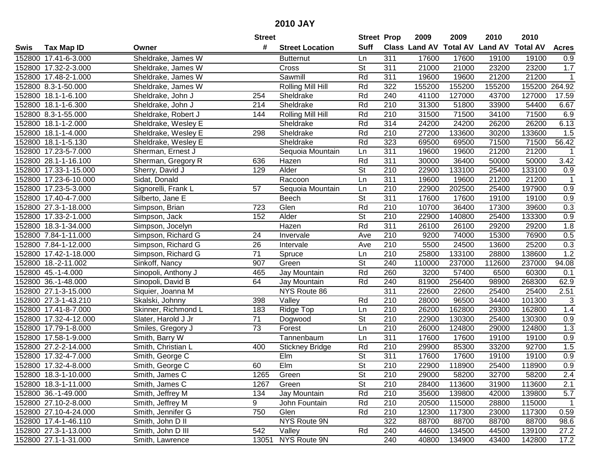|        |                       |                     | <b>Street</b>   |                        | <b>Street Prop</b>       |                  | 2009                          | 2009   | 2010           | 2010            |                  |
|--------|-----------------------|---------------------|-----------------|------------------------|--------------------------|------------------|-------------------------------|--------|----------------|-----------------|------------------|
| Swis   | <b>Tax Map ID</b>     | Owner               | #               | <b>Street Location</b> | <b>Suff</b>              |                  | <b>Class Land AV Total AV</b> |        | <b>Land AV</b> | <b>Total AV</b> | <b>Acres</b>     |
|        | 152800 17.41-6-3.000  | Sheldrake, James W  |                 | <b>Butternut</b>       | Ln                       | 311              | 17600                         | 17600  | 19100          | 19100           | 0.9              |
|        | 152800 17.32-2-3.000  | Sheldrake, James W  |                 | Cross                  | <b>St</b>                | 311              | 21000                         | 21000  | 23200          | 23200           | 1.7              |
|        | 152800 17.48-2-1.000  | Sheldrake, James W  |                 | Sawmill                | Rd                       | 311              | 19600                         | 19600  | 21200          | 21200           | $\mathbf{1}$     |
|        | 152800 8.3-1-50.000   | Sheldrake, James W  |                 | Rolling Mill Hill      | Rd                       | 322              | 155200                        | 155200 | 155200         | 155200          | 264.92           |
|        | 152800 18.1-1-6.100   | Sheldrake, John J   | 254             | Sheldrake              | Rd                       | 240              | 41100                         | 127000 | 43700          | 127000          | 17.59            |
|        | 152800 18.1-1-6.300   | Sheldrake, John J   | 214             | Sheldrake              | Rd                       | 210              | 31300                         | 51800  | 33900          | 54400           | 6.67             |
|        | 152800 8.3-1-55.000   | Sheldrake, Robert J | 144             | Rolling Mill Hill      | Rd                       | 210              | 31500                         | 71500  | 34100          | 71500           | 6.9              |
|        | 152800 18.1-1-2.000   | Sheldrake, Wesley E |                 | Sheldrake              | Rd                       | 314              | 24200                         | 24200  | 26200          | 26200           | 6.13             |
|        | 152800 18.1-1-4.000   | Sheldrake, Wesley E | 298             | Sheldrake              | Rd                       | $\overline{210}$ | 27200                         | 133600 | 30200          | 133600          | 1.5              |
|        | 152800 18.1-1-5.130   | Sheldrake, Wesley E |                 | Sheldrake              | Rd                       | 323              | 69500                         | 69500  | 71500          | 71500           | 56.42            |
|        | 152800 17.23-5-7.000  | Sherman, Ernest J   |                 | Sequoia Mountain       | Ln                       | 311              | 19600                         | 19600  | 21200          | 21200           | -1               |
|        | 152800 28.1-1-16.100  | Sherman, Gregory R  | 636             | Hazen                  | Rd                       | 311              | 30000                         | 36400  | 50000          | 50000           | 3.42             |
|        | 152800 17.33-1-15.000 | Sherry, David J     | 129             | Alder                  | $\overline{\mathsf{St}}$ | 210              | 22900                         | 133100 | 25400          | 133100          | 0.9              |
| 152800 | 17.23-6-10.000        | Sidat, Donald       |                 | Raccoon                | Ln                       | 311              | 19600                         | 19600  | 21200          | 21200           | $\mathbf 1$      |
| 152800 | 17.23-5-3.000         | Signorelli, Frank L | 57              | Sequoia Mountain       | Ln                       | 210              | 22900                         | 202500 | 25400          | 197900          | 0.9              |
|        | 152800 17.40-4-7.000  | Silberto, Jane E    |                 | Beech                  | <b>St</b>                | 311              | 17600                         | 17600  | 19100          | 19100           | 0.9              |
|        | 152800 27.3-1-18.000  | Simpson, Brian      | 723             | Glen                   | Rd                       | 210              | 10700                         | 36400  | 17300          | 39600           | 0.3              |
| 152800 | 17.33-2-1.000         | Simpson, Jack       | 152             | Alder                  | $\overline{\mathsf{St}}$ | 210              | 22900                         | 140800 | 25400          | 133300          | 0.9              |
|        | 152800 18.3-1-34.000  | Simpson, Jocelyn    |                 | Hazen                  | Rd                       | 311              | 26100                         | 26100  | 29200          | 29200           | 1.8              |
|        | 152800 7.84-1-11.000  | Simpson, Richard G  | 24              | Invervale              | Ave                      | 210              | 9200                          | 74000  | 15300          | 76900           | 0.5              |
|        | 152800 7.84-1-12.000  | Simpson, Richard G  | 26              | Intervale              | Ave                      | 210              | 5500                          | 24500  | 13600          | 25200           | 0.3              |
| 152800 | 17.42-1-18.000        | Simpson, Richard G  | 71              | Spruce                 | Ln                       | 210              | 25800                         | 133100 | 28800          | 138600          | 1.2              |
| 152800 | 18.-2-11.002          | Sinkoff, Nancy      | 907             | Green                  | St                       | 240              | 110000                        | 237000 | 112600         | 237000          | 94.08            |
|        | 152800 45.-1-4.000    | Sinopoli, Anthony J | 465             | Jay Mountain           | Rd                       | 260              | 3200                          | 57400  | 6500           | 60300           | 0.1              |
|        | 152800 36.-1-48.000   | Sinopoli, David B   | 64              | Jay Mountain           | Rd                       | 240              | 81900                         | 256400 | 98900          | 268300          | 62.9             |
|        | 152800 27.1-3-15.000  | Siquier, Joanna M   |                 | NYS Route 86           |                          | 311              | 22600                         | 22600  | 25400          | 25400           | 2.51             |
|        | 152800 27.3-1-43.210  | Skalski, Johnny     | 398             | Valley                 | Rd                       | 210              | 28000                         | 96500  | 34400          | 101300          | 3                |
|        | 152800 17.41-8-7.000  | Skinner, Richmond L | 183             | Ridge Top              | Ln                       | 210              | 26200                         | 162800 | 29300          | 162800          | 1.4              |
|        | 152800 17.32-4-12.000 | Slater, Harold J Jr | $\overline{71}$ | Dogwood                | $\overline{\mathsf{St}}$ | 210              | 22900                         | 130300 | 25400          | 130300          | 0.9              |
|        | 152800 17.79-1-8.000  | Smiles, Gregory J   | $\overline{73}$ | Forest                 | Ln                       | $\overline{210}$ | 26000                         | 124800 | 29000          | 124800          | 1.3              |
|        | 152800 17.58-1-9.000  | Smith, Barry W      |                 | Tannenbaum             | Ln                       | 311              | 17600                         | 17600  | 19100          | 19100           | 0.9              |
|        | 152800 27.2-2-14.000  | Smith, Christian L  | 400             | <b>Stickney Bridge</b> | Rd                       | 210              | 29900                         | 85300  | 33200          | 92700           | 1.5              |
|        | 152800 17.32-4-7.000  | Smith, George C     |                 | EIm                    | $\overline{St}$          | 311              | 17600                         | 17600  | 19100          | 19100           | $\overline{0.9}$ |
|        | 152800 17.32-4-8.000  | Smith, George C     | 60              | EIm                    | $\overline{\mathsf{St}}$ | $\overline{210}$ | 22900                         | 118900 | 25400          | 118900          | $\overline{0.9}$ |
|        | 152800 18.3-1-10.000  | Smith, James C      | 1265            | Green                  | <b>St</b>                | 210              | 29000                         | 58200  | 32700          | 58200           | 2.4              |
|        | 152800 18.3-1-11.000  | Smith, James C      | 1267            | Green                  | <b>St</b>                | 210              | 28400                         | 113600 | 31900          | 113600          | 2.1              |
|        | 152800 36.-1-49.000   | Smith, Jeffrey M    | 134             | Jay Mountain           | Rd                       | 210              | 35600                         | 139800 | 42000          | 139800          | 5.7              |
|        | 152800 27.10-2-8.000  | Smith, Jeffrey M    | 9               | John Fountain          | Rd                       | 210              | 20500                         | 115000 | 28800          | 115000          | $\overline{1}$   |
|        | 152800 27.10-4-24.000 | Smith, Jennifer G   | 750             | Glen                   | Rd                       | 210              | 12300                         | 117300 | 23000          | 117300          | 0.59             |
|        | 152800 17.4-1-46.110  | Smith, John D II    |                 | NYS Route 9N           |                          | 322              | 88700                         | 88700  | 88700          | 88700           | 98.6             |
|        | 152800 27.3-1-13.000  | Smith, John D III   | 542             | Valley                 | Rd                       | 240              | 44600                         | 134500 | 44500          | 139100          | 27.2             |
|        | 152800 27.1-1-31.000  | Smith, Lawrence     |                 | 13051 NYS Route 9N     |                          | 240              | 40800                         | 134900 | 43400          | 142800          | 17.2             |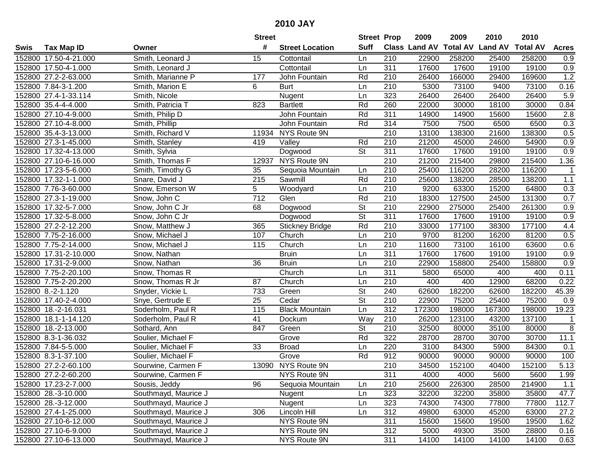|      |                       |                      | <b>Street</b> |                        | <b>Street Prop</b>       |                  | 2009                 | 2009            | 2010           | 2010            |                |
|------|-----------------------|----------------------|---------------|------------------------|--------------------------|------------------|----------------------|-----------------|----------------|-----------------|----------------|
| Swis | <b>Tax Map ID</b>     | Owner                | #             | <b>Street Location</b> | <b>Suff</b>              |                  | <b>Class Land AV</b> | <b>Total AV</b> | <b>Land AV</b> | <b>Total AV</b> | <b>Acres</b>   |
|      | 152800 17.50-4-21.000 | Smith, Leonard J     | 15            | Cottontail             | Ln                       | 210              | 22900                | 258200          | 25400          | 258200          | 0.9            |
|      | 152800 17.50-4-1.000  | Smith, Leonard J     |               | Cottontail             | Ln                       | 311              | 17600                | 17600           | 19100          | 19100           | 0.9            |
|      | 152800 27.2-2-63.000  | Smith, Marianne P    | 177           | John Fountain          | Rd                       | 210              | 26400                | 166000          | 29400          | 169600          | 1.2            |
|      | 152800 7.84-3-1.200   | Smith, Marion E      | 6             | <b>Burt</b>            | Ln                       | 210              | 5300                 | 73100           | 9400           | 73100           | 0.16           |
|      | 152800 27.4-1-33.114  | Smith, Nicole        |               | Nugent                 | Ln                       | 323              | 26400                | 26400           | 26400          | 26400           | 5.9            |
|      | 152800 35.4-4-4.000   | Smith, Patricia T    | 823           | <b>Bartlett</b>        | Rd                       | 260              | 22000                | 30000           | 18100          | 30000           | 0.84           |
|      | 152800 27.10-4-9.000  | Smith, Philip D      |               | John Fountain          | Rd                       | 311              | 14900                | 14900           | 15600          | 15600           | 2.8            |
|      | 152800 27.10-4-8.000  | Smith, Phillip       |               | John Fountain          | Rd                       | 314              | 7500                 | 7500            | 6500           | 6500            | 0.3            |
|      | 152800 35.4-3-13.000  | Smith, Richard V     | 11934         | NYS Route 9N           |                          | $\overline{210}$ | 13100                | 138300          | 21600          | 138300          | 0.5            |
|      | 152800 27.3-1-45.000  | Smith, Stanley       | 419           | Valley                 | Rd                       | 210              | 21200                | 45000           | 24600          | 54900           | 0.9            |
|      | 152800 17.32-4-13.000 | Smith, Sylvia        |               | Dogwood                | $\overline{\mathsf{St}}$ | 311              | 17600                | 17600           | 19100          | 19100           | 0.9            |
|      | 152800 27.10-6-16.000 | Smith, Thomas F      | 12937         | NYS Route 9N           |                          | 210              | 21200                | 215400          | 29800          | 215400          | 1.36           |
|      | 152800 17.23-5-6.000  | Smith, Timothy G     | 35            | Sequoia Mountain       | Ln                       | 210              | 25400                | 116200          | 28200          | 116200          |                |
|      | 152800 17.32-1-1.000  | Snare, David J       | 215           | Sawmill                | Rd                       | 210              | 25600                | 138200          | 28500          | 138200          | $1.1$          |
|      | 152800 7.76-3-60.000  | Snow, Emerson W      | 5             | Woodyard               | Ln                       | 210              | 9200                 | 63300           | 15200          | 64800           | 0.3            |
|      | 152800 27.3-1-19.000  | Snow, John C         | 712           | Glen                   | Rd                       | 210              | 18300                | 127500          | 24500          | 131300          | 0.7            |
|      | 152800 17.32-5-7.000  | Snow, John C Jr      | 68            | Dogwood                | $\overline{\mathsf{St}}$ | $\overline{210}$ | 22900                | 275000          | 25400          | 261300          | 0.9            |
|      | 152800 17.32-5-8.000  | Snow, John C Jr      |               | Dogwood                | $\overline{\mathsf{St}}$ | 311              | 17600                | 17600           | 19100          | 19100           | 0.9            |
|      | 152800 27.2-2-12.200  | Snow, Matthew J      | 365           | <b>Stickney Bridge</b> | Rd                       | 210              | 33000                | 177100          | 38300          | 177100          | 4.4            |
|      | 152800 7.75-2-16.000  | Snow, Michael J      | 107           | Church                 | Ln                       | 210              | 9700                 | 81200           | 16200          | 81200           | 0.5            |
|      | 152800 7.75-2-14.000  | Snow, Michael J      | 115           | Church                 | Ln                       | 210              | 11600                | 73100           | 16100          | 63600           | 0.6            |
|      | 152800 17.31-2-10.000 | Snow, Nathan         |               | <b>Bruin</b>           | Ln                       | 311              | 17600                | 17600           | 19100          | 19100           | 0.9            |
|      | 152800 17.31-2-9.000  | Snow, Nathan         | 36            | <b>Bruin</b>           | Ln                       | 210              | 22900                | 158800          | 25400          | 158800          | 0.9            |
|      | 152800 7.75-2-20.100  | Snow, Thomas R       |               | Church                 | Ln                       | 311              | 5800                 | 65000           | 400            | 400             | 0.11           |
|      | 152800 7.75-2-20.200  | Snow, Thomas R Jr    | 87            | Church                 | Ln                       | 210              | 400                  | 400             | 12900          | 68200           | 0.22           |
|      | 152800 8.-2-1.120     | Snyder, Vickie L     | 733           | Green                  | $\overline{\mathsf{St}}$ | 240              | 62600                | 182200          | 62600          | 182200          | 45.39          |
|      | 152800 17.40-2-4.000  | Snye, Gertrude E     | 25            | Cedar                  | $\overline{\mathsf{St}}$ | 210              | 22900                | 75200           | 25400          | 75200           | 0.9            |
|      | 152800 18.-2-16.031   | Soderholm, Paul R    | 115           | <b>Black Mountain</b>  | Ln                       | 312              | 172300               | 198000          | 167300         | 198000          | 19.23          |
|      | 152800 18.1-1-14.120  | Soderholm, Paul R    | 41            | Dockum                 | Way                      | 210              | 26200                | 123100          | 43200          | 137100          | $\mathbf 1$    |
|      | 152800 18.-2-13.000   | Sothard, Ann         | 847           | Green                  | $\overline{\mathsf{St}}$ | $\overline{210}$ | 32500                | 80000           | 35100          | 80000           | $\overline{8}$ |
|      | 152800 8.3-1-36.032   | Soulier, Michael F   |               | Grove                  | Rd                       | 322              | 28700                | 28700           | 30700          | 30700           | 11.1           |
|      | 152800 7.84-5-5.000   | Soulier, Michael F   | 33            | <b>Broad</b>           | Ln                       | 220              | 3100                 | 84300           | 5900           | 84300           | 0.1            |
|      | 152800 8.3-1-37.100   | Soulier, Michael F   |               | Grove                  | Rd                       | 912              | 90000                | 90000           | 90000          | 90000           | 100            |
|      | 152800 27.2-2-60.100  | Sourwine, Carmen F   |               | 13090 NYS Route 9N     |                          | $\overline{210}$ | 34500                | 152100          | 40400          | 152100          | 5.13           |
|      | 152800 27.2-2-60.200  | Sourwine, Carmen F   |               | NYS Route 9N           |                          | 311              | 4000                 | 4000            | 5600           | 5600            | 1.99           |
|      | 152800 17.23-2-7.000  | Sousis, Jeddy        | 96            | Sequoia Mountain       | Ln                       | 210              | 25600                | 226300          | 28500          | 214900          | 1.1            |
|      | 152800 28.-3-10.000   | Southmayd, Maurice J |               | Nugent                 | Ln                       | 323              | 32200                | 32200           | 35800          | 35800           | 47.7           |
|      | 152800 28.-3-12.000   | Southmayd, Maurice J |               | Nugent                 | Ln                       | 323              | 74300                | 74300           | 77800          | 77800           | 112.7          |
|      | 152800 27.4-1-25.000  | Southmayd, Maurice J | 306           | Lincoln Hill           | Ln                       | 312              | 49800                | 63000           | 45200          | 63000           | 27.2           |
|      | 152800 27.10-6-12.000 | Southmayd, Maurice J |               | NYS Route 9N           |                          | 311              | 15600                | 15600           | 19500          | 19500           | 1.62           |
|      | 152800 27.10-6-9.000  | Southmayd, Maurice J |               | NYS Route 9N           |                          | 312              | 5000                 | 49300           | 3500           | 28800           | 0.16           |
|      | 152800 27.10-6-13.000 | Southmayd, Maurice J |               | NYS Route 9N           |                          | 311              | 14100                | 14100           | 14100          | 14100           | 0.63           |
|      |                       |                      |               |                        |                          |                  |                      |                 |                |                 |                |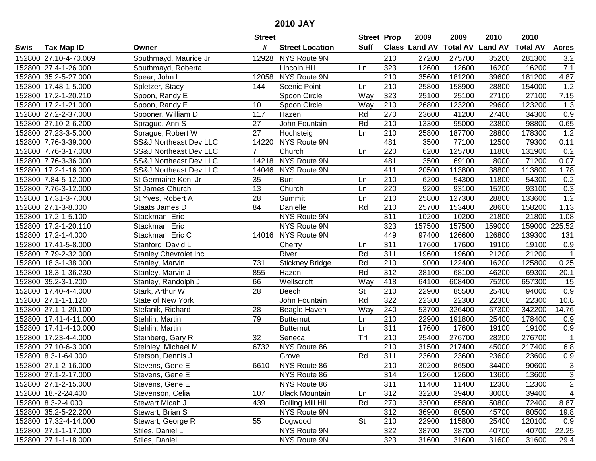|        |                       |                                   | <b>Street</b>   |                        | <b>Street Prop</b>       |                  | 2009          | 2009   | 2010                    | 2010            |                |
|--------|-----------------------|-----------------------------------|-----------------|------------------------|--------------------------|------------------|---------------|--------|-------------------------|-----------------|----------------|
| Swis   | <b>Tax Map ID</b>     | Owner                             | #               | <b>Street Location</b> | Suff                     |                  | Class Land AV |        | <b>Total AV Land AV</b> | <b>Total AV</b> | <b>Acres</b>   |
|        | 152800 27.10-4-70.069 | Southmayd, Maurice Jr             | 12928           | NYS Route 9N           |                          | 210              | 27200         | 275700 | 35200                   | 281300          | 3.2            |
|        | 152800 27.4-1-26.000  | Southmayd, Roberta I              |                 | Lincoln Hill           | Ln                       | 323              | 12600         | 12600  | 16200                   | 16200           | 7.1            |
|        | 152800 35.2-5-27.000  | Spear, John L                     | 12058           | NYS Route 9N           |                          | 210              | 35600         | 181200 | 39600                   | 181200          | 4.87           |
|        | 152800 17.48-1-5.000  | Spletzer, Stacy                   | 144             | <b>Scenic Point</b>    | Ln                       | 210              | 25800         | 158900 | 28800                   | 154000          | 1.2            |
|        | 152800 17.2-1-20.210  | Spoon, Randy E                    |                 | Spoon Circle           | Way                      | 323              | 25100         | 25100  | 27100                   | 27100           | 7.15           |
|        | 152800 17.2-1-21.000  | Spoon, Randy E                    | 10              | Spoon Circle           | Way                      | 210              | 26800         | 123200 | 29600                   | 123200          | 1.3            |
|        | 152800 27.2-2-37.000  | Spooner, William D                | 117             | Hazen                  | Rd                       | 270              | 23600         | 41200  | 27400                   | 34300           | 0.9            |
|        | 152800 27.10-2-6.200  | Sprague, Ann S                    | $\overline{27}$ | John Fountain          | Rd                       | 210              | 13300         | 95000  | 23800                   | 98800           | 0.65           |
|        | 152800 27.23-3-5.000  | Sprague, Robert W                 | $\overline{27}$ | Hochsteig              | Ln                       | 210              | 25800         | 187700 | 28800                   | 178300          | 1.2            |
|        | 152800 7.76-3-39.000  | <b>SS&amp;J Northeast Dev LLC</b> | 14220           | NYS Route 9N           |                          | 481              | 3500          | 77100  | 12500                   | 79300           | 0.11           |
|        | 152800 7.76-3-17.000  | SS&J Northeast Dev LLC            | $\overline{7}$  | Church                 | Ln                       | 220              | 6200          | 125700 | 11800                   | 131900          | 0.2            |
|        | 152800 7.76-3-36.000  | SS&J Northeast Dev LLC            |                 | 14218 NYS Route 9N     |                          | 481              | 3500          | 69100  | 8000                    | 71200           | 0.07           |
|        | 152800 17.2-1-16.000  | SS&J Northeast Dev LLC            | 14046           | NYS Route 9N           |                          | 411              | 20500         | 113800 | 38800                   | 113800          | 1.78           |
|        | 152800 7.84-5-12.000  | St Germaine Ken Jr                | 35              | <b>Burt</b>            | Ln                       | 210              | 6200          | 54300  | 11800                   | 54300           | 0.2            |
|        | 152800 7.76-3-12.000  | St James Church                   | 13              | Church                 | Ln                       | 220              | 9200          | 93100  | 15200                   | 93100           | 0.3            |
|        | 152800 17.31-3-7.000  | St Yves, Robert A                 | 28              | Summit                 | Ln                       | 210              | 25800         | 127300 | 28800                   | 133600          | 1.2            |
|        | 152800 27.1-3-8.000   | Staats James D                    | 84              | Danielle               | Rd                       | 210              | 25700         | 153400 | 28600                   | 158200          | 1.13           |
|        | 152800 17.2-1-5.100   | Stackman, Eric                    |                 | NYS Route 9N           |                          | 311              | 10200         | 10200  | 21800                   | 21800           | 1.08           |
|        | 152800 17.2-1-20.110  | Stackman, Eric                    |                 | NYS Route 9N           |                          | 323              | 157500        | 157500 | 159000                  | 159000          | 225.52         |
|        | 152800 17.2-1-4.000   | Stackman, Eric C                  |                 | 14016 NYS Route 9N     |                          | 449              | 97400         | 126600 | 126800                  | 139300          | 131            |
|        | 152800 17.41-5-8.000  | Stanford, David L                 |                 | Cherry                 | Ln                       | 311              | 17600         | 17600  | 19100                   | 19100           | 0.9            |
|        | 152800 7.79-2-32.000  | <b>Stanley Chevrolet Inc</b>      |                 | River                  | Rd                       | 311              | 19600         | 19600  | 21200                   | 21200           | $\mathbf{1}$   |
| 152800 | 18.3-1-38.000         | Stanley, Marvin                   | 731             | <b>Stickney Bridge</b> | Rd                       | 210              | 9000          | 122400 | 16200                   | 125800          | 0.25           |
| 152800 | 18.3-1-36.230         | Stanley, Marvin J                 | 855             | Hazen                  | Rd                       | 312              | 38100         | 68100  | 46200                   | 69300           | 20.1           |
|        | 152800 35.2-3-1.200   | Stanley, Randolph J               | 66              | Wellscroft             | Way                      | 418              | 64100         | 608400 | 75200                   | 657300          | 15             |
|        | 152800 17.40-4-4.000  | Stark, Arthur W                   | 28              | Beech                  | $\overline{\mathsf{St}}$ | 210              | 22900         | 85500  | 25400                   | 94000           | 0.9            |
|        | 152800 27.1-1-1.120   | State of New York                 |                 | John Fountain          | Rd                       | 322              | 22300         | 22300  | 22300                   | 22300           | 10.8           |
|        | 152800 27.1-1-20.100  | Stefanik, Richard                 | 28              | Beagle Haven           | Way                      | 240              | 53700         | 326400 | 67300                   | 342200          | 14.76          |
|        | 152800 17.41-4-11.000 | Stehlin, Martin                   | 79              | <b>Butternut</b>       | Ln                       | 210              | 22900         | 191800 | 25400                   | 178400          | 0.9            |
|        | 152800 17.41-4-10.000 | Stehlin, Martin                   |                 | <b>Butternut</b>       | Ln                       | 311              | 17600         | 17600  | 19100                   | 19100           | 0.9            |
|        | 152800 17.23-4-4.000  | Steinberg, Gary R                 | $\overline{32}$ | Seneca                 | Tr                       | $\overline{210}$ | 25400         | 276700 | 28200                   | 276700          | $\overline{1}$ |
|        | 152800 27.10-6-3.000  | Steinley, Michael M               | 6732            | NYS Route 86           |                          | 210              | 31500         | 217400 | 45000                   | 217400          | 6.8            |
|        | 152800 8.3-1-64.000   | Stetson, Dennis J                 |                 | Grove                  | Rd                       | 311              | 23600         | 23600  | 23600                   | 23600           | 0.9            |
|        | 152800 27.1-2-16.000  | Stevens, Gene E                   | 6610            | NYS Route 86           |                          | $\overline{210}$ | 30200         | 86500  | 34400                   | 90600           | $\overline{3}$ |
|        | 152800 27.1-2-17.000  | Stevens, Gene E                   |                 | NYS Route 86           |                          | 314              | 12600         | 12600  | 13600                   | 13600           | 3              |
|        | 152800 27.1-2-15.000  | Stevens, Gene E                   |                 | NYS Route 86           |                          | 311              | 11400         | 11400  | 12300                   | 12300           | $\overline{c}$ |
|        | 152800 18.-2-24.400   | Stevenson, Celia                  | 107             | <b>Black Mountain</b>  | Ln                       | 312              | 32200         | 39400  | 30000                   | 39400           | $\overline{4}$ |
|        | 152800 8.3-2-4.000    | Stewart Micah J                   | 439             | Rolling Mill Hill      | Rd                       | 270              | 33000         | 65800  | 50800                   | 72400           | 8.87           |
|        | 152800 35.2-5-22.200  | Stewart, Brian S                  |                 | NYS Route 9N           |                          | 312              | 36900         | 80500  | 45700                   | 80500           | 19.8           |
|        | 152800 17.32-4-14.000 | Stewart, George R                 | 55              | Dogwood                | <b>St</b>                | 210              | 22900         | 115800 | 25400                   | 120100          | 0.9            |
|        | 152800 27.1-1-17.000  | Stiles, Daniel L                  |                 | NYS Route 9N           |                          | 322              | 38700         | 38700  | 40700                   | 40700           | 22.25          |
|        | 152800 27.1-1-18.000  | Stiles, Daniel L                  |                 | NYS Route 9N           |                          | 323              | 31600         | 31600  | 31600                   | 31600           | 29.4           |
|        |                       |                                   |                 |                        |                          |                  |               |        |                         |                 |                |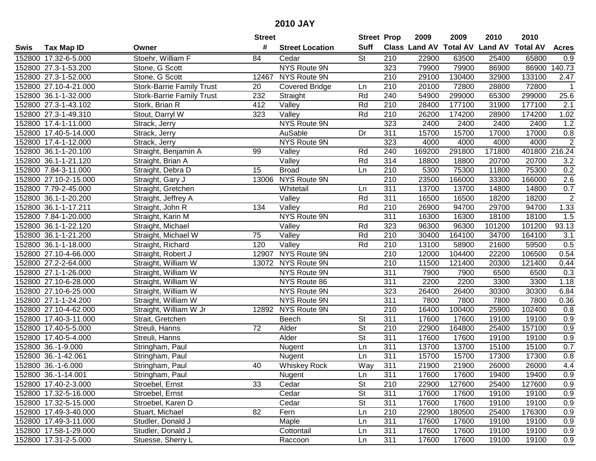| #<br><b>Suff</b><br>Class Land AV<br><b>Total AV Land AV</b><br><b>Total AV</b><br><b>Tax Map ID</b><br><b>Street Location</b><br><b>Acres</b><br>Swis<br>Owner<br><b>St</b><br>65800<br>152800 17.32-6-5.000<br>Stoehr, William F<br>84<br>Cedar<br>210<br>22900<br>63500<br>25400<br>0.9<br>NYS Route 9N<br>323<br>79900<br>140.73<br>152800 27.3-1-53.200<br>79900<br>86900<br>86900<br>Stone, G Scott<br>152800 27.3-1-52.000<br>Stone, G Scott<br>NYS Route 9N<br>210<br>29100<br>130400<br>32900<br>133100<br>2.47<br>12467<br><b>Stork-Barrie Family Trust</b><br>210<br>20100<br>72800<br>28800<br>72800<br>152800 27.10-4-21.000<br><b>Covered Bridge</b><br>$\mathbf{1}$<br>20<br>Ln<br>25.6<br>152800 36.1-1-32.000<br><b>Stork-Barrie Family Trust</b><br>232<br>Straight<br>Rd<br>240<br>54900<br>299000<br>65300<br>299000<br>Rd<br>$\overline{210}$<br>28400<br>177100<br>177100<br>$\overline{2.1}$<br>152800 27.3-1-43.102<br>Stork, Brian R<br>412<br>$\overline{\mathsf{Valley}}$<br>31900<br>Stout, Darryl W<br>323<br>Rd<br>210<br>26200<br>174200<br>174200<br>1.02<br>152800 27.3-1-49.310<br>Valley<br>28900<br>NYS Route 9N<br>323<br>1.2<br>2400<br>2400<br>2400<br>2400<br>152800 17.4-1-11.000<br>Strack, Jerry<br>311<br>15700<br>15700<br>0.8<br>152800 17.40-5-14.000<br>AuSable<br>Dr<br>17000<br>17000<br>Strack, Jerry<br>323<br>$\overline{2}$<br>NYS Route 9N<br>152800 17.4-1-12.000<br>4000<br>4000<br>4000<br>4000<br>Strack, Jerry<br>240<br>169200<br>291800<br>171800<br>401800<br>216.24<br>152800 36.1-1-20.100<br>Valley<br>Rd<br>Straight, Benjamin A<br>99<br>20700<br>152800 36.1-1-21.120<br>Valley<br>Rd<br>314<br>18800<br>18800<br>20700<br>3.2<br>Straight, Brian A<br>210<br>0.2<br>152800 7.84-3-11.000<br>15<br>5300<br>75300<br>11800<br>75300<br><b>Broad</b><br>Ln<br>Straight, Debra D<br>NYS Route 9N<br>210<br>2.6<br>152800 27.10-2-15.000<br>23500<br>166000<br>33300<br>166000<br>Straight, Gary J<br>13006<br>0.7<br>311<br>152800 7.79-2-45.000<br>Whitetail<br>13700<br>13700<br>14800<br>14800<br>Straight, Gretchen<br>Ln<br>$\sqrt{2}$<br>311<br>Rd<br>16500<br>16500<br>18200<br>18200<br>152800 36.1-1-20.200<br>Valley<br>Straight, Jeffrey A<br>Rd<br>1.33<br>210<br>94700<br>152800 36.1-1-17.211<br>134<br>26900<br>29700<br>94700<br>Straight, John R<br>Valley<br>311<br>1.5<br>152800 7.84-1-20.000<br>NYS Route 9N<br>16300<br>16300<br>18100<br>18100<br>Straight, Karin M<br>93.13<br>323<br>152800 36.1-1-22.120<br>Valley<br>96300<br>96300<br>101200<br>101200<br>Straight, Michael<br>Rd<br>Rd<br>152800 36.1-1-21.200<br>Valley<br>210<br>30400<br>164100<br>34700<br>164100<br>3.1<br>Straight, Michael W<br>75<br>Rd<br>0.5<br>120<br>210<br>13100<br>58900<br>152800 36.1-1-18.000<br>Straight, Richard<br>Valley<br>21600<br>59500<br>NYS Route 9N<br>0.54<br>152800 27.10-4-66.000<br>Straight, Robert J<br>12907<br>210<br>12000<br>104400<br>22200<br>106500<br>NYS Route 9N<br>210<br>11500<br>0.44<br>152800 27.2-2-64.000<br>Straight, William W<br>13072<br>121400<br>20300<br>121400<br>152800 27.1-1-26.000<br>Straight, William W<br>NYS Route 9N<br>311<br>7900<br>7900<br>6500<br>6500<br>0.3<br>311<br>NYS Route 86<br>2200<br>2200<br>3300<br>3300<br>1.18<br>152800 27.10-6-28.000<br>Straight, William W<br>323<br>26400<br>30300<br>152800 27.10-6-25.000<br>Straight, William W<br>NYS Route 9N<br>26400<br>30300<br>6.84<br>152800 27.1-1-24.200<br>311<br>7800<br>7800<br>Straight, William W<br>NYS Route 9N<br>7800<br>7800<br>0.36<br>NYS Route 9N<br>210<br>16400<br>100400<br>25900<br>152800 27.10-4-62.000<br>Straight, William W Jr<br>102400<br>0.8<br>12892<br>$\overline{311}$<br>152800 17.40-3-11.000<br><b>St</b><br>17600<br>17600<br>19100<br>19100<br>0.9<br>Strait, Gretchen<br>Beech<br>$\overline{\mathsf{St}}$<br>152800 17.40-5-5.000<br>$\overline{210}$<br>164800<br>25400<br>Streuli, Hanns<br>72<br>Alder<br>22900<br>157100<br>0.9<br>$\overline{\mathsf{St}}$<br>311<br>152800 17.40-5-4.000<br>Alder<br>17600<br>17600<br>19100<br>0.9<br>Streuli, Hanns<br>19100<br>15100<br>0.7<br>152800 36.-1-9.000<br>Ln<br>311<br>13700<br>13700<br>15100<br>Stringham, Paul<br>Nugent<br>311<br>152800 36.-1-42.061<br>15700<br>15700<br>17300<br>$\overline{0.8}$<br>Ln<br>17300<br>Stringham, Paul<br>Nugent<br>311<br>4.4<br>152800 36.-1-6.000<br>40<br><b>Whiskey Rock</b><br>Way<br>21900<br>21900<br>26000<br>26000<br>Stringham, Paul<br>152800 36.-1-14.001<br>Stringham, Paul<br>Nugent<br>Ln<br>311<br>17600<br>17600<br>19400<br>19400<br>0.9<br><b>St</b><br>0.9<br>152800 17.40-2-3.000<br>Stroebel, Ernst<br>33<br>Cedar<br>210<br>22900<br>127600<br>25400<br>127600<br><b>St</b><br>311<br>19100<br>152800 17.32-5-16.000<br>Stroebel, Ernst<br>Cedar<br>17600<br>17600<br>19100<br>0.9<br><b>St</b><br>311<br>0.9<br>152800 17.32-5-15.000<br>17600<br>17600<br>19100<br>19100<br>Stroebel, Karen D<br>Cedar<br>82<br>210<br>0.9<br>152800 17.49-3-40.000<br>Stuart, Michael<br>Fern<br>22900<br>180500<br>25400<br>176300<br>Ln<br>311<br>17600<br>0.9<br>152800 17.49-3-11.000<br>Studler, Donald J<br>Maple<br>Ln<br>17600<br>19100<br>19100<br>152800 17.58-1-29.000<br>Studler, Donald J<br>311<br>17600<br>17600<br>19100<br>19100<br>0.9<br>Cottontail<br>Ln<br>152800 17.31-2-5.000<br>311<br>Stuesse, Sherry L<br>17600<br>17600<br>19100<br>19100<br>0.9<br>Raccoon<br>Ln |  | <b>Street</b> | <b>Street Prop</b> | 2009 | 2009 | 2010 | 2010 |  |
|-------------------------------------------------------------------------------------------------------------------------------------------------------------------------------------------------------------------------------------------------------------------------------------------------------------------------------------------------------------------------------------------------------------------------------------------------------------------------------------------------------------------------------------------------------------------------------------------------------------------------------------------------------------------------------------------------------------------------------------------------------------------------------------------------------------------------------------------------------------------------------------------------------------------------------------------------------------------------------------------------------------------------------------------------------------------------------------------------------------------------------------------------------------------------------------------------------------------------------------------------------------------------------------------------------------------------------------------------------------------------------------------------------------------------------------------------------------------------------------------------------------------------------------------------------------------------------------------------------------------------------------------------------------------------------------------------------------------------------------------------------------------------------------------------------------------------------------------------------------------------------------------------------------------------------------------------------------------------------------------------------------------------------------------------------------------------------------------------------------------------------------------------------------------------------------------------------------------------------------------------------------------------------------------------------------------------------------------------------------------------------------------------------------------------------------------------------------------------------------------------------------------------------------------------------------------------------------------------------------------------------------------------------------------------------------------------------------------------------------------------------------------------------------------------------------------------------------------------------------------------------------------------------------------------------------------------------------------------------------------------------------------------------------------------------------------------------------------------------------------------------------------------------------------------------------------------------------------------------------------------------------------------------------------------------------------------------------------------------------------------------------------------------------------------------------------------------------------------------------------------------------------------------------------------------------------------------------------------------------------------------------------------------------------------------------------------------------------------------------------------------------------------------------------------------------------------------------------------------------------------------------------------------------------------------------------------------------------------------------------------------------------------------------------------------------------------------------------------------------------------------------------------------------------------------------------------------------------------------------------------------------------------------------------------------------------------------------------------------------------------------------------------------------------------------------------------------------------------------------------------------------------------------------------------------------------------------------------------------------------------------------------------------------------------------------------------------------------------------------------------------------------------------------------------------------------------------------------------------------------------------------------------------------------------------------------------------------------------------------------------------------------------------------------------------------------------------------------------------------------------------------------------------------------------------------------------------------------------------------------------------------------------------------------------------------------------------------------------------------------------------------------------------------------------------------------|--|---------------|--------------------|------|------|------|------|--|
|                                                                                                                                                                                                                                                                                                                                                                                                                                                                                                                                                                                                                                                                                                                                                                                                                                                                                                                                                                                                                                                                                                                                                                                                                                                                                                                                                                                                                                                                                                                                                                                                                                                                                                                                                                                                                                                                                                                                                                                                                                                                                                                                                                                                                                                                                                                                                                                                                                                                                                                                                                                                                                                                                                                                                                                                                                                                                                                                                                                                                                                                                                                                                                                                                                                                                                                                                                                                                                                                                                                                                                                                                                                                                                                                                                                                                                                                                                                                                                                                                                                                                                                                                                                                                                                                                                                                                                                                                                                                                                                                                                                                                                                                                                                                                                                                                                                                                                                                                                                                                                                                                                                                                                                                                                                                                                                                                                                                                                           |  |               |                    |      |      |      |      |  |
|                                                                                                                                                                                                                                                                                                                                                                                                                                                                                                                                                                                                                                                                                                                                                                                                                                                                                                                                                                                                                                                                                                                                                                                                                                                                                                                                                                                                                                                                                                                                                                                                                                                                                                                                                                                                                                                                                                                                                                                                                                                                                                                                                                                                                                                                                                                                                                                                                                                                                                                                                                                                                                                                                                                                                                                                                                                                                                                                                                                                                                                                                                                                                                                                                                                                                                                                                                                                                                                                                                                                                                                                                                                                                                                                                                                                                                                                                                                                                                                                                                                                                                                                                                                                                                                                                                                                                                                                                                                                                                                                                                                                                                                                                                                                                                                                                                                                                                                                                                                                                                                                                                                                                                                                                                                                                                                                                                                                                                           |  |               |                    |      |      |      |      |  |
|                                                                                                                                                                                                                                                                                                                                                                                                                                                                                                                                                                                                                                                                                                                                                                                                                                                                                                                                                                                                                                                                                                                                                                                                                                                                                                                                                                                                                                                                                                                                                                                                                                                                                                                                                                                                                                                                                                                                                                                                                                                                                                                                                                                                                                                                                                                                                                                                                                                                                                                                                                                                                                                                                                                                                                                                                                                                                                                                                                                                                                                                                                                                                                                                                                                                                                                                                                                                                                                                                                                                                                                                                                                                                                                                                                                                                                                                                                                                                                                                                                                                                                                                                                                                                                                                                                                                                                                                                                                                                                                                                                                                                                                                                                                                                                                                                                                                                                                                                                                                                                                                                                                                                                                                                                                                                                                                                                                                                                           |  |               |                    |      |      |      |      |  |
|                                                                                                                                                                                                                                                                                                                                                                                                                                                                                                                                                                                                                                                                                                                                                                                                                                                                                                                                                                                                                                                                                                                                                                                                                                                                                                                                                                                                                                                                                                                                                                                                                                                                                                                                                                                                                                                                                                                                                                                                                                                                                                                                                                                                                                                                                                                                                                                                                                                                                                                                                                                                                                                                                                                                                                                                                                                                                                                                                                                                                                                                                                                                                                                                                                                                                                                                                                                                                                                                                                                                                                                                                                                                                                                                                                                                                                                                                                                                                                                                                                                                                                                                                                                                                                                                                                                                                                                                                                                                                                                                                                                                                                                                                                                                                                                                                                                                                                                                                                                                                                                                                                                                                                                                                                                                                                                                                                                                                                           |  |               |                    |      |      |      |      |  |
|                                                                                                                                                                                                                                                                                                                                                                                                                                                                                                                                                                                                                                                                                                                                                                                                                                                                                                                                                                                                                                                                                                                                                                                                                                                                                                                                                                                                                                                                                                                                                                                                                                                                                                                                                                                                                                                                                                                                                                                                                                                                                                                                                                                                                                                                                                                                                                                                                                                                                                                                                                                                                                                                                                                                                                                                                                                                                                                                                                                                                                                                                                                                                                                                                                                                                                                                                                                                                                                                                                                                                                                                                                                                                                                                                                                                                                                                                                                                                                                                                                                                                                                                                                                                                                                                                                                                                                                                                                                                                                                                                                                                                                                                                                                                                                                                                                                                                                                                                                                                                                                                                                                                                                                                                                                                                                                                                                                                                                           |  |               |                    |      |      |      |      |  |
|                                                                                                                                                                                                                                                                                                                                                                                                                                                                                                                                                                                                                                                                                                                                                                                                                                                                                                                                                                                                                                                                                                                                                                                                                                                                                                                                                                                                                                                                                                                                                                                                                                                                                                                                                                                                                                                                                                                                                                                                                                                                                                                                                                                                                                                                                                                                                                                                                                                                                                                                                                                                                                                                                                                                                                                                                                                                                                                                                                                                                                                                                                                                                                                                                                                                                                                                                                                                                                                                                                                                                                                                                                                                                                                                                                                                                                                                                                                                                                                                                                                                                                                                                                                                                                                                                                                                                                                                                                                                                                                                                                                                                                                                                                                                                                                                                                                                                                                                                                                                                                                                                                                                                                                                                                                                                                                                                                                                                                           |  |               |                    |      |      |      |      |  |
|                                                                                                                                                                                                                                                                                                                                                                                                                                                                                                                                                                                                                                                                                                                                                                                                                                                                                                                                                                                                                                                                                                                                                                                                                                                                                                                                                                                                                                                                                                                                                                                                                                                                                                                                                                                                                                                                                                                                                                                                                                                                                                                                                                                                                                                                                                                                                                                                                                                                                                                                                                                                                                                                                                                                                                                                                                                                                                                                                                                                                                                                                                                                                                                                                                                                                                                                                                                                                                                                                                                                                                                                                                                                                                                                                                                                                                                                                                                                                                                                                                                                                                                                                                                                                                                                                                                                                                                                                                                                                                                                                                                                                                                                                                                                                                                                                                                                                                                                                                                                                                                                                                                                                                                                                                                                                                                                                                                                                                           |  |               |                    |      |      |      |      |  |
|                                                                                                                                                                                                                                                                                                                                                                                                                                                                                                                                                                                                                                                                                                                                                                                                                                                                                                                                                                                                                                                                                                                                                                                                                                                                                                                                                                                                                                                                                                                                                                                                                                                                                                                                                                                                                                                                                                                                                                                                                                                                                                                                                                                                                                                                                                                                                                                                                                                                                                                                                                                                                                                                                                                                                                                                                                                                                                                                                                                                                                                                                                                                                                                                                                                                                                                                                                                                                                                                                                                                                                                                                                                                                                                                                                                                                                                                                                                                                                                                                                                                                                                                                                                                                                                                                                                                                                                                                                                                                                                                                                                                                                                                                                                                                                                                                                                                                                                                                                                                                                                                                                                                                                                                                                                                                                                                                                                                                                           |  |               |                    |      |      |      |      |  |
|                                                                                                                                                                                                                                                                                                                                                                                                                                                                                                                                                                                                                                                                                                                                                                                                                                                                                                                                                                                                                                                                                                                                                                                                                                                                                                                                                                                                                                                                                                                                                                                                                                                                                                                                                                                                                                                                                                                                                                                                                                                                                                                                                                                                                                                                                                                                                                                                                                                                                                                                                                                                                                                                                                                                                                                                                                                                                                                                                                                                                                                                                                                                                                                                                                                                                                                                                                                                                                                                                                                                                                                                                                                                                                                                                                                                                                                                                                                                                                                                                                                                                                                                                                                                                                                                                                                                                                                                                                                                                                                                                                                                                                                                                                                                                                                                                                                                                                                                                                                                                                                                                                                                                                                                                                                                                                                                                                                                                                           |  |               |                    |      |      |      |      |  |
|                                                                                                                                                                                                                                                                                                                                                                                                                                                                                                                                                                                                                                                                                                                                                                                                                                                                                                                                                                                                                                                                                                                                                                                                                                                                                                                                                                                                                                                                                                                                                                                                                                                                                                                                                                                                                                                                                                                                                                                                                                                                                                                                                                                                                                                                                                                                                                                                                                                                                                                                                                                                                                                                                                                                                                                                                                                                                                                                                                                                                                                                                                                                                                                                                                                                                                                                                                                                                                                                                                                                                                                                                                                                                                                                                                                                                                                                                                                                                                                                                                                                                                                                                                                                                                                                                                                                                                                                                                                                                                                                                                                                                                                                                                                                                                                                                                                                                                                                                                                                                                                                                                                                                                                                                                                                                                                                                                                                                                           |  |               |                    |      |      |      |      |  |
|                                                                                                                                                                                                                                                                                                                                                                                                                                                                                                                                                                                                                                                                                                                                                                                                                                                                                                                                                                                                                                                                                                                                                                                                                                                                                                                                                                                                                                                                                                                                                                                                                                                                                                                                                                                                                                                                                                                                                                                                                                                                                                                                                                                                                                                                                                                                                                                                                                                                                                                                                                                                                                                                                                                                                                                                                                                                                                                                                                                                                                                                                                                                                                                                                                                                                                                                                                                                                                                                                                                                                                                                                                                                                                                                                                                                                                                                                                                                                                                                                                                                                                                                                                                                                                                                                                                                                                                                                                                                                                                                                                                                                                                                                                                                                                                                                                                                                                                                                                                                                                                                                                                                                                                                                                                                                                                                                                                                                                           |  |               |                    |      |      |      |      |  |
|                                                                                                                                                                                                                                                                                                                                                                                                                                                                                                                                                                                                                                                                                                                                                                                                                                                                                                                                                                                                                                                                                                                                                                                                                                                                                                                                                                                                                                                                                                                                                                                                                                                                                                                                                                                                                                                                                                                                                                                                                                                                                                                                                                                                                                                                                                                                                                                                                                                                                                                                                                                                                                                                                                                                                                                                                                                                                                                                                                                                                                                                                                                                                                                                                                                                                                                                                                                                                                                                                                                                                                                                                                                                                                                                                                                                                                                                                                                                                                                                                                                                                                                                                                                                                                                                                                                                                                                                                                                                                                                                                                                                                                                                                                                                                                                                                                                                                                                                                                                                                                                                                                                                                                                                                                                                                                                                                                                                                                           |  |               |                    |      |      |      |      |  |
|                                                                                                                                                                                                                                                                                                                                                                                                                                                                                                                                                                                                                                                                                                                                                                                                                                                                                                                                                                                                                                                                                                                                                                                                                                                                                                                                                                                                                                                                                                                                                                                                                                                                                                                                                                                                                                                                                                                                                                                                                                                                                                                                                                                                                                                                                                                                                                                                                                                                                                                                                                                                                                                                                                                                                                                                                                                                                                                                                                                                                                                                                                                                                                                                                                                                                                                                                                                                                                                                                                                                                                                                                                                                                                                                                                                                                                                                                                                                                                                                                                                                                                                                                                                                                                                                                                                                                                                                                                                                                                                                                                                                                                                                                                                                                                                                                                                                                                                                                                                                                                                                                                                                                                                                                                                                                                                                                                                                                                           |  |               |                    |      |      |      |      |  |
|                                                                                                                                                                                                                                                                                                                                                                                                                                                                                                                                                                                                                                                                                                                                                                                                                                                                                                                                                                                                                                                                                                                                                                                                                                                                                                                                                                                                                                                                                                                                                                                                                                                                                                                                                                                                                                                                                                                                                                                                                                                                                                                                                                                                                                                                                                                                                                                                                                                                                                                                                                                                                                                                                                                                                                                                                                                                                                                                                                                                                                                                                                                                                                                                                                                                                                                                                                                                                                                                                                                                                                                                                                                                                                                                                                                                                                                                                                                                                                                                                                                                                                                                                                                                                                                                                                                                                                                                                                                                                                                                                                                                                                                                                                                                                                                                                                                                                                                                                                                                                                                                                                                                                                                                                                                                                                                                                                                                                                           |  |               |                    |      |      |      |      |  |
|                                                                                                                                                                                                                                                                                                                                                                                                                                                                                                                                                                                                                                                                                                                                                                                                                                                                                                                                                                                                                                                                                                                                                                                                                                                                                                                                                                                                                                                                                                                                                                                                                                                                                                                                                                                                                                                                                                                                                                                                                                                                                                                                                                                                                                                                                                                                                                                                                                                                                                                                                                                                                                                                                                                                                                                                                                                                                                                                                                                                                                                                                                                                                                                                                                                                                                                                                                                                                                                                                                                                                                                                                                                                                                                                                                                                                                                                                                                                                                                                                                                                                                                                                                                                                                                                                                                                                                                                                                                                                                                                                                                                                                                                                                                                                                                                                                                                                                                                                                                                                                                                                                                                                                                                                                                                                                                                                                                                                                           |  |               |                    |      |      |      |      |  |
|                                                                                                                                                                                                                                                                                                                                                                                                                                                                                                                                                                                                                                                                                                                                                                                                                                                                                                                                                                                                                                                                                                                                                                                                                                                                                                                                                                                                                                                                                                                                                                                                                                                                                                                                                                                                                                                                                                                                                                                                                                                                                                                                                                                                                                                                                                                                                                                                                                                                                                                                                                                                                                                                                                                                                                                                                                                                                                                                                                                                                                                                                                                                                                                                                                                                                                                                                                                                                                                                                                                                                                                                                                                                                                                                                                                                                                                                                                                                                                                                                                                                                                                                                                                                                                                                                                                                                                                                                                                                                                                                                                                                                                                                                                                                                                                                                                                                                                                                                                                                                                                                                                                                                                                                                                                                                                                                                                                                                                           |  |               |                    |      |      |      |      |  |
|                                                                                                                                                                                                                                                                                                                                                                                                                                                                                                                                                                                                                                                                                                                                                                                                                                                                                                                                                                                                                                                                                                                                                                                                                                                                                                                                                                                                                                                                                                                                                                                                                                                                                                                                                                                                                                                                                                                                                                                                                                                                                                                                                                                                                                                                                                                                                                                                                                                                                                                                                                                                                                                                                                                                                                                                                                                                                                                                                                                                                                                                                                                                                                                                                                                                                                                                                                                                                                                                                                                                                                                                                                                                                                                                                                                                                                                                                                                                                                                                                                                                                                                                                                                                                                                                                                                                                                                                                                                                                                                                                                                                                                                                                                                                                                                                                                                                                                                                                                                                                                                                                                                                                                                                                                                                                                                                                                                                                                           |  |               |                    |      |      |      |      |  |
|                                                                                                                                                                                                                                                                                                                                                                                                                                                                                                                                                                                                                                                                                                                                                                                                                                                                                                                                                                                                                                                                                                                                                                                                                                                                                                                                                                                                                                                                                                                                                                                                                                                                                                                                                                                                                                                                                                                                                                                                                                                                                                                                                                                                                                                                                                                                                                                                                                                                                                                                                                                                                                                                                                                                                                                                                                                                                                                                                                                                                                                                                                                                                                                                                                                                                                                                                                                                                                                                                                                                                                                                                                                                                                                                                                                                                                                                                                                                                                                                                                                                                                                                                                                                                                                                                                                                                                                                                                                                                                                                                                                                                                                                                                                                                                                                                                                                                                                                                                                                                                                                                                                                                                                                                                                                                                                                                                                                                                           |  |               |                    |      |      |      |      |  |
|                                                                                                                                                                                                                                                                                                                                                                                                                                                                                                                                                                                                                                                                                                                                                                                                                                                                                                                                                                                                                                                                                                                                                                                                                                                                                                                                                                                                                                                                                                                                                                                                                                                                                                                                                                                                                                                                                                                                                                                                                                                                                                                                                                                                                                                                                                                                                                                                                                                                                                                                                                                                                                                                                                                                                                                                                                                                                                                                                                                                                                                                                                                                                                                                                                                                                                                                                                                                                                                                                                                                                                                                                                                                                                                                                                                                                                                                                                                                                                                                                                                                                                                                                                                                                                                                                                                                                                                                                                                                                                                                                                                                                                                                                                                                                                                                                                                                                                                                                                                                                                                                                                                                                                                                                                                                                                                                                                                                                                           |  |               |                    |      |      |      |      |  |
|                                                                                                                                                                                                                                                                                                                                                                                                                                                                                                                                                                                                                                                                                                                                                                                                                                                                                                                                                                                                                                                                                                                                                                                                                                                                                                                                                                                                                                                                                                                                                                                                                                                                                                                                                                                                                                                                                                                                                                                                                                                                                                                                                                                                                                                                                                                                                                                                                                                                                                                                                                                                                                                                                                                                                                                                                                                                                                                                                                                                                                                                                                                                                                                                                                                                                                                                                                                                                                                                                                                                                                                                                                                                                                                                                                                                                                                                                                                                                                                                                                                                                                                                                                                                                                                                                                                                                                                                                                                                                                                                                                                                                                                                                                                                                                                                                                                                                                                                                                                                                                                                                                                                                                                                                                                                                                                                                                                                                                           |  |               |                    |      |      |      |      |  |
|                                                                                                                                                                                                                                                                                                                                                                                                                                                                                                                                                                                                                                                                                                                                                                                                                                                                                                                                                                                                                                                                                                                                                                                                                                                                                                                                                                                                                                                                                                                                                                                                                                                                                                                                                                                                                                                                                                                                                                                                                                                                                                                                                                                                                                                                                                                                                                                                                                                                                                                                                                                                                                                                                                                                                                                                                                                                                                                                                                                                                                                                                                                                                                                                                                                                                                                                                                                                                                                                                                                                                                                                                                                                                                                                                                                                                                                                                                                                                                                                                                                                                                                                                                                                                                                                                                                                                                                                                                                                                                                                                                                                                                                                                                                                                                                                                                                                                                                                                                                                                                                                                                                                                                                                                                                                                                                                                                                                                                           |  |               |                    |      |      |      |      |  |
|                                                                                                                                                                                                                                                                                                                                                                                                                                                                                                                                                                                                                                                                                                                                                                                                                                                                                                                                                                                                                                                                                                                                                                                                                                                                                                                                                                                                                                                                                                                                                                                                                                                                                                                                                                                                                                                                                                                                                                                                                                                                                                                                                                                                                                                                                                                                                                                                                                                                                                                                                                                                                                                                                                                                                                                                                                                                                                                                                                                                                                                                                                                                                                                                                                                                                                                                                                                                                                                                                                                                                                                                                                                                                                                                                                                                                                                                                                                                                                                                                                                                                                                                                                                                                                                                                                                                                                                                                                                                                                                                                                                                                                                                                                                                                                                                                                                                                                                                                                                                                                                                                                                                                                                                                                                                                                                                                                                                                                           |  |               |                    |      |      |      |      |  |
|                                                                                                                                                                                                                                                                                                                                                                                                                                                                                                                                                                                                                                                                                                                                                                                                                                                                                                                                                                                                                                                                                                                                                                                                                                                                                                                                                                                                                                                                                                                                                                                                                                                                                                                                                                                                                                                                                                                                                                                                                                                                                                                                                                                                                                                                                                                                                                                                                                                                                                                                                                                                                                                                                                                                                                                                                                                                                                                                                                                                                                                                                                                                                                                                                                                                                                                                                                                                                                                                                                                                                                                                                                                                                                                                                                                                                                                                                                                                                                                                                                                                                                                                                                                                                                                                                                                                                                                                                                                                                                                                                                                                                                                                                                                                                                                                                                                                                                                                                                                                                                                                                                                                                                                                                                                                                                                                                                                                                                           |  |               |                    |      |      |      |      |  |
|                                                                                                                                                                                                                                                                                                                                                                                                                                                                                                                                                                                                                                                                                                                                                                                                                                                                                                                                                                                                                                                                                                                                                                                                                                                                                                                                                                                                                                                                                                                                                                                                                                                                                                                                                                                                                                                                                                                                                                                                                                                                                                                                                                                                                                                                                                                                                                                                                                                                                                                                                                                                                                                                                                                                                                                                                                                                                                                                                                                                                                                                                                                                                                                                                                                                                                                                                                                                                                                                                                                                                                                                                                                                                                                                                                                                                                                                                                                                                                                                                                                                                                                                                                                                                                                                                                                                                                                                                                                                                                                                                                                                                                                                                                                                                                                                                                                                                                                                                                                                                                                                                                                                                                                                                                                                                                                                                                                                                                           |  |               |                    |      |      |      |      |  |
|                                                                                                                                                                                                                                                                                                                                                                                                                                                                                                                                                                                                                                                                                                                                                                                                                                                                                                                                                                                                                                                                                                                                                                                                                                                                                                                                                                                                                                                                                                                                                                                                                                                                                                                                                                                                                                                                                                                                                                                                                                                                                                                                                                                                                                                                                                                                                                                                                                                                                                                                                                                                                                                                                                                                                                                                                                                                                                                                                                                                                                                                                                                                                                                                                                                                                                                                                                                                                                                                                                                                                                                                                                                                                                                                                                                                                                                                                                                                                                                                                                                                                                                                                                                                                                                                                                                                                                                                                                                                                                                                                                                                                                                                                                                                                                                                                                                                                                                                                                                                                                                                                                                                                                                                                                                                                                                                                                                                                                           |  |               |                    |      |      |      |      |  |
|                                                                                                                                                                                                                                                                                                                                                                                                                                                                                                                                                                                                                                                                                                                                                                                                                                                                                                                                                                                                                                                                                                                                                                                                                                                                                                                                                                                                                                                                                                                                                                                                                                                                                                                                                                                                                                                                                                                                                                                                                                                                                                                                                                                                                                                                                                                                                                                                                                                                                                                                                                                                                                                                                                                                                                                                                                                                                                                                                                                                                                                                                                                                                                                                                                                                                                                                                                                                                                                                                                                                                                                                                                                                                                                                                                                                                                                                                                                                                                                                                                                                                                                                                                                                                                                                                                                                                                                                                                                                                                                                                                                                                                                                                                                                                                                                                                                                                                                                                                                                                                                                                                                                                                                                                                                                                                                                                                                                                                           |  |               |                    |      |      |      |      |  |
|                                                                                                                                                                                                                                                                                                                                                                                                                                                                                                                                                                                                                                                                                                                                                                                                                                                                                                                                                                                                                                                                                                                                                                                                                                                                                                                                                                                                                                                                                                                                                                                                                                                                                                                                                                                                                                                                                                                                                                                                                                                                                                                                                                                                                                                                                                                                                                                                                                                                                                                                                                                                                                                                                                                                                                                                                                                                                                                                                                                                                                                                                                                                                                                                                                                                                                                                                                                                                                                                                                                                                                                                                                                                                                                                                                                                                                                                                                                                                                                                                                                                                                                                                                                                                                                                                                                                                                                                                                                                                                                                                                                                                                                                                                                                                                                                                                                                                                                                                                                                                                                                                                                                                                                                                                                                                                                                                                                                                                           |  |               |                    |      |      |      |      |  |
|                                                                                                                                                                                                                                                                                                                                                                                                                                                                                                                                                                                                                                                                                                                                                                                                                                                                                                                                                                                                                                                                                                                                                                                                                                                                                                                                                                                                                                                                                                                                                                                                                                                                                                                                                                                                                                                                                                                                                                                                                                                                                                                                                                                                                                                                                                                                                                                                                                                                                                                                                                                                                                                                                                                                                                                                                                                                                                                                                                                                                                                                                                                                                                                                                                                                                                                                                                                                                                                                                                                                                                                                                                                                                                                                                                                                                                                                                                                                                                                                                                                                                                                                                                                                                                                                                                                                                                                                                                                                                                                                                                                                                                                                                                                                                                                                                                                                                                                                                                                                                                                                                                                                                                                                                                                                                                                                                                                                                                           |  |               |                    |      |      |      |      |  |
|                                                                                                                                                                                                                                                                                                                                                                                                                                                                                                                                                                                                                                                                                                                                                                                                                                                                                                                                                                                                                                                                                                                                                                                                                                                                                                                                                                                                                                                                                                                                                                                                                                                                                                                                                                                                                                                                                                                                                                                                                                                                                                                                                                                                                                                                                                                                                                                                                                                                                                                                                                                                                                                                                                                                                                                                                                                                                                                                                                                                                                                                                                                                                                                                                                                                                                                                                                                                                                                                                                                                                                                                                                                                                                                                                                                                                                                                                                                                                                                                                                                                                                                                                                                                                                                                                                                                                                                                                                                                                                                                                                                                                                                                                                                                                                                                                                                                                                                                                                                                                                                                                                                                                                                                                                                                                                                                                                                                                                           |  |               |                    |      |      |      |      |  |
|                                                                                                                                                                                                                                                                                                                                                                                                                                                                                                                                                                                                                                                                                                                                                                                                                                                                                                                                                                                                                                                                                                                                                                                                                                                                                                                                                                                                                                                                                                                                                                                                                                                                                                                                                                                                                                                                                                                                                                                                                                                                                                                                                                                                                                                                                                                                                                                                                                                                                                                                                                                                                                                                                                                                                                                                                                                                                                                                                                                                                                                                                                                                                                                                                                                                                                                                                                                                                                                                                                                                                                                                                                                                                                                                                                                                                                                                                                                                                                                                                                                                                                                                                                                                                                                                                                                                                                                                                                                                                                                                                                                                                                                                                                                                                                                                                                                                                                                                                                                                                                                                                                                                                                                                                                                                                                                                                                                                                                           |  |               |                    |      |      |      |      |  |
|                                                                                                                                                                                                                                                                                                                                                                                                                                                                                                                                                                                                                                                                                                                                                                                                                                                                                                                                                                                                                                                                                                                                                                                                                                                                                                                                                                                                                                                                                                                                                                                                                                                                                                                                                                                                                                                                                                                                                                                                                                                                                                                                                                                                                                                                                                                                                                                                                                                                                                                                                                                                                                                                                                                                                                                                                                                                                                                                                                                                                                                                                                                                                                                                                                                                                                                                                                                                                                                                                                                                                                                                                                                                                                                                                                                                                                                                                                                                                                                                                                                                                                                                                                                                                                                                                                                                                                                                                                                                                                                                                                                                                                                                                                                                                                                                                                                                                                                                                                                                                                                                                                                                                                                                                                                                                                                                                                                                                                           |  |               |                    |      |      |      |      |  |
|                                                                                                                                                                                                                                                                                                                                                                                                                                                                                                                                                                                                                                                                                                                                                                                                                                                                                                                                                                                                                                                                                                                                                                                                                                                                                                                                                                                                                                                                                                                                                                                                                                                                                                                                                                                                                                                                                                                                                                                                                                                                                                                                                                                                                                                                                                                                                                                                                                                                                                                                                                                                                                                                                                                                                                                                                                                                                                                                                                                                                                                                                                                                                                                                                                                                                                                                                                                                                                                                                                                                                                                                                                                                                                                                                                                                                                                                                                                                                                                                                                                                                                                                                                                                                                                                                                                                                                                                                                                                                                                                                                                                                                                                                                                                                                                                                                                                                                                                                                                                                                                                                                                                                                                                                                                                                                                                                                                                                                           |  |               |                    |      |      |      |      |  |
|                                                                                                                                                                                                                                                                                                                                                                                                                                                                                                                                                                                                                                                                                                                                                                                                                                                                                                                                                                                                                                                                                                                                                                                                                                                                                                                                                                                                                                                                                                                                                                                                                                                                                                                                                                                                                                                                                                                                                                                                                                                                                                                                                                                                                                                                                                                                                                                                                                                                                                                                                                                                                                                                                                                                                                                                                                                                                                                                                                                                                                                                                                                                                                                                                                                                                                                                                                                                                                                                                                                                                                                                                                                                                                                                                                                                                                                                                                                                                                                                                                                                                                                                                                                                                                                                                                                                                                                                                                                                                                                                                                                                                                                                                                                                                                                                                                                                                                                                                                                                                                                                                                                                                                                                                                                                                                                                                                                                                                           |  |               |                    |      |      |      |      |  |
|                                                                                                                                                                                                                                                                                                                                                                                                                                                                                                                                                                                                                                                                                                                                                                                                                                                                                                                                                                                                                                                                                                                                                                                                                                                                                                                                                                                                                                                                                                                                                                                                                                                                                                                                                                                                                                                                                                                                                                                                                                                                                                                                                                                                                                                                                                                                                                                                                                                                                                                                                                                                                                                                                                                                                                                                                                                                                                                                                                                                                                                                                                                                                                                                                                                                                                                                                                                                                                                                                                                                                                                                                                                                                                                                                                                                                                                                                                                                                                                                                                                                                                                                                                                                                                                                                                                                                                                                                                                                                                                                                                                                                                                                                                                                                                                                                                                                                                                                                                                                                                                                                                                                                                                                                                                                                                                                                                                                                                           |  |               |                    |      |      |      |      |  |
|                                                                                                                                                                                                                                                                                                                                                                                                                                                                                                                                                                                                                                                                                                                                                                                                                                                                                                                                                                                                                                                                                                                                                                                                                                                                                                                                                                                                                                                                                                                                                                                                                                                                                                                                                                                                                                                                                                                                                                                                                                                                                                                                                                                                                                                                                                                                                                                                                                                                                                                                                                                                                                                                                                                                                                                                                                                                                                                                                                                                                                                                                                                                                                                                                                                                                                                                                                                                                                                                                                                                                                                                                                                                                                                                                                                                                                                                                                                                                                                                                                                                                                                                                                                                                                                                                                                                                                                                                                                                                                                                                                                                                                                                                                                                                                                                                                                                                                                                                                                                                                                                                                                                                                                                                                                                                                                                                                                                                                           |  |               |                    |      |      |      |      |  |
|                                                                                                                                                                                                                                                                                                                                                                                                                                                                                                                                                                                                                                                                                                                                                                                                                                                                                                                                                                                                                                                                                                                                                                                                                                                                                                                                                                                                                                                                                                                                                                                                                                                                                                                                                                                                                                                                                                                                                                                                                                                                                                                                                                                                                                                                                                                                                                                                                                                                                                                                                                                                                                                                                                                                                                                                                                                                                                                                                                                                                                                                                                                                                                                                                                                                                                                                                                                                                                                                                                                                                                                                                                                                                                                                                                                                                                                                                                                                                                                                                                                                                                                                                                                                                                                                                                                                                                                                                                                                                                                                                                                                                                                                                                                                                                                                                                                                                                                                                                                                                                                                                                                                                                                                                                                                                                                                                                                                                                           |  |               |                    |      |      |      |      |  |
|                                                                                                                                                                                                                                                                                                                                                                                                                                                                                                                                                                                                                                                                                                                                                                                                                                                                                                                                                                                                                                                                                                                                                                                                                                                                                                                                                                                                                                                                                                                                                                                                                                                                                                                                                                                                                                                                                                                                                                                                                                                                                                                                                                                                                                                                                                                                                                                                                                                                                                                                                                                                                                                                                                                                                                                                                                                                                                                                                                                                                                                                                                                                                                                                                                                                                                                                                                                                                                                                                                                                                                                                                                                                                                                                                                                                                                                                                                                                                                                                                                                                                                                                                                                                                                                                                                                                                                                                                                                                                                                                                                                                                                                                                                                                                                                                                                                                                                                                                                                                                                                                                                                                                                                                                                                                                                                                                                                                                                           |  |               |                    |      |      |      |      |  |
|                                                                                                                                                                                                                                                                                                                                                                                                                                                                                                                                                                                                                                                                                                                                                                                                                                                                                                                                                                                                                                                                                                                                                                                                                                                                                                                                                                                                                                                                                                                                                                                                                                                                                                                                                                                                                                                                                                                                                                                                                                                                                                                                                                                                                                                                                                                                                                                                                                                                                                                                                                                                                                                                                                                                                                                                                                                                                                                                                                                                                                                                                                                                                                                                                                                                                                                                                                                                                                                                                                                                                                                                                                                                                                                                                                                                                                                                                                                                                                                                                                                                                                                                                                                                                                                                                                                                                                                                                                                                                                                                                                                                                                                                                                                                                                                                                                                                                                                                                                                                                                                                                                                                                                                                                                                                                                                                                                                                                                           |  |               |                    |      |      |      |      |  |
|                                                                                                                                                                                                                                                                                                                                                                                                                                                                                                                                                                                                                                                                                                                                                                                                                                                                                                                                                                                                                                                                                                                                                                                                                                                                                                                                                                                                                                                                                                                                                                                                                                                                                                                                                                                                                                                                                                                                                                                                                                                                                                                                                                                                                                                                                                                                                                                                                                                                                                                                                                                                                                                                                                                                                                                                                                                                                                                                                                                                                                                                                                                                                                                                                                                                                                                                                                                                                                                                                                                                                                                                                                                                                                                                                                                                                                                                                                                                                                                                                                                                                                                                                                                                                                                                                                                                                                                                                                                                                                                                                                                                                                                                                                                                                                                                                                                                                                                                                                                                                                                                                                                                                                                                                                                                                                                                                                                                                                           |  |               |                    |      |      |      |      |  |
|                                                                                                                                                                                                                                                                                                                                                                                                                                                                                                                                                                                                                                                                                                                                                                                                                                                                                                                                                                                                                                                                                                                                                                                                                                                                                                                                                                                                                                                                                                                                                                                                                                                                                                                                                                                                                                                                                                                                                                                                                                                                                                                                                                                                                                                                                                                                                                                                                                                                                                                                                                                                                                                                                                                                                                                                                                                                                                                                                                                                                                                                                                                                                                                                                                                                                                                                                                                                                                                                                                                                                                                                                                                                                                                                                                                                                                                                                                                                                                                                                                                                                                                                                                                                                                                                                                                                                                                                                                                                                                                                                                                                                                                                                                                                                                                                                                                                                                                                                                                                                                                                                                                                                                                                                                                                                                                                                                                                                                           |  |               |                    |      |      |      |      |  |
|                                                                                                                                                                                                                                                                                                                                                                                                                                                                                                                                                                                                                                                                                                                                                                                                                                                                                                                                                                                                                                                                                                                                                                                                                                                                                                                                                                                                                                                                                                                                                                                                                                                                                                                                                                                                                                                                                                                                                                                                                                                                                                                                                                                                                                                                                                                                                                                                                                                                                                                                                                                                                                                                                                                                                                                                                                                                                                                                                                                                                                                                                                                                                                                                                                                                                                                                                                                                                                                                                                                                                                                                                                                                                                                                                                                                                                                                                                                                                                                                                                                                                                                                                                                                                                                                                                                                                                                                                                                                                                                                                                                                                                                                                                                                                                                                                                                                                                                                                                                                                                                                                                                                                                                                                                                                                                                                                                                                                                           |  |               |                    |      |      |      |      |  |
|                                                                                                                                                                                                                                                                                                                                                                                                                                                                                                                                                                                                                                                                                                                                                                                                                                                                                                                                                                                                                                                                                                                                                                                                                                                                                                                                                                                                                                                                                                                                                                                                                                                                                                                                                                                                                                                                                                                                                                                                                                                                                                                                                                                                                                                                                                                                                                                                                                                                                                                                                                                                                                                                                                                                                                                                                                                                                                                                                                                                                                                                                                                                                                                                                                                                                                                                                                                                                                                                                                                                                                                                                                                                                                                                                                                                                                                                                                                                                                                                                                                                                                                                                                                                                                                                                                                                                                                                                                                                                                                                                                                                                                                                                                                                                                                                                                                                                                                                                                                                                                                                                                                                                                                                                                                                                                                                                                                                                                           |  |               |                    |      |      |      |      |  |
|                                                                                                                                                                                                                                                                                                                                                                                                                                                                                                                                                                                                                                                                                                                                                                                                                                                                                                                                                                                                                                                                                                                                                                                                                                                                                                                                                                                                                                                                                                                                                                                                                                                                                                                                                                                                                                                                                                                                                                                                                                                                                                                                                                                                                                                                                                                                                                                                                                                                                                                                                                                                                                                                                                                                                                                                                                                                                                                                                                                                                                                                                                                                                                                                                                                                                                                                                                                                                                                                                                                                                                                                                                                                                                                                                                                                                                                                                                                                                                                                                                                                                                                                                                                                                                                                                                                                                                                                                                                                                                                                                                                                                                                                                                                                                                                                                                                                                                                                                                                                                                                                                                                                                                                                                                                                                                                                                                                                                                           |  |               |                    |      |      |      |      |  |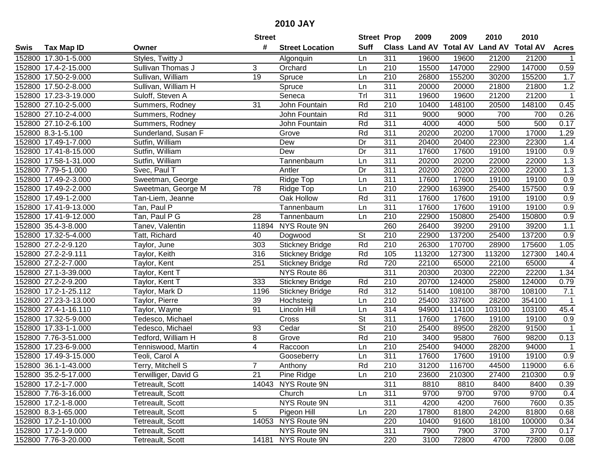| #<br><b>Suff</b><br><b>Class Land AV Total AV</b><br><b>Land AV</b><br><b>Total AV</b><br><b>Tax Map ID</b><br><b>Street Location</b><br><b>Acres</b><br>Swis<br>Owner<br>152800 17.30-1-5.000<br>Styles, Twitty J<br>311<br>19600<br>19600<br>21200<br>21200<br>Algonquin<br>Ln<br>15500<br>147000<br>152800 17.4-2-15.000<br>3<br>210<br>22900<br>147000<br>0.59<br>Sullivan Thomas J<br>Orchard<br>Ln<br>19<br>152800 17.50-2-9.000<br>210<br>26800<br>155200<br>30200<br>155200<br>Sullivan, William<br>Spruce<br>Ln<br>1.7<br>$\overline{311}$<br>1.2<br>20000<br>21800<br>152800 17.50-2-8.000<br>Sullivan, William H<br>Spruce<br>Ln<br>20000<br>21800<br>Tr<br>$\overline{311}$<br>152800 17.23-3-19.000<br>19600<br>19600<br>21200<br>21200<br>$\overline{1}$<br>Suloff, Steven A<br>Seneca<br>$\overline{31}$<br>0.45<br>152800 27.10-2-5.000<br>John Fountain<br>Rd<br>210<br>10400<br>148100<br>20500<br>148100<br>Summers, Rodney<br>152800 27.10-2-4.000<br>John Fountain<br>Rd<br>311<br>700<br>0.26<br>Summers, Rodney<br>9000<br>9000<br>700<br>311<br>152800 27.10-2-6.100<br>Rd<br>4000<br>4000<br>500<br>500<br>0.17<br>John Fountain<br>Summers, Rodney<br>311<br>20200<br>152800 8.3-1-5.100<br>Sunderland, Susan F<br>Rd<br>20200<br>17000<br>17000<br>1.29<br>Grove<br>311<br>20400<br>152800 17.49-1-7.000<br>Sutfin, William<br>Dew<br>Dr<br>20400<br>22300<br>22300<br>1.4<br>Dr<br>311<br>0.9<br>152800 17.41-8-15.000<br>Sutfin, William<br>Dew<br>17600<br>17600<br>19100<br>19100<br>152800 17.58-1-31.000<br>Sutfin, William<br>311<br>20200<br>20200<br>22000<br>22000<br>1.3<br>Tannenbaum<br>Ln<br>311<br>1.3<br>152800 7.79-5-1.000<br>Dr<br>20200<br>22000<br>22000<br>Svec, Paul T<br>20200<br>Antler<br>311<br>152800 17.49-2-3.000<br>17600<br>17600<br>19100<br>19100<br>0.9<br>Ridge Top<br>Ln<br>Sweetman, George<br>210<br>0.9<br>152800 17.49-2-2.000<br>78<br>Ridge Top<br>22900<br>163900<br>25400<br>157500<br>Sweetman, George M<br>Ln<br>311<br>152800 17.49-1-2.000<br>Oak Hollow<br>Rd<br>17600<br>17600<br>19100<br>19100<br>0.9<br>Tan-Liem, Jeanne<br>311<br>0.9<br>152800 17.41-9-13.000<br>Tan, Paul P<br>17600<br>17600<br>19100<br>19100<br>Ln<br>Tannenbaum<br>0.9<br>28<br>210<br>22900<br>150800<br>25400<br>150800<br>152800 17.41-9-12.000<br>Tan, Paul P G<br>Tannenbaum<br>Ln<br>1.1<br>152800 35.4-3-8.000<br>NYS Route 9N<br>260<br>26400<br>39200<br>29100<br>39200<br>Tanev, Valentin<br>11894<br>152800 17.32-5-4.000<br>40<br><b>St</b><br>210<br>22900<br>137200<br>25400<br>137200<br>0.9<br>Tatt, Richard<br>Dogwood<br>Rd<br>152800 27.2-2-9.120<br>210<br>26300<br>170700<br>28900<br>175600<br>1.05<br>303<br><b>Stickney Bridge</b><br>Taylor, June<br>Rd<br>140.4<br>152800 27.2-2-9.111<br>316<br>105<br>113200<br>127300<br>113200<br>127300<br>Taylor, Keith<br><b>Stickney Bridge</b><br>Rd<br>720<br>$\overline{4}$<br>152800 27.2-2-7.000<br>251<br>22100<br>65000<br>22100<br>65000<br>Taylor, Kent<br><b>Stickney Bridge</b><br>311<br>152800 27.1-3-39.000<br>NYS Route 86<br>20300<br>20300<br>22200<br>22200<br>1.34<br>Taylor, Kent T<br>152800 27.2-2-9.200<br>333<br>Rd<br>210<br>20700<br>124000<br>124000<br>25800<br>0.79<br>Taylor, Kent T<br><b>Stickney Bridge</b><br>Rd<br>312<br>51400<br>38700<br>7.1<br>152800 17.2-1-25.112<br>1196<br>108100<br>108100<br>Taylor, Mark D<br><b>Stickney Bridge</b><br>210<br>25400<br>337600<br>28200<br>354100<br>152800 27.23-3-13.000<br>39<br>Hochsteig<br>Taylor, Pierre<br>Ln<br>$\mathbf 1$<br>152800 27.4-1-16.110<br>91<br>314<br>94900<br>114100<br>103100<br>103100<br>Taylor, Wayne<br>Lincoln Hill<br>Ln<br>45.4<br>$\overline{\mathsf{St}}$<br>311<br>152800 17.32-5-9.000<br>17600<br>19100<br>Tedesco, Michael<br>Cross<br>17600<br>19100<br>0.9<br>$\overline{\mathsf{St}}$<br>$\overline{210}$<br>152800 17.33-1-1.000<br>Tedesco, Michael<br>93<br>25400<br>89500<br>28200<br>91500<br>Cedar<br>$\overline{1}$<br>Rd<br>152800 7.76-3-51.000<br>8<br>$\overline{210}$<br>3400<br>95800<br>7600<br>98200<br>0.13<br>Tedford, William H<br>Grove<br>152800 17.23-6-9.000<br>4<br>210<br>25400<br>94000<br>28200<br>94000<br>Tenniswood, Martin<br>Raccoon<br>Ln<br>$\overline{1}$<br>311<br>17600<br>17600<br>19100<br>$\overline{0.9}$<br>152800 17.49-3-15.000<br>19100<br>Teoli, Carol A<br>Gooseberry<br>Ln<br>Rd<br>$\overline{210}$<br>6.6<br>152800 36.1-1-43.000<br>Terry, Mitchell S<br>31200<br>116700<br>44500<br>7<br>119000<br>Anthony<br>152800 35.2-5-17.000<br>Terwilliger, David G<br>21<br>Pine Ridge<br>Ln<br>210<br>23600<br>210300<br>27400<br>210300<br>0.9<br>311<br>152800 17.2-1-7.000<br>Tetreault, Scott<br>14043 NYS Route 9N<br>8810<br>8400<br>8400<br>0.39<br>8810<br>311<br>9700<br>9700<br>152800 7.76-3-16.000<br>Tetreault, Scott<br>Church<br>9700<br>9700<br>0.4<br>Ln<br>NYS Route 9N<br>311<br>152800 17.2-1-8.000<br>4200<br>4200<br>0.35<br>Tetreault, Scott<br>7600<br>7600<br>5<br>Pigeon Hill<br>220<br>152800 8.3-1-65.000<br>Tetreault, Scott<br>17800<br>81800<br>24200<br>81800<br>0.68<br>Ln<br>14053 NYS Route 9N<br>220<br>10400<br>152800 17.2-1-10.000<br>Tetreault, Scott<br>91600<br>18100<br>100000<br>0.34<br>NYS Route 9N<br>152800 17.2-1-9.000<br>Tetreault, Scott<br>311<br>7900<br>7900<br>3700<br>3700<br>0.17<br>14181 NYS Route 9N<br>152800 7.76-3-20.000<br>220<br>3100<br>72800<br>4700<br>72800<br>Tetreault, Scott<br>0.08 |  | <b>Street</b> | <b>Street Prop</b> | 2009 | 2009 | 2010 | 2010 |  |
|-------------------------------------------------------------------------------------------------------------------------------------------------------------------------------------------------------------------------------------------------------------------------------------------------------------------------------------------------------------------------------------------------------------------------------------------------------------------------------------------------------------------------------------------------------------------------------------------------------------------------------------------------------------------------------------------------------------------------------------------------------------------------------------------------------------------------------------------------------------------------------------------------------------------------------------------------------------------------------------------------------------------------------------------------------------------------------------------------------------------------------------------------------------------------------------------------------------------------------------------------------------------------------------------------------------------------------------------------------------------------------------------------------------------------------------------------------------------------------------------------------------------------------------------------------------------------------------------------------------------------------------------------------------------------------------------------------------------------------------------------------------------------------------------------------------------------------------------------------------------------------------------------------------------------------------------------------------------------------------------------------------------------------------------------------------------------------------------------------------------------------------------------------------------------------------------------------------------------------------------------------------------------------------------------------------------------------------------------------------------------------------------------------------------------------------------------------------------------------------------------------------------------------------------------------------------------------------------------------------------------------------------------------------------------------------------------------------------------------------------------------------------------------------------------------------------------------------------------------------------------------------------------------------------------------------------------------------------------------------------------------------------------------------------------------------------------------------------------------------------------------------------------------------------------------------------------------------------------------------------------------------------------------------------------------------------------------------------------------------------------------------------------------------------------------------------------------------------------------------------------------------------------------------------------------------------------------------------------------------------------------------------------------------------------------------------------------------------------------------------------------------------------------------------------------------------------------------------------------------------------------------------------------------------------------------------------------------------------------------------------------------------------------------------------------------------------------------------------------------------------------------------------------------------------------------------------------------------------------------------------------------------------------------------------------------------------------------------------------------------------------------------------------------------------------------------------------------------------------------------------------------------------------------------------------------------------------------------------------------------------------------------------------------------------------------------------------------------------------------------------------------------------------------------------------------------------------------------------------------------------------------------------------------------------------------------------------------------------------------------------------------------------------------------------------------------------------------------------------------------------------------------------------------------------------------------------------------------------------------------------------------------------------------------------------------------------------------------------------------------------------------------------------------------------------------------------------------|--|---------------|--------------------|------|------|------|------|--|
|                                                                                                                                                                                                                                                                                                                                                                                                                                                                                                                                                                                                                                                                                                                                                                                                                                                                                                                                                                                                                                                                                                                                                                                                                                                                                                                                                                                                                                                                                                                                                                                                                                                                                                                                                                                                                                                                                                                                                                                                                                                                                                                                                                                                                                                                                                                                                                                                                                                                                                                                                                                                                                                                                                                                                                                                                                                                                                                                                                                                                                                                                                                                                                                                                                                                                                                                                                                                                                                                                                                                                                                                                                                                                                                                                                                                                                                                                                                                                                                                                                                                                                                                                                                                                                                                                                                                                                                                                                                                                                                                                                                                                                                                                                                                                                                                                                                                                                                                                                                                                                                                                                                                                                                                                                                                                                                                                                                                                                                             |  |               |                    |      |      |      |      |  |
|                                                                                                                                                                                                                                                                                                                                                                                                                                                                                                                                                                                                                                                                                                                                                                                                                                                                                                                                                                                                                                                                                                                                                                                                                                                                                                                                                                                                                                                                                                                                                                                                                                                                                                                                                                                                                                                                                                                                                                                                                                                                                                                                                                                                                                                                                                                                                                                                                                                                                                                                                                                                                                                                                                                                                                                                                                                                                                                                                                                                                                                                                                                                                                                                                                                                                                                                                                                                                                                                                                                                                                                                                                                                                                                                                                                                                                                                                                                                                                                                                                                                                                                                                                                                                                                                                                                                                                                                                                                                                                                                                                                                                                                                                                                                                                                                                                                                                                                                                                                                                                                                                                                                                                                                                                                                                                                                                                                                                                                             |  |               |                    |      |      |      |      |  |
|                                                                                                                                                                                                                                                                                                                                                                                                                                                                                                                                                                                                                                                                                                                                                                                                                                                                                                                                                                                                                                                                                                                                                                                                                                                                                                                                                                                                                                                                                                                                                                                                                                                                                                                                                                                                                                                                                                                                                                                                                                                                                                                                                                                                                                                                                                                                                                                                                                                                                                                                                                                                                                                                                                                                                                                                                                                                                                                                                                                                                                                                                                                                                                                                                                                                                                                                                                                                                                                                                                                                                                                                                                                                                                                                                                                                                                                                                                                                                                                                                                                                                                                                                                                                                                                                                                                                                                                                                                                                                                                                                                                                                                                                                                                                                                                                                                                                                                                                                                                                                                                                                                                                                                                                                                                                                                                                                                                                                                                             |  |               |                    |      |      |      |      |  |
|                                                                                                                                                                                                                                                                                                                                                                                                                                                                                                                                                                                                                                                                                                                                                                                                                                                                                                                                                                                                                                                                                                                                                                                                                                                                                                                                                                                                                                                                                                                                                                                                                                                                                                                                                                                                                                                                                                                                                                                                                                                                                                                                                                                                                                                                                                                                                                                                                                                                                                                                                                                                                                                                                                                                                                                                                                                                                                                                                                                                                                                                                                                                                                                                                                                                                                                                                                                                                                                                                                                                                                                                                                                                                                                                                                                                                                                                                                                                                                                                                                                                                                                                                                                                                                                                                                                                                                                                                                                                                                                                                                                                                                                                                                                                                                                                                                                                                                                                                                                                                                                                                                                                                                                                                                                                                                                                                                                                                                                             |  |               |                    |      |      |      |      |  |
|                                                                                                                                                                                                                                                                                                                                                                                                                                                                                                                                                                                                                                                                                                                                                                                                                                                                                                                                                                                                                                                                                                                                                                                                                                                                                                                                                                                                                                                                                                                                                                                                                                                                                                                                                                                                                                                                                                                                                                                                                                                                                                                                                                                                                                                                                                                                                                                                                                                                                                                                                                                                                                                                                                                                                                                                                                                                                                                                                                                                                                                                                                                                                                                                                                                                                                                                                                                                                                                                                                                                                                                                                                                                                                                                                                                                                                                                                                                                                                                                                                                                                                                                                                                                                                                                                                                                                                                                                                                                                                                                                                                                                                                                                                                                                                                                                                                                                                                                                                                                                                                                                                                                                                                                                                                                                                                                                                                                                                                             |  |               |                    |      |      |      |      |  |
|                                                                                                                                                                                                                                                                                                                                                                                                                                                                                                                                                                                                                                                                                                                                                                                                                                                                                                                                                                                                                                                                                                                                                                                                                                                                                                                                                                                                                                                                                                                                                                                                                                                                                                                                                                                                                                                                                                                                                                                                                                                                                                                                                                                                                                                                                                                                                                                                                                                                                                                                                                                                                                                                                                                                                                                                                                                                                                                                                                                                                                                                                                                                                                                                                                                                                                                                                                                                                                                                                                                                                                                                                                                                                                                                                                                                                                                                                                                                                                                                                                                                                                                                                                                                                                                                                                                                                                                                                                                                                                                                                                                                                                                                                                                                                                                                                                                                                                                                                                                                                                                                                                                                                                                                                                                                                                                                                                                                                                                             |  |               |                    |      |      |      |      |  |
|                                                                                                                                                                                                                                                                                                                                                                                                                                                                                                                                                                                                                                                                                                                                                                                                                                                                                                                                                                                                                                                                                                                                                                                                                                                                                                                                                                                                                                                                                                                                                                                                                                                                                                                                                                                                                                                                                                                                                                                                                                                                                                                                                                                                                                                                                                                                                                                                                                                                                                                                                                                                                                                                                                                                                                                                                                                                                                                                                                                                                                                                                                                                                                                                                                                                                                                                                                                                                                                                                                                                                                                                                                                                                                                                                                                                                                                                                                                                                                                                                                                                                                                                                                                                                                                                                                                                                                                                                                                                                                                                                                                                                                                                                                                                                                                                                                                                                                                                                                                                                                                                                                                                                                                                                                                                                                                                                                                                                                                             |  |               |                    |      |      |      |      |  |
|                                                                                                                                                                                                                                                                                                                                                                                                                                                                                                                                                                                                                                                                                                                                                                                                                                                                                                                                                                                                                                                                                                                                                                                                                                                                                                                                                                                                                                                                                                                                                                                                                                                                                                                                                                                                                                                                                                                                                                                                                                                                                                                                                                                                                                                                                                                                                                                                                                                                                                                                                                                                                                                                                                                                                                                                                                                                                                                                                                                                                                                                                                                                                                                                                                                                                                                                                                                                                                                                                                                                                                                                                                                                                                                                                                                                                                                                                                                                                                                                                                                                                                                                                                                                                                                                                                                                                                                                                                                                                                                                                                                                                                                                                                                                                                                                                                                                                                                                                                                                                                                                                                                                                                                                                                                                                                                                                                                                                                                             |  |               |                    |      |      |      |      |  |
|                                                                                                                                                                                                                                                                                                                                                                                                                                                                                                                                                                                                                                                                                                                                                                                                                                                                                                                                                                                                                                                                                                                                                                                                                                                                                                                                                                                                                                                                                                                                                                                                                                                                                                                                                                                                                                                                                                                                                                                                                                                                                                                                                                                                                                                                                                                                                                                                                                                                                                                                                                                                                                                                                                                                                                                                                                                                                                                                                                                                                                                                                                                                                                                                                                                                                                                                                                                                                                                                                                                                                                                                                                                                                                                                                                                                                                                                                                                                                                                                                                                                                                                                                                                                                                                                                                                                                                                                                                                                                                                                                                                                                                                                                                                                                                                                                                                                                                                                                                                                                                                                                                                                                                                                                                                                                                                                                                                                                                                             |  |               |                    |      |      |      |      |  |
|                                                                                                                                                                                                                                                                                                                                                                                                                                                                                                                                                                                                                                                                                                                                                                                                                                                                                                                                                                                                                                                                                                                                                                                                                                                                                                                                                                                                                                                                                                                                                                                                                                                                                                                                                                                                                                                                                                                                                                                                                                                                                                                                                                                                                                                                                                                                                                                                                                                                                                                                                                                                                                                                                                                                                                                                                                                                                                                                                                                                                                                                                                                                                                                                                                                                                                                                                                                                                                                                                                                                                                                                                                                                                                                                                                                                                                                                                                                                                                                                                                                                                                                                                                                                                                                                                                                                                                                                                                                                                                                                                                                                                                                                                                                                                                                                                                                                                                                                                                                                                                                                                                                                                                                                                                                                                                                                                                                                                                                             |  |               |                    |      |      |      |      |  |
|                                                                                                                                                                                                                                                                                                                                                                                                                                                                                                                                                                                                                                                                                                                                                                                                                                                                                                                                                                                                                                                                                                                                                                                                                                                                                                                                                                                                                                                                                                                                                                                                                                                                                                                                                                                                                                                                                                                                                                                                                                                                                                                                                                                                                                                                                                                                                                                                                                                                                                                                                                                                                                                                                                                                                                                                                                                                                                                                                                                                                                                                                                                                                                                                                                                                                                                                                                                                                                                                                                                                                                                                                                                                                                                                                                                                                                                                                                                                                                                                                                                                                                                                                                                                                                                                                                                                                                                                                                                                                                                                                                                                                                                                                                                                                                                                                                                                                                                                                                                                                                                                                                                                                                                                                                                                                                                                                                                                                                                             |  |               |                    |      |      |      |      |  |
|                                                                                                                                                                                                                                                                                                                                                                                                                                                                                                                                                                                                                                                                                                                                                                                                                                                                                                                                                                                                                                                                                                                                                                                                                                                                                                                                                                                                                                                                                                                                                                                                                                                                                                                                                                                                                                                                                                                                                                                                                                                                                                                                                                                                                                                                                                                                                                                                                                                                                                                                                                                                                                                                                                                                                                                                                                                                                                                                                                                                                                                                                                                                                                                                                                                                                                                                                                                                                                                                                                                                                                                                                                                                                                                                                                                                                                                                                                                                                                                                                                                                                                                                                                                                                                                                                                                                                                                                                                                                                                                                                                                                                                                                                                                                                                                                                                                                                                                                                                                                                                                                                                                                                                                                                                                                                                                                                                                                                                                             |  |               |                    |      |      |      |      |  |
|                                                                                                                                                                                                                                                                                                                                                                                                                                                                                                                                                                                                                                                                                                                                                                                                                                                                                                                                                                                                                                                                                                                                                                                                                                                                                                                                                                                                                                                                                                                                                                                                                                                                                                                                                                                                                                                                                                                                                                                                                                                                                                                                                                                                                                                                                                                                                                                                                                                                                                                                                                                                                                                                                                                                                                                                                                                                                                                                                                                                                                                                                                                                                                                                                                                                                                                                                                                                                                                                                                                                                                                                                                                                                                                                                                                                                                                                                                                                                                                                                                                                                                                                                                                                                                                                                                                                                                                                                                                                                                                                                                                                                                                                                                                                                                                                                                                                                                                                                                                                                                                                                                                                                                                                                                                                                                                                                                                                                                                             |  |               |                    |      |      |      |      |  |
|                                                                                                                                                                                                                                                                                                                                                                                                                                                                                                                                                                                                                                                                                                                                                                                                                                                                                                                                                                                                                                                                                                                                                                                                                                                                                                                                                                                                                                                                                                                                                                                                                                                                                                                                                                                                                                                                                                                                                                                                                                                                                                                                                                                                                                                                                                                                                                                                                                                                                                                                                                                                                                                                                                                                                                                                                                                                                                                                                                                                                                                                                                                                                                                                                                                                                                                                                                                                                                                                                                                                                                                                                                                                                                                                                                                                                                                                                                                                                                                                                                                                                                                                                                                                                                                                                                                                                                                                                                                                                                                                                                                                                                                                                                                                                                                                                                                                                                                                                                                                                                                                                                                                                                                                                                                                                                                                                                                                                                                             |  |               |                    |      |      |      |      |  |
|                                                                                                                                                                                                                                                                                                                                                                                                                                                                                                                                                                                                                                                                                                                                                                                                                                                                                                                                                                                                                                                                                                                                                                                                                                                                                                                                                                                                                                                                                                                                                                                                                                                                                                                                                                                                                                                                                                                                                                                                                                                                                                                                                                                                                                                                                                                                                                                                                                                                                                                                                                                                                                                                                                                                                                                                                                                                                                                                                                                                                                                                                                                                                                                                                                                                                                                                                                                                                                                                                                                                                                                                                                                                                                                                                                                                                                                                                                                                                                                                                                                                                                                                                                                                                                                                                                                                                                                                                                                                                                                                                                                                                                                                                                                                                                                                                                                                                                                                                                                                                                                                                                                                                                                                                                                                                                                                                                                                                                                             |  |               |                    |      |      |      |      |  |
|                                                                                                                                                                                                                                                                                                                                                                                                                                                                                                                                                                                                                                                                                                                                                                                                                                                                                                                                                                                                                                                                                                                                                                                                                                                                                                                                                                                                                                                                                                                                                                                                                                                                                                                                                                                                                                                                                                                                                                                                                                                                                                                                                                                                                                                                                                                                                                                                                                                                                                                                                                                                                                                                                                                                                                                                                                                                                                                                                                                                                                                                                                                                                                                                                                                                                                                                                                                                                                                                                                                                                                                                                                                                                                                                                                                                                                                                                                                                                                                                                                                                                                                                                                                                                                                                                                                                                                                                                                                                                                                                                                                                                                                                                                                                                                                                                                                                                                                                                                                                                                                                                                                                                                                                                                                                                                                                                                                                                                                             |  |               |                    |      |      |      |      |  |
|                                                                                                                                                                                                                                                                                                                                                                                                                                                                                                                                                                                                                                                                                                                                                                                                                                                                                                                                                                                                                                                                                                                                                                                                                                                                                                                                                                                                                                                                                                                                                                                                                                                                                                                                                                                                                                                                                                                                                                                                                                                                                                                                                                                                                                                                                                                                                                                                                                                                                                                                                                                                                                                                                                                                                                                                                                                                                                                                                                                                                                                                                                                                                                                                                                                                                                                                                                                                                                                                                                                                                                                                                                                                                                                                                                                                                                                                                                                                                                                                                                                                                                                                                                                                                                                                                                                                                                                                                                                                                                                                                                                                                                                                                                                                                                                                                                                                                                                                                                                                                                                                                                                                                                                                                                                                                                                                                                                                                                                             |  |               |                    |      |      |      |      |  |
|                                                                                                                                                                                                                                                                                                                                                                                                                                                                                                                                                                                                                                                                                                                                                                                                                                                                                                                                                                                                                                                                                                                                                                                                                                                                                                                                                                                                                                                                                                                                                                                                                                                                                                                                                                                                                                                                                                                                                                                                                                                                                                                                                                                                                                                                                                                                                                                                                                                                                                                                                                                                                                                                                                                                                                                                                                                                                                                                                                                                                                                                                                                                                                                                                                                                                                                                                                                                                                                                                                                                                                                                                                                                                                                                                                                                                                                                                                                                                                                                                                                                                                                                                                                                                                                                                                                                                                                                                                                                                                                                                                                                                                                                                                                                                                                                                                                                                                                                                                                                                                                                                                                                                                                                                                                                                                                                                                                                                                                             |  |               |                    |      |      |      |      |  |
|                                                                                                                                                                                                                                                                                                                                                                                                                                                                                                                                                                                                                                                                                                                                                                                                                                                                                                                                                                                                                                                                                                                                                                                                                                                                                                                                                                                                                                                                                                                                                                                                                                                                                                                                                                                                                                                                                                                                                                                                                                                                                                                                                                                                                                                                                                                                                                                                                                                                                                                                                                                                                                                                                                                                                                                                                                                                                                                                                                                                                                                                                                                                                                                                                                                                                                                                                                                                                                                                                                                                                                                                                                                                                                                                                                                                                                                                                                                                                                                                                                                                                                                                                                                                                                                                                                                                                                                                                                                                                                                                                                                                                                                                                                                                                                                                                                                                                                                                                                                                                                                                                                                                                                                                                                                                                                                                                                                                                                                             |  |               |                    |      |      |      |      |  |
|                                                                                                                                                                                                                                                                                                                                                                                                                                                                                                                                                                                                                                                                                                                                                                                                                                                                                                                                                                                                                                                                                                                                                                                                                                                                                                                                                                                                                                                                                                                                                                                                                                                                                                                                                                                                                                                                                                                                                                                                                                                                                                                                                                                                                                                                                                                                                                                                                                                                                                                                                                                                                                                                                                                                                                                                                                                                                                                                                                                                                                                                                                                                                                                                                                                                                                                                                                                                                                                                                                                                                                                                                                                                                                                                                                                                                                                                                                                                                                                                                                                                                                                                                                                                                                                                                                                                                                                                                                                                                                                                                                                                                                                                                                                                                                                                                                                                                                                                                                                                                                                                                                                                                                                                                                                                                                                                                                                                                                                             |  |               |                    |      |      |      |      |  |
|                                                                                                                                                                                                                                                                                                                                                                                                                                                                                                                                                                                                                                                                                                                                                                                                                                                                                                                                                                                                                                                                                                                                                                                                                                                                                                                                                                                                                                                                                                                                                                                                                                                                                                                                                                                                                                                                                                                                                                                                                                                                                                                                                                                                                                                                                                                                                                                                                                                                                                                                                                                                                                                                                                                                                                                                                                                                                                                                                                                                                                                                                                                                                                                                                                                                                                                                                                                                                                                                                                                                                                                                                                                                                                                                                                                                                                                                                                                                                                                                                                                                                                                                                                                                                                                                                                                                                                                                                                                                                                                                                                                                                                                                                                                                                                                                                                                                                                                                                                                                                                                                                                                                                                                                                                                                                                                                                                                                                                                             |  |               |                    |      |      |      |      |  |
|                                                                                                                                                                                                                                                                                                                                                                                                                                                                                                                                                                                                                                                                                                                                                                                                                                                                                                                                                                                                                                                                                                                                                                                                                                                                                                                                                                                                                                                                                                                                                                                                                                                                                                                                                                                                                                                                                                                                                                                                                                                                                                                                                                                                                                                                                                                                                                                                                                                                                                                                                                                                                                                                                                                                                                                                                                                                                                                                                                                                                                                                                                                                                                                                                                                                                                                                                                                                                                                                                                                                                                                                                                                                                                                                                                                                                                                                                                                                                                                                                                                                                                                                                                                                                                                                                                                                                                                                                                                                                                                                                                                                                                                                                                                                                                                                                                                                                                                                                                                                                                                                                                                                                                                                                                                                                                                                                                                                                                                             |  |               |                    |      |      |      |      |  |
|                                                                                                                                                                                                                                                                                                                                                                                                                                                                                                                                                                                                                                                                                                                                                                                                                                                                                                                                                                                                                                                                                                                                                                                                                                                                                                                                                                                                                                                                                                                                                                                                                                                                                                                                                                                                                                                                                                                                                                                                                                                                                                                                                                                                                                                                                                                                                                                                                                                                                                                                                                                                                                                                                                                                                                                                                                                                                                                                                                                                                                                                                                                                                                                                                                                                                                                                                                                                                                                                                                                                                                                                                                                                                                                                                                                                                                                                                                                                                                                                                                                                                                                                                                                                                                                                                                                                                                                                                                                                                                                                                                                                                                                                                                                                                                                                                                                                                                                                                                                                                                                                                                                                                                                                                                                                                                                                                                                                                                                             |  |               |                    |      |      |      |      |  |
|                                                                                                                                                                                                                                                                                                                                                                                                                                                                                                                                                                                                                                                                                                                                                                                                                                                                                                                                                                                                                                                                                                                                                                                                                                                                                                                                                                                                                                                                                                                                                                                                                                                                                                                                                                                                                                                                                                                                                                                                                                                                                                                                                                                                                                                                                                                                                                                                                                                                                                                                                                                                                                                                                                                                                                                                                                                                                                                                                                                                                                                                                                                                                                                                                                                                                                                                                                                                                                                                                                                                                                                                                                                                                                                                                                                                                                                                                                                                                                                                                                                                                                                                                                                                                                                                                                                                                                                                                                                                                                                                                                                                                                                                                                                                                                                                                                                                                                                                                                                                                                                                                                                                                                                                                                                                                                                                                                                                                                                             |  |               |                    |      |      |      |      |  |
|                                                                                                                                                                                                                                                                                                                                                                                                                                                                                                                                                                                                                                                                                                                                                                                                                                                                                                                                                                                                                                                                                                                                                                                                                                                                                                                                                                                                                                                                                                                                                                                                                                                                                                                                                                                                                                                                                                                                                                                                                                                                                                                                                                                                                                                                                                                                                                                                                                                                                                                                                                                                                                                                                                                                                                                                                                                                                                                                                                                                                                                                                                                                                                                                                                                                                                                                                                                                                                                                                                                                                                                                                                                                                                                                                                                                                                                                                                                                                                                                                                                                                                                                                                                                                                                                                                                                                                                                                                                                                                                                                                                                                                                                                                                                                                                                                                                                                                                                                                                                                                                                                                                                                                                                                                                                                                                                                                                                                                                             |  |               |                    |      |      |      |      |  |
|                                                                                                                                                                                                                                                                                                                                                                                                                                                                                                                                                                                                                                                                                                                                                                                                                                                                                                                                                                                                                                                                                                                                                                                                                                                                                                                                                                                                                                                                                                                                                                                                                                                                                                                                                                                                                                                                                                                                                                                                                                                                                                                                                                                                                                                                                                                                                                                                                                                                                                                                                                                                                                                                                                                                                                                                                                                                                                                                                                                                                                                                                                                                                                                                                                                                                                                                                                                                                                                                                                                                                                                                                                                                                                                                                                                                                                                                                                                                                                                                                                                                                                                                                                                                                                                                                                                                                                                                                                                                                                                                                                                                                                                                                                                                                                                                                                                                                                                                                                                                                                                                                                                                                                                                                                                                                                                                                                                                                                                             |  |               |                    |      |      |      |      |  |
|                                                                                                                                                                                                                                                                                                                                                                                                                                                                                                                                                                                                                                                                                                                                                                                                                                                                                                                                                                                                                                                                                                                                                                                                                                                                                                                                                                                                                                                                                                                                                                                                                                                                                                                                                                                                                                                                                                                                                                                                                                                                                                                                                                                                                                                                                                                                                                                                                                                                                                                                                                                                                                                                                                                                                                                                                                                                                                                                                                                                                                                                                                                                                                                                                                                                                                                                                                                                                                                                                                                                                                                                                                                                                                                                                                                                                                                                                                                                                                                                                                                                                                                                                                                                                                                                                                                                                                                                                                                                                                                                                                                                                                                                                                                                                                                                                                                                                                                                                                                                                                                                                                                                                                                                                                                                                                                                                                                                                                                             |  |               |                    |      |      |      |      |  |
|                                                                                                                                                                                                                                                                                                                                                                                                                                                                                                                                                                                                                                                                                                                                                                                                                                                                                                                                                                                                                                                                                                                                                                                                                                                                                                                                                                                                                                                                                                                                                                                                                                                                                                                                                                                                                                                                                                                                                                                                                                                                                                                                                                                                                                                                                                                                                                                                                                                                                                                                                                                                                                                                                                                                                                                                                                                                                                                                                                                                                                                                                                                                                                                                                                                                                                                                                                                                                                                                                                                                                                                                                                                                                                                                                                                                                                                                                                                                                                                                                                                                                                                                                                                                                                                                                                                                                                                                                                                                                                                                                                                                                                                                                                                                                                                                                                                                                                                                                                                                                                                                                                                                                                                                                                                                                                                                                                                                                                                             |  |               |                    |      |      |      |      |  |
|                                                                                                                                                                                                                                                                                                                                                                                                                                                                                                                                                                                                                                                                                                                                                                                                                                                                                                                                                                                                                                                                                                                                                                                                                                                                                                                                                                                                                                                                                                                                                                                                                                                                                                                                                                                                                                                                                                                                                                                                                                                                                                                                                                                                                                                                                                                                                                                                                                                                                                                                                                                                                                                                                                                                                                                                                                                                                                                                                                                                                                                                                                                                                                                                                                                                                                                                                                                                                                                                                                                                                                                                                                                                                                                                                                                                                                                                                                                                                                                                                                                                                                                                                                                                                                                                                                                                                                                                                                                                                                                                                                                                                                                                                                                                                                                                                                                                                                                                                                                                                                                                                                                                                                                                                                                                                                                                                                                                                                                             |  |               |                    |      |      |      |      |  |
|                                                                                                                                                                                                                                                                                                                                                                                                                                                                                                                                                                                                                                                                                                                                                                                                                                                                                                                                                                                                                                                                                                                                                                                                                                                                                                                                                                                                                                                                                                                                                                                                                                                                                                                                                                                                                                                                                                                                                                                                                                                                                                                                                                                                                                                                                                                                                                                                                                                                                                                                                                                                                                                                                                                                                                                                                                                                                                                                                                                                                                                                                                                                                                                                                                                                                                                                                                                                                                                                                                                                                                                                                                                                                                                                                                                                                                                                                                                                                                                                                                                                                                                                                                                                                                                                                                                                                                                                                                                                                                                                                                                                                                                                                                                                                                                                                                                                                                                                                                                                                                                                                                                                                                                                                                                                                                                                                                                                                                                             |  |               |                    |      |      |      |      |  |
|                                                                                                                                                                                                                                                                                                                                                                                                                                                                                                                                                                                                                                                                                                                                                                                                                                                                                                                                                                                                                                                                                                                                                                                                                                                                                                                                                                                                                                                                                                                                                                                                                                                                                                                                                                                                                                                                                                                                                                                                                                                                                                                                                                                                                                                                                                                                                                                                                                                                                                                                                                                                                                                                                                                                                                                                                                                                                                                                                                                                                                                                                                                                                                                                                                                                                                                                                                                                                                                                                                                                                                                                                                                                                                                                                                                                                                                                                                                                                                                                                                                                                                                                                                                                                                                                                                                                                                                                                                                                                                                                                                                                                                                                                                                                                                                                                                                                                                                                                                                                                                                                                                                                                                                                                                                                                                                                                                                                                                                             |  |               |                    |      |      |      |      |  |
|                                                                                                                                                                                                                                                                                                                                                                                                                                                                                                                                                                                                                                                                                                                                                                                                                                                                                                                                                                                                                                                                                                                                                                                                                                                                                                                                                                                                                                                                                                                                                                                                                                                                                                                                                                                                                                                                                                                                                                                                                                                                                                                                                                                                                                                                                                                                                                                                                                                                                                                                                                                                                                                                                                                                                                                                                                                                                                                                                                                                                                                                                                                                                                                                                                                                                                                                                                                                                                                                                                                                                                                                                                                                                                                                                                                                                                                                                                                                                                                                                                                                                                                                                                                                                                                                                                                                                                                                                                                                                                                                                                                                                                                                                                                                                                                                                                                                                                                                                                                                                                                                                                                                                                                                                                                                                                                                                                                                                                                             |  |               |                    |      |      |      |      |  |
|                                                                                                                                                                                                                                                                                                                                                                                                                                                                                                                                                                                                                                                                                                                                                                                                                                                                                                                                                                                                                                                                                                                                                                                                                                                                                                                                                                                                                                                                                                                                                                                                                                                                                                                                                                                                                                                                                                                                                                                                                                                                                                                                                                                                                                                                                                                                                                                                                                                                                                                                                                                                                                                                                                                                                                                                                                                                                                                                                                                                                                                                                                                                                                                                                                                                                                                                                                                                                                                                                                                                                                                                                                                                                                                                                                                                                                                                                                                                                                                                                                                                                                                                                                                                                                                                                                                                                                                                                                                                                                                                                                                                                                                                                                                                                                                                                                                                                                                                                                                                                                                                                                                                                                                                                                                                                                                                                                                                                                                             |  |               |                    |      |      |      |      |  |
|                                                                                                                                                                                                                                                                                                                                                                                                                                                                                                                                                                                                                                                                                                                                                                                                                                                                                                                                                                                                                                                                                                                                                                                                                                                                                                                                                                                                                                                                                                                                                                                                                                                                                                                                                                                                                                                                                                                                                                                                                                                                                                                                                                                                                                                                                                                                                                                                                                                                                                                                                                                                                                                                                                                                                                                                                                                                                                                                                                                                                                                                                                                                                                                                                                                                                                                                                                                                                                                                                                                                                                                                                                                                                                                                                                                                                                                                                                                                                                                                                                                                                                                                                                                                                                                                                                                                                                                                                                                                                                                                                                                                                                                                                                                                                                                                                                                                                                                                                                                                                                                                                                                                                                                                                                                                                                                                                                                                                                                             |  |               |                    |      |      |      |      |  |
|                                                                                                                                                                                                                                                                                                                                                                                                                                                                                                                                                                                                                                                                                                                                                                                                                                                                                                                                                                                                                                                                                                                                                                                                                                                                                                                                                                                                                                                                                                                                                                                                                                                                                                                                                                                                                                                                                                                                                                                                                                                                                                                                                                                                                                                                                                                                                                                                                                                                                                                                                                                                                                                                                                                                                                                                                                                                                                                                                                                                                                                                                                                                                                                                                                                                                                                                                                                                                                                                                                                                                                                                                                                                                                                                                                                                                                                                                                                                                                                                                                                                                                                                                                                                                                                                                                                                                                                                                                                                                                                                                                                                                                                                                                                                                                                                                                                                                                                                                                                                                                                                                                                                                                                                                                                                                                                                                                                                                                                             |  |               |                    |      |      |      |      |  |
|                                                                                                                                                                                                                                                                                                                                                                                                                                                                                                                                                                                                                                                                                                                                                                                                                                                                                                                                                                                                                                                                                                                                                                                                                                                                                                                                                                                                                                                                                                                                                                                                                                                                                                                                                                                                                                                                                                                                                                                                                                                                                                                                                                                                                                                                                                                                                                                                                                                                                                                                                                                                                                                                                                                                                                                                                                                                                                                                                                                                                                                                                                                                                                                                                                                                                                                                                                                                                                                                                                                                                                                                                                                                                                                                                                                                                                                                                                                                                                                                                                                                                                                                                                                                                                                                                                                                                                                                                                                                                                                                                                                                                                                                                                                                                                                                                                                                                                                                                                                                                                                                                                                                                                                                                                                                                                                                                                                                                                                             |  |               |                    |      |      |      |      |  |
|                                                                                                                                                                                                                                                                                                                                                                                                                                                                                                                                                                                                                                                                                                                                                                                                                                                                                                                                                                                                                                                                                                                                                                                                                                                                                                                                                                                                                                                                                                                                                                                                                                                                                                                                                                                                                                                                                                                                                                                                                                                                                                                                                                                                                                                                                                                                                                                                                                                                                                                                                                                                                                                                                                                                                                                                                                                                                                                                                                                                                                                                                                                                                                                                                                                                                                                                                                                                                                                                                                                                                                                                                                                                                                                                                                                                                                                                                                                                                                                                                                                                                                                                                                                                                                                                                                                                                                                                                                                                                                                                                                                                                                                                                                                                                                                                                                                                                                                                                                                                                                                                                                                                                                                                                                                                                                                                                                                                                                                             |  |               |                    |      |      |      |      |  |
|                                                                                                                                                                                                                                                                                                                                                                                                                                                                                                                                                                                                                                                                                                                                                                                                                                                                                                                                                                                                                                                                                                                                                                                                                                                                                                                                                                                                                                                                                                                                                                                                                                                                                                                                                                                                                                                                                                                                                                                                                                                                                                                                                                                                                                                                                                                                                                                                                                                                                                                                                                                                                                                                                                                                                                                                                                                                                                                                                                                                                                                                                                                                                                                                                                                                                                                                                                                                                                                                                                                                                                                                                                                                                                                                                                                                                                                                                                                                                                                                                                                                                                                                                                                                                                                                                                                                                                                                                                                                                                                                                                                                                                                                                                                                                                                                                                                                                                                                                                                                                                                                                                                                                                                                                                                                                                                                                                                                                                                             |  |               |                    |      |      |      |      |  |
|                                                                                                                                                                                                                                                                                                                                                                                                                                                                                                                                                                                                                                                                                                                                                                                                                                                                                                                                                                                                                                                                                                                                                                                                                                                                                                                                                                                                                                                                                                                                                                                                                                                                                                                                                                                                                                                                                                                                                                                                                                                                                                                                                                                                                                                                                                                                                                                                                                                                                                                                                                                                                                                                                                                                                                                                                                                                                                                                                                                                                                                                                                                                                                                                                                                                                                                                                                                                                                                                                                                                                                                                                                                                                                                                                                                                                                                                                                                                                                                                                                                                                                                                                                                                                                                                                                                                                                                                                                                                                                                                                                                                                                                                                                                                                                                                                                                                                                                                                                                                                                                                                                                                                                                                                                                                                                                                                                                                                                                             |  |               |                    |      |      |      |      |  |
|                                                                                                                                                                                                                                                                                                                                                                                                                                                                                                                                                                                                                                                                                                                                                                                                                                                                                                                                                                                                                                                                                                                                                                                                                                                                                                                                                                                                                                                                                                                                                                                                                                                                                                                                                                                                                                                                                                                                                                                                                                                                                                                                                                                                                                                                                                                                                                                                                                                                                                                                                                                                                                                                                                                                                                                                                                                                                                                                                                                                                                                                                                                                                                                                                                                                                                                                                                                                                                                                                                                                                                                                                                                                                                                                                                                                                                                                                                                                                                                                                                                                                                                                                                                                                                                                                                                                                                                                                                                                                                                                                                                                                                                                                                                                                                                                                                                                                                                                                                                                                                                                                                                                                                                                                                                                                                                                                                                                                                                             |  |               |                    |      |      |      |      |  |
|                                                                                                                                                                                                                                                                                                                                                                                                                                                                                                                                                                                                                                                                                                                                                                                                                                                                                                                                                                                                                                                                                                                                                                                                                                                                                                                                                                                                                                                                                                                                                                                                                                                                                                                                                                                                                                                                                                                                                                                                                                                                                                                                                                                                                                                                                                                                                                                                                                                                                                                                                                                                                                                                                                                                                                                                                                                                                                                                                                                                                                                                                                                                                                                                                                                                                                                                                                                                                                                                                                                                                                                                                                                                                                                                                                                                                                                                                                                                                                                                                                                                                                                                                                                                                                                                                                                                                                                                                                                                                                                                                                                                                                                                                                                                                                                                                                                                                                                                                                                                                                                                                                                                                                                                                                                                                                                                                                                                                                                             |  |               |                    |      |      |      |      |  |
|                                                                                                                                                                                                                                                                                                                                                                                                                                                                                                                                                                                                                                                                                                                                                                                                                                                                                                                                                                                                                                                                                                                                                                                                                                                                                                                                                                                                                                                                                                                                                                                                                                                                                                                                                                                                                                                                                                                                                                                                                                                                                                                                                                                                                                                                                                                                                                                                                                                                                                                                                                                                                                                                                                                                                                                                                                                                                                                                                                                                                                                                                                                                                                                                                                                                                                                                                                                                                                                                                                                                                                                                                                                                                                                                                                                                                                                                                                                                                                                                                                                                                                                                                                                                                                                                                                                                                                                                                                                                                                                                                                                                                                                                                                                                                                                                                                                                                                                                                                                                                                                                                                                                                                                                                                                                                                                                                                                                                                                             |  |               |                    |      |      |      |      |  |
|                                                                                                                                                                                                                                                                                                                                                                                                                                                                                                                                                                                                                                                                                                                                                                                                                                                                                                                                                                                                                                                                                                                                                                                                                                                                                                                                                                                                                                                                                                                                                                                                                                                                                                                                                                                                                                                                                                                                                                                                                                                                                                                                                                                                                                                                                                                                                                                                                                                                                                                                                                                                                                                                                                                                                                                                                                                                                                                                                                                                                                                                                                                                                                                                                                                                                                                                                                                                                                                                                                                                                                                                                                                                                                                                                                                                                                                                                                                                                                                                                                                                                                                                                                                                                                                                                                                                                                                                                                                                                                                                                                                                                                                                                                                                                                                                                                                                                                                                                                                                                                                                                                                                                                                                                                                                                                                                                                                                                                                             |  |               |                    |      |      |      |      |  |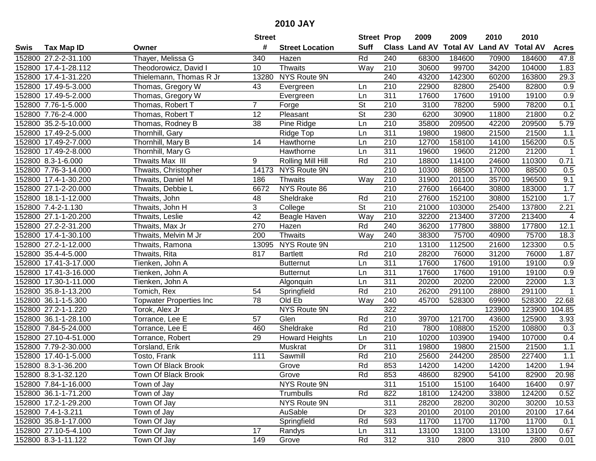|      |                       |                                | <b>Street</b>   |                        | <b>Street Prop</b>       |                  | 2009                 | 2009            | 2010           | 2010            |              |
|------|-----------------------|--------------------------------|-----------------|------------------------|--------------------------|------------------|----------------------|-----------------|----------------|-----------------|--------------|
| Swis | <b>Tax Map ID</b>     | Owner                          | #               | <b>Street Location</b> | <b>Suff</b>              |                  | <b>Class Land AV</b> | <b>Total AV</b> | <b>Land AV</b> | <b>Total AV</b> | <b>Acres</b> |
|      | 152800 27.2-2-31.100  | Thayer, Melissa G              | 340             | Hazen                  | Rd                       | 240              | 68300                | 184600          | 70900          | 184600          | 47.8         |
|      | 152800 17.4-1-28.112  | Theodorowicz, David I          | 10 <sup>°</sup> | <b>Thwaits</b>         | Way                      | 210              | 30600                | 99700           | 34200          | 104000          | 1.83         |
|      | 152800 17.4-1-31.220  | Thielemann, Thomas R Jr        | 13280           | NYS Route 9N           |                          | 240              | 43200                | 142300          | 60200          | 163800          | 29.3         |
|      | 152800 17.49-5-3.000  | Thomas, Gregory W              | 43              | Evergreen              | Ln.                      | 210              | 22900                | 82800           | 25400          | 82800           | 0.9          |
|      | 152800 17.49-5-2.000  | Thomas, Gregory W              |                 | Evergreen              | Ln                       | $\overline{311}$ | 17600                | 17600           | 19100          | 19100           | 0.9          |
|      | 152800 7.76-1-5.000   | Thomas, Robert T               | $\overline{7}$  | Forge                  | $\overline{\mathsf{St}}$ | 210              | 3100                 | 78200           | 5900           | 78200           | 0.1          |
|      | 152800 7.76-2-4.000   | Thomas, Robert T               | 12              | Pleasant               | $\overline{\mathsf{St}}$ | 230              | 6200                 | 30900           | 11800          | 21800           | 0.2          |
|      | 152800 35.2-5-10.000  | Thomas, Rodney B               | $\overline{38}$ | Pine Ridge             | Ln                       | 210              | 35800                | 209500          | 42200          | 209500          | 5.79         |
|      | 152800 17.49-2-5.000  | Thornhill, Gary                |                 | Ridge Top              | Ln                       | 311              | 19800                | 19800           | 21500          | 21500           | 1.1          |
|      | 152800 17.49-2-7.000  | Thornhill, Mary B              | 14              | Hawthorne              | Ln                       | 210              | 12700                | 158100          | 14100          | 156200          | 0.5          |
|      | 152800 17.49-2-8.000  | Thornhill, Mary G              |                 | Hawthorne              | Ln                       | 311              | 19600                | 19600           | 21200          | 21200           | $\mathbf{1}$ |
|      | 152800 8.3-1-6.000    | Thwaits Max III                | 9               | Rolling Mill Hill      | Rd                       | 210              | 18800                | 114100          | 24600          | 110300          | 0.71         |
|      | 152800 7.76-3-14.000  | Thwaits, Christopher           | 14173           | NYS Route 9N           |                          | 210              | 10300                | 88500           | 17000          | 88500           | 0.5          |
|      | 152800 17.4-1-30.200  | Thwaits, Daniel M              | 186             | <b>Thwaits</b>         | Way                      | 210              | 31900                | 201100          | 35700          | 196500          | 9.1          |
|      | 152800 27.1-2-20.000  | Thwaits, Debbie L              | 6672            | NYS Route 86           |                          | 210              | 27600                | 166400          | 30800          | 183000          | 1.7          |
|      | 152800 18.1-1-12.000  | Thwaits, John                  | 48              | Sheldrake              | Rd                       | 210              | 27600                | 152100          | 30800          | 152100          | 1.7          |
|      | 152800 7.4-2-1.130    | Thwaits, John H                | 3               | College                | $\overline{\mathsf{St}}$ | 210              | 21000                | 103000          | 25400          | 137800          | 2.21         |
|      | 152800 27.1-1-20.200  | Thwaits, Leslie                | $\overline{42}$ | Beagle Haven           | Way                      | 210              | 32200                | 213400          | 37200          | 213400          | 4            |
|      | 152800 27.2-2-31.200  | Thwaits, Max Jr                | 270             | Hazen                  | Rd                       | 240              | 36200                | 177800          | 38800          | 177800          | 12.1         |
|      | 152800 17.4-1-30.100  | Thwaits, Melvin M Jr           | 200             | <b>Thwaits</b>         | Way                      | 240              | 38300                | 75700           | 40900          | 75700           | 18.3         |
|      | 152800 27.2-1-12.000  | Thwaits, Ramona                | 13095           | NYS Route 9N           |                          | $\overline{210}$ | 13100                | 112500          | 21600          | 123300          | 0.5          |
|      | 152800 35.4-4-5.000   | Thwaits, Rita                  | 817             | <b>Bartlett</b>        | Rd                       | 210              | 28200                | 76000           | 31200          | 76000           | 1.87         |
|      | 152800 17.41-3-17.000 | Tienken, John A                |                 | <b>Butternut</b>       | Ln                       | 311              | 17600                | 17600           | 19100          | 19100           | 0.9          |
|      | 152800 17.41-3-16.000 | Tienken, John A                |                 | <b>Butternut</b>       | Ln                       | 311              | 17600                | 17600           | 19100          | 19100           | 0.9          |
|      | 152800 17.30-1-11.000 | Tienken, John A                |                 | Algonquin              | Ln                       | 311              | 20200                | 20200           | 22000          | 22000           | 1.3          |
|      | 152800 35.8-1-13.200  | Tomich, Rex                    | 54              | Springfield            | Rd                       | 210              | 26200                | 291100          | 28800          | 291100          | $\mathbf{1}$ |
|      | 152800 36.1-1-5.300   | <b>Topwater Properties Inc</b> | 78              | Old Eb                 | Way                      | 240              | 45700                | 528300          | 69900          | 528300          | 22.68        |
|      | 152800 27.2-1-1.220   | Torok, Alex Jr                 |                 | NYS Route 9N           |                          | 322              |                      |                 | 123900         | 123900          | 104.85       |
|      | 152800 36.1-1-28.100  | Torrance, Lee E                | 57              | Glen                   | Rd                       | 210              | 39700                | 121700          | 43600          | 125900          | 3.93         |
|      | 152800 7.84-5-24.000  | Torrance, Lee E                | 460             | Sheldrake              | Rd                       | $\overline{210}$ | 7800                 | 108800          | 15200          | 108800          | 0.3          |
|      | 152800 27.10-4-51.000 | Torrance, Robert               | 29              | <b>Howard Heights</b>  | Ln                       | 210              | 10200                | 103900          | 19400          | 107000          | 0.4          |
|      | 152800 7.79-2-30.000  | Torsland, Erik                 |                 | Muskrat                | Dr                       | 311              | 19800                | 19800           | 21500          | 21500           | $1.1$        |
|      | 152800 17.40-1-5.000  | Tosto, Frank                   | 111             | Sawmill                | Rd                       | $\overline{210}$ | 25600                | 244200          | 28500          | 227400          | 1.1          |
|      | 152800 8.3-1-36.200   | Town Of Black Brook            |                 | Grove                  | Rd                       | 853              | 14200                | 14200           | 14200          | 14200           | 1.94         |
|      | 152800 8.3-1-32.120   | Town Of Black Brook            |                 | Grove                  | Rd                       | 853              | 48600                | 82900           | 54100          | 82900           | 20.98        |
|      | 152800 7.84-1-16.000  | Town of Jay                    |                 | NYS Route 9N           |                          | 311              | 15100                | 15100           | 16400          | 16400           | 0.97         |
|      | 152800 36.1-1-71.200  | Town of Jay                    |                 | Trumbulls              | Rd                       | 822              | 18100                | 124200          | 33800          | 124200          | 0.52         |
|      | 152800 17.2-1-29.200  | Town Of Jay                    |                 | NYS Route 9N           |                          | 311              | 28200                | 28200           | 30200          | 30200           | 10.53        |
|      | 152800 7.4-1-3.211    | Town of Jay                    |                 | AuSable                | Dr                       | 323              | 20100                | 20100           | 20100          | 20100           | 17.64        |
|      | 152800 35.8-1-17.000  | Town Of Jay                    |                 | Springfield            | Rd                       | 593              | 11700                | 11700           | 11700          | 11700           | 0.1          |
|      | 152800 27.10-5-4.100  | Town Of Jay                    | 17              | Randys                 | Ln                       | 311              | 13100                | 13100           | 13100          | 13100           | 0.67         |
|      | 152800 8.3-1-11.122   | Town Of Jay                    | 149             | Grove                  | Rd                       | 312              | 310                  | 2800            | 310            | 2800            | 0.01         |
|      |                       |                                |                 |                        |                          |                  |                      |                 |                |                 |              |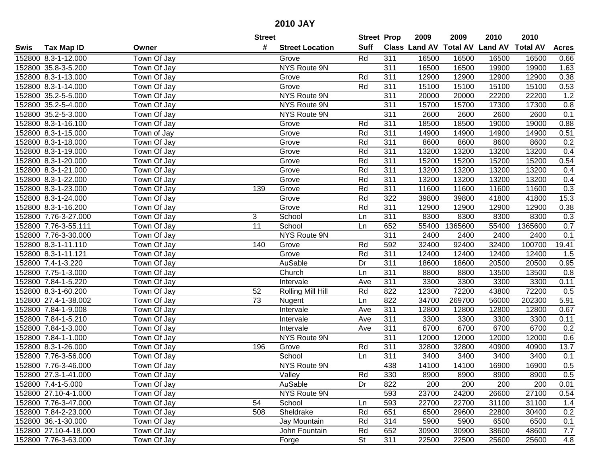|      |                       |                    | <b>Street</b>   |                        | <b>Street Prop</b> |     | 2009                 | 2009            | 2010           | 2010            |              |
|------|-----------------------|--------------------|-----------------|------------------------|--------------------|-----|----------------------|-----------------|----------------|-----------------|--------------|
| Swis | <b>Tax Map ID</b>     | Owner              | #               | <b>Street Location</b> | <b>Suff</b>        |     | <b>Class Land AV</b> | <b>Total AV</b> | <b>Land AV</b> | <b>Total AV</b> | <b>Acres</b> |
|      | 152800 8.3-1-12.000   | Town Of Jay        |                 | Grove                  | Rd                 | 311 | 16500                | 16500           | 16500          | 16500           | 0.66         |
|      | 152800 35.8-3-5.200   | Town Of Jay        |                 | NYS Route 9N           |                    | 311 | 16500                | 16500           | 19900          | 19900           | 1.63         |
|      | 152800 8.3-1-13.000   | Town Of Jay        |                 | Grove                  | Rd                 | 311 | 12900                | 12900           | 12900          | 12900           | 0.38         |
|      | 152800 8.3-1-14.000   | Town Of Jay        |                 | Grove                  | Rd                 | 311 | 15100                | 15100           | 15100          | 15100           | 0.53         |
|      | 152800 35.2-5-5.000   | Town Of Jay        |                 | <b>NYS Route 9N</b>    |                    | 311 | 20000                | 20000           | 22200          | 22200           | 1.2          |
|      | 152800 35.2-5-4.000   | Town Of Jay        |                 | <b>NYS Route 9N</b>    |                    | 311 | 15700                | 15700           | 17300          | 17300           | 0.8          |
|      | 152800 35.2-5-3.000   | Town Of Jay        |                 | NYS Route 9N           |                    | 311 | 2600                 | 2600            | 2600           | 2600            | 0.1          |
|      | 152800 8.3-1-16.100   | Town Of Jay        |                 | Grove                  | Rd                 | 311 | 18500                | 18500           | 19000          | 19000           | 0.88         |
|      | 152800 8.3-1-15.000   | Town of Jay        |                 | Grove                  | Rd                 | 311 | 14900                | 14900           | 14900          | 14900           | 0.51         |
|      | 152800 8.3-1-18.000   | Town Of Jay        |                 | Grove                  | Rd                 | 311 | 8600                 | 8600            | 8600           | 8600            | 0.2          |
|      | 152800 8.3-1-19.000   | Town Of Jay        |                 | Grove                  | Rd                 | 311 | 13200                | 13200           | 13200          | 13200           | 0.4          |
|      | 152800 8.3-1-20.000   | Town Of Jay        |                 | Grove                  | Rd                 | 311 | 15200                | 15200           | 15200          | 15200           | 0.54         |
|      | 152800 8.3-1-21.000   | Town Of Jay        |                 | Grove                  | Rd                 | 311 | 13200                | 13200           | 13200          | 13200           | 0.4          |
|      | 152800 8.3-1-22.000   | Town Of Jay        |                 | Grove                  | Rd                 | 311 | 13200                | 13200           | 13200          | 13200           | 0.4          |
|      | 152800 8.3-1-23.000   | Town Of Jay        | 139             | Grove                  | Rd                 | 311 | 11600                | 11600           | 11600          | 11600           | 0.3          |
|      | 152800 8.3-1-24.000   | Town Of Jay        |                 | Grove                  | Rd                 | 322 | 39800                | 39800           | 41800          | 41800           | 15.3         |
|      | 152800 8.3-1-16.200   | Town Of Jay        |                 | Grove                  | Rd                 | 311 | 12900                | 12900           | 12900          | 12900           | 0.38         |
|      | 152800 7.76-3-27.000  | Town Of Jay        | 3               | School                 | Ln                 | 311 | 8300                 | 8300            | 8300           | 8300            | 0.3          |
|      | 152800 7.76-3-55.111  | Town Of Jay        | $\overline{11}$ | School                 | Ln                 | 652 | 55400                | 1365600         | 55400          | 1365600         | 0.7          |
|      | 152800 7.76-3-30.000  | Town Of Jay        |                 | NYS Route 9N           |                    | 311 | 2400                 | 2400            | 2400           | 2400            | 0.1          |
|      | 152800 8.3-1-11.110   | Town Of Jay        | 140             | Grove                  | Rd                 | 592 | 32400                | 92400           | 32400          | 100700          | 19.41        |
|      | 152800 8.3-1-11.121   | Town Of Jay        |                 | Grove                  | Rd                 | 311 | 12400                | 12400           | 12400          | 12400           | 1.5          |
|      | 152800 7.4-1-3.220    | Town Of Jay        |                 | AuSable                | Dr                 | 311 | 18600                | 18600           | 20500          | 20500           | 0.95         |
|      | 152800 7.75-1-3.000   | Town Of Jay        |                 | Church                 | Ln                 | 311 | 8800                 | 8800            | 13500          | 13500           | 0.8          |
|      | 152800 7.84-1-5.220   | Town Of Jay        |                 | Intervale              | Ave                | 311 | 3300                 | 3300            | 3300           | 3300            | 0.11         |
|      | 152800 8.3-1-60.200   | Town Of Jay        | 52              | Rolling Mill Hill      | Rd                 | 822 | 12300                | 72200           | 43800          | 72200           | 0.5          |
|      | 152800 27.4-1-38.002  | Town Of Jay        | 73              | Nugent                 | Ln                 | 822 | 34700                | 269700          | 56000          | 202300          | 5.91         |
|      | 152800 7.84-1-9.008   | Town Of Jay        |                 | Intervale              | Ave                | 311 | 12800                | 12800           | 12800          | 12800           | 0.67         |
|      | 152800 7.84-1-5.210   | Town Of Jay        |                 | Intervale              | Ave                | 311 | 3300                 | 3300            | 3300           | 3300            | 0.11         |
|      | 152800 7.84-1-3.000   | Town Of Jay        |                 | Intervale              | Ave                | 311 | 6700                 | 6700            | 6700           | 6700            | 0.2          |
|      | 152800 7.84-1-1.000   | <b>Town Of Jay</b> |                 | <b>NYS Route 9N</b>    |                    | 311 | 12000                | 12000           | 12000          | 12000           | 0.6          |
|      | 152800 8.3-1-26.000   | Town Of Jay        | 196             | Grove                  | Rd                 | 311 | 32800                | 32800           | 40900          | 40900           | 13.7         |
|      | 152800 7.76-3-56.000  | Town Of Jay        |                 | School                 | Ln                 | 311 | 3400                 | 3400            | 3400           | 3400            | 0.1          |
|      | 152800 7.76-3-46.000  | Town Of Jay        |                 | NYS Route 9N           |                    | 438 | 14100                | 14100           | 16900          | 16900           | 0.5          |
|      | 152800 27.3-1-41.000  | Town Of Jay        |                 | Valley                 | Rd                 | 330 | 8900                 | 8900            | 8900           | 8900            | 0.5          |
|      | 152800 7.4-1-5.000    | Town Of Jay        |                 | AuSable                | Dr                 | 822 | 200                  | 200             | 200            | 200             | 0.01         |
|      | 152800 27.10-4-1.000  | Town Of Jay        |                 | NYS Route 9N           |                    | 593 | 23700                | 24200           | 26600          | 27100           | 0.54         |
|      | 152800 7.76-3-47.000  | Town Of Jay        | 54              | School                 | Ln                 | 593 | 22700                | 22700           | 31100          | 31100           | 1.4          |
|      | 152800 7.84-2-23.000  | Town Of Jay        | 508             | Sheldrake              | Rd                 | 651 | 6500                 | 29600           | 22800          | 30400           | 0.2          |
|      | 152800 36.-1-30.000   | Town Of Jay        |                 | Jay Mountain           | Rd                 | 314 | 5900                 | 5900            | 6500           | 6500            | 0.1          |
|      | 152800 27.10-4-18.000 | Town Of Jay        |                 | John Fountain          | Rd                 | 652 | 30900                | 30900           | 38600          | 48600           | 7.7          |
|      | 152800 7.76-3-63.000  | Town Of Jay        |                 | Forge                  | <b>St</b>          | 311 | 22500                | 22500           | 25600          | 25600           | 4.8          |
|      |                       |                    |                 |                        |                    |     |                      |                 |                |                 |              |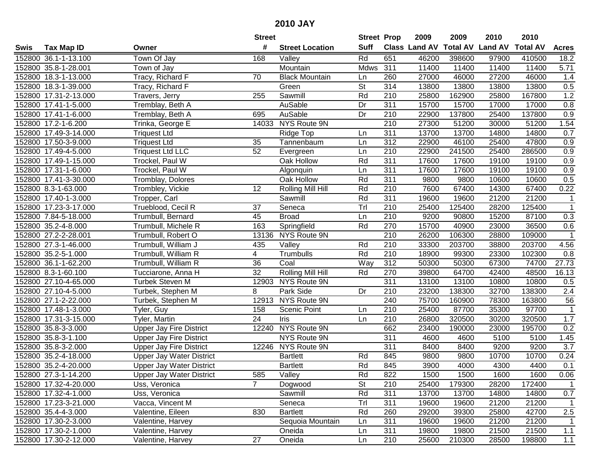|      |                       |                                 | <b>Street</b>   |                        | <b>Street Prop</b> |                  | 2009          | 2009            | 2010           | 2010            |                  |
|------|-----------------------|---------------------------------|-----------------|------------------------|--------------------|------------------|---------------|-----------------|----------------|-----------------|------------------|
| Swis | <b>Tax Map ID</b>     | Owner                           | #               | <b>Street Location</b> | <b>Suff</b>        |                  | Class Land AV | <b>Total AV</b> | <b>Land AV</b> | <b>Total AV</b> | <b>Acres</b>     |
|      | 152800 36.1-1-13.100  | Town Of Jay                     | 168             | Valley                 | Rd                 | 651              | 46200         | 398600          | 97900          | 410500          | 18.2             |
|      | 152800 35.8-1-28.001  | Town of Jay                     |                 | Mountain               | Mdws               | 311              | 11400         | 11400           | 11400          | 11400           | 5.71             |
|      | 152800 18.3-1-13.000  | Tracy, Richard F                | 70              | <b>Black Mountain</b>  | Ln                 | 260              | 27000         | 46000           | 27200          | 46000           | 1.4              |
|      | 152800 18.3-1-39.000  | Tracy, Richard F                |                 | Green                  | St                 | 314              | 13800         | 13800           | 13800          | 13800           | 0.5              |
|      | 152800 17.31-2-13.000 | Travers, Jerry                  | 255             | Sawmill                | Rd                 | 210              | 25800         | 162900          | 25800          | 167800          | 1.2              |
|      | 152800 17.41-1-5.000  | Tremblay, Beth A                |                 | <b>AuSable</b>         | Dr                 | 311              | 15700         | 15700           | 17000          | 17000           | 0.8              |
|      | 152800 17.41-1-6.000  | Tremblay, Beth A                | 695             | AuSable                | Dr                 | 210              | 22900         | 137800          | 25400          | 137800          | 0.9              |
|      | 152800 17.2-1-6.200   | Trinka, George E                |                 | 14033 NYS Route 9N     |                    | 210              | 27300         | 51200           | 30000          | 51200           | 1.54             |
|      | 152800 17.49-3-14.000 | <b>Triquest Ltd</b>             |                 | Ridge Top              | Ln                 | 311              | 13700         | 13700           | 14800          | 14800           | 0.7              |
|      | 152800 17.50-3-9.000  | <b>Triquest Ltd</b>             | 35              | Tannenbaum             | Ln                 | 312              | 22900         | 46100           | 25400          | 47800           | 0.9              |
|      | 152800 17.49-4-5.000  | <b>Triquest Ltd LLC</b>         | 52              | Evergreen              | Ln                 | 210              | 22900         | 241500          | 25400          | 286500          | 0.9              |
|      | 152800 17.49-1-15.000 | Trockel, Paul W                 |                 | Oak Hollow             | Rd                 | 311              | 17600         | 17600           | 19100          | 19100           | 0.9              |
|      | 152800 17.31-1-6.000  | Trockel, Paul W                 |                 | Algonquin              | Ln                 | 311              | 17600         | 17600           | 19100          | 19100           | 0.9              |
|      | 152800 17.41-3-30.000 | Tromblay, Dolores               |                 | Oak Hollow             | Rd                 | 311              | 9800          | 9800            | 10600          | 10600           | 0.5              |
|      | 152800 8.3-1-63.000   | Trombley, Vickie                | 12              | Rolling Mill Hill      | Rd                 | 210              | 7600          | 67400           | 14300          | 67400           | 0.22             |
|      | 152800 17.40-1-3.000  | Tropper, Carl                   |                 | Sawmill                | Rd                 | 311              | 19600         | 19600           | 21200          | 21200           | 1                |
|      | 152800 17.23-3-17.000 | Trueblood, Cecil R              | 37              | Seneca                 | Tr                 | 210              | 25400         | 125400          | 28200          | 125400          | $\mathbf{1}$     |
|      | 152800 7.84-5-18.000  | Trumbull, Bernard               | 45              | <b>Broad</b>           | Ln                 | 210              | 9200          | 90800           | 15200          | 87100           | 0.3              |
|      | 152800 35.2-4-8.000   | Trumbull, Michele R             | 163             | Springfield            | Rd                 | 270              | 15700         | 40900           | 23000          | 36500           | 0.6              |
|      | 152800 27.2-2-28.001  | Trumbull, Robert O              | 13136           | <b>NYS Route 9N</b>    |                    | 210              | 26200         | 106300          | 28800          | 109000          | $\mathbf{1}$     |
|      | 152800 27.3-1-46.000  | Trumbull, William J             | 435             | Valley                 | Rd                 | 210              | 33300         | 203700          | 38800          | 203700          | 4.56             |
|      | 152800 35.2-5-1.000   | Trumbull, William R             | 4               | Trumbulls              | Rd                 | 210              | 18900         | 99300           | 23300          | 102300          | 0.8              |
|      | 152800 36.1-1-62.200  | Trumbull, William R             | 36              | Coal                   | Way                | 312              | 50300         | 50300           | 67300          | 74700           | 27.73            |
|      | 152800 8.3-1-60.100   | Tucciarone, Anna H              | 32              | Rolling Mill Hill      | Rd                 | 270              | 39800         | 64700           | 42400          | 48500           | 16.13            |
|      | 152800 27.10-4-65.000 | Turbek Steven M                 |                 | 12903 NYS Route 9N     |                    | $\overline{311}$ | 13100         | 13100           | 10800          | 10800           | 0.5              |
|      | 152800 27.10-4-5.000  | Turbek, Stephen M               | 8               | Park Side              | Dr                 | 210              | 23200         | 138300          | 32700          | 138300          | 2.4              |
|      | 152800 27.1-2-22.000  | Turbek, Stephen M               |                 | 12913 NYS Route 9N     |                    | 240              | 75700         | 160900          | 78300          | 163800          | 56               |
|      | 152800 17.48-1-3.000  | Tyler, Guy                      | 158             | Scenic Point           | Ln                 | 210              | 25400         | 87700           | 35300          | 97700           | 1                |
|      | 152800 17.31-3-15.000 | Tyler, Martin                   | $\overline{24}$ | Iris                   | Ln                 | 210              | 26800         | 320500          | 30200          | 320500          | 1.7              |
|      | 152800 35.8-3-3.000   | <b>Upper Jay Fire District</b>  |                 | 12240 NYS Route 9N     |                    | 662              | 23400         | 190000          | 23000          | 195700          | 0.2              |
|      | 152800 35.8-3-1.100   | <b>Upper Jay Fire District</b>  |                 | <b>NYS Route 9N</b>    |                    | 311              | 4600          | 4600            | 5100           | 5100            | 1.45             |
|      | 152800 35.8-3-2.000   | <b>Upper Jay Fire District</b>  |                 | 12246 NYS Route 9N     |                    | 311              | 8400          | 8400            | 9200           | 9200            | $\overline{3.7}$ |
|      | 152800 35.2-4-18.000  | <b>Upper Jay Water District</b> |                 | <b>Bartlett</b>        | Rd                 | 845              | 9800          | 9800            | 10700          | 10700           | 0.24             |
|      | 152800 35.2-4-20.000  | <b>Upper Jay Water District</b> |                 | <b>Bartlett</b>        | Rd                 | 845              | 3900          | 4000            | 4300           | 4400            | 0.1              |
|      | 152800 27.3-1-14.200  | <b>Upper Jay Water District</b> | 585             | Valley                 | Rd                 | 822              | 1500          | 1500            | 1600           | 1600            | 0.06             |
|      | 152800 17.32-4-20.000 | Uss, Veronica                   | $7^{\circ}$     | Dogwood                | <b>St</b>          | 210              | 25400         | 179300          | 28200          | 172400          | $\mathbf 1$      |
|      | 152800 17.32-4-1.000  | Uss, Veronica                   |                 | Sawmill                | Rd                 | 311              | 13700         | 13700           | 14800          | 14800           | 0.7              |
|      | 152800 17.23-3-21.000 | Vacca, Vincent M                |                 | Seneca                 | Trl                | 311              | 19600         | 19600           | 21200          | 21200           | $\mathbf{1}$     |
|      | 152800 35.4-4-3.000   | Valentine, Eileen               | 830             | <b>Bartlett</b>        | Rd                 | 260              | 29200         | 39300           | 25800          | 42700           | 2.5              |
|      | 152800 17.30-2-3.000  | Valentine, Harvey               |                 | Sequoia Mountain       | Ln                 | 311              | 19600         | 19600           | 21200          | 21200           | -1               |
|      | 152800 17.30-2-1.000  | Valentine, Harvey               |                 | Oneida                 | Ln                 | 311              | 19800         | 19800           | 21500          | 21500           | 1.1              |
|      | 152800 17.30-2-12.000 | Valentine, Harvey               | 27              | Oneida                 | Ln                 | 210              | 25600         | 210300          | 28500          | 198800          | 1.1              |
|      |                       |                                 |                 |                        |                    |                  |               |                 |                |                 |                  |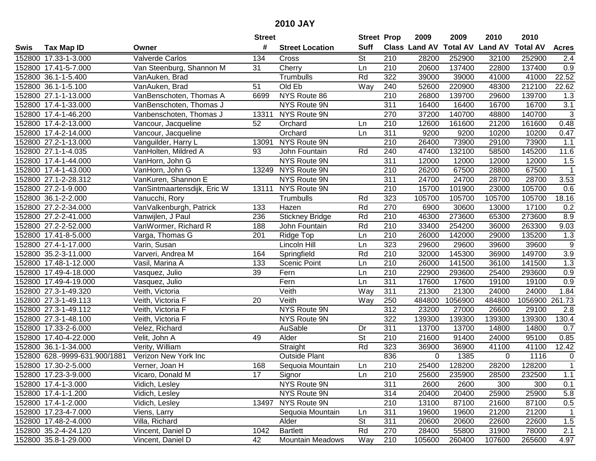|      |                               |                             | <b>Street</b> |                         | <b>Street Prop</b>       |                  | 2009          | 2009            | 2010           | 2010            |                  |
|------|-------------------------------|-----------------------------|---------------|-------------------------|--------------------------|------------------|---------------|-----------------|----------------|-----------------|------------------|
| Swis | <b>Tax Map ID</b>             | Owner                       | #             | <b>Street Location</b>  | <b>Suff</b>              |                  | Class Land AV | <b>Total AV</b> | <b>Land AV</b> | <b>Total AV</b> | <b>Acres</b>     |
|      | 152800 17.33-1-3.000          | <b>Valverde Carlos</b>      | 134           | Cross                   | <b>St</b>                | 210              | 28200         | 252900          | 32100          | 252900          | 2.4              |
|      | 152800 17.41-5-7.000          | Van Steenburg, Shannon M    | 31            | Cherry                  | Ln                       | 210              | 20600         | 137400          | 22800          | 137400          | 0.9              |
|      | 152800 36.1-1-5.400           | VanAuken, Brad              |               | Trumbulls               | Rd                       | 322              | 39000         | 39000           | 41000          | 41000           | 22.52            |
|      | 152800 36.1-1-5.100           | VanAuken, Brad              | 51            | Old Eb                  | Way                      | 240              | 52600         | 220900          | 48300          | 212100          | 22.62            |
|      | 152800 27.1-1-13.000          | VanBenschoten, Thomas A     | 6699          | NYS Route 86            |                          | 210              | 26800         | 139700          | 29600          | 139700          | 1.3              |
|      | 152800 17.4-1-33.000          | VanBenschoten, Thomas J     |               | <b>NYS Route 9N</b>     |                          | 311              | 16400         | 16400           | 16700          | 16700           | $\overline{3.1}$ |
|      | 152800 17.4-1-46.200          | Vanbenschoten, Thomas J     | 13311         | NYS Route 9N            |                          | 270              | 37200         | 140700          | 48800          | 140700          | 3                |
|      | 152800 17.4-2-13.000          | Vancour, Jacqueline         | 52            | Orchard                 | Ln                       | 210              | 12600         | 161600          | 21200          | 161600          | 0.48             |
|      | 152800 17.4-2-14.000          | Vancour, Jacqueline         |               | Orchard                 | Ln                       | 311              | 9200          | 9200            | 10200          | 10200           | 0.47             |
|      | 152800 27.2-1-13.000          | Vanguilder, Harry L         | 13091         | NYS Route 9N            |                          | 210              | 26400         | 73900           | 29100          | 73900           | 1.1              |
|      | 152800 27.1-1-4.035           | VanHolten, Mildred A        | 93            | John Fountain           | Rd                       | 240              | 47400         | 132100          | 58500          | 145200          | 11.6             |
|      | 152800 17.4-1-44.000          | VanHorn, John G             |               | NYS Route 9N            |                          | 311              | 12000         | 12000           | 12000          | 12000           | 1.5              |
|      | 152800 17.4-1-43.000          | VanHorn, John G             | 13249         | NYS Route 9N            |                          | 210              | 26200         | 67500           | 28800          | 67500           | $\mathbf{1}$     |
|      | 152800 27.1-2-28.312          | VanKuren, Shannon E         |               | NYS Route 9N            |                          | 311              | 24700         | 24700           | 28700          | 28700           | 3.53             |
|      | 152800 27.2-1-9.000           | VanSintmaartensdijk, Eric W | 13111         | NYS Route 9N            |                          | 210              | 15700         | 101900          | 23000          | 105700          | 0.6              |
|      | 152800 36.1-2-2.000           | Vanucchi, Rory              |               | Trumbulls               | Rd                       | 323              | 105700        | 105700          | 105700         | 105700          | 18.16            |
|      | 152800 27.2-2-34.000          | VanValkenburgh, Patrick     | 133           | Hazen                   | Rd                       | 270              | 6900          | 30600           | 13000          | 17100           | 0.2              |
|      | 152800 27.2-2-41.000          | Vanwijlen, J Paul           | 236           | <b>Stickney Bridge</b>  | Rd                       | 210              | 46300         | 273600          | 65300          | 273600          | 8.9              |
|      | 152800 27.2-2-52.000          | VanWormer, Richard R        | 188           | John Fountain           | Rd                       | 210              | 33400         | 254200          | 36000          | 263300          | 9.03             |
|      | 152800 17.41-8-5.000          | Varga, Thomas G             | 201           | Ridge Top               | Ln                       | 210              | 26000         | 142000          | 29000          | 135200          | 1.3              |
|      | 152800 27.4-1-17.000          | Varin, Susan                |               | Lincoln Hill            | Ln                       | 323              | 29600         | 29600           | 39600          | 39600           | $\boldsymbol{9}$ |
|      | 152800 35.2-3-11.000          | Varveri, Andrea M           | 164           | Springfield             | Rd                       | 210              | 32000         | 145300          | 36900          | 149700          | 3.9              |
|      | 152800 17.48-1-12.000         | Vasil, Marina A             | 133           | Scenic Point            | Ln                       | 210              | 26000         | 141500          | 36100          | 141500          | 1.3              |
|      | 152800 17.49-4-18.000         | Vasquez, Julio              | 39            | Fern                    | Ln                       | 210              | 22900         | 293600          | 25400          | 293600          | 0.9              |
|      | 152800 17.49-4-19.000         | Vasquez, Julio              |               | Fern                    | Ln                       | $\overline{311}$ | 17600         | 17600           | 19100          | 19100           | 0.9              |
|      | 152800 27.3-1-49.320          | Veith, Victoria             |               | Veith                   | Way                      | 311              | 21300         | 21300           | 24000          | 24000           | 1.84             |
|      | 152800 27.3-1-49.113          | Veith, Victoria F           | 20            | Veith                   | Way                      | 250              | 484800        | 1056900         | 484800         | 1056900         | 261.73           |
|      | 152800 27.3-1-49.112          | Veith, Victoria F           |               | NYS Route 9N            |                          | 312              | 23200         | 27000           | 26600          | 29100           | 2.8              |
|      | 152800 27.3-1-48.100          | Veith, Victoria F           |               | NYS Route 9N            |                          | 322              | 139300        | 139300          | 139300         | 139300          | 130.4            |
|      | 152800 17.33-2-6.000          | Velez, Richard              |               | AuSable                 | Dr                       | $\overline{311}$ | 13700         | 13700           | 14800          | 14800           | 0.7              |
|      | 152800 17.40-4-22.000         | Velit, John A               | 49            | Alder                   | $\overline{\mathsf{St}}$ | 210              | 21600         | 91400           | 24000          | 95100           | 0.85             |
|      | 152800 36.1-1-34.000          | Verity, William             |               | Straight                | Rd                       | 323              | 36900         | 36900           | 41100          | 41100           | 12.42            |
|      | 152800 628.-9999-631.900/1881 | Verizon New York Inc        |               | <b>Outside Plant</b>    |                          | 836              | 0             | 1385            | $\mathbf 0$    | 1116            | $\mathbf 0$      |
|      | 152800 17.30-2-5.000          | Verner, Joan H              | 168           | Sequoia Mountain        | Ln                       | 210              | 25400         | 128200          | 28200          | 128200          | $\mathbf{1}$     |
|      | 152800 17.23-3-9.000          | Vicaro, Donald M            | 17            | Signor                  | Ln                       | 210              | 25600         | 235900          | 28500          | 232500          | 1.1              |
|      | 152800 17.4-1-3.000           | Vidich, Lesley              |               | NYS Route 9N            |                          | 311              | 2600          | 2600            | 300            | 300             | 0.1              |
|      | 152800 17.4-1-1.200           | Vidich, Lesley              |               | NYS Route 9N            |                          | 314              | 20400         | 20400           | 25900          | 25900           | 5.8              |
|      | 152800 17.4-1-2.000           | Vidich, Lesley              | 13497         | NYS Route 9N            |                          | 210              | 13100         | 87100           | 21600          | 87100           | 0.5              |
|      | 152800 17.23-4-7.000          | Viens, Larry                |               | Sequoia Mountain        | Ln                       | 311              | 19600         | 19600           | 21200          | 21200           | $\mathbf 1$      |
|      | 152800 17.48-2-4.000          | Villa, Richard              |               | Alder                   | St                       | 311              | 20600         | 20600           | 22600          | 22600           | 1.5              |
|      | 152800 35.2-4-24.120          | Vincent, Daniel D           | 1042          | <b>Bartlett</b>         | Rd                       | 270              | 28400         | 55800           | 31900          | 78000           | 2.1              |
|      | 152800 35.8-1-29.000          | Vincent, Daniel D           | 42            | <b>Mountain Meadows</b> | Way                      | 210              | 105600        | 260400          | 107600         | 265600          | 4.97             |
|      |                               |                             |               |                         |                          |                  |               |                 |                |                 |                  |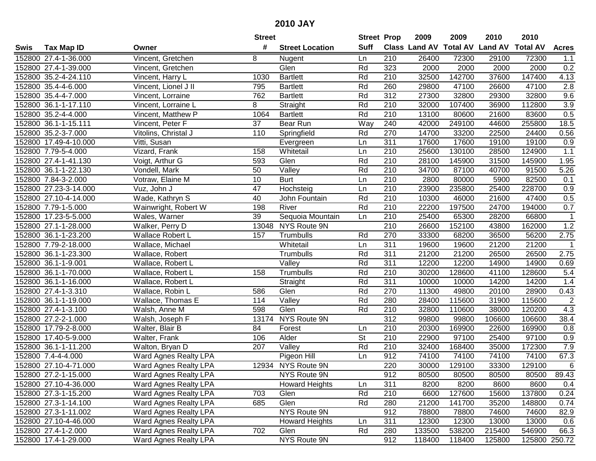| #<br><b>Suff</b><br>Class Land AV Total AV Land AV<br><b>Total AV</b><br><b>Tax Map ID</b><br><b>Street Location</b><br><b>Acres</b><br>Swis<br>Owner<br>152800 27.4-1-36.000<br>Vincent, Gretchen<br>8<br>210<br>26400<br>72300<br>29100<br>72300<br>1.1<br>Nugent<br>Ln<br>323<br>0.2<br>152800 27.4-1-39.000<br>Glen<br>Rd<br>2000<br>2000<br>2000<br>2000<br>Vincent, Gretchen<br>152800 35.2-4-24.110<br>1030<br>Rd<br>210<br>32500<br>142700<br>37600<br>147400<br>4.13<br>Vincent, Harry L<br><b>Bartlett</b><br>Rd<br>260<br>29800<br>47100<br>47100<br>2.8<br>152800 35.4-4-6.000<br>Vincent, Lionel J II<br>795<br><b>Bartlett</b><br>26600<br>$\overline{312}$<br>9.6<br>152800 35.4-4-7.000<br>762<br>Rd<br>27300<br>32800<br>29300<br>32800<br>Vincent, Lorraine<br><b>Bartlett</b><br>107400<br>$\overline{3.9}$<br>152800 36.1-1-17.110<br>8<br>Straight<br>Rd<br>210<br>32000<br>36900<br>112800<br>Vincent, Lorraine L<br>1064<br>Rd<br>210<br>13100<br>0.5<br>152800 35.2-4-4.000<br>Vincent, Matthew P<br><b>Bartlett</b><br>80600<br>21600<br>83600<br>$\overline{37}$<br>$\overline{Way}$<br>240<br>42000<br>249100<br>255800<br>18.5<br>152800 36.1-1-15.111<br>Vincent, Peter F<br><b>Bear Run</b><br>44600<br>Rd<br>270<br>14700<br>152800 35.2-3-7.000<br>Vitolins, Christal J<br>110<br>Springfield<br>33200<br>22500<br>24400<br>0.56<br>311<br>17600<br>152800 17.49-4-10.000<br>Vitti, Susan<br>17600<br>19100<br>19100<br>0.9<br>Ln<br>Evergreen<br>210<br>1.1<br>152800 7.79-5-4.000<br>Vizard, Frank<br>158<br>Whitetail<br>25600<br>130100<br>28500<br>124900<br>Ln<br>152800 27.4-1-41.130<br>593<br>Glen<br>Rd<br>210<br>28100<br>145900<br>31500<br>145900<br>1.95<br>Voigt, Arthur G<br>50<br>Valley<br>Rd<br>210<br>34700<br>91500<br>5.26<br>152800 36.1-1-22.130<br>Vondell, Mark<br>87100<br>40700<br>10<br>82500<br>152800 7.84-3-2.000<br>Votraw, Elaine M<br><b>Burt</b><br>Ln<br>210<br>2800<br>80000<br>5900<br>0.1<br>47<br>210<br>25400<br>228700<br>152800 27.23-3-14.000<br>23900<br>235800<br>0.9<br>Vuz, John J<br>Hochsteig<br>Ln<br>210<br>40<br>Rd<br>10300<br>46000<br>21600<br>47400<br>0.5<br>152800 27.10-4-14.000<br>Wade, Kathryn S<br>John Fountain<br>0.7<br>Rd<br>210<br>152800 7.79-1-5.000<br>198<br>River<br>22200<br>197500<br>24700<br>194000<br>Wainwright, Robert W<br>39<br>Sequoia Mountain<br>210<br>25400<br>65300<br>28200<br>66800<br>$\mathbf{1}$<br>152800 17.23-5-5.000<br>Wales, Warner<br>Ln<br>1.2<br>13048 NYS Route 9N<br>210<br>152800 27.1-1-28.000<br>Walker, Perry D<br>26600<br>152100<br>43800<br>162000<br>152800 36.1-1-23.200<br>Wallace Robert L<br>157<br>Rd<br>270<br>33300<br>68200<br>36500<br>56200<br>2.75<br>Trumbulls<br>311<br>19600<br>21200<br>21200<br>152800 7.79-2-18.000<br>Whitetail<br>Ln<br>19600<br>$\overline{1}$<br>Wallace, Michael<br>Rd<br>311<br>152800 36.1-1-23.300<br>21200<br>21200<br>26500<br>26500<br>2.75<br>Wallace, Robert<br>Trumbulls<br>Rd<br>311<br>152800 36.1-1-9.001<br>12200<br>12200<br>14900<br>14900<br>0.69<br>Wallace, Robert L<br>Valley<br>152800 36.1-1-70.000<br>158<br>Rd<br>210<br>30200<br>128600<br>41100<br>128600<br>5.4<br>Wallace, Robert L<br>Trumbulls<br>$\overline{311}$<br>152800 36.1-1-16.000<br>Rd<br>10000<br>14200<br>1.4<br>Straight<br>10000<br>14200<br>Wallace, Robert L<br>Glen<br>Rd<br>270<br>152800 27.4-1-3.310<br>Wallace, Robin L<br>586<br>11300<br>49800<br>20100<br>28900<br>0.43<br>$\sqrt{2}$<br>Rd<br>280<br>28400<br>115600<br>115600<br>152800 36.1-1-19.000<br>114<br>Valley<br>31900<br>Wallace, Thomas E<br>Rd<br>4.3<br>152800 27.4-1-3.100<br>598<br>Glen<br>210<br>32800<br>110600<br>38000<br>120200<br>Walsh, Anne M<br>$\overline{312}$<br>152800 27.2-2-1.000<br>13174<br>NYS Route 9N<br>99800<br>106600<br>106600<br>38.4<br>Walsh, Joseph F<br>99800<br>$\overline{210}$<br>169900<br>152800 17.79-2-8.000<br>84<br>Forest<br>20300<br>22600<br>169900<br>Walter, Blair B<br>0.8<br>Ln<br>$\overline{\mathsf{St}}$<br>Alder<br>$\overline{210}$<br>22900<br>97100<br>25400<br>97100<br>152800 17.40-5-9.000<br>Walter, Frank<br>106<br>0.9<br>Rd<br>7.9<br>152800 36.1-1-11.200<br>$\overline{\mathsf{Value}}$<br>210<br>32400<br>168400<br>35000<br>172300<br>Walton, Bryan D<br>207<br>152800 7.4-4-4.000<br>912<br>74100<br>74100<br>67.3<br>Pigeon Hill<br>Ln<br>74100<br>74100<br><b>Ward Agnes Realty LPA</b><br>220<br>$\,6$<br>152800 27.10-4-71.000<br>12934 NYS Route 9N<br>30000<br>129100<br>33300<br>129100<br>Ward Agnes Realty LPA<br>152800 27.2-1-15.000<br>Ward Agnes Realty LPA<br>NYS Route 9N<br>912<br>80500<br>80500<br>80500<br>80500<br>89.43<br>311<br>152800 27.10-4-36.000<br>Ward Agnes Realty LPA<br><b>Howard Heights</b><br>8200<br>8200<br>8600<br>8600<br>0.4<br>Ln<br>Rd<br>210<br>127600<br>137800<br>152800 27.3-1-15.200<br>Ward Agnes Realty LPA<br>703<br>Glen<br>6600<br>15600<br>0.24<br>152800 27.3-1-14.100<br>Ward Agnes Realty LPA<br>685<br>Glen<br>Rd<br>280<br>21200<br>141700<br>35200<br>148800<br>0.74<br>NYS Route 9N<br>Ward Agnes Realty LPA<br>912<br>152800 27.3-1-11.002<br>78800<br>78800<br>74600<br>74600<br>82.9<br>Ward Agnes Realty LPA<br>311<br>152800 27.10-4-46.000<br><b>Howard Heights</b><br>12300<br>12300<br>13000<br>13000<br>0.6<br>Ln<br>Ward Agnes Realty LPA<br>702<br>Rd<br>538200<br>152800 27.4-1-2.000<br>Glen<br>280<br>133500<br>215400<br>546900<br>66.3<br>NYS Route 9N<br>152800 17.4-1-29.000<br>912<br>Ward Agnes Realty LPA<br>118400<br>118400<br>125800 250.72<br>125800 |  | <b>Street</b> | <b>Street Prop</b> | 2009 | 2009 | 2010 | 2010 |  |
|---------------------------------------------------------------------------------------------------------------------------------------------------------------------------------------------------------------------------------------------------------------------------------------------------------------------------------------------------------------------------------------------------------------------------------------------------------------------------------------------------------------------------------------------------------------------------------------------------------------------------------------------------------------------------------------------------------------------------------------------------------------------------------------------------------------------------------------------------------------------------------------------------------------------------------------------------------------------------------------------------------------------------------------------------------------------------------------------------------------------------------------------------------------------------------------------------------------------------------------------------------------------------------------------------------------------------------------------------------------------------------------------------------------------------------------------------------------------------------------------------------------------------------------------------------------------------------------------------------------------------------------------------------------------------------------------------------------------------------------------------------------------------------------------------------------------------------------------------------------------------------------------------------------------------------------------------------------------------------------------------------------------------------------------------------------------------------------------------------------------------------------------------------------------------------------------------------------------------------------------------------------------------------------------------------------------------------------------------------------------------------------------------------------------------------------------------------------------------------------------------------------------------------------------------------------------------------------------------------------------------------------------------------------------------------------------------------------------------------------------------------------------------------------------------------------------------------------------------------------------------------------------------------------------------------------------------------------------------------------------------------------------------------------------------------------------------------------------------------------------------------------------------------------------------------------------------------------------------------------------------------------------------------------------------------------------------------------------------------------------------------------------------------------------------------------------------------------------------------------------------------------------------------------------------------------------------------------------------------------------------------------------------------------------------------------------------------------------------------------------------------------------------------------------------------------------------------------------------------------------------------------------------------------------------------------------------------------------------------------------------------------------------------------------------------------------------------------------------------------------------------------------------------------------------------------------------------------------------------------------------------------------------------------------------------------------------------------------------------------------------------------------------------------------------------------------------------------------------------------------------------------------------------------------------------------------------------------------------------------------------------------------------------------------------------------------------------------------------------------------------------------------------------------------------------------------------------------------------------------------------------------------------------------------------------------------------------------------------------------------------------------------------------------------------------------------------------------------------------------------------------------------------------------------------------------------------------------------------------------------------------------------------------------------------------------------------------------------------------------------------------------------------------------------------------------------------------------------------------------------------------------------------------------------------------------------------|--|---------------|--------------------|------|------|------|------|--|
|                                                                                                                                                                                                                                                                                                                                                                                                                                                                                                                                                                                                                                                                                                                                                                                                                                                                                                                                                                                                                                                                                                                                                                                                                                                                                                                                                                                                                                                                                                                                                                                                                                                                                                                                                                                                                                                                                                                                                                                                                                                                                                                                                                                                                                                                                                                                                                                                                                                                                                                                                                                                                                                                                                                                                                                                                                                                                                                                                                                                                                                                                                                                                                                                                                                                                                                                                                                                                                                                                                                                                                                                                                                                                                                                                                                                                                                                                                                                                                                                                                                                                                                                                                                                                                                                                                                                                                                                                                                                                                                                                                                                                                                                                                                                                                                                                                                                                                                                                                                                                                                                                                                                                                                                                                                                                                                                                                                                                                                                                                                                                                           |  |               |                    |      |      |      |      |  |
|                                                                                                                                                                                                                                                                                                                                                                                                                                                                                                                                                                                                                                                                                                                                                                                                                                                                                                                                                                                                                                                                                                                                                                                                                                                                                                                                                                                                                                                                                                                                                                                                                                                                                                                                                                                                                                                                                                                                                                                                                                                                                                                                                                                                                                                                                                                                                                                                                                                                                                                                                                                                                                                                                                                                                                                                                                                                                                                                                                                                                                                                                                                                                                                                                                                                                                                                                                                                                                                                                                                                                                                                                                                                                                                                                                                                                                                                                                                                                                                                                                                                                                                                                                                                                                                                                                                                                                                                                                                                                                                                                                                                                                                                                                                                                                                                                                                                                                                                                                                                                                                                                                                                                                                                                                                                                                                                                                                                                                                                                                                                                                           |  |               |                    |      |      |      |      |  |
|                                                                                                                                                                                                                                                                                                                                                                                                                                                                                                                                                                                                                                                                                                                                                                                                                                                                                                                                                                                                                                                                                                                                                                                                                                                                                                                                                                                                                                                                                                                                                                                                                                                                                                                                                                                                                                                                                                                                                                                                                                                                                                                                                                                                                                                                                                                                                                                                                                                                                                                                                                                                                                                                                                                                                                                                                                                                                                                                                                                                                                                                                                                                                                                                                                                                                                                                                                                                                                                                                                                                                                                                                                                                                                                                                                                                                                                                                                                                                                                                                                                                                                                                                                                                                                                                                                                                                                                                                                                                                                                                                                                                                                                                                                                                                                                                                                                                                                                                                                                                                                                                                                                                                                                                                                                                                                                                                                                                                                                                                                                                                                           |  |               |                    |      |      |      |      |  |
|                                                                                                                                                                                                                                                                                                                                                                                                                                                                                                                                                                                                                                                                                                                                                                                                                                                                                                                                                                                                                                                                                                                                                                                                                                                                                                                                                                                                                                                                                                                                                                                                                                                                                                                                                                                                                                                                                                                                                                                                                                                                                                                                                                                                                                                                                                                                                                                                                                                                                                                                                                                                                                                                                                                                                                                                                                                                                                                                                                                                                                                                                                                                                                                                                                                                                                                                                                                                                                                                                                                                                                                                                                                                                                                                                                                                                                                                                                                                                                                                                                                                                                                                                                                                                                                                                                                                                                                                                                                                                                                                                                                                                                                                                                                                                                                                                                                                                                                                                                                                                                                                                                                                                                                                                                                                                                                                                                                                                                                                                                                                                                           |  |               |                    |      |      |      |      |  |
|                                                                                                                                                                                                                                                                                                                                                                                                                                                                                                                                                                                                                                                                                                                                                                                                                                                                                                                                                                                                                                                                                                                                                                                                                                                                                                                                                                                                                                                                                                                                                                                                                                                                                                                                                                                                                                                                                                                                                                                                                                                                                                                                                                                                                                                                                                                                                                                                                                                                                                                                                                                                                                                                                                                                                                                                                                                                                                                                                                                                                                                                                                                                                                                                                                                                                                                                                                                                                                                                                                                                                                                                                                                                                                                                                                                                                                                                                                                                                                                                                                                                                                                                                                                                                                                                                                                                                                                                                                                                                                                                                                                                                                                                                                                                                                                                                                                                                                                                                                                                                                                                                                                                                                                                                                                                                                                                                                                                                                                                                                                                                                           |  |               |                    |      |      |      |      |  |
|                                                                                                                                                                                                                                                                                                                                                                                                                                                                                                                                                                                                                                                                                                                                                                                                                                                                                                                                                                                                                                                                                                                                                                                                                                                                                                                                                                                                                                                                                                                                                                                                                                                                                                                                                                                                                                                                                                                                                                                                                                                                                                                                                                                                                                                                                                                                                                                                                                                                                                                                                                                                                                                                                                                                                                                                                                                                                                                                                                                                                                                                                                                                                                                                                                                                                                                                                                                                                                                                                                                                                                                                                                                                                                                                                                                                                                                                                                                                                                                                                                                                                                                                                                                                                                                                                                                                                                                                                                                                                                                                                                                                                                                                                                                                                                                                                                                                                                                                                                                                                                                                                                                                                                                                                                                                                                                                                                                                                                                                                                                                                                           |  |               |                    |      |      |      |      |  |
|                                                                                                                                                                                                                                                                                                                                                                                                                                                                                                                                                                                                                                                                                                                                                                                                                                                                                                                                                                                                                                                                                                                                                                                                                                                                                                                                                                                                                                                                                                                                                                                                                                                                                                                                                                                                                                                                                                                                                                                                                                                                                                                                                                                                                                                                                                                                                                                                                                                                                                                                                                                                                                                                                                                                                                                                                                                                                                                                                                                                                                                                                                                                                                                                                                                                                                                                                                                                                                                                                                                                                                                                                                                                                                                                                                                                                                                                                                                                                                                                                                                                                                                                                                                                                                                                                                                                                                                                                                                                                                                                                                                                                                                                                                                                                                                                                                                                                                                                                                                                                                                                                                                                                                                                                                                                                                                                                                                                                                                                                                                                                                           |  |               |                    |      |      |      |      |  |
|                                                                                                                                                                                                                                                                                                                                                                                                                                                                                                                                                                                                                                                                                                                                                                                                                                                                                                                                                                                                                                                                                                                                                                                                                                                                                                                                                                                                                                                                                                                                                                                                                                                                                                                                                                                                                                                                                                                                                                                                                                                                                                                                                                                                                                                                                                                                                                                                                                                                                                                                                                                                                                                                                                                                                                                                                                                                                                                                                                                                                                                                                                                                                                                                                                                                                                                                                                                                                                                                                                                                                                                                                                                                                                                                                                                                                                                                                                                                                                                                                                                                                                                                                                                                                                                                                                                                                                                                                                                                                                                                                                                                                                                                                                                                                                                                                                                                                                                                                                                                                                                                                                                                                                                                                                                                                                                                                                                                                                                                                                                                                                           |  |               |                    |      |      |      |      |  |
|                                                                                                                                                                                                                                                                                                                                                                                                                                                                                                                                                                                                                                                                                                                                                                                                                                                                                                                                                                                                                                                                                                                                                                                                                                                                                                                                                                                                                                                                                                                                                                                                                                                                                                                                                                                                                                                                                                                                                                                                                                                                                                                                                                                                                                                                                                                                                                                                                                                                                                                                                                                                                                                                                                                                                                                                                                                                                                                                                                                                                                                                                                                                                                                                                                                                                                                                                                                                                                                                                                                                                                                                                                                                                                                                                                                                                                                                                                                                                                                                                                                                                                                                                                                                                                                                                                                                                                                                                                                                                                                                                                                                                                                                                                                                                                                                                                                                                                                                                                                                                                                                                                                                                                                                                                                                                                                                                                                                                                                                                                                                                                           |  |               |                    |      |      |      |      |  |
|                                                                                                                                                                                                                                                                                                                                                                                                                                                                                                                                                                                                                                                                                                                                                                                                                                                                                                                                                                                                                                                                                                                                                                                                                                                                                                                                                                                                                                                                                                                                                                                                                                                                                                                                                                                                                                                                                                                                                                                                                                                                                                                                                                                                                                                                                                                                                                                                                                                                                                                                                                                                                                                                                                                                                                                                                                                                                                                                                                                                                                                                                                                                                                                                                                                                                                                                                                                                                                                                                                                                                                                                                                                                                                                                                                                                                                                                                                                                                                                                                                                                                                                                                                                                                                                                                                                                                                                                                                                                                                                                                                                                                                                                                                                                                                                                                                                                                                                                                                                                                                                                                                                                                                                                                                                                                                                                                                                                                                                                                                                                                                           |  |               |                    |      |      |      |      |  |
|                                                                                                                                                                                                                                                                                                                                                                                                                                                                                                                                                                                                                                                                                                                                                                                                                                                                                                                                                                                                                                                                                                                                                                                                                                                                                                                                                                                                                                                                                                                                                                                                                                                                                                                                                                                                                                                                                                                                                                                                                                                                                                                                                                                                                                                                                                                                                                                                                                                                                                                                                                                                                                                                                                                                                                                                                                                                                                                                                                                                                                                                                                                                                                                                                                                                                                                                                                                                                                                                                                                                                                                                                                                                                                                                                                                                                                                                                                                                                                                                                                                                                                                                                                                                                                                                                                                                                                                                                                                                                                                                                                                                                                                                                                                                                                                                                                                                                                                                                                                                                                                                                                                                                                                                                                                                                                                                                                                                                                                                                                                                                                           |  |               |                    |      |      |      |      |  |
|                                                                                                                                                                                                                                                                                                                                                                                                                                                                                                                                                                                                                                                                                                                                                                                                                                                                                                                                                                                                                                                                                                                                                                                                                                                                                                                                                                                                                                                                                                                                                                                                                                                                                                                                                                                                                                                                                                                                                                                                                                                                                                                                                                                                                                                                                                                                                                                                                                                                                                                                                                                                                                                                                                                                                                                                                                                                                                                                                                                                                                                                                                                                                                                                                                                                                                                                                                                                                                                                                                                                                                                                                                                                                                                                                                                                                                                                                                                                                                                                                                                                                                                                                                                                                                                                                                                                                                                                                                                                                                                                                                                                                                                                                                                                                                                                                                                                                                                                                                                                                                                                                                                                                                                                                                                                                                                                                                                                                                                                                                                                                                           |  |               |                    |      |      |      |      |  |
|                                                                                                                                                                                                                                                                                                                                                                                                                                                                                                                                                                                                                                                                                                                                                                                                                                                                                                                                                                                                                                                                                                                                                                                                                                                                                                                                                                                                                                                                                                                                                                                                                                                                                                                                                                                                                                                                                                                                                                                                                                                                                                                                                                                                                                                                                                                                                                                                                                                                                                                                                                                                                                                                                                                                                                                                                                                                                                                                                                                                                                                                                                                                                                                                                                                                                                                                                                                                                                                                                                                                                                                                                                                                                                                                                                                                                                                                                                                                                                                                                                                                                                                                                                                                                                                                                                                                                                                                                                                                                                                                                                                                                                                                                                                                                                                                                                                                                                                                                                                                                                                                                                                                                                                                                                                                                                                                                                                                                                                                                                                                                                           |  |               |                    |      |      |      |      |  |
|                                                                                                                                                                                                                                                                                                                                                                                                                                                                                                                                                                                                                                                                                                                                                                                                                                                                                                                                                                                                                                                                                                                                                                                                                                                                                                                                                                                                                                                                                                                                                                                                                                                                                                                                                                                                                                                                                                                                                                                                                                                                                                                                                                                                                                                                                                                                                                                                                                                                                                                                                                                                                                                                                                                                                                                                                                                                                                                                                                                                                                                                                                                                                                                                                                                                                                                                                                                                                                                                                                                                                                                                                                                                                                                                                                                                                                                                                                                                                                                                                                                                                                                                                                                                                                                                                                                                                                                                                                                                                                                                                                                                                                                                                                                                                                                                                                                                                                                                                                                                                                                                                                                                                                                                                                                                                                                                                                                                                                                                                                                                                                           |  |               |                    |      |      |      |      |  |
|                                                                                                                                                                                                                                                                                                                                                                                                                                                                                                                                                                                                                                                                                                                                                                                                                                                                                                                                                                                                                                                                                                                                                                                                                                                                                                                                                                                                                                                                                                                                                                                                                                                                                                                                                                                                                                                                                                                                                                                                                                                                                                                                                                                                                                                                                                                                                                                                                                                                                                                                                                                                                                                                                                                                                                                                                                                                                                                                                                                                                                                                                                                                                                                                                                                                                                                                                                                                                                                                                                                                                                                                                                                                                                                                                                                                                                                                                                                                                                                                                                                                                                                                                                                                                                                                                                                                                                                                                                                                                                                                                                                                                                                                                                                                                                                                                                                                                                                                                                                                                                                                                                                                                                                                                                                                                                                                                                                                                                                                                                                                                                           |  |               |                    |      |      |      |      |  |
|                                                                                                                                                                                                                                                                                                                                                                                                                                                                                                                                                                                                                                                                                                                                                                                                                                                                                                                                                                                                                                                                                                                                                                                                                                                                                                                                                                                                                                                                                                                                                                                                                                                                                                                                                                                                                                                                                                                                                                                                                                                                                                                                                                                                                                                                                                                                                                                                                                                                                                                                                                                                                                                                                                                                                                                                                                                                                                                                                                                                                                                                                                                                                                                                                                                                                                                                                                                                                                                                                                                                                                                                                                                                                                                                                                                                                                                                                                                                                                                                                                                                                                                                                                                                                                                                                                                                                                                                                                                                                                                                                                                                                                                                                                                                                                                                                                                                                                                                                                                                                                                                                                                                                                                                                                                                                                                                                                                                                                                                                                                                                                           |  |               |                    |      |      |      |      |  |
|                                                                                                                                                                                                                                                                                                                                                                                                                                                                                                                                                                                                                                                                                                                                                                                                                                                                                                                                                                                                                                                                                                                                                                                                                                                                                                                                                                                                                                                                                                                                                                                                                                                                                                                                                                                                                                                                                                                                                                                                                                                                                                                                                                                                                                                                                                                                                                                                                                                                                                                                                                                                                                                                                                                                                                                                                                                                                                                                                                                                                                                                                                                                                                                                                                                                                                                                                                                                                                                                                                                                                                                                                                                                                                                                                                                                                                                                                                                                                                                                                                                                                                                                                                                                                                                                                                                                                                                                                                                                                                                                                                                                                                                                                                                                                                                                                                                                                                                                                                                                                                                                                                                                                                                                                                                                                                                                                                                                                                                                                                                                                                           |  |               |                    |      |      |      |      |  |
|                                                                                                                                                                                                                                                                                                                                                                                                                                                                                                                                                                                                                                                                                                                                                                                                                                                                                                                                                                                                                                                                                                                                                                                                                                                                                                                                                                                                                                                                                                                                                                                                                                                                                                                                                                                                                                                                                                                                                                                                                                                                                                                                                                                                                                                                                                                                                                                                                                                                                                                                                                                                                                                                                                                                                                                                                                                                                                                                                                                                                                                                                                                                                                                                                                                                                                                                                                                                                                                                                                                                                                                                                                                                                                                                                                                                                                                                                                                                                                                                                                                                                                                                                                                                                                                                                                                                                                                                                                                                                                                                                                                                                                                                                                                                                                                                                                                                                                                                                                                                                                                                                                                                                                                                                                                                                                                                                                                                                                                                                                                                                                           |  |               |                    |      |      |      |      |  |
|                                                                                                                                                                                                                                                                                                                                                                                                                                                                                                                                                                                                                                                                                                                                                                                                                                                                                                                                                                                                                                                                                                                                                                                                                                                                                                                                                                                                                                                                                                                                                                                                                                                                                                                                                                                                                                                                                                                                                                                                                                                                                                                                                                                                                                                                                                                                                                                                                                                                                                                                                                                                                                                                                                                                                                                                                                                                                                                                                                                                                                                                                                                                                                                                                                                                                                                                                                                                                                                                                                                                                                                                                                                                                                                                                                                                                                                                                                                                                                                                                                                                                                                                                                                                                                                                                                                                                                                                                                                                                                                                                                                                                                                                                                                                                                                                                                                                                                                                                                                                                                                                                                                                                                                                                                                                                                                                                                                                                                                                                                                                                                           |  |               |                    |      |      |      |      |  |
|                                                                                                                                                                                                                                                                                                                                                                                                                                                                                                                                                                                                                                                                                                                                                                                                                                                                                                                                                                                                                                                                                                                                                                                                                                                                                                                                                                                                                                                                                                                                                                                                                                                                                                                                                                                                                                                                                                                                                                                                                                                                                                                                                                                                                                                                                                                                                                                                                                                                                                                                                                                                                                                                                                                                                                                                                                                                                                                                                                                                                                                                                                                                                                                                                                                                                                                                                                                                                                                                                                                                                                                                                                                                                                                                                                                                                                                                                                                                                                                                                                                                                                                                                                                                                                                                                                                                                                                                                                                                                                                                                                                                                                                                                                                                                                                                                                                                                                                                                                                                                                                                                                                                                                                                                                                                                                                                                                                                                                                                                                                                                                           |  |               |                    |      |      |      |      |  |
|                                                                                                                                                                                                                                                                                                                                                                                                                                                                                                                                                                                                                                                                                                                                                                                                                                                                                                                                                                                                                                                                                                                                                                                                                                                                                                                                                                                                                                                                                                                                                                                                                                                                                                                                                                                                                                                                                                                                                                                                                                                                                                                                                                                                                                                                                                                                                                                                                                                                                                                                                                                                                                                                                                                                                                                                                                                                                                                                                                                                                                                                                                                                                                                                                                                                                                                                                                                                                                                                                                                                                                                                                                                                                                                                                                                                                                                                                                                                                                                                                                                                                                                                                                                                                                                                                                                                                                                                                                                                                                                                                                                                                                                                                                                                                                                                                                                                                                                                                                                                                                                                                                                                                                                                                                                                                                                                                                                                                                                                                                                                                                           |  |               |                    |      |      |      |      |  |
|                                                                                                                                                                                                                                                                                                                                                                                                                                                                                                                                                                                                                                                                                                                                                                                                                                                                                                                                                                                                                                                                                                                                                                                                                                                                                                                                                                                                                                                                                                                                                                                                                                                                                                                                                                                                                                                                                                                                                                                                                                                                                                                                                                                                                                                                                                                                                                                                                                                                                                                                                                                                                                                                                                                                                                                                                                                                                                                                                                                                                                                                                                                                                                                                                                                                                                                                                                                                                                                                                                                                                                                                                                                                                                                                                                                                                                                                                                                                                                                                                                                                                                                                                                                                                                                                                                                                                                                                                                                                                                                                                                                                                                                                                                                                                                                                                                                                                                                                                                                                                                                                                                                                                                                                                                                                                                                                                                                                                                                                                                                                                                           |  |               |                    |      |      |      |      |  |
|                                                                                                                                                                                                                                                                                                                                                                                                                                                                                                                                                                                                                                                                                                                                                                                                                                                                                                                                                                                                                                                                                                                                                                                                                                                                                                                                                                                                                                                                                                                                                                                                                                                                                                                                                                                                                                                                                                                                                                                                                                                                                                                                                                                                                                                                                                                                                                                                                                                                                                                                                                                                                                                                                                                                                                                                                                                                                                                                                                                                                                                                                                                                                                                                                                                                                                                                                                                                                                                                                                                                                                                                                                                                                                                                                                                                                                                                                                                                                                                                                                                                                                                                                                                                                                                                                                                                                                                                                                                                                                                                                                                                                                                                                                                                                                                                                                                                                                                                                                                                                                                                                                                                                                                                                                                                                                                                                                                                                                                                                                                                                                           |  |               |                    |      |      |      |      |  |
|                                                                                                                                                                                                                                                                                                                                                                                                                                                                                                                                                                                                                                                                                                                                                                                                                                                                                                                                                                                                                                                                                                                                                                                                                                                                                                                                                                                                                                                                                                                                                                                                                                                                                                                                                                                                                                                                                                                                                                                                                                                                                                                                                                                                                                                                                                                                                                                                                                                                                                                                                                                                                                                                                                                                                                                                                                                                                                                                                                                                                                                                                                                                                                                                                                                                                                                                                                                                                                                                                                                                                                                                                                                                                                                                                                                                                                                                                                                                                                                                                                                                                                                                                                                                                                                                                                                                                                                                                                                                                                                                                                                                                                                                                                                                                                                                                                                                                                                                                                                                                                                                                                                                                                                                                                                                                                                                                                                                                                                                                                                                                                           |  |               |                    |      |      |      |      |  |
|                                                                                                                                                                                                                                                                                                                                                                                                                                                                                                                                                                                                                                                                                                                                                                                                                                                                                                                                                                                                                                                                                                                                                                                                                                                                                                                                                                                                                                                                                                                                                                                                                                                                                                                                                                                                                                                                                                                                                                                                                                                                                                                                                                                                                                                                                                                                                                                                                                                                                                                                                                                                                                                                                                                                                                                                                                                                                                                                                                                                                                                                                                                                                                                                                                                                                                                                                                                                                                                                                                                                                                                                                                                                                                                                                                                                                                                                                                                                                                                                                                                                                                                                                                                                                                                                                                                                                                                                                                                                                                                                                                                                                                                                                                                                                                                                                                                                                                                                                                                                                                                                                                                                                                                                                                                                                                                                                                                                                                                                                                                                                                           |  |               |                    |      |      |      |      |  |
|                                                                                                                                                                                                                                                                                                                                                                                                                                                                                                                                                                                                                                                                                                                                                                                                                                                                                                                                                                                                                                                                                                                                                                                                                                                                                                                                                                                                                                                                                                                                                                                                                                                                                                                                                                                                                                                                                                                                                                                                                                                                                                                                                                                                                                                                                                                                                                                                                                                                                                                                                                                                                                                                                                                                                                                                                                                                                                                                                                                                                                                                                                                                                                                                                                                                                                                                                                                                                                                                                                                                                                                                                                                                                                                                                                                                                                                                                                                                                                                                                                                                                                                                                                                                                                                                                                                                                                                                                                                                                                                                                                                                                                                                                                                                                                                                                                                                                                                                                                                                                                                                                                                                                                                                                                                                                                                                                                                                                                                                                                                                                                           |  |               |                    |      |      |      |      |  |
|                                                                                                                                                                                                                                                                                                                                                                                                                                                                                                                                                                                                                                                                                                                                                                                                                                                                                                                                                                                                                                                                                                                                                                                                                                                                                                                                                                                                                                                                                                                                                                                                                                                                                                                                                                                                                                                                                                                                                                                                                                                                                                                                                                                                                                                                                                                                                                                                                                                                                                                                                                                                                                                                                                                                                                                                                                                                                                                                                                                                                                                                                                                                                                                                                                                                                                                                                                                                                                                                                                                                                                                                                                                                                                                                                                                                                                                                                                                                                                                                                                                                                                                                                                                                                                                                                                                                                                                                                                                                                                                                                                                                                                                                                                                                                                                                                                                                                                                                                                                                                                                                                                                                                                                                                                                                                                                                                                                                                                                                                                                                                                           |  |               |                    |      |      |      |      |  |
|                                                                                                                                                                                                                                                                                                                                                                                                                                                                                                                                                                                                                                                                                                                                                                                                                                                                                                                                                                                                                                                                                                                                                                                                                                                                                                                                                                                                                                                                                                                                                                                                                                                                                                                                                                                                                                                                                                                                                                                                                                                                                                                                                                                                                                                                                                                                                                                                                                                                                                                                                                                                                                                                                                                                                                                                                                                                                                                                                                                                                                                                                                                                                                                                                                                                                                                                                                                                                                                                                                                                                                                                                                                                                                                                                                                                                                                                                                                                                                                                                                                                                                                                                                                                                                                                                                                                                                                                                                                                                                                                                                                                                                                                                                                                                                                                                                                                                                                                                                                                                                                                                                                                                                                                                                                                                                                                                                                                                                                                                                                                                                           |  |               |                    |      |      |      |      |  |
|                                                                                                                                                                                                                                                                                                                                                                                                                                                                                                                                                                                                                                                                                                                                                                                                                                                                                                                                                                                                                                                                                                                                                                                                                                                                                                                                                                                                                                                                                                                                                                                                                                                                                                                                                                                                                                                                                                                                                                                                                                                                                                                                                                                                                                                                                                                                                                                                                                                                                                                                                                                                                                                                                                                                                                                                                                                                                                                                                                                                                                                                                                                                                                                                                                                                                                                                                                                                                                                                                                                                                                                                                                                                                                                                                                                                                                                                                                                                                                                                                                                                                                                                                                                                                                                                                                                                                                                                                                                                                                                                                                                                                                                                                                                                                                                                                                                                                                                                                                                                                                                                                                                                                                                                                                                                                                                                                                                                                                                                                                                                                                           |  |               |                    |      |      |      |      |  |
|                                                                                                                                                                                                                                                                                                                                                                                                                                                                                                                                                                                                                                                                                                                                                                                                                                                                                                                                                                                                                                                                                                                                                                                                                                                                                                                                                                                                                                                                                                                                                                                                                                                                                                                                                                                                                                                                                                                                                                                                                                                                                                                                                                                                                                                                                                                                                                                                                                                                                                                                                                                                                                                                                                                                                                                                                                                                                                                                                                                                                                                                                                                                                                                                                                                                                                                                                                                                                                                                                                                                                                                                                                                                                                                                                                                                                                                                                                                                                                                                                                                                                                                                                                                                                                                                                                                                                                                                                                                                                                                                                                                                                                                                                                                                                                                                                                                                                                                                                                                                                                                                                                                                                                                                                                                                                                                                                                                                                                                                                                                                                                           |  |               |                    |      |      |      |      |  |
|                                                                                                                                                                                                                                                                                                                                                                                                                                                                                                                                                                                                                                                                                                                                                                                                                                                                                                                                                                                                                                                                                                                                                                                                                                                                                                                                                                                                                                                                                                                                                                                                                                                                                                                                                                                                                                                                                                                                                                                                                                                                                                                                                                                                                                                                                                                                                                                                                                                                                                                                                                                                                                                                                                                                                                                                                                                                                                                                                                                                                                                                                                                                                                                                                                                                                                                                                                                                                                                                                                                                                                                                                                                                                                                                                                                                                                                                                                                                                                                                                                                                                                                                                                                                                                                                                                                                                                                                                                                                                                                                                                                                                                                                                                                                                                                                                                                                                                                                                                                                                                                                                                                                                                                                                                                                                                                                                                                                                                                                                                                                                                           |  |               |                    |      |      |      |      |  |
|                                                                                                                                                                                                                                                                                                                                                                                                                                                                                                                                                                                                                                                                                                                                                                                                                                                                                                                                                                                                                                                                                                                                                                                                                                                                                                                                                                                                                                                                                                                                                                                                                                                                                                                                                                                                                                                                                                                                                                                                                                                                                                                                                                                                                                                                                                                                                                                                                                                                                                                                                                                                                                                                                                                                                                                                                                                                                                                                                                                                                                                                                                                                                                                                                                                                                                                                                                                                                                                                                                                                                                                                                                                                                                                                                                                                                                                                                                                                                                                                                                                                                                                                                                                                                                                                                                                                                                                                                                                                                                                                                                                                                                                                                                                                                                                                                                                                                                                                                                                                                                                                                                                                                                                                                                                                                                                                                                                                                                                                                                                                                                           |  |               |                    |      |      |      |      |  |
|                                                                                                                                                                                                                                                                                                                                                                                                                                                                                                                                                                                                                                                                                                                                                                                                                                                                                                                                                                                                                                                                                                                                                                                                                                                                                                                                                                                                                                                                                                                                                                                                                                                                                                                                                                                                                                                                                                                                                                                                                                                                                                                                                                                                                                                                                                                                                                                                                                                                                                                                                                                                                                                                                                                                                                                                                                                                                                                                                                                                                                                                                                                                                                                                                                                                                                                                                                                                                                                                                                                                                                                                                                                                                                                                                                                                                                                                                                                                                                                                                                                                                                                                                                                                                                                                                                                                                                                                                                                                                                                                                                                                                                                                                                                                                                                                                                                                                                                                                                                                                                                                                                                                                                                                                                                                                                                                                                                                                                                                                                                                                                           |  |               |                    |      |      |      |      |  |
|                                                                                                                                                                                                                                                                                                                                                                                                                                                                                                                                                                                                                                                                                                                                                                                                                                                                                                                                                                                                                                                                                                                                                                                                                                                                                                                                                                                                                                                                                                                                                                                                                                                                                                                                                                                                                                                                                                                                                                                                                                                                                                                                                                                                                                                                                                                                                                                                                                                                                                                                                                                                                                                                                                                                                                                                                                                                                                                                                                                                                                                                                                                                                                                                                                                                                                                                                                                                                                                                                                                                                                                                                                                                                                                                                                                                                                                                                                                                                                                                                                                                                                                                                                                                                                                                                                                                                                                                                                                                                                                                                                                                                                                                                                                                                                                                                                                                                                                                                                                                                                                                                                                                                                                                                                                                                                                                                                                                                                                                                                                                                                           |  |               |                    |      |      |      |      |  |
|                                                                                                                                                                                                                                                                                                                                                                                                                                                                                                                                                                                                                                                                                                                                                                                                                                                                                                                                                                                                                                                                                                                                                                                                                                                                                                                                                                                                                                                                                                                                                                                                                                                                                                                                                                                                                                                                                                                                                                                                                                                                                                                                                                                                                                                                                                                                                                                                                                                                                                                                                                                                                                                                                                                                                                                                                                                                                                                                                                                                                                                                                                                                                                                                                                                                                                                                                                                                                                                                                                                                                                                                                                                                                                                                                                                                                                                                                                                                                                                                                                                                                                                                                                                                                                                                                                                                                                                                                                                                                                                                                                                                                                                                                                                                                                                                                                                                                                                                                                                                                                                                                                                                                                                                                                                                                                                                                                                                                                                                                                                                                                           |  |               |                    |      |      |      |      |  |
|                                                                                                                                                                                                                                                                                                                                                                                                                                                                                                                                                                                                                                                                                                                                                                                                                                                                                                                                                                                                                                                                                                                                                                                                                                                                                                                                                                                                                                                                                                                                                                                                                                                                                                                                                                                                                                                                                                                                                                                                                                                                                                                                                                                                                                                                                                                                                                                                                                                                                                                                                                                                                                                                                                                                                                                                                                                                                                                                                                                                                                                                                                                                                                                                                                                                                                                                                                                                                                                                                                                                                                                                                                                                                                                                                                                                                                                                                                                                                                                                                                                                                                                                                                                                                                                                                                                                                                                                                                                                                                                                                                                                                                                                                                                                                                                                                                                                                                                                                                                                                                                                                                                                                                                                                                                                                                                                                                                                                                                                                                                                                                           |  |               |                    |      |      |      |      |  |
|                                                                                                                                                                                                                                                                                                                                                                                                                                                                                                                                                                                                                                                                                                                                                                                                                                                                                                                                                                                                                                                                                                                                                                                                                                                                                                                                                                                                                                                                                                                                                                                                                                                                                                                                                                                                                                                                                                                                                                                                                                                                                                                                                                                                                                                                                                                                                                                                                                                                                                                                                                                                                                                                                                                                                                                                                                                                                                                                                                                                                                                                                                                                                                                                                                                                                                                                                                                                                                                                                                                                                                                                                                                                                                                                                                                                                                                                                                                                                                                                                                                                                                                                                                                                                                                                                                                                                                                                                                                                                                                                                                                                                                                                                                                                                                                                                                                                                                                                                                                                                                                                                                                                                                                                                                                                                                                                                                                                                                                                                                                                                                           |  |               |                    |      |      |      |      |  |
|                                                                                                                                                                                                                                                                                                                                                                                                                                                                                                                                                                                                                                                                                                                                                                                                                                                                                                                                                                                                                                                                                                                                                                                                                                                                                                                                                                                                                                                                                                                                                                                                                                                                                                                                                                                                                                                                                                                                                                                                                                                                                                                                                                                                                                                                                                                                                                                                                                                                                                                                                                                                                                                                                                                                                                                                                                                                                                                                                                                                                                                                                                                                                                                                                                                                                                                                                                                                                                                                                                                                                                                                                                                                                                                                                                                                                                                                                                                                                                                                                                                                                                                                                                                                                                                                                                                                                                                                                                                                                                                                                                                                                                                                                                                                                                                                                                                                                                                                                                                                                                                                                                                                                                                                                                                                                                                                                                                                                                                                                                                                                                           |  |               |                    |      |      |      |      |  |
|                                                                                                                                                                                                                                                                                                                                                                                                                                                                                                                                                                                                                                                                                                                                                                                                                                                                                                                                                                                                                                                                                                                                                                                                                                                                                                                                                                                                                                                                                                                                                                                                                                                                                                                                                                                                                                                                                                                                                                                                                                                                                                                                                                                                                                                                                                                                                                                                                                                                                                                                                                                                                                                                                                                                                                                                                                                                                                                                                                                                                                                                                                                                                                                                                                                                                                                                                                                                                                                                                                                                                                                                                                                                                                                                                                                                                                                                                                                                                                                                                                                                                                                                                                                                                                                                                                                                                                                                                                                                                                                                                                                                                                                                                                                                                                                                                                                                                                                                                                                                                                                                                                                                                                                                                                                                                                                                                                                                                                                                                                                                                                           |  |               |                    |      |      |      |      |  |
|                                                                                                                                                                                                                                                                                                                                                                                                                                                                                                                                                                                                                                                                                                                                                                                                                                                                                                                                                                                                                                                                                                                                                                                                                                                                                                                                                                                                                                                                                                                                                                                                                                                                                                                                                                                                                                                                                                                                                                                                                                                                                                                                                                                                                                                                                                                                                                                                                                                                                                                                                                                                                                                                                                                                                                                                                                                                                                                                                                                                                                                                                                                                                                                                                                                                                                                                                                                                                                                                                                                                                                                                                                                                                                                                                                                                                                                                                                                                                                                                                                                                                                                                                                                                                                                                                                                                                                                                                                                                                                                                                                                                                                                                                                                                                                                                                                                                                                                                                                                                                                                                                                                                                                                                                                                                                                                                                                                                                                                                                                                                                                           |  |               |                    |      |      |      |      |  |
|                                                                                                                                                                                                                                                                                                                                                                                                                                                                                                                                                                                                                                                                                                                                                                                                                                                                                                                                                                                                                                                                                                                                                                                                                                                                                                                                                                                                                                                                                                                                                                                                                                                                                                                                                                                                                                                                                                                                                                                                                                                                                                                                                                                                                                                                                                                                                                                                                                                                                                                                                                                                                                                                                                                                                                                                                                                                                                                                                                                                                                                                                                                                                                                                                                                                                                                                                                                                                                                                                                                                                                                                                                                                                                                                                                                                                                                                                                                                                                                                                                                                                                                                                                                                                                                                                                                                                                                                                                                                                                                                                                                                                                                                                                                                                                                                                                                                                                                                                                                                                                                                                                                                                                                                                                                                                                                                                                                                                                                                                                                                                                           |  |               |                    |      |      |      |      |  |
|                                                                                                                                                                                                                                                                                                                                                                                                                                                                                                                                                                                                                                                                                                                                                                                                                                                                                                                                                                                                                                                                                                                                                                                                                                                                                                                                                                                                                                                                                                                                                                                                                                                                                                                                                                                                                                                                                                                                                                                                                                                                                                                                                                                                                                                                                                                                                                                                                                                                                                                                                                                                                                                                                                                                                                                                                                                                                                                                                                                                                                                                                                                                                                                                                                                                                                                                                                                                                                                                                                                                                                                                                                                                                                                                                                                                                                                                                                                                                                                                                                                                                                                                                                                                                                                                                                                                                                                                                                                                                                                                                                                                                                                                                                                                                                                                                                                                                                                                                                                                                                                                                                                                                                                                                                                                                                                                                                                                                                                                                                                                                                           |  |               |                    |      |      |      |      |  |
|                                                                                                                                                                                                                                                                                                                                                                                                                                                                                                                                                                                                                                                                                                                                                                                                                                                                                                                                                                                                                                                                                                                                                                                                                                                                                                                                                                                                                                                                                                                                                                                                                                                                                                                                                                                                                                                                                                                                                                                                                                                                                                                                                                                                                                                                                                                                                                                                                                                                                                                                                                                                                                                                                                                                                                                                                                                                                                                                                                                                                                                                                                                                                                                                                                                                                                                                                                                                                                                                                                                                                                                                                                                                                                                                                                                                                                                                                                                                                                                                                                                                                                                                                                                                                                                                                                                                                                                                                                                                                                                                                                                                                                                                                                                                                                                                                                                                                                                                                                                                                                                                                                                                                                                                                                                                                                                                                                                                                                                                                                                                                                           |  |               |                    |      |      |      |      |  |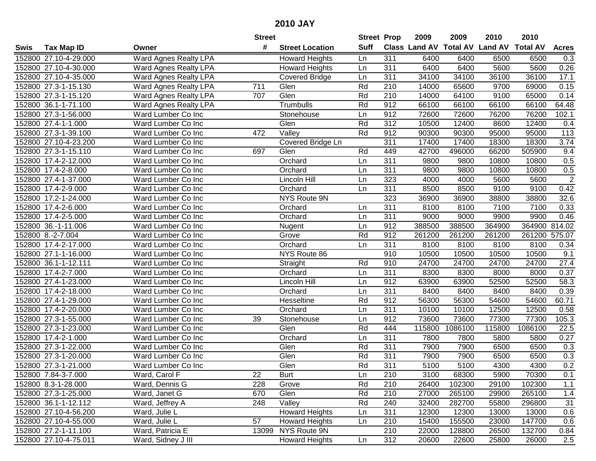|      |                       |                       | <b>Street</b> |                        | <b>Street Prop</b> |                  | 2009                           | 2009    | 2010   | 2010            |                   |
|------|-----------------------|-----------------------|---------------|------------------------|--------------------|------------------|--------------------------------|---------|--------|-----------------|-------------------|
| Swis | <b>Tax Map ID</b>     | Owner                 | #             | <b>Street Location</b> | <b>Suff</b>        |                  | Class Land AV Total AV Land AV |         |        | <b>Total AV</b> | <b>Acres</b>      |
|      | 152800 27.10-4-29.000 | Ward Agnes Realty LPA |               | <b>Howard Heights</b>  | Ln                 | 311              | 6400                           | 6400    | 6500   | 6500            | 0.3               |
|      | 152800 27.10-4-30.000 | Ward Agnes Realty LPA |               | <b>Howard Heights</b>  | Ln                 | 311              | 6400                           | 6400    | 5600   | 5600            | 0.26              |
|      | 152800 27.10-4-35.000 | Ward Agnes Realty LPA |               | <b>Covered Bridge</b>  | Ln                 | 311              | 34100                          | 34100   | 36100  | 36100           | 17.1              |
|      | 152800 27.3-1-15.130  | Ward Agnes Realty LPA | 711           | Glen                   | Rd                 | 210              | 14000                          | 65600   | 9700   | 69000           | 0.15              |
|      | 152800 27.3-1-15.120  | Ward Agnes Realty LPA | 707           | Glen                   | Rd                 | 210              | 14000                          | 64100   | 9100   | 65000           | 0.14              |
|      | 152800 36.1-1-71.100  | Ward Agnes Realty LPA |               | Trumbulls              | Rd                 | 912              | 66100                          | 66100   | 66100  | 66100           | 64.48             |
|      | 152800 27.3-1-56.000  | Ward Lumber Co Inc    |               | Stonehouse             | Ln                 | 912              | 72600                          | 72600   | 76200  | 76200           | 102.1             |
|      | 152800 27.4-1-1.000   | Ward Lumber Co Inc    |               | Glen                   | Rd                 | 312              | 10500                          | 12400   | 8600   | 12400           | 0.4               |
|      | 152800 27.3-1-39.100  | Ward Lumber Co Inc    | 472           | Valley                 | Rd                 | 912              | 90300                          | 90300   | 95000  | 95000           | $\overline{113}$  |
|      | 152800 27.10-4-23.200 | Ward Lumber Co Inc    |               | Covered Bridge Ln      |                    | 311              | 17400                          | 17400   | 18300  | 18300           | 3.74              |
|      | 152800 27.3-1-15.110  | Ward Lumber Co Inc    | 697           | Glen                   | Rd                 | 449              | 42700                          | 496000  | 66200  | 505900          | 9.4               |
|      | 152800 17.4-2-12.000  | Ward Lumber Co Inc    |               | Orchard                | Ln                 | 311              | 9800                           | 9800    | 10800  | 10800           | 0.5               |
|      | 152800 17.4-2-8.000   | Ward Lumber Co Inc    |               | Orchard                | Ln                 | $\overline{311}$ | 9800                           | 9800    | 10800  | 10800           | 0.5               |
|      | 152800 27.4-1-37.000  | Ward Lumber Co Inc    |               | Lincoln Hill           | Ln                 | 323              | 4000                           | 4000    | 5600   | 5600            | $\overline{2}$    |
|      | 152800 17.4-2-9.000   | Ward Lumber Co Inc    |               | Orchard                | Ln                 | $\overline{311}$ | 8500                           | 8500    | 9100   | 9100            | 0.42              |
|      | 152800 17.2-1-24.000  | Ward Lumber Co Inc    |               | NYS Route 9N           |                    | 323              | 36900                          | 36900   | 38800  | 38800           | 32.6              |
|      | 152800 17.4-2-6.000   | Ward Lumber Co Inc    |               | Orchard                | Ln                 | 311              | 8100                           | 8100    | 7100   | 7100            | 0.33              |
|      | 152800 17.4-2-5.000   | Ward Lumber Co Inc    |               | Orchard                | Ln                 | 311              | 9000                           | 9000    | 9900   | 9900            | 0.46              |
|      | 152800 36.-1-11.006   | Ward Lumber Co Inc    |               | Nugent                 | Ln                 | 912              | 388500                         | 388500  | 364900 | 364900          | 814.02            |
|      | 152800 8.-2-7.004     | Ward Lumber Co Inc    |               | Grove                  | Rd                 | 912              | 261200                         | 261200  | 261200 | 261200 575.07   |                   |
|      | 152800 17.4-2-17.000  | Ward Lumber Co Inc    |               | Orchard                | Ln                 | $\overline{311}$ | 8100                           | 8100    | 8100   | 8100            | 0.34              |
|      | 152800 27.1-1-16.000  | Ward Lumber Co Inc    |               | NYS Route 86           |                    | 910              | 10500                          | 10500   | 10500  | 10500           | 9.1               |
|      | 152800 36.1-1-12.111  | Ward Lumber Co Inc    |               | Straight               | Rd                 | 910              | 24700                          | 24700   | 24700  | 24700           | 27.4              |
|      | 152800 17.4-2-7.000   | Ward Lumber Co Inc    |               | Orchard                | Ln                 | 311              | 8300                           | 8300    | 8000   | 8000            | 0.37              |
|      | 152800 27.4-1-23.000  | Ward Lumber Co Inc    |               | Lincoln Hill           | Ln                 | 912              | 63900                          | 63900   | 52500  | 52500           | $\overline{58.3}$ |
|      | 152800 17.4-2-18.000  | Ward Lumber Co Inc    |               | Orchard                | Ln                 | 311              | 8400                           | 8400    | 8400   | 8400            | 0.39              |
|      | 152800 27.4-1-29.000  | Ward Lumber Co Inc    |               | Hesseltine             | Rd                 | 912              | 56300                          | 56300   | 54600  | 54600           | 60.71             |
|      | 152800 17.4-2-20.000  | Ward Lumber Co Inc    |               | Orchard                | Ln                 | 311              | 10100                          | 10100   | 12500  | 12500           | 0.58              |
|      | 152800 27.3-1-55.000  | Ward Lumber Co Inc    | 39            | Stonehouse             | Ln                 | 912              | 73600                          | 73600   | 77300  | 77300           | 105.3             |
|      | 152800 27.3-1-23.000  | Ward Lumber Co Inc    |               | Glen                   | Rd                 | 444              | 115800                         | 1086100 | 115800 | 1086100         | 22.5              |
|      | 152800 17.4-2-1.000   | Ward Lumber Co Inc    |               | Orchard                | Ln                 | 311              | 7800                           | 7800    | 5800   | 5800            | 0.27              |
|      | 152800 27.3-1-22.000  | Ward Lumber Co Inc    |               | Glen                   | Rd                 | 311              | 7900                           | 7900    | 6500   | 6500            | 0.3               |
|      | 152800 27.3-1-20.000  | Ward Lumber Co Inc    |               | Glen                   | Rd                 | 311              | 7900                           | 7900    | 6500   | 6500            | 0.3               |
|      | 152800 27.3-1-21.000  | Ward Lumber Co Inc    |               | Glen                   | Rd                 | 311              | 5100                           | 5100    | 4300   | 4300            | 0.2               |
|      | 152800 7.84-3-7.000   | Ward, Carol F         | 22            | Burt                   | Ln                 | 210              | 3100                           | 68300   | 5900   | 70300           | 0.1               |
|      | 152800 8.3-1-28.000   | Ward, Dennis G        | 228           | Grove                  | Rd                 | 210              | 26400                          | 102300  | 29100  | 102300          | 1.1               |
|      | 152800 27.3-1-25.000  | Ward, Janet G         | 670           | Glen                   | Rd                 | 210              | 27000                          | 265100  | 29900  | 265100          | 1.4               |
|      | 152800 36.1-1-12.112  | Ward, Jeffrey A       | 248           | Valley                 | Rd                 | 240              | 32400                          | 282700  | 55800  | 296800          | 31                |
|      | 152800 27.10-4-56.200 | Ward, Julie L         |               | <b>Howard Heights</b>  | Ln                 | 311              | 12300                          | 12300   | 13000  | 13000           | 0.6               |
|      | 152800 27.10-4-55.000 | Ward, Julie L         | 57            | <b>Howard Heights</b>  | Ln                 | 210              | 15400                          | 155500  | 23000  | 147700          | 0.6               |
|      | 152800 27.2-1-11.100  | Ward, Patricia E      |               | 13099 NYS Route 9N     |                    | 210              | 22000                          | 128800  | 26500  | 132700          | 0.84              |
|      | 152800 27.10-4-75.011 | Ward, Sidney J III    |               | <b>Howard Heights</b>  | Ln                 | 312              | 20600                          | 22600   | 25800  | 26000           | 2.5               |
|      |                       |                       |               |                        |                    |                  |                                |         |        |                 |                   |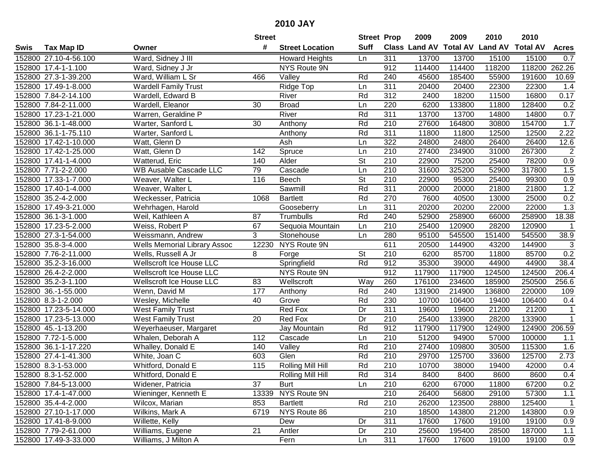|      |                       |                                     | <b>Street</b>   |                        | <b>Street Prop</b> |                  | 2009   | 2009   | 2010                           | 2010            |              |
|------|-----------------------|-------------------------------------|-----------------|------------------------|--------------------|------------------|--------|--------|--------------------------------|-----------------|--------------|
| Swis | <b>Tax Map ID</b>     | Owner                               | #               | <b>Street Location</b> | <b>Suff</b>        |                  |        |        | Class Land AV Total AV Land AV | <b>Total AV</b> | <b>Acres</b> |
|      | 152800 27.10-4-56.100 | Ward, Sidney J III                  |                 | <b>Howard Heights</b>  | Ln                 | 311              | 13700  | 13700  | 15100                          | 15100           | 0.7          |
|      | 152800 17.4-1-1.100   | Ward, Sidney J Jr                   |                 | NYS Route 9N           |                    | 912              | 114400 | 114400 | 118200                         | 118200          | 262.26       |
|      | 152800 27.3-1-39.200  | Ward, William L Sr                  | 466             | Valley                 | Rd                 | 240              | 45600  | 185400 | 55900                          | 191600          | 10.69        |
|      | 152800 17.49-1-8.000  | <b>Wardell Family Trust</b>         |                 | Ridge Top              | Ln                 | 311              | 20400  | 20400  | 22300                          | 22300           | 1.4          |
|      | 152800 7.84-2-14.100  | Wardell, Edward B                   |                 | River                  | Rd                 | 312              | 2400   | 18200  | 11500                          | 16800           | 0.17         |
|      | 152800 7.84-2-11.000  | Wardell, Eleanor                    | 30              | <b>Broad</b>           | Ln                 | 220              | 6200   | 133800 | 11800                          | 128400          | 0.2          |
|      | 152800 17.23-1-21.000 | Warren, Geraldine P                 |                 | River                  | Rd                 | 311              | 13700  | 13700  | 14800                          | 14800           | 0.7          |
|      | 152800 36.1-1-48.000  | Warter, Sanford L                   | $\overline{30}$ | Anthony                | Rd                 | $\overline{210}$ | 27600  | 164800 | 30800                          | 154700          | 1.7          |
|      | 152800 36.1-1-75.110  | Warter, Sanford L                   |                 | Anthony                | Rd                 | 311              | 11800  | 11800  | 12500                          | 12500           | 2.22         |
|      | 152800 17.42-1-10.000 | Watt, Glenn D                       |                 | Ash                    | Ln                 | 322              | 24800  | 24800  | 26400                          | 26400           | 12.6         |
|      | 152800 17.42-1-25.000 | Watt, Glenn D                       | 142             | Spruce                 | Ln                 | 210              | 27400  | 234900 | 31000                          | 267300          | $\sqrt{2}$   |
|      | 152800 17.41-1-4.000  | Watterud, Eric                      | 140             | Alder                  | <b>St</b>          | 210              | 22900  | 75200  | 25400                          | 78200           | 0.9          |
|      | 152800 7.71-2-2.000   | WB Ausable Cascade LLC              | 79              | Cascade                | Ln                 | 210              | 31600  | 325200 | 52900                          | 317800          | 1.5          |
|      | 152800 17.33-1-7.000  | Weaver, Walter L                    | 116             | <b>Beech</b>           | <b>St</b>          | 210              | 22900  | 95300  | 25400                          | 99300           | 0.9          |
|      | 152800 17.40-1-4.000  | Weaver, Walter L                    |                 | Sawmill                | Rd                 | 311              | 20000  | 20000  | 21800                          | 21800           | 1.2          |
|      | 152800 35.2-4-2.000   | Weckesser, Patricia                 | 1068            | <b>Bartlett</b>        | Rd                 | 270              | 7600   | 40500  | 13000                          | 25000           | 0.2          |
|      | 152800 17.49-3-21.000 | Wehrhagen, Harold                   |                 | Gooseberry             | Ln                 | 311              | 20200  | 20200  | 22000                          | 22000           | 1.3          |
|      | 152800 36.1-3-1.000   | Weil, Kathleen A                    | 87              | Trumbulls              | Rd                 | 240              | 52900  | 258900 | 66000                          | 258900          | 18.38        |
|      | 152800 17.23-5-2.000  | Weiss, Robert P                     | 67              | Sequoia Mountain       | Ln                 | 210              | 25400  | 120900 | 28200                          | 120900          | $\mathbf{1}$ |
|      | 152800 27.3-1-54.000  | Weissmann, Andrew                   | 3               | Stonehouse             | Ln                 | 280              | 95100  | 545500 | 151400                         | 545500          | 38.9         |
|      | 152800 35.8-3-4.000   | <b>Wells Memorial Library Assoc</b> | 12230           | NYS Route 9N           |                    | 611              | 20500  | 144900 | 43200                          | 144900          | $\sqrt{3}$   |
|      | 152800 7.76-2-11.000  | Wells, Russell A Jr                 | 8               | Forge                  | <b>St</b>          | 210              | 6200   | 85700  | 11800                          | 85700           | 0.2          |
|      | 152800 35.2-3-16.000  | Wellscroft Ice House LLC            |                 | Springfield            | Rd                 | 912              | 35300  | 39000  | 44900                          | 44900           | 38.4         |
|      | 152800 26.4-2-2.000   | <b>Wellscroft Ice House LLC</b>     |                 | NYS Route 9N           |                    | 912              | 117900 | 117900 | 124500                         | 124500          | 206.4        |
|      | 152800 35.2-3-1.100   | <b>Wellscroft Ice House LLC</b>     | 83              | Wellscroft             | Way                | 260              | 176100 | 234600 | 185900                         | 250500          | 256.6        |
|      | 152800 36.-1-55.000   | Wenn, David M                       | 177             | Anthony                | Rd                 | 240              | 131900 | 214900 | 136800                         | 220000          | 109          |
|      | 152800 8.3-1-2.000    | Wesley, Michelle                    | 40              | Grove                  | Rd                 | 230              | 10700  | 106400 | 19400                          | 106400          | 0.4          |
|      | 152800 17.23-5-14.000 | <b>West Family Trust</b>            |                 | Red Fox                | Dr                 | 311              | 19600  | 19600  | 21200                          | 21200           | 1            |
|      | 152800 17.23-5-13.000 | <b>West Family Trust</b>            | 20              | Red Fox                | $\overline{Dr}$    | $\overline{210}$ | 25400  | 133900 | 28200                          | 133900          | $\mathbf{1}$ |
|      | 152800 45.-1-13.200   | Weyerhaeuser, Margaret              |                 | Jay Mountain           | Rd                 | $\overline{912}$ | 117900 | 117900 | 124900                         | 124900          | 206.59       |
|      | 152800 7.72-1-5.000   | Whalen, Deborah A                   | 112             | Cascade                | Ln                 | $\overline{210}$ | 51200  | 94900  | 57000                          | 100000          | 1.1          |
|      | 152800 36.1-1-17.220  | Whalley, Donald E                   | 140             | Valley                 | Rd                 | 210              | 27400  | 109800 | 30500                          | 115300          | 1.6          |
|      | 152800 27.4-1-41.300  | White, Joan C                       | 603             | Glen                   | Rd                 | $\overline{210}$ | 29700  | 125700 | 33600                          | 125700          | 2.73         |
|      | 152800 8.3-1-53.000   | Whitford, Donald E                  | 115             | Rolling Mill Hill      | Rd                 | $\overline{210}$ | 10700  | 38000  | 19400                          | 42000           | 0.4          |
|      | 152800 8.3-1-52.000   | Whitford, Donald E                  |                 | Rolling Mill Hill      | Rd                 | 314              | 8400   | 8400   | 8600                           | 8600            | 0.4          |
|      | 152800 7.84-5-13.000  | Widener, Patricia                   | 37              | <b>Burt</b>            | Ln                 | 210              | 6200   | 67000  | 11800                          | 67200           | 0.2          |
|      | 152800 17.4-1-47.000  | Wieninger, Kenneth E                | 13339           | NYS Route 9N           |                    | 210              | 26400  | 56800  | 29100                          | 57300           | 1.1          |
|      | 152800 35.4-4-2.000   | Wilcox, Marian                      | 853             | <b>Bartlett</b>        | Rd                 | 210              | 26200  | 123500 | 28800                          | 125400          | $\mathbf{1}$ |
|      | 152800 27.10-1-17.000 | Wilkins, Mark A                     | 6719            | NYS Route 86           |                    | 210              | 18500  | 143800 | 21200                          | 143800          | 0.9          |
|      | 152800 17.41-8-9.000  | Willette, Kelly                     |                 | Dew                    | Dr                 | 311              | 17600  | 17600  | 19100                          | 19100           | 0.9          |
|      | 152800 7.79-2-61.000  | Williams, Eugene                    | 21              | Antler                 | Dr                 | 210              | 25600  | 195400 | 28500                          | 187000          | 1.1          |
|      | 152800 17.49-3-33.000 | Williams, J Milton A                |                 | Fern                   | Ln                 | 311              | 17600  | 17600  | 19100                          | 19100           | 0.9          |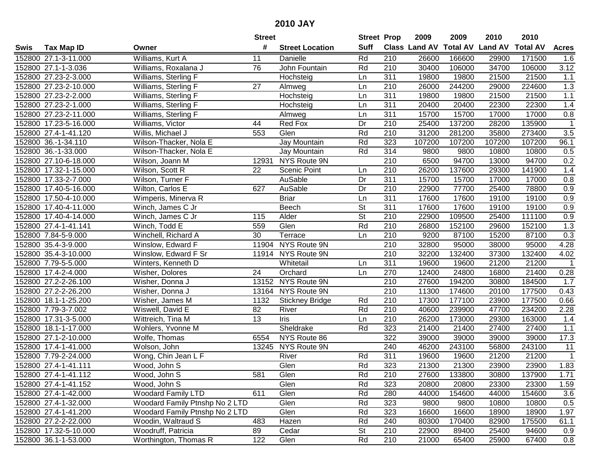| #<br><b>Suff</b><br><b>Total AV</b><br><b>Land AV</b><br>Class Land AV<br><b>Total AV</b><br><b>Tax Map ID</b><br><b>Street Location</b><br><b>Acres</b><br>Swis<br>Owner<br>Williams, Kurt A<br>Rd<br>152800 27.1-3-11.000<br>Danielle<br>210<br>26600<br>166600<br>29900<br>171500<br>11<br>1.6<br>John Fountain<br>3.12<br>152800 27.1-1-3.036<br>76<br>Rd<br>210<br>30400<br>106000<br>34700<br>106000<br>Williams, Roxalana J<br>152800 27.23-2-3.000<br>Williams, Sterling F<br>311<br>19800<br>19800<br>21500<br>21500<br>1.1<br>Hochsteig<br>Ln<br>1.3<br>152800 27.23-2-10.000<br>Williams, Sterling F<br>27<br>210<br>26000<br>244200<br>224600<br>Ln<br>29000<br>Almweg<br>311<br>1.1<br>152800 27.23-2-2.000<br>Williams, Sterling F<br>19800<br>19800<br>21500<br>21500<br>Hochsteig<br>Ln<br>152800 27.23-2-1.000<br>311<br>22300<br>1.4<br>Williams, Sterling F<br>20400<br>20400<br>22300<br>Hochsteig<br>Ln<br>152800 27.23-2-11.000<br>Williams, Sterling F<br>311<br>15700<br>15700<br>17000<br>0.8<br>Almweg<br>Ln<br>17000<br>210<br>152800 17.23-5-16.000<br>Red Fox<br>25400<br>137200<br>28200<br>135900<br>Williams, Victor<br>44<br>Dr<br>$\mathbf{1}$<br>Willis, Michael J<br>553<br>Rd<br>$\overline{210}$<br>31200<br>281200<br>3.5<br>152800 27.4-1-41.120<br>Glen<br>35800<br>273400<br>Rd<br>323<br>107200<br>107200<br>107200<br>107200<br>152800 36.-1-34.110<br>Wilson-Thacker, Nola E<br>Jay Mountain<br>96.1<br>152800 36.-1-33.000<br>314<br>Wilson-Thacker, Nola E<br>Jay Mountain<br>Rd<br>9800<br>9800<br>10800<br>10800<br>0.5<br>NYS Route 9N<br>210<br>152800 27.10-6-18.000<br>Wilson, Joann M<br>12931<br>6500<br>94700<br>13000<br>94700<br>0.2<br>210<br>1.4<br>152800 17.32-1-15.000<br>Wilson, Scott R<br>22<br><b>Scenic Point</b><br>26200<br>137600<br>29300<br>141900<br>Ln<br>AuSable<br>311<br>152800 17.33-2-7.000<br>Wilson, Turner F<br>Dr<br>15700<br>15700<br>17000<br>17000<br>0.8<br>AuSable<br>Dr<br>210<br>78800<br>0.9<br>152800 17.40-5-16.000<br>Wilton, Carlos E<br>627<br>22900<br>77700<br>25400<br>311<br>152800 17.50-4-10.000<br>Wimperis, Minerva R<br><b>Briar</b><br>17600<br>17600<br>19100<br>19100<br>0.9<br>Ln<br>$\overline{\mathsf{St}}$<br>311<br>0.9<br>152800 17.40-4-11.000<br>Winch, James C Jr<br>Beech<br>17600<br>17600<br>19100<br>19100<br>$\overline{\mathsf{St}}$<br>210<br>0.9<br>152800 17.40-4-14.000<br>Alder<br>22900<br>109500<br>25400<br>111100<br>Winch, James C Jr<br>115<br>Glen<br>Rd<br>1.3<br>152800 27.4-1-41.141<br>Winch, Todd E<br>559<br>210<br>26800<br>152100<br>29600<br>152100<br>0.3<br>152800 7.84-5-9.000<br>Winchell, Richard A<br>30<br>210<br>9200<br>87100<br>15200<br>87100<br>Terrace<br>Ln<br>NYS Route 9N<br>4.28<br>Winslow, Edward F<br>210<br>32800<br>95000<br>152800 35.4-3-9.000<br>11904<br>95000<br>38000<br>NYS Route 9N<br>4.02<br>152800 35.4-3-10.000<br>Winslow, Edward F Sr<br>11914<br>210<br>32200<br>132400<br>37300<br>132400<br>311<br>21200<br>$\mathbf{1}$<br>152800 7.79-5-5.000<br>Whitetail<br>19600<br>19600<br>21200<br>Winters, Kenneth D<br>Ln<br>152800 17.4-2-4.000<br>24<br>Orchard<br>270<br>12400<br>24800<br>16800<br>21400<br>0.28<br>Wisher, Dolores<br>Ln<br>13152 NYS Route 9N<br>$\overline{210}$<br>1.7<br>152800 27.2-2-26.100<br>27600<br>194200<br>30800<br>184500<br>Wisher, Donna J<br>13164 NYS Route 9N<br>210<br>11300<br>152800 27.2-2-26.200<br>Wisher, Donna J<br>174600<br>20100<br>177500<br>0.43<br>Rd<br>210<br>177100<br>152800 18.1-1-25.200<br>Wisher, James M<br>1132<br>17300<br>23900<br>177500<br>0.66<br><b>Stickney Bridge</b><br>210<br>40600<br>239900<br>234200<br>152800 7.79-3-7.002<br>Wiswell, David E<br>82<br>River<br>Rd<br>47700<br>2.28<br>$\overline{13}$<br>$\overline{210}$<br>152800 17.31-3-5.000<br>26200<br>173000<br>29300<br>163000<br>1.4<br>Wittreich, Tina M<br>Iris<br>Ln<br>Sheldrake<br>Rd<br>323<br>27400<br>27400<br>152800 18.1-1-17.000<br>Wohlers, Yvonne M<br>21400<br>21400<br>1.1<br>322<br>152800 27.1-2-10.000<br>Wolfe, Thomas<br>NYS Route 86<br>39000<br>39000<br>39000<br>17.3<br>6554<br>39000<br>152800 17.4-1-41.000<br>Wolson, John<br>13245 NYS Route 9N<br>240<br>46200<br>243100<br>56800<br>243100<br>11<br>152800 7.79-2-24.000<br>Wong, Chin Jean L F<br>311<br>19600<br>21200<br>$\overline{1}$<br>River<br>Rd<br>19600<br>21200<br>Glen<br>Rd<br>323<br>1.83<br>152800 27.4-1-41.111<br>Wood, John S<br>21300<br>21300<br>23900<br>23900<br>152800 27.4-1-41.112<br>Wood, John S<br>581<br>Glen<br>Rd<br>210<br>27600<br>133800<br>30800<br>137900<br>1.71<br>Wood, John S<br>Glen<br>Rd<br>323<br>152800 27.4-1-41.152<br>20800<br>20800<br>23300<br>23300<br>1.59<br><b>Woodard Family LTD</b><br>Rd<br>280<br>152800 27.4-1-42.000<br>611<br>Glen<br>44000<br>154600<br>44000<br>154600<br>3.6<br>323<br>0.5<br>152800 27.4-1-32.000<br>Woodard Family Ptnshp No 2 LTD<br>Glen<br>Rd<br>9800<br>10800<br>10800<br>9800<br>152800 27.4-1-41.200<br>Woodard Family Ptnshp No 2 LTD<br>Glen<br>Rd<br>323<br>1.97<br>16600<br>16600<br>18900<br>18900<br>Woodin, Waltraud S<br>483<br>Rd<br>240<br>152800 27.2-2-22.000<br>Hazen<br>80300<br>170400<br>82900<br>175500<br>61.1<br>210<br>152800 17.32-5-10.000<br>Woodruff, Patricia<br>89<br>Cedar<br><b>St</b><br>22900<br>89400<br>25400<br>94600<br>0.9<br>122<br>Glen<br>Rd<br>210<br>152800 36.1-1-53.000<br>Worthington, Thomas R<br>21000<br>25900<br>67400<br>0.8<br>65400 |  | <b>Street</b> |  | <b>Street Prop</b> | 2009 | 2009 | 2010 | 2010 |  |
|------------------------------------------------------------------------------------------------------------------------------------------------------------------------------------------------------------------------------------------------------------------------------------------------------------------------------------------------------------------------------------------------------------------------------------------------------------------------------------------------------------------------------------------------------------------------------------------------------------------------------------------------------------------------------------------------------------------------------------------------------------------------------------------------------------------------------------------------------------------------------------------------------------------------------------------------------------------------------------------------------------------------------------------------------------------------------------------------------------------------------------------------------------------------------------------------------------------------------------------------------------------------------------------------------------------------------------------------------------------------------------------------------------------------------------------------------------------------------------------------------------------------------------------------------------------------------------------------------------------------------------------------------------------------------------------------------------------------------------------------------------------------------------------------------------------------------------------------------------------------------------------------------------------------------------------------------------------------------------------------------------------------------------------------------------------------------------------------------------------------------------------------------------------------------------------------------------------------------------------------------------------------------------------------------------------------------------------------------------------------------------------------------------------------------------------------------------------------------------------------------------------------------------------------------------------------------------------------------------------------------------------------------------------------------------------------------------------------------------------------------------------------------------------------------------------------------------------------------------------------------------------------------------------------------------------------------------------------------------------------------------------------------------------------------------------------------------------------------------------------------------------------------------------------------------------------------------------------------------------------------------------------------------------------------------------------------------------------------------------------------------------------------------------------------------------------------------------------------------------------------------------------------------------------------------------------------------------------------------------------------------------------------------------------------------------------------------------------------------------------------------------------------------------------------------------------------------------------------------------------------------------------------------------------------------------------------------------------------------------------------------------------------------------------------------------------------------------------------------------------------------------------------------------------------------------------------------------------------------------------------------------------------------------------------------------------------------------------------------------------------------------------------------------------------------------------------------------------------------------------------------------------------------------------------------------------------------------------------------------------------------------------------------------------------------------------------------------------------------------------------------------------------------------------------------------------------------------------------------------------------------------------------------------------------------------------------------------------------------------------------------------------------------------------------------------------------------------------------------------------------------------------------------------------------------------------------------------------------------------------------------------------------------------------------------------------------------------------------------------------------------------------------------------------------------------------------------------------------------------|--|---------------|--|--------------------|------|------|------|------|--|
|                                                                                                                                                                                                                                                                                                                                                                                                                                                                                                                                                                                                                                                                                                                                                                                                                                                                                                                                                                                                                                                                                                                                                                                                                                                                                                                                                                                                                                                                                                                                                                                                                                                                                                                                                                                                                                                                                                                                                                                                                                                                                                                                                                                                                                                                                                                                                                                                                                                                                                                                                                                                                                                                                                                                                                                                                                                                                                                                                                                                                                                                                                                                                                                                                                                                                                                                                                                                                                                                                                                                                                                                                                                                                                                                                                                                                                                                                                                                                                                                                                                                                                                                                                                                                                                                                                                                                                                                                                                                                                                                                                                                                                                                                                                                                                                                                                                                                                                                                                                                                                                                                                                                                                                                                                                                                                                                                                                                                                                                                          |  |               |  |                    |      |      |      |      |  |
|                                                                                                                                                                                                                                                                                                                                                                                                                                                                                                                                                                                                                                                                                                                                                                                                                                                                                                                                                                                                                                                                                                                                                                                                                                                                                                                                                                                                                                                                                                                                                                                                                                                                                                                                                                                                                                                                                                                                                                                                                                                                                                                                                                                                                                                                                                                                                                                                                                                                                                                                                                                                                                                                                                                                                                                                                                                                                                                                                                                                                                                                                                                                                                                                                                                                                                                                                                                                                                                                                                                                                                                                                                                                                                                                                                                                                                                                                                                                                                                                                                                                                                                                                                                                                                                                                                                                                                                                                                                                                                                                                                                                                                                                                                                                                                                                                                                                                                                                                                                                                                                                                                                                                                                                                                                                                                                                                                                                                                                                                          |  |               |  |                    |      |      |      |      |  |
|                                                                                                                                                                                                                                                                                                                                                                                                                                                                                                                                                                                                                                                                                                                                                                                                                                                                                                                                                                                                                                                                                                                                                                                                                                                                                                                                                                                                                                                                                                                                                                                                                                                                                                                                                                                                                                                                                                                                                                                                                                                                                                                                                                                                                                                                                                                                                                                                                                                                                                                                                                                                                                                                                                                                                                                                                                                                                                                                                                                                                                                                                                                                                                                                                                                                                                                                                                                                                                                                                                                                                                                                                                                                                                                                                                                                                                                                                                                                                                                                                                                                                                                                                                                                                                                                                                                                                                                                                                                                                                                                                                                                                                                                                                                                                                                                                                                                                                                                                                                                                                                                                                                                                                                                                                                                                                                                                                                                                                                                                          |  |               |  |                    |      |      |      |      |  |
|                                                                                                                                                                                                                                                                                                                                                                                                                                                                                                                                                                                                                                                                                                                                                                                                                                                                                                                                                                                                                                                                                                                                                                                                                                                                                                                                                                                                                                                                                                                                                                                                                                                                                                                                                                                                                                                                                                                                                                                                                                                                                                                                                                                                                                                                                                                                                                                                                                                                                                                                                                                                                                                                                                                                                                                                                                                                                                                                                                                                                                                                                                                                                                                                                                                                                                                                                                                                                                                                                                                                                                                                                                                                                                                                                                                                                                                                                                                                                                                                                                                                                                                                                                                                                                                                                                                                                                                                                                                                                                                                                                                                                                                                                                                                                                                                                                                                                                                                                                                                                                                                                                                                                                                                                                                                                                                                                                                                                                                                                          |  |               |  |                    |      |      |      |      |  |
|                                                                                                                                                                                                                                                                                                                                                                                                                                                                                                                                                                                                                                                                                                                                                                                                                                                                                                                                                                                                                                                                                                                                                                                                                                                                                                                                                                                                                                                                                                                                                                                                                                                                                                                                                                                                                                                                                                                                                                                                                                                                                                                                                                                                                                                                                                                                                                                                                                                                                                                                                                                                                                                                                                                                                                                                                                                                                                                                                                                                                                                                                                                                                                                                                                                                                                                                                                                                                                                                                                                                                                                                                                                                                                                                                                                                                                                                                                                                                                                                                                                                                                                                                                                                                                                                                                                                                                                                                                                                                                                                                                                                                                                                                                                                                                                                                                                                                                                                                                                                                                                                                                                                                                                                                                                                                                                                                                                                                                                                                          |  |               |  |                    |      |      |      |      |  |
|                                                                                                                                                                                                                                                                                                                                                                                                                                                                                                                                                                                                                                                                                                                                                                                                                                                                                                                                                                                                                                                                                                                                                                                                                                                                                                                                                                                                                                                                                                                                                                                                                                                                                                                                                                                                                                                                                                                                                                                                                                                                                                                                                                                                                                                                                                                                                                                                                                                                                                                                                                                                                                                                                                                                                                                                                                                                                                                                                                                                                                                                                                                                                                                                                                                                                                                                                                                                                                                                                                                                                                                                                                                                                                                                                                                                                                                                                                                                                                                                                                                                                                                                                                                                                                                                                                                                                                                                                                                                                                                                                                                                                                                                                                                                                                                                                                                                                                                                                                                                                                                                                                                                                                                                                                                                                                                                                                                                                                                                                          |  |               |  |                    |      |      |      |      |  |
|                                                                                                                                                                                                                                                                                                                                                                                                                                                                                                                                                                                                                                                                                                                                                                                                                                                                                                                                                                                                                                                                                                                                                                                                                                                                                                                                                                                                                                                                                                                                                                                                                                                                                                                                                                                                                                                                                                                                                                                                                                                                                                                                                                                                                                                                                                                                                                                                                                                                                                                                                                                                                                                                                                                                                                                                                                                                                                                                                                                                                                                                                                                                                                                                                                                                                                                                                                                                                                                                                                                                                                                                                                                                                                                                                                                                                                                                                                                                                                                                                                                                                                                                                                                                                                                                                                                                                                                                                                                                                                                                                                                                                                                                                                                                                                                                                                                                                                                                                                                                                                                                                                                                                                                                                                                                                                                                                                                                                                                                                          |  |               |  |                    |      |      |      |      |  |
|                                                                                                                                                                                                                                                                                                                                                                                                                                                                                                                                                                                                                                                                                                                                                                                                                                                                                                                                                                                                                                                                                                                                                                                                                                                                                                                                                                                                                                                                                                                                                                                                                                                                                                                                                                                                                                                                                                                                                                                                                                                                                                                                                                                                                                                                                                                                                                                                                                                                                                                                                                                                                                                                                                                                                                                                                                                                                                                                                                                                                                                                                                                                                                                                                                                                                                                                                                                                                                                                                                                                                                                                                                                                                                                                                                                                                                                                                                                                                                                                                                                                                                                                                                                                                                                                                                                                                                                                                                                                                                                                                                                                                                                                                                                                                                                                                                                                                                                                                                                                                                                                                                                                                                                                                                                                                                                                                                                                                                                                                          |  |               |  |                    |      |      |      |      |  |
|                                                                                                                                                                                                                                                                                                                                                                                                                                                                                                                                                                                                                                                                                                                                                                                                                                                                                                                                                                                                                                                                                                                                                                                                                                                                                                                                                                                                                                                                                                                                                                                                                                                                                                                                                                                                                                                                                                                                                                                                                                                                                                                                                                                                                                                                                                                                                                                                                                                                                                                                                                                                                                                                                                                                                                                                                                                                                                                                                                                                                                                                                                                                                                                                                                                                                                                                                                                                                                                                                                                                                                                                                                                                                                                                                                                                                                                                                                                                                                                                                                                                                                                                                                                                                                                                                                                                                                                                                                                                                                                                                                                                                                                                                                                                                                                                                                                                                                                                                                                                                                                                                                                                                                                                                                                                                                                                                                                                                                                                                          |  |               |  |                    |      |      |      |      |  |
|                                                                                                                                                                                                                                                                                                                                                                                                                                                                                                                                                                                                                                                                                                                                                                                                                                                                                                                                                                                                                                                                                                                                                                                                                                                                                                                                                                                                                                                                                                                                                                                                                                                                                                                                                                                                                                                                                                                                                                                                                                                                                                                                                                                                                                                                                                                                                                                                                                                                                                                                                                                                                                                                                                                                                                                                                                                                                                                                                                                                                                                                                                                                                                                                                                                                                                                                                                                                                                                                                                                                                                                                                                                                                                                                                                                                                                                                                                                                                                                                                                                                                                                                                                                                                                                                                                                                                                                                                                                                                                                                                                                                                                                                                                                                                                                                                                                                                                                                                                                                                                                                                                                                                                                                                                                                                                                                                                                                                                                                                          |  |               |  |                    |      |      |      |      |  |
|                                                                                                                                                                                                                                                                                                                                                                                                                                                                                                                                                                                                                                                                                                                                                                                                                                                                                                                                                                                                                                                                                                                                                                                                                                                                                                                                                                                                                                                                                                                                                                                                                                                                                                                                                                                                                                                                                                                                                                                                                                                                                                                                                                                                                                                                                                                                                                                                                                                                                                                                                                                                                                                                                                                                                                                                                                                                                                                                                                                                                                                                                                                                                                                                                                                                                                                                                                                                                                                                                                                                                                                                                                                                                                                                                                                                                                                                                                                                                                                                                                                                                                                                                                                                                                                                                                                                                                                                                                                                                                                                                                                                                                                                                                                                                                                                                                                                                                                                                                                                                                                                                                                                                                                                                                                                                                                                                                                                                                                                                          |  |               |  |                    |      |      |      |      |  |
|                                                                                                                                                                                                                                                                                                                                                                                                                                                                                                                                                                                                                                                                                                                                                                                                                                                                                                                                                                                                                                                                                                                                                                                                                                                                                                                                                                                                                                                                                                                                                                                                                                                                                                                                                                                                                                                                                                                                                                                                                                                                                                                                                                                                                                                                                                                                                                                                                                                                                                                                                                                                                                                                                                                                                                                                                                                                                                                                                                                                                                                                                                                                                                                                                                                                                                                                                                                                                                                                                                                                                                                                                                                                                                                                                                                                                                                                                                                                                                                                                                                                                                                                                                                                                                                                                                                                                                                                                                                                                                                                                                                                                                                                                                                                                                                                                                                                                                                                                                                                                                                                                                                                                                                                                                                                                                                                                                                                                                                                                          |  |               |  |                    |      |      |      |      |  |
|                                                                                                                                                                                                                                                                                                                                                                                                                                                                                                                                                                                                                                                                                                                                                                                                                                                                                                                                                                                                                                                                                                                                                                                                                                                                                                                                                                                                                                                                                                                                                                                                                                                                                                                                                                                                                                                                                                                                                                                                                                                                                                                                                                                                                                                                                                                                                                                                                                                                                                                                                                                                                                                                                                                                                                                                                                                                                                                                                                                                                                                                                                                                                                                                                                                                                                                                                                                                                                                                                                                                                                                                                                                                                                                                                                                                                                                                                                                                                                                                                                                                                                                                                                                                                                                                                                                                                                                                                                                                                                                                                                                                                                                                                                                                                                                                                                                                                                                                                                                                                                                                                                                                                                                                                                                                                                                                                                                                                                                                                          |  |               |  |                    |      |      |      |      |  |
|                                                                                                                                                                                                                                                                                                                                                                                                                                                                                                                                                                                                                                                                                                                                                                                                                                                                                                                                                                                                                                                                                                                                                                                                                                                                                                                                                                                                                                                                                                                                                                                                                                                                                                                                                                                                                                                                                                                                                                                                                                                                                                                                                                                                                                                                                                                                                                                                                                                                                                                                                                                                                                                                                                                                                                                                                                                                                                                                                                                                                                                                                                                                                                                                                                                                                                                                                                                                                                                                                                                                                                                                                                                                                                                                                                                                                                                                                                                                                                                                                                                                                                                                                                                                                                                                                                                                                                                                                                                                                                                                                                                                                                                                                                                                                                                                                                                                                                                                                                                                                                                                                                                                                                                                                                                                                                                                                                                                                                                                                          |  |               |  |                    |      |      |      |      |  |
|                                                                                                                                                                                                                                                                                                                                                                                                                                                                                                                                                                                                                                                                                                                                                                                                                                                                                                                                                                                                                                                                                                                                                                                                                                                                                                                                                                                                                                                                                                                                                                                                                                                                                                                                                                                                                                                                                                                                                                                                                                                                                                                                                                                                                                                                                                                                                                                                                                                                                                                                                                                                                                                                                                                                                                                                                                                                                                                                                                                                                                                                                                                                                                                                                                                                                                                                                                                                                                                                                                                                                                                                                                                                                                                                                                                                                                                                                                                                                                                                                                                                                                                                                                                                                                                                                                                                                                                                                                                                                                                                                                                                                                                                                                                                                                                                                                                                                                                                                                                                                                                                                                                                                                                                                                                                                                                                                                                                                                                                                          |  |               |  |                    |      |      |      |      |  |
|                                                                                                                                                                                                                                                                                                                                                                                                                                                                                                                                                                                                                                                                                                                                                                                                                                                                                                                                                                                                                                                                                                                                                                                                                                                                                                                                                                                                                                                                                                                                                                                                                                                                                                                                                                                                                                                                                                                                                                                                                                                                                                                                                                                                                                                                                                                                                                                                                                                                                                                                                                                                                                                                                                                                                                                                                                                                                                                                                                                                                                                                                                                                                                                                                                                                                                                                                                                                                                                                                                                                                                                                                                                                                                                                                                                                                                                                                                                                                                                                                                                                                                                                                                                                                                                                                                                                                                                                                                                                                                                                                                                                                                                                                                                                                                                                                                                                                                                                                                                                                                                                                                                                                                                                                                                                                                                                                                                                                                                                                          |  |               |  |                    |      |      |      |      |  |
|                                                                                                                                                                                                                                                                                                                                                                                                                                                                                                                                                                                                                                                                                                                                                                                                                                                                                                                                                                                                                                                                                                                                                                                                                                                                                                                                                                                                                                                                                                                                                                                                                                                                                                                                                                                                                                                                                                                                                                                                                                                                                                                                                                                                                                                                                                                                                                                                                                                                                                                                                                                                                                                                                                                                                                                                                                                                                                                                                                                                                                                                                                                                                                                                                                                                                                                                                                                                                                                                                                                                                                                                                                                                                                                                                                                                                                                                                                                                                                                                                                                                                                                                                                                                                                                                                                                                                                                                                                                                                                                                                                                                                                                                                                                                                                                                                                                                                                                                                                                                                                                                                                                                                                                                                                                                                                                                                                                                                                                                                          |  |               |  |                    |      |      |      |      |  |
|                                                                                                                                                                                                                                                                                                                                                                                                                                                                                                                                                                                                                                                                                                                                                                                                                                                                                                                                                                                                                                                                                                                                                                                                                                                                                                                                                                                                                                                                                                                                                                                                                                                                                                                                                                                                                                                                                                                                                                                                                                                                                                                                                                                                                                                                                                                                                                                                                                                                                                                                                                                                                                                                                                                                                                                                                                                                                                                                                                                                                                                                                                                                                                                                                                                                                                                                                                                                                                                                                                                                                                                                                                                                                                                                                                                                                                                                                                                                                                                                                                                                                                                                                                                                                                                                                                                                                                                                                                                                                                                                                                                                                                                                                                                                                                                                                                                                                                                                                                                                                                                                                                                                                                                                                                                                                                                                                                                                                                                                                          |  |               |  |                    |      |      |      |      |  |
|                                                                                                                                                                                                                                                                                                                                                                                                                                                                                                                                                                                                                                                                                                                                                                                                                                                                                                                                                                                                                                                                                                                                                                                                                                                                                                                                                                                                                                                                                                                                                                                                                                                                                                                                                                                                                                                                                                                                                                                                                                                                                                                                                                                                                                                                                                                                                                                                                                                                                                                                                                                                                                                                                                                                                                                                                                                                                                                                                                                                                                                                                                                                                                                                                                                                                                                                                                                                                                                                                                                                                                                                                                                                                                                                                                                                                                                                                                                                                                                                                                                                                                                                                                                                                                                                                                                                                                                                                                                                                                                                                                                                                                                                                                                                                                                                                                                                                                                                                                                                                                                                                                                                                                                                                                                                                                                                                                                                                                                                                          |  |               |  |                    |      |      |      |      |  |
|                                                                                                                                                                                                                                                                                                                                                                                                                                                                                                                                                                                                                                                                                                                                                                                                                                                                                                                                                                                                                                                                                                                                                                                                                                                                                                                                                                                                                                                                                                                                                                                                                                                                                                                                                                                                                                                                                                                                                                                                                                                                                                                                                                                                                                                                                                                                                                                                                                                                                                                                                                                                                                                                                                                                                                                                                                                                                                                                                                                                                                                                                                                                                                                                                                                                                                                                                                                                                                                                                                                                                                                                                                                                                                                                                                                                                                                                                                                                                                                                                                                                                                                                                                                                                                                                                                                                                                                                                                                                                                                                                                                                                                                                                                                                                                                                                                                                                                                                                                                                                                                                                                                                                                                                                                                                                                                                                                                                                                                                                          |  |               |  |                    |      |      |      |      |  |
|                                                                                                                                                                                                                                                                                                                                                                                                                                                                                                                                                                                                                                                                                                                                                                                                                                                                                                                                                                                                                                                                                                                                                                                                                                                                                                                                                                                                                                                                                                                                                                                                                                                                                                                                                                                                                                                                                                                                                                                                                                                                                                                                                                                                                                                                                                                                                                                                                                                                                                                                                                                                                                                                                                                                                                                                                                                                                                                                                                                                                                                                                                                                                                                                                                                                                                                                                                                                                                                                                                                                                                                                                                                                                                                                                                                                                                                                                                                                                                                                                                                                                                                                                                                                                                                                                                                                                                                                                                                                                                                                                                                                                                                                                                                                                                                                                                                                                                                                                                                                                                                                                                                                                                                                                                                                                                                                                                                                                                                                                          |  |               |  |                    |      |      |      |      |  |
|                                                                                                                                                                                                                                                                                                                                                                                                                                                                                                                                                                                                                                                                                                                                                                                                                                                                                                                                                                                                                                                                                                                                                                                                                                                                                                                                                                                                                                                                                                                                                                                                                                                                                                                                                                                                                                                                                                                                                                                                                                                                                                                                                                                                                                                                                                                                                                                                                                                                                                                                                                                                                                                                                                                                                                                                                                                                                                                                                                                                                                                                                                                                                                                                                                                                                                                                                                                                                                                                                                                                                                                                                                                                                                                                                                                                                                                                                                                                                                                                                                                                                                                                                                                                                                                                                                                                                                                                                                                                                                                                                                                                                                                                                                                                                                                                                                                                                                                                                                                                                                                                                                                                                                                                                                                                                                                                                                                                                                                                                          |  |               |  |                    |      |      |      |      |  |
|                                                                                                                                                                                                                                                                                                                                                                                                                                                                                                                                                                                                                                                                                                                                                                                                                                                                                                                                                                                                                                                                                                                                                                                                                                                                                                                                                                                                                                                                                                                                                                                                                                                                                                                                                                                                                                                                                                                                                                                                                                                                                                                                                                                                                                                                                                                                                                                                                                                                                                                                                                                                                                                                                                                                                                                                                                                                                                                                                                                                                                                                                                                                                                                                                                                                                                                                                                                                                                                                                                                                                                                                                                                                                                                                                                                                                                                                                                                                                                                                                                                                                                                                                                                                                                                                                                                                                                                                                                                                                                                                                                                                                                                                                                                                                                                                                                                                                                                                                                                                                                                                                                                                                                                                                                                                                                                                                                                                                                                                                          |  |               |  |                    |      |      |      |      |  |
|                                                                                                                                                                                                                                                                                                                                                                                                                                                                                                                                                                                                                                                                                                                                                                                                                                                                                                                                                                                                                                                                                                                                                                                                                                                                                                                                                                                                                                                                                                                                                                                                                                                                                                                                                                                                                                                                                                                                                                                                                                                                                                                                                                                                                                                                                                                                                                                                                                                                                                                                                                                                                                                                                                                                                                                                                                                                                                                                                                                                                                                                                                                                                                                                                                                                                                                                                                                                                                                                                                                                                                                                                                                                                                                                                                                                                                                                                                                                                                                                                                                                                                                                                                                                                                                                                                                                                                                                                                                                                                                                                                                                                                                                                                                                                                                                                                                                                                                                                                                                                                                                                                                                                                                                                                                                                                                                                                                                                                                                                          |  |               |  |                    |      |      |      |      |  |
|                                                                                                                                                                                                                                                                                                                                                                                                                                                                                                                                                                                                                                                                                                                                                                                                                                                                                                                                                                                                                                                                                                                                                                                                                                                                                                                                                                                                                                                                                                                                                                                                                                                                                                                                                                                                                                                                                                                                                                                                                                                                                                                                                                                                                                                                                                                                                                                                                                                                                                                                                                                                                                                                                                                                                                                                                                                                                                                                                                                                                                                                                                                                                                                                                                                                                                                                                                                                                                                                                                                                                                                                                                                                                                                                                                                                                                                                                                                                                                                                                                                                                                                                                                                                                                                                                                                                                                                                                                                                                                                                                                                                                                                                                                                                                                                                                                                                                                                                                                                                                                                                                                                                                                                                                                                                                                                                                                                                                                                                                          |  |               |  |                    |      |      |      |      |  |
|                                                                                                                                                                                                                                                                                                                                                                                                                                                                                                                                                                                                                                                                                                                                                                                                                                                                                                                                                                                                                                                                                                                                                                                                                                                                                                                                                                                                                                                                                                                                                                                                                                                                                                                                                                                                                                                                                                                                                                                                                                                                                                                                                                                                                                                                                                                                                                                                                                                                                                                                                                                                                                                                                                                                                                                                                                                                                                                                                                                                                                                                                                                                                                                                                                                                                                                                                                                                                                                                                                                                                                                                                                                                                                                                                                                                                                                                                                                                                                                                                                                                                                                                                                                                                                                                                                                                                                                                                                                                                                                                                                                                                                                                                                                                                                                                                                                                                                                                                                                                                                                                                                                                                                                                                                                                                                                                                                                                                                                                                          |  |               |  |                    |      |      |      |      |  |
|                                                                                                                                                                                                                                                                                                                                                                                                                                                                                                                                                                                                                                                                                                                                                                                                                                                                                                                                                                                                                                                                                                                                                                                                                                                                                                                                                                                                                                                                                                                                                                                                                                                                                                                                                                                                                                                                                                                                                                                                                                                                                                                                                                                                                                                                                                                                                                                                                                                                                                                                                                                                                                                                                                                                                                                                                                                                                                                                                                                                                                                                                                                                                                                                                                                                                                                                                                                                                                                                                                                                                                                                                                                                                                                                                                                                                                                                                                                                                                                                                                                                                                                                                                                                                                                                                                                                                                                                                                                                                                                                                                                                                                                                                                                                                                                                                                                                                                                                                                                                                                                                                                                                                                                                                                                                                                                                                                                                                                                                                          |  |               |  |                    |      |      |      |      |  |
|                                                                                                                                                                                                                                                                                                                                                                                                                                                                                                                                                                                                                                                                                                                                                                                                                                                                                                                                                                                                                                                                                                                                                                                                                                                                                                                                                                                                                                                                                                                                                                                                                                                                                                                                                                                                                                                                                                                                                                                                                                                                                                                                                                                                                                                                                                                                                                                                                                                                                                                                                                                                                                                                                                                                                                                                                                                                                                                                                                                                                                                                                                                                                                                                                                                                                                                                                                                                                                                                                                                                                                                                                                                                                                                                                                                                                                                                                                                                                                                                                                                                                                                                                                                                                                                                                                                                                                                                                                                                                                                                                                                                                                                                                                                                                                                                                                                                                                                                                                                                                                                                                                                                                                                                                                                                                                                                                                                                                                                                                          |  |               |  |                    |      |      |      |      |  |
|                                                                                                                                                                                                                                                                                                                                                                                                                                                                                                                                                                                                                                                                                                                                                                                                                                                                                                                                                                                                                                                                                                                                                                                                                                                                                                                                                                                                                                                                                                                                                                                                                                                                                                                                                                                                                                                                                                                                                                                                                                                                                                                                                                                                                                                                                                                                                                                                                                                                                                                                                                                                                                                                                                                                                                                                                                                                                                                                                                                                                                                                                                                                                                                                                                                                                                                                                                                                                                                                                                                                                                                                                                                                                                                                                                                                                                                                                                                                                                                                                                                                                                                                                                                                                                                                                                                                                                                                                                                                                                                                                                                                                                                                                                                                                                                                                                                                                                                                                                                                                                                                                                                                                                                                                                                                                                                                                                                                                                                                                          |  |               |  |                    |      |      |      |      |  |
|                                                                                                                                                                                                                                                                                                                                                                                                                                                                                                                                                                                                                                                                                                                                                                                                                                                                                                                                                                                                                                                                                                                                                                                                                                                                                                                                                                                                                                                                                                                                                                                                                                                                                                                                                                                                                                                                                                                                                                                                                                                                                                                                                                                                                                                                                                                                                                                                                                                                                                                                                                                                                                                                                                                                                                                                                                                                                                                                                                                                                                                                                                                                                                                                                                                                                                                                                                                                                                                                                                                                                                                                                                                                                                                                                                                                                                                                                                                                                                                                                                                                                                                                                                                                                                                                                                                                                                                                                                                                                                                                                                                                                                                                                                                                                                                                                                                                                                                                                                                                                                                                                                                                                                                                                                                                                                                                                                                                                                                                                          |  |               |  |                    |      |      |      |      |  |
|                                                                                                                                                                                                                                                                                                                                                                                                                                                                                                                                                                                                                                                                                                                                                                                                                                                                                                                                                                                                                                                                                                                                                                                                                                                                                                                                                                                                                                                                                                                                                                                                                                                                                                                                                                                                                                                                                                                                                                                                                                                                                                                                                                                                                                                                                                                                                                                                                                                                                                                                                                                                                                                                                                                                                                                                                                                                                                                                                                                                                                                                                                                                                                                                                                                                                                                                                                                                                                                                                                                                                                                                                                                                                                                                                                                                                                                                                                                                                                                                                                                                                                                                                                                                                                                                                                                                                                                                                                                                                                                                                                                                                                                                                                                                                                                                                                                                                                                                                                                                                                                                                                                                                                                                                                                                                                                                                                                                                                                                                          |  |               |  |                    |      |      |      |      |  |
|                                                                                                                                                                                                                                                                                                                                                                                                                                                                                                                                                                                                                                                                                                                                                                                                                                                                                                                                                                                                                                                                                                                                                                                                                                                                                                                                                                                                                                                                                                                                                                                                                                                                                                                                                                                                                                                                                                                                                                                                                                                                                                                                                                                                                                                                                                                                                                                                                                                                                                                                                                                                                                                                                                                                                                                                                                                                                                                                                                                                                                                                                                                                                                                                                                                                                                                                                                                                                                                                                                                                                                                                                                                                                                                                                                                                                                                                                                                                                                                                                                                                                                                                                                                                                                                                                                                                                                                                                                                                                                                                                                                                                                                                                                                                                                                                                                                                                                                                                                                                                                                                                                                                                                                                                                                                                                                                                                                                                                                                                          |  |               |  |                    |      |      |      |      |  |
|                                                                                                                                                                                                                                                                                                                                                                                                                                                                                                                                                                                                                                                                                                                                                                                                                                                                                                                                                                                                                                                                                                                                                                                                                                                                                                                                                                                                                                                                                                                                                                                                                                                                                                                                                                                                                                                                                                                                                                                                                                                                                                                                                                                                                                                                                                                                                                                                                                                                                                                                                                                                                                                                                                                                                                                                                                                                                                                                                                                                                                                                                                                                                                                                                                                                                                                                                                                                                                                                                                                                                                                                                                                                                                                                                                                                                                                                                                                                                                                                                                                                                                                                                                                                                                                                                                                                                                                                                                                                                                                                                                                                                                                                                                                                                                                                                                                                                                                                                                                                                                                                                                                                                                                                                                                                                                                                                                                                                                                                                          |  |               |  |                    |      |      |      |      |  |
|                                                                                                                                                                                                                                                                                                                                                                                                                                                                                                                                                                                                                                                                                                                                                                                                                                                                                                                                                                                                                                                                                                                                                                                                                                                                                                                                                                                                                                                                                                                                                                                                                                                                                                                                                                                                                                                                                                                                                                                                                                                                                                                                                                                                                                                                                                                                                                                                                                                                                                                                                                                                                                                                                                                                                                                                                                                                                                                                                                                                                                                                                                                                                                                                                                                                                                                                                                                                                                                                                                                                                                                                                                                                                                                                                                                                                                                                                                                                                                                                                                                                                                                                                                                                                                                                                                                                                                                                                                                                                                                                                                                                                                                                                                                                                                                                                                                                                                                                                                                                                                                                                                                                                                                                                                                                                                                                                                                                                                                                                          |  |               |  |                    |      |      |      |      |  |
|                                                                                                                                                                                                                                                                                                                                                                                                                                                                                                                                                                                                                                                                                                                                                                                                                                                                                                                                                                                                                                                                                                                                                                                                                                                                                                                                                                                                                                                                                                                                                                                                                                                                                                                                                                                                                                                                                                                                                                                                                                                                                                                                                                                                                                                                                                                                                                                                                                                                                                                                                                                                                                                                                                                                                                                                                                                                                                                                                                                                                                                                                                                                                                                                                                                                                                                                                                                                                                                                                                                                                                                                                                                                                                                                                                                                                                                                                                                                                                                                                                                                                                                                                                                                                                                                                                                                                                                                                                                                                                                                                                                                                                                                                                                                                                                                                                                                                                                                                                                                                                                                                                                                                                                                                                                                                                                                                                                                                                                                                          |  |               |  |                    |      |      |      |      |  |
|                                                                                                                                                                                                                                                                                                                                                                                                                                                                                                                                                                                                                                                                                                                                                                                                                                                                                                                                                                                                                                                                                                                                                                                                                                                                                                                                                                                                                                                                                                                                                                                                                                                                                                                                                                                                                                                                                                                                                                                                                                                                                                                                                                                                                                                                                                                                                                                                                                                                                                                                                                                                                                                                                                                                                                                                                                                                                                                                                                                                                                                                                                                                                                                                                                                                                                                                                                                                                                                                                                                                                                                                                                                                                                                                                                                                                                                                                                                                                                                                                                                                                                                                                                                                                                                                                                                                                                                                                                                                                                                                                                                                                                                                                                                                                                                                                                                                                                                                                                                                                                                                                                                                                                                                                                                                                                                                                                                                                                                                                          |  |               |  |                    |      |      |      |      |  |
|                                                                                                                                                                                                                                                                                                                                                                                                                                                                                                                                                                                                                                                                                                                                                                                                                                                                                                                                                                                                                                                                                                                                                                                                                                                                                                                                                                                                                                                                                                                                                                                                                                                                                                                                                                                                                                                                                                                                                                                                                                                                                                                                                                                                                                                                                                                                                                                                                                                                                                                                                                                                                                                                                                                                                                                                                                                                                                                                                                                                                                                                                                                                                                                                                                                                                                                                                                                                                                                                                                                                                                                                                                                                                                                                                                                                                                                                                                                                                                                                                                                                                                                                                                                                                                                                                                                                                                                                                                                                                                                                                                                                                                                                                                                                                                                                                                                                                                                                                                                                                                                                                                                                                                                                                                                                                                                                                                                                                                                                                          |  |               |  |                    |      |      |      |      |  |
|                                                                                                                                                                                                                                                                                                                                                                                                                                                                                                                                                                                                                                                                                                                                                                                                                                                                                                                                                                                                                                                                                                                                                                                                                                                                                                                                                                                                                                                                                                                                                                                                                                                                                                                                                                                                                                                                                                                                                                                                                                                                                                                                                                                                                                                                                                                                                                                                                                                                                                                                                                                                                                                                                                                                                                                                                                                                                                                                                                                                                                                                                                                                                                                                                                                                                                                                                                                                                                                                                                                                                                                                                                                                                                                                                                                                                                                                                                                                                                                                                                                                                                                                                                                                                                                                                                                                                                                                                                                                                                                                                                                                                                                                                                                                                                                                                                                                                                                                                                                                                                                                                                                                                                                                                                                                                                                                                                                                                                                                                          |  |               |  |                    |      |      |      |      |  |
|                                                                                                                                                                                                                                                                                                                                                                                                                                                                                                                                                                                                                                                                                                                                                                                                                                                                                                                                                                                                                                                                                                                                                                                                                                                                                                                                                                                                                                                                                                                                                                                                                                                                                                                                                                                                                                                                                                                                                                                                                                                                                                                                                                                                                                                                                                                                                                                                                                                                                                                                                                                                                                                                                                                                                                                                                                                                                                                                                                                                                                                                                                                                                                                                                                                                                                                                                                                                                                                                                                                                                                                                                                                                                                                                                                                                                                                                                                                                                                                                                                                                                                                                                                                                                                                                                                                                                                                                                                                                                                                                                                                                                                                                                                                                                                                                                                                                                                                                                                                                                                                                                                                                                                                                                                                                                                                                                                                                                                                                                          |  |               |  |                    |      |      |      |      |  |
|                                                                                                                                                                                                                                                                                                                                                                                                                                                                                                                                                                                                                                                                                                                                                                                                                                                                                                                                                                                                                                                                                                                                                                                                                                                                                                                                                                                                                                                                                                                                                                                                                                                                                                                                                                                                                                                                                                                                                                                                                                                                                                                                                                                                                                                                                                                                                                                                                                                                                                                                                                                                                                                                                                                                                                                                                                                                                                                                                                                                                                                                                                                                                                                                                                                                                                                                                                                                                                                                                                                                                                                                                                                                                                                                                                                                                                                                                                                                                                                                                                                                                                                                                                                                                                                                                                                                                                                                                                                                                                                                                                                                                                                                                                                                                                                                                                                                                                                                                                                                                                                                                                                                                                                                                                                                                                                                                                                                                                                                                          |  |               |  |                    |      |      |      |      |  |
|                                                                                                                                                                                                                                                                                                                                                                                                                                                                                                                                                                                                                                                                                                                                                                                                                                                                                                                                                                                                                                                                                                                                                                                                                                                                                                                                                                                                                                                                                                                                                                                                                                                                                                                                                                                                                                                                                                                                                                                                                                                                                                                                                                                                                                                                                                                                                                                                                                                                                                                                                                                                                                                                                                                                                                                                                                                                                                                                                                                                                                                                                                                                                                                                                                                                                                                                                                                                                                                                                                                                                                                                                                                                                                                                                                                                                                                                                                                                                                                                                                                                                                                                                                                                                                                                                                                                                                                                                                                                                                                                                                                                                                                                                                                                                                                                                                                                                                                                                                                                                                                                                                                                                                                                                                                                                                                                                                                                                                                                                          |  |               |  |                    |      |      |      |      |  |
|                                                                                                                                                                                                                                                                                                                                                                                                                                                                                                                                                                                                                                                                                                                                                                                                                                                                                                                                                                                                                                                                                                                                                                                                                                                                                                                                                                                                                                                                                                                                                                                                                                                                                                                                                                                                                                                                                                                                                                                                                                                                                                                                                                                                                                                                                                                                                                                                                                                                                                                                                                                                                                                                                                                                                                                                                                                                                                                                                                                                                                                                                                                                                                                                                                                                                                                                                                                                                                                                                                                                                                                                                                                                                                                                                                                                                                                                                                                                                                                                                                                                                                                                                                                                                                                                                                                                                                                                                                                                                                                                                                                                                                                                                                                                                                                                                                                                                                                                                                                                                                                                                                                                                                                                                                                                                                                                                                                                                                                                                          |  |               |  |                    |      |      |      |      |  |
|                                                                                                                                                                                                                                                                                                                                                                                                                                                                                                                                                                                                                                                                                                                                                                                                                                                                                                                                                                                                                                                                                                                                                                                                                                                                                                                                                                                                                                                                                                                                                                                                                                                                                                                                                                                                                                                                                                                                                                                                                                                                                                                                                                                                                                                                                                                                                                                                                                                                                                                                                                                                                                                                                                                                                                                                                                                                                                                                                                                                                                                                                                                                                                                                                                                                                                                                                                                                                                                                                                                                                                                                                                                                                                                                                                                                                                                                                                                                                                                                                                                                                                                                                                                                                                                                                                                                                                                                                                                                                                                                                                                                                                                                                                                                                                                                                                                                                                                                                                                                                                                                                                                                                                                                                                                                                                                                                                                                                                                                                          |  |               |  |                    |      |      |      |      |  |